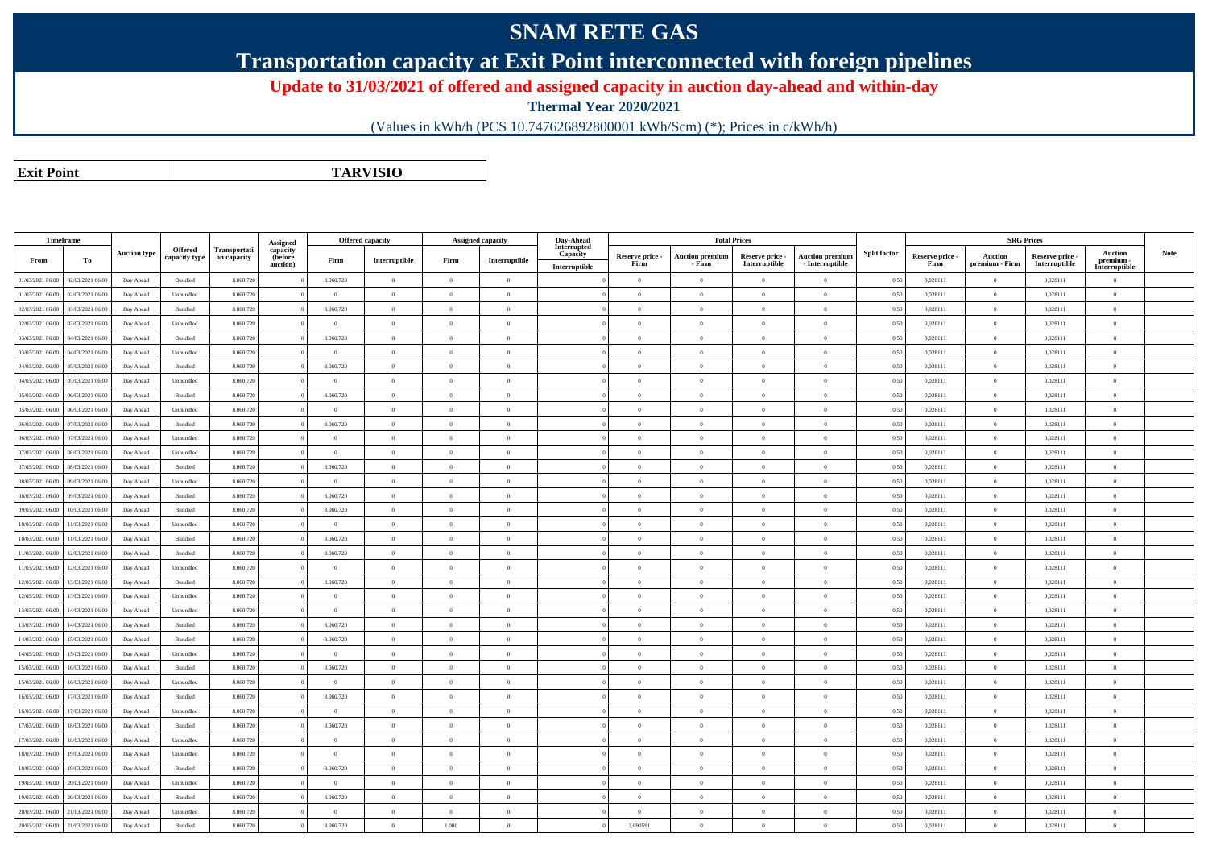## **SNAM RETE GAS**

**Transportation capacity at Exit Point interconnected with foreign pipelines**

**Update to 31/03/2021 of offered and assigned capacity in auction day-ahead and within-day**

**Thermal Year 2020/2021**

(Values in kWh/h (PCS 10.747626892800001 kWh/Scm) (\*); Prices in c/kWh/h)

**Exit PointTARVISIO**

|                  | Timeframe        |                     |                    |              |                      |                | <b>Offered capacity</b> |                | Assigned capacity | Day-Ahead                 |                         |                                  | <b>Total Prices</b>              |                                           |                     |                         | <b>SRG Prices</b>         |                                  |                            |             |
|------------------|------------------|---------------------|--------------------|--------------|----------------------|----------------|-------------------------|----------------|-------------------|---------------------------|-------------------------|----------------------------------|----------------------------------|-------------------------------------------|---------------------|-------------------------|---------------------------|----------------------------------|----------------------------|-------------|
|                  |                  | <b>Auction type</b> | Offered            | Transportati | Assigned<br>capacity |                |                         |                |                   | Interrupted               |                         |                                  |                                  |                                           | <b>Split factor</b> |                         |                           |                                  | <b>Auction</b>             | <b>Note</b> |
| From             | Тo               |                     | capacity type      | on capacity  | (before<br>auction)  | Firm           | Interruptible           | Firm           | Interruptible     | Capacity<br>Interruptible | Reserve price -<br>Firm | <b>Auction premium</b><br>- Firm | Reserve price -<br>Interruptible | <b>Auction premium</b><br>- Interruptible |                     | Reserve price -<br>Firm | Auction<br>premium - Firm | Reserve price -<br>Interruptible | premium -<br>Interruptible |             |
| 01/03/2021 06.00 | 02/03/2021 06.00 | Day Ahead           | Bundled            | 8.060.720    |                      | 8.060.720      | $\bf{0}$                | $\overline{0}$ | $\overline{0}$    |                           | $\overline{0}$          | $\overline{0}$                   | $\overline{0}$                   | $\overline{0}$                            | 0,50                | 0,028111                | $\overline{0}$            | 0,028111                         | $\theta$                   |             |
| 01/03/2021 06.00 | 02/03/2021 06.00 | Day Ahead           | Unbundled          | 8.060.720    |                      | $\overline{0}$ | $\overline{0}$          | $\Omega$       | $\Omega$          |                           | $\Omega$                | $\overline{0}$                   | $\Omega$                         | $\Omega$                                  | 0,50                | 0,028111                | $\theta$                  | 0,028111                         | $\overline{0}$             |             |
| 02/03/2021 06:00 | 03/03/2021 06.00 | Day Ahead           | Bundled            | 8.060.720    |                      | 8.060.720      | $\overline{0}$          | $\overline{0}$ | $\overline{0}$    |                           | $\theta$                | $\overline{0}$                   | $\theta$                         | $\overline{0}$                            | 0,50                | 0,028111                | $\overline{0}$            | 0,028111                         | $\mathbf{0}$               |             |
| 02/03/2021 06:00 | 03/03/2021 06.00 | Day Ahead           | Unbundled          | 8.060.720    |                      | $\theta$       | $\overline{0}$          | $^{\circ}$     | $\Omega$          |                           | $^{\circ}$              | $\theta$                         | $\Omega$                         | $\overline{0}$                            | 0,50                | 0,028111                | $\Omega$                  | 0.028111                         | $\theta$                   |             |
| 03/03/2021 06:00 | 04/03/2021 06.00 | Day Ahead           | Bundled            | 8.060.72     |                      | 8.060.720      | $\overline{0}$          | $\Omega$       | $\theta$          |                           | $\Omega$                | $\overline{0}$                   | $\Omega$                         | $\overline{0}$                            | 0,50                | 0,028111                | $\overline{0}$            | 0,028111                         | $\theta$                   |             |
| 03/03/2021 06:00 | 04/03/2021 06.00 | Day Ahead           | Unbundled          | 8.060.720    |                      | $\overline{0}$ | $\overline{0}$          | $\overline{0}$ | $\overline{0}$    |                           | $\overline{0}$          | $\overline{0}$                   | $\theta$                         | $\overline{0}$                            | 0,50                | 0,028111                | $\overline{0}$            | 0,028111                         | $\mathbf{0}$               |             |
| 04/03/2021 06:00 | 05/03/2021 06:00 | Day Ahead           | Bundled            | 8.060.72     |                      | 8.060.720      | $\overline{0}$          | $\Omega$       | $\overline{0}$    |                           | $\overline{0}$          | $\overline{0}$                   | $\theta$                         | $\overline{0}$                            | 0,50                | 0,028111                | $\overline{0}$            | 0,028111                         | $\theta$                   |             |
| 04/03/2021 06:00 | 05/03/2021 06.00 | Day Ahead           | Unbundled          | 8.060.720    |                      | $\theta$       | $\overline{0}$          | $\Omega$       | $\overline{0}$    |                           | $\Omega$                | $\overline{0}$                   | $\theta$                         | $\overline{0}$                            | 0,50                | 0,028111                | $\theta$                  | 0,028111                         | $\theta$                   |             |
| 05/03/2021 06:00 | 06/03/2021 06:00 | Day Ahead           | Bundled            | 8.060.720    |                      | 8.060.720      | $\theta$                | $\Omega$       | $\theta$          |                           | $\Omega$                | $\theta$                         | $\theta$                         | $\overline{0}$                            | 0,50                | 0.028111                | $\theta$                  | 0.028111                         | $\overline{0}$             |             |
| 05/03/2021 06:00 | 06/03/2021 06.00 | Day Ahead           | Unbundled          | 8.060.720    |                      | $\overline{0}$ | $\overline{0}$          | $\overline{0}$ | $\overline{0}$    |                           | $\overline{0}$          | $\overline{0}$                   | $\overline{0}$                   | $\overline{0}$                            | 0,50                | 0,028111                | $\overline{0}$            | 0,028111                         | $\overline{0}$             |             |
| 06/03/2021 06:00 | 07/03/2021 06.00 | Day Ahead           | Bundled            | 8.060.720    |                      | 8.060.720      | $\overline{0}$          | $\Omega$       | $\Omega$          |                           | $\Omega$                | $\theta$                         | $\Omega$                         | $\overline{0}$                            | 0.50                | 0,028111                | $\theta$                  | 0.028111                         | $\theta$                   |             |
| 06/03/2021 06:00 | 07/03/2021 06.00 | Day Ahead           | Unbundled          | 8.060.72     |                      | $\overline{0}$ | $\mathbf{0}$            | $\Omega$       | $\overline{0}$    |                           | $\Omega$                | $\overline{0}$                   | $\theta$                         | $\overline{0}$                            | 0,50                | 0,028111                | $\overline{0}$            | 0,028111                         | $\Omega$                   |             |
| 07/03/2021 06:00 | 08/03/2021 06:00 | Day Ahead           | Unbundled          | 8.060.720    |                      | $\theta$       | $\overline{0}$          | $\Omega$       | $\overline{0}$    |                           | $\Omega$                | $\theta$                         | $\theta$                         | $\theta$                                  | 0,50                | 0,028111                | $\theta$                  | 0,028111                         | $\theta$                   |             |
| 07/03/2021 06:00 | 08/03/2021 06:00 | Day Ahead           | Bundled            | 8.060.720    |                      | 8.060.720      | $\Omega$                | $\Omega$       | $\Omega$          |                           | $\Omega$                | $\theta$                         | $\Omega$                         | $\theta$                                  | 0,50                | 0,028111                | $\Omega$                  | 0,028111                         | $\Omega$                   |             |
| 08/03/2021 06:00 | 09/03/2021 06:00 | Day Ahead           | Unbundled          | 8.060.720    |                      | $\theta$       | $\Omega$                | $\theta$       | $\theta$          |                           | $\Omega$                | $\theta$                         | $\theta$                         | $\theta$                                  | 0,50                | 0.028111                | $\theta$                  | 0.028111                         | $\overline{0}$             |             |
| 08/03/2021 06:00 | 09/03/2021 06.00 | Day Ahead           | Bundled            | 8.060.720    |                      | 8.060.720      | $\overline{0}$          | $\Omega$       | $\theta$          |                           | $\Omega$                | $\theta$                         | $\theta$                         | $\overline{0}$                            | 0.50                | 0,028111                | $\theta$                  | 0.028111                         | $\theta$                   |             |
| 09/03/2021 06:00 | 10/03/2021 06:00 | Day Ahead           | Bundled            | 8.060.720    |                      | 8.060.720      | $\overline{0}$          | $\overline{0}$ | $\theta$          |                           | $\overline{0}$          | $\overline{0}$                   | $\theta$                         | $\overline{0}$                            | 0,50                | 0,028111                | $\overline{0}$            | 0,028111                         | $\overline{0}$             |             |
| 10/03/2021 06:00 | 11/03/2021 06.00 | Day Ahead           | Unbundled          | 8.060.720    |                      | $\theta$       | $\,$ 0 $\,$             | $\Omega$       | $\overline{0}$    |                           | $\Omega$                | $\overline{0}$                   | $\theta$                         | $\overline{0}$                            | 0,50                | 0,028111                | $\theta$                  | 0,028111                         | $\overline{0}$             |             |
| 10/03/2021 06:00 | 1/03/2021 06.00  | Day Ahead           | Bundled            | 8.060.720    |                      | 8.060.720      | $\overline{0}$          | $\overline{0}$ | $\overline{0}$    |                           | $\overline{0}$          | $\overline{0}$                   | $\theta$                         | $\overline{0}$                            | 0,50                | 0,028111                | $\theta$                  | 0,028111                         | $\theta$                   |             |
| 11/03/2021 06:00 | 12/03/2021 06:00 | Day Ahead           | $\mathbf B$ undled | 8.060.720    |                      | 8.060.720      | $\overline{0}$          | $\overline{0}$ | $\overline{0}$    |                           | $\overline{0}$          | $\overline{0}$                   | $\theta$                         | $\overline{0}$                            | 0,50                | 0,028111                | $\theta$                  | 0,028111                         | $\mathbf{0}$               |             |
| 11/03/2021 06:00 | 12/03/2021 06:00 | Day Ahead           | Unbundled          | 8.060.720    |                      | $\overline{0}$ | $\overline{0}$          | $\Omega$       | $\overline{0}$    |                           | $\Omega$                | $\overline{0}$                   | $\theta$                         | $\mathbf{0}$                              | 0,50                | 0,028111                | $\theta$                  | 0,028111                         | $\mathbf{0}$               |             |
| 12/03/2021 06:00 | 13/03/2021 06:00 | Day Ahead           | Bundled            | 8.060.720    |                      | 8.060.720      | $\overline{0}$          | $\overline{0}$ | $\theta$          |                           | $\Omega$                | $\Omega$                         | $\theta$                         | $\theta$                                  | 0,50                | 0,028111                | $\overline{0}$            | 0,028111                         | $\theta$                   |             |
| 12/03/2021 06:00 | 13/03/2021 06:00 | Day Ahead           | Unbundled          | 8.060.720    |                      | $\theta$       | $\overline{0}$          | $\Omega$       | $\theta$          |                           | $\Omega$                | $\theta$                         | $\theta$                         | $\theta$                                  | 0,50                | 0,028111                | $\theta$                  | 0,028111                         | $\theta$                   |             |
| 13/03/2021 06:00 | 14/03/2021 06.0  | Day Ahead           | Unbundled          | 8.060.72     |                      | $\overline{0}$ | $\overline{0}$          | $\Omega$       | $\overline{0}$    |                           | $\Omega$                | $\overline{0}$                   | $\theta$                         | $\overline{0}$                            | 0,50                | 0,028111                | $\theta$                  | 0,028111                         | $\Omega$                   |             |
| 13/03/2021 06:00 | 14/03/2021 06.00 | Day Ahead           | Bundled            | 8.060.720    |                      | 8.060.720      | $\overline{0}$          | $\overline{0}$ | $\overline{0}$    |                           | $\overline{0}$          | $\overline{0}$                   | $\theta$                         | $\overline{0}$                            | 0,50                | 0,028111                | $\overline{0}$            | 0,028111                         | $\theta$                   |             |
| 14/03/2021 06:00 | 15/03/2021 06.00 | Day Ahead           | Bundled            | 8.060.720    |                      | 8.060.720      | $\overline{0}$          | $\overline{0}$ | $\overline{0}$    |                           | $\overline{0}$          | $\overline{0}$                   | $\theta$                         | $\overline{0}$                            | 0,50                | 0,028111                | $\overline{0}$            | 0,028111                         | $\theta$                   |             |
| 14/03/2021 06:00 | 15/03/2021 06.00 | Day Ahead           | Unbundled          | 8.060.720    |                      | $\theta$       | $\overline{0}$          | $\Omega$       | $\overline{0}$    |                           | $\Omega$                | $\overline{0}$                   | $\Omega$                         | $\overline{0}$                            | 0,50                | 0,028111                | $\theta$                  | 0,028111                         | $\overline{0}$             |             |
| 15/03/2021 06:00 | 16/03/2021 06:00 | Day Ahead           | Bundled            | 8.060.720    |                      | 8.060.720      | $\Omega$                | $\Omega$       | $\Omega$          |                           | $\Omega$                | $\theta$                         | $\theta$                         | $\theta$                                  | 0,50                | 0,028111                | $\Omega$                  | 0.028111                         | $\theta$                   |             |
| 15/03/2021 06:00 | 16/03/2021 06:00 | Day Ahead           | Unbundled          | 8.060.720    |                      | $\theta$       | $\overline{0}$          | $\overline{0}$ | $\Omega$          |                           | $\theta$                | $\theta$                         | $\theta$                         | $\overline{0}$                            | 0,50                | 0,028111                | $\theta$                  | 0.028111                         | $\theta$                   |             |
| 16/03/2021 06:00 | 17/03/2021 06.00 | Day Ahead           | Bundled            | 8.060.720    |                      | 8.060.720      | $\overline{0}$          | $\Omega$       | $\overline{0}$    |                           | $\Omega$                | $\overline{0}$                   | $\theta$                         | $\overline{0}$                            | 0,50                | 0,028111                | $\overline{0}$            | 0,028111                         | $\overline{0}$             |             |
| 16/03/2021 06:00 | 17/03/2021 06.00 | Day Ahead           | Unbundled          | 8.060.72     |                      | $\overline{0}$ | $\overline{0}$          | $\Omega$       | $\overline{0}$    |                           | $\Omega$                | $\overline{0}$                   | $\theta$                         | $\overline{0}$                            | 0,50                | 0,028111                | $\overline{0}$            | 0,028111                         | $\theta$                   |             |
| 17/03/2021 06:00 | 18/03/2021 06:00 | Day Ahead           | Bundled            | 8.060.720    |                      | 8.060.720      | $\overline{0}$          | $\Omega$       | $\overline{0}$    |                           | $\Omega$                | $\overline{0}$                   | $\theta$                         | $\overline{0}$                            | 0,50                | 0,028111                | $\overline{0}$            | 0,028111                         | $\mathbf{0}$               |             |
| 17/03/2021 06:00 | 18/03/2021 06:00 | Day Ahead           | Unbundled          | 8.060.72     |                      | $\theta$       | $\mathbf{0}$            | $\Omega$       | $\Omega$          |                           | $\Omega$                | $\theta$                         | $\theta$                         | $\theta$                                  | 0,50                | 0,028111                | $\Omega$                  | 0,028111                         | $\Omega$                   |             |
| 18/03/2021 06:00 | 19/03/2021 06:00 | Day Ahead           | Unbundled          | 8.060.720    |                      | $\theta$       | $\overline{0}$          | $\theta$       | $\Omega$          |                           | $\theta$                | $\theta$                         | $\Omega$                         | $\overline{0}$                            | 0,50                | 0,028111                | $\theta$                  | 0,028111                         | $\overline{0}$             |             |
| 18/03/2021 06:00 | 19/03/2021 06:00 | Day Ahead           | Bundled            | 8.060.720    |                      | 8.060.720      | $\overline{0}$          | $\Omega$       | $\theta$          |                           | $\Omega$                | $\theta$                         | $\theta$                         | $\theta$                                  | 0,50                | 0.028111                | $\theta$                  | 0.028111                         | $\overline{0}$             |             |
| 19/03/2021 06:00 | 20/03/2021 06.00 | Day Ahead           | Unbundled          | 8.060.72     |                      | $\theta$       | $\overline{0}$          | $\theta$       | $\Omega$          |                           | $\theta$                | $\overline{0}$                   | $\theta$                         | $\overline{0}$                            | 0,50                | 0,028111                | $\overline{0}$            | 0.028111                         | $\theta$                   |             |
| 19/03/2021 06:00 | 20/03/2021 06.00 | Day Ahead           | Bundled            | 8.060.720    |                      | 8.060.720      | $\overline{0}$          | $\Omega$       | $\Omega$          |                           | $\Omega$                | $\theta$                         | $\Omega$                         | $\overline{0}$                            | 0,50                | 0,028111                | $\overline{0}$            | 0,028111                         | $\theta$                   |             |
| 20/03/2021 06:00 | 21/03/2021 06:00 | Day Ahead           | Unbundled          | 8.060.72     |                      | $\theta$       | $\overline{0}$          | $\Omega$       | $\overline{0}$    |                           | $\overline{0}$          | $\overline{0}$                   | $\theta$                         | $\overline{0}$                            | 0,50                | 0,028111                | $\overline{0}$            | 0,028111                         | $\theta$                   |             |
| 20/03/2021 06:00 | 21/03/2021 06:00 | Day Ahead           | <b>Bundled</b>     | 8.060.720    |                      | 8.060.720      | $\Omega$                | 1.000          |                   |                           | 3.090591                |                                  |                                  | $\theta$                                  | 0.50                | 0.028111                | $\Omega$                  | 0.028111                         | $\Omega$                   |             |

0|21/03/2021 06.00 Day Ahead Bundled 8.060.720 0 8.060.720 0 1.000 0 0 0 3,090591 0 0 0 0 0 0,028111 0 0,028111 0 0,028111 0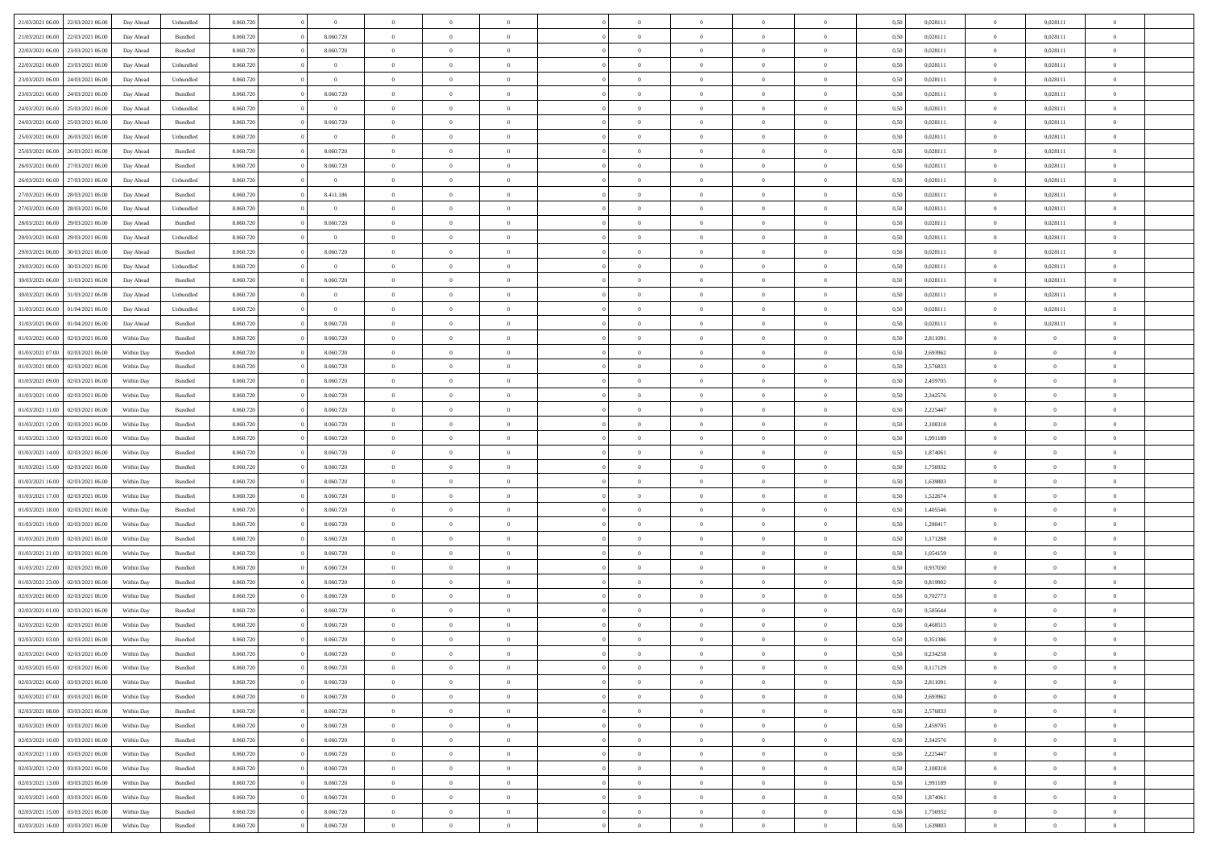| 21/03/2021 06:00                  | 22/03/2021 06:00 | Day Ahead  | Unbundled          | 8.060.720 | $\theta$       | $\overline{0}$ | $\theta$       |                | $\Omega$       | $\Omega$       | $\theta$       | $\theta$       | 0,50 | 0,028111 | $\theta$       | 0,028111       | $\overline{0}$           |  |
|-----------------------------------|------------------|------------|--------------------|-----------|----------------|----------------|----------------|----------------|----------------|----------------|----------------|----------------|------|----------|----------------|----------------|--------------------------|--|
| 21/03/2021 06:00                  | 22/03/2021 06:00 | Day Ahead  | Bundled            | 8.060.720 | 8.060.720      | $\overline{0}$ | $\overline{0}$ | $\overline{0}$ | $\overline{0}$ | $\bf{0}$       | $\overline{0}$ | $\bf{0}$       | 0,50 | 0,028111 | $\theta$       | 0,028111       | $\overline{0}$           |  |
| 22/03/2021 06:00                  | 23/03/2021 06:00 | Day Ahead  | Bundled            | 8.060.720 | 8.060.720      | $\overline{0}$ | $\overline{0}$ | $\overline{0}$ | $\bf{0}$       | $\bf{0}$       | $\bf{0}$       | $\mathbf{0}$   | 0,50 | 0,028111 | $\overline{0}$ | 0,028111       | $\overline{0}$           |  |
|                                   |                  |            |                    |           |                |                |                |                |                |                |                |                |      |          | $\overline{0}$ |                | $\overline{0}$           |  |
| 22/03/2021 06:00                  | 23/03/2021 06:00 | Day Ahead  | Unbundled          | 8.060.720 | $\overline{0}$ | $\overline{0}$ | $\overline{0}$ | $\overline{0}$ | $\overline{0}$ | $\bf{0}$       | $\overline{0}$ | $\overline{0}$ | 0.50 | 0.028111 |                | 0,028111       |                          |  |
| 23/03/2021 06:00                  | 24/03/2021 06.00 | Day Ahead  | Unbundled          | 8.060.720 | $\overline{0}$ | $\overline{0}$ | $\overline{0}$ | $\overline{0}$ | $\overline{0}$ | $\bf{0}$       | $\overline{0}$ | $\bf{0}$       | 0,50 | 0,028111 | $\,$ 0 $\,$    | 0,028111       | $\overline{0}$           |  |
| 23/03/2021 06:00                  | 24/03/2021 06:00 | Day Ahead  | Bundled            | 8.060.720 | 8.060.720      | $\overline{0}$ | $\overline{0}$ | $\overline{0}$ | $\bf{0}$       | $\overline{0}$ | $\overline{0}$ | $\mathbf{0}$   | 0,50 | 0,028111 | $\overline{0}$ | 0,028111       | $\bf{0}$                 |  |
| 24/03/2021 06:00                  | 25/03/2021 06:00 | Day Ahead  | Unbundled          | 8.060.720 | $\overline{0}$ | $\overline{0}$ | $\overline{0}$ | $\overline{0}$ | $\overline{0}$ | $\overline{0}$ | $\overline{0}$ | $\overline{0}$ | 0.50 | 0,028111 | $\overline{0}$ | 0,028111       | $\overline{0}$           |  |
|                                   |                  |            |                    |           |                |                |                |                |                |                |                |                |      |          |                |                |                          |  |
| 24/03/2021 06.00                  | 25/03/2021 06:00 | Day Ahead  | Bundled            | 8.060.720 | 8.060.720      | $\overline{0}$ | $\theta$       | $\overline{0}$ | $\overline{0}$ | $\bf{0}$       | $\overline{0}$ | $\bf{0}$       | 0,50 | 0,028111 | $\,$ 0 $\,$    | 0,028111       | $\overline{0}$           |  |
| 25/03/2021 06:00                  | 26/03/2021 06:00 | Day Ahead  | Unbundled          | 8.060.720 | $\bf{0}$       | $\overline{0}$ | $\overline{0}$ | $\overline{0}$ | $\bf{0}$       | $\bf{0}$       | $\bf{0}$       | $\bf{0}$       | 0,50 | 0,028111 | $\overline{0}$ | 0,028111       | $\overline{0}$           |  |
| 25/03/2021 06:00                  | 26/03/2021 06:00 | Day Ahead  | Bundled            | 8.060.720 | 8.060.720      | $\overline{0}$ | $\overline{0}$ | $\overline{0}$ | $\overline{0}$ | $\overline{0}$ | $\overline{0}$ | $\overline{0}$ | 0.50 | 0,028111 | $\overline{0}$ | 0,028111       | $\overline{0}$           |  |
| 26/03/2021 06:00                  | 27/03/2021 06.00 |            | Bundled            | 8.060.720 | 8.060.720      | $\overline{0}$ | $\theta$       | $\overline{0}$ | $\overline{0}$ | $\bf{0}$       | $\overline{0}$ |                |      | 0,028111 | $\,$ 0 $\,$    | 0,028111       | $\overline{0}$           |  |
|                                   |                  | Day Ahead  |                    |           |                |                |                |                |                |                |                | $\bf{0}$       | 0,50 |          |                |                |                          |  |
| 26/03/2021 06:00                  | 27/03/2021 06:00 | Day Ahead  | Unbundled          | 8.060.720 | $\mathbf{0}$   | $\overline{0}$ | $\overline{0}$ | $\overline{0}$ | $\bf{0}$       | $\bf{0}$       | $\bf{0}$       | $\mathbf{0}$   | 0,50 | 0,028111 | $\overline{0}$ | 0,028111       | $\overline{\phantom{a}}$ |  |
| 27/03/2021 06:00                  | 28/03/2021 06:00 | Day Ahead  | Bundled            | 8.060.720 | 8.411.186      | $\overline{0}$ | $\overline{0}$ | $\overline{0}$ | $\overline{0}$ | $\bf{0}$       | $\overline{0}$ | $\overline{0}$ | 0.50 | 0,028111 | $\overline{0}$ | 0.028111       | $\overline{0}$           |  |
| 27/03/2021 06:00                  | 28/03/2021 06:00 | Day Ahead  | Unbundled          | 8.060.720 | $\overline{0}$ | $\overline{0}$ | $\theta$       | $\overline{0}$ | $\overline{0}$ | $\bf{0}$       | $\overline{0}$ | $\overline{0}$ | 0,50 | 0,028111 | $\,$ 0 $\,$    | 0,028111       | $\overline{0}$           |  |
|                                   |                  |            |                    |           |                |                |                |                |                |                |                |                |      |          |                |                |                          |  |
| 28/03/2021 06:00                  | 29/03/2021 06:00 | Day Ahead  | Bundled            | 8.060.720 | 8.060.720      | $\overline{0}$ | $\overline{0}$ | $\overline{0}$ | $\bf{0}$       | $\overline{0}$ | $\overline{0}$ | $\mathbf{0}$   | 0,50 | 0,028111 | $\overline{0}$ | 0,028111       | $\bf{0}$                 |  |
| 28/03/2021 06:00                  | 29/03/2021 06:00 | Day Ahead  | Unbundled          | 8.060.720 | $\overline{0}$ | $\overline{0}$ | $\overline{0}$ | $\overline{0}$ | $\overline{0}$ | $\overline{0}$ | $\overline{0}$ | $\overline{0}$ | 0.50 | 0,028111 | $\overline{0}$ | 0,028111       | $\overline{0}$           |  |
| 29/03/2021 06:00                  | 30/03/2021 06:00 | Day Ahead  | Bundled            | 8.060.720 | 8.060.720      | $\overline{0}$ | $\theta$       | $\overline{0}$ | $\overline{0}$ | $\bf{0}$       | $\overline{0}$ | $\bf{0}$       | 0,50 | 0,028111 | $\,$ 0 $\,$    | 0,028111       | $\overline{0}$           |  |
| 29/03/2021 06:00                  | 30/03/2021 06:00 | Day Ahead  | Unbundled          | 8.060.720 | $\mathbf{0}$   | $\overline{0}$ | $\overline{0}$ | $\overline{0}$ | $\overline{0}$ | $\bf{0}$       | $\overline{0}$ | $\bf{0}$       | 0,50 | 0,028111 | $\bf{0}$       | 0,028111       | $\overline{\phantom{a}}$ |  |
| 30/03/2021 06:00                  | 31/03/2021 06:00 |            | Bundled            | 8.060.720 | 8.060.720      | $\overline{0}$ | $\overline{0}$ | $\overline{0}$ | $\overline{0}$ | $\overline{0}$ | $\overline{0}$ | $\overline{0}$ | 0.50 | 0,028111 | $\overline{0}$ | 0,028111       | $\overline{0}$           |  |
|                                   |                  | Day Ahead  |                    |           |                |                |                |                |                |                |                |                |      |          |                |                |                          |  |
| 30/03/2021 06:00                  | 31/03/2021 06:00 | Day Ahead  | Unbundled          | 8.060.720 | $\theta$       | $\overline{0}$ | $\theta$       | $\overline{0}$ | $\overline{0}$ | $\bf{0}$       | $\overline{0}$ | $\bf{0}$       | 0,50 | 0,028111 | $\,$ 0 $\,$    | 0,028111       | $\overline{0}$           |  |
| 31/03/2021 06:00                  | 01/04/2021 06.00 | Day Ahead  | Unbundled          | 8.060.720 | $\bf{0}$       | $\overline{0}$ | $\overline{0}$ | $\overline{0}$ | $\overline{0}$ | $\bf{0}$       | $\bf{0}$       | $\bf{0}$       | 0,50 | 0,028111 | $\overline{0}$ | 0,028111       | $\overline{0}$           |  |
| 31/03/2021 06:00                  | 01/04/2021 06:00 | Day Ahead  | Bundled            | 8.060.720 | 8.060.720      | $\overline{0}$ | $\overline{0}$ | $\overline{0}$ | $\overline{0}$ | $\bf{0}$       | $\overline{0}$ | $\overline{0}$ | 0.50 | 0.028111 | $\overline{0}$ | 0,028111       | $\overline{0}$           |  |
|                                   |                  |            |                    |           |                |                | $\overline{0}$ |                |                | $\bf{0}$       |                |                |      |          | $\theta$       |                |                          |  |
| 01/03/2021 06:00                  | 02/03/2021 06:00 | Within Day | Bundled            | 8.060.720 | 8.060.720      | $\overline{0}$ |                | $\overline{0}$ | $\overline{0}$ |                | $\overline{0}$ | $\bf{0}$       | 0,50 | 2,811091 |                | $\theta$       | $\overline{0}$           |  |
| 01/03/2021 07:00                  | 02/03/2021 06:00 | Within Day | Bundled            | 8.060.720 | 8.060.720      | $\overline{0}$ | $\overline{0}$ | $\overline{0}$ | $\bf{0}$       | $\overline{0}$ | $\overline{0}$ | $\mathbf{0}$   | 0,50 | 2,693962 | $\overline{0}$ | $\overline{0}$ | $\bf{0}$                 |  |
| 01/03/2021 08:00                  | 02/03/2021 06:00 | Within Dav | Bundled            | 8.060.720 | 8.060.720      | $\overline{0}$ | $\overline{0}$ | $\overline{0}$ | $\overline{0}$ | $\overline{0}$ | $\overline{0}$ | $\overline{0}$ | 0.50 | 2,576833 | $\overline{0}$ | $\overline{0}$ | $\overline{0}$           |  |
| 01/03/2021 09:00                  | 02/03/2021 06:00 | Within Day | Bundled            | 8.060.720 | 8.060.720      | $\overline{0}$ | $\theta$       | $\overline{0}$ | $\overline{0}$ | $\bf{0}$       | $\overline{0}$ | $\bf{0}$       | 0,50 | 2,459705 | $\theta$       | $\theta$       | $\overline{0}$           |  |
|                                   |                  |            |                    |           |                |                |                |                |                |                |                |                |      |          |                |                |                          |  |
| 01/03/2021 10:00                  | 02/03/2021 06:00 | Within Day | Bundled            | 8.060.720 | 8.060.720      | $\overline{0}$ | $\overline{0}$ | $\overline{0}$ | $\bf{0}$       | $\bf{0}$       | $\bf{0}$       | $\bf{0}$       | 0,50 | 2,342576 | $\,0\,$        | $\overline{0}$ | $\bf{0}$                 |  |
| 01/03/2021 11:00                  | 02/03/2021 06:00 | Within Dav | Bundled            | 8.060.720 | 8.060.720      | $\overline{0}$ | $\overline{0}$ | $\overline{0}$ | $\overline{0}$ | $\overline{0}$ | $\overline{0}$ | $\overline{0}$ | 0.50 | 2,225447 | $\theta$       | $\overline{0}$ | $\overline{0}$           |  |
| 01/03/2021 12:00                  | 02/03/2021 06:00 | Within Day | Bundled            | 8.060.720 | 8.060.720      | $\overline{0}$ | $\overline{0}$ | $\overline{0}$ | $\overline{0}$ | $\bf{0}$       | $\overline{0}$ | $\bf{0}$       | 0,50 | 2,108318 | $\,$ 0 $\,$    | $\overline{0}$ | $\overline{0}$           |  |
| 01/03/2021 13:00                  | 02/03/2021 06:00 | Within Day | Bundled            | 8.060.720 | 8.060.720      | $\overline{0}$ | $\overline{0}$ | $\overline{0}$ | $\bf{0}$       | $\bf{0}$       | $\bf{0}$       | $\bf{0}$       | 0,50 | 1,991189 | $\overline{0}$ | $\overline{0}$ | $\bf{0}$                 |  |
|                                   |                  |            |                    |           |                |                |                |                |                |                |                |                |      |          |                |                |                          |  |
| 01/03/2021 14:00                  | 02/03/2021 06:00 | Within Day | Bundled            | 8.060.720 | 8.060.720      | $\overline{0}$ | $\Omega$       | $\Omega$       | $\Omega$       | $\Omega$       | $\Omega$       | $\overline{0}$ | 0,50 | 1,874061 | $\,0\,$        | $\theta$       | $\theta$                 |  |
| 01/03/2021 15:00                  | 02/03/2021 06:00 | Within Day | Bundled            | 8.060.720 | 8.060.720      | $\overline{0}$ | $\overline{0}$ | $\overline{0}$ | $\overline{0}$ | $\bf{0}$       | $\overline{0}$ | $\bf{0}$       | 0,50 | 1,756932 | $\,$ 0 $\,$    | $\overline{0}$ | $\overline{0}$           |  |
| 01/03/2021 16:00                  | 02/03/2021 06:00 | Within Day | Bundled            | 8.060.720 | 8.060.720      | $\overline{0}$ | $\overline{0}$ | $\overline{0}$ | $\bf{0}$       | $\bf{0}$       | $\overline{0}$ | $\mathbf{0}$   | 0,50 | 1,639803 | $\overline{0}$ | $\overline{0}$ | $\bf{0}$                 |  |
| 01/03/2021 17:00                  | 02/03/2021 06:00 | Within Day | Bundled            | 8.060.720 | 8.060.720      | $\overline{0}$ | $\Omega$       | $\Omega$       | $\Omega$       | $\bf{0}$       | $\overline{0}$ | $\overline{0}$ | 0.50 | 1,522674 | $\,$ 0 $\,$    | $\theta$       | $\theta$                 |  |
| 01/03/2021 18:00                  | 02/03/2021 06:00 |            |                    | 8.060.720 | 8.060.720      | $\overline{0}$ | $\theta$       | $\overline{0}$ | $\overline{0}$ | $\bf{0}$       | $\overline{0}$ |                |      | 1,405546 | $\,$ 0 $\,$    | $\overline{0}$ | $\overline{0}$           |  |
|                                   |                  | Within Day | Bundled            |           |                |                |                |                |                |                |                | $\bf{0}$       | 0,50 |          |                |                |                          |  |
| 01/03/2021 19:00                  | 02/03/2021 06:00 | Within Day | Bundled            | 8.060.720 | 8.060.720      | $\overline{0}$ | $\overline{0}$ | $\overline{0}$ | $\bf{0}$       | $\bf{0}$       | $\bf{0}$       | $\bf{0}$       | 0,50 | 1,288417 | $\overline{0}$ | $\overline{0}$ | $\bf{0}$                 |  |
| 01/03/2021 20:00                  | 02/03/2021 06:00 | Within Day | Bundled            | 8.060.720 | 8.060.720      | $\overline{0}$ | $\Omega$       | $\Omega$       | $\Omega$       | $\theta$       | $\theta$       | $\overline{0}$ | 0.50 | 1,171288 | $\,$ 0 $\,$    | $\theta$       | $\theta$                 |  |
| 01/03/2021 21:00                  | 02/03/2021 06:00 | Within Day | Bundled            | 8.060.720 | 8.060.720      | $\overline{0}$ | $\overline{0}$ | $\overline{0}$ | $\overline{0}$ | $\bf{0}$       | $\overline{0}$ | $\bf{0}$       | 0,50 | 1,054159 | $\,$ 0 $\,$    | $\overline{0}$ | $\overline{0}$           |  |
|                                   |                  |            |                    |           |                |                |                |                |                |                |                |                |      |          |                |                |                          |  |
| 01/03/2021 22.00                  | 02/03/2021 06:00 | Within Day | Bundled            | 8.060.720 | 8.060.720      | $\overline{0}$ | $\overline{0}$ | $\overline{0}$ | $\bf{0}$       | $\bf{0}$       | $\bf{0}$       | $\bf{0}$       | 0,50 | 0,937030 | $\overline{0}$ | $\overline{0}$ | $\bf{0}$                 |  |
| 01/03/2021 23:00                  | 02/03/2021 06:00 | Within Day | Bundled            | 8.060.720 | 8.060.720      | $\overline{0}$ | $\Omega$       | $\overline{0}$ | $\Omega$       | $\Omega$       | $\overline{0}$ | $\overline{0}$ | 0,50 | 0,819902 | $\,0\,$        | $\theta$       | $\theta$                 |  |
| 02/03/2021 00:00                  | 02/03/2021 06:00 | Within Day | Bundled            | 8.060.720 | 8.060.720      | $\overline{0}$ | $\overline{0}$ | $\overline{0}$ | $\overline{0}$ | $\bf{0}$       | $\overline{0}$ | $\bf{0}$       | 0,50 | 0,702773 | $\,$ 0 $\,$    | $\overline{0}$ | $\overline{0}$           |  |
| 02/03/2021 01:00                  | 02/03/2021 06:00 | Within Day | Bundled            | 8.060.720 | 8.060.720      | $\overline{0}$ | $\overline{0}$ | $\overline{0}$ | $\bf{0}$       | $\bf{0}$       | $\overline{0}$ | $\mathbf{0}$   | 0,50 | 0,585644 | $\overline{0}$ | $\overline{0}$ | $\bf{0}$                 |  |
| 02/03/2021 02:00                  | 02/03/2021 06:00 | Within Day | Bundled            | 8.060.720 | 8.060.720      | $\overline{0}$ | $\Omega$       | $\Omega$       | $\Omega$       | $\Omega$       | $\Omega$       | $\overline{0}$ | 0.50 | 0.468515 | $\theta$       | $\theta$       | $\theta$                 |  |
|                                   |                  |            |                    |           |                |                |                |                |                |                |                |                |      |          |                |                |                          |  |
| 02/03/2021 03:00                  | 02/03/2021 06:00 | Within Day | Bundled            | 8.060.720 | 8.060.720      | $\overline{0}$ | $\bf{0}$       | $\overline{0}$ | $\bf{0}$       | $\,$ 0         | $\bf{0}$       | $\bf{0}$       | 0,50 | 0,351386 | $\,0\,$        | $\,$ 0 $\,$    | $\overline{0}$           |  |
| 02/03/2021 04:00 02/03/2021 06:00 |                  | Within Day | $\mathbf B$ undled | 8.060.720 | 8.060.720      | $\bf{0}$       | $\bf{0}$       |                |                | $\bf{0}$       |                |                | 0,50 | 0,234258 | $\bf{0}$       | $\overline{0}$ |                          |  |
| 02/03/2021 05:00                  | 02/03/2021 06:00 | Within Day | Bundled            | 8.060.720 | 8.060.720      | $\overline{0}$ | $\overline{0}$ | $\overline{0}$ | $\Omega$       | $\overline{0}$ | $\overline{0}$ | $\overline{0}$ | 0,50 | 0,117129 | $\theta$       | $\theta$       | $\theta$                 |  |
| 02/03/2021 06:00                  | 03/03/2021 06:00 | Within Day | Bundled            | 8.060.720 | 8.060.720      | $\overline{0}$ | $\,$ 0         | $\overline{0}$ | $\bf{0}$       | $\,$ 0 $\,$    | $\overline{0}$ | $\mathbf{0}$   | 0,50 | 2,811091 | $\,$ 0 $\,$    | $\,$ 0 $\,$    | $\,$ 0                   |  |
|                                   |                  |            |                    |           |                |                |                |                |                |                |                |                |      |          |                |                |                          |  |
| 02/03/2021 07:00                  | 03/03/2021 06:00 | Within Day | Bundled            | 8.060.720 | 8.060.720      | $\overline{0}$ | $\overline{0}$ | $\overline{0}$ | $\overline{0}$ | $\overline{0}$ | $\overline{0}$ | $\mathbf{0}$   | 0,50 | 2,693962 | $\overline{0}$ | $\bf{0}$       | $\overline{0}$           |  |
| 02/03/2021 08:00                  | 03/03/2021 06:00 | Within Day | Bundled            | 8.060.720 | 8.060.720      | $\overline{0}$ | $\overline{0}$ | $\overline{0}$ | $\Omega$       | $\overline{0}$ | $\overline{0}$ | $\overline{0}$ | 0,50 | 2,576833 | $\overline{0}$ | $\theta$       | $\overline{0}$           |  |
| 02/03/2021 09:00                  | 03/03/2021 06:00 | Within Day | Bundled            | 8.060.720 | 8.060.720      | $\overline{0}$ | $\,$ 0         | $\overline{0}$ | $\overline{0}$ | $\,$ 0 $\,$    | $\overline{0}$ | $\mathbf{0}$   | 0,50 | 2,459705 | $\,$ 0 $\,$    | $\overline{0}$ | $\overline{0}$           |  |
| 02/03/2021 10:00                  | 03/03/2021 06:00 | Within Day | Bundled            | 8.060.720 | 8.060.720      | $\overline{0}$ | $\overline{0}$ | $\overline{0}$ | $\overline{0}$ | $\overline{0}$ | $\overline{0}$ | $\mathbf{0}$   | 0,50 | 2,342576 | $\overline{0}$ | $\overline{0}$ | $\overline{0}$           |  |
|                                   |                  |            |                    |           |                |                |                |                |                |                |                |                |      |          |                |                |                          |  |
| 02/03/2021 11:00                  | 03/03/2021 06:00 | Within Day | Bundled            | 8.060.720 | 8.060.720      | $\overline{0}$ | $\overline{0}$ | $\overline{0}$ | $\Omega$       | $\overline{0}$ | $\overline{0}$ | $\bf{0}$       | 0.50 | 2,225447 | $\overline{0}$ | $\theta$       | $\overline{0}$           |  |
| 02/03/2021 12:00                  | 03/03/2021 06:00 | Within Day | Bundled            | 8.060.720 | 8.060.720      | $\overline{0}$ | $\,$ 0         | $\overline{0}$ | $\bf{0}$       | $\bf{0}$       | $\bf{0}$       | $\bf{0}$       | 0,50 | 2,108318 | $\,$ 0 $\,$    | $\overline{0}$ | $\overline{0}$           |  |
| 02/03/2021 13:00                  | 03/03/2021 06:00 | Within Day | Bundled            | 8.060.720 | 8.060.720      | $\overline{0}$ | $\bf{0}$       | $\overline{0}$ | $\overline{0}$ | $\overline{0}$ | $\overline{0}$ | $\mathbf{0}$   | 0,50 | 1,991189 | $\overline{0}$ | $\overline{0}$ | $\bf{0}$                 |  |
| 02/03/2021 14:00                  | 03/03/2021 06:00 | Within Day | Bundled            | 8.060.720 | 8.060.720      | $\overline{0}$ | $\overline{0}$ | $\overline{0}$ | $\Omega$       | $\overline{0}$ | $\overline{0}$ | $\overline{0}$ | 0.50 | 1,874061 | $\overline{0}$ | $\overline{0}$ | $\overline{0}$           |  |
|                                   |                  |            |                    |           |                |                |                |                |                |                |                |                |      |          |                |                |                          |  |
| 02/03/2021 15:00                  | 03/03/2021 06:00 | Within Day | Bundled            | 8.060.720 | 8.060.720      | $\overline{0}$ | $\bf{0}$       | $\overline{0}$ | $\bf{0}$       | $\bf{0}$       | $\bf{0}$       | $\mathbf{0}$   | 0,50 | 1,756932 | $\,$ 0 $\,$    | $\,$ 0 $\,$    | $\bf{0}$                 |  |
| 02/03/2021 16:00                  | 03/03/2021 06:00 | Within Day | Bundled            | 8.060.720 | 8.060.720      | $\overline{0}$ | $\overline{0}$ | $\overline{0}$ | $\overline{0}$ | $\overline{0}$ | $\bf{0}$       | $\mathbf{0}$   | 0,50 | 1,639803 | $\overline{0}$ | $\bf{0}$       | $\overline{0}$           |  |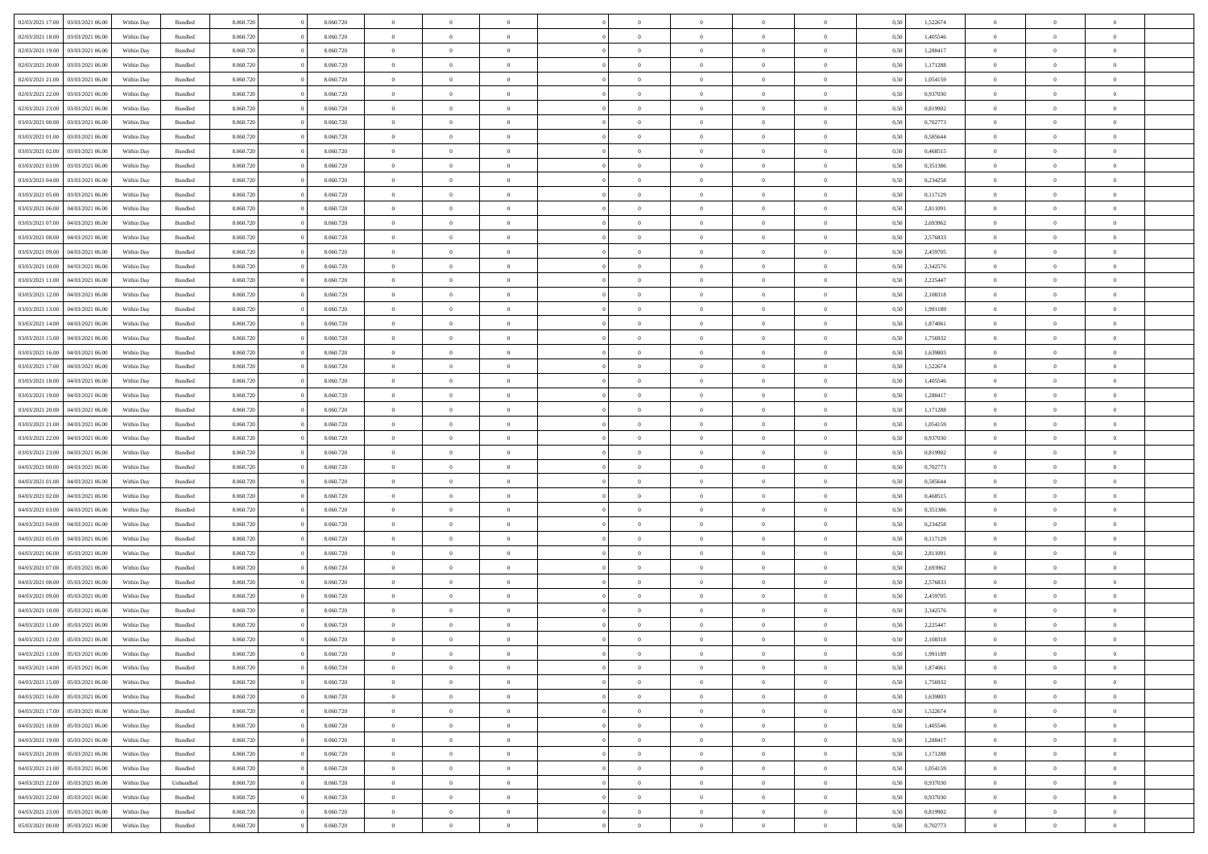| 02/03/2021 17:00                  | 03/03/2021 06:00 | Within Day | Bundled            | 8.060.720 | 8.060.720 | $\overline{0}$ | $\Omega$       |                | $\Omega$       | $\Omega$       | $\theta$       | $\theta$       | 0.50 | 1,522674 | $\theta$       | $\theta$       | $\theta$       |  |
|-----------------------------------|------------------|------------|--------------------|-----------|-----------|----------------|----------------|----------------|----------------|----------------|----------------|----------------|------|----------|----------------|----------------|----------------|--|
| 02/03/2021 18:00                  | 03/03/2021 06:00 | Within Day | Bundled            | 8.060.720 | 8.060.720 | $\overline{0}$ | $\theta$       | $\overline{0}$ | $\overline{0}$ | $\bf{0}$       | $\overline{0}$ | $\overline{0}$ | 0,50 | 1,405546 | $\theta$       | $\theta$       | $\overline{0}$ |  |
| 02/03/2021 19:00                  | 03/03/2021 06:00 | Within Day | Bundled            | 8.060.720 | 8.060.720 | $\overline{0}$ | $\overline{0}$ | $\overline{0}$ | $\bf{0}$       | $\bf{0}$       | $\bf{0}$       | $\bf{0}$       | 0,50 | 1,288417 | $\overline{0}$ | $\overline{0}$ | $\overline{0}$ |  |
|                                   |                  |            |                    |           |           |                |                |                |                |                |                |                |      |          |                |                |                |  |
| 02/03/2021 20:00                  | 03/03/2021 06:00 | Within Dav | Bundled            | 8.060.720 | 8.060.720 | $\overline{0}$ | $\overline{0}$ | $\overline{0}$ | $\overline{0}$ | $\bf{0}$       | $\overline{0}$ | $\overline{0}$ | 0.50 | 1,171288 | $\theta$       | $\theta$       | $\overline{0}$ |  |
| 02/03/2021 21:00                  | 03/03/2021 06:00 | Within Day | Bundled            | 8.060.720 | 8.060.720 | $\overline{0}$ | $\theta$       | $\overline{0}$ | $\overline{0}$ | $\bf{0}$       | $\overline{0}$ | $\bf{0}$       | 0,50 | 1,054159 | $\theta$       | $\theta$       | $\overline{0}$ |  |
| 02/03/2021 22.00                  | 03/03/2021 06:00 | Within Day | Bundled            | 8.060.720 | 8.060.720 | $\overline{0}$ | $\bf{0}$       | $\overline{0}$ | $\bf{0}$       | $\overline{0}$ | $\overline{0}$ | $\mathbf{0}$   | 0,50 | 0,937030 | $\overline{0}$ | $\overline{0}$ | $\bf{0}$       |  |
| 02/03/2021 23:00                  | 03/03/2021 06:00 | Within Dav | Bundled            | 8.060.720 | 8.060.720 | $\overline{0}$ | $\overline{0}$ | $\overline{0}$ | $\overline{0}$ | $\overline{0}$ | $\overline{0}$ | $\overline{0}$ | 0.50 | 0,819902 | $\theta$       | $\overline{0}$ | $\overline{0}$ |  |
|                                   |                  |            |                    |           |           |                |                |                |                |                |                |                |      |          |                |                |                |  |
| 03/03/2021 00:00                  | 03/03/2021 06:00 | Within Day | Bundled            | 8.060.720 | 8.060.720 | $\overline{0}$ | $\theta$       | $\overline{0}$ | $\overline{0}$ | $\bf{0}$       | $\overline{0}$ | $\bf{0}$       | 0,50 | 0,702773 | $\theta$       | $\theta$       | $\overline{0}$ |  |
| 03/03/2021 01:00                  | 03/03/2021 06:00 | Within Day | Bundled            | 8.060.720 | 8.060.720 | $\overline{0}$ | $\overline{0}$ | $\overline{0}$ | $\bf{0}$       | $\bf{0}$       | $\bf{0}$       | $\bf{0}$       | 0,50 | 0,585644 | $\,0\,$        | $\overline{0}$ | $\overline{0}$ |  |
| 03/03/2021 02:00                  | 03/03/2021 06:00 | Within Dav | Bundled            | 8.060.720 | 8.060.720 | $\overline{0}$ | $\overline{0}$ | $\overline{0}$ | $\overline{0}$ | $\overline{0}$ | $\overline{0}$ | $\overline{0}$ | 0.50 | 0,468515 | $\theta$       | $\overline{0}$ | $\overline{0}$ |  |
|                                   |                  |            |                    |           |           |                |                |                |                |                |                |                |      |          |                |                |                |  |
| 03/03/2021 03:00                  | 03/03/2021 06:00 | Within Day | Bundled            | 8.060.720 | 8.060.720 | $\overline{0}$ | $\theta$       | $\overline{0}$ | $\overline{0}$ | $\bf{0}$       | $\overline{0}$ | $\bf{0}$       | 0,50 | 0,351386 | $\,$ 0 $\,$    | $\theta$       | $\overline{0}$ |  |
| 03/03/2021 04:00                  | 03/03/2021 06:00 | Within Day | Bundled            | 8.060.720 | 8.060.720 | $\overline{0}$ | $\overline{0}$ | $\overline{0}$ | $\bf{0}$       | $\bf{0}$       | $\bf{0}$       | $\bf{0}$       | 0,50 | 0,234258 | $\overline{0}$ | $\overline{0}$ | $\overline{0}$ |  |
| 03/03/2021 05:00                  | 03/03/2021 06:00 | Within Dav | Bundled            | 8.060.720 | 8.060.720 | $\overline{0}$ | $\overline{0}$ | $\overline{0}$ | $\overline{0}$ | $\bf{0}$       | $\overline{0}$ | $\overline{0}$ | 0.50 | 0,117129 | $\theta$       | $\theta$       | $\overline{0}$ |  |
| 03/03/2021 06:00                  | 04/03/2021 06:00 | Within Day | Bundled            | 8.060.720 | 8.060.720 | $\overline{0}$ | $\theta$       | $\overline{0}$ | $\overline{0}$ | $\bf{0}$       | $\overline{0}$ | $\overline{0}$ | 0,50 | 2,811091 | $\theta$       | $\overline{0}$ | $\overline{0}$ |  |
|                                   |                  |            |                    |           |           |                |                |                |                |                |                |                |      |          |                |                |                |  |
| 03/03/2021 07:00                  | 04/03/2021 06:00 | Within Day | Bundled            | 8.060.720 | 8.060.720 | $\overline{0}$ | $\bf{0}$       | $\overline{0}$ | $\bf{0}$       | $\overline{0}$ | $\overline{0}$ | $\mathbf{0}$   | 0,50 | 2,693962 | $\overline{0}$ | $\overline{0}$ | $\bf{0}$       |  |
| 03/03/2021 08:00                  | 04/03/2021 06:00 | Within Dav | Bundled            | 8.060.720 | 8.060.720 | $\overline{0}$ | $\overline{0}$ | $\overline{0}$ | $\overline{0}$ | $\overline{0}$ | $\overline{0}$ | $\overline{0}$ | 0.50 | 2,576833 | $\theta$       | $\overline{0}$ | $\overline{0}$ |  |
| 03/03/2021 09:00                  | 04/03/2021 06:00 | Within Day | Bundled            | 8.060.720 | 8.060.720 | $\overline{0}$ | $\theta$       | $\overline{0}$ | $\overline{0}$ | $\bf{0}$       | $\overline{0}$ | $\bf{0}$       | 0,50 | 2,459705 | $\theta$       | $\theta$       | $\overline{0}$ |  |
|                                   |                  |            |                    |           |           |                |                |                |                |                |                |                |      |          |                |                |                |  |
| 03/03/2021 10:00                  | 04/03/2021 06:00 | Within Day | Bundled            | 8.060.720 | 8.060.720 | $\overline{0}$ | $\overline{0}$ | $\overline{0}$ | $\bf{0}$       | $\bf{0}$       | $\bf{0}$       | $\bf{0}$       | 0,50 | 2,342576 | $\,0\,$        | $\overline{0}$ | $\overline{0}$ |  |
| 03/03/2021 11:00                  | 04/03/2021 06:00 | Within Dav | Bundled            | 8.060.720 | 8.060.720 | $\overline{0}$ | $\overline{0}$ | $\overline{0}$ | $\overline{0}$ | $\overline{0}$ | $\overline{0}$ | $\overline{0}$ | 0.50 | 2,225447 | $\theta$       | $\overline{0}$ | $\overline{0}$ |  |
| 03/03/2021 12:00                  | 04/03/2021 06:00 | Within Day | Bundled            | 8.060.720 | 8.060.720 | $\overline{0}$ | $\theta$       | $\overline{0}$ | $\overline{0}$ | $\bf{0}$       | $\overline{0}$ | $\bf{0}$       | 0,50 | 2,108318 | $\,$ 0 $\,$    | $\theta$       | $\overline{0}$ |  |
| 03/03/2021 13:00                  | 04/03/2021 06:00 | Within Day | Bundled            | 8.060.720 | 8.060.720 | $\overline{0}$ | $\overline{0}$ | $\overline{0}$ | $\bf{0}$       | $\bf{0}$       | $\bf{0}$       | $\bf{0}$       | 0,50 | 1,991189 | $\bf{0}$       | $\overline{0}$ | $\overline{0}$ |  |
| 03/03/2021 14:00                  | 04/03/2021 06:00 |            | Bundled            | 8.060.720 | 8.060.720 | $\overline{0}$ | $\overline{0}$ |                |                | $\bf{0}$       | $\overline{0}$ |                | 0.50 | 1.874061 | $\theta$       | $\overline{0}$ | $\overline{0}$ |  |
|                                   |                  | Within Day |                    |           |           |                |                | $\overline{0}$ | $\overline{0}$ |                |                | $\overline{0}$ |      |          |                |                |                |  |
| 03/03/2021 15:00                  | 04/03/2021 06:00 | Within Day | Bundled            | 8.060.720 | 8.060.720 | $\overline{0}$ | $\theta$       | $\overline{0}$ | $\overline{0}$ | $\bf{0}$       | $\overline{0}$ | $\bf{0}$       | 0,50 | 1,756932 | $\,$ 0 $\,$    | $\overline{0}$ | $\overline{0}$ |  |
| 03/03/2021 16:00                  | 04/03/2021 06:00 | Within Day | Bundled            | 8.060.720 | 8.060.720 | $\overline{0}$ | $\bf{0}$       | $\overline{0}$ | $\bf{0}$       | $\overline{0}$ | $\overline{0}$ | $\mathbf{0}$   | 0,50 | 1,639803 | $\overline{0}$ | $\overline{0}$ | $\bf{0}$       |  |
| 03/03/2021 17:00                  | 04/03/2021 06:00 | Within Dav | Bundled            | 8.060.720 | 8.060.720 | $\overline{0}$ | $\overline{0}$ | $\overline{0}$ | $\overline{0}$ | $\overline{0}$ | $\overline{0}$ | $\overline{0}$ | 0.50 | 1,522674 | $\overline{0}$ | $\overline{0}$ | $\overline{0}$ |  |
|                                   |                  |            |                    |           |           |                |                |                |                |                |                |                |      |          |                |                |                |  |
| 03/03/2021 18:00                  | 04/03/2021 06:00 | Within Day | Bundled            | 8.060.720 | 8.060.720 | $\overline{0}$ | $\theta$       | $\overline{0}$ | $\overline{0}$ | $\bf{0}$       | $\overline{0}$ | $\bf{0}$       | 0,50 | 1,405546 | $\theta$       | $\theta$       | $\overline{0}$ |  |
| 03/03/2021 19:00                  | 04/03/2021 06:00 | Within Day | Bundled            | 8.060.720 | 8.060.720 | $\overline{0}$ | $\overline{0}$ | $\overline{0}$ | $\bf{0}$       | $\bf{0}$       | $\bf{0}$       | $\bf{0}$       | 0,50 | 1,288417 | $\,0\,$        | $\overline{0}$ | $\overline{0}$ |  |
| 03/03/2021 20:00                  | 04/03/2021 06:00 | Within Day | Bundled            | 8.060.720 | 8.060.720 | $\overline{0}$ | $\overline{0}$ | $\overline{0}$ | $\overline{0}$ | $\overline{0}$ | $\overline{0}$ | $\overline{0}$ | 0.50 | 1,171288 | $\theta$       | $\overline{0}$ | $\overline{0}$ |  |
| 03/03/2021 21:00                  | 04/03/2021 06:00 | Within Day | Bundled            | 8.060.720 | 8.060.720 | $\overline{0}$ | $\theta$       | $\overline{0}$ | $\overline{0}$ | $\bf{0}$       | $\overline{0}$ | $\bf{0}$       | 0,50 | 1,054159 | $\,$ 0 $\,$    | $\overline{0}$ | $\overline{0}$ |  |
|                                   |                  |            |                    |           |           |                |                |                |                |                |                |                |      |          |                |                |                |  |
| 03/03/2021 22.00                  | 04/03/2021 06:00 | Within Day | Bundled            | 8.060.720 | 8.060.720 | $\overline{0}$ | $\overline{0}$ | $\overline{0}$ | $\bf{0}$       | $\bf{0}$       | $\bf{0}$       | $\bf{0}$       | 0,50 | 0,937030 | $\bf{0}$       | $\overline{0}$ | $\overline{0}$ |  |
| 03/03/2021 23:00                  | 04/03/2021 06:00 | Within Day | Bundled            | 8.060.720 | 8.060.720 | $\overline{0}$ | $\Omega$       | $\Omega$       | $\Omega$       | $\Omega$       | $\Omega$       | $\overline{0}$ | 0,50 | 0,819902 | $\,0\,$        | $\theta$       | $\theta$       |  |
| 04/03/2021 00:00                  | 04/03/2021 06:00 | Within Day | Bundled            | 8.060.720 | 8.060.720 | $\overline{0}$ | $\theta$       | $\overline{0}$ | $\overline{0}$ | $\bf{0}$       | $\overline{0}$ | $\bf{0}$       | 0,50 | 0,702773 | $\theta$       | $\theta$       | $\overline{0}$ |  |
| 04/03/2021 01:00                  | 04/03/2021 06:00 | Within Day | Bundled            | 8.060.720 | 8.060.720 | $\overline{0}$ | $\overline{0}$ | $\overline{0}$ | $\bf{0}$       | $\bf{0}$       | $\overline{0}$ | $\mathbf{0}$   | 0,50 | 0,585644 | $\bf{0}$       | $\overline{0}$ | $\bf{0}$       |  |
|                                   |                  |            |                    |           |           |                |                |                |                |                |                |                |      |          |                |                |                |  |
| 04/03/2021 02.00                  | 04/03/2021 06:00 | Within Day | Bundled            | 8.060.720 | 8.060.720 | $\overline{0}$ | $\Omega$       | $\Omega$       | $\Omega$       | $\bf{0}$       | $\overline{0}$ | $\overline{0}$ | 0.50 | 0.468515 | $\,0\,$        | $\theta$       | $\theta$       |  |
| 04/03/2021 03:00                  | 04/03/2021 06:00 | Within Day | Bundled            | 8.060.720 | 8.060.720 | $\overline{0}$ | $\theta$       | $\overline{0}$ | $\overline{0}$ | $\bf{0}$       | $\overline{0}$ | $\bf{0}$       | 0,50 | 0,351386 | $\theta$       | $\theta$       | $\overline{0}$ |  |
| 04/03/2021 04:00                  | 04/03/2021 06:00 | Within Day | Bundled            | 8.060.720 | 8.060.720 | $\overline{0}$ | $\overline{0}$ | $\overline{0}$ | $\bf{0}$       | $\bf{0}$       | $\bf{0}$       | $\bf{0}$       | 0,50 | 0,234258 | $\bf{0}$       | $\overline{0}$ | $\overline{0}$ |  |
| 04/03/2021 05:00                  | 04/03/2021 06:00 | Within Day | Bundled            | 8.060.720 | 8.060.720 | $\overline{0}$ | $\Omega$       | $\Omega$       | $\Omega$       | $\theta$       | $\theta$       | $\overline{0}$ | 0.50 |          | $\theta$       | $\theta$       | $\theta$       |  |
|                                   |                  |            |                    |           |           |                |                |                |                |                |                |                |      | 0,117129 |                |                |                |  |
| 04/03/2021 06:00                  | 05/03/2021 06:00 | Within Day | Bundled            | 8.060.720 | 8.060.720 | $\overline{0}$ | $\theta$       | $\overline{0}$ | $\overline{0}$ | $\bf{0}$       | $\overline{0}$ | $\bf{0}$       | 0,50 | 2,811091 | $\,$ 0 $\,$    | $\overline{0}$ | $\overline{0}$ |  |
| 04/03/2021 07:00                  | 05/03/2021 06:00 | Within Day | Bundled            | 8.060.720 | 8.060.720 | $\overline{0}$ | $\overline{0}$ | $\overline{0}$ | $\bf{0}$       | $\bf{0}$       | $\bf{0}$       | $\bf{0}$       | 0,50 | 2,693962 | $\bf{0}$       | $\overline{0}$ | $\overline{0}$ |  |
| 04/03/2021 08:00                  | 05/03/2021 06:00 | Within Day | Bundled            | 8.060.720 | 8.060.720 | $\overline{0}$ | $\Omega$       | $\Omega$       | $\Omega$       | $\Omega$       | $\overline{0}$ | $\overline{0}$ | 0.50 | 2,576833 | $\,0\,$        | $\theta$       | $\theta$       |  |
|                                   |                  |            |                    |           |           | $\overline{0}$ | $\theta$       | $\overline{0}$ | $\overline{0}$ | $\bf{0}$       | $\overline{0}$ |                |      |          | $\,$ 0 $\,$    | $\overline{0}$ | $\overline{0}$ |  |
| 04/03/2021 09:00                  | 05/03/2021 06:00 | Within Day | Bundled            | 8.060.720 | 8.060.720 |                |                |                |                |                |                | $\bf{0}$       | 0,50 | 2,459705 |                |                |                |  |
| 04/03/2021 10:00                  | 05/03/2021 06:00 | Within Day | Bundled            | 8.060.720 | 8.060.720 | $\overline{0}$ | $\overline{0}$ | $\overline{0}$ | $\bf{0}$       | $\bf{0}$       | $\bf{0}$       | $\mathbf{0}$   | 0,50 | 2,342576 | $\bf{0}$       | $\overline{0}$ | $\bf{0}$       |  |
| 04/03/2021 11:00                  | 05/03/2021 06:00 | Within Day | Bundled            | 8.060.720 | 8.060.720 | $\overline{0}$ | $\Omega$       | $\Omega$       | $\Omega$       | $\Omega$       | $\Omega$       | $\overline{0}$ | 0.50 | 2,225447 | $\theta$       | $\theta$       | $\theta$       |  |
| 04/03/2021 12:00                  | 05/03/2021 06:00 | Within Day | Bundled            | 8.060.720 | 8.060.720 | $\overline{0}$ | $\overline{0}$ | $\overline{0}$ | $\bf{0}$       | $\,$ 0         | $\bf{0}$       | $\bf{0}$       | 0,50 | 2,108318 | $\,0\,$        | $\,$ 0 $\,$    | $\overline{0}$ |  |
| 04/03/2021 13:00 05/03/2021 06:00 |                  | Within Day | $\mathbf B$ undled | 8.060.720 |           |                |                |                |                |                |                |                |      |          |                |                |                |  |
|                                   |                  |            |                    |           | 8.060.720 | $\bf{0}$       | $\bf{0}$       |                |                | $\bf{0}$       |                |                | 0,50 | 1,991189 | $\bf{0}$       | $\overline{0}$ |                |  |
| 04/03/2021 14:00                  | 05/03/2021 06:00 | Within Day | Bundled            | 8.060.720 | 8.060.720 | $\overline{0}$ | $\overline{0}$ | $\overline{0}$ | $\Omega$       | $\overline{0}$ | $\overline{0}$ | $\overline{0}$ | 0,50 | 1,874061 | $\theta$       | $\theta$       | $\theta$       |  |
| 04/03/2021 15:00                  | 05/03/2021 06:00 | Within Day | Bundled            | 8.060.720 | 8.060.720 | $\overline{0}$ | $\,$ 0         | $\overline{0}$ | $\bf{0}$       | $\,$ 0 $\,$    | $\overline{0}$ | $\mathbf{0}$   | 0,50 | 1,756932 | $\,$ 0 $\,$    | $\,$ 0 $\,$    | $\,$ 0         |  |
| 04/03/2021 16:00                  | 05/03/2021 06:00 | Within Day | Bundled            | 8.060.720 | 8.060.720 | $\overline{0}$ | $\overline{0}$ | $\overline{0}$ | $\overline{0}$ | $\overline{0}$ | $\overline{0}$ | $\mathbf{0}$   | 0,50 | 1,639803 | $\overline{0}$ | $\bf{0}$       | $\overline{0}$ |  |
|                                   |                  |            |                    |           |           |                | $\overline{0}$ |                | $\Omega$       | $\overline{0}$ | $\overline{0}$ |                |      |          |                | $\theta$       | $\overline{0}$ |  |
| 04/03/2021 17:00                  | 05/03/2021 06:00 | Within Day | Bundled            | 8.060.720 | 8.060.720 | $\overline{0}$ |                | $\overline{0}$ |                |                |                | $\overline{0}$ | 0,50 | 1,522674 | $\bf{0}$       |                |                |  |
| 04/03/2021 18:00                  | 05/03/2021 06:00 | Within Day | Bundled            | 8.060.720 | 8.060.720 | $\overline{0}$ | $\,$ 0         | $\overline{0}$ | $\bf{0}$       | $\,$ 0 $\,$    | $\overline{0}$ | $\mathbf{0}$   | 0,50 | 1,405546 | $\,$ 0 $\,$    | $\overline{0}$ | $\overline{0}$ |  |
| 04/03/2021 19:00                  | 05/03/2021 06:00 | Within Day | Bundled            | 8.060.720 | 8.060.720 | $\overline{0}$ | $\overline{0}$ | $\overline{0}$ | $\overline{0}$ | $\overline{0}$ | $\overline{0}$ | $\mathbf{0}$   | 0,50 | 1,288417 | $\overline{0}$ | $\overline{0}$ | $\bf{0}$       |  |
| 04/03/2021 20:00                  | 05/03/2021 06:00 | Within Day | Bundled            | 8.060.720 | 8.060.720 | $\overline{0}$ | $\overline{0}$ | $\overline{0}$ | $\overline{0}$ | $\overline{0}$ | $\overline{0}$ | $\bf{0}$       | 0.50 | 1,171288 | $\overline{0}$ | $\theta$       | $\overline{0}$ |  |
|                                   |                  |            |                    |           |           |                |                |                |                |                |                |                |      |          |                |                |                |  |
| 04/03/2021 21:00                  | 05/03/2021 06:00 | Within Day | Bundled            | 8.060.720 | 8.060.720 | $\overline{0}$ | $\,$ 0         | $\overline{0}$ | $\bf{0}$       | $\bf{0}$       | $\bf{0}$       | $\bf{0}$       | 0,50 | 1,054159 | $\,$ 0 $\,$    | $\overline{0}$ | $\overline{0}$ |  |
| 04/03/2021 22.00                  | 05/03/2021 06:00 | Within Day | Unbundled          | 8.060.720 | 8.060.720 | $\overline{0}$ | $\bf{0}$       | $\overline{0}$ | $\overline{0}$ | $\overline{0}$ | $\overline{0}$ | $\mathbf{0}$   | 0,50 | 0,937030 | $\overline{0}$ | $\overline{0}$ | $\bf{0}$       |  |
| 04/03/2021 22.00                  | 05/03/2021 06:00 | Within Day | Bundled            | 8.060.720 | 8.060.720 | $\overline{0}$ | $\overline{0}$ | $\overline{0}$ | $\Omega$       | $\overline{0}$ | $\overline{0}$ | $\overline{0}$ | 0.50 | 0,937030 | $\overline{0}$ | $\overline{0}$ | $\overline{0}$ |  |
| 04/03/2021 23:00                  | 05/03/2021 06:00 | Within Day | Bundled            | 8.060.720 | 8.060.720 | $\overline{0}$ | $\bf{0}$       | $\overline{0}$ | $\overline{0}$ | $\bf{0}$       | $\bf{0}$       | $\bf{0}$       | 0,50 | 0,819902 | $\,$ 0 $\,$    | $\,$ 0 $\,$    | $\bf{0}$       |  |
|                                   |                  |            |                    |           |           |                |                |                |                |                |                |                |      |          |                |                |                |  |
| 05/03/2021 00:00                  | 05/03/2021 06:00 | Within Day | Bundled            | 8.060.720 | 8.060.720 | $\overline{0}$ | $\bf{0}$       | $\overline{0}$ | $\bf{0}$       | $\bf{0}$       | $\bf{0}$       | $\bf{0}$       | 0,50 | 0,702773 | $\overline{0}$ | $\overline{0}$ | $\bf{0}$       |  |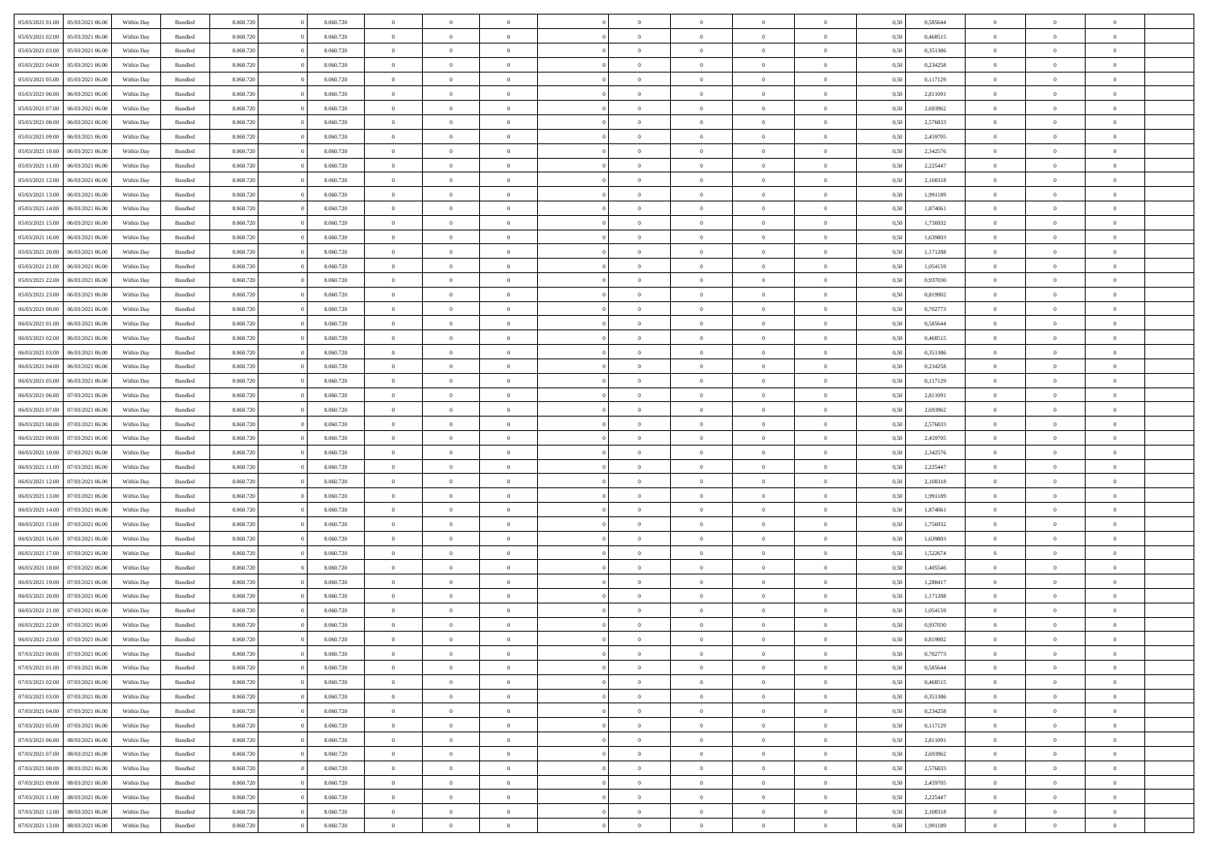| 05/03/2021 01:00 |                                      |            |                    |           |           | $\overline{0}$ | $\Omega$       |                |                | $\Omega$       | $\theta$       | $\theta$       |      |          | $\theta$       |                | $\theta$       |  |
|------------------|--------------------------------------|------------|--------------------|-----------|-----------|----------------|----------------|----------------|----------------|----------------|----------------|----------------|------|----------|----------------|----------------|----------------|--|
|                  | 05/03/2021 06:00                     | Within Day | Bundled            | 8.060.720 | 8.060.720 |                |                |                | $\Omega$       |                |                |                | 0.50 | 0,585644 |                | $\theta$       |                |  |
| 05/03/2021 02:00 | 05/03/2021 06:00                     | Within Day | Bundled            | 8.060.720 | 8.060.720 | $\overline{0}$ | $\theta$       | $\overline{0}$ | $\overline{0}$ | $\bf{0}$       | $\overline{0}$ | $\overline{0}$ | 0,50 | 0,468515 | $\theta$       | $\theta$       | $\overline{0}$ |  |
| 05/03/2021 03:00 | 05/03/2021 06:00                     | Within Day | Bundled            | 8.060.720 | 8.060.720 | $\overline{0}$ | $\overline{0}$ | $\overline{0}$ | $\bf{0}$       | $\bf{0}$       | $\bf{0}$       | $\bf{0}$       | 0,50 | 0,351386 | $\bf{0}$       | $\overline{0}$ | $\overline{0}$ |  |
|                  |                                      |            |                    |           |           |                |                |                |                |                |                |                |      |          | $\theta$       |                |                |  |
| 05/03/2021 04:00 | 05/03/2021 06:00                     | Within Dav | Bundled            | 8.060.720 | 8.060.720 | $\overline{0}$ | $\overline{0}$ | $\overline{0}$ | $\overline{0}$ | $\bf{0}$       | $\overline{0}$ | $\overline{0}$ | 0.50 | 0,234258 |                | $\theta$       | $\overline{0}$ |  |
| 05/03/2021 05:00 | 05/03/2021 06:00                     | Within Day | Bundled            | 8.060.720 | 8.060.720 | $\overline{0}$ | $\theta$       | $\overline{0}$ | $\overline{0}$ | $\bf{0}$       | $\overline{0}$ | $\bf{0}$       | 0,50 | 0,117129 | $\theta$       | $\theta$       | $\overline{0}$ |  |
| 05/03/2021 06:00 | 06/03/2021 06:00                     | Within Day | Bundled            | 8.060.720 | 8.060.720 | $\overline{0}$ | $\bf{0}$       | $\overline{0}$ | $\bf{0}$       | $\overline{0}$ | $\overline{0}$ | $\mathbf{0}$   | 0,50 | 2,811091 | $\overline{0}$ | $\overline{0}$ | $\bf{0}$       |  |
| 05/03/2021 07:00 | 06/03/2021 06:00                     | Within Dav | Bundled            | 8.060.720 | 8.060.720 | $\overline{0}$ | $\overline{0}$ | $\overline{0}$ | $\overline{0}$ | $\overline{0}$ | $\overline{0}$ | $\overline{0}$ | 0.50 | 2,693962 | $\theta$       | $\overline{0}$ | $\overline{0}$ |  |
|                  |                                      |            |                    |           |           |                |                |                |                |                |                |                |      |          |                |                |                |  |
| 05/03/2021 08:00 | 06/03/2021 06:00                     | Within Day | Bundled            | 8.060.720 | 8.060.720 | $\overline{0}$ | $\theta$       | $\overline{0}$ | $\overline{0}$ | $\bf{0}$       | $\overline{0}$ | $\bf{0}$       | 0,50 | 2,576833 | $\theta$       | $\theta$       | $\overline{0}$ |  |
| 05/03/2021 09:00 | 06/03/2021 06:00                     | Within Day | Bundled            | 8.060.720 | 8.060.720 | $\overline{0}$ | $\overline{0}$ | $\overline{0}$ | $\bf{0}$       | $\bf{0}$       | $\bf{0}$       | $\bf{0}$       | 0,50 | 2,459705 | $\,0\,$        | $\overline{0}$ | $\overline{0}$ |  |
| 05/03/2021 10:00 | 06/03/2021 06:00                     | Within Dav | Bundled            | 8.060.720 | 8.060.720 | $\overline{0}$ | $\overline{0}$ | $\overline{0}$ | $\overline{0}$ | $\overline{0}$ | $\overline{0}$ | $\overline{0}$ | 0.50 | 2,342576 | $\theta$       | $\overline{0}$ | $\overline{0}$ |  |
|                  |                                      |            |                    |           |           |                |                |                |                |                |                |                |      |          |                |                |                |  |
| 05/03/2021 11:00 | 06/03/2021 06:00                     | Within Day | Bundled            | 8.060.720 | 8.060.720 | $\overline{0}$ | $\theta$       | $\overline{0}$ | $\overline{0}$ | $\bf{0}$       | $\overline{0}$ | $\bf{0}$       | 0,50 | 2,225447 | $\,$ 0 $\,$    | $\theta$       | $\overline{0}$ |  |
| 05/03/2021 12:00 | 06/03/2021 06:00                     | Within Day | Bundled            | 8.060.720 | 8.060.720 | $\overline{0}$ | $\overline{0}$ | $\overline{0}$ | $\bf{0}$       | $\bf{0}$       | $\bf{0}$       | $\bf{0}$       | 0,50 | 2,108318 | $\overline{0}$ | $\overline{0}$ | $\overline{0}$ |  |
| 05/03/2021 13:00 | 06/03/2021 06:00                     | Within Dav | Bundled            | 8.060.720 | 8.060.720 | $\overline{0}$ | $\overline{0}$ | $\overline{0}$ | $\overline{0}$ | $\bf{0}$       | $\overline{0}$ | $\overline{0}$ | 0.50 | 1.991189 | $\theta$       | $\theta$       | $\overline{0}$ |  |
| 05/03/2021 14:00 | 06/03/2021 06:00                     | Within Day | Bundled            | 8.060.720 | 8.060.720 | $\overline{0}$ | $\theta$       | $\overline{0}$ | $\overline{0}$ | $\bf{0}$       | $\overline{0}$ | $\overline{0}$ | 0,50 | 1,874061 | $\theta$       | $\theta$       | $\overline{0}$ |  |
|                  |                                      |            |                    |           |           |                |                |                |                |                |                |                |      |          |                |                |                |  |
| 05/03/2021 15:00 | 06/03/2021 06:00                     | Within Day | Bundled            | 8.060.720 | 8.060.720 | $\overline{0}$ | $\bf{0}$       | $\overline{0}$ | $\bf{0}$       | $\overline{0}$ | $\overline{0}$ | $\mathbf{0}$   | 0,50 | 1,756932 | $\overline{0}$ | $\overline{0}$ | $\bf{0}$       |  |
| 05/03/2021 16:00 | 06/03/2021 06:00                     | Within Dav | Bundled            | 8.060.720 | 8.060.720 | $\overline{0}$ | $\overline{0}$ | $\overline{0}$ | $\overline{0}$ | $\overline{0}$ | $\overline{0}$ | $\overline{0}$ | 0.50 | 1,639803 | $\theta$       | $\overline{0}$ | $\overline{0}$ |  |
| 05/03/2021 20:00 | 06/03/2021 06:00                     | Within Day | Bundled            | 8.060.720 | 8.060.720 | $\overline{0}$ | $\theta$       | $\overline{0}$ | $\overline{0}$ | $\bf{0}$       | $\overline{0}$ | $\bf{0}$       | 0,50 | 1,171288 | $\theta$       | $\theta$       | $\overline{0}$ |  |
|                  |                                      |            |                    |           |           |                |                |                |                |                |                |                |      |          |                |                |                |  |
| 05/03/2021 21.00 | 06/03/2021 06:00                     | Within Day | Bundled            | 8.060.720 | 8.060.720 | $\overline{0}$ | $\overline{0}$ | $\overline{0}$ | $\bf{0}$       | $\bf{0}$       | $\bf{0}$       | $\bf{0}$       | 0,50 | 1,054159 | $\,0\,$        | $\overline{0}$ | $\overline{0}$ |  |
| 05/03/2021 22:00 | 06/03/2021 06:00                     | Within Day | Bundled            | 8.060.720 | 8.060.720 | $\overline{0}$ | $\overline{0}$ | $\overline{0}$ | $\overline{0}$ | $\overline{0}$ | $\overline{0}$ | $\overline{0}$ | 0.50 | 0,937030 | $\theta$       | $\overline{0}$ | $\overline{0}$ |  |
| 05/03/2021 23:00 | 06/03/2021 06:00                     | Within Day | Bundled            | 8.060.720 | 8.060.720 | $\overline{0}$ | $\theta$       | $\overline{0}$ | $\overline{0}$ | $\bf{0}$       | $\overline{0}$ | $\bf{0}$       | 0,50 | 0,819902 | $\,$ 0 $\,$    | $\theta$       | $\overline{0}$ |  |
| 06/03/2021 00:00 | 06/03/2021 06:00                     | Within Day | Bundled            | 8.060.720 | 8.060.720 | $\overline{0}$ | $\overline{0}$ | $\overline{0}$ | $\bf{0}$       | $\bf{0}$       | $\bf{0}$       | $\bf{0}$       | 0,50 | 0,702773 | $\bf{0}$       | $\overline{0}$ | $\overline{0}$ |  |
|                  |                                      |            |                    |           |           |                |                |                |                |                |                |                |      |          |                |                |                |  |
| 06/03/2021 01:00 | 06/03/2021 06:00                     | Within Day | Bundled            | 8.060.720 | 8.060.720 | $\overline{0}$ | $\overline{0}$ | $\overline{0}$ | $\overline{0}$ | $\bf{0}$       | $\overline{0}$ | $\overline{0}$ | 0.50 | 0.585644 | $\theta$       | $\theta$       | $\overline{0}$ |  |
| 06/03/2021 02:00 | 06/03/2021 06:00                     | Within Day | Bundled            | 8.060.720 | 8.060.720 | $\overline{0}$ | $\theta$       | $\overline{0}$ | $\overline{0}$ | $\bf{0}$       | $\overline{0}$ | $\bf{0}$       | 0,50 | 0,468515 | $\theta$       | $\overline{0}$ | $\overline{0}$ |  |
| 06/03/2021 03:00 | 06/03/2021 06:00                     | Within Day | Bundled            | 8.060.720 | 8.060.720 | $\overline{0}$ | $\bf{0}$       | $\overline{0}$ | $\bf{0}$       | $\overline{0}$ | $\overline{0}$ | $\mathbf{0}$   | 0,50 | 0,351386 | $\bf{0}$       | $\overline{0}$ | $\bf{0}$       |  |
| 06/03/2021 04:00 | 06/03/2021 06:00                     | Within Dav | Bundled            | 8.060.720 | 8.060.720 | $\overline{0}$ | $\overline{0}$ | $\overline{0}$ | $\overline{0}$ | $\overline{0}$ | $\overline{0}$ | $\overline{0}$ | 0.50 | 0,234258 | $\theta$       | $\theta$       | $\overline{0}$ |  |
|                  |                                      |            |                    |           |           |                |                |                |                |                |                |                |      |          |                |                |                |  |
| 06/03/2021 05:00 | 06/03/2021 06:00                     | Within Day | Bundled            | 8.060.720 | 8.060.720 | $\overline{0}$ | $\theta$       | $\overline{0}$ | $\overline{0}$ | $\bf{0}$       | $\overline{0}$ | $\bf{0}$       | 0,50 | 0,117129 | $\theta$       | $\theta$       | $\overline{0}$ |  |
| 06/03/2021 06:00 | 07/03/2021 06:00                     | Within Day | Bundled            | 8.060.720 | 8.060.720 | $\overline{0}$ | $\overline{0}$ | $\overline{0}$ | $\bf{0}$       | $\bf{0}$       | $\bf{0}$       | $\bf{0}$       | 0,50 | 2,811091 | $\,0\,$        | $\overline{0}$ | $\overline{0}$ |  |
| 06/03/2021 07:00 | 07/03/2021 06:00                     | Within Day | Bundled            | 8.060.720 | 8.060.720 | $\overline{0}$ | $\overline{0}$ | $\overline{0}$ | $\overline{0}$ | $\overline{0}$ | $\overline{0}$ | $\overline{0}$ | 0.50 | 2,693962 | $\theta$       | $\overline{0}$ | $\overline{0}$ |  |
| 06/03/2021 08:00 | 07/03/2021 06:00                     | Within Day | Bundled            | 8.060.720 | 8.060.720 | $\overline{0}$ | $\theta$       | $\overline{0}$ | $\overline{0}$ | $\bf{0}$       | $\overline{0}$ | $\bf{0}$       | 0,50 | 2,576833 | $\,$ 0 $\,$    | $\overline{0}$ | $\overline{0}$ |  |
|                  |                                      |            |                    |           |           |                |                |                |                |                |                |                |      |          |                |                |                |  |
| 06/03/2021 09:00 | 07/03/2021 06:00                     | Within Day | Bundled            | 8.060.720 | 8.060.720 | $\overline{0}$ | $\overline{0}$ | $\overline{0}$ | $\bf{0}$       | $\bf{0}$       | $\bf{0}$       | $\bf{0}$       | 0,50 | 2,459705 | $\bf{0}$       | $\overline{0}$ | $\overline{0}$ |  |
| 06/03/2021 10:00 | 07/03/2021 06:00                     | Within Day | Bundled            | 8.060.720 | 8.060.720 | $\overline{0}$ | $\Omega$       | $\Omega$       | $\Omega$       | $\Omega$       | $\Omega$       | $\overline{0}$ | 0.50 | 2,342576 | $\,0\,$        | $\theta$       | $\theta$       |  |
| 06/03/2021 11:00 | 07/03/2021 06:00                     | Within Day | Bundled            | 8.060.720 | 8.060.720 | $\overline{0}$ | $\theta$       | $\overline{0}$ | $\overline{0}$ | $\bf{0}$       | $\overline{0}$ | $\bf{0}$       | 0,50 | 2,225447 | $\theta$       | $\theta$       | $\overline{0}$ |  |
| 06/03/2021 12:00 | 07/03/2021 06:00                     | Within Day | Bundled            | 8.060.720 | 8.060.720 | $\overline{0}$ | $\overline{0}$ | $\overline{0}$ | $\bf{0}$       | $\bf{0}$       | $\overline{0}$ | $\mathbf{0}$   | 0,50 | 2,108318 | $\bf{0}$       | $\overline{0}$ | $\bf{0}$       |  |
|                  |                                      |            |                    |           |           |                |                |                |                |                |                |                |      |          |                |                |                |  |
| 06/03/2021 13:00 | 07/03/2021 06:00                     | Within Day | Bundled            | 8.060.720 | 8.060.720 | $\overline{0}$ | $\Omega$       | $\Omega$       | $\Omega$       | $\bf{0}$       | $\overline{0}$ | $\overline{0}$ | 0.50 | 1,991189 | $\,0\,$        | $\theta$       | $\theta$       |  |
| 06/03/2021 14:00 | 07/03/2021 06:00                     | Within Day | Bundled            | 8.060.720 | 8.060.720 | $\overline{0}$ | $\theta$       | $\overline{0}$ | $\overline{0}$ | $\bf{0}$       | $\overline{0}$ | $\bf{0}$       | 0,50 | 1,874061 | $\,$ 0 $\,$    | $\theta$       | $\overline{0}$ |  |
| 06/03/2021 15:00 | 07/03/2021 06:00                     | Within Day | Bundled            | 8.060.720 | 8.060.720 | $\overline{0}$ | $\overline{0}$ | $\overline{0}$ | $\bf{0}$       | $\bf{0}$       | $\bf{0}$       | $\bf{0}$       | 0,50 | 1,756932 | $\,0\,$        | $\overline{0}$ | $\overline{0}$ |  |
|                  |                                      |            |                    |           |           |                |                |                |                |                |                |                |      |          |                |                |                |  |
| 06/03/2021 16:00 | 07/03/2021 06:00                     | Within Day | Bundled            | 8.060.720 | 8.060.720 | $\overline{0}$ | $\Omega$       | $\Omega$       | $\Omega$       | $\theta$       | $\theta$       | $\overline{0}$ | 0.50 | 1,639803 | $\theta$       | $\theta$       | $\theta$       |  |
| 06/03/2021 17:00 | 07/03/2021 06:00                     | Within Day | Bundled            | 8.060.720 | 8.060.720 | $\overline{0}$ | $\theta$       | $\overline{0}$ | $\overline{0}$ | $\bf{0}$       | $\overline{0}$ | $\bf{0}$       | 0,50 | 1,522674 | $\,$ 0 $\,$    | $\overline{0}$ | $\overline{0}$ |  |
| 06/03/2021 18:00 | 07/03/2021 06:00                     | Within Day | Bundled            | 8.060.720 | 8.060.720 | $\overline{0}$ | $\overline{0}$ | $\overline{0}$ | $\bf{0}$       | $\bf{0}$       | $\bf{0}$       | $\bf{0}$       | 0,50 | 1,405546 | $\overline{0}$ | $\overline{0}$ | $\overline{0}$ |  |
| 06/03/2021 19:00 | 07/03/2021 06:00                     |            |                    | 8.060.720 | 8.060.720 | $\overline{0}$ | $\Omega$       | $\Omega$       | $\Omega$       | $\Omega$       | $\overline{0}$ | $\overline{0}$ | 0.50 | 1,288417 | $\,0\,$        | $\theta$       | $\theta$       |  |
|                  |                                      | Within Day | Bundled            |           |           |                |                |                |                |                |                |                |      |          |                |                |                |  |
| 06/03/2021 20:00 | 07/03/2021 06:00                     | Within Day | Bundled            | 8.060.720 | 8.060.720 | $\overline{0}$ | $\theta$       | $\overline{0}$ | $\overline{0}$ | $\bf{0}$       | $\overline{0}$ | $\bf{0}$       | 0,50 | 1,171288 | $\,$ 0 $\,$    | $\overline{0}$ | $\overline{0}$ |  |
| 06/03/2021 21.00 | 07/03/2021 06:00                     | Within Day | Bundled            | 8.060.720 | 8.060.720 | $\overline{0}$ | $\overline{0}$ | $\overline{0}$ | $\bf{0}$       | $\bf{0}$       | $\bf{0}$       | $\mathbf{0}$   | 0,50 | 1,054159 | $\overline{0}$ | $\overline{0}$ | $\bf{0}$       |  |
| 06/03/2021 22:00 | 07/03/2021 06:00                     | Within Day | Bundled            | 8.060.720 | 8.060.720 | $\overline{0}$ | $\Omega$       | $\Omega$       | $\Omega$       | $\Omega$       | $\Omega$       | $\overline{0}$ | 0.50 | 0.937030 | $\theta$       | $\theta$       | $\theta$       |  |
| 06/03/2021 23:00 | 07/03/2021 06:00                     | Within Day | Bundled            | 8.060.720 | 8.060.720 | $\overline{0}$ | $\overline{0}$ | $\bf{0}$       | $\bf{0}$       | $\,$ 0         | $\bf{0}$       | $\bf{0}$       | 0,50 | 0,819902 | $\,0\,$        | $\,0\,$        | $\overline{0}$ |  |
|                  |                                      |            |                    |           |           |                |                |                |                |                |                |                |      |          |                |                |                |  |
| 07/03/2021 00:00 | 07/03/2021 06:00                     | Within Day | $\mathbf B$ undled | 8.060.720 | 8.060.720 | $\bf{0}$       | $\bf{0}$       |                |                | $\bf{0}$       |                |                | 0,50 | 0,702773 | $\bf{0}$       | $\overline{0}$ |                |  |
| 07/03/2021 01:00 | 07/03/2021 06:00                     | Within Day | Bundled            | 8.060.720 | 8.060.720 | $\overline{0}$ | $\overline{0}$ | $\overline{0}$ | $\Omega$       | $\overline{0}$ | $\overline{0}$ | $\overline{0}$ | 0.50 | 0.585644 | $\theta$       | $\theta$       | $\theta$       |  |
| 07/03/2021 02:00 | 07/03/2021 06:00                     | Within Day | Bundled            | 8.060.720 | 8.060.720 | $\overline{0}$ | $\,$ 0         | $\overline{0}$ | $\bf{0}$       | $\,$ 0 $\,$    | $\overline{0}$ | $\mathbf{0}$   | 0,50 | 0,468515 | $\,$ 0 $\,$    | $\,$ 0 $\,$    | $\,$ 0         |  |
|                  |                                      |            |                    |           |           |                |                |                |                |                |                |                |      |          |                |                |                |  |
| 07/03/2021 03:00 | 07/03/2021 06:00                     | Within Day | Bundled            | 8.060.720 | 8.060.720 | $\overline{0}$ | $\overline{0}$ | $\overline{0}$ | $\overline{0}$ | $\overline{0}$ | $\overline{0}$ | $\mathbf{0}$   | 0,50 | 0,351386 | $\overline{0}$ | $\bf{0}$       | $\overline{0}$ |  |
| 07/03/2021 04:00 | 07/03/2021 06:00                     | Within Day | Bundled            | 8.060.720 | 8.060.720 | $\overline{0}$ | $\overline{0}$ | $\overline{0}$ | $\Omega$       | $\overline{0}$ | $\overline{0}$ | $\overline{0}$ | 0,50 | 0,234258 | $\overline{0}$ | $\theta$       | $\overline{0}$ |  |
| 07/03/2021 05:00 | 07/03/2021 06:00                     | Within Day | Bundled            | 8.060.720 | 8.060.720 | $\overline{0}$ | $\,$ 0         | $\overline{0}$ | $\bf{0}$       | $\,$ 0 $\,$    | $\overline{0}$ | $\mathbf{0}$   | 0,50 | 0,117129 | $\,$ 0 $\,$    | $\overline{0}$ | $\overline{0}$ |  |
| 07/03/2021 06:00 | 08/03/2021 06:00                     | Within Day | Bundled            | 8.060.720 | 8.060.720 | $\overline{0}$ | $\overline{0}$ | $\overline{0}$ | $\overline{0}$ | $\overline{0}$ | $\overline{0}$ | $\mathbf{0}$   | 0,50 | 2,811091 | $\overline{0}$ | $\overline{0}$ | $\overline{0}$ |  |
|                  |                                      |            |                    |           |           |                |                |                |                |                |                |                |      |          |                |                |                |  |
| 07/03/2021 07:00 | 08/03/2021 06:00                     | Within Day | Bundled            | 8.060.720 | 8.060.720 | $\overline{0}$ | $\overline{0}$ | $\overline{0}$ | $\overline{0}$ | $\overline{0}$ | $\overline{0}$ | $\bf{0}$       | 0.50 | 2,693962 | $\overline{0}$ | $\theta$       | $\overline{0}$ |  |
| 07/03/2021 08:00 | 08/03/2021 06:00                     | Within Day | Bundled            | 8.060.720 | 8.060.720 | $\overline{0}$ | $\,$ 0         | $\overline{0}$ | $\bf{0}$       | $\bf{0}$       | $\bf{0}$       | $\bf{0}$       | 0,50 | 2,576833 | $\,$ 0 $\,$    | $\overline{0}$ | $\overline{0}$ |  |
| 07/03/2021 09:00 | 08/03/2021 06:00                     | Within Day | Bundled            | 8.060.720 | 8.060.720 | $\overline{0}$ | $\bf{0}$       | $\overline{0}$ | $\overline{0}$ | $\overline{0}$ | $\overline{0}$ | $\mathbf{0}$   | 0,50 | 2,459705 | $\overline{0}$ | $\overline{0}$ | $\bf{0}$       |  |
|                  | 08/03/2021 06:00                     |            |                    |           |           |                | $\overline{0}$ | $\overline{0}$ | $\Omega$       | $\overline{0}$ | $\overline{0}$ |                |      |          |                | $\overline{0}$ | $\overline{0}$ |  |
| 07/03/2021 11:00 |                                      | Within Day | Bundled            | 8.060.720 | 8.060.720 | $\overline{0}$ |                |                |                |                |                | $\overline{0}$ | 0.50 | 2,225447 | $\overline{0}$ |                |                |  |
| 07/03/2021 12:00 | 08/03/2021 06:00                     | Within Day | Bundled            | 8.060.720 | 8.060.720 | $\overline{0}$ | $\bf{0}$       | $\overline{0}$ | $\bf{0}$       | $\bf{0}$       | $\bf{0}$       | $\mathbf{0}$   | 0,50 | 2,108318 | $\,$ 0 $\,$    | $\,$ 0 $\,$    | $\bf{0}$       |  |
|                  | 07/03/2021 13:00<br>08/03/2021 06:00 | Within Day | Bundled            | 8.060.720 | 8.060.720 | $\overline{0}$ | $\overline{0}$ | $\overline{0}$ | $\overline{0}$ | $\overline{0}$ | $\bf{0}$       | $\mathbf{0}$   | 0,50 | 1,991189 | $\overline{0}$ | $\bf{0}$       | $\overline{0}$ |  |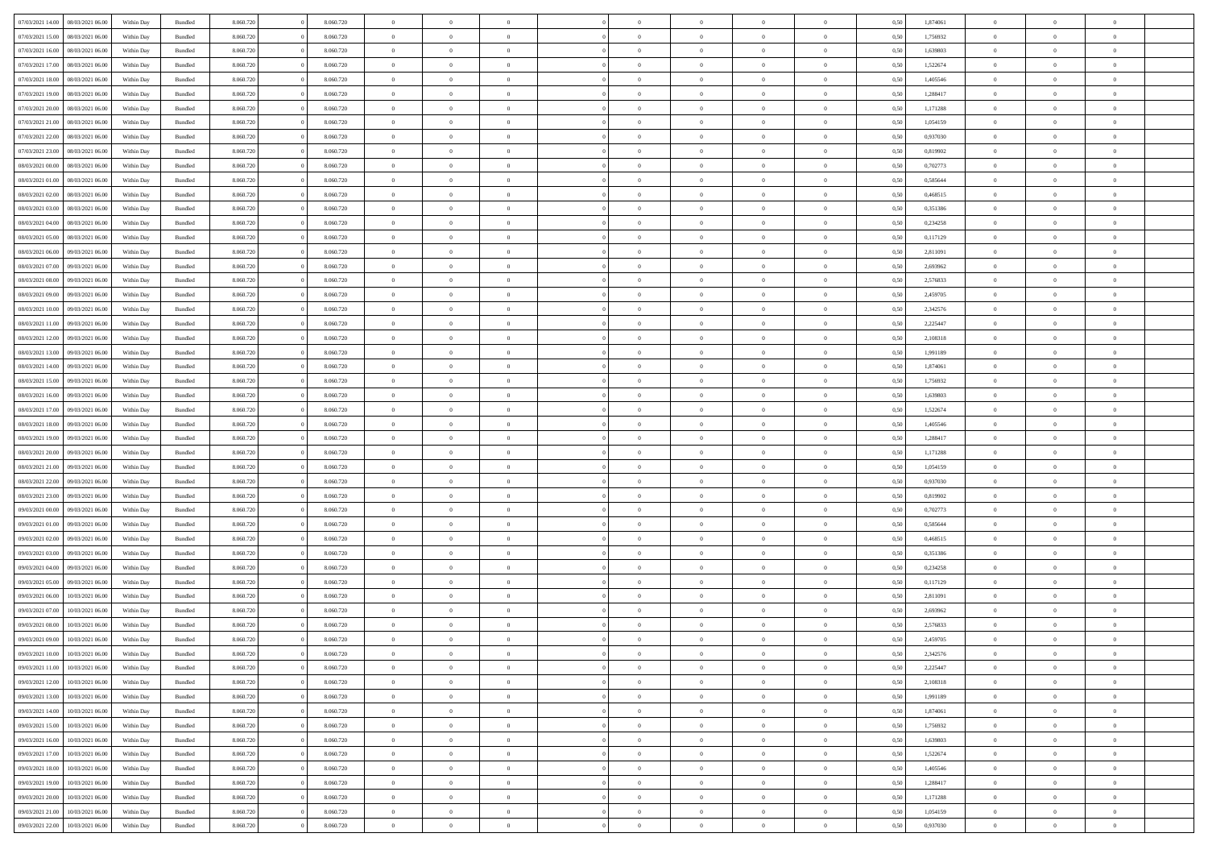| 07/03/2021 14:00<br>08/03/2021 06:00 |                  | Within Day | Bundled            | 8.060.720 | 8.060.720 | $\overline{0}$ | $\Omega$       |                | $\Omega$       | $\Omega$       | $\theta$       | $\theta$       | 0.50 | 1,874061 | $\theta$       | $\theta$       | $\overline{0}$ |  |
|--------------------------------------|------------------|------------|--------------------|-----------|-----------|----------------|----------------|----------------|----------------|----------------|----------------|----------------|------|----------|----------------|----------------|----------------|--|
| 07/03/2021 15:00                     | 08/03/2021 06:00 | Within Day | Bundled            | 8.060.720 | 8.060.720 | $\overline{0}$ | $\theta$       | $\overline{0}$ | $\overline{0}$ | $\bf{0}$       | $\overline{0}$ | $\bf{0}$       | 0,50 | 1,756932 | $\theta$       | $\overline{0}$ | $\overline{0}$ |  |
| 07/03/2021 16:00                     | 08/03/2021 06:00 | Within Day | Bundled            | 8.060.720 | 8.060.720 | $\overline{0}$ | $\bf{0}$       | $\overline{0}$ | $\bf{0}$       | $\bf{0}$       | $\bf{0}$       | $\mathbf{0}$   | 0,50 | 1,639803 | $\bf{0}$       | $\overline{0}$ | $\bf{0}$       |  |
| 07/03/2021 17:00                     | 08/03/2021 06:00 | Within Dav | Bundled            | 8.060.720 | 8.060.720 | $\overline{0}$ | $\overline{0}$ | $\overline{0}$ | $\overline{0}$ | $\bf{0}$       | $\overline{0}$ | $\overline{0}$ | 0.50 | 1,522674 | $\theta$       | $\theta$       | $\overline{0}$ |  |
|                                      |                  |            |                    |           |           |                |                |                |                |                |                |                |      |          |                |                |                |  |
| 07/03/2021 18:00                     | 08/03/2021 06:00 | Within Day | Bundled            | 8.060.720 | 8.060.720 | $\overline{0}$ | $\theta$       | $\overline{0}$ | $\overline{0}$ | $\bf{0}$       | $\overline{0}$ | $\bf{0}$       | 0,50 | 1,405546 | $\theta$       | $\overline{0}$ | $\overline{0}$ |  |
| 07/03/2021 19:00                     | 08/03/2021 06:00 | Within Day | Bundled            | 8.060.720 | 8.060.720 | $\overline{0}$ | $\overline{0}$ | $\overline{0}$ | $\bf{0}$       | $\overline{0}$ | $\overline{0}$ | $\mathbf{0}$   | 0,50 | 1,288417 | $\bf{0}$       | $\overline{0}$ | $\bf{0}$       |  |
| 07/03/2021 20:00                     | 08/03/2021 06:00 | Within Dav | Bundled            | 8.060.720 | 8.060.720 | $\overline{0}$ | $\overline{0}$ | $\overline{0}$ | $\overline{0}$ | $\overline{0}$ | $\overline{0}$ | $\overline{0}$ | 0.50 | 1,171288 | $\theta$       | $\overline{0}$ | $\overline{0}$ |  |
| 07/03/2021 21:00                     | 08/03/2021 06:00 | Within Day | Bundled            | 8.060.720 | 8.060.720 | $\overline{0}$ | $\theta$       | $\overline{0}$ | $\overline{0}$ | $\bf{0}$       | $\overline{0}$ | $\bf{0}$       | 0,50 | 1,054159 | $\theta$       | $\theta$       | $\overline{0}$ |  |
|                                      |                  |            |                    |           |           |                | $\overline{0}$ |                |                | $\bf{0}$       |                |                |      |          | $\,0\,$        | $\overline{0}$ | $\overline{0}$ |  |
| 07/03/2021 22.00                     | 08/03/2021 06:00 | Within Day | Bundled            | 8.060.720 | 8.060.720 | $\overline{0}$ |                | $\overline{0}$ | $\bf{0}$       |                | $\bf{0}$       | $\bf{0}$       | 0,50 | 0,937030 |                |                |                |  |
| 07/03/2021 23:00                     | 08/03/2021 06:00 | Within Dav | Bundled            | 8.060.720 | 8.060.720 | $\overline{0}$ | $\overline{0}$ | $\overline{0}$ | $\overline{0}$ | $\overline{0}$ | $\overline{0}$ | $\overline{0}$ | 0.50 | 0,819902 | $\theta$       | $\overline{0}$ | $\overline{0}$ |  |
| 08/03/2021 00:00                     | 08/03/2021 06:00 | Within Day | Bundled            | 8.060.720 | 8.060.720 | $\overline{0}$ | $\theta$       | $\overline{0}$ | $\overline{0}$ | $\bf{0}$       | $\overline{0}$ | $\bf{0}$       | 0,50 | 0,702773 | $\,$ 0 $\,$    | $\overline{0}$ | $\overline{0}$ |  |
| 08/03/2021 01:00                     | 08/03/2021 06:00 | Within Day | Bundled            | 8.060.720 | 8.060.720 | $\overline{0}$ | $\bf{0}$       | $\overline{0}$ | $\bf{0}$       | $\bf{0}$       | $\bf{0}$       | $\mathbf{0}$   | 0,50 | 0,585644 | $\bf{0}$       | $\overline{0}$ | $\bf{0}$       |  |
| 08/03/2021 02:00                     | 08/03/2021 06:00 | Within Dav | Bundled            | 8.060.720 | 8.060.720 | $\overline{0}$ | $\overline{0}$ | $\overline{0}$ | $\overline{0}$ | $\bf{0}$       | $\overline{0}$ | $\overline{0}$ | 0.50 | 0,468515 | $\theta$       | $\theta$       | $\overline{0}$ |  |
|                                      |                  |            |                    |           |           | $\overline{0}$ | $\theta$       |                |                | $\bf{0}$       |                |                |      |          | $\theta$       | $\overline{0}$ |                |  |
| 08/03/2021 03:00                     | 08/03/2021 06:00 | Within Day | Bundled            | 8.060.720 | 8.060.720 |                |                | $\overline{0}$ | $\overline{0}$ |                | $\overline{0}$ | $\bf{0}$       | 0,50 | 0,351386 |                |                | $\overline{0}$ |  |
| 08/03/2021 04:00                     | 08/03/2021 06:00 | Within Day | Bundled            | 8.060.720 | 8.060.720 | $\overline{0}$ | $\overline{0}$ | $\overline{0}$ | $\bf{0}$       | $\overline{0}$ | $\overline{0}$ | $\mathbf{0}$   | 0,50 | 0,234258 | $\bf{0}$       | $\overline{0}$ | $\bf{0}$       |  |
| 08/03/2021 05:00                     | 08/03/2021 06:00 | Within Dav | Bundled            | 8.060.720 | 8.060.720 | $\overline{0}$ | $\overline{0}$ | $\overline{0}$ | $\overline{0}$ | $\overline{0}$ | $\overline{0}$ | $\overline{0}$ | 0.50 | 0,117129 | $\theta$       | $\overline{0}$ | $\overline{0}$ |  |
| 08/03/2021 06:00                     | 09/03/2021 06:00 | Within Day | Bundled            | 8.060.720 | 8.060.720 | $\overline{0}$ | $\theta$       | $\overline{0}$ | $\overline{0}$ | $\bf{0}$       | $\overline{0}$ | $\bf{0}$       | 0,50 | 2,811091 | $\,$ 0 $\,$    | $\theta$       | $\overline{0}$ |  |
| 08/03/2021 07:00                     | 09/03/2021 06:00 | Within Day | Bundled            | 8.060.720 | 8.060.720 | $\overline{0}$ | $\overline{0}$ | $\overline{0}$ | $\bf{0}$       | $\bf{0}$       | $\bf{0}$       | $\bf{0}$       | 0,50 | 2,693962 | $\bf{0}$       | $\overline{0}$ | $\overline{0}$ |  |
|                                      |                  |            |                    |           |           |                |                |                |                |                |                |                |      |          |                |                |                |  |
| 08/03/2021 08:00                     | 09/03/2021 06:00 | Within Dav | Bundled            | 8.060.720 | 8.060.720 | $\overline{0}$ | $\overline{0}$ | $\overline{0}$ | $\overline{0}$ | $\overline{0}$ | $\overline{0}$ | $\overline{0}$ | 0.50 | 2,576833 | $\theta$       | $\overline{0}$ | $\overline{0}$ |  |
| 08/03/2021 09:00                     | 09/03/2021 06:00 | Within Day | Bundled            | 8.060.720 | 8.060.720 | $\overline{0}$ | $\theta$       | $\overline{0}$ | $\overline{0}$ | $\bf{0}$       | $\overline{0}$ | $\bf{0}$       | 0,50 | 2,459705 | $\,$ 0 $\,$    | $\overline{0}$ | $\overline{0}$ |  |
| 08/03/2021 10:00                     | 09/03/2021 06:00 | Within Day | Bundled            | 8.060.720 | 8.060.720 | $\overline{0}$ | $\overline{0}$ | $\overline{0}$ | $\bf{0}$       | $\bf{0}$       | $\bf{0}$       | $\bf{0}$       | 0,50 | 2,342576 | $\bf{0}$       | $\overline{0}$ | $\bf{0}$       |  |
| 08/03/2021 11:00                     | 09/03/2021 06:00 | Within Day | Bundled            | 8.060.720 | 8.060.720 | $\overline{0}$ | $\overline{0}$ | $\overline{0}$ | $\overline{0}$ | $\overline{0}$ | $\overline{0}$ | $\overline{0}$ | 0.50 | 2.225447 | $\theta$       | $\overline{0}$ | $\overline{0}$ |  |
| 08/03/2021 12:00                     | 09/03/2021 06:00 | Within Day | Bundled            | 8.060.720 | 8.060.720 | $\overline{0}$ | $\theta$       | $\overline{0}$ | $\overline{0}$ | $\bf{0}$       | $\overline{0}$ | $\bf{0}$       | 0,50 | 2,108318 | $\,$ 0 $\,$    | $\overline{0}$ | $\overline{0}$ |  |
|                                      |                  |            |                    |           |           |                |                |                |                |                |                |                |      |          |                |                |                |  |
| 08/03/2021 13:00                     | 09/03/2021 06:00 | Within Day | Bundled            | 8.060.720 | 8.060.720 | $\overline{0}$ | $\overline{0}$ | $\overline{0}$ | $\bf{0}$       | $\overline{0}$ | $\overline{0}$ | $\mathbf{0}$   | 0,50 | 1,991189 | $\bf{0}$       | $\overline{0}$ | $\bf{0}$       |  |
| 08/03/2021 14:00                     | 09/03/2021 06:00 | Within Dav | Bundled            | 8.060.720 | 8.060.720 | $\overline{0}$ | $\overline{0}$ | $\overline{0}$ | $\overline{0}$ | $\overline{0}$ | $\overline{0}$ | $\overline{0}$ | 0.50 | 1,874061 | $\overline{0}$ | $\overline{0}$ | $\overline{0}$ |  |
| 08/03/2021 15:00                     | 09/03/2021 06:00 | Within Day | Bundled            | 8.060.720 | 8.060.720 | $\overline{0}$ | $\theta$       | $\overline{0}$ | $\overline{0}$ | $\bf{0}$       | $\overline{0}$ | $\bf{0}$       | 0,50 | 1,756932 | $\theta$       | $\theta$       | $\overline{0}$ |  |
| 08/03/2021 16:00                     | 09/03/2021 06:00 | Within Day | Bundled            | 8.060.720 | 8.060.720 | $\overline{0}$ | $\overline{0}$ | $\overline{0}$ | $\bf{0}$       | $\bf{0}$       | $\bf{0}$       | $\bf{0}$       | 0,50 | 1,639803 | $\,0\,$        | $\overline{0}$ | $\overline{0}$ |  |
| 08/03/2021 17:00                     | 09/03/2021 06:00 | Within Day | Bundled            | 8.060.720 | 8.060.720 | $\overline{0}$ | $\overline{0}$ | $\overline{0}$ | $\overline{0}$ | $\overline{0}$ | $\overline{0}$ | $\overline{0}$ | 0.50 | 1,522674 | $\theta$       | $\overline{0}$ | $\overline{0}$ |  |
|                                      |                  |            |                    |           |           |                |                |                |                |                |                |                |      |          |                |                |                |  |
| 08/03/2021 18:00                     | 09/03/2021 06:00 | Within Day | Bundled            | 8.060.720 | 8.060.720 | $\overline{0}$ | $\theta$       | $\overline{0}$ | $\overline{0}$ | $\bf{0}$       | $\overline{0}$ | $\bf{0}$       | 0,50 | 1,405546 | $\,$ 0 $\,$    | $\overline{0}$ | $\overline{0}$ |  |
| 08/03/2021 19:00                     | 09/03/2021 06:00 | Within Day | Bundled            | 8.060.720 | 8.060.720 | $\overline{0}$ | $\bf{0}$       | $\overline{0}$ | $\bf{0}$       | $\bf{0}$       | $\bf{0}$       | $\bf{0}$       | 0,50 | 1,288417 | $\bf{0}$       | $\overline{0}$ | $\bf{0}$       |  |
| 08/03/2021 20:00                     | 09/03/2021 06:00 | Within Day | Bundled            | 8.060.720 | 8.060.720 | $\overline{0}$ | $\Omega$       | $\Omega$       | $\Omega$       | $\Omega$       | $\overline{0}$ | $\overline{0}$ | 0,50 | 1,171288 | $\,0\,$        | $\theta$       | $\theta$       |  |
| 08/03/2021 21:00                     | 09/03/2021 06:00 | Within Day | Bundled            | 8.060.720 | 8.060.720 | $\overline{0}$ | $\theta$       | $\overline{0}$ | $\overline{0}$ | $\bf{0}$       | $\overline{0}$ | $\bf{0}$       | 0,50 | 1,054159 | $\,$ 0 $\,$    | $\overline{0}$ | $\overline{0}$ |  |
| 08/03/2021 22.00                     | 09/03/2021 06:00 | Within Day | Bundled            | 8.060.720 | 8.060.720 | $\overline{0}$ | $\overline{0}$ | $\overline{0}$ | $\bf{0}$       | $\overline{0}$ | $\overline{0}$ | $\mathbf{0}$   | 0,50 | 0,937030 | $\overline{0}$ | $\overline{0}$ | $\bf{0}$       |  |
|                                      |                  |            |                    |           |           |                |                |                |                |                |                |                |      |          |                |                |                |  |
| 08/03/2021 23:00<br>09/03/2021 06:00 |                  | Within Day | Bundled            | 8.060.720 | 8.060.720 | $\overline{0}$ | $\Omega$       | $\Omega$       | $\Omega$       | $\overline{0}$ | $\overline{0}$ | $\overline{0}$ | 0.50 | 0,819902 | $\,0\,$        | $\theta$       | $\theta$       |  |
| 09/03/2021 00:00                     | 09/03/2021 06:00 | Within Day | Bundled            | 8.060.720 | 8.060.720 | $\overline{0}$ | $\theta$       | $\overline{0}$ | $\overline{0}$ | $\bf{0}$       | $\overline{0}$ | $\bf{0}$       | 0,50 | 0,702773 | $\,$ 0 $\,$    | $\overline{0}$ | $\overline{0}$ |  |
| 09/03/2021 01:00                     | 09/03/2021 06:00 | Within Day | Bundled            | 8.060.720 | 8.060.720 | $\overline{0}$ | $\overline{0}$ | $\overline{0}$ | $\overline{0}$ | $\bf{0}$       | $\overline{0}$ | $\bf{0}$       | 0,50 | 0,585644 | $\,0\,$        | $\overline{0}$ | $\bf{0}$       |  |
| 09/03/2021 02:00<br>09/03/2021 06:00 |                  | Within Day | Bundled            | 8.060.720 | 8.060.720 | $\overline{0}$ | $\Omega$       | $\Omega$       | $\Omega$       | $\overline{0}$ | $\overline{0}$ | $\overline{0}$ | 0.50 | 0.468515 | $\theta$       | $\theta$       | $\theta$       |  |
| 09/03/2021 03:00                     | 09/03/2021 06:00 | Within Day | Bundled            | 8.060.720 | 8.060.720 | $\overline{0}$ | $\overline{0}$ | $\overline{0}$ | $\overline{0}$ | $\bf{0}$       | $\overline{0}$ | $\bf{0}$       | 0,50 | 0,351386 | $\,$ 0 $\,$    | $\overline{0}$ | $\overline{0}$ |  |
|                                      |                  |            |                    |           |           |                |                |                |                |                |                |                |      |          |                |                |                |  |
| 09/03/2021 04:00                     | 09/03/2021 06:00 | Within Day | Bundled            | 8.060.720 | 8.060.720 | $\overline{0}$ | $\overline{0}$ | $\overline{0}$ | $\overline{0}$ | $\bf{0}$       | $\overline{0}$ | $\mathbf{0}$   | 0,50 | 0,234258 | $\overline{0}$ | $\overline{0}$ | $\bf{0}$       |  |
| 09/03/2021 05:00                     | 09/03/2021 06:00 | Within Day | Bundled            | 8.060.720 | 8.060.720 | $\overline{0}$ | $\Omega$       | $\overline{0}$ | $\Omega$       | $\overline{0}$ | $\overline{0}$ | $\overline{0}$ | 0,50 | 0,117129 | $\,0\,$        | $\theta$       | $\theta$       |  |
| 09/03/2021 06:00                     | 10/03/2021 06:00 | Within Day | Bundled            | 8.060.720 | 8.060.720 | $\overline{0}$ | $\overline{0}$ | $\overline{0}$ | $\overline{0}$ | $\bf{0}$       | $\overline{0}$ | $\bf{0}$       | 0,50 | 2,811091 | $\,$ 0 $\,$    | $\overline{0}$ | $\overline{0}$ |  |
| 09/03/2021 07:00                     | 10/03/2021 06:00 | Within Day | Bundled            | 8.060.720 | 8.060.720 | $\overline{0}$ | $\overline{0}$ | $\overline{0}$ | $\overline{0}$ | $\bf{0}$       | $\overline{0}$ | $\mathbf{0}$   | 0,50 | 2,693962 | $\overline{0}$ | $\overline{0}$ | $\bf{0}$       |  |
| 09/03/2021 08:00<br>10/03/2021 06:00 |                  | Within Day | Bundled            | 8.060.720 | 8.060.720 | $\overline{0}$ | $\Omega$       | $\Omega$       | $\Omega$       | $\Omega$       | $\Omega$       | $\overline{0}$ | 0.50 | 2,576833 | $\theta$       | $\theta$       | $\theta$       |  |
| 09/03/2021 09:00                     | 10/03/2021 06:00 | Within Day | Bundled            | 8.060.720 | 8.060.720 | $\overline{0}$ | $\bf{0}$       | $\bf{0}$       | $\overline{0}$ | $\,$ 0         | $\overline{0}$ | $\bf{0}$       | 0,50 | 2,459705 | $\,0\,$        | $\,$ 0 $\,$    | $\overline{0}$ |  |
|                                      |                  |            |                    |           |           |                |                |                |                |                |                |                |      |          |                |                |                |  |
| 09/03/2021 10:00                     | 10/03/2021 06:00 | Within Day | $\mathbf B$ undled | 8.060.720 | 8.060.720 | $\bf{0}$       | $\bf{0}$       |                |                | $\bf{0}$       |                |                | 0,50 | 2,342576 | $\bf{0}$       | $\overline{0}$ |                |  |
| 09/03/2021 11:00<br>10/03/2021 06:00 |                  | Within Day | Bundled            | 8.060.720 | 8.060.720 | $\overline{0}$ | $\overline{0}$ | $\overline{0}$ | $\Omega$       | $\overline{0}$ | $\overline{0}$ | $\overline{0}$ | 0.50 | 2,225447 | $\theta$       | $\theta$       | $\theta$       |  |
| 09/03/2021 12:00                     | 10/03/2021 06:00 | Within Day | Bundled            | 8.060.720 | 8.060.720 | $\overline{0}$ | $\,$ 0         | $\overline{0}$ | $\overline{0}$ | $\,$ 0 $\,$    | $\overline{0}$ | $\mathbf{0}$   | 0,50 | 2,108318 | $\,$ 0 $\,$    | $\,$ 0 $\,$    | $\,$ 0         |  |
| 09/03/2021 13:00                     | 10/03/2021 06:00 | Within Day | Bundled            | 8.060.720 | 8.060.720 | $\overline{0}$ | $\overline{0}$ | $\overline{0}$ | $\overline{0}$ | $\overline{0}$ | $\overline{0}$ | $\mathbf{0}$   | 0,50 | 1,991189 | $\overline{0}$ | $\bf{0}$       | $\bf{0}$       |  |
|                                      |                  |            |                    |           |           |                |                |                |                |                |                |                |      |          |                |                |                |  |
| 09/03/2021 14:00                     | 10/03/2021 06:00 | Within Day | Bundled            | 8.060.720 | 8.060.720 | $\overline{0}$ | $\overline{0}$ | $\overline{0}$ | $\Omega$       | $\overline{0}$ | $\overline{0}$ | $\overline{0}$ | 0,50 | 1,874061 | $\overline{0}$ | $\theta$       | $\overline{0}$ |  |
| 09/03/2021 15:00                     | 10/03/2021 06:00 | Within Day | Bundled            | 8.060.720 | 8.060.720 | $\overline{0}$ | $\,$ 0         | $\overline{0}$ | $\overline{0}$ | $\,$ 0 $\,$    | $\overline{0}$ | $\mathbf{0}$   | 0,50 | 1,756932 | $\,$ 0 $\,$    | $\overline{0}$ | $\overline{0}$ |  |
| 09/03/2021 16:00                     | 10/03/2021 06:00 | Within Day | Bundled            | 8.060.720 | 8.060.720 | $\overline{0}$ | $\overline{0}$ | $\overline{0}$ | $\overline{0}$ | $\overline{0}$ | $\overline{0}$ | $\mathbf{0}$   | 0,50 | 1,639803 | $\overline{0}$ | $\overline{0}$ | $\bf{0}$       |  |
| 09/03/2021 17:00                     | 10/03/2021 06:00 | Within Day | Bundled            | 8.060.720 | 8.060.720 | $\overline{0}$ | $\overline{0}$ | $\overline{0}$ | $\overline{0}$ | $\overline{0}$ | $\overline{0}$ | $\bf{0}$       | 0.50 | 1,522674 | $\overline{0}$ | $\theta$       | $\overline{0}$ |  |
| 09/03/2021 18:00                     | 10/03/2021 06:00 | Within Day | Bundled            | 8.060.720 | 8.060.720 | $\overline{0}$ | $\,$ 0         | $\overline{0}$ | $\bf{0}$       | $\bf{0}$       | $\bf{0}$       | $\bf{0}$       | 0,50 | 1,405546 | $\,$ 0 $\,$    | $\overline{0}$ | $\overline{0}$ |  |
|                                      |                  |            |                    |           |           |                |                |                |                |                |                |                |      |          |                |                |                |  |
| 09/03/2021 19:00                     | 10/03/2021 06:00 | Within Day | Bundled            | 8.060.720 | 8.060.720 | $\overline{0}$ | $\bf{0}$       | $\overline{0}$ | $\overline{0}$ | $\overline{0}$ | $\overline{0}$ | $\mathbf{0}$   | 0,50 | 1,288417 | $\overline{0}$ | $\overline{0}$ | $\bf{0}$       |  |
| 09/03/2021 20:00                     | 10/03/2021 06:00 | Within Day | Bundled            | 8.060.720 | 8.060.720 | $\overline{0}$ | $\overline{0}$ | $\overline{0}$ | $\Omega$       | $\overline{0}$ | $\overline{0}$ | $\overline{0}$ | 0.50 | 1,171288 | $\overline{0}$ | $\overline{0}$ | $\overline{0}$ |  |
| 09/03/2021 21:00                     | 10/03/2021 06:00 | Within Day | Bundled            | 8.060.720 | 8.060.720 | $\overline{0}$ | $\bf{0}$       | $\overline{0}$ | $\overline{0}$ | $\bf{0}$       | $\bf{0}$       | $\bf{0}$       | 0,50 | 1,054159 | $\,$ 0 $\,$    | $\,$ 0 $\,$    | $\bf{0}$       |  |
| 09/03/2021 22.00                     | 10/03/2021 06:00 | Within Day | Bundled            | 8.060.720 | 8.060.720 | $\overline{0}$ | $\bf{0}$       | $\overline{0}$ | $\bf{0}$       | $\bf{0}$       | $\bf{0}$       | $\bf{0}$       | 0,50 | 0,937030 | $\overline{0}$ | $\overline{0}$ | $\bf{0}$       |  |
|                                      |                  |            |                    |           |           |                |                |                |                |                |                |                |      |          |                |                |                |  |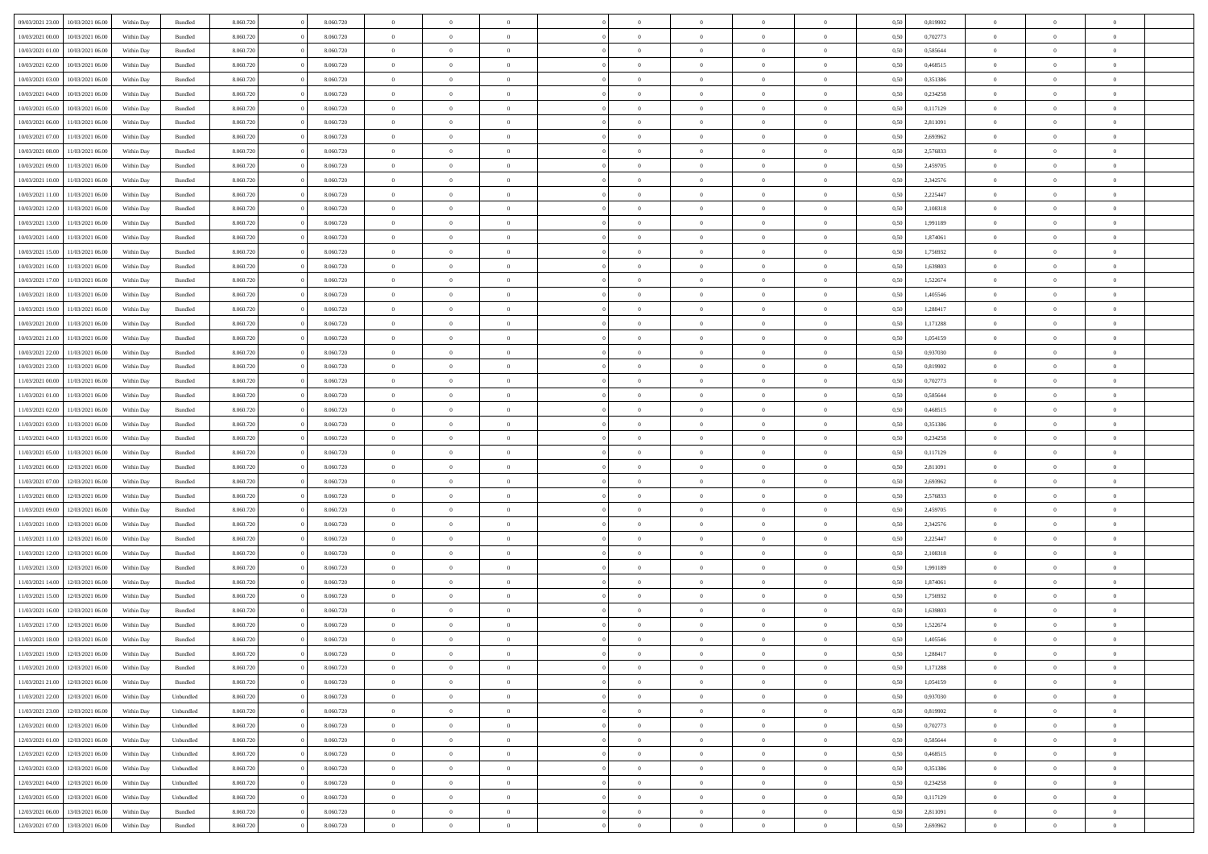|                                   |                  |            |                    |           |           |                | $\Omega$       |                |                | $\Omega$       | $\theta$       | $\theta$       |      |          | $\theta$       |                |                |  |
|-----------------------------------|------------------|------------|--------------------|-----------|-----------|----------------|----------------|----------------|----------------|----------------|----------------|----------------|------|----------|----------------|----------------|----------------|--|
| 09/03/2021 23:00                  | 10/03/2021 06:00 | Within Day | Bundled            | 8.060.720 | 8.060.720 | $\overline{0}$ |                |                | $\Omega$       |                |                |                | 0,50 | 0,819902 |                | $\theta$       | $\overline{0}$ |  |
| 10/03/2021 00:00                  | 10/03/2021 06:00 | Within Day | Bundled            | 8.060.720 | 8.060.720 | $\overline{0}$ | $\theta$       | $\overline{0}$ | $\overline{0}$ | $\bf{0}$       | $\overline{0}$ | $\bf{0}$       | 0,50 | 0,702773 | $\theta$       | $\overline{0}$ | $\overline{0}$ |  |
| 10/03/2021 01:00                  | 10/03/2021 06:00 | Within Day | Bundled            | 8.060.720 | 8.060.720 | $\overline{0}$ | $\bf{0}$       | $\overline{0}$ | $\bf{0}$       | $\bf{0}$       | $\bf{0}$       | $\mathbf{0}$   | 0,50 | 0,585644 | $\overline{0}$ | $\overline{0}$ | $\bf{0}$       |  |
| 10/03/2021 02:00                  | 10/03/2021 06:00 | Within Dav | Bundled            | 8.060.720 | 8.060.720 | $\overline{0}$ | $\overline{0}$ | $\overline{0}$ | $\overline{0}$ | $\bf{0}$       | $\overline{0}$ | $\overline{0}$ | 0.50 | 0.468515 | $\theta$       | $\theta$       | $\overline{0}$ |  |
|                                   |                  |            |                    |           |           |                |                |                |                |                |                |                |      |          |                |                |                |  |
| 10/03/2021 03:00                  | 10/03/2021 06:00 | Within Day | Bundled            | 8.060.720 | 8.060.720 | $\overline{0}$ | $\theta$       | $\overline{0}$ | $\overline{0}$ | $\bf{0}$       | $\overline{0}$ | $\bf{0}$       | 0,50 | 0,351386 | $\theta$       | $\overline{0}$ | $\overline{0}$ |  |
| 10/03/2021 04:00                  | 10/03/2021 06:00 | Within Day | Bundled            | 8.060.720 | 8.060.720 | $\overline{0}$ | $\overline{0}$ | $\overline{0}$ | $\bf{0}$       | $\overline{0}$ | $\overline{0}$ | $\mathbf{0}$   | 0,50 | 0,234258 | $\overline{0}$ | $\overline{0}$ | $\bf{0}$       |  |
| 10/03/2021 05:00                  | 10/03/2021 06:00 | Within Dav | Bundled            | 8.060.720 | 8.060.720 | $\overline{0}$ | $\overline{0}$ | $\overline{0}$ | $\overline{0}$ | $\overline{0}$ | $\overline{0}$ | $\overline{0}$ | 0.50 | 0,117129 | $\theta$       | $\overline{0}$ | $\overline{0}$ |  |
| 10/03/2021 06:00                  | 11/03/2021 06:00 | Within Day | Bundled            | 8.060.720 | 8.060.720 | $\overline{0}$ | $\theta$       | $\overline{0}$ | $\overline{0}$ | $\bf{0}$       | $\overline{0}$ | $\bf{0}$       | 0,50 | 2,811091 | $\theta$       | $\theta$       | $\overline{0}$ |  |
|                                   |                  |            |                    |           |           |                | $\overline{0}$ |                |                | $\bf{0}$       |                |                |      |          | $\,0\,$        | $\overline{0}$ | $\overline{0}$ |  |
| 10/03/2021 07:00                  | 11/03/2021 06:00 | Within Day | Bundled            | 8.060.720 | 8.060.720 | $\overline{0}$ |                | $\overline{0}$ | $\bf{0}$       |                | $\bf{0}$       | $\bf{0}$       | 0,50 | 2,693962 |                |                |                |  |
| 10/03/2021 08:00                  | 11/03/2021 06:00 | Within Dav | Bundled            | 8.060.720 | 8.060.720 | $\overline{0}$ | $\overline{0}$ | $\overline{0}$ | $\overline{0}$ | $\overline{0}$ | $\overline{0}$ | $\overline{0}$ | 0.50 | 2,576833 | $\theta$       | $\overline{0}$ | $\overline{0}$ |  |
| 10/03/2021 09:00                  | 11/03/2021 06:00 | Within Day | Bundled            | 8.060.720 | 8.060.720 | $\overline{0}$ | $\theta$       | $\overline{0}$ | $\overline{0}$ | $\bf{0}$       | $\overline{0}$ | $\bf{0}$       | 0,50 | 2,459705 | $\,$ 0 $\,$    | $\overline{0}$ | $\overline{0}$ |  |
| 10/03/2021 10:00                  | 11/03/2021 06:00 | Within Day | Bundled            | 8.060.720 | 8.060.720 | $\overline{0}$ | $\bf{0}$       | $\overline{0}$ | $\bf{0}$       | $\bf{0}$       | $\bf{0}$       | $\mathbf{0}$   | 0,50 | 2,342576 | $\overline{0}$ | $\overline{0}$ | $\bf{0}$       |  |
| 10/03/2021 11:00                  | 11/03/2021 06:00 | Within Dav | Bundled            | 8.060.720 | 8.060.720 | $\overline{0}$ | $\overline{0}$ | $\overline{0}$ | $\overline{0}$ | $\bf{0}$       | $\overline{0}$ | $\overline{0}$ | 0.50 | 2.225447 | $\theta$       | $\theta$       | $\overline{0}$ |  |
|                                   |                  |            |                    |           |           | $\overline{0}$ | $\theta$       | $\overline{0}$ | $\overline{0}$ | $\bf{0}$       | $\overline{0}$ |                |      |          | $\theta$       | $\overline{0}$ | $\overline{0}$ |  |
| 10/03/2021 12:00                  | 11/03/2021 06:00 | Within Day | Bundled            | 8.060.720 | 8.060.720 |                |                |                |                |                |                | $\bf{0}$       | 0,50 | 2,108318 |                |                |                |  |
| 10/03/2021 13:00                  | 11/03/2021 06:00 | Within Day | Bundled            | 8.060.720 | 8.060.720 | $\overline{0}$ | $\overline{0}$ | $\overline{0}$ | $\overline{0}$ | $\overline{0}$ | $\overline{0}$ | $\mathbf{0}$   | 0,50 | 1,991189 | $\bf{0}$       | $\overline{0}$ | $\bf{0}$       |  |
| 10/03/2021 14:00                  | 11/03/2021 06:00 | Within Dav | Bundled            | 8.060.720 | 8.060.720 | $\overline{0}$ | $\overline{0}$ | $\overline{0}$ | $\overline{0}$ | $\overline{0}$ | $\overline{0}$ | $\overline{0}$ | 0.50 | 1,874061 | $\theta$       | $\overline{0}$ | $\overline{0}$ |  |
| 10/03/2021 15:00                  | 11/03/2021 06:00 | Within Day | Bundled            | 8.060.720 | 8.060.720 | $\overline{0}$ | $\theta$       | $\overline{0}$ | $\overline{0}$ | $\bf{0}$       | $\overline{0}$ | $\bf{0}$       | 0,50 | 1,756932 | $\theta$       | $\theta$       | $\overline{0}$ |  |
| 10/03/2021 16:00                  | 11/03/2021 06:00 | Within Day | Bundled            | 8.060.720 | 8.060.720 | $\overline{0}$ | $\overline{0}$ | $\overline{0}$ | $\overline{0}$ | $\bf{0}$       | $\overline{0}$ | $\mathbf{0}$   | 0,50 | 1,639803 | $\bf{0}$       | $\overline{0}$ | $\bf{0}$       |  |
|                                   |                  |            |                    |           |           |                |                |                |                |                |                |                |      |          |                |                |                |  |
| 10/03/2021 17:00                  | 11/03/2021 06:00 | Within Dav | Bundled            | 8.060.720 | 8.060.720 | $\overline{0}$ | $\overline{0}$ | $\overline{0}$ | $\overline{0}$ | $\overline{0}$ | $\overline{0}$ | $\overline{0}$ | 0.50 | 1,522674 | $\theta$       | $\overline{0}$ | $\overline{0}$ |  |
| 10/03/2021 18:00                  | 11/03/2021 06:00 | Within Day | Bundled            | 8.060.720 | 8.060.720 | $\overline{0}$ | $\theta$       | $\overline{0}$ | $\overline{0}$ | $\bf{0}$       | $\overline{0}$ | $\bf{0}$       | 0,50 | 1,405546 | $\,$ 0 $\,$    | $\overline{0}$ | $\overline{0}$ |  |
| 10/03/2021 19:00                  | 11/03/2021 06:00 | Within Day | Bundled            | 8.060.720 | 8.060.720 | $\overline{0}$ | $\overline{0}$ | $\overline{0}$ | $\overline{0}$ | $\bf{0}$       | $\overline{0}$ | $\bf{0}$       | 0,50 | 1,288417 | $\bf{0}$       | $\overline{0}$ | $\bf{0}$       |  |
| 10/03/2021 20:00                  | 11/03/2021 06:00 | Within Day | Bundled            | 8.060.720 | 8.060.720 | $\overline{0}$ | $\overline{0}$ | $\overline{0}$ | $\overline{0}$ | $\overline{0}$ | $\overline{0}$ | $\overline{0}$ | 0.50 | 1,171288 | $\theta$       | $\overline{0}$ | $\overline{0}$ |  |
| 10/03/2021 21:00                  | 11/03/2021 06:00 | Within Day | Bundled            | 8.060.720 | 8.060.720 | $\overline{0}$ | $\theta$       | $\overline{0}$ | $\overline{0}$ | $\bf{0}$       | $\overline{0}$ | $\bf{0}$       | 0,50 | 1,054159 | $\,$ 0 $\,$    | $\overline{0}$ | $\overline{0}$ |  |
|                                   |                  |            |                    |           |           |                |                |                |                |                |                |                |      |          |                |                |                |  |
| 10/03/2021 22:00                  | 11/03/2021 06:00 | Within Day | Bundled            | 8.060.720 | 8.060.720 | $\overline{0}$ | $\overline{0}$ | $\overline{0}$ | $\overline{0}$ | $\overline{0}$ | $\overline{0}$ | $\mathbf{0}$   | 0,50 | 0,937030 | $\bf{0}$       | $\overline{0}$ | $\bf{0}$       |  |
| 10/03/2021 23:00                  | 11/03/2021 06:00 | Within Dav | Bundled            | 8.060.720 | 8.060.720 | $\overline{0}$ | $\overline{0}$ | $\overline{0}$ | $\overline{0}$ | $\overline{0}$ | $\overline{0}$ | $\overline{0}$ | 0.50 | 0,819902 | $\theta$       | $\overline{0}$ | $\overline{0}$ |  |
| 11/03/2021 00:00                  | 11/03/2021 06:00 | Within Day | Bundled            | 8.060.720 | 8.060.720 | $\overline{0}$ | $\theta$       | $\overline{0}$ | $\overline{0}$ | $\bf{0}$       | $\overline{0}$ | $\bf{0}$       | 0,50 | 0,702773 | $\theta$       | $\theta$       | $\overline{0}$ |  |
| 11/03/2021 01:00                  | 11/03/2021 06:00 | Within Day | Bundled            | 8.060.720 | 8.060.720 | $\overline{0}$ | $\overline{0}$ | $\overline{0}$ | $\overline{0}$ | $\bf{0}$       | $\overline{0}$ | $\bf{0}$       | 0,50 | 0,585644 | $\,0\,$        | $\overline{0}$ | $\overline{0}$ |  |
| 11/03/2021 02:00                  | 11/03/2021 06:00 |            | Bundled            | 8.060.720 | 8.060.720 | $\overline{0}$ | $\overline{0}$ | $\overline{0}$ | $\overline{0}$ | $\overline{0}$ | $\overline{0}$ | $\overline{0}$ | 0.50 | 0,468515 | $\theta$       | $\overline{0}$ | $\overline{0}$ |  |
|                                   |                  | Within Day |                    |           |           |                |                |                |                |                |                |                |      |          |                |                |                |  |
| 11/03/2021 03:00                  | 11/03/2021 06:00 | Within Day | Bundled            | 8.060.720 | 8.060.720 | $\overline{0}$ | $\theta$       | $\overline{0}$ | $\overline{0}$ | $\bf{0}$       | $\overline{0}$ | $\bf{0}$       | 0,50 | 0,351386 | $\,$ 0 $\,$    | $\overline{0}$ | $\overline{0}$ |  |
| 11/03/2021 04:00                  | 11/03/2021 06:00 | Within Day | Bundled            | 8.060.720 | 8.060.720 | $\overline{0}$ | $\bf{0}$       | $\overline{0}$ | $\overline{0}$ | $\bf{0}$       | $\overline{0}$ | $\bf{0}$       | 0,50 | 0,234258 | $\bf{0}$       | $\overline{0}$ | $\bf{0}$       |  |
| 11/03/2021 05:00                  | 11/03/2021 06.00 | Within Day | Bundled            | 8.060.720 | 8.060.720 | $\overline{0}$ | $\Omega$       | $\Omega$       | $\Omega$       | $\Omega$       | $\overline{0}$ | $\overline{0}$ | 0,50 | 0,117129 | $\,0\,$        | $\theta$       | $\theta$       |  |
| 11/03/2021 06:00                  | 12/03/2021 06:00 | Within Day | Bundled            | 8.060.720 | 8.060.720 | $\overline{0}$ | $\theta$       | $\overline{0}$ | $\overline{0}$ | $\bf{0}$       | $\overline{0}$ | $\bf{0}$       | 0,50 | 2,811091 | $\,$ 0 $\,$    | $\overline{0}$ | $\overline{0}$ |  |
|                                   |                  |            |                    |           |           |                |                |                |                |                |                |                |      |          |                |                |                |  |
| 11/03/2021 07:00                  | 12/03/2021 06:00 | Within Day | Bundled            | 8.060.720 | 8.060.720 | $\overline{0}$ | $\overline{0}$ | $\overline{0}$ | $\bf{0}$       | $\overline{0}$ | $\overline{0}$ | $\mathbf{0}$   | 0,50 | 2,693962 | $\overline{0}$ | $\overline{0}$ | $\bf{0}$       |  |
| 11/03/2021 08:00                  | 12/03/2021 06:00 | Within Day | Bundled            | 8.060.720 | 8.060.720 | $\overline{0}$ | $\Omega$       | $\Omega$       | $\Omega$       | $\overline{0}$ | $\overline{0}$ | $\overline{0}$ | 0.50 | 2,576833 | $\,0\,$        | $\theta$       | $\theta$       |  |
| 11/03/2021 09:00                  | 12/03/2021 06:00 | Within Day | Bundled            | 8.060.720 | 8.060.720 | $\overline{0}$ | $\theta$       | $\overline{0}$ | $\overline{0}$ | $\bf{0}$       | $\overline{0}$ | $\bf{0}$       | 0,50 | 2,459705 | $\,$ 0 $\,$    | $\overline{0}$ | $\overline{0}$ |  |
| 11/03/2021 10:00                  | 12/03/2021 06:00 | Within Day | Bundled            | 8.060.720 | 8.060.720 | $\overline{0}$ | $\overline{0}$ | $\overline{0}$ | $\bf{0}$       | $\bf{0}$       | $\bf{0}$       | $\bf{0}$       | 0,50 | 2,342576 | $\bf{0}$       | $\overline{0}$ | $\bf{0}$       |  |
| 11/03/2021 11:00                  | 12/03/2021 06:00 | Within Day | Bundled            | 8.060.720 | 8.060.720 | $\overline{0}$ | $\Omega$       | $\Omega$       | $\Omega$       | $\overline{0}$ | $\overline{0}$ | $\overline{0}$ | 0.50 | 2,225447 | $\,$ 0 $\,$    | $\theta$       | $\theta$       |  |
|                                   |                  |            |                    |           |           |                |                |                |                |                |                |                |      |          |                |                |                |  |
| 11/03/2021 12:00                  | 12/03/2021 06:00 | Within Day | Bundled            | 8.060.720 | 8.060.720 | $\overline{0}$ | $\overline{0}$ | $\overline{0}$ | $\overline{0}$ | $\bf{0}$       | $\overline{0}$ | $\bf{0}$       | 0,50 | 2,108318 | $\,$ 0 $\,$    | $\overline{0}$ | $\overline{0}$ |  |
| 11/03/2021 13:00                  | 12/03/2021 06:00 | Within Day | Bundled            | 8.060.720 | 8.060.720 | $\overline{0}$ | $\bf{0}$       | $\overline{0}$ | $\bf{0}$       | $\bf{0}$       | $\bf{0}$       | $\mathbf{0}$   | 0,50 | 1,991189 | $\overline{0}$ | $\overline{0}$ | $\bf{0}$       |  |
| 11/03/2021 14:00                  | 12/03/2021 06:00 | Within Day | Bundled            | 8.060.720 | 8.060.720 | $\overline{0}$ | $\Omega$       | $\overline{0}$ | $\Omega$       | $\overline{0}$ | $\overline{0}$ | $\overline{0}$ | 0,50 | 1,874061 | $\,0\,$        | $\theta$       | $\theta$       |  |
| 11/03/2021 15:00                  | 12/03/2021 06:00 | Within Day | Bundled            | 8.060.720 | 8.060.720 | $\overline{0}$ | $\overline{0}$ | $\overline{0}$ | $\overline{0}$ | $\,$ 0         | $\overline{0}$ | $\bf{0}$       | 0,50 | 1,756932 | $\,$ 0 $\,$    | $\overline{0}$ | $\overline{0}$ |  |
| 11/03/2021 16:00                  | 12/03/2021 06:00 | Within Day | Bundled            | 8.060.720 | 8.060.720 | $\overline{0}$ | $\overline{0}$ | $\overline{0}$ | $\bf{0}$       | $\bf{0}$       | $\overline{0}$ | $\mathbf{0}$   | 0,50 | 1,639803 | $\overline{0}$ | $\overline{0}$ | $\bf{0}$       |  |
|                                   |                  |            |                    |           |           |                |                |                |                |                |                |                |      |          |                |                |                |  |
| 11/03/2021 17:00                  | 12/03/2021 06:00 | Within Day | Bundled            | 8.060.720 | 8.060.720 | $\overline{0}$ | $\Omega$       | $\Omega$       | $\Omega$       | $\Omega$       | $\Omega$       | $\overline{0}$ | 0.50 | 1,522674 | $\theta$       | $\theta$       | $\theta$       |  |
| 11/03/2021 18:00                  | 12/03/2021 06:00 | Within Day | Bundled            | 8.060.720 | 8.060.720 | $\overline{0}$ | $\bf{0}$       | $\bf{0}$       | $\bf{0}$       | $\,$ 0         | $\bf{0}$       | $\bf{0}$       | 0,50 | 1,405546 | $\,0\,$        | $\,$ 0 $\,$    | $\overline{0}$ |  |
| 11/03/2021 19:00                  | 12/03/2021 06:00 | Within Day | $\mathbf B$ undled | 8.060.720 | 8.060.720 | $\bf{0}$       | $\bf{0}$       |                |                | $\bf{0}$       |                |                | 0,50 | 1,288417 | $\bf{0}$       | $\overline{0}$ |                |  |
| 11/03/2021 20:00                  | 12/03/2021 06:00 | Within Day | Bundled            | 8.060.720 | 8.060.720 | $\overline{0}$ | $\overline{0}$ | $\overline{0}$ | $\Omega$       | $\overline{0}$ | $\overline{0}$ | $\overline{0}$ | 0,50 | 1,171288 | $\theta$       | $\theta$       | $\theta$       |  |
| 11/03/2021 21:00                  | 12/03/2021 06:00 | Within Day | Bundled            | 8.060.720 | 8.060.720 | $\overline{0}$ | $\,$ 0         | $\overline{0}$ | $\bf{0}$       | $\,$ 0 $\,$    | $\overline{0}$ | $\mathbf{0}$   | 0,50 | 1,054159 | $\,$ 0 $\,$    | $\,$ 0 $\,$    | $\,$ 0         |  |
|                                   |                  |            |                    |           |           |                |                |                |                |                |                |                |      |          |                |                |                |  |
| 11/03/2021 22.00                  | 12/03/2021 06:00 | Within Day | Unbundled          | 8.060.720 | 8.060.720 | $\overline{0}$ | $\overline{0}$ | $\overline{0}$ | $\overline{0}$ | $\overline{0}$ | $\overline{0}$ | $\mathbf{0}$   | 0,50 | 0,937030 | $\overline{0}$ | $\bf{0}$       | $\bf{0}$       |  |
| 11/03/2021 23:00                  | 12/03/2021 06:00 | Within Day | Unbundled          | 8.060.720 | 8.060.720 | $\overline{0}$ | $\overline{0}$ | $\overline{0}$ | $\Omega$       | $\overline{0}$ | $\overline{0}$ | $\overline{0}$ | 0,50 | 0,819902 | $\overline{0}$ | $\theta$       | $\overline{0}$ |  |
| 12/03/2021 00:00                  | 12/03/2021 06:00 | Within Day | Unbundled          | 8.060.720 | 8.060.720 | $\overline{0}$ | $\,$ 0         | $\overline{0}$ | $\overline{0}$ | $\,$ 0 $\,$    | $\overline{0}$ | $\mathbf{0}$   | 0,50 | 0,702773 | $\,$ 0 $\,$    | $\overline{0}$ | $\overline{0}$ |  |
| 12/03/2021 01:00                  | 12/03/2021 06:00 | Within Day | Unbundled          | 8.060.720 | 8.060.720 | $\overline{0}$ | $\overline{0}$ | $\overline{0}$ | $\overline{0}$ | $\overline{0}$ | $\overline{0}$ | $\mathbf{0}$   | 0,50 | 0,585644 | $\overline{0}$ | $\overline{0}$ | $\bf{0}$       |  |
|                                   |                  |            |                    |           |           | $\overline{0}$ | $\overline{0}$ | $\overline{0}$ | $\Omega$       | $\overline{0}$ | $\overline{0}$ |                | 0.50 | 0.468515 |                | $\theta$       | $\overline{0}$ |  |
| 12/03/2021 02:00                  | 12/03/2021 06:00 | Within Day | Unbundled          | 8.060.720 | 8.060.720 |                |                |                |                |                |                | $\bf{0}$       |      |          | $\overline{0}$ |                |                |  |
| 12/03/2021 03:00                  | 12/03/2021 06:00 | Within Day | Unbundled          | 8.060.720 | 8.060.720 | $\overline{0}$ | $\,$ 0         | $\overline{0}$ | $\bf{0}$       | $\bf{0}$       | $\overline{0}$ | $\bf{0}$       | 0,50 | 0,351386 | $\,$ 0 $\,$    | $\overline{0}$ | $\overline{0}$ |  |
| 12/03/2021 04:00                  | 12/03/2021 06:00 | Within Day | Unbundled          | 8.060.720 | 8.060.720 | $\overline{0}$ | $\bf{0}$       | $\overline{0}$ | $\overline{0}$ | $\overline{0}$ | $\overline{0}$ | $\mathbf{0}$   | 0,50 | 0,234258 | $\overline{0}$ | $\overline{0}$ | $\bf{0}$       |  |
| 12/03/2021 05:00                  | 12/03/2021 06:00 | Within Day | Unbundled          | 8.060.720 | 8.060.720 | $\overline{0}$ | $\overline{0}$ | $\overline{0}$ | $\Omega$       | $\overline{0}$ | $\overline{0}$ | $\bf{0}$       | 0.50 | 0,117129 | $\overline{0}$ | $\overline{0}$ | $\overline{0}$ |  |
| 12/03/2021 06:00                  | 13/03/2021 06:00 | Within Day | Bundled            | 8.060.720 | 8.060.720 | $\overline{0}$ | $\bf{0}$       | $\overline{0}$ | $\overline{0}$ | $\bf{0}$       | $\overline{0}$ | $\mathbf{0}$   | 0,50 | 2,811091 | $\,$ 0 $\,$    | $\,$ 0 $\,$    | $\bf{0}$       |  |
|                                   |                  |            |                    |           |           |                |                |                |                |                |                |                |      |          |                |                |                |  |
| 12/03/2021 07:00 13/03/2021 06:00 |                  | Within Day | Bundled            | 8.060.720 | 8.060.720 | $\overline{0}$ | $\overline{0}$ | $\overline{0}$ | $\overline{0}$ | $\overline{0}$ | $\overline{0}$ | $\mathbf{0}$   | 0,50 | 2,693962 | $\overline{0}$ | $\bf{0}$       | $\bf{0}$       |  |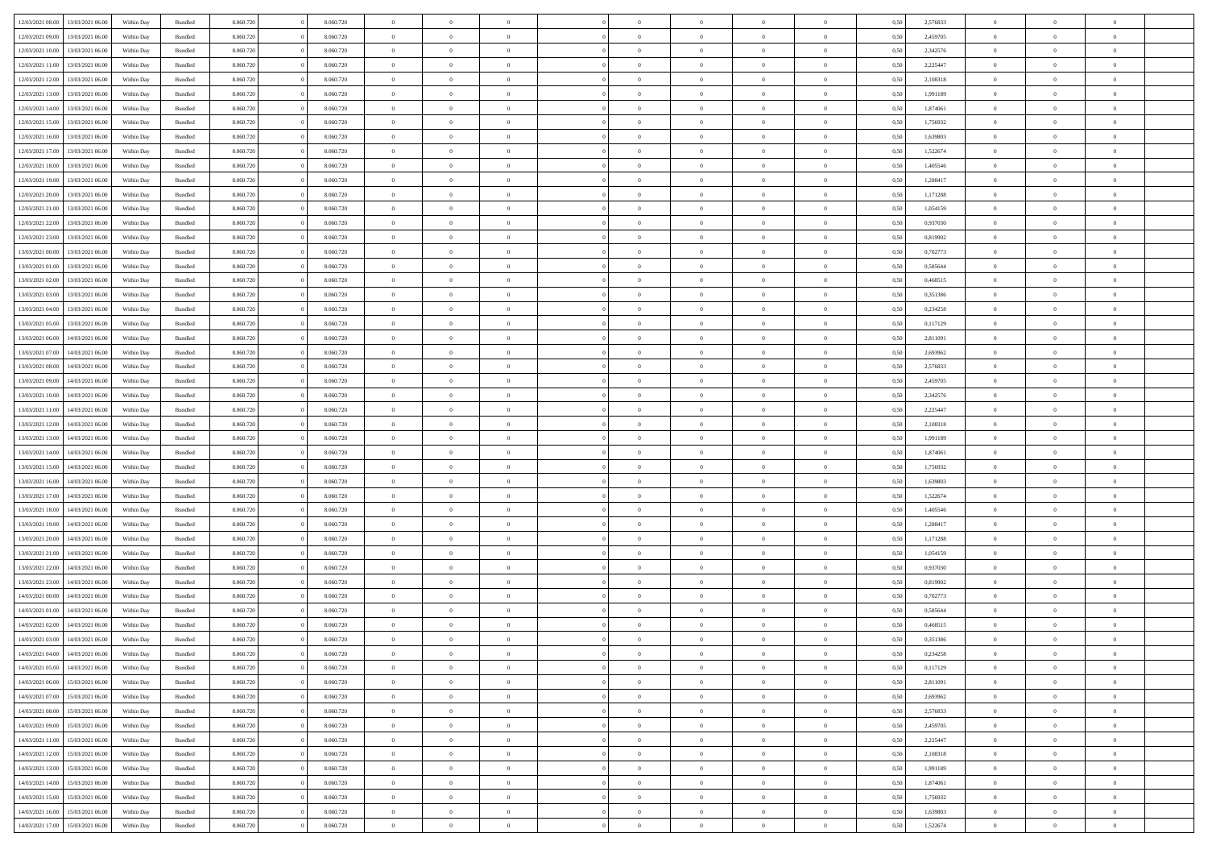|                  |                  |            |                    |           |           | $\overline{0}$ | $\Omega$       |                |                | $\Omega$       | $\theta$       | $\theta$       |      |          | $\theta$       |                | $\theta$       |  |
|------------------|------------------|------------|--------------------|-----------|-----------|----------------|----------------|----------------|----------------|----------------|----------------|----------------|------|----------|----------------|----------------|----------------|--|
| 12/03/2021 08:00 | 13/03/2021 06:00 | Within Day | Bundled            | 8.060.720 | 8.060.720 |                |                |                | $\Omega$       |                |                |                | 0.50 | 2,576833 |                | $\theta$       |                |  |
| 12/03/2021 09:00 | 13/03/2021 06:00 | Within Day | Bundled            | 8.060.720 | 8.060.720 | $\overline{0}$ | $\theta$       | $\overline{0}$ | $\overline{0}$ | $\bf{0}$       | $\overline{0}$ | $\bf{0}$       | 0,50 | 2,459705 | $\theta$       | $\theta$       | $\overline{0}$ |  |
| 12/03/2021 10:00 | 13/03/2021 06:00 | Within Day | Bundled            | 8.060.720 | 8.060.720 | $\overline{0}$ | $\overline{0}$ | $\overline{0}$ | $\overline{0}$ | $\bf{0}$       | $\overline{0}$ | $\bf{0}$       | 0,50 | 2,342576 | $\bf{0}$       | $\overline{0}$ | $\overline{0}$ |  |
| 12/03/2021 11:00 | 13/03/2021 06:00 | Within Dav | Bundled            | 8.060.720 | 8.060.720 | $\overline{0}$ | $\overline{0}$ | $\overline{0}$ | $\overline{0}$ | $\bf{0}$       | $\overline{0}$ | $\overline{0}$ | 0.50 | 2.225447 | $\theta$       | $\theta$       | $\overline{0}$ |  |
|                  |                  |            |                    |           |           | $\overline{0}$ | $\theta$       |                |                |                |                |                |      |          | $\theta$       |                |                |  |
| 12/03/2021 12:00 | 13/03/2021 06:00 | Within Day | Bundled            | 8.060.720 | 8.060.720 |                |                | $\overline{0}$ | $\overline{0}$ | $\bf{0}$       | $\overline{0}$ | $\bf{0}$       | 0,50 | 2,108318 |                | $\theta$       | $\overline{0}$ |  |
| 12/03/2021 13:00 | 13/03/2021 06:00 | Within Day | Bundled            | 8.060.720 | 8.060.720 | $\overline{0}$ | $\bf{0}$       | $\overline{0}$ | $\bf{0}$       | $\overline{0}$ | $\overline{0}$ | $\mathbf{0}$   | 0,50 | 1,991189 | $\overline{0}$ | $\overline{0}$ | $\bf{0}$       |  |
| 12/03/2021 14:00 | 13/03/2021 06:00 | Within Dav | Bundled            | 8.060.720 | 8.060.720 | $\overline{0}$ | $\overline{0}$ | $\overline{0}$ | $\overline{0}$ | $\overline{0}$ | $\overline{0}$ | $\overline{0}$ | 0.50 | 1,874061 | $\theta$       | $\overline{0}$ | $\overline{0}$ |  |
| 12/03/2021 15:00 | 13/03/2021 06:00 | Within Day | Bundled            | 8.060.720 | 8.060.720 | $\overline{0}$ | $\theta$       | $\overline{0}$ | $\overline{0}$ | $\bf{0}$       | $\overline{0}$ | $\bf{0}$       | 0,50 | 1,756932 | $\theta$       | $\theta$       | $\overline{0}$ |  |
|                  | 13/03/2021 06:00 | Within Day | Bundled            | 8.060.720 | 8.060.720 | $\overline{0}$ | $\overline{0}$ | $\overline{0}$ | $\bf{0}$       | $\bf{0}$       | $\bf{0}$       | $\bf{0}$       | 0,50 | 1,639803 | $\,0\,$        | $\overline{0}$ | $\overline{0}$ |  |
| 12/03/2021 16:00 |                  |            |                    |           |           |                |                |                |                |                |                |                |      |          |                |                |                |  |
| 12/03/2021 17:00 | 13/03/2021 06:00 | Within Dav | Bundled            | 8.060.720 | 8.060.720 | $\overline{0}$ | $\overline{0}$ | $\overline{0}$ | $\overline{0}$ | $\overline{0}$ | $\overline{0}$ | $\overline{0}$ | 0.50 | 1,522674 | $\theta$       | $\overline{0}$ | $\overline{0}$ |  |
| 12/03/2021 18:00 | 13/03/2021 06:00 | Within Day | Bundled            | 8.060.720 | 8.060.720 | $\overline{0}$ | $\theta$       | $\overline{0}$ | $\overline{0}$ | $\bf{0}$       | $\overline{0}$ | $\bf{0}$       | 0,50 | 1,405546 | $\,$ 0 $\,$    | $\theta$       | $\overline{0}$ |  |
| 12/03/2021 19:00 | 13/03/2021 06:00 | Within Day | Bundled            | 8.060.720 | 8.060.720 | $\overline{0}$ | $\overline{0}$ | $\overline{0}$ | $\bf{0}$       | $\bf{0}$       | $\bf{0}$       | $\bf{0}$       | 0,50 | 1,288417 | $\overline{0}$ | $\overline{0}$ | $\overline{0}$ |  |
| 12/03/2021 20:00 | 13/03/2021 06:00 | Within Dav | Bundled            | 8.060.720 | 8.060.720 | $\overline{0}$ | $\overline{0}$ | $\overline{0}$ | $\overline{0}$ | $\bf{0}$       | $\overline{0}$ | $\overline{0}$ | 0.50 | 1,171288 | $\theta$       | $\theta$       | $\overline{0}$ |  |
| 12/03/2021 21:00 | 13/03/2021 06:00 | Within Day | Bundled            | 8.060.720 | 8.060.720 | $\overline{0}$ | $\theta$       | $\overline{0}$ | $\overline{0}$ | $\bf{0}$       | $\overline{0}$ | $\overline{0}$ | 0,50 | 1,054159 | $\theta$       | $\overline{0}$ | $\overline{0}$ |  |
|                  |                  |            |                    |           |           |                |                |                |                |                |                |                |      |          |                |                |                |  |
| 12/03/2021 22:00 | 13/03/2021 06:00 | Within Day | Bundled            | 8.060.720 | 8.060.720 | $\overline{0}$ | $\bf{0}$       | $\overline{0}$ | $\bf{0}$       | $\overline{0}$ | $\overline{0}$ | $\mathbf{0}$   | 0,50 | 0,937030 | $\overline{0}$ | $\overline{0}$ | $\bf{0}$       |  |
| 12/03/2021 23:00 | 13/03/2021 06:00 | Within Dav | Bundled            | 8.060.720 | 8.060.720 | $\overline{0}$ | $\overline{0}$ | $\overline{0}$ | $\overline{0}$ | $\overline{0}$ | $\overline{0}$ | $\overline{0}$ | 0.50 | 0,819902 | $\theta$       | $\overline{0}$ | $\overline{0}$ |  |
| 13/03/2021 00:00 | 13/03/2021 06:00 | Within Day | Bundled            | 8.060.720 | 8.060.720 | $\overline{0}$ | $\theta$       | $\overline{0}$ | $\overline{0}$ | $\bf{0}$       | $\overline{0}$ | $\bf{0}$       | 0,50 | 0,702773 | $\theta$       | $\theta$       | $\overline{0}$ |  |
| 13/03/2021 01:00 | 13/03/2021 06:00 | Within Day | Bundled            | 8.060.720 | 8.060.720 | $\overline{0}$ | $\overline{0}$ | $\overline{0}$ | $\bf{0}$       | $\bf{0}$       | $\bf{0}$       | $\bf{0}$       | 0,50 | 0,585644 | $\,0\,$        | $\overline{0}$ | $\overline{0}$ |  |
| 13/03/2021 02:00 | 13/03/2021 06:00 | Within Day | Bundled            | 8.060.720 | 8.060.720 | $\overline{0}$ | $\overline{0}$ | $\overline{0}$ | $\overline{0}$ | $\overline{0}$ | $\overline{0}$ | $\overline{0}$ | 0.50 | 0,468515 | $\theta$       | $\overline{0}$ | $\overline{0}$ |  |
|                  |                  |            |                    |           |           |                |                |                |                |                |                |                |      |          |                |                |                |  |
| 13/03/2021 03:00 | 13/03/2021 06:00 | Within Day | Bundled            | 8.060.720 | 8.060.720 | $\overline{0}$ | $\theta$       | $\overline{0}$ | $\overline{0}$ | $\bf{0}$       | $\overline{0}$ | $\bf{0}$       | 0,50 | 0,351386 | $\,$ 0 $\,$    | $\theta$       | $\overline{0}$ |  |
| 13/03/2021 04:00 | 13/03/2021 06:00 | Within Day | Bundled            | 8.060.720 | 8.060.720 | $\overline{0}$ | $\overline{0}$ | $\overline{0}$ | $\bf{0}$       | $\bf{0}$       | $\bf{0}$       | $\bf{0}$       | 0,50 | 0,234258 | $\bf{0}$       | $\overline{0}$ | $\overline{0}$ |  |
| 13/03/2021 05:00 | 13/03/2021 06:00 | Within Day | Bundled            | 8.060.720 | 8.060.720 | $\overline{0}$ | $\overline{0}$ | $\overline{0}$ | $\overline{0}$ | $\bf{0}$       | $\overline{0}$ | $\overline{0}$ | 0.50 | 0,117129 | $\theta$       | $\theta$       | $\overline{0}$ |  |
| 13/03/2021 06:00 | 14/03/2021 06:00 | Within Day | Bundled            | 8.060.720 | 8.060.720 | $\overline{0}$ | $\theta$       | $\overline{0}$ | $\overline{0}$ | $\bf{0}$       | $\overline{0}$ | $\bf{0}$       | 0,50 | 2,811091 | $\,$ 0 $\,$    | $\overline{0}$ | $\overline{0}$ |  |
|                  |                  |            |                    |           |           |                |                |                |                |                |                |                |      |          |                |                |                |  |
| 13/03/2021 07:00 | 14/03/2021 06:00 | Within Day | Bundled            | 8.060.720 | 8.060.720 | $\overline{0}$ | $\bf{0}$       | $\overline{0}$ | $\bf{0}$       | $\overline{0}$ | $\overline{0}$ | $\mathbf{0}$   | 0,50 | 2,693962 | $\overline{0}$ | $\overline{0}$ | $\bf{0}$       |  |
| 13/03/2021 08:00 | 14/03/2021 06:00 | Within Dav | Bundled            | 8.060.720 | 8.060.720 | $\overline{0}$ | $\overline{0}$ | $\overline{0}$ | $\overline{0}$ | $\overline{0}$ | $\overline{0}$ | $\overline{0}$ | 0.50 | 2,576833 | $\theta$       | $\overline{0}$ | $\overline{0}$ |  |
| 13/03/2021 09:00 | 14/03/2021 06:00 | Within Day | Bundled            | 8.060.720 | 8.060.720 | $\overline{0}$ | $\theta$       | $\overline{0}$ | $\overline{0}$ | $\bf{0}$       | $\overline{0}$ | $\bf{0}$       | 0,50 | 2,459705 | $\theta$       | $\theta$       | $\overline{0}$ |  |
| 13/03/2021 10:00 | 14/03/2021 06:00 | Within Day | Bundled            | 8.060.720 | 8.060.720 | $\overline{0}$ | $\overline{0}$ | $\overline{0}$ | $\bf{0}$       | $\bf{0}$       | $\bf{0}$       | $\bf{0}$       | 0,50 | 2,342576 | $\,0\,$        | $\overline{0}$ | $\overline{0}$ |  |
| 13/03/2021 11:00 | 14/03/2021 06:00 | Within Day | Bundled            | 8.060.720 | 8.060.720 | $\overline{0}$ | $\overline{0}$ | $\overline{0}$ | $\overline{0}$ | $\overline{0}$ | $\overline{0}$ | $\overline{0}$ | 0.50 | 2,225447 | $\theta$       | $\overline{0}$ | $\overline{0}$ |  |
|                  |                  |            |                    |           |           |                |                |                |                |                |                |                |      |          |                |                |                |  |
| 13/03/2021 12:00 | 14/03/2021 06:00 | Within Day | Bundled            | 8.060.720 | 8.060.720 | $\overline{0}$ | $\theta$       | $\overline{0}$ | $\overline{0}$ | $\bf{0}$       | $\overline{0}$ | $\bf{0}$       | 0,50 | 2,108318 | $\,$ 0 $\,$    | $\overline{0}$ | $\overline{0}$ |  |
| 13/03/2021 13:00 | 14/03/2021 06:00 | Within Day | Bundled            | 8.060.720 | 8.060.720 | $\overline{0}$ | $\overline{0}$ | $\overline{0}$ | $\bf{0}$       | $\bf{0}$       | $\bf{0}$       | $\bf{0}$       | 0,50 | 1,991189 | $\bf{0}$       | $\overline{0}$ | $\overline{0}$ |  |
| 13/03/2021 14:00 | 14/03/2021 06:00 | Within Day | Bundled            | 8.060.720 | 8.060.720 | $\overline{0}$ | $\Omega$       | $\Omega$       | $\Omega$       | $\Omega$       | $\Omega$       | $\overline{0}$ | 0,50 | 1,874061 | $\,0\,$        | $\theta$       | $\theta$       |  |
| 13/03/2021 15:00 | 14/03/2021 06:00 | Within Day | Bundled            | 8.060.720 | 8.060.720 | $\overline{0}$ | $\theta$       | $\overline{0}$ | $\overline{0}$ | $\bf{0}$       | $\overline{0}$ | $\bf{0}$       | 0,50 | 1,756932 | $\theta$       | $\theta$       | $\overline{0}$ |  |
| 13/03/2021 16:00 | 14/03/2021 06:00 | Within Day | Bundled            | 8.060.720 | 8.060.720 | $\overline{0}$ | $\overline{0}$ | $\overline{0}$ | $\bf{0}$       | $\bf{0}$       | $\overline{0}$ | $\mathbf{0}$   | 0,50 | 1,639803 | $\overline{0}$ | $\overline{0}$ | $\bf{0}$       |  |
|                  |                  |            |                    |           |           |                |                |                |                |                |                |                |      |          |                |                |                |  |
| 13/03/2021 17:00 | 14/03/2021 06:00 | Within Day | Bundled            | 8.060.720 | 8.060.720 | $\overline{0}$ | $\Omega$       | $\Omega$       | $\Omega$       | $\bf{0}$       | $\overline{0}$ | $\overline{0}$ | 0.50 | 1,522674 | $\,0\,$        | $\theta$       | $\theta$       |  |
| 13/03/2021 18:00 | 14/03/2021 06:00 | Within Day | Bundled            | 8.060.720 | 8.060.720 | $\overline{0}$ | $\theta$       | $\overline{0}$ | $\overline{0}$ | $\bf{0}$       | $\overline{0}$ | $\bf{0}$       | 0,50 | 1,405546 | $\,$ 0 $\,$    | $\theta$       | $\overline{0}$ |  |
| 13/03/2021 19:00 | 14/03/2021 06:00 | Within Day | Bundled            | 8.060.720 | 8.060.720 | $\overline{0}$ | $\overline{0}$ | $\overline{0}$ | $\bf{0}$       | $\bf{0}$       | $\bf{0}$       | $\bf{0}$       | 0,50 | 1,288417 | $\bf{0}$       | $\overline{0}$ | $\overline{0}$ |  |
| 13/03/2021 20:00 | 14/03/2021 06:00 | Within Day | Bundled            | 8.060.720 | 8.060.720 | $\overline{0}$ | $\Omega$       | $\Omega$       | $\Omega$       | $\theta$       | $\theta$       | $\overline{0}$ | 0.50 | 1,171288 | $\theta$       | $\theta$       | $\theta$       |  |
| 13/03/2021 21:00 | 14/03/2021 06:00 | Within Day | Bundled            | 8.060.720 | 8.060.720 | $\overline{0}$ | $\theta$       | $\overline{0}$ | $\overline{0}$ | $\bf{0}$       | $\overline{0}$ | $\bf{0}$       | 0,50 | 1,054159 | $\,$ 0 $\,$    | $\overline{0}$ | $\overline{0}$ |  |
|                  |                  |            |                    |           |           |                | $\overline{0}$ |                |                | $\bf{0}$       |                |                |      |          |                | $\overline{0}$ | $\overline{0}$ |  |
| 13/03/2021 22.00 | 14/03/2021 06:00 | Within Day | Bundled            | 8.060.720 | 8.060.720 | $\overline{0}$ |                | $\overline{0}$ | $\bf{0}$       |                | $\bf{0}$       | $\bf{0}$       | 0,50 | 0,937030 | $\overline{0}$ |                |                |  |
| 13/03/2021 23:00 | 14/03/2021 06:00 | Within Day | Bundled            | 8.060.720 | 8.060.720 | $\overline{0}$ | $\Omega$       | $\Omega$       | $\Omega$       | $\Omega$       | $\overline{0}$ | $\overline{0}$ | 0.50 | 0,819902 | $\,0\,$        | $\theta$       | $\theta$       |  |
| 14/03/2021 00:00 | 14/03/2021 06:00 | Within Day | Bundled            | 8.060.720 | 8.060.720 | $\overline{0}$ | $\theta$       | $\overline{0}$ | $\overline{0}$ | $\bf{0}$       | $\overline{0}$ | $\bf{0}$       | 0,50 | 0,702773 | $\,$ 0 $\,$    | $\overline{0}$ | $\overline{0}$ |  |
| 14/03/2021 01:00 | 14/03/2021 06:00 | Within Day | Bundled            | 8.060.720 | 8.060.720 | $\overline{0}$ | $\overline{0}$ | $\overline{0}$ | $\overline{0}$ | $\bf{0}$       | $\overline{0}$ | $\mathbf{0}$   | 0,50 | 0,585644 | $\overline{0}$ | $\overline{0}$ | $\bf{0}$       |  |
| 14/03/2021 02:00 | 14/03/2021 06:00 | Within Day | Bundled            | 8.060.720 | 8.060.720 | $\overline{0}$ | $\Omega$       | $\Omega$       | $\Omega$       | $\Omega$       | $\Omega$       | $\overline{0}$ | 0.50 | 0.468515 | $\theta$       | $\theta$       | $\theta$       |  |
| 14/03/2021 03:00 | 14/03/2021 06:00 | Within Day | Bundled            | 8.060.720 | 8.060.720 | $\overline{0}$ | $\overline{0}$ | $\overline{0}$ | $\bf{0}$       | $\,$ 0         | $\overline{0}$ | $\bf{0}$       | 0,50 | 0,351386 | $\,0\,$        | $\,$ 0 $\,$    | $\overline{0}$ |  |
|                  |                  |            |                    |           |           |                |                |                |                |                |                |                |      |          |                |                |                |  |
| 14/03/2021 04:00 | 14/03/2021 06:00 | Within Day | $\mathbf B$ undled | 8.060.720 | 8.060.720 | $\bf{0}$       | $\bf{0}$       |                |                | $\bf{0}$       |                |                | 0,50 | 0,234258 | $\bf{0}$       | $\overline{0}$ |                |  |
| 14/03/2021 05:00 | 14/03/2021 06:00 | Within Day | Bundled            | 8.060.720 | 8.060.720 | $\overline{0}$ | $\overline{0}$ | $\overline{0}$ | $\Omega$       | $\overline{0}$ | $\overline{0}$ | $\overline{0}$ | 0,50 | 0,117129 | $\theta$       | $\theta$       | $\theta$       |  |
| 14/03/2021 06:00 | 15/03/2021 06:00 | Within Day | Bundled            | 8.060.720 | 8.060.720 | $\overline{0}$ | $\,$ 0         | $\overline{0}$ | $\overline{0}$ | $\,$ 0 $\,$    | $\overline{0}$ | $\mathbf{0}$   | 0,50 | 2,811091 | $\,$ 0 $\,$    | $\,$ 0 $\,$    | $\,$ 0         |  |
| 14/03/2021 07:00 | 15/03/2021 06:00 | Within Day | Bundled            | 8.060.720 | 8.060.720 | $\overline{0}$ | $\overline{0}$ | $\overline{0}$ | $\overline{0}$ | $\overline{0}$ | $\overline{0}$ | $\mathbf{0}$   | 0,50 | 2,693962 | $\overline{0}$ | $\bf{0}$       | $\bf{0}$       |  |
| 14/03/2021 08:00 | 15/03/2021 06:00 | Within Day | Bundled            | 8.060.720 | 8.060.720 | $\overline{0}$ | $\overline{0}$ | $\overline{0}$ | $\Omega$       | $\overline{0}$ | $\overline{0}$ | $\overline{0}$ | 0,50 | 2,576833 | $\overline{0}$ | $\theta$       | $\overline{0}$ |  |
|                  |                  |            |                    |           |           |                |                |                |                |                |                |                |      |          |                |                |                |  |
| 14/03/2021 09:00 | 15/03/2021 06:00 | Within Day | Bundled            | 8.060.720 | 8.060.720 | $\overline{0}$ | $\,$ 0         | $\overline{0}$ | $\overline{0}$ | $\,$ 0 $\,$    | $\overline{0}$ | $\mathbf{0}$   | 0,50 | 2,459705 | $\,$ 0 $\,$    | $\overline{0}$ | $\overline{0}$ |  |
| 14/03/2021 11:00 | 15/03/2021 06:00 | Within Day | Bundled            | 8.060.720 | 8.060.720 | $\overline{0}$ | $\overline{0}$ | $\overline{0}$ | $\overline{0}$ | $\overline{0}$ | $\overline{0}$ | $\mathbf{0}$   | 0,50 | 2,225447 | $\overline{0}$ | $\overline{0}$ | $\bf{0}$       |  |
| 14/03/2021 12:00 | 15/03/2021 06:00 | Within Day | Bundled            | 8.060.720 | 8.060.720 | $\overline{0}$ | $\overline{0}$ | $\overline{0}$ | $\Omega$       | $\overline{0}$ | $\overline{0}$ | $\bf{0}$       | 0.50 | 2,108318 | $\overline{0}$ | $\theta$       | $\overline{0}$ |  |
| 14/03/2021 13:00 | 15/03/2021 06:00 | Within Day | Bundled            | 8.060.720 | 8.060.720 | $\overline{0}$ | $\,$ 0         | $\overline{0}$ | $\overline{0}$ | $\bf{0}$       | $\overline{0}$ | $\bf{0}$       | 0,50 | 1,991189 | $\,$ 0 $\,$    | $\overline{0}$ | $\overline{0}$ |  |
| 14/03/2021 14:00 | 15/03/2021 06:00 | Within Day | Bundled            | 8.060.720 | 8.060.720 | $\overline{0}$ | $\bf{0}$       | $\overline{0}$ | $\overline{0}$ | $\overline{0}$ | $\overline{0}$ | $\mathbf{0}$   | 0,50 | 1,874061 | $\overline{0}$ | $\overline{0}$ | $\bf{0}$       |  |
|                  |                  |            |                    |           |           |                |                |                |                |                |                |                |      |          |                |                |                |  |
| 14/03/2021 15:00 | 15/03/2021 06:00 | Within Day | Bundled            | 8.060.720 | 8.060.720 | $\overline{0}$ | $\overline{0}$ | $\overline{0}$ | $\Omega$       | $\overline{0}$ | $\overline{0}$ | $\overline{0}$ | 0.50 | 1,756932 | $\overline{0}$ | $\overline{0}$ | $\overline{0}$ |  |
| 14/03/2021 16:00 | 15/03/2021 06:00 | Within Day | Bundled            | 8.060.720 | 8.060.720 | $\overline{0}$ | $\bf{0}$       | $\overline{0}$ | $\overline{0}$ | $\bf{0}$       | $\overline{0}$ | $\bf{0}$       | 0,50 | 1,639803 | $\,$ 0 $\,$    | $\,$ 0 $\,$    | $\bf{0}$       |  |
| 14/03/2021 17:00 | 15/03/2021 06:00 | Within Day | Bundled            | 8.060.720 | 8.060.720 | $\overline{0}$ | $\bf{0}$       | $\overline{0}$ | $\overline{0}$ | $\bf{0}$       | $\overline{0}$ | $\bf{0}$       | 0,50 | 1,522674 | $\overline{0}$ | $\overline{0}$ | $\bf{0}$       |  |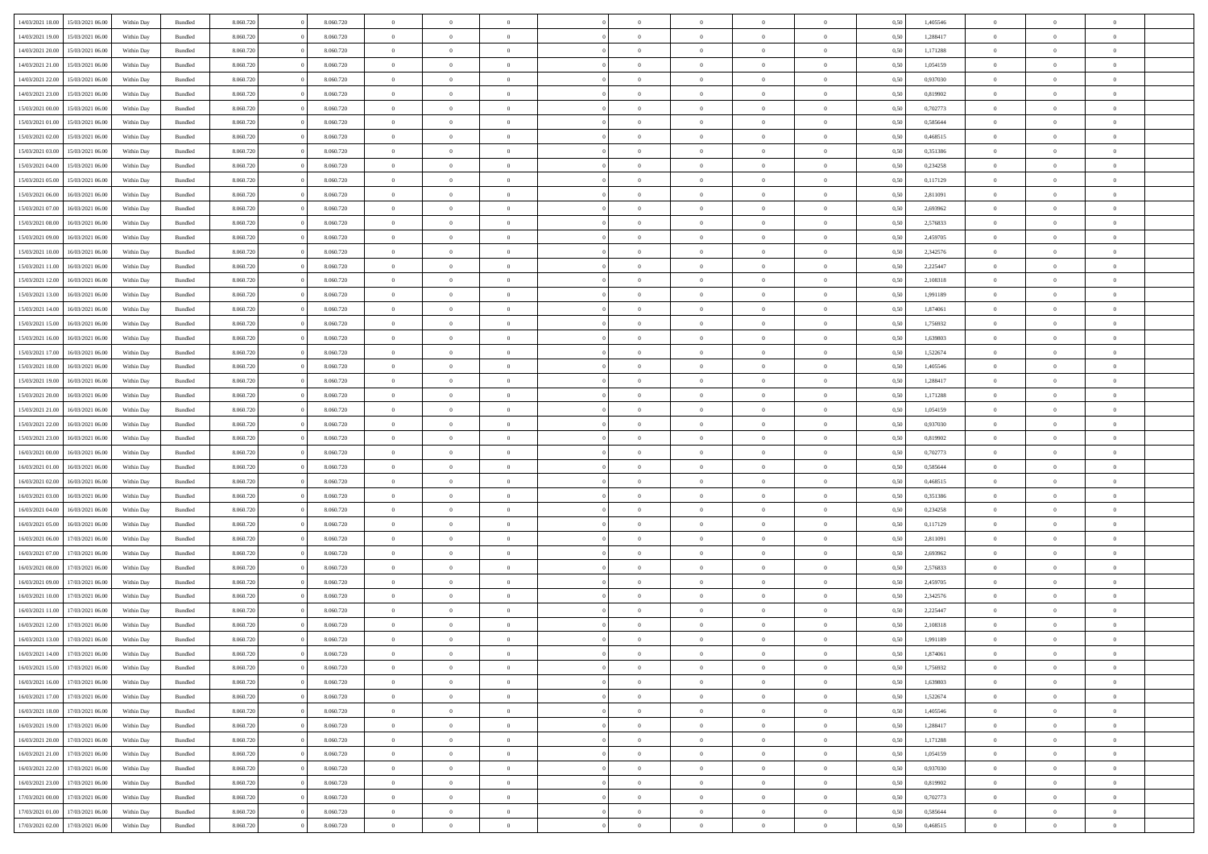| 14/03/2021 18:00 | 15/03/2021 06:00                  | Within Day | Bundled            | 8.060.720 | 8.060.720 | $\overline{0}$ | $\Omega$       |                | $\Omega$       | $\Omega$       | $\theta$       | $\theta$       | 0.50 | 1,405546 | $\theta$       | $\theta$       | $\theta$       |  |
|------------------|-----------------------------------|------------|--------------------|-----------|-----------|----------------|----------------|----------------|----------------|----------------|----------------|----------------|------|----------|----------------|----------------|----------------|--|
| 14/03/2021 19:00 | 15/03/2021 06:00                  | Within Day | Bundled            | 8.060.720 | 8.060.720 | $\overline{0}$ | $\theta$       | $\overline{0}$ | $\overline{0}$ | $\bf{0}$       | $\overline{0}$ | $\overline{0}$ | 0,50 | 1,288417 | $\theta$       | $\theta$       | $\overline{0}$ |  |
| 14/03/2021 20:00 | 15/03/2021 06:00                  | Within Day | Bundled            | 8.060.720 | 8.060.720 | $\overline{0}$ | $\overline{0}$ | $\overline{0}$ | $\overline{0}$ | $\bf{0}$       | $\bf{0}$       | $\bf{0}$       | 0,50 | 1,171288 | $\overline{0}$ | $\overline{0}$ | $\overline{0}$ |  |
|                  |                                   |            |                    |           |           |                |                |                |                |                |                |                |      |          | $\theta$       |                |                |  |
| 14/03/2021 21:00 | 15/03/2021 06:00                  | Within Dav | Bundled            | 8.060.720 | 8.060.720 | $\overline{0}$ | $\overline{0}$ | $\overline{0}$ | $\overline{0}$ | $\bf{0}$       | $\overline{0}$ | $\overline{0}$ | 0.50 | 1.054159 |                | $\theta$       | $\overline{0}$ |  |
| 14/03/2021 22:00 | 15/03/2021 06:00                  | Within Day | Bundled            | 8.060.720 | 8.060.720 | $\overline{0}$ | $\theta$       | $\overline{0}$ | $\overline{0}$ | $\bf{0}$       | $\overline{0}$ | $\bf{0}$       | 0,50 | 0,937030 | $\theta$       | $\theta$       | $\overline{0}$ |  |
| 14/03/2021 23:00 | 15/03/2021 06:00                  | Within Day | Bundled            | 8.060.720 | 8.060.720 | $\overline{0}$ | $\bf{0}$       | $\overline{0}$ | $\bf{0}$       | $\overline{0}$ | $\overline{0}$ | $\mathbf{0}$   | 0,50 | 0,819902 | $\overline{0}$ | $\overline{0}$ | $\bf{0}$       |  |
| 15/03/2021 00:00 | 15/03/2021 06:00                  | Within Dav | Bundled            | 8.060.720 | 8.060.720 | $\overline{0}$ | $\overline{0}$ | $\overline{0}$ | $\overline{0}$ | $\overline{0}$ | $\overline{0}$ | $\overline{0}$ | 0.50 | 0,702773 | $\theta$       | $\overline{0}$ | $\overline{0}$ |  |
|                  |                                   |            |                    |           |           |                |                |                |                |                |                |                |      |          |                |                |                |  |
| 15/03/2021 01:00 | 15/03/2021 06:00                  | Within Day | Bundled            | 8.060.720 | 8.060.720 | $\overline{0}$ | $\theta$       | $\overline{0}$ | $\overline{0}$ | $\bf{0}$       | $\overline{0}$ | $\bf{0}$       | 0,50 | 0,585644 | $\theta$       | $\theta$       | $\overline{0}$ |  |
| 15/03/2021 02:00 | 15/03/2021 06:00                  | Within Day | Bundled            | 8.060.720 | 8.060.720 | $\overline{0}$ | $\overline{0}$ | $\overline{0}$ | $\bf{0}$       | $\bf{0}$       | $\bf{0}$       | $\bf{0}$       | 0,50 | 0,468515 | $\,0\,$        | $\overline{0}$ | $\overline{0}$ |  |
| 15/03/2021 03:00 | 15/03/2021 06:00                  | Within Dav | Bundled            | 8.060.720 | 8.060.720 | $\overline{0}$ | $\overline{0}$ | $\overline{0}$ | $\overline{0}$ | $\overline{0}$ | $\overline{0}$ | $\overline{0}$ | 0.50 | 0,351386 | $\theta$       | $\overline{0}$ | $\overline{0}$ |  |
| 15/03/2021 04:00 | 15/03/2021 06:00                  |            | Bundled            | 8.060.720 | 8.060.720 | $\overline{0}$ | $\theta$       | $\overline{0}$ | $\overline{0}$ | $\bf{0}$       | $\overline{0}$ |                |      | 0,234258 | $\,$ 0 $\,$    | $\theta$       | $\overline{0}$ |  |
|                  |                                   | Within Day |                    |           |           |                |                |                |                |                |                | $\bf{0}$       | 0,50 |          |                |                |                |  |
| 15/03/2021 05:00 | 15/03/2021 06:00                  | Within Day | Bundled            | 8.060.720 | 8.060.720 | $\overline{0}$ | $\overline{0}$ | $\overline{0}$ | $\bf{0}$       | $\bf{0}$       | $\bf{0}$       | $\bf{0}$       | 0,50 | 0,117129 | $\overline{0}$ | $\overline{0}$ | $\overline{0}$ |  |
| 15/03/2021 06:00 | 16/03/2021 06:00                  | Within Dav | Bundled            | 8.060.720 | 8.060.720 | $\overline{0}$ | $\overline{0}$ | $\overline{0}$ | $\overline{0}$ | $\bf{0}$       | $\overline{0}$ | $\overline{0}$ | 0.50 | 2,811091 | $\theta$       | $\theta$       | $\overline{0}$ |  |
| 15/03/2021 07:00 | 16/03/2021 06:00                  | Within Day | Bundled            | 8.060.720 | 8.060.720 | $\overline{0}$ | $\theta$       | $\overline{0}$ | $\overline{0}$ | $\bf{0}$       | $\overline{0}$ | $\overline{0}$ | 0,50 | 2,693962 | $\theta$       | $\overline{0}$ | $\overline{0}$ |  |
|                  |                                   |            |                    |           |           |                |                |                |                |                |                |                |      |          |                |                |                |  |
| 15/03/2021 08:00 | 16/03/2021 06:00                  | Within Day | Bundled            | 8.060.720 | 8.060.720 | $\overline{0}$ | $\bf{0}$       | $\overline{0}$ | $\bf{0}$       | $\overline{0}$ | $\overline{0}$ | $\mathbf{0}$   | 0,50 | 2,576833 | $\overline{0}$ | $\overline{0}$ | $\bf{0}$       |  |
| 15/03/2021 09:00 | 16/03/2021 06:00                  | Within Dav | Bundled            | 8.060.720 | 8.060.720 | $\overline{0}$ | $\overline{0}$ | $\overline{0}$ | $\overline{0}$ | $\overline{0}$ | $\overline{0}$ | $\overline{0}$ | 0.50 | 2,459705 | $\theta$       | $\overline{0}$ | $\overline{0}$ |  |
| 15/03/2021 10:00 | 16/03/2021 06:00                  | Within Day | Bundled            | 8.060.720 | 8.060.720 | $\overline{0}$ | $\theta$       | $\overline{0}$ | $\overline{0}$ | $\bf{0}$       | $\overline{0}$ | $\bf{0}$       | 0,50 | 2,342576 | $\theta$       | $\theta$       | $\overline{0}$ |  |
| 15/03/2021 11:00 | 16/03/2021 06:00                  | Within Day | Bundled            | 8.060.720 | 8.060.720 | $\overline{0}$ | $\overline{0}$ | $\overline{0}$ | $\bf{0}$       | $\bf{0}$       | $\bf{0}$       | $\bf{0}$       | 0,50 | 2,225447 | $\,0\,$        | $\overline{0}$ | $\overline{0}$ |  |
| 15/03/2021 12:00 | 16/03/2021 06:00                  | Within Dav | Bundled            | 8.060.720 | 8.060.720 | $\overline{0}$ | $\overline{0}$ | $\overline{0}$ | $\overline{0}$ | $\overline{0}$ | $\overline{0}$ | $\overline{0}$ | 0.50 | 2,108318 | $\theta$       | $\overline{0}$ | $\overline{0}$ |  |
|                  |                                   |            |                    |           |           |                |                |                |                |                |                |                |      |          |                |                |                |  |
| 15/03/2021 13:00 | 16/03/2021 06:00                  | Within Day | Bundled            | 8.060.720 | 8.060.720 | $\overline{0}$ | $\theta$       | $\overline{0}$ | $\overline{0}$ | $\bf{0}$       | $\overline{0}$ | $\bf{0}$       | 0,50 | 1,991189 | $\,$ 0 $\,$    | $\theta$       | $\overline{0}$ |  |
| 15/03/2021 14:00 | 16/03/2021 06:00                  | Within Day | Bundled            | 8.060.720 | 8.060.720 | $\overline{0}$ | $\overline{0}$ | $\overline{0}$ | $\bf{0}$       | $\bf{0}$       | $\bf{0}$       | $\bf{0}$       | 0,50 | 1,874061 | $\bf{0}$       | $\overline{0}$ | $\overline{0}$ |  |
| 15/03/2021 15:00 | 16/03/2021 06:00                  | Within Day | Bundled            | 8.060.720 | 8.060.720 | $\overline{0}$ | $\overline{0}$ | $\overline{0}$ | $\overline{0}$ | $\bf{0}$       | $\overline{0}$ | $\overline{0}$ | 0.50 | 1,756932 | $\theta$       | $\theta$       | $\overline{0}$ |  |
|                  |                                   |            |                    |           |           | $\overline{0}$ | $\theta$       | $\overline{0}$ | $\overline{0}$ | $\bf{0}$       | $\overline{0}$ |                |      |          | $\,$ 0 $\,$    | $\overline{0}$ | $\overline{0}$ |  |
| 15/03/2021 16:00 | 16/03/2021 06:00                  | Within Day | Bundled            | 8.060.720 | 8.060.720 |                |                |                |                |                |                | $\bf{0}$       | 0,50 | 1,639803 |                |                |                |  |
| 15/03/2021 17:00 | 16/03/2021 06:00                  | Within Day | Bundled            | 8.060.720 | 8.060.720 | $\overline{0}$ | $\bf{0}$       | $\overline{0}$ | $\bf{0}$       | $\overline{0}$ | $\overline{0}$ | $\mathbf{0}$   | 0,50 | 1,522674 | $\overline{0}$ | $\overline{0}$ | $\bf{0}$       |  |
| 15/03/2021 18:00 | 16/03/2021 06:00                  | Within Dav | Bundled            | 8.060.720 | 8.060.720 | $\overline{0}$ | $\overline{0}$ | $\overline{0}$ | $\overline{0}$ | $\overline{0}$ | $\overline{0}$ | $\overline{0}$ | 0.50 | 1,405546 | $\theta$       | $\theta$       | $\overline{0}$ |  |
| 15/03/2021 19:00 | 16/03/2021 06:00                  | Within Day | Bundled            | 8.060.720 | 8.060.720 | $\overline{0}$ | $\theta$       | $\overline{0}$ | $\overline{0}$ | $\bf{0}$       | $\overline{0}$ | $\bf{0}$       | 0,50 | 1,288417 | $\theta$       | $\theta$       | $\overline{0}$ |  |
|                  |                                   |            |                    |           |           |                |                |                |                |                |                |                |      |          |                |                |                |  |
| 15/03/2021 20:00 | 16/03/2021 06:00                  | Within Day | Bundled            | 8.060.720 | 8.060.720 | $\overline{0}$ | $\overline{0}$ | $\overline{0}$ | $\bf{0}$       | $\bf{0}$       | $\bf{0}$       | $\bf{0}$       | 0,50 | 1,171288 | $\,0\,$        | $\overline{0}$ | $\overline{0}$ |  |
| 15/03/2021 21:00 | 16/03/2021 06:00                  | Within Day | Bundled            | 8.060.720 | 8.060.720 | $\overline{0}$ | $\overline{0}$ | $\overline{0}$ | $\overline{0}$ | $\overline{0}$ | $\overline{0}$ | $\overline{0}$ | 0.50 | 1,054159 | $\theta$       | $\overline{0}$ | $\overline{0}$ |  |
| 15/03/2021 22:00 | 16/03/2021 06:00                  | Within Day | Bundled            | 8.060.720 | 8.060.720 | $\overline{0}$ | $\theta$       | $\overline{0}$ | $\overline{0}$ | $\bf{0}$       | $\overline{0}$ | $\bf{0}$       | 0,50 | 0,937030 | $\,$ 0 $\,$    | $\overline{0}$ | $\overline{0}$ |  |
| 15/03/2021 23:00 | 16/03/2021 06:00                  | Within Day | Bundled            | 8.060.720 | 8.060.720 | $\overline{0}$ | $\overline{0}$ | $\overline{0}$ | $\bf{0}$       | $\bf{0}$       | $\bf{0}$       | $\bf{0}$       | 0,50 | 0,819902 | $\bf{0}$       | $\overline{0}$ | $\overline{0}$ |  |
|                  |                                   |            |                    |           |           | $\overline{0}$ | $\Omega$       | $\Omega$       | $\Omega$       | $\Omega$       | $\Omega$       |                |      |          |                |                | $\theta$       |  |
| 16/03/2021 00:00 | 16/03/2021 06:00                  | Within Day | Bundled            | 8.060.720 | 8.060.720 |                |                |                |                |                |                | $\overline{0}$ | 0,50 | 0,702773 | $\,0\,$        | $\theta$       |                |  |
| 16/03/2021 01:00 | 16/03/2021 06:00                  | Within Day | Bundled            | 8.060.720 | 8.060.720 | $\overline{0}$ | $\theta$       | $\overline{0}$ | $\overline{0}$ | $\bf{0}$       | $\overline{0}$ | $\bf{0}$       | 0,50 | 0,585644 | $\theta$       | $\theta$       | $\overline{0}$ |  |
| 16/03/2021 02:00 | 16/03/2021 06:00                  | Within Day | Bundled            | 8.060.720 | 8.060.720 | $\overline{0}$ | $\overline{0}$ | $\overline{0}$ | $\overline{0}$ | $\bf{0}$       | $\overline{0}$ | $\mathbf{0}$   | 0,50 | 0,468515 | $\overline{0}$ | $\overline{0}$ | $\bf{0}$       |  |
| 16/03/2021 03:00 | 16/03/2021 06:00                  | Within Day | Bundled            | 8.060.720 | 8.060.720 | $\overline{0}$ | $\Omega$       | $\Omega$       | $\Omega$       | $\bf{0}$       | $\overline{0}$ | $\overline{0}$ | 0.50 | 0,351386 | $\theta$       | $\theta$       | $\theta$       |  |
| 16/03/2021 04:00 | 16/03/2021 06:00                  |            |                    | 8.060.720 | 8.060.720 | $\overline{0}$ | $\theta$       | $\overline{0}$ | $\overline{0}$ | $\bf{0}$       | $\overline{0}$ |                |      | 0,234258 | $\,$ 0 $\,$    | $\theta$       | $\overline{0}$ |  |
|                  |                                   | Within Day | Bundled            |           |           |                |                |                |                |                |                | $\bf{0}$       | 0,50 |          |                |                |                |  |
| 16/03/2021 05:00 | 16/03/2021 06:00                  | Within Day | Bundled            | 8.060.720 | 8.060.720 | $\overline{0}$ | $\overline{0}$ | $\overline{0}$ | $\overline{0}$ | $\bf{0}$       | $\overline{0}$ | $\bf{0}$       | 0,50 | 0,117129 | $\bf{0}$       | $\overline{0}$ | $\overline{0}$ |  |
| 16/03/2021 06:00 | 17/03/2021 06:00                  | Within Day | Bundled            | 8.060.720 | 8.060.720 | $\overline{0}$ | $\Omega$       | $\Omega$       | $\Omega$       | $\theta$       | $\theta$       | $\overline{0}$ | 0.50 | 2,811091 | $\theta$       | $\theta$       | $\theta$       |  |
| 16/03/2021 07:00 | 17/03/2021 06:00                  | Within Day | Bundled            | 8.060.720 | 8.060.720 | $\overline{0}$ | $\theta$       | $\overline{0}$ | $\overline{0}$ | $\bf{0}$       | $\overline{0}$ | $\bf{0}$       | 0,50 | 2,693962 | $\,$ 0 $\,$    | $\overline{0}$ | $\overline{0}$ |  |
|                  |                                   |            |                    |           |           |                |                |                |                |                |                |                |      |          |                |                |                |  |
| 16/03/2021 08:00 | 17/03/2021 06:00                  | Within Day | Bundled            | 8.060.720 | 8.060.720 | $\overline{0}$ | $\overline{0}$ | $\overline{0}$ | $\overline{0}$ | $\bf{0}$       | $\overline{0}$ | $\bf{0}$       | 0,50 | 2,576833 | $\overline{0}$ | $\overline{0}$ | $\overline{0}$ |  |
| 16/03/2021 09:00 | 17/03/2021 06:00                  | Within Day | Bundled            | 8.060.720 | 8.060.720 | $\overline{0}$ | $\Omega$       | $\Omega$       | $\Omega$       | $\Omega$       | $\overline{0}$ | $\overline{0}$ | 0.50 | 2,459705 | $\,0\,$        | $\theta$       | $\theta$       |  |
| 16/03/2021 10:00 | 17/03/2021 06:00                  | Within Day | Bundled            | 8.060.720 | 8.060.720 | $\overline{0}$ | $\theta$       | $\overline{0}$ | $\overline{0}$ | $\bf{0}$       | $\overline{0}$ | $\bf{0}$       | 0,50 | 2,342576 | $\,$ 0 $\,$    | $\overline{0}$ | $\overline{0}$ |  |
| 16/03/2021 11:00 | 17/03/2021 06:00                  | Within Day | Bundled            | 8.060.720 | 8.060.720 | $\overline{0}$ | $\overline{0}$ | $\overline{0}$ | $\overline{0}$ | $\bf{0}$       | $\overline{0}$ | $\mathbf{0}$   | 0,50 | 2,225447 | $\overline{0}$ | $\overline{0}$ | $\bf{0}$       |  |
| 16/03/2021 12:00 | 17/03/2021 06:00                  | Within Day | Bundled            | 8.060.720 | 8.060.720 | $\overline{0}$ | $\Omega$       | $\Omega$       | $\Omega$       | $\Omega$       | $\Omega$       | $\overline{0}$ | 0.50 | 2,108318 | $\theta$       | $\theta$       | $\theta$       |  |
|                  |                                   |            |                    |           |           |                |                |                |                |                |                |                |      |          |                |                |                |  |
| 16/03/2021 13:00 | 17/03/2021 06:00                  | Within Day | Bundled            | 8.060.720 | 8.060.720 | $\overline{0}$ | $\overline{0}$ | $\overline{0}$ | $\bf{0}$       | $\,$ 0         | $\overline{0}$ | $\bf{0}$       | 0,50 | 1,991189 | $\,0\,$        | $\,$ 0 $\,$    | $\overline{0}$ |  |
|                  | 16/03/2021 14:00 17/03/2021 06:00 | Within Day | $\mathbf B$ undled | 8.060.720 | 8.060.720 | $\bf{0}$       | $\bf{0}$       |                |                | $\bf{0}$       |                |                | 0,50 | 1,874061 | $\bf{0}$       | $\overline{0}$ |                |  |
| 16/03/2021 15:00 | 17/03/2021 06:00                  | Within Day | Bundled            | 8.060.720 | 8.060.720 | $\overline{0}$ | $\overline{0}$ | $\overline{0}$ | $\Omega$       | $\overline{0}$ | $\overline{0}$ | $\overline{0}$ | 0.50 | 1,756932 | $\theta$       | $\theta$       | $\theta$       |  |
| 16/03/2021 16:00 | 17/03/2021 06:00                  | Within Day | Bundled            | 8.060.720 | 8.060.720 | $\overline{0}$ | $\,$ 0         | $\overline{0}$ | $\overline{0}$ | $\,$ 0 $\,$    | $\overline{0}$ | $\,$ 0 $\,$    | 0,50 | 1,639803 | $\,$ 0 $\,$    | $\,$ 0 $\,$    | $\,$ 0         |  |
|                  |                                   |            |                    |           |           |                |                |                |                |                |                |                |      |          |                |                |                |  |
| 16/03/2021 17:00 | 17/03/2021 06:00                  | Within Day | Bundled            | 8.060.720 | 8.060.720 | $\overline{0}$ | $\overline{0}$ | $\overline{0}$ | $\overline{0}$ | $\overline{0}$ | $\overline{0}$ | $\mathbf{0}$   | 0,50 | 1,522674 | $\overline{0}$ | $\bf{0}$       | $\overline{0}$ |  |
| 16/03/2021 18:00 | 17/03/2021 06:00                  | Within Day | Bundled            | 8.060.720 | 8.060.720 | $\overline{0}$ | $\overline{0}$ | $\overline{0}$ | $\Omega$       | $\overline{0}$ | $\overline{0}$ | $\overline{0}$ | 0,50 | 1,405546 | $\overline{0}$ | $\theta$       | $\overline{0}$ |  |
| 16/03/2021 19:00 | 17/03/2021 06:00                  | Within Day | Bundled            | 8.060.720 | 8.060.720 | $\overline{0}$ | $\,$ 0         | $\overline{0}$ | $\overline{0}$ | $\,$ 0 $\,$    | $\overline{0}$ | $\mathbf{0}$   | 0,50 | 1,288417 | $\,$ 0 $\,$    | $\overline{0}$ | $\overline{0}$ |  |
| 16/03/2021 20:00 | 17/03/2021 06:00                  | Within Day | Bundled            | 8.060.720 | 8.060.720 | $\overline{0}$ | $\overline{0}$ | $\overline{0}$ | $\overline{0}$ | $\overline{0}$ | $\overline{0}$ | $\mathbf{0}$   | 0,50 | 1,171288 | $\overline{0}$ | $\overline{0}$ | $\overline{0}$ |  |
|                  |                                   |            |                    |           |           |                |                |                |                |                |                |                |      |          |                |                |                |  |
| 16/03/2021 21:00 | 17/03/2021 06:00                  | Within Day | Bundled            | 8.060.720 | 8.060.720 | $\overline{0}$ | $\overline{0}$ | $\overline{0}$ | $\Omega$       | $\overline{0}$ | $\overline{0}$ | $\bf{0}$       | 0.50 | 1,054159 | $\overline{0}$ | $\theta$       | $\overline{0}$ |  |
| 16/03/2021 22:00 | 17/03/2021 06:00                  | Within Day | Bundled            | 8.060.720 | 8.060.720 | $\overline{0}$ | $\,$ 0         | $\overline{0}$ | $\bf{0}$       | $\bf{0}$       | $\bf{0}$       | $\bf{0}$       | 0,50 | 0,937030 | $\,$ 0 $\,$    | $\overline{0}$ | $\overline{0}$ |  |
| 16/03/2021 23:00 | 17/03/2021 06:00                  | Within Day | Bundled            | 8.060.720 | 8.060.720 | $\overline{0}$ | $\bf{0}$       | $\overline{0}$ | $\overline{0}$ | $\overline{0}$ | $\overline{0}$ | $\mathbf{0}$   | 0,50 | 0,819902 | $\overline{0}$ | $\overline{0}$ | $\bf{0}$       |  |
| 17/03/2021 00:00 | 17/03/2021 06:00                  | Within Day | Bundled            | 8.060.720 | 8.060.720 | $\overline{0}$ | $\overline{0}$ | $\overline{0}$ | $\Omega$       | $\overline{0}$ | $\overline{0}$ | $\overline{0}$ | 0.50 | 0,702773 | $\overline{0}$ | $\overline{0}$ | $\overline{0}$ |  |
|                  |                                   |            |                    |           |           |                |                |                |                |                |                |                |      |          |                |                |                |  |
| 17/03/2021 01:00 | 17/03/2021 06:00                  | Within Day | Bundled            | 8.060.720 | 8.060.720 | $\overline{0}$ | $\bf{0}$       | $\overline{0}$ | $\bf{0}$       | $\bf{0}$       | $\bf{0}$       | $\mathbf{0}$   | 0,50 | 0,585644 | $\,$ 0 $\,$    | $\,$ 0 $\,$    | $\bf{0}$       |  |
|                  | 17/03/2021 02.00 17/03/2021 06.00 | Within Day | Bundled            | 8.060.720 | 8.060.720 | $\overline{0}$ | $\overline{0}$ | $\overline{0}$ | $\overline{0}$ | $\overline{0}$ | $\bf{0}$       | $\mathbf{0}$   | 0,50 | 0,468515 | $\overline{0}$ | $\bf{0}$       | $\overline{0}$ |  |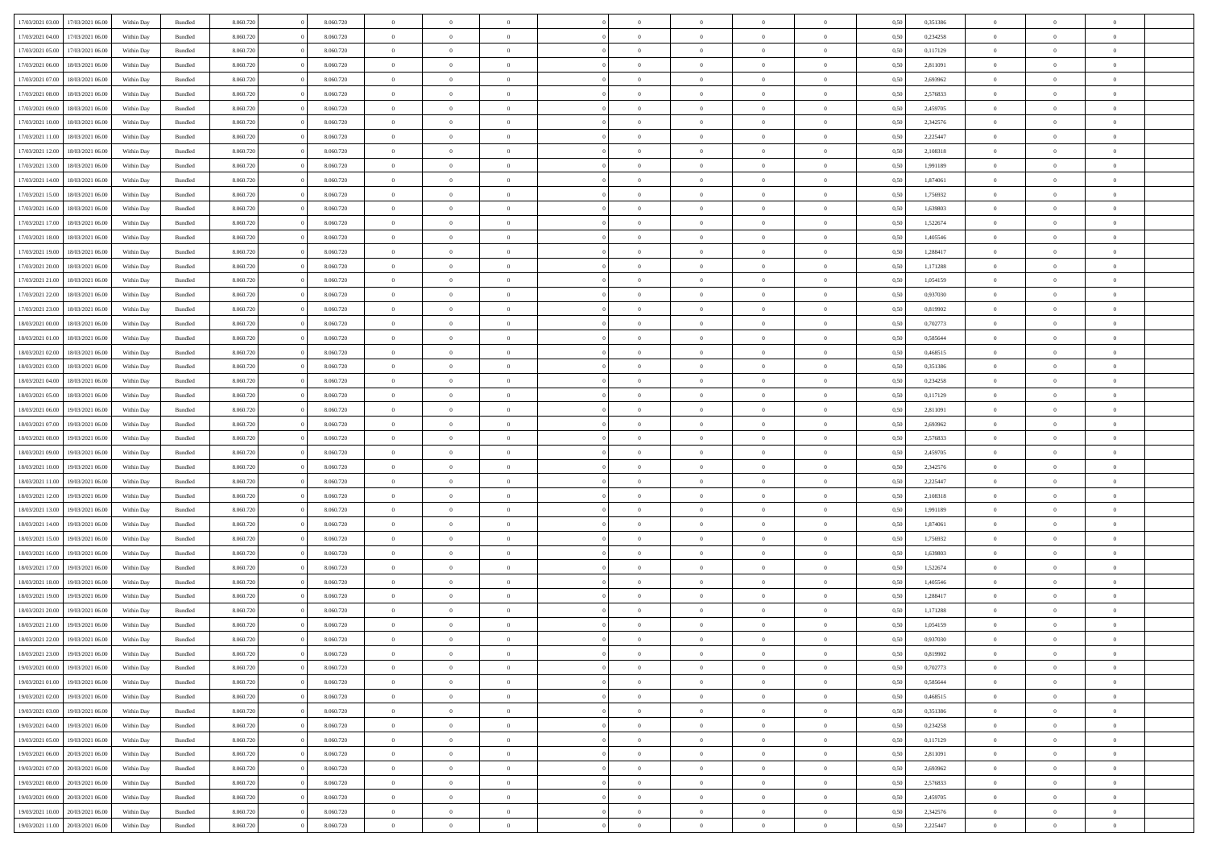| 17/03/2021 03:00 |                  |            |                    |           |           | $\overline{0}$ | $\Omega$       |                |                | $\Omega$       | $\theta$       | $\theta$       |      |          | $\theta$       |                | $\theta$       |  |
|------------------|------------------|------------|--------------------|-----------|-----------|----------------|----------------|----------------|----------------|----------------|----------------|----------------|------|----------|----------------|----------------|----------------|--|
|                  | 17/03/2021 06:00 | Within Day | Bundled            | 8.060.720 | 8.060.720 |                |                |                | $\Omega$       |                |                |                | 0.50 | 0,351386 |                | $\theta$       |                |  |
| 17/03/2021 04:00 | 17/03/2021 06:00 | Within Day | Bundled            | 8.060.720 | 8.060.720 | $\overline{0}$ | $\theta$       | $\overline{0}$ | $\overline{0}$ | $\bf{0}$       | $\overline{0}$ | $\bf{0}$       | 0,50 | 0,234258 | $\theta$       | $\theta$       | $\overline{0}$ |  |
| 17/03/2021 05:00 | 17/03/2021 06:00 | Within Day | Bundled            | 8.060.720 | 8.060.720 | $\overline{0}$ | $\overline{0}$ | $\overline{0}$ | $\bf{0}$       | $\bf{0}$       | $\bf{0}$       | $\bf{0}$       | 0,50 | 0,117129 | $\overline{0}$ | $\overline{0}$ | $\overline{0}$ |  |
| 17/03/2021 06:00 | 18/03/2021 06:00 | Within Dav | Bundled            | 8.060.720 | 8.060.720 | $\overline{0}$ | $\overline{0}$ | $\overline{0}$ | $\overline{0}$ | $\bf{0}$       | $\overline{0}$ | $\overline{0}$ | 0.50 | 2.811091 | $\theta$       | $\theta$       | $\overline{0}$ |  |
|                  |                  |            |                    |           |           |                |                |                |                |                |                |                |      |          |                |                |                |  |
| 17/03/2021 07:00 | 18/03/2021 06:00 | Within Day | Bundled            | 8.060.720 | 8.060.720 | $\overline{0}$ | $\theta$       | $\overline{0}$ | $\overline{0}$ | $\bf{0}$       | $\overline{0}$ | $\bf{0}$       | 0,50 | 2,693962 | $\theta$       | $\theta$       | $\overline{0}$ |  |
| 17/03/2021 08:00 | 18/03/2021 06:00 | Within Day | Bundled            | 8.060.720 | 8.060.720 | $\overline{0}$ | $\bf{0}$       | $\overline{0}$ | $\bf{0}$       | $\overline{0}$ | $\overline{0}$ | $\mathbf{0}$   | 0,50 | 2,576833 | $\overline{0}$ | $\overline{0}$ | $\bf{0}$       |  |
| 17/03/2021 09:00 | 18/03/2021 06:00 | Within Dav | Bundled            | 8.060.720 | 8.060.720 | $\overline{0}$ | $\overline{0}$ | $\overline{0}$ | $\overline{0}$ | $\overline{0}$ | $\overline{0}$ | $\overline{0}$ | 0.50 | 2,459705 | $\theta$       | $\overline{0}$ | $\overline{0}$ |  |
| 17/03/2021 10:00 | 18/03/2021 06:00 | Within Day | Bundled            | 8.060.720 | 8.060.720 | $\overline{0}$ | $\theta$       | $\overline{0}$ | $\overline{0}$ | $\bf{0}$       | $\overline{0}$ | $\bf{0}$       | 0,50 | 2,342576 | $\theta$       | $\theta$       | $\overline{0}$ |  |
| 17/03/2021 11:00 | 18/03/2021 06:00 | Within Day | Bundled            | 8.060.720 | 8.060.720 | $\overline{0}$ | $\overline{0}$ | $\overline{0}$ | $\bf{0}$       | $\bf{0}$       | $\bf{0}$       | $\bf{0}$       | 0,50 | 2,225447 | $\,0\,$        | $\overline{0}$ | $\overline{0}$ |  |
|                  |                  |            |                    |           |           |                |                |                |                |                |                |                |      |          |                |                |                |  |
| 17/03/2021 12:00 | 18/03/2021 06:00 | Within Dav | Bundled            | 8.060.720 | 8.060.720 | $\overline{0}$ | $\overline{0}$ | $\overline{0}$ | $\overline{0}$ | $\overline{0}$ | $\overline{0}$ | $\overline{0}$ | 0.50 | 2,108318 | $\theta$       | $\overline{0}$ | $\overline{0}$ |  |
| 17/03/2021 13:00 | 18/03/2021 06:00 | Within Day | Bundled            | 8.060.720 | 8.060.720 | $\overline{0}$ | $\theta$       | $\overline{0}$ | $\overline{0}$ | $\bf{0}$       | $\overline{0}$ | $\bf{0}$       | 0,50 | 1,991189 | $\,$ 0 $\,$    | $\theta$       | $\overline{0}$ |  |
| 17/03/2021 14:00 | 18/03/2021 06:00 | Within Day | Bundled            | 8.060.720 | 8.060.720 | $\overline{0}$ | $\overline{0}$ | $\overline{0}$ | $\bf{0}$       | $\bf{0}$       | $\bf{0}$       | $\bf{0}$       | 0,50 | 1,874061 | $\overline{0}$ | $\overline{0}$ | $\overline{0}$ |  |
| 17/03/2021 15:00 | 18/03/2021 06:00 | Within Dav | Bundled            | 8.060.720 | 8.060.720 | $\overline{0}$ | $\overline{0}$ | $\overline{0}$ | $\overline{0}$ | $\bf{0}$       | $\overline{0}$ | $\overline{0}$ | 0.50 | 1.756932 | $\theta$       | $\theta$       | $\overline{0}$ |  |
|                  |                  |            |                    |           |           | $\overline{0}$ | $\theta$       | $\overline{0}$ | $\overline{0}$ | $\bf{0}$       | $\overline{0}$ | $\overline{0}$ |      |          | $\theta$       | $\overline{0}$ | $\overline{0}$ |  |
| 17/03/2021 16:00 | 18/03/2021 06:00 | Within Day | Bundled            | 8.060.720 | 8.060.720 |                |                |                |                |                |                |                | 0,50 | 1,639803 |                |                |                |  |
| 17/03/2021 17:00 | 18/03/2021 06:00 | Within Day | Bundled            | 8.060.720 | 8.060.720 | $\overline{0}$ | $\bf{0}$       | $\overline{0}$ | $\bf{0}$       | $\overline{0}$ | $\overline{0}$ | $\mathbf{0}$   | 0,50 | 1,522674 | $\overline{0}$ | $\overline{0}$ | $\bf{0}$       |  |
| 17/03/2021 18:00 | 18/03/2021 06:00 | Within Dav | Bundled            | 8.060.720 | 8.060.720 | $\overline{0}$ | $\overline{0}$ | $\overline{0}$ | $\overline{0}$ | $\overline{0}$ | $\overline{0}$ | $\overline{0}$ | 0.50 | 1,405546 | $\theta$       | $\overline{0}$ | $\overline{0}$ |  |
| 17/03/2021 19:00 | 18/03/2021 06:00 | Within Day | Bundled            | 8.060.720 | 8.060.720 | $\overline{0}$ | $\theta$       | $\overline{0}$ | $\overline{0}$ | $\bf{0}$       | $\overline{0}$ | $\bf{0}$       | 0,50 | 1,288417 | $\theta$       | $\theta$       | $\overline{0}$ |  |
| 17/03/2021 20:00 | 18/03/2021 06:00 | Within Day | Bundled            | 8.060.720 | 8.060.720 | $\overline{0}$ | $\overline{0}$ | $\overline{0}$ | $\overline{0}$ | $\bf{0}$       | $\overline{0}$ | $\bf{0}$       | 0,50 | 1,171288 | $\,0\,$        | $\overline{0}$ | $\overline{0}$ |  |
|                  |                  |            |                    |           |           |                |                |                |                |                |                |                |      |          |                |                |                |  |
| 17/03/2021 21:00 | 18/03/2021 06:00 | Within Dav | Bundled            | 8.060.720 | 8.060.720 | $\overline{0}$ | $\overline{0}$ | $\overline{0}$ | $\overline{0}$ | $\overline{0}$ | $\overline{0}$ | $\overline{0}$ | 0.50 | 1,054159 | $\theta$       | $\overline{0}$ | $\overline{0}$ |  |
| 17/03/2021 22:00 | 18/03/2021 06:00 | Within Day | Bundled            | 8.060.720 | 8.060.720 | $\overline{0}$ | $\theta$       | $\overline{0}$ | $\overline{0}$ | $\bf{0}$       | $\overline{0}$ | $\bf{0}$       | 0,50 | 0,937030 | $\,$ 0 $\,$    | $\theta$       | $\overline{0}$ |  |
| 17/03/2021 23.00 | 18/03/2021 06:00 | Within Day | Bundled            | 8.060.720 | 8.060.720 | $\overline{0}$ | $\overline{0}$ | $\overline{0}$ | $\overline{0}$ | $\bf{0}$       | $\overline{0}$ | $\bf{0}$       | 0,50 | 0,819902 | $\bf{0}$       | $\overline{0}$ | $\overline{0}$ |  |
| 18/03/2021 00:00 | 18/03/2021 06:00 | Within Day | Bundled            | 8.060.720 | 8.060.720 | $\overline{0}$ | $\overline{0}$ | $\overline{0}$ | $\overline{0}$ | $\bf{0}$       | $\overline{0}$ | $\overline{0}$ | 0.50 | 0,702773 | $\theta$       | $\theta$       | $\overline{0}$ |  |
| 18/03/2021 01:00 | 18/03/2021 06:00 | Within Day | Bundled            | 8.060.720 | 8.060.720 | $\overline{0}$ | $\theta$       | $\overline{0}$ | $\overline{0}$ | $\bf{0}$       | $\overline{0}$ | $\bf{0}$       | 0,50 | 0,585644 | $\,$ 0 $\,$    | $\overline{0}$ | $\overline{0}$ |  |
|                  |                  |            |                    |           |           |                |                |                |                |                |                |                |      |          |                |                |                |  |
| 18/03/2021 02:00 | 18/03/2021 06:00 | Within Day | Bundled            | 8.060.720 | 8.060.720 | $\overline{0}$ | $\bf{0}$       | $\overline{0}$ | $\overline{0}$ | $\overline{0}$ | $\overline{0}$ | $\mathbf{0}$   | 0,50 | 0,468515 | $\overline{0}$ | $\overline{0}$ | $\bf{0}$       |  |
| 18/03/2021 03:00 | 18/03/2021 06:00 | Within Dav | Bundled            | 8.060.720 | 8.060.720 | $\overline{0}$ | $\overline{0}$ | $\overline{0}$ | $\overline{0}$ | $\overline{0}$ | $\overline{0}$ | $\overline{0}$ | 0.50 | 0,351386 | $\overline{0}$ | $\overline{0}$ | $\overline{0}$ |  |
| 18/03/2021 04:00 | 18/03/2021 06:00 | Within Day | Bundled            | 8.060.720 | 8.060.720 | $\overline{0}$ | $\theta$       | $\overline{0}$ | $\overline{0}$ | $\bf{0}$       | $\overline{0}$ | $\bf{0}$       | 0,50 | 0,234258 | $\theta$       | $\theta$       | $\overline{0}$ |  |
| 18/03/2021 05:00 | 18/03/2021 06:00 | Within Day | Bundled            | 8.060.720 | 8.060.720 | $\overline{0}$ | $\overline{0}$ | $\overline{0}$ | $\overline{0}$ | $\bf{0}$       | $\overline{0}$ | $\bf{0}$       | 0,50 | 0,117129 | $\,0\,$        | $\overline{0}$ | $\overline{0}$ |  |
| 18/03/2021 06:00 | 19/03/2021 06:00 |            | Bundled            | 8.060.720 | 8.060.720 | $\overline{0}$ | $\overline{0}$ | $\overline{0}$ | $\overline{0}$ | $\overline{0}$ | $\overline{0}$ | $\overline{0}$ | 0.50 | 2,811091 | $\theta$       | $\overline{0}$ | $\overline{0}$ |  |
|                  |                  | Within Day |                    |           |           |                |                |                |                |                |                |                |      |          |                |                |                |  |
| 18/03/2021 07:00 | 19/03/2021 06:00 | Within Day | Bundled            | 8.060.720 | 8.060.720 | $\overline{0}$ | $\theta$       | $\overline{0}$ | $\overline{0}$ | $\bf{0}$       | $\overline{0}$ | $\bf{0}$       | 0,50 | 2,693962 | $\,$ 0 $\,$    | $\overline{0}$ | $\overline{0}$ |  |
| 18/03/2021 08:00 | 19/03/2021 06:00 | Within Day | Bundled            | 8.060.720 | 8.060.720 | $\overline{0}$ | $\overline{0}$ | $\overline{0}$ | $\overline{0}$ | $\bf{0}$       | $\overline{0}$ | $\bf{0}$       | 0,50 | 2,576833 | $\overline{0}$ | $\overline{0}$ | $\overline{0}$ |  |
| 18/03/2021 09:00 | 19/03/2021 06:00 | Within Day | Bundled            | 8.060.720 | 8.060.720 | $\overline{0}$ | $\Omega$       | $\Omega$       | $\Omega$       | $\Omega$       | $\Omega$       | $\overline{0}$ | 0.50 | 2,459705 | $\,0\,$        | $\theta$       | $\theta$       |  |
| 18/03/2021 10:00 | 19/03/2021 06:00 | Within Day | Bundled            | 8.060.720 | 8.060.720 | $\overline{0}$ | $\theta$       | $\overline{0}$ | $\overline{0}$ | $\bf{0}$       | $\overline{0}$ | $\bf{0}$       | 0,50 | 2,342576 | $\theta$       | $\theta$       | $\overline{0}$ |  |
|                  |                  |            |                    |           |           |                |                |                |                |                |                |                |      |          |                |                |                |  |
| 18/03/2021 11:00 | 19/03/2021 06:00 | Within Day | Bundled            | 8.060.720 | 8.060.720 | $\overline{0}$ | $\overline{0}$ | $\overline{0}$ | $\overline{0}$ | $\bf{0}$       | $\overline{0}$ | $\mathbf{0}$   | 0,50 | 2,225447 | $\overline{0}$ | $\overline{0}$ | $\bf{0}$       |  |
| 18/03/2021 12:00 | 19/03/2021 06:00 | Within Day | Bundled            | 8.060.720 | 8.060.720 | $\overline{0}$ | $\Omega$       | $\Omega$       | $\Omega$       | $\bf{0}$       | $\overline{0}$ | $\overline{0}$ | 0.50 | 2,108318 | $\,0\,$        | $\theta$       | $\theta$       |  |
| 18/03/2021 13:00 | 19/03/2021 06:00 | Within Day | Bundled            | 8.060.720 | 8.060.720 | $\overline{0}$ | $\theta$       | $\overline{0}$ | $\overline{0}$ | $\bf{0}$       | $\overline{0}$ | $\bf{0}$       | 0,50 | 1,991189 | $\,$ 0 $\,$    | $\theta$       | $\overline{0}$ |  |
| 18/03/2021 14:00 | 19/03/2021 06:00 | Within Day | Bundled            | 8.060.720 | 8.060.720 | $\overline{0}$ | $\overline{0}$ | $\overline{0}$ | $\overline{0}$ | $\bf{0}$       | $\overline{0}$ | $\bf{0}$       | 0,50 | 1,874061 | $\,0\,$        | $\overline{0}$ | $\overline{0}$ |  |
| 18/03/2021 15:00 | 19/03/2021 06:00 | Within Day | Bundled            | 8.060.720 | 8.060.720 | $\overline{0}$ | $\Omega$       | $\Omega$       | $\Omega$       | $\theta$       | $\theta$       | $\overline{0}$ | 0.50 | 1,756932 | $\theta$       | $\theta$       | $\theta$       |  |
|                  |                  |            |                    |           |           |                |                |                |                |                |                |                |      |          |                |                |                |  |
| 18/03/2021 16:00 | 19/03/2021 06:00 | Within Day | Bundled            | 8.060.720 | 8.060.720 | $\overline{0}$ | $\theta$       | $\overline{0}$ | $\overline{0}$ | $\bf{0}$       | $\overline{0}$ | $\bf{0}$       | 0,50 | 1,639803 | $\,$ 0 $\,$    | $\overline{0}$ | $\overline{0}$ |  |
| 18/03/2021 17:00 | 19/03/2021 06:00 | Within Day | Bundled            | 8.060.720 | 8.060.720 | $\overline{0}$ | $\overline{0}$ | $\overline{0}$ | $\bf{0}$       | $\bf{0}$       | $\bf{0}$       | $\bf{0}$       | 0,50 | 1,522674 | $\overline{0}$ | $\overline{0}$ | $\overline{0}$ |  |
| 18/03/2021 18:00 | 19/03/2021 06:00 | Within Day | Bundled            | 8.060.720 | 8.060.720 | $\overline{0}$ | $\Omega$       | $\Omega$       | $\Omega$       | $\Omega$       | $\overline{0}$ | $\overline{0}$ | 0.50 | 1,405546 | $\,0\,$        | $\theta$       | $\theta$       |  |
| 18/03/2021 19:00 | 19/03/2021 06:00 | Within Day | Bundled            | 8.060.720 | 8.060.720 | $\overline{0}$ | $\theta$       | $\overline{0}$ | $\overline{0}$ | $\bf{0}$       | $\overline{0}$ | $\bf{0}$       | 0,50 | 1,288417 | $\,$ 0 $\,$    | $\overline{0}$ | $\overline{0}$ |  |
| 18/03/2021 20:00 | 19/03/2021 06:00 | Within Day | Bundled            | 8.060.720 | 8.060.720 | $\overline{0}$ | $\overline{0}$ | $\overline{0}$ | $\bf{0}$       | $\bf{0}$       | $\bf{0}$       | $\mathbf{0}$   | 0,50 | 1,171288 | $\overline{0}$ | $\overline{0}$ | $\bf{0}$       |  |
|                  |                  |            |                    |           |           |                |                |                |                |                |                |                |      |          |                |                |                |  |
| 18/03/2021 21:00 | 19/03/2021 06:00 | Within Day | Bundled            | 8.060.720 | 8.060.720 | $\overline{0}$ | $\Omega$       | $\Omega$       | $\Omega$       | $\Omega$       | $\Omega$       | $\overline{0}$ | 0.50 | 1,054159 | $\theta$       | $\theta$       | $\theta$       |  |
| 18/03/2021 22:00 | 19/03/2021 06:00 | Within Day | Bundled            | 8.060.720 | 8.060.720 | $\overline{0}$ | $\overline{0}$ | $\overline{0}$ | $\bf{0}$       | $\,$ 0         | $\bf{0}$       | $\bf{0}$       | 0,50 | 0,937030 | $\,0\,$        | $\,$ 0 $\,$    | $\overline{0}$ |  |
| 18/03/2021 23:00 | 19/03/2021 06:00 | Within Day | $\mathbf B$ undled | 8.060.720 | 8.060.720 | $\bf{0}$       | $\bf{0}$       |                |                | $\bf{0}$       |                |                | 0,50 | 0,819902 | $\bf{0}$       | $\overline{0}$ |                |  |
| 19/03/2021 00:00 | 19/03/2021 06:00 | Within Day | Bundled            | 8.060.720 | 8.060.720 | $\overline{0}$ | $\overline{0}$ | $\overline{0}$ | $\Omega$       | $\overline{0}$ | $\overline{0}$ | $\overline{0}$ | 0.50 | 0,702773 | $\theta$       | $\theta$       | $\theta$       |  |
| 19/03/2021 01:00 | 19/03/2021 06:00 | Within Day | Bundled            | 8.060.720 | 8.060.720 | $\overline{0}$ | $\,$ 0         | $\overline{0}$ | $\bf{0}$       | $\,$ 0 $\,$    | $\overline{0}$ | $\mathbf{0}$   | 0,50 | 0,585644 | $\,$ 0 $\,$    | $\,$ 0 $\,$    | $\,$ 0         |  |
|                  |                  |            |                    |           |           |                |                |                |                |                |                |                |      |          |                |                |                |  |
| 19/03/2021 02:00 | 19/03/2021 06:00 | Within Day | Bundled            | 8.060.720 | 8.060.720 | $\overline{0}$ | $\overline{0}$ | $\overline{0}$ | $\overline{0}$ | $\overline{0}$ | $\overline{0}$ | $\mathbf{0}$   | 0,50 | 0,468515 | $\overline{0}$ | $\bf{0}$       | $\bf{0}$       |  |
| 19/03/2021 03:00 | 19/03/2021 06:00 | Within Day | Bundled            | 8.060.720 | 8.060.720 | $\overline{0}$ | $\overline{0}$ | $\overline{0}$ | $\Omega$       | $\overline{0}$ | $\overline{0}$ | $\overline{0}$ | 0,50 | 0,351386 | $\overline{0}$ | $\theta$       | $\overline{0}$ |  |
| 19/03/2021 04:00 | 19/03/2021 06:00 | Within Day | Bundled            | 8.060.720 | 8.060.720 | $\overline{0}$ | $\,$ 0         | $\overline{0}$ | $\overline{0}$ | $\,$ 0 $\,$    | $\overline{0}$ | $\mathbf{0}$   | 0,50 | 0,234258 | $\,$ 0 $\,$    | $\overline{0}$ | $\overline{0}$ |  |
| 19/03/2021 05:00 | 19/03/2021 06:00 | Within Day | Bundled            | 8.060.720 | 8.060.720 | $\overline{0}$ | $\overline{0}$ | $\overline{0}$ | $\overline{0}$ | $\overline{0}$ | $\overline{0}$ | $\mathbf{0}$   | 0,50 | 0,117129 | $\overline{0}$ | $\overline{0}$ | $\bf{0}$       |  |
|                  |                  |            |                    |           |           |                |                |                |                |                |                |                |      |          |                |                |                |  |
| 19/03/2021 06:00 | 20/03/2021 06:00 | Within Day | Bundled            | 8.060.720 | 8.060.720 | $\overline{0}$ | $\overline{0}$ | $\overline{0}$ | $\Omega$       | $\overline{0}$ | $\overline{0}$ | $\bf{0}$       | 0.50 | 2,811091 | $\overline{0}$ | $\theta$       | $\overline{0}$ |  |
| 19/03/2021 07:00 | 20/03/2021 06:00 | Within Day | Bundled            | 8.060.720 | 8.060.720 | $\overline{0}$ | $\,$ 0         | $\overline{0}$ | $\bf{0}$       | $\bf{0}$       | $\bf{0}$       | $\bf{0}$       | 0,50 | 2,693962 | $\,$ 0 $\,$    | $\overline{0}$ | $\overline{0}$ |  |
| 19/03/2021 08:00 | 20/03/2021 06:00 | Within Day | Bundled            | 8.060.720 | 8.060.720 | $\overline{0}$ | $\bf{0}$       | $\overline{0}$ | $\overline{0}$ | $\overline{0}$ | $\overline{0}$ | $\mathbf{0}$   | 0,50 | 2,576833 | $\overline{0}$ | $\overline{0}$ | $\bf{0}$       |  |
| 19/03/2021 09:00 | 20/03/2021 06:00 | Within Day | Bundled            | 8.060.720 | 8.060.720 | $\overline{0}$ | $\overline{0}$ | $\overline{0}$ | $\Omega$       | $\overline{0}$ | $\overline{0}$ | $\bf{0}$       | 0.50 | 2,459705 | $\overline{0}$ | $\overline{0}$ | $\overline{0}$ |  |
| 19/03/2021 10:00 | 20/03/2021 06:00 | Within Day | Bundled            | 8.060.720 | 8.060.720 | $\overline{0}$ | $\bf{0}$       | $\overline{0}$ | $\bf{0}$       | $\bf{0}$       | $\bf{0}$       | $\mathbf{0}$   | 0,50 | 2,342576 | $\,$ 0 $\,$    | $\,$ 0 $\,$    | $\bf{0}$       |  |
|                  |                  |            |                    |           |           |                |                |                |                |                |                |                |      |          |                |                |                |  |
| 19/03/2021 11:00 | 20/03/2021 06:00 | Within Day | Bundled            | 8.060.720 | 8.060.720 | $\overline{0}$ | $\overline{0}$ | $\overline{0}$ | $\overline{0}$ | $\overline{0}$ | $\bf{0}$       | $\mathbf{0}$   | 0,50 | 2,225447 | $\overline{0}$ | $\bf{0}$       | $\bf{0}$       |  |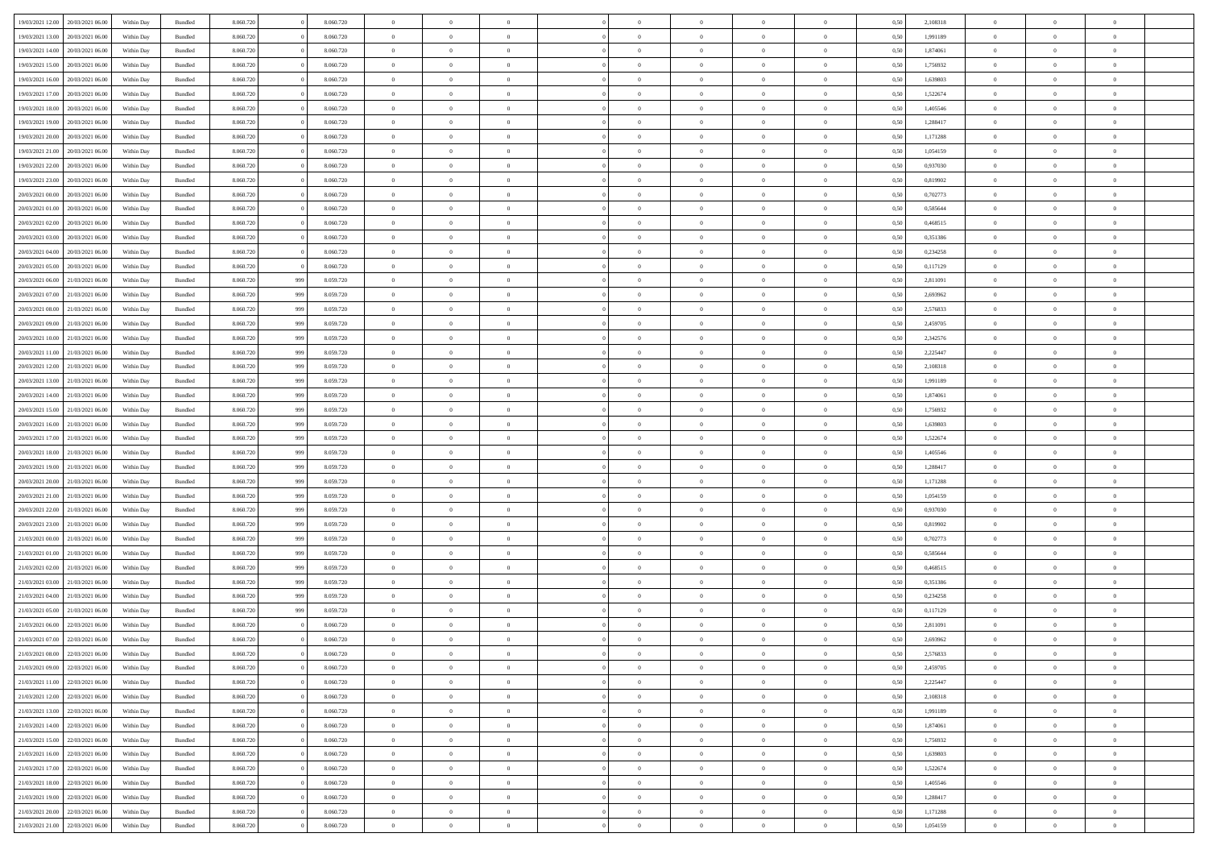| 19/03/2021 12:00                  | 20/03/2021 06:00 | Within Day | Bundled            | 8.060.720 |     | 8.060.720 | $\overline{0}$ | $\Omega$       |                | $\Omega$       | $\Omega$       | $\theta$       | $\theta$       | 0.50 | 2,108318 | $\theta$       | $\theta$       | $\theta$       |  |
|-----------------------------------|------------------|------------|--------------------|-----------|-----|-----------|----------------|----------------|----------------|----------------|----------------|----------------|----------------|------|----------|----------------|----------------|----------------|--|
| 19/03/2021 13:00                  | 20/03/2021 06:00 | Within Day | Bundled            | 8.060.720 |     | 8.060.720 | $\overline{0}$ | $\theta$       | $\overline{0}$ | $\overline{0}$ | $\bf{0}$       | $\overline{0}$ | $\overline{0}$ | 0,50 | 1,991189 | $\theta$       | $\theta$       | $\overline{0}$ |  |
| 19/03/2021 14:00                  | 20/03/2021 06:00 | Within Day | Bundled            | 8.060.720 |     | 8.060.720 | $\overline{0}$ | $\overline{0}$ | $\overline{0}$ | $\bf{0}$       | $\bf{0}$       | $\bf{0}$       | $\bf{0}$       | 0,50 | 1,874061 | $\overline{0}$ | $\overline{0}$ | $\overline{0}$ |  |
| 19/03/2021 15:00                  | 20/03/2021 06:00 | Within Dav | Bundled            | 8.060.720 |     | 8.060.720 | $\overline{0}$ | $\overline{0}$ | $\overline{0}$ | $\overline{0}$ | $\bf{0}$       | $\overline{0}$ | $\overline{0}$ | 0.50 | 1.756932 | $\theta$       | $\theta$       | $\overline{0}$ |  |
| 19/03/2021 16:00                  | 20/03/2021 06:00 | Within Day | Bundled            | 8.060.720 |     | 8.060.720 | $\overline{0}$ | $\theta$       | $\overline{0}$ | $\overline{0}$ | $\bf{0}$       | $\overline{0}$ | $\bf{0}$       | 0,50 | 1,639803 | $\theta$       | $\theta$       | $\overline{0}$ |  |
|                                   |                  |            |                    |           |     |           |                |                |                |                |                |                |                |      |          |                |                |                |  |
| 19/03/2021 17:00                  | 20/03/2021 06:00 | Within Day | Bundled            | 8.060.720 |     | 8.060.720 | $\overline{0}$ | $\bf{0}$       | $\overline{0}$ | $\bf{0}$       | $\overline{0}$ | $\overline{0}$ | $\mathbf{0}$   | 0,50 | 1,522674 | $\overline{0}$ | $\overline{0}$ | $\bf{0}$       |  |
| 19/03/2021 18:00                  | 20/03/2021 06:00 | Within Dav | Bundled            | 8.060.720 |     | 8.060.720 | $\overline{0}$ | $\overline{0}$ | $\overline{0}$ | $\overline{0}$ | $\overline{0}$ | $\overline{0}$ | $\overline{0}$ | 0.50 | 1,405546 | $\theta$       | $\overline{0}$ | $\overline{0}$ |  |
| 19/03/2021 19:00                  | 20/03/2021 06:00 | Within Day | Bundled            | 8.060.720 |     | 8.060.720 | $\overline{0}$ | $\theta$       | $\overline{0}$ | $\overline{0}$ | $\bf{0}$       | $\overline{0}$ | $\bf{0}$       | 0,50 | 1,288417 | $\theta$       | $\theta$       | $\overline{0}$ |  |
| 19/03/2021 20:00                  | 20/03/2021 06:00 | Within Day | Bundled            | 8.060.720 |     | 8.060.720 | $\overline{0}$ | $\overline{0}$ | $\overline{0}$ | $\bf{0}$       | $\bf{0}$       | $\bf{0}$       | $\bf{0}$       | 0,50 | 1,171288 | $\,0\,$        | $\overline{0}$ | $\overline{0}$ |  |
| 19/03/2021 21:00                  | 20/03/2021 06:00 | Within Dav | Bundled            | 8.060.720 |     | 8.060.720 | $\overline{0}$ | $\overline{0}$ | $\overline{0}$ | $\overline{0}$ | $\overline{0}$ | $\overline{0}$ | $\overline{0}$ | 0.50 | 1,054159 | $\theta$       | $\overline{0}$ | $\overline{0}$ |  |
| 19/03/2021 22:00                  | 20/03/2021 06:00 | Within Day | Bundled            | 8.060.720 |     | 8.060.720 | $\overline{0}$ | $\theta$       | $\overline{0}$ | $\overline{0}$ | $\bf{0}$       | $\overline{0}$ | $\bf{0}$       | 0,50 | 0,937030 | $\theta$       | $\theta$       | $\overline{0}$ |  |
|                                   |                  |            |                    |           |     |           |                |                |                |                |                |                |                |      |          |                |                |                |  |
| 19/03/2021 23:00                  | 20/03/2021 06:00 | Within Day | Bundled            | 8.060.720 |     | 8.060.720 | $\overline{0}$ | $\overline{0}$ | $\overline{0}$ | $\bf{0}$       | $\bf{0}$       | $\bf{0}$       | $\bf{0}$       | 0,50 | 0,819902 | $\overline{0}$ | $\overline{0}$ | $\overline{0}$ |  |
| 20/03/2021 00:00                  | 20/03/2021 06:00 | Within Dav | Bundled            | 8.060.720 |     | 8.060.720 | $\overline{0}$ | $\overline{0}$ | $\overline{0}$ | $\overline{0}$ | $\bf{0}$       | $\overline{0}$ | $\overline{0}$ | 0.50 | 0,702773 | $\theta$       | $\theta$       | $\overline{0}$ |  |
| 20/03/2021 01:00                  | 20/03/2021 06:00 | Within Day | Bundled            | 8.060.720 |     | 8.060.720 | $\overline{0}$ | $\theta$       | $\overline{0}$ | $\overline{0}$ | $\bf{0}$       | $\overline{0}$ | $\overline{0}$ | 0,50 | 0,585644 | $\theta$       | $\overline{0}$ | $\overline{0}$ |  |
| 20/03/2021 02:00                  | 20/03/2021 06:00 | Within Day | Bundled            | 8.060.720 |     | 8.060.720 | $\overline{0}$ | $\overline{0}$ | $\overline{0}$ | $\bf{0}$       | $\overline{0}$ | $\overline{0}$ | $\mathbf{0}$   | 0,50 | 0,468515 | $\overline{0}$ | $\overline{0}$ | $\bf{0}$       |  |
| 20/03/2021 03:00                  | 20/03/2021 06:00 | Within Dav | Bundled            | 8.060.720 |     | 8.060.720 | $\overline{0}$ | $\overline{0}$ | $\overline{0}$ | $\overline{0}$ | $\overline{0}$ | $\overline{0}$ | $\overline{0}$ | 0.50 | 0,351386 | $\theta$       | $\overline{0}$ | $\overline{0}$ |  |
| 20/03/2021 04:00                  | 20/03/2021 06:00 | Within Day | Bundled            | 8.060.720 |     | 8.060.720 | $\overline{0}$ | $\theta$       | $\overline{0}$ | $\overline{0}$ | $\bf{0}$       | $\overline{0}$ | $\bf{0}$       | 0,50 | 0,234258 | $\theta$       | $\theta$       | $\overline{0}$ |  |
| 20/03/2021 05:00                  | 20/03/2021 06:00 | Within Day | Bundled            | 8.060.720 |     | 8.060.720 | $\overline{0}$ | $\overline{0}$ | $\overline{0}$ | $\bf{0}$       | $\bf{0}$       | $\bf{0}$       | $\bf{0}$       | 0,50 | 0,117129 | $\bf{0}$       | $\overline{0}$ | $\overline{0}$ |  |
| 20/03/2021 06:00                  | 21/03/2021 06:00 | Within Dav | Bundled            | 8.060.720 |     | 8.059.720 | $\overline{0}$ | $\overline{0}$ | $\overline{0}$ | $\overline{0}$ | $\overline{0}$ | $\overline{0}$ | $\overline{0}$ | 0.50 | 2,811091 | $\theta$       | $\overline{0}$ | $\overline{0}$ |  |
|                                   |                  |            |                    |           | 999 |           |                |                |                |                |                |                |                |      |          |                |                |                |  |
| 20/03/2021 07:00                  | 21/03/2021 06:00 | Within Day | Bundled            | 8.060.720 | 999 | 8.059.720 | $\overline{0}$ | $\theta$       | $\overline{0}$ | $\overline{0}$ | $\bf{0}$       | $\overline{0}$ | $\bf{0}$       | 0,50 | 2,693962 | $\,$ 0 $\,$    | $\theta$       | $\overline{0}$ |  |
| 20/03/2021 08:00                  | 21/03/2021 06:00 | Within Day | Bundled            | 8.060.720 | 999 | 8.059.720 | $\overline{0}$ | $\overline{0}$ | $\overline{0}$ | $\bf{0}$       | $\bf{0}$       | $\bf{0}$       | $\bf{0}$       | 0,50 | 2,576833 | $\bf{0}$       | $\overline{0}$ | $\overline{0}$ |  |
| 20/03/2021 09:00                  | 21/03/2021 06:00 | Within Dav | Bundled            | 8.060.720 | 999 | 8.059.720 | $\overline{0}$ | $\overline{0}$ | $\overline{0}$ | $\overline{0}$ | $\bf{0}$       | $\overline{0}$ | $\overline{0}$ | 0.50 | 2,459705 | $\theta$       | $\overline{0}$ | $\overline{0}$ |  |
| 20/03/2021 10:00                  | 21/03/2021 06:00 | Within Day | Bundled            | 8.060.720 | 999 | 8.059.720 | $\overline{0}$ | $\theta$       | $\overline{0}$ | $\overline{0}$ | $\bf{0}$       | $\overline{0}$ | $\bf{0}$       | 0,50 | 2,342576 | $\,$ 0 $\,$    | $\overline{0}$ | $\overline{0}$ |  |
| 20/03/2021 11:00                  | 21/03/2021 06:00 | Within Day | Bundled            | 8.060.720 | 999 | 8.059.720 | $\overline{0}$ | $\bf{0}$       | $\overline{0}$ | $\bf{0}$       | $\overline{0}$ | $\overline{0}$ | $\mathbf{0}$   | 0,50 | 2,225447 | $\overline{0}$ | $\overline{0}$ | $\bf{0}$       |  |
| 20/03/2021 12:00                  | 21/03/2021 06:00 | Within Dav | Bundled            | 8.060.720 | 999 | 8.059.720 | $\overline{0}$ | $\overline{0}$ | $\overline{0}$ | $\overline{0}$ | $\overline{0}$ | $\overline{0}$ | $\overline{0}$ | 0.50 | 2,108318 | $\overline{0}$ | $\overline{0}$ | $\overline{0}$ |  |
|                                   |                  |            |                    |           |     |           | $\overline{0}$ | $\theta$       | $\overline{0}$ |                | $\bf{0}$       | $\overline{0}$ |                |      |          | $\theta$       | $\theta$       | $\overline{0}$ |  |
| 20/03/2021 13:00                  | 21/03/2021 06:00 | Within Day | Bundled            | 8.060.720 | 999 | 8.059.720 |                |                |                | $\overline{0}$ |                |                | $\bf{0}$       | 0,50 | 1,991189 |                |                |                |  |
| 20/03/2021 14:00                  | 21/03/2021 06:00 | Within Day | Bundled            | 8.060.720 | 999 | 8.059.720 | $\overline{0}$ | $\overline{0}$ | $\overline{0}$ | $\bf{0}$       | $\bf{0}$       | $\bf{0}$       | $\bf{0}$       | 0,50 | 1,874061 | $\,0\,$        | $\overline{0}$ | $\overline{0}$ |  |
| 20/03/2021 15:00                  | 21/03/2021 06:00 | Within Day | Bundled            | 8.060.720 | 999 | 8.059.720 | $\overline{0}$ | $\overline{0}$ | $\overline{0}$ | $\overline{0}$ | $\overline{0}$ | $\overline{0}$ | $\overline{0}$ | 0.50 | 1,756932 | $\theta$       | $\overline{0}$ | $\overline{0}$ |  |
| 20/03/2021 16:00                  | 21/03/2021 06:00 | Within Day | Bundled            | 8.060.720 | 999 | 8.059.720 | $\overline{0}$ | $\theta$       | $\overline{0}$ | $\overline{0}$ | $\bf{0}$       | $\overline{0}$ | $\bf{0}$       | 0,50 | 1,639803 | $\,$ 0 $\,$    | $\overline{0}$ | $\overline{0}$ |  |
| 20/03/2021 17:00                  | 21/03/2021 06:00 | Within Day | Bundled            | 8.060.720 | 999 | 8.059.720 | $\overline{0}$ | $\overline{0}$ | $\overline{0}$ | $\bf{0}$       | $\bf{0}$       | $\bf{0}$       | $\bf{0}$       | 0,50 | 1,522674 | $\overline{0}$ | $\overline{0}$ | $\overline{0}$ |  |
| 20/03/2021 18:00                  | 21/03/2021 06:00 | Within Day | Bundled            | 8.060.720 | 999 | 8.059.720 | $\overline{0}$ | $\Omega$       | $\Omega$       | $\Omega$       | $\Omega$       | $\Omega$       | $\overline{0}$ | 0.50 | 1,405546 | $\,0\,$        | $\theta$       | $\theta$       |  |
| 20/03/2021 19:00                  | 21/03/2021 06:00 | Within Day | Bundled            | 8.060.720 | 999 | 8.059.720 | $\overline{0}$ | $\theta$       | $\overline{0}$ | $\overline{0}$ | $\bf{0}$       | $\overline{0}$ | $\bf{0}$       | 0,50 | 1,288417 | $\,$ 0 $\,$    | $\theta$       | $\overline{0}$ |  |
|                                   |                  |            |                    |           |     |           |                |                |                |                |                |                |                |      |          |                |                |                |  |
| 20/03/2021 20:00                  | 21/03/2021 06:00 | Within Day | Bundled            | 8.060.720 | 999 | 8.059.720 | $\overline{0}$ | $\overline{0}$ | $\overline{0}$ | $\bf{0}$       | $\bf{0}$       | $\overline{0}$ | $\mathbf{0}$   | 0,50 | 1,171288 | $\overline{0}$ | $\overline{0}$ | $\bf{0}$       |  |
| 20/03/2021 21:00                  | 21/03/2021 06:00 | Within Day | Bundled            | 8.060.720 | 999 | 8.059.720 | $\overline{0}$ | $\Omega$       | $\Omega$       | $\Omega$       | $\bf{0}$       | $\overline{0}$ | $\overline{0}$ | 0.50 | 1,054159 | $\,0\,$        | $\theta$       | $\theta$       |  |
| 20/03/2021 22:00                  | 21/03/2021 06:00 | Within Day | Bundled            | 8.060.720 | 999 | 8.059.720 | $\overline{0}$ | $\theta$       | $\overline{0}$ | $\overline{0}$ | $\bf{0}$       | $\overline{0}$ | $\bf{0}$       | 0,50 | 0,937030 | $\theta$       | $\theta$       | $\overline{0}$ |  |
| 20/03/2021 23:00                  | 21/03/2021 06:00 | Within Day | Bundled            | 8.060.720 | 999 | 8.059.720 | $\overline{0}$ | $\overline{0}$ | $\overline{0}$ | $\bf{0}$       | $\bf{0}$       | $\bf{0}$       | $\bf{0}$       | 0,50 | 0,819902 | $\,0\,$        | $\overline{0}$ | $\overline{0}$ |  |
| 21/03/2021 00:00                  | 21/03/2021 06:00 | Within Day | Bundled            | 8.060.720 | 999 | 8.059.720 | $\overline{0}$ | $\Omega$       | $\Omega$       | $\Omega$       | $\theta$       | $\theta$       | $\overline{0}$ | 0.50 | 0,702773 | $\theta$       | $\theta$       | $\theta$       |  |
| 21/03/2021 01:00                  | 21/03/2021 06:00 | Within Day | Bundled            | 8.060.720 | 999 | 8.059.720 | $\overline{0}$ | $\theta$       | $\overline{0}$ | $\overline{0}$ | $\bf{0}$       | $\overline{0}$ | $\bf{0}$       | 0,50 | 0,585644 | $\,$ 0 $\,$    | $\overline{0}$ | $\overline{0}$ |  |
| 21/03/2021 02:00                  | 21/03/2021 06:00 | Within Day | Bundled            | 8.060.720 | 999 | 8.059.720 | $\overline{0}$ | $\overline{0}$ | $\overline{0}$ | $\bf{0}$       | $\bf{0}$       | $\bf{0}$       | $\bf{0}$       | 0,50 | 0,468515 | $\bf{0}$       | $\overline{0}$ | $\overline{0}$ |  |
| 21/03/2021 03:00                  | 21/03/2021 06:00 |            |                    | 8.060.720 | 999 | 8.059.720 | $\overline{0}$ | $\Omega$       | $\Omega$       | $\Omega$       | $\Omega$       | $\overline{0}$ | $\overline{0}$ | 0.50 | 0,351386 | $\,0\,$        | $\theta$       | $\theta$       |  |
|                                   |                  | Within Day | Bundled            |           |     |           |                |                |                |                |                |                |                |      |          |                |                |                |  |
| 21/03/2021 04:00                  | 21/03/2021 06:00 | Within Day | Bundled            | 8.060.720 | 999 | 8.059.720 | $\overline{0}$ | $\theta$       | $\overline{0}$ | $\overline{0}$ | $\bf{0}$       | $\overline{0}$ | $\bf{0}$       | 0,50 | 0,234258 | $\,$ 0 $\,$    | $\overline{0}$ | $\overline{0}$ |  |
| 21/03/2021 05:00                  | 21/03/2021 06:00 | Within Day | Bundled            | 8.060.720 | 999 | 8.059.720 | $\overline{0}$ | $\overline{0}$ | $\overline{0}$ | $\bf{0}$       | $\bf{0}$       | $\bf{0}$       | $\mathbf{0}$   | 0,50 | 0,117129 | $\bf{0}$       | $\overline{0}$ | $\bf{0}$       |  |
| 21/03/2021 06:00                  | 22/03/2021 06:00 | Within Day | Bundled            | 8.060.720 |     | 8.060.720 | $\overline{0}$ | $\Omega$       | $\Omega$       | $\Omega$       | $\Omega$       | $\Omega$       | $\overline{0}$ | 0.50 | 2,811091 | $\theta$       | $\theta$       | $\theta$       |  |
| 21/03/2021 07:00 22/03/2021 06:00 |                  | Within Day | Bundled            | 8.060.720 |     | 8.060.720 | $\overline{0}$ | $\overline{0}$ | $\overline{0}$ | $\bf{0}$       | $\,$ 0         | $\bf{0}$       | $\bf{0}$       | 0,50 | 2,693962 | $\,0\,$        | $\,$ 0 $\,$    | $\overline{0}$ |  |
| 21/03/2021 08:00 22/03/2021 06:00 |                  | Within Day | $\mathbf B$ undled | 8.060.720 |     | 8.060.720 | $\bf{0}$       | $\bf{0}$       |                |                |                |                |                | 0,50 | 2,576833 | $\bf{0}$       | $\overline{0}$ |                |  |
| 21/03/2021 09:00                  | 22/03/2021 06:00 | Within Day | Bundled            | 8.060.720 |     | 8.060.720 | $\overline{0}$ | $\overline{0}$ | $\overline{0}$ | $\Omega$       | $\overline{0}$ | $\overline{0}$ | $\overline{0}$ | 0.50 | 2,459705 | $\theta$       | $\theta$       | $\theta$       |  |
| 21/03/2021 11:00                  | 22/03/2021 06:00 | Within Day | Bundled            | 8.060.720 |     | 8.060.720 | $\overline{0}$ | $\,$ 0         | $\overline{0}$ | $\bf{0}$       | $\,$ 0 $\,$    | $\overline{0}$ | $\mathbf{0}$   | 0,50 | 2,225447 | $\,$ 0 $\,$    | $\,$ 0 $\,$    | $\,$ 0         |  |
|                                   |                  |            |                    |           |     |           |                |                |                |                |                |                |                |      |          |                |                |                |  |
| 21/03/2021 12:00                  | 22/03/2021 06:00 | Within Day | Bundled            | 8.060.720 |     | 8.060.720 | $\overline{0}$ | $\overline{0}$ | $\overline{0}$ | $\overline{0}$ | $\overline{0}$ | $\overline{0}$ | $\mathbf{0}$   | 0,50 | 2,108318 | $\overline{0}$ | $\bf{0}$       | $\bf{0}$       |  |
| 21/03/2021 13:00                  | 22/03/2021 06:00 | Within Day | Bundled            | 8.060.720 |     | 8.060.720 | $\overline{0}$ | $\overline{0}$ | $\overline{0}$ | $\Omega$       | $\overline{0}$ | $\overline{0}$ | $\overline{0}$ | 0,50 | 1,991189 | $\overline{0}$ | $\theta$       | $\overline{0}$ |  |
| 21/03/2021 14:00                  | 22/03/2021 06:00 | Within Day | Bundled            | 8.060.720 |     | 8.060.720 | $\overline{0}$ | $\,$ 0         | $\overline{0}$ | $\overline{0}$ | $\,$ 0 $\,$    | $\overline{0}$ | $\mathbf{0}$   | 0,50 | 1,874061 | $\,$ 0 $\,$    | $\overline{0}$ | $\overline{0}$ |  |
| 21/03/2021 15:00                  | 22/03/2021 06:00 | Within Day | Bundled            | 8.060.720 |     | 8.060.720 | $\overline{0}$ | $\overline{0}$ | $\overline{0}$ | $\overline{0}$ | $\overline{0}$ | $\overline{0}$ | $\mathbf{0}$   | 0,50 | 1,756932 | $\overline{0}$ | $\overline{0}$ | $\bf{0}$       |  |
| 21/03/2021 16:00                  | 22/03/2021 06:00 | Within Day | Bundled            | 8.060.720 |     | 8.060.720 | $\overline{0}$ | $\overline{0}$ | $\overline{0}$ | $\Omega$       | $\overline{0}$ | $\overline{0}$ | $\bf{0}$       | 0.50 | 1,639803 | $\overline{0}$ | $\theta$       | $\overline{0}$ |  |
| 21/03/2021 17:00                  | 22/03/2021 06:00 | Within Day | Bundled            | 8.060.720 |     | 8.060.720 | $\overline{0}$ | $\,$ 0         | $\overline{0}$ | $\bf{0}$       | $\bf{0}$       | $\bf{0}$       | $\bf{0}$       | 0,50 | 1,522674 | $\,$ 0 $\,$    | $\overline{0}$ | $\overline{0}$ |  |
| 21/03/2021 18:00                  | 22/03/2021 06:00 | Within Day | Bundled            | 8.060.720 |     | 8.060.720 | $\overline{0}$ | $\bf{0}$       | $\overline{0}$ | $\overline{0}$ | $\overline{0}$ | $\overline{0}$ | $\mathbf{0}$   | 0,50 | 1,405546 | $\overline{0}$ | $\overline{0}$ | $\bf{0}$       |  |
| 21/03/2021 19:00                  |                  |            |                    |           |     |           | $\overline{0}$ | $\overline{0}$ | $\overline{0}$ | $\Omega$       | $\overline{0}$ | $\overline{0}$ |                | 0.50 |          | $\overline{0}$ | $\overline{0}$ | $\overline{0}$ |  |
|                                   | 22/03/2021 06:00 | Within Day | Bundled            | 8.060.720 |     | 8.060.720 |                |                |                |                |                |                | $\overline{0}$ |      | 1,288417 |                |                |                |  |
| 21/03/2021 20:00                  | 22/03/2021 06:00 | Within Day | Bundled            | 8.060.720 |     | 8.060.720 | $\overline{0}$ | $\bf{0}$       | $\overline{0}$ | $\overline{0}$ | $\bf{0}$       | $\bf{0}$       | $\bf{0}$       | 0,50 | 1,171288 | $\,$ 0 $\,$    | $\,$ 0 $\,$    | $\bf{0}$       |  |
| 21/03/2021 21.00 22/03/2021 06:00 |                  | Within Day | Bundled            | 8.060.720 |     | 8.060.720 | $\overline{0}$ | $\bf{0}$       | $\overline{0}$ | $\bf{0}$       | $\bf{0}$       | $\bf{0}$       | $\bf{0}$       | 0,50 | 1,054159 | $\overline{0}$ | $\overline{0}$ | $\bf{0}$       |  |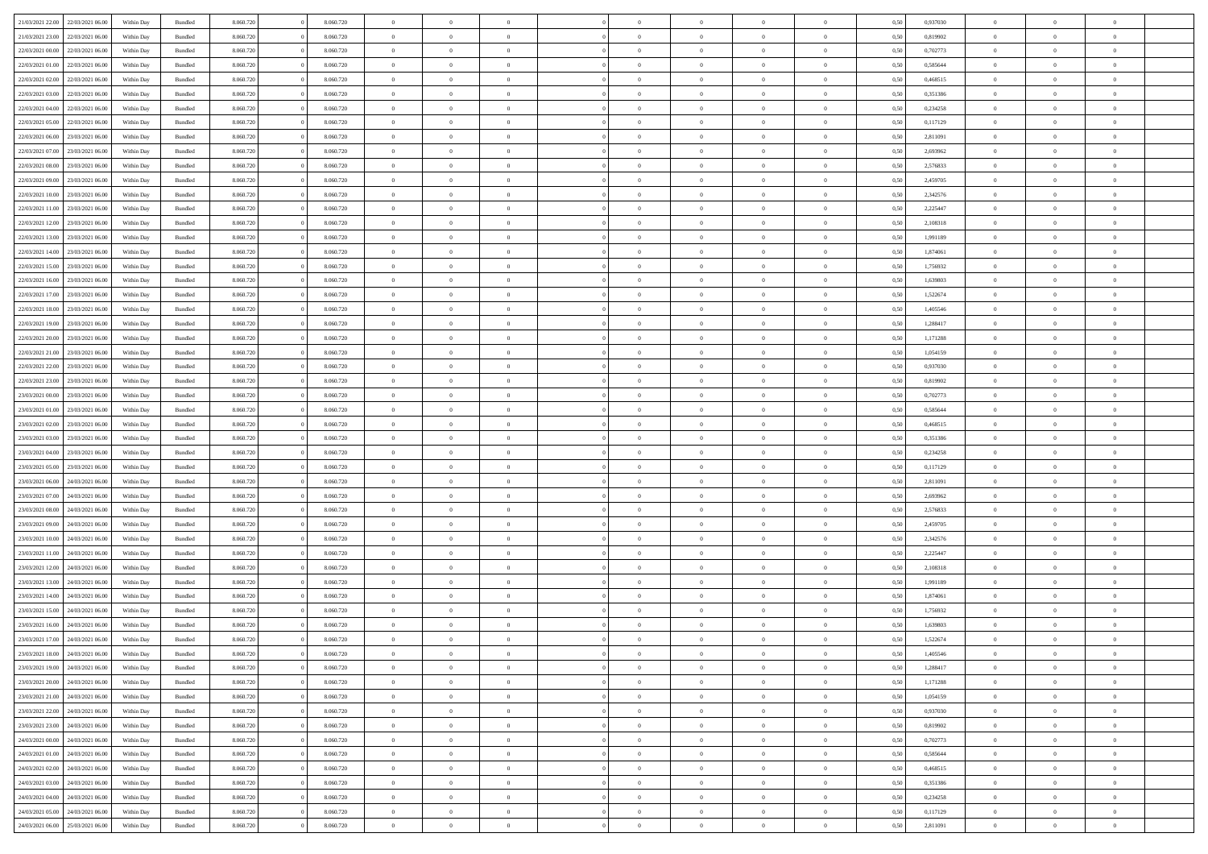|                                   |                  |            |                    |           |           |                | $\Omega$       |                |                | $\Omega$       | $\theta$       | $\theta$       |      |          | $\theta$       |                |                |  |
|-----------------------------------|------------------|------------|--------------------|-----------|-----------|----------------|----------------|----------------|----------------|----------------|----------------|----------------|------|----------|----------------|----------------|----------------|--|
| 21/03/2021 22:00                  | 22/03/2021 06:00 | Within Day | Bundled            | 8.060.720 | 8.060.720 | $\overline{0}$ |                |                | $\Omega$       |                |                |                | 0,50 | 0,937030 |                | $\theta$       | $\overline{0}$ |  |
| 21/03/2021 23:00                  | 22/03/2021 06:00 | Within Day | Bundled            | 8.060.720 | 8.060.720 | $\overline{0}$ | $\theta$       | $\overline{0}$ | $\overline{0}$ | $\bf{0}$       | $\overline{0}$ | $\bf{0}$       | 0,50 | 0,819902 | $\theta$       | $\overline{0}$ | $\overline{0}$ |  |
| 22/03/2021 00:00                  | 22/03/2021 06:00 | Within Day | Bundled            | 8.060.720 | 8.060.720 | $\overline{0}$ | $\bf{0}$       | $\overline{0}$ | $\bf{0}$       | $\bf{0}$       | $\bf{0}$       | $\mathbf{0}$   | 0,50 | 0,702773 | $\overline{0}$ | $\overline{0}$ | $\bf{0}$       |  |
| 22/03/2021 01:00                  | 22/03/2021 06:00 | Within Dav | Bundled            | 8.060.720 | 8.060.720 | $\overline{0}$ | $\overline{0}$ |                |                | $\bf{0}$       | $\overline{0}$ |                | 0.50 | 0.585644 | $\theta$       | $\theta$       | $\overline{0}$ |  |
|                                   |                  |            |                    |           |           |                |                | $\overline{0}$ | $\overline{0}$ |                |                | $\overline{0}$ |      |          |                |                |                |  |
| 22/03/2021 02:00                  | 22/03/2021 06:00 | Within Day | Bundled            | 8.060.720 | 8.060.720 | $\overline{0}$ | $\theta$       | $\overline{0}$ | $\overline{0}$ | $\bf{0}$       | $\overline{0}$ | $\bf{0}$       | 0,50 | 0,468515 | $\theta$       | $\overline{0}$ | $\overline{0}$ |  |
| 22/03/2021 03:00                  | 22/03/2021 06:00 | Within Day | Bundled            | 8.060.720 | 8.060.720 | $\overline{0}$ | $\overline{0}$ | $\overline{0}$ | $\bf{0}$       | $\overline{0}$ | $\overline{0}$ | $\mathbf{0}$   | 0,50 | 0,351386 | $\overline{0}$ | $\overline{0}$ | $\bf{0}$       |  |
| 22/03/2021 04:00                  | 22/03/2021 06:00 | Within Dav | Bundled            | 8.060.720 | 8.060.720 | $\overline{0}$ | $\overline{0}$ | $\overline{0}$ | $\overline{0}$ | $\overline{0}$ | $\overline{0}$ | $\overline{0}$ | 0.50 | 0,234258 | $\theta$       | $\overline{0}$ | $\overline{0}$ |  |
|                                   |                  |            |                    |           |           |                |                |                |                |                |                |                |      |          |                |                |                |  |
| 22/03/2021 05:00                  | 22/03/2021 06:00 | Within Day | Bundled            | 8.060.720 | 8.060.720 | $\overline{0}$ | $\theta$       | $\overline{0}$ | $\overline{0}$ | $\bf{0}$       | $\overline{0}$ | $\bf{0}$       | 0,50 | 0,117129 | $\theta$       | $\theta$       | $\overline{0}$ |  |
| 22/03/2021 06:00                  | 23/03/2021 06:00 | Within Day | Bundled            | 8.060.720 | 8.060.720 | $\overline{0}$ | $\overline{0}$ | $\overline{0}$ | $\bf{0}$       | $\bf{0}$       | $\bf{0}$       | $\bf{0}$       | 0,50 | 2,811091 | $\,0\,$        | $\overline{0}$ | $\overline{0}$ |  |
| 22/03/2021 07:00                  | 23/03/2021 06:00 | Within Dav | Bundled            | 8.060.720 | 8.060.720 | $\overline{0}$ | $\overline{0}$ | $\overline{0}$ | $\overline{0}$ | $\overline{0}$ | $\overline{0}$ | $\overline{0}$ | 0.50 | 2,693962 | $\theta$       | $\overline{0}$ | $\overline{0}$ |  |
|                                   |                  |            |                    |           |           |                |                |                |                |                |                |                |      |          |                |                |                |  |
| 22/03/2021 08:00                  | 23/03/2021 06:00 | Within Day | Bundled            | 8.060.720 | 8.060.720 | $\overline{0}$ | $\theta$       | $\overline{0}$ | $\overline{0}$ | $\bf{0}$       | $\overline{0}$ | $\bf{0}$       | 0,50 | 2,576833 | $\,$ 0 $\,$    | $\overline{0}$ | $\overline{0}$ |  |
| 22/03/2021 09:00                  | 23/03/2021 06:00 | Within Day | Bundled            | 8.060.720 | 8.060.720 | $\overline{0}$ | $\bf{0}$       | $\overline{0}$ | $\bf{0}$       | $\bf{0}$       | $\bf{0}$       | $\mathbf{0}$   | 0,50 | 2,459705 | $\overline{0}$ | $\overline{0}$ | $\bf{0}$       |  |
| 22/03/2021 10:00                  | 23/03/2021 06:00 | Within Day | Bundled            | 8.060.720 | 8.060.720 | $\overline{0}$ | $\overline{0}$ | $\overline{0}$ | $\overline{0}$ | $\bf{0}$       | $\overline{0}$ | $\overline{0}$ | 0.50 | 2,342576 | $\theta$       | $\theta$       | $\overline{0}$ |  |
| 22/03/2021 11:00                  | 23/03/2021 06:00 | Within Day | Bundled            | 8.060.720 | 8.060.720 | $\overline{0}$ | $\theta$       | $\overline{0}$ | $\overline{0}$ | $\bf{0}$       | $\overline{0}$ | $\bf{0}$       | 0,50 | 2,225447 | $\theta$       | $\overline{0}$ | $\overline{0}$ |  |
|                                   |                  |            |                    |           |           |                |                |                |                |                |                |                |      |          |                |                |                |  |
| 22/03/2021 12:00                  | 23/03/2021 06:00 | Within Day | Bundled            | 8.060.720 | 8.060.720 | $\overline{0}$ | $\overline{0}$ | $\overline{0}$ | $\bf{0}$       | $\overline{0}$ | $\overline{0}$ | $\mathbf{0}$   | 0,50 | 2,108318 | $\overline{0}$ | $\overline{0}$ | $\bf{0}$       |  |
| 22/03/2021 13:00                  | 23/03/2021 06:00 | Within Dav | Bundled            | 8.060.720 | 8.060.720 | $\overline{0}$ | $\overline{0}$ | $\overline{0}$ | $\overline{0}$ | $\overline{0}$ | $\overline{0}$ | $\overline{0}$ | 0.50 | 1,991189 | $\theta$       | $\overline{0}$ | $\overline{0}$ |  |
| 22/03/2021 14:00                  | 23/03/2021 06:00 | Within Day | Bundled            | 8.060.720 | 8.060.720 | $\overline{0}$ | $\theta$       | $\overline{0}$ | $\overline{0}$ | $\bf{0}$       | $\overline{0}$ | $\bf{0}$       | 0,50 | 1,874061 | $\theta$       | $\theta$       | $\overline{0}$ |  |
|                                   |                  |            |                    |           |           |                |                |                |                |                |                |                |      |          |                |                |                |  |
| 22/03/2021 15:00                  | 23/03/2021 06:00 | Within Day | Bundled            | 8.060.720 | 8.060.720 | $\overline{0}$ | $\overline{0}$ | $\overline{0}$ | $\bf{0}$       | $\bf{0}$       | $\bf{0}$       | $\mathbf{0}$   | 0,50 | 1,756932 | $\bf{0}$       | $\overline{0}$ | $\overline{0}$ |  |
| 22/03/2021 16:00                  | 23/03/2021 06:00 | Within Day | Bundled            | 8.060.720 | 8.060.720 | $\overline{0}$ | $\overline{0}$ | $\overline{0}$ | $\overline{0}$ | $\overline{0}$ | $\overline{0}$ | $\overline{0}$ | 0.50 | 1,639803 | $\theta$       | $\overline{0}$ | $\overline{0}$ |  |
| 22/03/2021 17:00                  | 23/03/2021 06:00 | Within Day | Bundled            | 8.060.720 | 8.060.720 | $\overline{0}$ | $\theta$       | $\overline{0}$ | $\overline{0}$ | $\bf{0}$       | $\overline{0}$ | $\bf{0}$       | 0,50 | 1,522674 | $\,$ 0 $\,$    | $\overline{0}$ | $\overline{0}$ |  |
| 22/03/2021 18:00                  | 23/03/2021 06:00 | Within Day | Bundled            | 8.060.720 | 8.060.720 | $\overline{0}$ | $\overline{0}$ | $\overline{0}$ | $\bf{0}$       | $\bf{0}$       | $\bf{0}$       | $\bf{0}$       | 0,50 | 1,405546 | $\,0\,$        | $\overline{0}$ | $\bf{0}$       |  |
|                                   |                  |            |                    |           |           |                |                |                |                |                |                |                |      |          |                |                |                |  |
| 22/03/2021 19:00                  | 23/03/2021 06:00 | Within Day | Bundled            | 8.060.720 | 8.060.720 | $\overline{0}$ | $\overline{0}$ | $\overline{0}$ | $\overline{0}$ | $\overline{0}$ | $\overline{0}$ | $\overline{0}$ | 0.50 | 1.288417 | $\theta$       | $\overline{0}$ | $\overline{0}$ |  |
| 22/03/2021 20:00                  | 23/03/2021 06:00 | Within Day | Bundled            | 8.060.720 | 8.060.720 | $\overline{0}$ | $\theta$       | $\overline{0}$ | $\overline{0}$ | $\bf{0}$       | $\overline{0}$ | $\bf{0}$       | 0,50 | 1,171288 | $\,$ 0 $\,$    | $\overline{0}$ | $\overline{0}$ |  |
| 22/03/2021 21:00                  | 23/03/2021 06:00 | Within Day | Bundled            | 8.060.720 | 8.060.720 | $\overline{0}$ | $\overline{0}$ | $\overline{0}$ | $\bf{0}$       | $\overline{0}$ | $\overline{0}$ | $\mathbf{0}$   | 0,50 | 1,054159 | $\overline{0}$ | $\overline{0}$ | $\bf{0}$       |  |
| 22/03/2021 22:00                  | 23/03/2021 06:00 | Within Dav | Bundled            | 8.060.720 | 8.060.720 | $\overline{0}$ | $\overline{0}$ | $\overline{0}$ | $\overline{0}$ | $\overline{0}$ | $\overline{0}$ | $\overline{0}$ | 0.50 | 0,937030 | $\theta$       | $\overline{0}$ | $\overline{0}$ |  |
|                                   |                  |            |                    |           |           |                |                |                |                |                |                |                |      |          |                |                |                |  |
| 22/03/2021 23:00                  | 23/03/2021 06:00 | Within Day | Bundled            | 8.060.720 | 8.060.720 | $\overline{0}$ | $\theta$       | $\overline{0}$ | $\overline{0}$ | $\bf{0}$       | $\overline{0}$ | $\bf{0}$       | 0,50 | 0,819902 | $\theta$       | $\theta$       | $\overline{0}$ |  |
| 23/03/2021 00:00                  | 23/03/2021 06:00 | Within Day | Bundled            | 8.060.720 | 8.060.720 | $\overline{0}$ | $\overline{0}$ | $\overline{0}$ | $\bf{0}$       | $\bf{0}$       | $\bf{0}$       | $\bf{0}$       | 0,50 | 0,702773 | $\,0\,$        | $\overline{0}$ | $\overline{0}$ |  |
| 23/03/2021 01:00                  | 23/03/2021 06:00 | Within Day | Bundled            | 8.060.720 | 8.060.720 | $\overline{0}$ | $\overline{0}$ | $\overline{0}$ | $\overline{0}$ | $\overline{0}$ | $\overline{0}$ | $\overline{0}$ | 0.50 | 0,585644 | $\theta$       | $\overline{0}$ | $\overline{0}$ |  |
| 23/03/2021 02:00                  | 23/03/2021 06:00 | Within Day | Bundled            | 8.060.720 | 8.060.720 | $\overline{0}$ | $\theta$       | $\overline{0}$ | $\overline{0}$ | $\bf{0}$       | $\overline{0}$ | $\bf{0}$       | 0,50 | 0,468515 | $\,$ 0 $\,$    | $\overline{0}$ | $\overline{0}$ |  |
|                                   |                  |            |                    |           |           |                |                |                |                |                |                |                |      |          |                |                |                |  |
| 23/03/2021 03:00                  | 23/03/2021 06:00 | Within Day | Bundled            | 8.060.720 | 8.060.720 | $\overline{0}$ | $\bf{0}$       | $\overline{0}$ | $\overline{0}$ | $\bf{0}$       | $\overline{0}$ | $\bf{0}$       | 0,50 | 0,351386 | $\overline{0}$ | $\overline{0}$ | $\bf{0}$       |  |
| 23/03/2021 04:00                  | 23/03/2021 06:00 | Within Day | Bundled            | 8.060.720 | 8.060.720 | $\overline{0}$ | $\Omega$       | $\Omega$       | $\Omega$       | $\Omega$       | $\overline{0}$ | $\overline{0}$ | 0,50 | 0,234258 | $\,0\,$        | $\theta$       | $\theta$       |  |
| 23/03/2021 05:00                  | 23/03/2021 06:00 | Within Day | Bundled            | 8.060.720 | 8.060.720 | $\overline{0}$ | $\theta$       | $\overline{0}$ | $\overline{0}$ | $\bf{0}$       | $\overline{0}$ | $\bf{0}$       | 0,50 | 0,117129 | $\,$ 0 $\,$    | $\overline{0}$ | $\overline{0}$ |  |
| 23/03/2021 06:00                  | 24/03/2021 06:00 | Within Day | Bundled            | 8.060.720 | 8.060.720 | $\overline{0}$ | $\overline{0}$ | $\overline{0}$ | $\overline{0}$ | $\overline{0}$ | $\overline{0}$ | $\mathbf{0}$   | 0,50 | 2,811091 | $\overline{0}$ | $\overline{0}$ | $\bf{0}$       |  |
|                                   |                  |            |                    |           |           |                |                |                |                |                |                |                |      |          |                |                |                |  |
| 23/03/2021 07:00                  | 24/03/2021 06:00 | Within Day | Bundled            | 8.060.720 | 8.060.720 | $\overline{0}$ | $\Omega$       | $\Omega$       | $\Omega$       | $\bf{0}$       | $\overline{0}$ | $\overline{0}$ | 0.50 | 2,693962 | $\,0\,$        | $\theta$       | $\theta$       |  |
| 23/03/2021 08:00                  | 24/03/2021 06.00 | Within Day | Bundled            | 8.060.720 | 8.060.720 | $\overline{0}$ | $\theta$       | $\overline{0}$ | $\overline{0}$ | $\bf{0}$       | $\overline{0}$ | $\bf{0}$       | 0,50 | 2,576833 | $\theta$       | $\overline{0}$ | $\overline{0}$ |  |
| 23/03/2021 09:00                  | 24/03/2021 06:00 | Within Day | Bundled            | 8.060.720 | 8.060.720 | $\overline{0}$ | $\overline{0}$ | $\overline{0}$ | $\overline{0}$ | $\bf{0}$       | $\overline{0}$ | $\bf{0}$       | 0,50 | 2,459705 | $\bf{0}$       | $\overline{0}$ | $\bf{0}$       |  |
|                                   | 24/03/2021 06:00 |            |                    | 8.060.720 | 8.060.720 | $\overline{0}$ | $\Omega$       | $\Omega$       | $\Omega$       | $\theta$       | $\overline{0}$ |                |      |          | $\,$ 0 $\,$    | $\theta$       | $\theta$       |  |
| 23/03/2021 10:00                  |                  | Within Day | Bundled            |           |           |                |                |                |                |                |                | $\overline{0}$ | 0.50 | 2,342576 |                |                |                |  |
| 23/03/2021 11:00                  | 24/03/2021 06.00 | Within Day | Bundled            | 8.060.720 | 8.060.720 | $\overline{0}$ | $\theta$       | $\overline{0}$ | $\overline{0}$ | $\bf{0}$       | $\overline{0}$ | $\bf{0}$       | 0,50 | 2,225447 | $\,$ 0 $\,$    | $\overline{0}$ | $\overline{0}$ |  |
| 23/03/2021 12:00                  | 24/03/2021 06:00 | Within Day | Bundled            | 8.060.720 | 8.060.720 | $\overline{0}$ | $\bf{0}$       | $\overline{0}$ | $\overline{0}$ | $\bf{0}$       | $\overline{0}$ | $\mathbf{0}$   | 0,50 | 2,108318 | $\overline{0}$ | $\overline{0}$ | $\bf{0}$       |  |
| 23/03/2021 13:00                  | 24/03/2021 06.00 | Within Day | Bundled            | 8.060.720 | 8.060.720 | $\overline{0}$ | $\Omega$       | $\overline{0}$ | $\Omega$       | $\overline{0}$ | $\overline{0}$ | $\overline{0}$ | 0,50 | 1,991189 | $\,0\,$        | $\theta$       | $\theta$       |  |
|                                   |                  |            |                    |           |           | $\overline{0}$ | $\overline{0}$ | $\overline{0}$ | $\overline{0}$ | $\bf{0}$       | $\overline{0}$ |                |      |          | $\,$ 0 $\,$    | $\overline{0}$ | $\overline{0}$ |  |
| 23/03/2021 14:00                  | 24/03/2021 06.00 | Within Day | Bundled            | 8.060.720 | 8.060.720 |                |                |                |                |                |                | $\bf{0}$       | 0,50 | 1,874061 |                |                |                |  |
| 23/03/2021 15:00                  | 24/03/2021 06:00 | Within Day | Bundled            | 8.060.720 | 8.060.720 | $\overline{0}$ | $\overline{0}$ | $\overline{0}$ | $\overline{0}$ | $\bf{0}$       | $\overline{0}$ | $\mathbf{0}$   | 0,50 | 1,756932 | $\overline{0}$ | $\overline{0}$ | $\bf{0}$       |  |
| 23/03/2021 16:00                  | 24/03/2021 06:00 | Within Day | Bundled            | 8.060.720 | 8.060.720 | $\overline{0}$ | $\Omega$       | $\Omega$       | $\Omega$       | $\Omega$       | $\Omega$       | $\overline{0}$ | 0.50 | 1,639803 | $\theta$       | $\theta$       | $\theta$       |  |
| 23/03/2021 17:00                  | 24/03/2021 06:00 | Within Day | Bundled            | 8.060.720 | 8.060.720 | $\overline{0}$ | $\overline{0}$ | $\overline{0}$ | $\bf{0}$       | $\,$ 0         | $\overline{0}$ | $\bf{0}$       | 0,50 | 1,522674 | $\,0\,$        | $\,$ 0 $\,$    | $\overline{0}$ |  |
|                                   |                  |            |                    |           |           |                |                |                |                |                |                |                |      |          |                |                |                |  |
| 23/03/2021 18:00 24/03/2021 06:00 |                  | Within Day | $\mathbf B$ undled | 8.060.720 | 8.060.720 | $\bf{0}$       | $\bf{0}$       |                |                | $\bf{0}$       |                |                | 0,50 | 1,405546 | $\bf{0}$       | $\overline{0}$ |                |  |
| 23/03/2021 19:00                  | 24/03/2021 06:00 | Within Day | Bundled            | 8.060.720 | 8.060.720 | $\overline{0}$ | $\overline{0}$ | $\overline{0}$ | $\Omega$       | $\overline{0}$ | $\overline{0}$ | $\overline{0}$ | 0.50 | 1,288417 | $\theta$       | $\theta$       | $\theta$       |  |
| 23/03/2021 20:00                  | 24/03/2021 06.00 | Within Day | Bundled            | 8.060.720 | 8.060.720 | $\overline{0}$ | $\,$ 0         | $\overline{0}$ | $\bf{0}$       | $\,$ 0 $\,$    | $\overline{0}$ | $\mathbf{0}$   | 0,50 | 1,171288 | $\,$ 0 $\,$    | $\,$ 0 $\,$    | $\,$ 0         |  |
| 23/03/2021 21:00                  | 24/03/2021 06:00 | Within Day | Bundled            | 8.060.720 | 8.060.720 | $\overline{0}$ | $\overline{0}$ | $\overline{0}$ | $\overline{0}$ | $\overline{0}$ | $\overline{0}$ | $\mathbf{0}$   | 0,50 | 1,054159 | $\overline{0}$ | $\bf{0}$       | $\overline{0}$ |  |
|                                   |                  |            |                    |           |           |                |                |                |                |                |                |                |      |          |                |                |                |  |
| 23/03/2021 22:00                  | 24/03/2021 06:00 | Within Day | Bundled            | 8.060.720 | 8.060.720 | $\overline{0}$ | $\overline{0}$ | $\overline{0}$ | $\Omega$       | $\overline{0}$ | $\overline{0}$ | $\overline{0}$ | 0,50 | 0,937030 | $\overline{0}$ | $\theta$       | $\overline{0}$ |  |
| 23/03/2021 23:00                  | 24/03/2021 06.00 | Within Day | Bundled            | 8.060.720 | 8.060.720 | $\overline{0}$ | $\,$ 0         | $\overline{0}$ | $\overline{0}$ | $\,$ 0 $\,$    | $\overline{0}$ | $\mathbf{0}$   | 0,50 | 0,819902 | $\,$ 0 $\,$    | $\overline{0}$ | $\overline{0}$ |  |
| 24/03/2021 00:00                  | 24/03/2021 06:00 | Within Day | Bundled            | 8.060.720 | 8.060.720 | $\overline{0}$ | $\overline{0}$ | $\overline{0}$ | $\overline{0}$ | $\overline{0}$ | $\overline{0}$ | $\mathbf{0}$   | 0,50 | 0,702773 | $\overline{0}$ | $\overline{0}$ | $\bf{0}$       |  |
|                                   | 24/03/2021 06:00 |            |                    |           |           |                | $\overline{0}$ | $\overline{0}$ | $\Omega$       | $\overline{0}$ | $\overline{0}$ |                | 0.50 |          |                | $\theta$       | $\overline{0}$ |  |
| 24/03/2021 01:00                  |                  | Within Day | Bundled            | 8.060.720 | 8.060.720 | $\overline{0}$ |                |                |                |                |                | $\bf{0}$       |      | 0,585644 | $\overline{0}$ |                |                |  |
| 24/03/2021 02.00                  | 24/03/2021 06:00 | Within Day | Bundled            | 8.060.720 | 8.060.720 | $\overline{0}$ | $\,$ 0         | $\overline{0}$ | $\bf{0}$       | $\bf{0}$       | $\bf{0}$       | $\bf{0}$       | 0,50 | 0,468515 | $\,$ 0 $\,$    | $\overline{0}$ | $\overline{0}$ |  |
| 24/03/2021 03:00                  | 24/03/2021 06:00 | Within Day | Bundled            | 8.060.720 | 8.060.720 | $\overline{0}$ | $\bf{0}$       | $\overline{0}$ | $\overline{0}$ | $\overline{0}$ | $\overline{0}$ | $\mathbf{0}$   | 0,50 | 0,351386 | $\overline{0}$ | $\overline{0}$ | $\bf{0}$       |  |
| 24/03/2021 04:00                  | 24/03/2021 06:00 | Within Day | Bundled            | 8.060.720 | 8.060.720 | $\overline{0}$ | $\overline{0}$ | $\overline{0}$ | $\Omega$       | $\overline{0}$ | $\overline{0}$ | $\overline{0}$ | 0.50 | 0,234258 | $\overline{0}$ | $\overline{0}$ | $\overline{0}$ |  |
|                                   |                  |            |                    |           |           |                |                |                |                |                |                |                |      |          |                |                |                |  |
| 24/03/2021 05:00                  | 24/03/2021 06.00 | Within Day | Bundled            | 8.060.720 | 8.060.720 | $\overline{0}$ | $\bf{0}$       | $\overline{0}$ | $\bf{0}$       | $\bf{0}$       | $\bf{0}$       | $\mathbf{0}$   | 0,50 | 0,117129 | $\,$ 0 $\,$    | $\,$ 0 $\,$    | $\bf{0}$       |  |
| 24/03/2021 06:00 25/03/2021 06:00 |                  | Within Day | Bundled            | 8.060.720 | 8.060.720 | $\overline{0}$ | $\overline{0}$ | $\overline{0}$ | $\overline{0}$ | $\overline{0}$ | $\bf{0}$       | $\mathbf{0}$   | 0,50 | 2,811091 | $\overline{0}$ | $\bf{0}$       | $\overline{0}$ |  |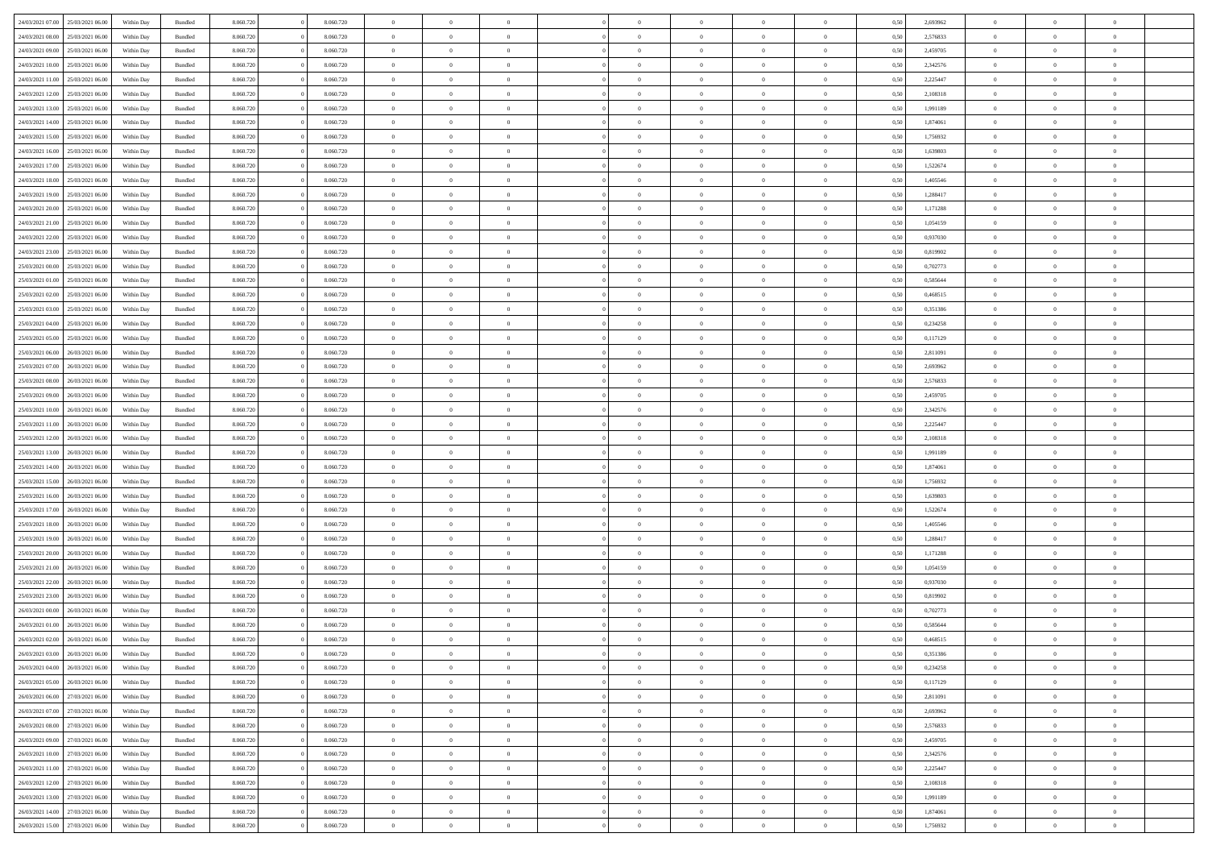| 24/03/2021 07:00                  | 25/03/2021 06:00 | Within Day | Bundled            | 8.060.720 | 8.060.720 | $\overline{0}$ | $\Omega$       |                | $\Omega$       | $\Omega$       | $\theta$       | $\theta$       | 0,50 | 2,693962 | $\theta$       | $\theta$       | $\overline{0}$ |  |
|-----------------------------------|------------------|------------|--------------------|-----------|-----------|----------------|----------------|----------------|----------------|----------------|----------------|----------------|------|----------|----------------|----------------|----------------|--|
| 24/03/2021 08:00                  | 25/03/2021 06:00 | Within Day | Bundled            | 8.060.720 | 8.060.720 | $\overline{0}$ | $\theta$       | $\overline{0}$ | $\overline{0}$ | $\bf{0}$       | $\overline{0}$ | $\bf{0}$       | 0,50 | 2,576833 | $\theta$       | $\overline{0}$ | $\overline{0}$ |  |
| 24/03/2021 09:00                  | 25/03/2021 06:00 | Within Day | Bundled            | 8.060.720 | 8.060.720 | $\overline{0}$ | $\bf{0}$       | $\overline{0}$ | $\bf{0}$       | $\bf{0}$       | $\bf{0}$       | $\mathbf{0}$   | 0,50 | 2,459705 | $\overline{0}$ | $\overline{0}$ | $\bf{0}$       |  |
|                                   |                  |            |                    |           |           |                |                |                |                |                |                |                |      |          | $\theta$       |                |                |  |
| 24/03/2021 10:00                  | 25/03/2021 06:00 | Within Dav | Bundled            | 8.060.720 | 8.060.720 | $\overline{0}$ | $\overline{0}$ | $\overline{0}$ | $\overline{0}$ | $\bf{0}$       | $\overline{0}$ | $\overline{0}$ | 0.50 | 2,342576 |                | $\theta$       | $\overline{0}$ |  |
| 24/03/2021 11:00                  | 25/03/2021 06:00 | Within Day | Bundled            | 8.060.720 | 8.060.720 | $\overline{0}$ | $\theta$       | $\overline{0}$ | $\overline{0}$ | $\bf{0}$       | $\overline{0}$ | $\bf{0}$       | 0,50 | 2,225447 | $\theta$       | $\overline{0}$ | $\overline{0}$ |  |
| 24/03/2021 12:00                  | 25/03/2021 06:00 | Within Day | Bundled            | 8.060.720 | 8.060.720 | $\overline{0}$ | $\overline{0}$ | $\overline{0}$ | $\bf{0}$       | $\overline{0}$ | $\overline{0}$ | $\mathbf{0}$   | 0,50 | 2,108318 | $\overline{0}$ | $\overline{0}$ | $\bf{0}$       |  |
| 24/03/2021 13:00                  | 25/03/2021 06:00 | Within Dav | Bundled            | 8.060.720 | 8.060.720 | $\overline{0}$ | $\overline{0}$ | $\overline{0}$ | $\overline{0}$ | $\overline{0}$ | $\overline{0}$ | $\overline{0}$ | 0.50 | 1,991189 | $\theta$       | $\overline{0}$ | $\overline{0}$ |  |
|                                   |                  |            |                    |           |           |                |                |                |                |                |                |                |      |          |                |                |                |  |
| 24/03/2021 14:00                  | 25/03/2021 06:00 | Within Day | Bundled            | 8.060.720 | 8.060.720 | $\overline{0}$ | $\theta$       | $\overline{0}$ | $\overline{0}$ | $\bf{0}$       | $\overline{0}$ | $\bf{0}$       | 0,50 | 1,874061 | $\theta$       | $\theta$       | $\overline{0}$ |  |
| 24/03/2021 15:00                  | 25/03/2021 06:00 | Within Day | Bundled            | 8.060.720 | 8.060.720 | $\overline{0}$ | $\overline{0}$ | $\overline{0}$ | $\bf{0}$       | $\bf{0}$       | $\bf{0}$       | $\bf{0}$       | 0,50 | 1,756932 | $\,0\,$        | $\overline{0}$ | $\overline{0}$ |  |
| 24/03/2021 16:00                  | 25/03/2021 06:00 | Within Dav | Bundled            | 8.060.720 | 8.060.720 | $\overline{0}$ | $\overline{0}$ | $\overline{0}$ | $\overline{0}$ | $\overline{0}$ | $\overline{0}$ | $\overline{0}$ | 0.50 | 1,639803 | $\theta$       | $\overline{0}$ | $\overline{0}$ |  |
| 24/03/2021 17:00                  | 25/03/2021 06:00 |            | Bundled            | 8.060.720 | 8.060.720 | $\overline{0}$ | $\theta$       | $\overline{0}$ | $\overline{0}$ | $\bf{0}$       | $\overline{0}$ |                |      | 1,522674 | $\,$ 0 $\,$    | $\overline{0}$ | $\overline{0}$ |  |
|                                   |                  | Within Day |                    |           |           |                |                |                |                |                |                | $\bf{0}$       | 0,50 |          |                |                |                |  |
| 24/03/2021 18:00                  | 25/03/2021 06:00 | Within Day | Bundled            | 8.060.720 | 8.060.720 | $\overline{0}$ | $\bf{0}$       | $\overline{0}$ | $\overline{0}$ | $\bf{0}$       | $\overline{0}$ | $\mathbf{0}$   | 0,50 | 1,405546 | $\overline{0}$ | $\overline{0}$ | $\bf{0}$       |  |
| 24/03/2021 19:00                  | 25/03/2021 06:00 | Within Dav | Bundled            | 8.060.720 | 8.060.720 | $\overline{0}$ | $\overline{0}$ | $\overline{0}$ | $\overline{0}$ | $\bf{0}$       | $\overline{0}$ | $\overline{0}$ | 0.50 | 1,288417 | $\theta$       | $\theta$       | $\overline{0}$ |  |
| 24/03/2021 20:00                  | 25/03/2021 06:00 | Within Day | Bundled            | 8.060.720 | 8.060.720 | $\overline{0}$ | $\theta$       | $\overline{0}$ | $\overline{0}$ | $\bf{0}$       | $\overline{0}$ | $\overline{0}$ | 0,50 | 1,171288 | $\theta$       | $\overline{0}$ | $\overline{0}$ |  |
|                                   |                  |            |                    |           |           |                |                |                |                |                |                |                |      |          |                |                |                |  |
| 24/03/2021 21:00                  | 25/03/2021 06:00 | Within Day | Bundled            | 8.060.720 | 8.060.720 | $\overline{0}$ | $\overline{0}$ | $\overline{0}$ | $\overline{0}$ | $\overline{0}$ | $\overline{0}$ | $\mathbf{0}$   | 0,50 | 1,054159 | $\overline{0}$ | $\overline{0}$ | $\bf{0}$       |  |
| 24/03/2021 22.00                  | 25/03/2021 06:00 | Within Dav | Bundled            | 8.060.720 | 8.060.720 | $\overline{0}$ | $\overline{0}$ | $\overline{0}$ | $\overline{0}$ | $\overline{0}$ | $\overline{0}$ | $\overline{0}$ | 0.50 | 0,937030 | $\theta$       | $\overline{0}$ | $\overline{0}$ |  |
| 24/03/2021 23:00                  | 25/03/2021 06.00 | Within Day | Bundled            | 8.060.720 | 8.060.720 | $\overline{0}$ | $\theta$       | $\overline{0}$ | $\overline{0}$ | $\bf{0}$       | $\overline{0}$ | $\bf{0}$       | 0,50 | 0,819902 | $\theta$       | $\theta$       | $\overline{0}$ |  |
| 25/03/2021 00:00                  | 25/03/2021 06:00 | Within Day | Bundled            | 8.060.720 | 8.060.720 | $\overline{0}$ | $\overline{0}$ | $\overline{0}$ | $\overline{0}$ | $\bf{0}$       | $\overline{0}$ | $\bf{0}$       | 0,50 | 0,702773 | $\bf{0}$       | $\overline{0}$ | $\overline{0}$ |  |
|                                   |                  |            |                    |           |           |                | $\overline{0}$ |                |                | $\overline{0}$ |                |                |      |          | $\theta$       | $\overline{0}$ | $\overline{0}$ |  |
| 25/03/2021 01:00                  | 25/03/2021 06:00 | Within Dav | Bundled            | 8.060.720 | 8.060.720 | $\overline{0}$ |                | $\overline{0}$ | $\overline{0}$ |                | $\overline{0}$ | $\overline{0}$ | 0.50 | 0,585644 |                |                |                |  |
| 25/03/2021 02:00                  | 25/03/2021 06:00 | Within Day | Bundled            | 8.060.720 | 8.060.720 | $\overline{0}$ | $\theta$       | $\overline{0}$ | $\overline{0}$ | $\bf{0}$       | $\overline{0}$ | $\bf{0}$       | 0,50 | 0,468515 | $\,$ 0 $\,$    | $\overline{0}$ | $\overline{0}$ |  |
| 25/03/2021 03:00                  | 25/03/2021 06:00 | Within Day | Bundled            | 8.060.720 | 8.060.720 | $\overline{0}$ | $\overline{0}$ | $\overline{0}$ | $\overline{0}$ | $\bf{0}$       | $\overline{0}$ | $\bf{0}$       | 0,50 | 0,351386 | $\overline{0}$ | $\overline{0}$ | $\bf{0}$       |  |
| 25/03/2021 04:00                  | 25/03/2021 06:00 | Within Day | Bundled            | 8.060.720 | 8.060.720 | $\overline{0}$ | $\overline{0}$ | $\overline{0}$ | $\overline{0}$ | $\bf{0}$       | $\overline{0}$ | $\overline{0}$ | 0.50 | 0,234258 | $\theta$       | $\overline{0}$ | $\overline{0}$ |  |
|                                   |                  |            |                    |           |           | $\overline{0}$ | $\theta$       | $\overline{0}$ | $\overline{0}$ | $\bf{0}$       | $\overline{0}$ |                |      |          | $\,$ 0 $\,$    | $\overline{0}$ | $\overline{0}$ |  |
| 25/03/2021 05:00                  | 25/03/2021 06:00 | Within Day | Bundled            | 8.060.720 | 8.060.720 |                |                |                |                |                |                | $\bf{0}$       | 0,50 | 0,117129 |                |                |                |  |
| 25/03/2021 06:00                  | 26/03/2021 06:00 | Within Day | Bundled            | 8.060.720 | 8.060.720 | $\overline{0}$ | $\overline{0}$ | $\overline{0}$ | $\overline{0}$ | $\overline{0}$ | $\overline{0}$ | $\mathbf{0}$   | 0,50 | 2,811091 | $\overline{0}$ | $\overline{0}$ | $\bf{0}$       |  |
| 25/03/2021 07:00                  | 26/03/2021 06:00 | Within Dav | Bundled            | 8.060.720 | 8.060.720 | $\overline{0}$ | $\overline{0}$ | $\overline{0}$ | $\overline{0}$ | $\overline{0}$ | $\overline{0}$ | $\overline{0}$ | 0.50 | 2,693962 | $\theta$       | $\overline{0}$ | $\overline{0}$ |  |
| 25/03/2021 08:00                  | 26/03/2021 06:00 | Within Day | Bundled            | 8.060.720 | 8.060.720 | $\overline{0}$ | $\theta$       | $\overline{0}$ | $\overline{0}$ | $\bf{0}$       | $\overline{0}$ | $\bf{0}$       | 0,50 | 2,576833 | $\theta$       | $\theta$       | $\overline{0}$ |  |
|                                   |                  |            |                    |           |           |                |                |                |                |                |                |                |      |          |                |                |                |  |
| 25/03/2021 09:00                  | 26/03/2021 06:00 | Within Day | Bundled            | 8.060.720 | 8.060.720 | $\overline{0}$ | $\overline{0}$ | $\overline{0}$ | $\overline{0}$ | $\bf{0}$       | $\overline{0}$ | $\bf{0}$       | 0,50 | 2,459705 | $\,0\,$        | $\overline{0}$ | $\overline{0}$ |  |
| 25/03/2021 10:00                  | 26/03/2021 06:00 | Within Day | Bundled            | 8.060.720 | 8.060.720 | $\overline{0}$ | $\overline{0}$ | $\overline{0}$ | $\overline{0}$ | $\overline{0}$ | $\overline{0}$ | $\overline{0}$ | 0.50 | 2,342576 | $\theta$       | $\overline{0}$ | $\overline{0}$ |  |
| 25/03/2021 11:00                  | 26/03/2021 06:00 | Within Day | Bundled            | 8.060.720 | 8.060.720 | $\overline{0}$ | $\theta$       | $\overline{0}$ | $\overline{0}$ | $\bf{0}$       | $\overline{0}$ | $\bf{0}$       | 0,50 | 2,225447 | $\,$ 0 $\,$    | $\overline{0}$ | $\overline{0}$ |  |
| 25/03/2021 12:00                  | 26/03/2021 06:00 | Within Day | Bundled            | 8.060.720 | 8.060.720 | $\overline{0}$ | $\bf{0}$       | $\overline{0}$ | $\bf{0}$       | $\bf{0}$       | $\bf{0}$       | $\bf{0}$       | 0,50 | 2,108318 | $\overline{0}$ | $\overline{0}$ | $\bf{0}$       |  |
|                                   |                  |            |                    |           |           |                |                |                |                |                |                |                |      |          |                |                |                |  |
| 25/03/2021 13:00                  | 26/03/2021 06:00 | Within Day | Bundled            | 8.060.720 | 8.060.720 | $\overline{0}$ | $\Omega$       | $\Omega$       | $\Omega$       | $\Omega$       | $\overline{0}$ | $\overline{0}$ | 0,50 | 1,991189 | $\,0\,$        | $\theta$       | $\theta$       |  |
| 25/03/2021 14:00                  | 26/03/2021 06:00 | Within Day | Bundled            | 8.060.720 | 8.060.720 | $\overline{0}$ | $\theta$       | $\overline{0}$ | $\overline{0}$ | $\bf{0}$       | $\overline{0}$ | $\bf{0}$       | 0,50 | 1,874061 | $\theta$       | $\overline{0}$ | $\overline{0}$ |  |
| 25/03/2021 15:00                  | 26/03/2021 06:00 | Within Day | Bundled            | 8.060.720 | 8.060.720 | $\overline{0}$ | $\overline{0}$ | $\overline{0}$ | $\bf{0}$       | $\overline{0}$ | $\overline{0}$ | $\mathbf{0}$   | 0,50 | 1,756932 | $\overline{0}$ | $\overline{0}$ | $\bf{0}$       |  |
| 25/03/2021 16:00                  | 26/03/2021 06:00 | Within Day | Bundled            | 8.060.720 | 8.060.720 | $\overline{0}$ | $\Omega$       | $\Omega$       | $\Omega$       | $\bf{0}$       | $\overline{0}$ | $\overline{0}$ | 0.50 | 1,639803 | $\,0\,$        | $\theta$       | $\theta$       |  |
| 25/03/2021 17:00                  | 26/03/2021 06:00 |            |                    | 8.060.720 | 8.060.720 | $\overline{0}$ | $\theta$       | $\overline{0}$ | $\overline{0}$ | $\bf{0}$       | $\overline{0}$ |                |      | 1,522674 | $\,$ 0 $\,$    | $\overline{0}$ | $\overline{0}$ |  |
|                                   |                  | Within Day | Bundled            |           |           |                |                |                |                |                |                | $\bf{0}$       | 0,50 |          |                |                |                |  |
| 25/03/2021 18:00                  | 26/03/2021 06:00 | Within Day | Bundled            | 8.060.720 | 8.060.720 | $\overline{0}$ | $\overline{0}$ | $\overline{0}$ | $\bf{0}$       | $\bf{0}$       | $\bf{0}$       | $\bf{0}$       | 0,50 | 1,405546 | $\bf{0}$       | $\overline{0}$ | $\bf{0}$       |  |
| 25/03/2021 19:00                  | 26/03/2021 06:00 | Within Day | Bundled            | 8.060.720 | 8.060.720 | $\overline{0}$ | $\Omega$       | $\Omega$       | $\Omega$       | $\theta$       | $\theta$       | $\overline{0}$ | 0.50 | 1,288417 | $\,$ 0 $\,$    | $\theta$       | $\theta$       |  |
| 25/03/2021 20:00                  | 26/03/2021 06:00 | Within Day | Bundled            | 8.060.720 | 8.060.720 | $\overline{0}$ | $\overline{0}$ | $\overline{0}$ | $\overline{0}$ | $\bf{0}$       | $\overline{0}$ | $\bf{0}$       | 0,50 | 1,171288 | $\,$ 0 $\,$    | $\overline{0}$ | $\overline{0}$ |  |
|                                   |                  |            |                    |           |           |                |                |                |                |                |                |                |      |          |                |                |                |  |
| 25/03/2021 21.00                  | 26/03/2021 06:00 | Within Day | Bundled            | 8.060.720 | 8.060.720 | $\overline{0}$ | $\bf{0}$       | $\overline{0}$ | $\bf{0}$       | $\bf{0}$       | $\bf{0}$       | $\mathbf{0}$   | 0,50 | 1,054159 | $\overline{0}$ | $\overline{0}$ | $\bf{0}$       |  |
| 25/03/2021 22:00                  | 26/03/2021 06:00 | Within Day | Bundled            | 8.060.720 | 8.060.720 | $\overline{0}$ | $\Omega$       | $\Omega$       | $\Omega$       | $\overline{0}$ | $\overline{0}$ | $\overline{0}$ | 0,50 | 0,937030 | $\,0\,$        | $\theta$       | $\theta$       |  |
| 25/03/2021 23:00                  | 26/03/2021 06:00 | Within Day | Bundled            | 8.060.720 | 8.060.720 | $\overline{0}$ | $\overline{0}$ | $\overline{0}$ | $\overline{0}$ | $\bf{0}$       | $\overline{0}$ | $\bf{0}$       | 0,50 | 0,819902 | $\,$ 0 $\,$    | $\overline{0}$ | $\overline{0}$ |  |
| 26/03/2021 00:00                  | 26/03/2021 06:00 | Within Day | Bundled            | 8.060.720 | 8.060.720 | $\overline{0}$ | $\overline{0}$ | $\overline{0}$ | $\bf{0}$       | $\bf{0}$       | $\bf{0}$       | $\mathbf{0}$   | 0,50 | 0,702773 | $\overline{0}$ | $\overline{0}$ | $\bf{0}$       |  |
| 26/03/2021 01:00                  | 26/03/2021 06:00 |            | Bundled            | 8.060.720 | 8.060.720 | $\overline{0}$ | $\Omega$       | $\Omega$       | $\Omega$       | $\Omega$       | $\Omega$       | $\overline{0}$ | 0.50 | 0.585644 | $\theta$       | $\theta$       | $\theta$       |  |
|                                   |                  | Within Day |                    |           |           |                |                |                |                |                |                |                |      |          |                |                |                |  |
| 26/03/2021 02:00                  | 26/03/2021 06:00 | Within Day | Bundled            | 8.060.720 | 8.060.720 | $\overline{0}$ | $\overline{0}$ | $\bf{0}$       | $\bf{0}$       | $\,$ 0         | $\bf{0}$       | $\bf{0}$       | 0,50 | 0,468515 | $\,0\,$        | $\,$ 0 $\,$    | $\overline{0}$ |  |
| 26/03/2021 03:00                  | 26/03/2021 06:00 | Within Day | $\mathbf B$ undled | 8.060.720 | 8.060.720 | $\bf{0}$       | $\bf{0}$       |                |                | $\bf{0}$       |                |                | 0,50 | 0,351386 | $\bf{0}$       | $\overline{0}$ |                |  |
| 26/03/2021 04:00                  | 26/03/2021 06:00 | Within Day | Bundled            | 8.060.720 | 8.060.720 | $\overline{0}$ | $\overline{0}$ | $\overline{0}$ | $\Omega$       | $\overline{0}$ | $\overline{0}$ | $\overline{0}$ | 0,50 | 0,234258 | $\theta$       | $\theta$       | $\theta$       |  |
| 26/03/2021 05:00                  | 26/03/2021 06:00 | Within Day | Bundled            | 8.060.720 | 8.060.720 | $\overline{0}$ | $\,$ 0         | $\overline{0}$ | $\bf{0}$       | $\,$ 0 $\,$    | $\overline{0}$ | $\mathbf{0}$   | 0,50 | 0,117129 | $\,$ 0 $\,$    | $\,$ 0 $\,$    | $\,$ 0         |  |
|                                   |                  |            |                    |           |           |                |                |                |                |                |                |                |      |          |                |                |                |  |
| 26/03/2021 06:00                  | 27/03/2021 06:00 | Within Day | Bundled            | 8.060.720 | 8.060.720 | $\overline{0}$ | $\overline{0}$ | $\overline{0}$ | $\overline{0}$ | $\overline{0}$ | $\overline{0}$ | $\mathbf{0}$   | 0,50 | 2,811091 | $\overline{0}$ | $\bf{0}$       | $\bf{0}$       |  |
| 26/03/2021 07:00                  | 27/03/2021 06:00 | Within Day | Bundled            | 8.060.720 | 8.060.720 | $\overline{0}$ | $\overline{0}$ | $\overline{0}$ | $\Omega$       | $\overline{0}$ | $\overline{0}$ | $\overline{0}$ | 0,50 | 2,693962 | $\overline{0}$ | $\theta$       | $\overline{0}$ |  |
| 26/03/2021 08:00                  | 27/03/2021 06:00 | Within Day | Bundled            | 8.060.720 | 8.060.720 | $\overline{0}$ | $\,$ 0         | $\overline{0}$ | $\overline{0}$ | $\,$ 0 $\,$    | $\overline{0}$ | $\mathbf{0}$   | 0,50 | 2,576833 | $\,$ 0 $\,$    | $\overline{0}$ | $\overline{0}$ |  |
| 26/03/2021 09:00                  | 27/03/2021 06:00 | Within Day | Bundled            | 8.060.720 | 8.060.720 | $\overline{0}$ | $\overline{0}$ | $\overline{0}$ | $\overline{0}$ | $\overline{0}$ | $\overline{0}$ | $\mathbf{0}$   | 0,50 | 2,459705 | $\overline{0}$ | $\overline{0}$ | $\bf{0}$       |  |
|                                   |                  |            |                    |           |           |                |                |                |                |                |                |                |      |          |                |                |                |  |
| 26/03/2021 10:00                  | 27/03/2021 06:00 | Within Day | Bundled            | 8.060.720 | 8.060.720 | $\overline{0}$ | $\overline{0}$ | $\overline{0}$ | $\Omega$       | $\overline{0}$ | $\overline{0}$ | $\bf{0}$       | 0.50 | 2,342576 | $\overline{0}$ | $\theta$       | $\overline{0}$ |  |
| 26/03/2021 11:00                  | 27/03/2021 06:00 | Within Day | Bundled            | 8.060.720 | 8.060.720 | $\overline{0}$ | $\,$ 0         | $\overline{0}$ | $\overline{0}$ | $\bf{0}$       | $\overline{0}$ | $\bf{0}$       | 0,50 | 2,225447 | $\,$ 0 $\,$    | $\overline{0}$ | $\overline{0}$ |  |
| 26/03/2021 12:00                  | 27/03/2021 06:00 | Within Day | Bundled            | 8.060.720 | 8.060.720 | $\overline{0}$ | $\bf{0}$       | $\overline{0}$ | $\overline{0}$ | $\overline{0}$ | $\overline{0}$ | $\mathbf{0}$   | 0,50 | 2,108318 | $\overline{0}$ | $\overline{0}$ | $\bf{0}$       |  |
| 26/03/2021 13:00                  | 27/03/2021 06:00 | Within Day | Bundled            | 8.060.720 | 8.060.720 | $\overline{0}$ | $\overline{0}$ | $\overline{0}$ | $\Omega$       | $\overline{0}$ | $\overline{0}$ | $\overline{0}$ | 0.50 | 1,991189 | $\overline{0}$ | $\overline{0}$ | $\overline{0}$ |  |
|                                   |                  |            |                    |           |           |                |                |                |                |                |                |                |      |          |                |                |                |  |
| 26/03/2021 14:00                  | 27/03/2021 06:00 | Within Day | Bundled            | 8.060.720 | 8.060.720 | $\overline{0}$ | $\bf{0}$       | $\overline{0}$ | $\overline{0}$ | $\bf{0}$       | $\overline{0}$ | $\mathbf{0}$   | 0,50 | 1,874061 | $\,$ 0 $\,$    | $\,$ 0 $\,$    | $\bf{0}$       |  |
| 26/03/2021 15:00 27/03/2021 06:00 |                  | Within Day | Bundled            | 8.060.720 | 8.060.720 | $\overline{0}$ | $\overline{0}$ | $\overline{0}$ | $\overline{0}$ | $\overline{0}$ | $\overline{0}$ | $\mathbf{0}$   | 0,50 | 1,756932 | $\overline{0}$ | $\bf{0}$       | $\bf{0}$       |  |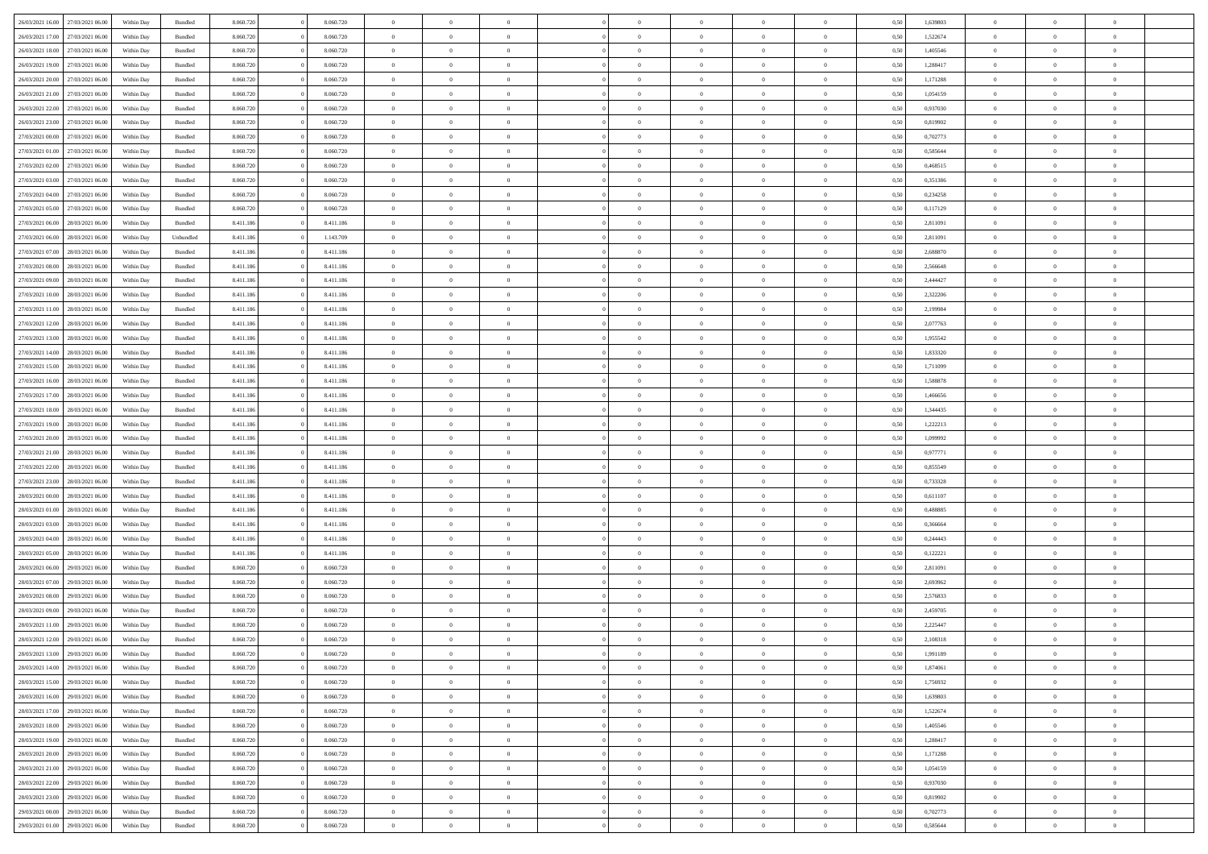| 26/03/2021 16:00 | 27/03/2021 06:00 | Within Day | Bundled            | 8.060.720 | 8.060.720 | $\overline{0}$ | $\Omega$       |                | $\Omega$       | $\Omega$       | $\Omega$       | $\theta$       | 0.50 | 1,639803 | $\theta$       | $\theta$       | $\theta$       |  |
|------------------|------------------|------------|--------------------|-----------|-----------|----------------|----------------|----------------|----------------|----------------|----------------|----------------|------|----------|----------------|----------------|----------------|--|
| 26/03/2021 17:00 | 27/03/2021 06.00 | Within Day | Bundled            | 8.060.720 | 8.060.720 | $\overline{0}$ | $\theta$       | $\overline{0}$ | $\overline{0}$ | $\bf{0}$       | $\overline{0}$ | $\bf{0}$       | 0,50 | 1,522674 | $\theta$       | $\theta$       | $\overline{0}$ |  |
| 26/03/2021 18:00 | 27/03/2021 06:00 | Within Day | Bundled            | 8.060.720 | 8.060.720 | $\overline{0}$ | $\overline{0}$ | $\overline{0}$ | $\overline{0}$ | $\bf{0}$       | $\overline{0}$ | $\bf{0}$       | 0,50 | 1,405546 | $\bf{0}$       | $\overline{0}$ | $\overline{0}$ |  |
|                  |                  |            |                    |           |           |                |                |                |                |                |                |                |      |          |                |                |                |  |
| 26/03/2021 19:00 | 27/03/2021 06:00 | Within Dav | Bundled            | 8.060.720 | 8.060.720 | $\overline{0}$ | $\overline{0}$ | $\overline{0}$ | $\overline{0}$ | $\bf{0}$       | $\overline{0}$ | $\overline{0}$ | 0.50 | 1.288417 | $\theta$       | $\theta$       | $\overline{0}$ |  |
| 26/03/2021 20:00 | 27/03/2021 06.00 | Within Day | Bundled            | 8.060.720 | 8.060.720 | $\overline{0}$ | $\theta$       | $\overline{0}$ | $\overline{0}$ | $\bf{0}$       | $\overline{0}$ | $\bf{0}$       | 0,50 | 1,171288 | $\theta$       | $\theta$       | $\overline{0}$ |  |
| 26/03/2021 21:00 | 27/03/2021 06:00 | Within Day | Bundled            | 8.060.720 | 8.060.720 | $\overline{0}$ | $\bf{0}$       | $\overline{0}$ | $\overline{0}$ | $\overline{0}$ | $\overline{0}$ | $\mathbf{0}$   | 0,50 | 1,054159 | $\overline{0}$ | $\overline{0}$ | $\bf{0}$       |  |
| 26/03/2021 22:00 | 27/03/2021 06:00 | Within Dav | Bundled            | 8.060.720 | 8.060.720 | $\overline{0}$ | $\overline{0}$ | $\overline{0}$ | $\overline{0}$ | $\overline{0}$ | $\overline{0}$ | $\overline{0}$ | 0.50 | 0,937030 | $\theta$       | $\overline{0}$ | $\overline{0}$ |  |
|                  |                  |            |                    |           |           |                |                |                |                |                |                |                |      |          |                |                |                |  |
| 26/03/2021 23:00 | 27/03/2021 06.00 | Within Day | Bundled            | 8.060.720 | 8.060.720 | $\overline{0}$ | $\theta$       | $\overline{0}$ | $\overline{0}$ | $\bf{0}$       | $\overline{0}$ | $\bf{0}$       | 0,50 | 0,819902 | $\theta$       | $\theta$       | $\overline{0}$ |  |
| 27/03/2021 00:00 | 27/03/2021 06:00 | Within Day | Bundled            | 8.060.720 | 8.060.720 | $\overline{0}$ | $\overline{0}$ | $\overline{0}$ | $\overline{0}$ | $\bf{0}$       | $\overline{0}$ | $\bf{0}$       | 0,50 | 0,702773 | $\,0\,$        | $\overline{0}$ | $\overline{0}$ |  |
| 27/03/2021 01:00 | 27/03/2021 06:00 | Within Dav | Bundled            | 8.060.720 | 8.060.720 | $\overline{0}$ | $\overline{0}$ | $\overline{0}$ | $\overline{0}$ | $\overline{0}$ | $\overline{0}$ | $\overline{0}$ | 0.50 | 0,585644 | $\theta$       | $\overline{0}$ | $\overline{0}$ |  |
| 27/03/2021 02:00 | 27/03/2021 06:00 |            | Bundled            | 8.060.720 | 8.060.720 | $\overline{0}$ | $\theta$       | $\overline{0}$ | $\overline{0}$ | $\bf{0}$       | $\overline{0}$ |                |      | 0,468515 | $\theta$       | $\theta$       | $\overline{0}$ |  |
|                  |                  | Within Day |                    |           |           |                |                |                |                |                |                | $\bf{0}$       | 0,50 |          |                |                |                |  |
| 27/03/2021 03:00 | 27/03/2021 06:00 | Within Day | Bundled            | 8.060.720 | 8.060.720 | $\overline{0}$ | $\overline{0}$ | $\overline{0}$ | $\overline{0}$ | $\bf{0}$       | $\overline{0}$ | $\bf{0}$       | 0,50 | 0,351386 | $\overline{0}$ | $\overline{0}$ | $\overline{0}$ |  |
| 27/03/2021 04:00 | 27/03/2021 06:00 | Within Day | Bundled            | 8.060.720 | 8.060.720 | $\overline{0}$ | $\overline{0}$ | $\overline{0}$ | $\overline{0}$ | $\bf{0}$       | $\overline{0}$ | $\overline{0}$ | 0.50 | 0,234258 | $\theta$       | $\theta$       | $\overline{0}$ |  |
| 27/03/2021 05:00 | 27/03/2021 06.00 | Within Day | Bundled            | 8.060.720 | 8.060.720 | $\overline{0}$ | $\theta$       | $\overline{0}$ | $\overline{0}$ | $\bf{0}$       | $\overline{0}$ | $\bf{0}$       | 0,50 | 0,117129 | $\theta$       | $\theta$       | $\overline{0}$ |  |
|                  |                  |            |                    |           |           |                |                |                |                |                |                |                |      |          |                |                |                |  |
| 27/03/2021 06:00 | 28/03/2021 06:00 | Within Day | Bundled            | 8.411.186 | 8.411.186 | $\overline{0}$ | $\bf{0}$       | $\overline{0}$ | $\bf{0}$       | $\overline{0}$ | $\overline{0}$ | $\mathbf{0}$   | 0,50 | 2,811091 | $\overline{0}$ | $\overline{0}$ | $\bf{0}$       |  |
| 27/03/2021 06:00 | 28/03/2021 06:00 | Within Dav | Unbundled          | 8.411.186 | 1.143.709 | $\overline{0}$ | $\overline{0}$ | $\overline{0}$ | $\overline{0}$ | $\overline{0}$ | $\overline{0}$ | $\overline{0}$ | 0.50 | 2,811091 | $\theta$       | $\overline{0}$ | $\overline{0}$ |  |
| 27/03/2021 07:00 | 28/03/2021 06:00 | Within Day | Bundled            | 8.411.186 | 8.411.186 | $\overline{0}$ | $\theta$       | $\overline{0}$ | $\overline{0}$ | $\bf{0}$       | $\overline{0}$ | $\bf{0}$       | 0,50 | 2,688870 | $\theta$       | $\theta$       | $\overline{0}$ |  |
| 27/03/2021 08:00 | 28/03/2021 06:00 | Within Day | Bundled            | 8.411.186 | 8.411.186 | $\overline{0}$ | $\overline{0}$ | $\overline{0}$ | $\bf{0}$       | $\bf{0}$       | $\bf{0}$       | $\bf{0}$       | 0,50 | 2,566648 | $\,0\,$        | $\overline{0}$ | $\overline{0}$ |  |
|                  |                  |            |                    |           |           |                |                |                |                |                |                |                |      |          |                |                |                |  |
| 27/03/2021 09:00 | 28/03/2021 06:00 | Within Day | Bundled            | 8.411.186 | 8.411.186 | $\overline{0}$ | $\overline{0}$ | $\overline{0}$ | $\overline{0}$ | $\overline{0}$ | $\overline{0}$ | $\overline{0}$ | 0.50 | 2,444427 | $\theta$       | $\overline{0}$ | $\overline{0}$ |  |
| 27/03/2021 10:00 | 28/03/2021 06:00 | Within Day | Bundled            | 8.411.186 | 8.411.186 | $\overline{0}$ | $\theta$       | $\overline{0}$ | $\overline{0}$ | $\bf{0}$       | $\overline{0}$ | $\bf{0}$       | 0,50 | 2,322206 | $\,$ 0 $\,$    | $\theta$       | $\overline{0}$ |  |
| 27/03/2021 11:00 | 28/03/2021 06:00 | Within Day | Bundled            | 8.411.186 | 8.411.186 | $\overline{0}$ | $\overline{0}$ | $\overline{0}$ | $\bf{0}$       | $\bf{0}$       | $\bf{0}$       | $\bf{0}$       | 0,50 | 2,199984 | $\,0\,$        | $\overline{0}$ | $\overline{0}$ |  |
| 27/03/2021 12:00 | 28/03/2021 06:00 | Within Day | Bundled            | 8.411.186 | 8.411.186 | $\overline{0}$ | $\overline{0}$ | $\overline{0}$ | $\overline{0}$ | $\bf{0}$       | $\overline{0}$ | $\overline{0}$ | 0.50 | 2,077763 | $\theta$       | $\theta$       | $\overline{0}$ |  |
|                  |                  |            |                    |           |           | $\overline{0}$ | $\theta$       |                |                |                |                |                |      |          |                | $\overline{0}$ |                |  |
| 27/03/2021 13:00 | 28/03/2021 06:00 | Within Day | Bundled            | 8.411.186 | 8.411.186 |                |                | $\overline{0}$ | $\overline{0}$ | $\bf{0}$       | $\overline{0}$ | $\bf{0}$       | 0,50 | 1,955542 | $\,$ 0 $\,$    |                | $\overline{0}$ |  |
| 27/03/2021 14:00 | 28/03/2021 06:00 | Within Day | Bundled            | 8.411.186 | 8.411.186 | $\overline{0}$ | $\bf{0}$       | $\overline{0}$ | $\bf{0}$       | $\overline{0}$ | $\overline{0}$ | $\mathbf{0}$   | 0,50 | 1,833320 | $\overline{0}$ | $\overline{0}$ | $\bf{0}$       |  |
| 27/03/2021 15:00 | 28/03/2021 06:00 | Within Dav | Bundled            | 8.411.186 | 8.411.186 | $\overline{0}$ | $\overline{0}$ | $\overline{0}$ | $\overline{0}$ | $\overline{0}$ | $\overline{0}$ | $\overline{0}$ | 0.50 | 1,711099 | $\theta$       | $\overline{0}$ | $\overline{0}$ |  |
| 27/03/2021 16:00 | 28/03/2021 06:00 | Within Day | Bundled            | 8.411.186 | 8.411.186 | $\overline{0}$ | $\theta$       | $\overline{0}$ | $\overline{0}$ | $\bf{0}$       | $\overline{0}$ | $\bf{0}$       | 0,50 | 1,588878 | $\theta$       | $\theta$       | $\overline{0}$ |  |
|                  |                  |            |                    |           |           |                |                |                |                |                |                |                |      |          |                |                |                |  |
| 27/03/2021 17:00 | 28/03/2021 06:00 | Within Day | Bundled            | 8.411.186 | 8.411.186 | $\overline{0}$ | $\overline{0}$ | $\overline{0}$ | $\bf{0}$       | $\bf{0}$       | $\bf{0}$       | $\bf{0}$       | 0,50 | 1,466656 | $\,0\,$        | $\overline{0}$ | $\overline{0}$ |  |
| 27/03/2021 18:00 | 28/03/2021 06:00 | Within Day | Bundled            | 8.411.186 | 8.411.186 | $\overline{0}$ | $\overline{0}$ | $\overline{0}$ | $\overline{0}$ | $\overline{0}$ | $\overline{0}$ | $\overline{0}$ | 0.50 | 1,344435 | $\theta$       | $\overline{0}$ | $\overline{0}$ |  |
| 27/03/2021 19:00 | 28/03/2021 06:00 | Within Day | Bundled            | 8.411.186 | 8.411.186 | $\overline{0}$ | $\theta$       | $\overline{0}$ | $\overline{0}$ | $\bf{0}$       | $\overline{0}$ | $\bf{0}$       | 0,50 | 1,222213 | $\,$ 0 $\,$    | $\overline{0}$ | $\overline{0}$ |  |
| 27/03/2021 20:00 | 28/03/2021 06:00 | Within Day | Bundled            | 8.411.186 | 8.411.186 | $\overline{0}$ | $\overline{0}$ | $\overline{0}$ | $\bf{0}$       | $\bf{0}$       | $\bf{0}$       | $\bf{0}$       | 0,50 | 1,099992 | $\overline{0}$ | $\overline{0}$ | $\overline{0}$ |  |
|                  |                  |            |                    |           |           |                |                |                |                |                |                |                |      |          |                |                | $\theta$       |  |
| 27/03/2021 21:00 | 28/03/2021 06:00 | Within Day | Bundled            | 8.411.186 | 8.411.186 | $\overline{0}$ | $\Omega$       | $\Omega$       | $\Omega$       | $\Omega$       | $\overline{0}$ | $\overline{0}$ | 0.50 | 0,977771 | $\,0\,$        | $\theta$       |                |  |
| 27/03/2021 22.00 | 28/03/2021 06:00 | Within Day | Bundled            | 8.411.186 | 8.411.186 | $\overline{0}$ | $\theta$       | $\overline{0}$ | $\overline{0}$ | $\bf{0}$       | $\overline{0}$ | $\bf{0}$       | 0,50 | 0,855549 | $\theta$       | $\theta$       | $\overline{0}$ |  |
| 27/03/2021 23:00 | 28/03/2021 06:00 | Within Day | Bundled            | 8.411.186 | 8.411.186 | $\overline{0}$ | $\overline{0}$ | $\overline{0}$ | $\bf{0}$       | $\bf{0}$       | $\overline{0}$ | $\mathbf{0}$   | 0,50 | 0,733328 | $\overline{0}$ | $\overline{0}$ | $\bf{0}$       |  |
| 28/03/2021 00:00 | 28/03/2021 06:00 | Within Day | Bundled            | 8.411.186 | 8.411.186 | $\overline{0}$ | $\Omega$       | $\Omega$       | $\Omega$       | $\bf{0}$       | $\overline{0}$ | $\overline{0}$ | 0.50 | 0,611107 | $\,0\,$        | $\theta$       | $\theta$       |  |
|                  |                  |            |                    |           |           | $\overline{0}$ | $\theta$       | $\overline{0}$ |                | $\bf{0}$       | $\overline{0}$ |                |      |          | $\theta$       | $\theta$       | $\overline{0}$ |  |
| 28/03/2021 01:00 | 28/03/2021 06:00 | Within Day | Bundled            | 8.411.186 | 8.411.186 |                |                |                | $\overline{0}$ |                |                | $\bf{0}$       | 0,50 | 0,488885 |                |                |                |  |
| 28/03/2021 03:00 | 28/03/2021 06:00 | Within Day | Bundled            | 8.411.186 | 8.411.186 | $\overline{0}$ | $\overline{0}$ | $\overline{0}$ | $\bf{0}$       | $\bf{0}$       | $\bf{0}$       | $\bf{0}$       | 0,50 | 0,366664 | $\,0\,$        | $\overline{0}$ | $\overline{0}$ |  |
| 28/03/2021 04:00 | 28/03/2021 06:00 | Within Day | Bundled            | 8.411.186 | 8.411.186 | $\overline{0}$ | $\Omega$       | $\Omega$       | $\Omega$       | $\theta$       | $\theta$       | $\overline{0}$ | 0.50 | 0,244443 | $\theta$       | $\theta$       | $\theta$       |  |
| 28/03/2021 05:00 | 28/03/2021 06:00 | Within Day | Bundled            | 8.411.186 | 8.411.186 | $\overline{0}$ | $\theta$       | $\overline{0}$ | $\overline{0}$ | $\bf{0}$       | $\overline{0}$ | $\bf{0}$       | 0,50 | 0,122221 | $\,$ 0 $\,$    | $\overline{0}$ | $\overline{0}$ |  |
|                  |                  |            |                    |           |           |                | $\overline{0}$ |                |                | $\bf{0}$       |                |                |      |          |                | $\overline{0}$ | $\overline{0}$ |  |
| 28/03/2021 06:00 | 29/03/2021 06:00 | Within Day | Bundled            | 8.060.720 | 8.060.720 | $\overline{0}$ |                | $\overline{0}$ | $\overline{0}$ |                | $\overline{0}$ | $\bf{0}$       | 0,50 | 2,811091 | $\overline{0}$ |                |                |  |
| 28/03/2021 07:00 | 29/03/2021 06:00 | Within Day | Bundled            | 8.060.720 | 8.060.720 | $\overline{0}$ | $\Omega$       | $\Omega$       | $\Omega$       | $\Omega$       | $\overline{0}$ | $\overline{0}$ | 0.50 | 2,693962 | $\,0\,$        | $\theta$       | $\theta$       |  |
| 28/03/2021 08:00 | 29/03/2021 06:00 | Within Day | Bundled            | 8.060.720 | 8.060.720 | $\overline{0}$ | $\theta$       | $\overline{0}$ | $\overline{0}$ | $\bf{0}$       | $\overline{0}$ | $\bf{0}$       | 0,50 | 2,576833 | $\,$ 0 $\,$    | $\overline{0}$ | $\overline{0}$ |  |
| 28/03/2021 09:00 | 29/03/2021 06:00 | Within Day | Bundled            | 8.060.720 | 8.060.720 | $\overline{0}$ | $\overline{0}$ | $\overline{0}$ | $\overline{0}$ | $\bf{0}$       | $\overline{0}$ | $\mathbf{0}$   | 0,50 | 2,459705 | $\overline{0}$ | $\overline{0}$ | $\bf{0}$       |  |
| 28/03/2021 11:00 | 29/03/2021 06:00 |            | Bundled            | 8.060.720 | 8.060.720 | $\overline{0}$ | $\Omega$       | $\Omega$       | $\Omega$       | $\Omega$       | $\Omega$       | $\overline{0}$ | 0.50 | 2,225447 | $\theta$       | $\theta$       | $\theta$       |  |
|                  |                  | Within Day |                    |           |           |                |                |                |                |                |                |                |      |          |                |                |                |  |
| 28/03/2021 12:00 | 29/03/2021 06:00 | Within Day | Bundled            | 8.060.720 | 8.060.720 | $\overline{0}$ | $\overline{0}$ | $\overline{0}$ | $\bf{0}$       | $\,$ 0         | $\overline{0}$ | $\bf{0}$       | 0,50 | 2,108318 | $\,0\,$        | $\,$ 0 $\,$    | $\overline{0}$ |  |
| 28/03/2021 13:00 | 29/03/2021 06:00 | Within Day | $\mathbf B$ undled | 8.060.720 | 8.060.720 | $\bf{0}$       | $\bf{0}$       |                |                | $\bf{0}$       |                |                | 0,50 | 1,991189 | $\bf{0}$       | $\overline{0}$ |                |  |
| 28/03/2021 14:00 | 29/03/2021 06:00 | Within Day | Bundled            | 8.060.720 | 8.060.720 | $\overline{0}$ | $\overline{0}$ | $\overline{0}$ | $\Omega$       | $\overline{0}$ | $\overline{0}$ | $\overline{0}$ | 0.50 | 1,874061 | $\theta$       | $\theta$       | $\theta$       |  |
| 28/03/2021 15:00 | 29/03/2021 06:00 | Within Day | Bundled            | 8.060.720 | 8.060.720 | $\overline{0}$ | $\,$ 0         | $\overline{0}$ | $\overline{0}$ | $\,$ 0 $\,$    | $\overline{0}$ | $\mathbf{0}$   | 0,50 | 1,756932 | $\,$ 0 $\,$    | $\,$ 0 $\,$    | $\,$ 0         |  |
|                  |                  |            |                    |           |           |                |                |                |                |                |                |                |      |          |                |                |                |  |
| 28/03/2021 16:00 | 29/03/2021 06:00 | Within Day | Bundled            | 8.060.720 | 8.060.720 | $\overline{0}$ | $\overline{0}$ | $\overline{0}$ | $\overline{0}$ | $\overline{0}$ | $\overline{0}$ | $\mathbf{0}$   | 0,50 | 1,639803 | $\overline{0}$ | $\bf{0}$       | $\bf{0}$       |  |
| 28/03/2021 17:00 | 29/03/2021 06:00 | Within Day | Bundled            | 8.060.720 | 8.060.720 | $\overline{0}$ | $\overline{0}$ | $\overline{0}$ | $\Omega$       | $\overline{0}$ | $\overline{0}$ | $\overline{0}$ | 0,50 | 1,522674 | $\overline{0}$ | $\theta$       | $\overline{0}$ |  |
| 28/03/2021 18:00 | 29/03/2021 06:00 | Within Day | Bundled            | 8.060.720 | 8.060.720 | $\overline{0}$ | $\,$ 0         | $\overline{0}$ | $\overline{0}$ | $\,$ 0 $\,$    | $\overline{0}$ | $\mathbf{0}$   | 0,50 | 1,405546 | $\,$ 0 $\,$    | $\overline{0}$ | $\overline{0}$ |  |
| 28/03/2021 19:00 | 29/03/2021 06:00 | Within Day | Bundled            | 8.060.720 | 8.060.720 | $\overline{0}$ | $\overline{0}$ | $\overline{0}$ | $\overline{0}$ | $\overline{0}$ | $\overline{0}$ | $\mathbf{0}$   | 0,50 | 1,288417 | $\overline{0}$ | $\overline{0}$ | $\bf{0}$       |  |
|                  |                  |            |                    |           |           |                |                |                |                |                |                |                |      |          |                |                |                |  |
| 28/03/2021 20:00 | 29/03/2021 06:00 | Within Day | Bundled            | 8.060.720 | 8.060.720 | $\overline{0}$ | $\overline{0}$ | $\overline{0}$ | $\Omega$       | $\overline{0}$ | $\overline{0}$ | $\bf{0}$       | 0.50 | 1,171288 | $\overline{0}$ | $\theta$       | $\overline{0}$ |  |
| 28/03/2021 21:00 | 29/03/2021 06:00 | Within Day | Bundled            | 8.060.720 | 8.060.720 | $\overline{0}$ | $\,$ 0         | $\overline{0}$ | $\overline{0}$ | $\bf{0}$       | $\overline{0}$ | $\bf{0}$       | 0,50 | 1,054159 | $\,$ 0 $\,$    | $\overline{0}$ | $\overline{0}$ |  |
| 28/03/2021 22:00 | 29/03/2021 06:00 | Within Day | Bundled            | 8.060.720 | 8.060.720 | $\overline{0}$ | $\bf{0}$       | $\overline{0}$ | $\overline{0}$ | $\overline{0}$ | $\overline{0}$ | $\mathbf{0}$   | 0,50 | 0,937030 | $\overline{0}$ | $\overline{0}$ | $\bf{0}$       |  |
| 28/03/2021 23:00 | 29/03/2021 06:00 | Within Day | Bundled            | 8.060.720 | 8.060.720 | $\overline{0}$ | $\overline{0}$ | $\overline{0}$ | $\Omega$       | $\overline{0}$ | $\overline{0}$ | $\overline{0}$ | 0.50 | 0,819902 | $\overline{0}$ | $\overline{0}$ | $\overline{0}$ |  |
|                  |                  |            |                    |           |           |                |                |                |                |                |                |                |      |          |                |                |                |  |
| 29/03/2021 00:00 | 29/03/2021 06:00 | Within Day | Bundled            | 8.060.720 | 8.060.720 | $\overline{0}$ | $\bf{0}$       | $\overline{0}$ | $\overline{0}$ | $\bf{0}$       | $\overline{0}$ | $\bf{0}$       | 0,50 | 0,702773 | $\,$ 0 $\,$    | $\,$ 0 $\,$    | $\bf{0}$       |  |
| 29/03/2021 01:00 | 29/03/2021 06:00 | Within Day | Bundled            | 8.060.720 | 8.060.720 | $\overline{0}$ | $\bf{0}$       | $\overline{0}$ | $\bf{0}$       | $\bf{0}$       | $\bf{0}$       | $\bf{0}$       | 0,50 | 0,585644 | $\overline{0}$ | $\overline{0}$ | $\bf{0}$       |  |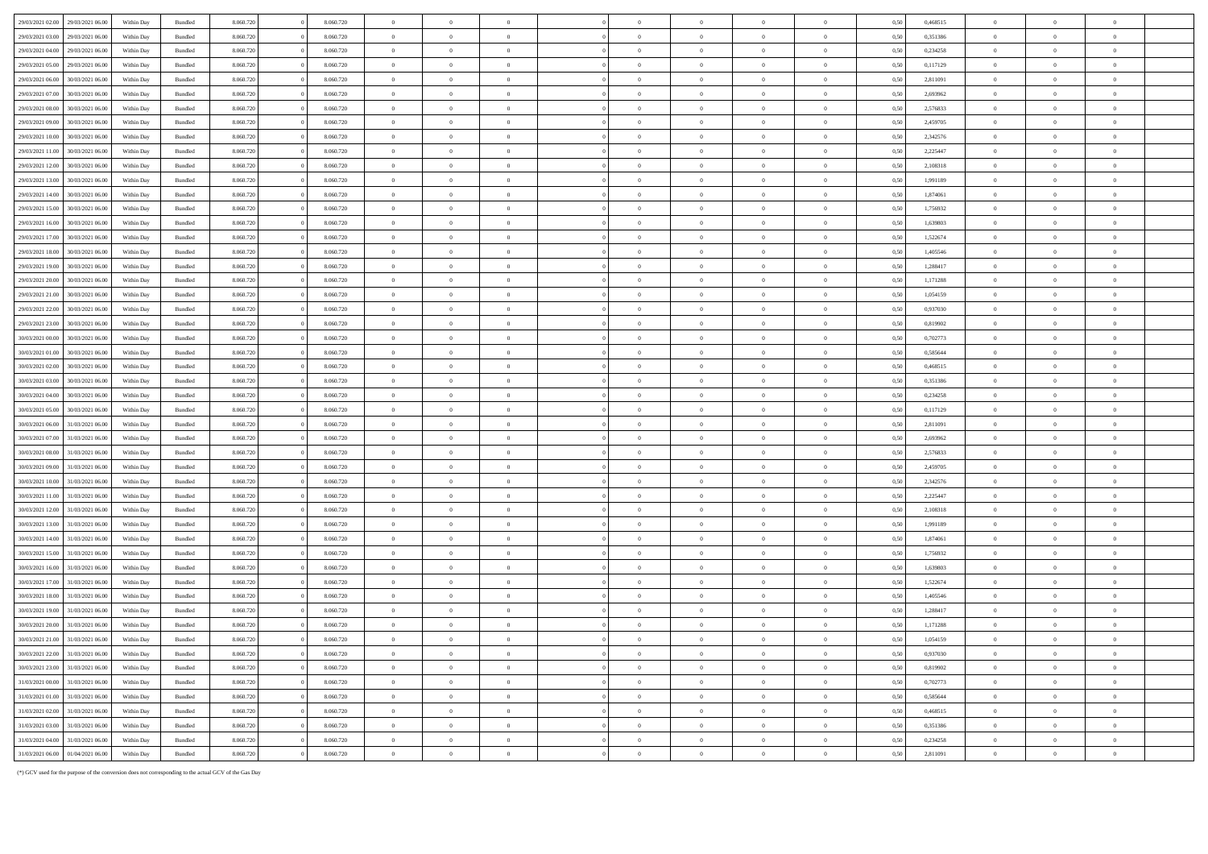| 29/03/2021 02:00<br>29/03/2021 06:00                     | Within Day               | Bundled                   | 8.060.72               |                | 8.060.720 | $\,$ 0 $\,$                |                |                |                |                |                |                            | 0.5  | 0,468515 | $\Omega$                   |                |                |  |
|----------------------------------------------------------|--------------------------|---------------------------|------------------------|----------------|-----------|----------------------------|----------------|----------------|----------------|----------------|----------------|----------------------------|------|----------|----------------------------|----------------|----------------|--|
| 29/03/2021 03:00<br>29/03/2021 06:00                     | Within Day               | <b>Bundled</b>            | 8.060.720              |                | 8.060.720 | $\overline{0}$             | $\Omega$       | $\overline{0}$ | $\theta$       | $\theta$       | $\Omega$       | $\theta$                   | 0.50 | 0.351386 | $\theta$                   | $\overline{0}$ | $\theta$       |  |
| 29/03/2021 04:00<br>29/03/2021 06:00                     | Within Dav               | Bundled                   | 8.060.720              | $\Omega$       | 8.060,720 | $\overline{0}$             | $\overline{0}$ | $\overline{0}$ | $\overline{0}$ | $\bf{0}$       | $\overline{0}$ | $\overline{0}$             | 0.50 | 0.234258 | $\overline{0}$             | $\overline{0}$ | $\overline{0}$ |  |
| 29/03/2021 05:00<br>29/03/2021 06:00                     | Within Day               | Bundled                   | 8.060.720              |                | 8.060.720 | $\,$ 0 $\,$                | $\,$ 0 $\,$    | $\,$ 0 $\,$    | $\,$ 0 $\,$    | $\overline{0}$ | $\overline{0}$ | $\overline{0}$             | 0,50 | 0,117129 | $\overline{0}$             | $\,$ 0 $\,$    | $\overline{0}$ |  |
| 29/03/2021 06:00<br>30/03/2021 06:00                     | Within Day               | Bundled                   | 8.060.720              |                | 8.060.720 | $\overline{0}$             | $\mathbf{0}$   | $\overline{0}$ | $\overline{0}$ | $\mathbf{0}$   | $\bf{0}$       | $\overline{0}$             | 0.50 | 2,811091 | $\overline{0}$             | $\overline{0}$ | $\overline{0}$ |  |
| 29/03/2021 07:00<br>30/03/2021 06:00                     | Within Dav               | <b>Bundled</b>            | 8.060.720              |                | 8.060.720 | $\overline{0}$             | $\Omega$       | $\theta$       | $\overline{0}$ | $\theta$       | $\overline{0}$ | $\overline{0}$             | 0.50 | 2.693962 | $\overline{0}$             | $\Omega$       | $\theta$       |  |
| 29/03/2021 08:00<br>30/03/2021 06:00                     | Within Day               | $\mathbf B$ undled        | 8.060.720              |                | 8.060.720 | $\,$ 0 $\,$                | $\,$ 0 $\,$    | $\overline{0}$ | $\overline{0}$ | $\overline{0}$ | $\overline{0}$ | $\overline{0}$             | 0.50 | 2,576833 | $\theta$                   | $\Omega$       | $\theta$       |  |
| 29/03/2021 09:00<br>30/03/2021 06.0                      | Within Day               | Bundled                   | 8.060.720              |                | 8.060.720 | $\,$ 0 $\,$                | $\overline{0}$ | $\overline{0}$ | $\overline{0}$ | $\overline{0}$ | $\overline{0}$ | $\overline{0}$             | 0,50 | 2,459705 | $\overline{0}$             | $\overline{0}$ | $\overline{0}$ |  |
| 29/03/2021 10:00<br>30/03/2021 06.0                      | Within Day               | Bundled                   | 8.060.720              |                | 8.060.720 | $\,$ 0 $\,$                | $\,$ 0 $\,$    | $\,$ 0 $\,$    | $\overline{0}$ | $\bf{0}$       | $\overline{0}$ | $\overline{0}$             | 0,50 | 2,342576 | $\,$ 0 $\,$                | $\overline{0}$ |                |  |
| 29/03/2021 11:00<br>30/03/2021 06:00                     | Within Day               | <b>Bundled</b>            | 8.060.720              |                | 8.060.720 | $\overline{0}$             | $\overline{0}$ | $\overline{0}$ | $\overline{0}$ | $\theta$       | $\overline{0}$ | $\theta$                   | 0.50 | 2.225447 | $\overline{0}$             | $\overline{0}$ | $\overline{0}$ |  |
| 29/03/2021 12:00<br>30/03/2021 06:00                     | Within Day               | Bundled                   | 8.060.720              |                | 8.060.720 | $\overline{0}$             | $\overline{0}$ | $\overline{0}$ | $\overline{0}$ | $\bf{0}$       | $\overline{0}$ | $\overline{0}$             | 0.50 | 2.108318 | $\overline{0}$             | $\overline{0}$ | $\theta$       |  |
| 29/03/2021 13:00<br>30/03/2021 06:00                     | Within Day               | Bundled                   | 8.060.720              |                | 8.060.720 | $\,$ 0 $\,$                | $\,$ 0 $\,$    | $\,$ 0 $\,$    | $\,$ 0 $\,$    | $\,$ 0 $\,$    | $\overline{0}$ | $\,$ 0 $\,$                | 0,50 | 1,991189 | $\,$ 0 $\,$                | $\overline{0}$ | $\overline{0}$ |  |
| 30/03/2021 06:00                                         |                          |                           |                        |                | 8.060.720 |                            | $\overline{0}$ | $\overline{0}$ | $\overline{0}$ | $\overline{0}$ | $\overline{0}$ | $\overline{0}$             | 0.50 | 1.874061 |                            | $\Omega$       | $\sqrt{2}$     |  |
| 29/03/2021 14:00<br>30/03/2021 06:00                     | Within Day<br>Within Day | Bundled<br><b>Bundled</b> | 8.060.720<br>8.060.720 |                | 8.060.720 | $\bf{0}$<br>$\overline{0}$ | $\theta$       | $\overline{0}$ | $\overline{0}$ | $\mathbf{0}$   | $\Omega$       | $\theta$                   | 0.50 | 1.756932 | $\bf{0}$<br>$\overline{0}$ | $\Omega$       | $\theta$       |  |
| 29/03/2021 15:00<br>29/03/2021 16:00<br>30/03/2021 06:00 |                          |                           |                        |                | 8.060,720 |                            |                |                |                |                |                |                            |      |          |                            |                |                |  |
|                                                          | Within Dav               | Bundled                   | 8.060.720              |                |           | $\overline{0}$             | $\overline{0}$ | $\overline{0}$ | $\overline{0}$ | $\bf{0}$       | $\overline{0}$ | $\overline{0}$             | 0.50 | 1.639803 | $\overline{0}$             | $\overline{0}$ | $\bf{0}$       |  |
| 29/03/2021 17:00<br>30/03/2021 06.0                      | Within Day               | $\mathbf B$ undled        | 8.060.720              |                | 8.060.720 | $\,$ 0 $\,$                | $\,$ 0 $\,$    | $\overline{0}$ | $\theta$       | $\overline{0}$ | $\overline{0}$ | $\overline{0}$             | 0,50 | 1,522674 | $\overline{0}$             | $\overline{0}$ |                |  |
| 29/03/2021 18:00<br>30/03/2021 06.0                      | Within Day               | Bundled                   | 8.060.720              |                | 8.060.720 | $\overline{0}$             | $\,$ 0 $\,$    | $\,$ 0 $\,$    | $\overline{0}$ | $\theta$       | $\overline{0}$ | $\overline{0}$             | 0,50 | 1,405546 | $\overline{0}$             | $\overline{0}$ | $\overline{0}$ |  |
| 29/03/2021 19:00<br>30/03/2021 06:0                      | Within Day               | <b>Bundled</b>            | 8.060.72               |                | 8.060.720 | $\overline{0}$             | $\overline{0}$ | $\overline{0}$ | $\overline{0}$ | $\theta$       | $\theta$       | $\theta$                   | 0.5( | 1.288417 | $\theta$                   | $\overline{0}$ | $\theta$       |  |
| 29/03/2021 20:00<br>30/03/2021 06:00                     | Within Dav               | Bundled                   | 8.060.720              |                | 8.060.720 | $\,$ 0 $\,$                | $\overline{0}$ | $\,$ 0 $\,$    | $\,$ 0 $\,$    | $\,$ 0 $\,$    | $\overline{0}$ | $\mathbf{0}$               | 0.50 | 1,171288 | $\overline{0}$             | $\overline{0}$ | $\,$ 0 $\,$    |  |
| 29/03/2021 21:00<br>30/03/2021 06:00                     | Within Day               | Bundled                   | 8.060.720              |                | 8.060.720 | $\,$ 0 $\,$                | $\overline{0}$ | $\overline{0}$ | $\overline{0}$ | $\overline{0}$ | $\overline{0}$ | $\overline{0}$             | 0,50 | 1,054159 | $\,$ 0 $\,$                | $\overline{0}$ | $\overline{0}$ |  |
| 29/03/2021 22:00<br>30/03/2021 06:00                     | Within Day               | Bundled                   | 8.060.720              |                | 8.060.720 | $\overline{0}$             | $\,$ 0 $\,$    | $\,$ 0 $\,$    | $\,$ 0 $\,$    | $\,$ 0 $\,$    | $\,$ 0 $\,$    | $\,$ 0 $\,$                | 0,50 | 0,937030 | $\overline{0}$             | $\overline{0}$ | $\,$ 0 $\,$    |  |
| 29/03/2021 23:00<br>30/03/2021 06:00                     | Within Day               | <b>Bundled</b>            | 8.060.720              |                | 8.060.720 | $\overline{0}$             | $\Omega$       | $\overline{0}$ | $\theta$       | $\theta$       | $\theta$       | $\overline{0}$             | 0.50 | 0.819902 | $\Omega$                   | $\Omega$       | $\theta$       |  |
| 30/03/2021 00:00<br>30/03/2021 06:00                     | Within Dav               | Bundled                   | 8.060.720              |                | 8.060.720 | $\overline{0}$             | $\overline{0}$ | $\overline{0}$ | $\overline{0}$ | $\bf{0}$       | $\overline{0}$ | $\overline{0}$             | 0.50 | 0.702773 | $\overline{0}$             | $\Omega$       | $\Omega$       |  |
| 30/03/2021 01:00<br>30/03/2021 06:00                     | Within Day               | Bundled                   | 8.060.720              |                | 8.060.720 | $\,$ 0 $\,$                | $\,$ 0 $\,$    | $\,$ 0 $\,$    | $\,$ 0 $\,$    | $\overline{0}$ | $\overline{0}$ | $\,$ 0 $\,$                | 0,50 | 0,585644 | $\,$ 0 $\,$                | $\overline{0}$ | $\overline{0}$ |  |
| 30/03/2021 02:00<br>30/03/2021 06:0                      | Within Day               | Bundled                   | 8.060.720              |                | 8.060.720 | $\,$ 0 $\,$                | $\overline{0}$ | $\overline{0}$ | $\theta$       | $\Omega$       | $\overline{0}$ | $\overline{0}$             | 0.5( | 0.468515 | $\overline{0}$             | $\Omega$       | $\Omega$       |  |
| 30/03/2021 03:00<br>30/03/2021 06:00                     | Within Day               | <b>Bundled</b>            | 8.060.720              |                | 8.060.720 | $\overline{0}$             | $\overline{0}$ | $\overline{0}$ | $\overline{0}$ | $\theta$       | $\overline{0}$ | $\theta$                   | 0.50 | 0.351386 | $\overline{0}$             | $\overline{0}$ | $\theta$       |  |
| 30/03/2021 04:00<br>30/03/2021 06:00                     | Within Day               | Bundled                   | 8.060.720              | $\Omega$       | 8.060,720 | $\overline{0}$             | $\theta$       | $\overline{0}$ | $\overline{0}$ | $\overline{0}$ | $\overline{0}$ | $\overline{0}$             | 0.50 | 0.234258 | $\overline{0}$             | $\Omega$       | $\theta$       |  |
| 30/03/2021 05:00<br>30/03/2021 06:00                     | Within Day               | Bundled                   | 8.060.720              | $\mathbf{0}$   | 8.060.720 | $\mathbf{0}$               | $\mathbf{0}$   | $\,$ 0 $\,$    | $\,$ 0 $\,$    | $\,$ 0 $\,$    | $\mathbf{0}$   | $\qquad \qquad \textbf{0}$ | 0,50 | 0,117129 | $\mathbf{0}$               | $\overline{0}$ | $\,$ 0 $\,$    |  |
| 30/03/2021 06:00<br>31/03/2021 06:00                     | Within Day               | Bundled                   | 8.060.720              |                | 8.060.720 | $\overline{0}$             | $\overline{0}$ | $\overline{0}$ | $\overline{0}$ | $\mathbf{0}$   | $\overline{0}$ | $\overline{0}$             | 0.5( | 2,811091 | $\overline{0}$             | $\theta$       | $\sqrt{2}$     |  |
| 30/03/2021 07:00<br>31/03/2021 06:00                     | Within Day               | Bundled                   | 8.060.720              |                | 8.060.720 | $\overline{0}$             | $\overline{0}$ | $\overline{0}$ | $\overline{0}$ | $\overline{0}$ | $\overline{0}$ | $\overline{0}$             | 0.50 | 2.693962 | $\overline{0}$             | $\overline{0}$ | $\theta$       |  |
| 30/03/2021 08:00<br>31/03/2021 06:00                     | Within Day               | <b>Bundled</b>            | 8.060.720              |                | 8.060.720 | $\overline{0}$             | $\Omega$       | $\theta$       | $\theta$       | $\theta$       | $\Omega$       | $\overline{0}$             | 0.50 | 2.576833 | $\theta$                   | $\Omega$       | $\sqrt{2}$     |  |
| 30/03/2021 09:00<br>31/03/2021 06:00                     | Within Day               | Bundled                   | 8.060.720              |                | 8.060.720 | $\,$ 0 $\,$                | $\overline{0}$ | $\overline{0}$ | $\theta$       | $\overline{0}$ | $\overline{0}$ | $\overline{0}$             | 0,50 | 2,459705 | $\overline{0}$             | $\overline{0}$ |                |  |
| 30/03/2021 10:00<br>31/03/2021 06.0                      | Within Day               | Bundled                   | 8.060.720              |                | 8.060.720 | $\,$ 0 $\,$                | $\,$ 0 $\,$    | $\,$ 0 $\,$    | $\,$ 0 $\,$    | $\,$ 0         | $\overline{0}$ | $\,$ 0 $\,$                | 0,50 | 2,342576 | $\,$ 0 $\,$                | $\,$ 0 $\,$    | $\overline{0}$ |  |
| 30/03/2021 11:00<br>31/03/2021 06:0                      | Within Day               | Bundled                   | 8.060.72               |                | 8.060.720 | $\overline{0}$             | $\Omega$       | $\Omega$       | $\Omega$       | $\Omega$       | $\theta$       | $\overline{0}$             | 0.50 | 2.225447 | $\Omega$                   | $\Omega$       | $\sqrt{2}$     |  |
| 30/03/2021 12:00<br>31/03/2021 06:00                     | Within Day               | Bundled                   | 8.060.720              |                | 8.060.720 | $\overline{0}$             | $\overline{0}$ | $\overline{0}$ | $\overline{0}$ | $\overline{0}$ | $\overline{0}$ | $\overline{0}$             | 0.50 | 2.108318 | $\overline{0}$             | $\overline{0}$ | $\overline{0}$ |  |
| 30/03/2021 13:00<br>31/03/2021 06:00                     | Within Day               | Bundled                   | 8.060.720              |                | 8.060.720 | $\,$ 0 $\,$                | $\theta$       | $\theta$       | $\overline{0}$ | $\overline{0}$ | $\overline{0}$ | $\overline{0}$             | 0,50 | 1,991189 | $\,$ 0 $\,$                | $\overline{0}$ |                |  |
| 30/03/2021 14:00<br>31/03/2021 06:00                     | Within Day               | Bundled                   | 8.060.720              |                | 8.060.720 | $\mathbf{0}$               | $\,$ 0 $\,$    | $\,$ 0 $\,$    | $\,$ 0 $\,$    | $\,$ 0 $\,$    | $\,$ 0 $\,$    | $\,$ 0 $\,$                | 0,50 | 1,874061 | $\,$ 0 $\,$                | $\,$ 0 $\,$    | $\,$ 0 $\,$    |  |
| 30/03/2021 15:00<br>31/03/2021 06:00                     | Within Day               | <b>Bundled</b>            | 8.060.720              |                | 8.060.720 | $\overline{0}$             | $\Omega$       | $\theta$       | $\theta$       | $\theta$       | $\Omega$       | $\overline{0}$             | 0.50 | 1.756932 | $\overline{0}$             | $\Omega$       | $\theta$       |  |
| 30/03/2021 16:00<br>31/03/2021 06:00                     | Within Dav               | Bundled                   | 8.060.720              |                | 8.060.720 | $\overline{0}$             | $\overline{0}$ | $\overline{0}$ | $\overline{0}$ | $\bf{0}$       | $\overline{0}$ | $\overline{0}$             | 0.50 | 1.639803 | $\overline{0}$             | $\overline{0}$ | $\bf{0}$       |  |
| 30/03/2021 17:00<br>31/03/2021 06:00                     | Within Dav               | Bundled                   | 8.060.720              |                | 8.060.720 | $\,$ 0 $\,$                | $\overline{0}$ | $\overline{0}$ | $\Omega$       | $\overline{0}$ | $\overline{0}$ | $\Omega$                   | 0.50 | 1,522674 | $\overline{0}$             | $\Omega$       |                |  |
| 30/03/2021 18:00<br>31/03/2021 06.0                      | Within Day               | Bundled                   | 8.060.720              |                | 8.060.720 | $\overline{0}$             | $\,$ 0 $\,$    | $\,$ 0 $\,$    | $\overline{0}$ | $\overline{0}$ | $\overline{0}$ | $\overline{0}$             | 0,50 | 1,405546 | $\overline{0}$             | $\overline{0}$ | $\Omega$       |  |
| 30/03/2021 19:00<br>31/03/2021 06:0                      | Within Day               | Bundled                   | 8.060.72               |                | 8.060,720 | $\overline{0}$             | $\overline{0}$ | $\overline{0}$ | $\overline{0}$ | $\overline{0}$ | $\overline{0}$ | $\overline{0}$             | 0.50 | 1.288417 | $\overline{0}$             | $\theta$       | $\theta$       |  |
| 30/03/2021 20:00<br>31/03/2021 06:00                     | Within Day               | <b>Bundled</b>            | 8.060.720              |                | 8.060.720 | $\overline{0}$             | $\Omega$       | $\overline{0}$ | $\overline{0}$ | $\theta$       | $\Omega$       | $\overline{0}$             | 0.50 | 1.171288 | $\theta$                   | $\overline{0}$ | $\theta$       |  |
| 30/03/2021 21:00<br>31/03/2021 06:00                     | Within Day               | Bundled                   | 8.060.720              |                | 8.060.720 | $\,$ 0 $\,$                | $\overline{0}$ | $\overline{0}$ | $\,$ 0 $\,$    | $\bf{0}$       | $\bf{0}$       | $\overline{0}$             | 0,50 | 1,054159 | $\,$ 0 $\,$                | $\overline{0}$ | $\overline{0}$ |  |
| 30/03/2021 22.00<br>31/03/2021 06:00                     | Within Day               | Bundled                   | 8.060.720              |                | 8.060.720 | $\,$ 0 $\,$                | $\,$ 0 $\,$    | $\,$ 0 $\,$    | $\,$ 0 $\,$    | $\,$ 0 $\,$    | $\overline{0}$ | $\overline{0}$             | 0,50 | 0,937030 | $\,$ 0 $\,$                | $\overline{0}$ | $\overline{0}$ |  |
| 30/03/2021 23:00<br>31/03/2021 06:00                     | Within Day               | $\mathbf B$ undled        | 8.060.720              |                | 8.060.720 | $\bf{0}$                   | $\overline{0}$ | $\overline{0}$ | $\overline{0}$ | $\overline{0}$ | $\overline{0}$ | $\overline{0}$             | 0.50 | 0.819902 | $\overline{0}$             | $\Omega$       | $\theta$       |  |
| 31/03/2021 00:00<br>31/03/2021 06:00                     | Within Day               | Bundled                   | 8.060.720              |                | 8.060.720 | $\overline{0}$             | $\overline{0}$ | $\overline{0}$ | $\overline{0}$ | $\overline{0}$ | $\overline{0}$ | $\overline{0}$             | 0.50 | 0,702773 | $\overline{0}$             | $\theta$       | $\theta$       |  |
| 31/03/2021 01:00<br>31/03/2021 06:00                     | Within Day               | Bundled                   | 8.060.720              |                | 8.060.720 | $\,$ 0 $\,$                | $\overline{0}$ | $\,$ 0 $\,$    | $\theta$       | $\bf{0}$       | $\overline{0}$ | $\bf{0}$                   | 0,50 | 0,585644 | $\bf{0}$                   | $\overline{0}$ |                |  |
| 31/03/2021 02:00<br>31/03/2021 06.00                     | Within Day               | Bundled                   | 8.060.720              |                | 8.060.720 | $\,$ 0 $\,$                | $\theta$       | $\overline{0}$ | $\overline{0}$ | $\overline{0}$ | $\overline{0}$ | $\overline{0}$             | 0,50 | 0,468515 | $\theta$                   | $\overline{0}$ |                |  |
| $31/03/2021\ 03.00$<br>31/03/2021 06:0                   | Within Day               | <b>Bundled</b>            | 8.060.72               |                | 8.060.720 | $\overline{0}$             | $\theta$       | $\Omega$       | $\Omega$       | $\Omega$       | $\Omega$       | $\overline{0}$             | 0.50 | 0.351386 | $\Omega$                   | $\Omega$       | $\theta$       |  |
| 31/03/2021 04:00<br>31/03/2021 06:00                     | Within Day               | Bundled                   | 8.060.72               | $\Omega$       | 8.060,720 | $\overline{0}$             | $\overline{0}$ | $\overline{0}$ | $\overline{0}$ | $\mathbf{0}$   | $\mathbf{0}$   | $\overline{0}$             | 0.50 | 0.234258 | $\overline{0}$             | $\overline{0}$ | $\overline{0}$ |  |
| 31/03/2021 06:00<br>01/04/2021 06:00                     | Within Day               | $\mathbf B$ undled        | 8.060.720              | $\overline{0}$ | 8.060.720 | $\,$ 0 $\,$                | $\,$ 0 $\,$    | $\Omega$       | $\,$ 0 $\,$    | $\theta$       | $\theta$       | $\theta$                   | 0,50 | 2,811091 | $\Omega$                   | $\Omega$       | $\theta$       |  |

(\*) GCV used for the purpose of the conversion does not corresponding to the actual GCV of the Gas Day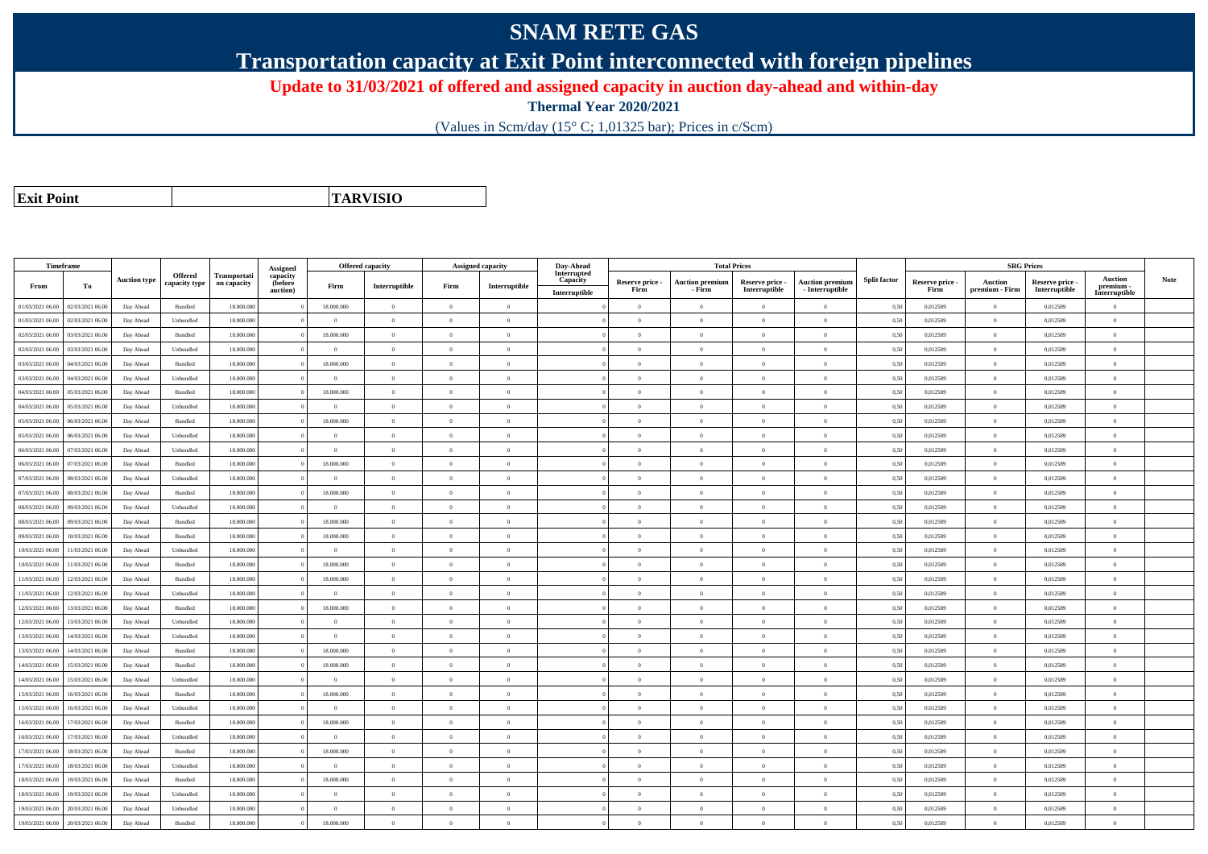## **SNAM RETE GAS**

**Transportation capacity at Exit Point interconnected with foreign pipelines**

**Update to 31/03/2021 of offered and assigned capacity in auction day-ahead and within-day**

**Thermal Year 2020/2021**

(Values in Scm/day (15° C; 1,01325 bar); Prices in c/Scm)

| <b>Exit Point</b> |
|-------------------|

**TARVISIO**

|                  | Timeframe        |                     |                          |                             |                                 | <b>Offered capacity</b> |                |                | Assigned capacity | Day-Ahead               |                 | <b>Total Prices</b>    |                 |                        |                     |                 | <b>SRG Prices</b> |               |                             |             |
|------------------|------------------|---------------------|--------------------------|-----------------------------|---------------------------------|-------------------------|----------------|----------------|-------------------|-------------------------|-----------------|------------------------|-----------------|------------------------|---------------------|-----------------|-------------------|---------------|-----------------------------|-------------|
| From             | To               | <b>Auction type</b> | Offered<br>capacity type | Transportati<br>on capacity | Assigned<br>capacity<br>(before | Firm                    | Interruptible  | Firm           | Interruptible     | Interrupted<br>Capacity | Reserve price - | <b>Auction premium</b> | Reserve price - | <b>Auction premium</b> | <b>Split factor</b> | Reserve price - | <b>Auction</b>    | Reserve price | <b>Auction</b><br>premium - | <b>Note</b> |
|                  |                  |                     |                          |                             | auction)                        |                         | $\overline{0}$ |                |                   | Interruptible           | Firm            | - Firm                 | Interruptible   | $-$ Interruptible      |                     | Firm            | premium - Firm    | Interruptible | Interruptible               |             |
| 01/03/2021 06:00 | 02/03/2021 06:00 | Day Ahead           | Bundled                  | 18.000.000                  |                                 | 18.000.000              |                | $\overline{0}$ | $\overline{0}$    |                         | $\theta$        | $\overline{0}$         | $\overline{0}$  | $\mathbf{0}$           | 0,50                | 0,012589        | $\overline{0}$    | 0,012589      | $\bf{0}$                    |             |
| 01/03/2021 06:00 | 02/03/2021 06:00 | Day Ahead           | Unbundled                | 18.000.000                  |                                 | $\Omega$                | $\overline{0}$ | $\Omega$       | $\Omega$          |                         | $\Omega$        | $\theta$               | $\overline{0}$  | $\bf{0}$               | 0,50                | 0,012589        | $\overline{0}$    | 0,012589      | $\bf{0}$                    |             |
| 02/03/2021 06:00 | 03/03/2021 06:00 | Day Ahead           | Bundled                  | 18.000.000                  |                                 | 18.000.000              | $\mathbf{0}$   | $\Omega$       | $\Omega$          |                         | $\Omega$        |                        | $\Omega$        | $\theta$               | 0,50                | 0,012589        | $\mathbf{0}$      | 0,012589      | $\Omega$                    |             |
| 02/03/2021 06:00 | 03/03/2021 06:00 | Day Ahead           | Unbundled                | 18.000.000                  |                                 | $\theta$                | $\overline{0}$ | $\overline{0}$ | $\Omega$          |                         | $\Omega$        | $\theta$               | $\overline{0}$  | $\overline{0}$         | 0,50                | 0,012589        | $\overline{0}$    | 0,012589      | $\theta$                    |             |
| 03/03/2021 06:00 | 04/03/2021 06:00 | Day Ahead           | Bundled                  | 18.000.000                  |                                 | 18.000.000              | $\overline{0}$ | $\overline{0}$ | $\theta$          |                         | $\theta$        | $\theta$               | $\overline{0}$  | $\mathbf{0}$           | 0,50                | 0,012589        | $\overline{0}$    | 0,012589      | $\bf{0}$                    |             |
| 03/03/2021 06:00 | 04/03/2021 06:00 | Day Ahead           | Unbundled                | 18,000,000                  |                                 | $\theta$                | $\overline{0}$ | $\Omega$       | $\theta$          |                         | $\theta$        | $\theta$               | $\theta$        | $\theta$               | 0.50                | 0.012589        | $\overline{0}$    | 0.012589      | $\theta$                    |             |
| 04/03/2021 06:00 | 05/03/2021 06:00 | Day Ahead           | Bundled                  | 18,000,000                  |                                 | 18,000,000              | $\overline{0}$ | $\overline{0}$ | $\Omega$          |                         | $\theta$        | $\theta$               | $\Omega$        | $\Omega$               | 0.50                | 0.012589        | $\overline{0}$    | 0.012589      | $\Omega$                    |             |
| 04/03/2021 06:00 | 05/03/2021 06:00 | Day Ahead           | Unbundled                | 18.000.000                  |                                 | $\overline{0}$          | $\overline{0}$ | $\theta$       | $\theta$          |                         | $\theta$        | $\overline{0}$         | $\overline{0}$  | $\mathbf{0}$           | 0,50                | 0,012589        | $\overline{0}$    | 0,012589      | $\bf{0}$                    |             |
| 05/03/2021 06:00 | 06/03/2021 06:00 | Day Ahead           | Bundled                  | 18,000,000                  |                                 | 18,000,000              | $\theta$       | $\Omega$       | $\theta$          |                         | $\theta$        | $\theta$               | $\theta$        | $\Omega$               | 0.50                | 0.012589        | $\overline{0}$    | 0.012589      | $\Omega$                    |             |
| 05/03/2021 06:00 | 06/03/2021 06.00 | Day Ahead           | Unbundled                | 18.000.00                   |                                 | $\overline{0}$          | $\overline{0}$ | $\overline{0}$ | $\theta$          |                         | $\theta$        | $\theta$               | $\overline{0}$  | $\mathbf{0}$           | 0,50                | 0,012589        | $\overline{0}$    | 0,012589      | $\bf{0}$                    |             |
| 06/03/2021 06:00 | 07/03/2021 06.00 | Day Ahead           | Unbundled                | 18.000.000                  |                                 | $\overline{0}$          | $\overline{0}$ | $\overline{0}$ | $\overline{0}$    |                         | $\overline{0}$  | $\theta$               | $\overline{0}$  | $\overline{0}$         | 0,50                | 0,012589        | $\overline{0}$    | 0,012589      | $\bf{0}$                    |             |
| 06/03/2021 06:00 | 07/03/2021 06.00 | Day Ahead           | Bundled                  | 18.000.000                  |                                 | 18.000.000              | $\,$ 0 $\,$    | $\overline{0}$ | $\overline{0}$    |                         | $\overline{0}$  | $\theta$               | $\bf{0}$        | $\overline{0}$         | 0,50                | 0,012589        | $\,$ 0 $\,$       | 0,012589      | $\bf{0}$                    |             |
| 07/03/2021 06:00 | 08/03/2021 06:00 | Day Ahead           | Unbundled                | 18.000.000                  |                                 | $\theta$                | $\mathbf{0}$   | $\Omega$       | $\theta$          |                         | $\Omega$        | $\theta$               | $\overline{0}$  | $\mathbf{0}$           | 0,50                | 0,012589        | $\mathbf{0}$      | 0,012589      | $\Omega$                    |             |
| 07/03/2021 06:00 | 08/03/2021 06:00 | Day Ahead           | Bundled                  | 18,000,000                  |                                 | 18,000,000              | $\overline{0}$ | $\overline{0}$ | $\Omega$          |                         | $\Omega$        | $\theta$               | $\overline{0}$  | $\theta$               | 0,50                | 0,012589        | $\theta$          | 0,012589      | $\theta$                    |             |
| 08/03/2021 06:00 | 09/03/2021 06:00 | Day Ahead           | Unbundled                | 18.000.000                  |                                 | $\Omega$                | $\overline{0}$ | $\Omega$       | $\theta$          |                         | $\theta$        | $\theta$               | $\overline{0}$  | $\mathbf{0}$           | 0,50                | 0,012589        | $\overline{0}$    | 0,012589      | $\bf{0}$                    |             |
| 08/03/2021 06:00 | 09/03/2021 06:00 | Day Ahead           | Bundled                  | 18,000,000                  |                                 | 18,000,000              | $\theta$       | $\Omega$       | $\Omega$          |                         | $\Omega$        | $\theta$               | $\Omega$        | $\theta$               | 0.50                | 0.012589        | $\Omega$          | 0.012589      | $\theta$                    |             |
| 09/03/2021 06:00 | 10/03/2021 06:00 | Day Ahead           | Bundled                  | 18,000,000                  |                                 | 18,000,000              | $\overline{0}$ | $\overline{0}$ | $\Omega$          |                         | $\theta$        | $\theta$               | $\overline{0}$  | $\overline{0}$         | 0.50                | 0.012589        | $\overline{0}$    | 0.012589      | $\Omega$                    |             |
| 10/03/2021 06:00 | 11/03/2021 06:00 | Day Ahead           | Unbundled                | 18.000.000                  |                                 | $\overline{0}$          | $\overline{0}$ | $\theta$       | $\theta$          |                         | $\theta$        | $\overline{0}$         | $\overline{0}$  | $\mathbf{0}$           | 0,50                | 0,012589        | $\bf{0}$          | 0,012589      | $\bf{0}$                    |             |
| 10/03/2021 06:00 | 11/03/2021 06:00 | Day Ahead           | Bundled                  | 18.000.000                  |                                 | 18,000,000              | $\overline{0}$ | $\Omega$       | $\Omega$          |                         | $\theta$        | $\theta$               | $\overline{0}$  | $\mathbf{0}$           | 0,50                | 0,012589        | $\overline{0}$    | 0,012589      | $\Omega$                    |             |
| 11/03/2021 06:00 | 12/03/2021 06.00 | Day Ahead           | Bundled                  | 18.000.000                  |                                 | 18.000.000              | $\,$ 0 $\,$    | $\overline{0}$ | $\Omega$          |                         | $\overline{0}$  | $\mathbf{a}$           | $\overline{0}$  | $\overline{0}$         | 0,50                | 0,012589        | $\,$ 0 $\,$       | 0,012589      | $\Omega$                    |             |
| 11/03/2021 06:00 | 12/03/2021 06:00 | Day Ahead           | Unbundled                | 18.000.000                  |                                 | $\Omega$                | $\overline{0}$ | $\Omega$       | $\theta$          |                         | $\theta$        | $\theta$               | $\overline{0}$  | $\mathbf{0}$           | 0,50                | 0,012589        | $\overline{0}$    | 0,012589      | $\Omega$                    |             |
| 12/03/2021 06:00 | 13/03/2021 06:00 | Day Ahead           | Bundled                  | 18,000,000                  |                                 | 18.000.000              | $\overline{0}$ | $\Omega$       | $\theta$          |                         | $\theta$        | $\mathbf{a}$           | $\overline{0}$  | $\theta$               | 0,50                | 0,012589        | $\overline{0}$    | 0,012589      | $\Omega$                    |             |
| 12/03/2021 06:00 | 13/03/2021 06.00 | Day Ahead           | Unbundled                | 18.000.000                  |                                 | $\theta$                | $\mathbf{0}$   | $\overline{0}$ | $\theta$          |                         | $\theta$        | $\theta$               | $\overline{0}$  | $\mathbf{0}$           | 0,50                | 0,012589        | $\overline{0}$    | 0,012589      | $\bf{0}$                    |             |
| 13/03/2021 06:00 | 14/03/2021 06.00 | Day Ahead           | Unbundled                | 18,000,000                  |                                 | $\theta$                | $\overline{0}$ | $\Omega$       | $\Omega$          |                         | $\theta$        | $\theta$               | $\Omega$        | $\theta$               | 0,50                | 0,012589        | $\overline{0}$    | 0,012589      | $\theta$                    |             |
| 13/03/2021 06:00 | 14/03/2021 06:00 | Day Ahead           | Bundled                  | 18.000.000                  |                                 | 18.000.000              | $\overline{0}$ | $\overline{0}$ | $\overline{0}$    |                         | $\overline{0}$  | $\theta$               | $\overline{0}$  | $\overline{0}$         | 0,50                | 0,012589        | $\overline{0}$    | 0,012589      | $\bf{0}$                    |             |
| 14/03/2021 06.00 | 5/03/2021 06.0   | Day Ahead           | Bundled                  | 18.000.00                   |                                 | 18.000.000              | $\overline{0}$ | $\overline{0}$ | $\theta$          |                         | $\overline{0}$  | $\theta$               | $\overline{0}$  | $\overline{0}$         | 0,50                | 0,012589        | $\bf{0}$          | 0,012589      | $\bf{0}$                    |             |
| 14/03/2021 06:00 | 15/03/2021 06.00 | Day Ahead           | Unbundled                | 18,000,000                  |                                 | $\Omega$                | $\overline{0}$ | $\Omega$       | $\Omega$          |                         | $\Omega$        | $\theta$               | $\Omega$        | $\theta$               | 0,50                | 0,012589        | $\overline{0}$    | 0,012589      | $\Omega$                    |             |
| 15/03/2021 06:00 | 16/03/2021 06:00 | Day Ahead           | Bundled                  | 18.000.000                  |                                 | 18.000.000              | $\overline{0}$ | $\overline{0}$ | $\theta$          |                         | $\theta$        | $\theta$               | $\overline{0}$  | $\mathbf{0}$           | 0,50                | 0,012589        | $\overline{0}$    | 0,012589      | $\bf{0}$                    |             |
| 15/03/2021 06:00 | 16/03/2021 06:00 | Day Ahead           | Unbundled                | 18.000.000                  |                                 | $\theta$                | $\overline{0}$ | $\Omega$       | $\Omega$          |                         | $\Omega$        |                        | $\Omega$        | $\Omega$               | 0,50                | 0,012589        | $\overline{0}$    | 0,012589      | $\Omega$                    |             |
| 16/03/2021 06:00 | 17/03/2021 06:00 | Day Ahead           | Bundled                  | 18.000.000                  |                                 | 18.000.000              | $\overline{0}$ | $\overline{0}$ | $\Omega$          |                         | $\Omega$        | $\theta$               | $\overline{0}$  | $\overline{0}$         | 0,50                | 0,012589        | $\overline{0}$    | 0,012589      | $\theta$                    |             |
| 16/03/2021 06:00 | 17/03/2021 06:00 | Day Ahead           | Unbundled                | 18.000.000                  |                                 | $\overline{0}$          | $\overline{0}$ | $\Omega$       | $\theta$          |                         | $\theta$        | $\theta$               | $\overline{0}$  | $\mathbf{0}$           | 0,50                | 0,012589        | $\overline{0}$    | 0,012589      | $\Omega$                    |             |
| 17/03/2021 06:00 | 18/03/2021 06:00 | Day Ahead           | Bundled                  | 18,000,000                  |                                 | 18,000,000              | $\overline{0}$ | $\overline{0}$ | $\Omega$          |                         | $\theta$        | $\theta$               | $\Omega$        | $\theta$               | 0,50                | 0.012589        | $\overline{0}$    | 0.012589      | $\theta$                    |             |
| 17/03/2021 06:00 | 18/03/2021 06.0  | Day Ahead           | Unbundled                | 18.000.000                  |                                 | $\theta$                | $\overline{0}$ | $\Omega$       | $\Omega$          |                         | $\theta$        | $\theta$               | $\theta$        | $\mathbf{0}$           | 0,50                | 0,012589        | $\overline{0}$    | 0,012589      | $\Omega$                    |             |
| 18/03/2021 06:00 | 19/03/2021 06:00 | Day Ahead           | Bundled                  | 18,000,000                  |                                 | 18,000,000              | $\overline{0}$ | $\overline{0}$ | $\theta$          |                         | $\theta$        | $\theta$               | $\overline{0}$  | $\mathbf{0}$           | 0.50                | 0.012589        | $\overline{0}$    | 0.012589      | $\bf{0}$                    |             |
| 18/03/2021 06:00 | 19/03/2021 06:00 | Day Ahead           | Unbundled                | 18.000.000                  |                                 | $\Omega$                | $\overline{0}$ | $\Omega$       | $\theta$          |                         | $\theta$        | $\theta$               | $\overline{0}$  | $\mathbf{0}$           | 0,50                | 0,012589        | $\overline{0}$    | 0,012589      | $\Omega$                    |             |
| 19/03/2021 06.00 | 20/03/2021 06.0  | Day Ahead           | Unbundled                | 18.000.00                   |                                 | $\overline{0}$          | $\overline{0}$ | $\overline{0}$ | $\theta$          |                         | $\theta$        | $\theta$               | $\theta$        | $\mathbf{0}$           | 0,50                | 0,012589        | $\overline{0}$    | 0,012589      | $\bf{0}$                    |             |
| 19/03/2021 06:00 | 20/03/2021 06:00 | Day Ahead           | Bundled                  | 18,000,000                  |                                 | 18.000.000              | $\theta$       | $\Omega$       | $\theta$          |                         | $\theta$        | $\theta$               | $\Omega$        | $\theta$               | 0,50                | 0,012589        | $\overline{0}$    | 0,012589      | $\theta$                    |             |
|                  |                  |                     |                          |                             |                                 |                         |                |                |                   |                         |                 |                        |                 |                        |                     |                 |                   |               |                             |             |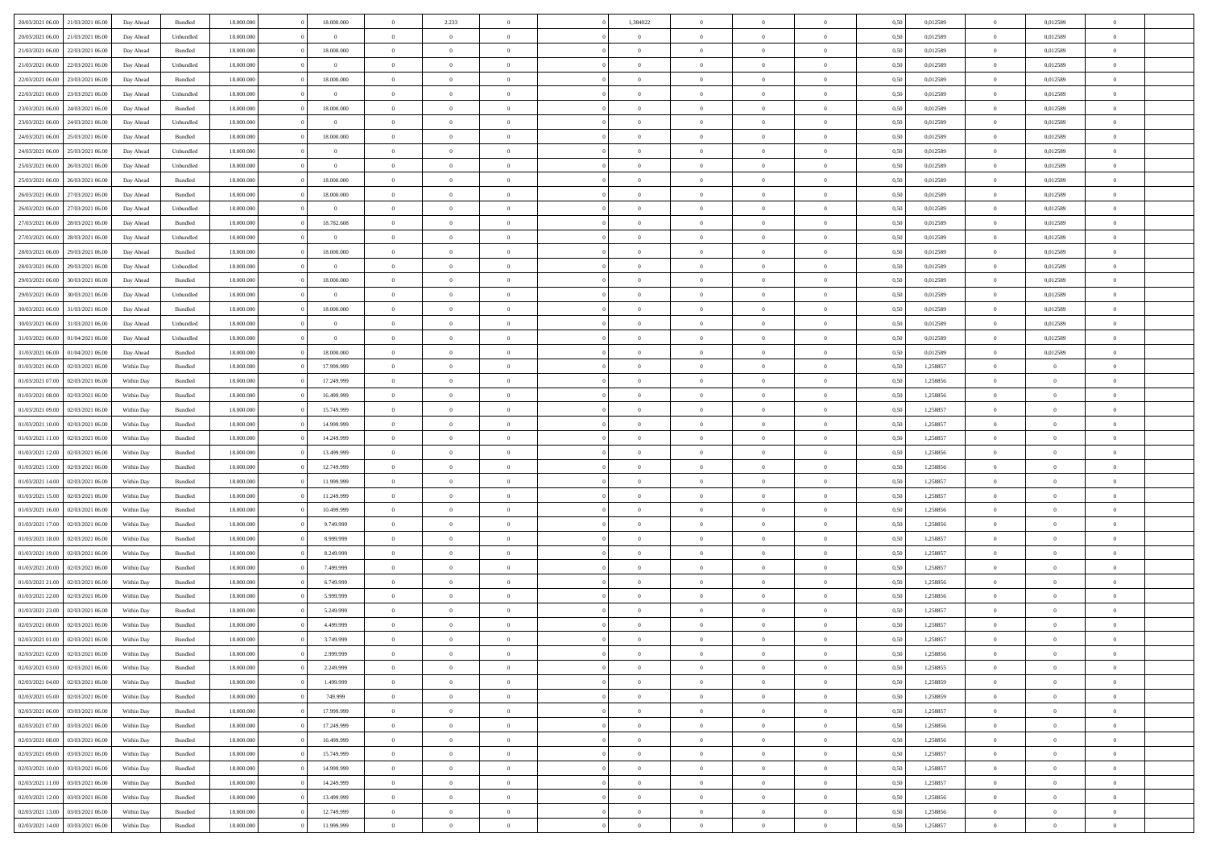|                                              |            |           |            |                | $\overline{0}$ |                |                |                | $\theta$       |                | $\theta$       |      |          | $\theta$       |                | $\overline{0}$ |  |
|----------------------------------------------|------------|-----------|------------|----------------|----------------|----------------|----------------|----------------|----------------|----------------|----------------|------|----------|----------------|----------------|----------------|--|
| 20/03/2021 06:00 21/03/2021 06:00            | Day Ahead  | Bundled   | 18.000.000 | 18.000.000     |                | 2.233          |                | 1,384022       |                |                |                | 0,50 | 0,012589 |                | 0,012589       |                |  |
| 20/03/2021 06:00<br>21/03/2021 06:00         | Day Ahead  | Unbundled | 18.000.00  | $\bf{0}$       | $\bf{0}$       | $\bf{0}$       | $\bf{0}$       | $\overline{0}$ | $\overline{0}$ | $\overline{0}$ | $\bf{0}$       | 0,50 | 0,012589 | $\,$ 0 $\,$    | 0,012589       | $\overline{0}$ |  |
| 21/03/2021 06:00<br>22/03/2021 06:00         | Day Ahead  | Bundled   | 18,000,000 | 18.000.000     | $\overline{0}$ | $\bf{0}$       | $\overline{0}$ | $\bf{0}$       | $\bf{0}$       | $\overline{0}$ | $\bf{0}$       | 0.50 | 0,012589 | $\bf{0}$       | 0,012589       | $\overline{0}$ |  |
| 21/03/2021 06:00<br>22/03/2021 06:00         | Day Ahead  | Unbundled | 18.000.000 | $\bf{0}$       | $\overline{0}$ | $\overline{0}$ | $\overline{0}$ | $\overline{0}$ | $\theta$       | $\overline{0}$ | $\bf{0}$       | 0,50 | 0,012589 | $\,$ 0 $\,$    | 0,012589       | $\overline{0}$ |  |
| 22/03/2021 06:00<br>23/03/2021 06.00         | Day Ahead  | Bundled   | 18.000.00  | 18.000.000     | $\overline{0}$ | $\overline{0}$ | $\bf{0}$       | $\overline{0}$ | $\theta$       | $\overline{0}$ | $\bf{0}$       | 0,50 | 0,012589 | $\,$ 0 $\,$    | 0,012589       | $\overline{0}$ |  |
| 22/03/2021 06:00<br>23/03/2021 06:00         | Day Ahead  | Unbundled | 18,000,000 | $\overline{0}$ | $\overline{0}$ | $\overline{0}$ | $\overline{0}$ | $\bf{0}$       | $\overline{0}$ | $\theta$       | $\bf{0}$       | 0.50 | 0.012589 | $\bf{0}$       | 0.012589       | $\overline{0}$ |  |
| 23/03/2021 06:00<br>24/03/2021 06:00         | Day Ahead  | Bundled   | 18.000.000 | 18.000.000     | $\bf{0}$       | $\overline{0}$ | $\overline{0}$ | $\overline{0}$ | $\overline{0}$ | $\overline{0}$ | $\bf{0}$       | 0,50 | 0,012589 | $\bf{0}$       | 0,012589       | $\overline{0}$ |  |
| 23/03/2021 06:00<br>24/03/2021 06.00         | Day Ahead  | Unbundled | 18.000.000 | $\overline{0}$ | $\bf{0}$       | $\overline{0}$ | $\bf{0}$       | $\overline{0}$ | $\overline{0}$ | $\overline{0}$ | $\bf{0}$       | 0,50 | 0,012589 | $\,$ 0 $\,$    | 0,012589       | $\overline{0}$ |  |
|                                              |            |           |            |                |                |                |                |                |                |                |                |      |          |                |                |                |  |
| 24/03/2021 06:00<br>25/03/2021 06:00         | Day Ahead  | Bundled   | 18,000,000 | 18.000.000     | $\overline{0}$ | $\bf{0}$       | $\overline{0}$ | $\bf{0}$       | $\overline{0}$ | $\overline{0}$ | $\bf{0}$       | 0.50 | 0.012589 | $\bf{0}$       | 0.012589       | $\overline{0}$ |  |
| 24/03/2021 06:00<br>25/03/2021 06:00         | Day Ahead  | Unbundled | 18.000.000 | $\overline{0}$ | $\bf{0}$       | $\bf{0}$       | $\overline{0}$ | $\overline{0}$ | $\overline{0}$ | $\overline{0}$ | $\bf{0}$       | 0,50 | 0,012589 | $\bf{0}$       | 0,012589       | $\overline{0}$ |  |
| 25/03/2021 06:00<br>26/03/2021 06.00         | Day Ahead  | Unbundled | 18.000.00  | $\overline{0}$ | $\bf{0}$       | $\overline{0}$ | $\bf{0}$       | $\bf{0}$       | $\overline{0}$ | $\overline{0}$ | $\bf{0}$       | 0,50 | 0,012589 | $\,$ 0 $\,$    | 0,012589       | $\overline{0}$ |  |
| 25/03/2021 06:00<br>26/03/2021 06:00         | Day Ahead  | Bundled   | 18,000,000 | 18.000.000     | $\overline{0}$ | $\bf{0}$       | $\overline{0}$ | $\overline{0}$ | $\overline{0}$ | $\overline{0}$ | $\bf{0}$       | 0.50 | 0.012589 | $\overline{0}$ | 0.012589       | $\overline{0}$ |  |
| 26/03/2021 06:00<br>27/03/2021 06:00         | Day Ahead  | Bundled   | 18.000.000 | 18.000.000     | $\overline{0}$ | $\overline{0}$ | $\overline{0}$ | $\overline{0}$ | $\theta$       | $\overline{0}$ | $\bf{0}$       | 0,50 | 0,012589 | $\,$ 0 $\,$    | 0,012589       | $\overline{0}$ |  |
| 26/03/2021 06:00<br>27/03/2021 06.00         | Day Ahead  | Unbundled | 18.000.00  | $\bf{0}$       | $\bf{0}$       | $\overline{0}$ | $\bf{0}$       | $\bf{0}$       | $\theta$       | $\overline{0}$ | $\bf{0}$       | 0,50 | 0,012589 | $\,$ 0 $\,$    | 0,012589       | $\overline{0}$ |  |
| 27/03/2021 06:00<br>28/03/2021 06:00         | Day Ahead  | Bundled   | 18,000,000 | 18.782.608     | $\overline{0}$ | $\overline{0}$ | $\overline{0}$ | $\bf{0}$       | $\overline{0}$ | $\Omega$       | $\bf{0}$       | 0.50 | 0.012589 | $\bf{0}$       | 0.012589       | $\overline{0}$ |  |
| 27/03/2021 06:00<br>28/03/2021 06:00         | Day Ahead  | Unbundled | 18.000.000 | $\overline{0}$ | $\bf{0}$       | $\overline{0}$ | $\overline{0}$ | $\overline{0}$ | $\overline{0}$ | $\overline{0}$ | $\bf{0}$       | 0,50 | 0,012589 | $\bf{0}$       | 0,012589       | $\overline{0}$ |  |
| 28/03/2021 06:00<br>29/03/2021 06.00         | Day Ahead  | Bundled   | 18.000.000 | 18.000.000     | $\bf{0}$       | $\overline{0}$ | $\overline{0}$ | $\overline{0}$ | $\overline{0}$ | $\overline{0}$ | $\bf{0}$       | 0,50 | 0,012589 | $\,$ 0 $\,$    | 0,012589       | $\overline{0}$ |  |
| 29/03/2021 06:00                             |            | Unbundled | 18.000.000 | $\overline{0}$ |                |                |                |                |                | $\overline{0}$ |                |      |          |                |                |                |  |
| 28/03/2021 06:00                             | Day Ahead  |           |            |                | $\overline{0}$ | $\bf{0}$       | $\overline{0}$ | $\bf{0}$       | $\bf{0}$       |                | $\bf{0}$       | 0.50 | 0.012589 | $\bf{0}$       | 0.012589       | $\overline{0}$ |  |
| 29/03/2021 06:00<br>30/03/2021 06:00         | Day Ahead  | Bundled   | 18.000.000 | 18.000.000     | $\bf{0}$       | $\bf{0}$       | $\overline{0}$ | $\overline{0}$ | $\overline{0}$ | $\overline{0}$ | $\bf{0}$       | 0,50 | 0,012589 | $\bf{0}$       | 0,012589       | $\overline{0}$ |  |
| 29/03/2021 06:00<br>30/03/2021 06:00         | Day Ahead  | Unbundled | 18.000.00  | $\overline{0}$ | $\bf{0}$       | $\bf{0}$       | $\bf{0}$       | $\bf{0}$       | $\overline{0}$ | $\overline{0}$ | $\bf{0}$       | 0,50 | 0,012589 | $\,$ 0 $\,$    | 0,012589       | $\overline{0}$ |  |
| 30/03/2021 06:00<br>31/03/2021 06:00         | Day Ahead  | Bundled   | 18,000,000 | 18.000.000     | $\overline{0}$ | $\bf{0}$       | $\overline{0}$ | $\overline{0}$ | $\bf{0}$       | $\overline{0}$ | $\bf{0}$       | 0.50 | 0.012589 | $\bf{0}$       | 0.012589       | $\overline{0}$ |  |
| 30/03/2021 06:00<br>31/03/2021 06:00         | Day Ahead  | Unbundled | 18.000.000 | $\overline{0}$ | $\overline{0}$ | $\overline{0}$ | $\overline{0}$ | $\overline{0}$ | $\theta$       | $\overline{0}$ | $\bf{0}$       | 0,50 | 0,012589 | $\,$ 0 $\,$    | 0,012589       | $\overline{0}$ |  |
| 31/03/2021 06:00<br>01/04/2021 06.00         | Day Ahead  | Unbundled | 18.000.00  | $\overline{0}$ | $\bf{0}$       | $\overline{0}$ | $\bf{0}$       | $\bf{0}$       | $\,$ 0 $\,$    | $\overline{0}$ | $\bf{0}$       | 0,50 | 0,012589 | $\,$ 0 $\,$    | 0,012589       | $\overline{0}$ |  |
| 31/03/2021 06:00<br>01/04/2021 06:00         | Day Ahead  | Bundled   | 18,000,000 | 18.000.000     | $\overline{0}$ | $\overline{0}$ | $\overline{0}$ | $\bf{0}$       | $\overline{0}$ | $\Omega$       | $\bf{0}$       | 0.50 | 0.012589 | $\bf{0}$       | 0.012589       | $\overline{0}$ |  |
| 01/03/2021 06:00<br>02/03/2021 06:00         | Within Day | Bundled   | 18.000.000 | 17.999.999     | $\bf{0}$       | $\overline{0}$ | $\overline{0}$ | $\overline{0}$ | $\overline{0}$ | $\overline{0}$ | $\bf{0}$       | 0,50 | 1,258857 | $\,$ 0 $\,$    | $\overline{0}$ | $\overline{0}$ |  |
| 01/03/2021 07:00<br>02/03/2021 06.00         | Within Day | Bundled   | 18.000.000 | 17.249.999     | $\bf{0}$       | $\overline{0}$ | $\bf{0}$       | $\overline{0}$ | $\overline{0}$ | $\overline{0}$ | $\bf{0}$       | 0,50 | 1,258856 | $\,$ 0 $\,$    | $\bf{0}$       | $\overline{0}$ |  |
| 01/03/2021 08:00<br>02/03/2021 06:00         | Within Day | Bundled   | 18,000,000 | 16,499,999     | $\overline{0}$ | $\overline{0}$ | $\overline{0}$ | $\bf{0}$       | $\overline{0}$ | $\overline{0}$ | $\bf{0}$       | 0.50 | 1.258856 | $\theta$       | $\overline{0}$ | $\overline{0}$ |  |
| 01/03/2021 09:00<br>02/03/2021 06:00         | Within Day | Bundled   | 18.000.000 | 15.749.999     | $\bf{0}$       | $\bf{0}$       | $\overline{0}$ | $\overline{0}$ | $\overline{0}$ | $\overline{0}$ | $\bf{0}$       | 0,50 | 1,258857 | $\,$ 0 $\,$    | $\theta$       | $\overline{0}$ |  |
|                                              |            |           |            |                | $\bf{0}$       | $\bf{0}$       | $\bf{0}$       |                | $\overline{0}$ | $\overline{0}$ |                |      |          | $\,$ 0 $\,$    | $\bf{0}$       | $\overline{0}$ |  |
| 01/03/2021 10:00<br>02/03/2021 06.00         | Within Day | Bundled   | 18.000.00  | 14.999.999     |                |                |                | $\bf{0}$       |                |                | $\bf{0}$       | 0,50 | 1,258857 |                |                |                |  |
| 01/03/2021 11:00<br>02/03/2021 06:00         | Within Day | Bundled   | 18,000,000 | 14.249.999     | $\overline{0}$ | $\bf{0}$       | $\overline{0}$ | $\overline{0}$ | $\bf{0}$       | $\overline{0}$ | $\bf{0}$       | 0.50 | 1,258857 | $\bf{0}$       | $\overline{0}$ | $\bf{0}$       |  |
| 01/03/2021 12:00<br>02/03/2021 06:00         | Within Day | Bundled   | 18.000.000 | 13.499.999     | $\overline{0}$ | $\overline{0}$ | $\overline{0}$ | $\overline{0}$ | $\overline{0}$ | $\overline{0}$ | $\bf{0}$       | 0.50 | 1,258856 | $\theta$       | $\theta$       | $\overline{0}$ |  |
| 01/03/2021 13:00<br>02/03/2021 06.00         | Within Day | Bundled   | 18.000.000 | 12.749.999     | $\bf{0}$       | $\overline{0}$ | $\bf{0}$       | $\bf{0}$       | $\overline{0}$ | $\overline{0}$ | $\bf{0}$       | 0,50 | 1,258856 | $\,$ 0 $\,$    | $\bf{0}$       | $\overline{0}$ |  |
| 01/03/2021 14:00<br>02/03/2021 06:00         | Within Day | Bundled   | 18,000,000 | 11.999.999     | $\overline{0}$ | $\overline{0}$ | $\overline{0}$ | $\bf{0}$       | $\theta$       | $\Omega$       | $\bf{0}$       | 0.50 | 1.258857 | $\theta$       | $\theta$       | $\overline{0}$ |  |
| 01/03/2021 15:00<br>02/03/2021 06:00         | Within Day | Bundled   | 18.000.000 | 11.249.999     | $\overline{0}$ | $\overline{0}$ | $\overline{0}$ | $\overline{0}$ | $\overline{0}$ | $\overline{0}$ | $\overline{0}$ | 0.50 | 1,258857 | $\theta$       | $\theta$       | $\overline{0}$ |  |
| 01/03/2021 16:00<br>02/03/2021 06.00         | Within Day | Bundled   | 18.000.000 | 10.499.999     | $\bf{0}$       | $\overline{0}$ | $\bf{0}$       | $\bf{0}$       | $\overline{0}$ | $\overline{0}$ | $\bf{0}$       | 0,50 | 1,258856 | $\,$ 0 $\,$    | $\bf{0}$       | $\overline{0}$ |  |
| 01/03/2021 17:00<br>02/03/2021 06:00         | Within Day | Bundled   | 18,000,000 | 9.749.999      | $\overline{0}$ | $\bf{0}$       | $\overline{0}$ | $\bf{0}$       | $\overline{0}$ | $\overline{0}$ | $\bf{0}$       | 0.50 | 1.258856 | $\bf{0}$       | $\overline{0}$ | $\overline{0}$ |  |
| 01/03/2021 18:00<br>02/03/2021 06:00         | Within Day | Bundled   | 18.000.000 | 8.999.999      | $\overline{0}$ | $\overline{0}$ | $\overline{0}$ | $\overline{0}$ | $\overline{0}$ | $\overline{0}$ | $\overline{0}$ | 0.50 | 1,258857 | $\theta$       | $\theta$       | $\overline{0}$ |  |
| 01/03/2021 19:00<br>02/03/2021 06.00         | Within Day | Bundled   | 18.000.00  | 8.249.999      | $\bf{0}$       | $\bf{0}$       | $\bf{0}$       | $\bf{0}$       | $\overline{0}$ | $\overline{0}$ | $\bf{0}$       | 0,50 | 1,258857 | $\,$ 0 $\,$    | $\bf{0}$       | $\overline{0}$ |  |
| 01/03/2021 20:00<br>02/03/2021 06:00         | Within Day | Bundled   | 18,000,000 | 7,499,999      | $\overline{0}$ | $\bf{0}$       | $\overline{0}$ | $\overline{0}$ | $\bf{0}$       | $\overline{0}$ | $\bf{0}$       | 0.50 | 1,258857 | $\bf{0}$       | $\overline{0}$ | $\bf{0}$       |  |
| 01/03/2021 21:00<br>02/03/2021 06:00         | Within Day | Bundled   | 18.000.000 | 6.749.999      | $\overline{0}$ | $\overline{0}$ | $\overline{0}$ | $\overline{0}$ | $\overline{0}$ | $\overline{0}$ | $\bf{0}$       | 0.50 | 1,258856 | $\theta$       | $\theta$       | $\overline{0}$ |  |
| 02/03/2021 06.00                             | Within Day | Bundled   | 18.000.000 | 5.999.999      | $\bf{0}$       | $\overline{0}$ | $\bf{0}$       | $\bf{0}$       | $\overline{0}$ | $\overline{0}$ | $\bf{0}$       | 0,50 | 1,258856 | $\,$ 0 $\,$    | $\bf{0}$       | $\overline{0}$ |  |
| 01/03/2021 22:00                             |            |           |            |                |                |                |                |                |                |                |                |      |          |                |                |                |  |
| 01/03/2021 23:00<br>02/03/2021 06:00         | Within Day | Bundled   | 18,000,000 | 5.249.999      | $\overline{0}$ | $\overline{0}$ | $\Omega$       | $\overline{0}$ | $\overline{0}$ | $\Omega$       | $\bf{0}$       | 0.50 | 1.258857 | $\bf{0}$       | $\theta$       | $\overline{0}$ |  |
| 02/03/2021 00:00<br>02/03/2021 06:00         | Within Day | Bundled   | 18.000.000 | 4.499.999      | $\overline{0}$ | $\overline{0}$ | $\Omega$       | $\overline{0}$ | $\theta$       | $\Omega$       | $\overline{0}$ | 0.50 | 1,258857 | $\theta$       | $\theta$       | $\overline{0}$ |  |
| $02/03/2021\ 01.00$<br>02/03/2021 06:00      | Within Day | Bundled   | 18.000.000 | 3.749.999      | $\bf{0}$       | $\bf{0}$       | $\bf{0}$       | $\bf{0}$       | $\bf{0}$       | $\overline{0}$ | $\bf{0}$       | 0,50 | 1,258857 | $\,$ 0 $\,$    | $\bf{0}$       | $\overline{0}$ |  |
| $02/03/2021\ 02.00 \qquad 02/03/2021\ 06.00$ | Within Day | Bundled   | 18.000.000 | 2.999.999      | $\overline{0}$ | $\Omega$       |                | $\overline{0}$ | $\theta$       |                | $^{\circ}$     | 0,50 | 1,258856 | $\theta$       | $\bf{0}$       |                |  |
| 02/03/2021 03:00 02/03/2021 06:00            | Within Day | Bundled   | 18.000.000 | 2.249.999      | $\overline{0}$ | $\overline{0}$ | $\overline{0}$ | $\overline{0}$ | $\overline{0}$ | $\overline{0}$ | $\bf{0}$       | 0,50 | 1,258855 | $\theta$       | $\overline{0}$ | $\overline{0}$ |  |
| 02/03/2021 04:00<br>02/03/2021 06:00         | Within Day | Bundled   | 18.000.000 | 1.499.999      | $\overline{0}$ | $\bf{0}$       | $\overline{0}$ | $\overline{0}$ | $\bf{0}$       | $\overline{0}$ | $\bf{0}$       | 0,50 | 1,258859 | $\bf{0}$       | $\overline{0}$ | $\bf{0}$       |  |
| 02/03/2021 05:00 02/03/2021 06:00            | Within Day | Bundled   | 18.000.000 | 749.999        | $\overline{0}$ | $\bf{0}$       | $\overline{0}$ | $\overline{0}$ | $\mathbf{0}$   | $\overline{0}$ | $\,$ 0 $\,$    | 0.50 | 1,258859 | $\overline{0}$ | $\bf{0}$       | $\,$ 0 $\,$    |  |
| 02/03/2021 06:00 03/03/2021 06:00            | Within Day | Bundled   | 18.000.000 | 17.999.999     | $\overline{0}$ | $\overline{0}$ | $\overline{0}$ | $\overline{0}$ | $\overline{0}$ | $\overline{0}$ | $\bf{0}$       | 0,50 | 1,258857 | $\overline{0}$ | $\theta$       | $\overline{0}$ |  |
| 02/03/2021 07:00<br>03/03/2021 06:00         | Within Day | Bundled   | 18.000.000 | 17.249.999     | $\overline{0}$ | $\bf{0}$       | $\overline{0}$ | $\overline{0}$ | $\bf{0}$       | $\overline{0}$ | $\bf{0}$       | 0,50 | 1,258856 | $\overline{0}$ | $\bf{0}$       | $\overline{0}$ |  |
| 02/03/2021 08:00<br>03/03/2021 06:00         | Within Day | Bundled   | 18.000.000 | 16.499.999     | $\overline{0}$ | $\bf{0}$       | $\overline{0}$ | $\overline{0}$ | $\bf{0}$       | $\overline{0}$ | $\bf{0}$       | 0.50 | 1.258856 | $\,$ 0 $\,$    | $\theta$       | $\,$ 0         |  |
| 02/03/2021 09:00<br>03/03/2021 06:00         | Within Day | Bundled   | 18.000.000 | 15.749.999     | $\overline{0}$ | $\overline{0}$ | $\overline{0}$ | $\overline{0}$ | $\overline{0}$ | $\overline{0}$ | $\bf{0}$       | 0,50 | 1,258857 | $\overline{0}$ | $\theta$       | $\overline{0}$ |  |
|                                              |            |           |            |                |                |                |                |                |                |                |                |      |          |                |                |                |  |
| 03/03/2021 06:00<br>02/03/2021 10:00         | Within Day | Bundled   | 18.000.000 | 14.999.999     | $\overline{0}$ | $\overline{0}$ | $\overline{0}$ | $\overline{0}$ | $\overline{0}$ | $\overline{0}$ | $\bf{0}$       | 0,50 | 1,258857 | $\bf{0}$       | $\overline{0}$ | $\,$ 0         |  |
| 02/03/2021 11:00 03/03/2021 06:00            | Within Day | Bundled   | 18,000,000 | 14.249.999     | $\overline{0}$ | $\overline{0}$ | $\overline{0}$ | $\overline{0}$ | $\overline{0}$ | $\overline{0}$ | $\bf{0}$       | 0.50 | 1.258857 | $\overline{0}$ | $\,$ 0 $\,$    | $\,$ 0         |  |
| 02/03/2021 12:00 03/03/2021 06:00            | Within Day | Bundled   | 18.000.000 | 13.499.999     | $\overline{0}$ | $\overline{0}$ | $\overline{0}$ | $\overline{0}$ | $\overline{0}$ | $\overline{0}$ | $\bf{0}$       | 0,50 | 1,258856 | $\overline{0}$ | $\theta$       | $\overline{0}$ |  |
| 02/03/2021 13:00<br>03/03/2021 06:00         | Within Day | Bundled   | 18.000.000 | 12.749.999     | $\overline{0}$ | $\bf{0}$       | $\overline{0}$ | $\overline{0}$ | $\overline{0}$ | $\overline{0}$ | $\bf{0}$       | 0,50 | 1,258856 | $\bf{0}$       | $\bf{0}$       | $\overline{0}$ |  |
| 02/03/2021 14:00 03/03/2021 06:00            | Within Day | Bundled   | 18.000.000 | 11.999.999     | $\overline{0}$ | $\bf{0}$       | $\overline{0}$ | $\overline{0}$ | $\,$ 0 $\,$    | $\overline{0}$ | $\bf{0}$       | 0,50 | 1,258857 | $\overline{0}$ | $\,$ 0 $\,$    | $\,$ 0 $\,$    |  |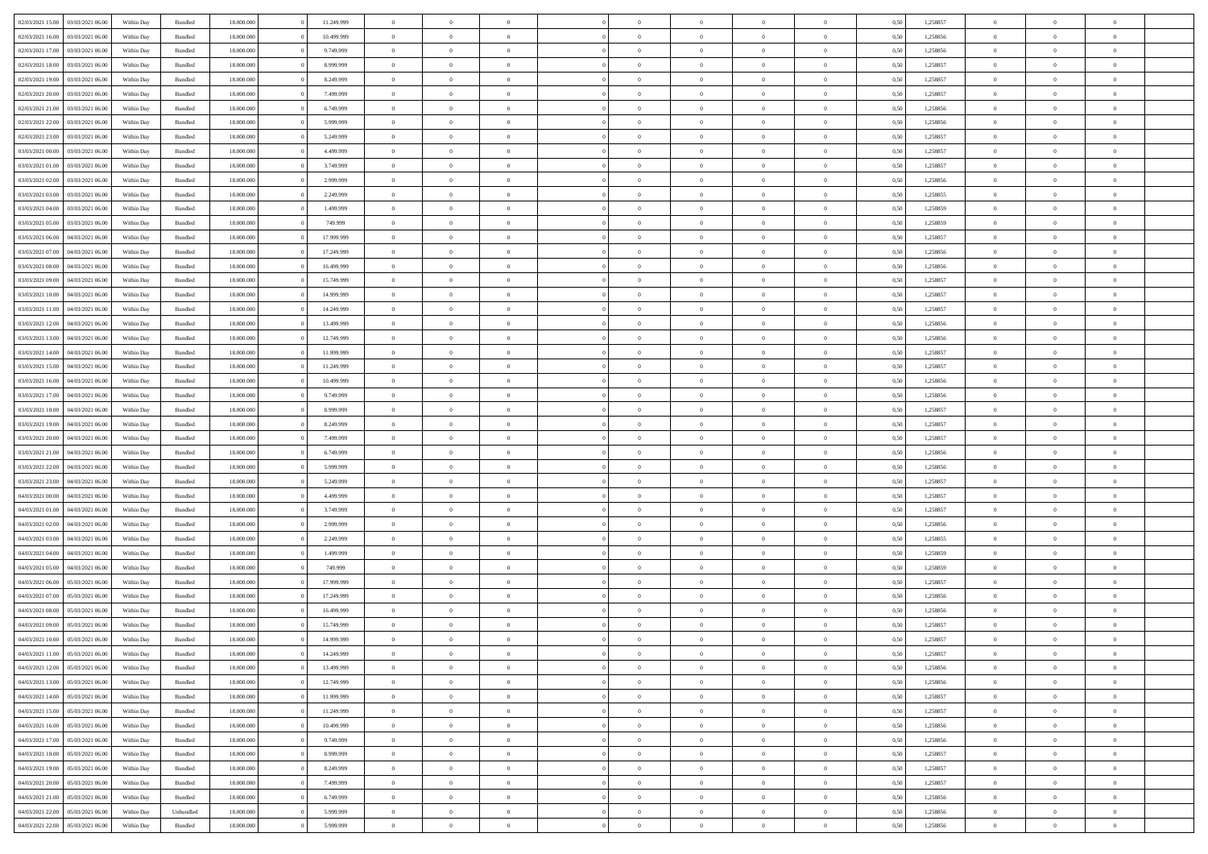| 02/03/2021 15:00                   | 03/03/2021 06:00 | Within Day | Bundled   | 18,000,000 | 11.249.999 | $\overline{0}$ | $\theta$       |                |                | $\Omega$       | $\Omega$       | $\overline{0}$ | 0,50 | 1,258857 | $\theta$       | $\theta$       | $\theta$       |  |
|------------------------------------|------------------|------------|-----------|------------|------------|----------------|----------------|----------------|----------------|----------------|----------------|----------------|------|----------|----------------|----------------|----------------|--|
| 02/03/2021 16:00                   | 03/03/2021 06:00 | Within Dav | Bundled   | 18.000.000 | 10.499.999 | $\overline{0}$ | $\Omega$       |                | $\Omega$       | $\Omega$       | $\Omega$       | $\Omega$       | 0.50 | 1,258856 | $\theta$       | $\Omega$       | $\sqrt{ }$     |  |
| 02/03/2021 17:00                   | 03/03/2021 06:00 | Within Day | Bundled   | 18.000.000 | 9.749.999  | $\overline{0}$ | $\overline{0}$ | $\overline{0}$ | $\overline{0}$ | $\,$ 0 $\,$    | $\overline{0}$ | $\,$ 0 $\,$    | 0,50 | 1,258856 | $\,$ 0 $\,$    | $\overline{0}$ | $\overline{0}$ |  |
|                                    |                  |            |           |            |            |                |                |                |                |                |                |                |      |          |                |                |                |  |
| 02/03/2021 18:00                   | 03/03/2021 06:00 | Within Day | Bundled   | 18.000.000 | 8.999.999  | $\overline{0}$ | $\overline{0}$ | $\overline{0}$ | $\overline{0}$ | $\bf{0}$       | $\overline{0}$ | $\bf{0}$       | 0,50 | 1,258857 | $\bf{0}$       | $\theta$       | $\overline{0}$ |  |
| 02/03/2021 19:00                   | 03/03/2021 06:00 | Within Day | Bundled   | 18.000.000 | 8.249.999  | $\overline{0}$ | $\Omega$       | $^{\circ}$     | $\Omega$       | $\overline{0}$ | $\Omega$       | $\bf{0}$       | 0.50 | 1,258857 | $\theta$       | $\theta$       | $\sqrt{ }$     |  |
| 02/03/2021 20:00                   | 03/03/2021 06:00 | Within Day | Bundled   | 18.000.000 | 7.499.999  | $\overline{0}$ | $\overline{0}$ | $\overline{0}$ | $\overline{0}$ | $\,$ 0 $\,$    | $\overline{0}$ | $\,$ 0 $\,$    | 0,50 | 1,258857 | $\,$ 0 $\,$    | $\overline{0}$ | $\overline{0}$ |  |
| 02/03/2021 21:00                   | 03/03/2021 06:00 | Within Day | Bundled   | 18.000.000 | 6.749.999  | $\overline{0}$ | $\overline{0}$ | $\overline{0}$ | $\Omega$       | $\overline{0}$ | $\overline{0}$ | $\bf{0}$       | 0,50 | 1,258856 | $\bf{0}$       | $\theta$       | $\overline{0}$ |  |
|                                    |                  |            |           |            |            |                |                |                |                |                |                |                |      |          |                |                |                |  |
| 02/03/2021 22:00                   | 03/03/2021 06:00 | Within Day | Bundled   | 18.000.000 | 5.999.999  | $\overline{0}$ | $\Omega$       | $^{\circ}$     | $\Omega$       | $\overline{0}$ | $\Omega$       | $\bf{0}$       | 0.50 | 1,258856 | $\theta$       | $\theta$       | $\sqrt{ }$     |  |
| 02/03/2021 23:00                   | 03/03/2021 06:00 | Within Day | Bundled   | 18.000.000 | 5.249.999  | $\overline{0}$ | $\overline{0}$ | $\overline{0}$ | $\overline{0}$ | $\overline{0}$ | $\overline{0}$ | $\,$ 0 $\,$    | 0,50 | 1,258857 | $\,$ 0 $\,$    | $\overline{0}$ | $\overline{0}$ |  |
| 03/03/2021 00:00                   | 03/03/2021 06:00 | Within Day | Bundled   | 18,000,000 | 4.499.999  | $\overline{0}$ | $\overline{0}$ | $\overline{0}$ | $\Omega$       | $\overline{0}$ | $\overline{0}$ | $\bf{0}$       | 0,50 | 1,258857 | $\theta$       | $\theta$       | $\overline{0}$ |  |
| 03/03/2021 01:00                   | 03/03/2021 06:00 | Within Dav | Bundled   | 18.000.000 | 3.749.999  | $\overline{0}$ | $\Omega$       | $^{\circ}$     | $\Omega$       | $\overline{0}$ | $\Omega$       | $\bf{0}$       | 0.50 | 1,258857 | $\theta$       | $\Omega$       | $\sqrt{ }$     |  |
| 03/03/2021 02:00                   | 03/03/2021 06:00 |            | Bundled   | 18.000.000 | 2.999.999  | $\overline{0}$ | $\overline{0}$ | $\overline{0}$ | $\overline{0}$ | $\,$ 0 $\,$    | $\overline{0}$ | $\,$ 0 $\,$    |      | 1,258856 | $\,$ 0 $\,$    | $\overline{0}$ | $\overline{0}$ |  |
|                                    |                  | Within Day |           |            |            |                |                |                |                |                |                |                | 0,50 |          |                |                |                |  |
| 03/03/2021 03:00                   | 03/03/2021 06.00 | Within Day | Bundled   | 18.000.000 | 2.249.999  | $\overline{0}$ | $\overline{0}$ | $\overline{0}$ | $\overline{0}$ | $\bf{0}$       | $\overline{0}$ | $\bf{0}$       | 0,50 | 1,258855 | $\bf{0}$       | $\overline{0}$ | $\bf{0}$       |  |
| 03/03/2021 04:00                   | 03/03/2021 06:00 | Within Day | Bundled   | 18.000.000 | 1.499.999  | $\overline{0}$ | $\Omega$       | $^{\circ}$     | $\overline{0}$ | $\overline{0}$ | $\Omega$       | $\bf{0}$       | 0.50 | 1,258859 | $\theta$       | $\theta$       | $\sqrt{ }$     |  |
| 03/03/2021 05:00                   | 03/03/2021 06:00 | Within Day | Bundled   | 18.000.000 | 749.999    | $\overline{0}$ | $\theta$       | $\overline{0}$ | $\overline{0}$ | $\bf{0}$       | $\overline{0}$ | $\,$ 0 $\,$    | 0,50 | 1,258859 | $\theta$       | $\overline{0}$ | $\overline{0}$ |  |
| 03/03/2021 06:00                   | 04/03/2021 06:00 | Within Day | Bundled   | 18.000.000 | 17.999.999 | $\overline{0}$ | $\overline{0}$ | $\overline{0}$ | $\Omega$       | $\overline{0}$ | $\overline{0}$ | $\overline{0}$ | 0,50 | 1,258857 | $\theta$       | $\overline{0}$ | $\overline{0}$ |  |
|                                    |                  |            |           |            |            |                |                |                |                |                |                |                |      |          |                |                |                |  |
| 03/03/2021 07:00                   | 04/03/2021 06:00 | Within Day | Bundled   | 18.000.000 | 17.249.999 | $\overline{0}$ | $\Omega$       | $^{\circ}$     | $\Omega$       | $\overline{0}$ | $\Omega$       | $\bf{0}$       | 0.50 | 1,258856 | $\theta$       | $\Omega$       | -0             |  |
| 03/03/2021 08:00                   | 04/03/2021 06:00 | Within Day | Bundled   | 18.000.000 | 16.499.999 | $\overline{0}$ | $\overline{0}$ | $\overline{0}$ | $\overline{0}$ | $\,$ 0 $\,$    | $\overline{0}$ | $\,$ 0 $\,$    | 0,50 | 1,258856 | $\,$ 0 $\,$    | $\overline{0}$ | $\overline{0}$ |  |
| 03/03/2021 09:00                   | 04/03/2021 06:00 | Within Day | Bundled   | 18,000,000 | 15.749.999 | $\overline{0}$ | $\overline{0}$ | $\overline{0}$ | $\Omega$       | $\overline{0}$ | $\overline{0}$ | $\bf{0}$       | 0.50 | 1,258857 | $\bf{0}$       | $\theta$       | $\overline{0}$ |  |
| 03/03/2021 10:00                   | 04/03/2021 06:00 | Within Dav | Bundled   | 18.000.000 | 14.999.999 | $\overline{0}$ | $\Omega$       | $^{\circ}$     | $\Omega$       | $\bf{0}$       | $\Omega$       | $\overline{0}$ | 0.50 | 1,258857 | $\theta$       | $\theta$       | $\sqrt{ }$     |  |
| 03/03/2021 11:00                   | 04/03/2021 06:00 | Within Day | Bundled   | 18.000.000 | 14.249.999 | $\overline{0}$ | $\overline{0}$ | $\overline{0}$ | $\overline{0}$ | $\,$ 0 $\,$    | $\overline{0}$ | $\,$ 0 $\,$    | 0,50 | 1,258857 | $\,$ 0 $\,$    | $\overline{0}$ | $\overline{0}$ |  |
|                                    |                  |            |           |            |            |                |                |                |                |                |                |                |      |          |                |                |                |  |
| 03/03/2021 12:00                   | 04/03/2021 06:00 | Within Day | Bundled   | 18.000.000 | 13.499.999 | $\overline{0}$ | $\overline{0}$ | $\overline{0}$ | $\overline{0}$ | $\bf{0}$       | $\overline{0}$ | $\bf{0}$       | 0,50 | 1,258856 | $\bf{0}$       | $\overline{0}$ | $\overline{0}$ |  |
| 03/03/2021 13:00                   | 04/03/2021 06:00 | Within Day | Bundled   | 18.000.000 | 12.749.999 | $\overline{0}$ | $\Omega$       | $^{\circ}$     | $\overline{0}$ | $\bf{0}$       | $\Omega$       | $\bf{0}$       | 0.50 | 1,258856 | $\theta$       | $\theta$       | $\sqrt{ }$     |  |
| 03/03/2021 14:00                   | 04/03/2021 06:00 | Within Day | Bundled   | 18.000.000 | 11.999.999 | $\overline{0}$ | $\theta$       | $\overline{0}$ | $\overline{0}$ | $\,$ 0 $\,$    | $\overline{0}$ | $\,$ 0 $\,$    | 0,50 | 1,258857 | $\,$ 0 $\,$    | $\overline{0}$ | $\overline{0}$ |  |
| 03/03/2021 15:00                   | 04/03/2021 06:00 | Within Day | Bundled   | 18.000.000 | 11.249.999 | $\overline{0}$ | $\overline{0}$ | $\overline{0}$ | $\Omega$       | $\overline{0}$ | $\overline{0}$ | $\bf{0}$       | 0,50 | 1,258857 | $\bf{0}$       | $\overline{0}$ | $\overline{0}$ |  |
|                                    |                  |            |           |            |            |                |                |                |                |                |                |                |      |          |                |                |                |  |
| 03/03/2021 16:00                   | 04/03/2021 06:00 | Within Day | Bundled   | 18.000.000 | 10.499.999 | $\overline{0}$ | $\Omega$       | $^{\circ}$     | $\Omega$       | $\bf{0}$       | $\Omega$       | $\bf{0}$       | 0.50 | 1,258856 | $\theta$       | $\theta$       | $\sqrt{ }$     |  |
| 03/03/2021 17:00                   | 04/03/2021 06:00 | Within Day | Bundled   | 18.000.000 | 9.749.999  | $\overline{0}$ | $\overline{0}$ | $\overline{0}$ | $\overline{0}$ | $\overline{0}$ | $\overline{0}$ | $\,$ 0 $\,$    | 0,50 | 1,258856 | $\,$ 0 $\,$    | $\overline{0}$ | $\overline{0}$ |  |
| 03/03/2021 18:00                   | 04/03/2021 06:00 | Within Day | Bundled   | 18,000,000 | 8.999.999  | $\overline{0}$ | $\overline{0}$ | $\overline{0}$ | $\Omega$       | $\overline{0}$ | $\overline{0}$ | $\bf{0}$       | 0.50 | 1,258857 | $\bf{0}$       | $\theta$       | $\overline{0}$ |  |
| 03/03/2021 19:00                   | 04/03/2021 06:00 | Within Dav | Bundled   | 18.000.000 | 8.249.999  | $\overline{0}$ | $\Omega$       | $^{\circ}$     | $\Omega$       | $\overline{0}$ | $\Omega$       | $\bf{0}$       | 0.50 | 1,258857 | $\theta$       | $\Omega$       | $\sqrt{ }$     |  |
| 03/03/2021 20:00                   | 04/03/2021 06:00 |            | Bundled   | 18.000.000 | 7.499.999  | $\overline{0}$ | $\overline{0}$ | $\overline{0}$ | $\overline{0}$ | $\,$ 0 $\,$    | $\overline{0}$ | $\,$ 0 $\,$    |      | 1,258857 | $\,$ 0 $\,$    | $\overline{0}$ | $\overline{0}$ |  |
|                                    |                  | Within Day |           |            |            |                |                |                |                |                |                |                | 0,50 |          |                |                |                |  |
| 03/03/2021 21:00                   | 04/03/2021 06.00 | Within Day | Bundled   | 18.000.000 | 6.749.999  | $\bf{0}$       | $\overline{0}$ | $\overline{0}$ | $\bf{0}$       | $\bf{0}$       | $\bf{0}$       | $\bf{0}$       | 0,50 | 1,258856 | $\,$ 0 $\,$    | $\overline{0}$ | $\overline{0}$ |  |
| 03/03/2021 22.00                   | 04/03/2021 06:00 | Within Day | Bundled   | 18.000.000 | 5.999.999  | $\overline{0}$ | $\theta$       | $^{\circ}$     | $\overline{0}$ | $\overline{0}$ | $\Omega$       | $\bf{0}$       | 0.50 | 1,258856 | $\theta$       | $\theta$       | $\sqrt{ }$     |  |
| 03/03/2021 23:00                   | 04/03/2021 06:00 | Within Day | Bundled   | 18.000.000 | 5.249.999  | $\overline{0}$ | $\overline{0}$ | $\overline{0}$ | $\overline{0}$ | $\overline{0}$ | $\overline{0}$ | $\,$ 0 $\,$    | 0,50 | 1,258857 | $\theta$       | $\overline{0}$ | $\overline{0}$ |  |
| 04/03/2021 00:00                   | 04/03/2021 06.00 | Within Day | Bundled   | 18.000.000 | 4.499.999  | $\overline{0}$ | $\theta$       | $\overline{0}$ | $\overline{0}$ | $\,$ 0         | $\bf{0}$       | $\bf{0}$       | 0,50 | 1,258857 | $\,$ 0 $\,$    | $\overline{0}$ | $\overline{0}$ |  |
|                                    |                  |            |           |            |            |                |                |                |                |                |                |                |      |          |                |                |                |  |
| 04/03/2021 01:00                   | 04/03/2021 06:00 | Within Day | Bundled   | 18.000.000 | 3.749.999  | $\overline{0}$ | $\Omega$       |                | $\Omega$       | $\overline{0}$ | $\Omega$       | $\bf{0}$       | 0.50 | 1,258857 | $\theta$       | $\Omega$       | -0             |  |
| 04/03/2021 02:00                   | 04/03/2021 06:00 | Within Day | Bundled   | 18.000.000 | 2.999.999  | $\overline{0}$ | $\overline{0}$ | $\overline{0}$ | $\overline{0}$ | $\,$ 0 $\,$    | $\overline{0}$ | $\,$ 0 $\,$    | 0,50 | 1,258856 | $\,$ 0 $\,$    | $\overline{0}$ | $\overline{0}$ |  |
| 04/03/2021 03:00                   | 04/03/2021 06.00 | Within Day | Bundled   | 18.000.000 | 2.249.999  | $\overline{0}$ | $\,$ 0 $\,$    | $\overline{0}$ | $\bf{0}$       | $\bf{0}$       | $\bf{0}$       | $\bf{0}$       | 0,50 | 1,258855 | $\,$ 0 $\,$    | $\overline{0}$ | $\overline{0}$ |  |
| 04/03/2021 04:00                   | 04/03/2021 06:00 | Within Dav | Bundled   | 18.000.000 | 1.499.999  | $\overline{0}$ | $\Omega$       | $^{\circ}$     | $\Omega$       | $\overline{0}$ | $\Omega$       | $\bf{0}$       | 0.50 | 1,258859 | $\theta$       | $\theta$       | $\sqrt{ }$     |  |
| 04/03/2021 05:00                   | 04/03/2021 06:00 | Within Day | Bundled   | 18.000.000 | 749.999    | $\overline{0}$ | $\overline{0}$ | $\overline{0}$ | $\overline{0}$ | $\,$ 0 $\,$    | $\overline{0}$ | $\,$ 0 $\,$    | 0,50 | 1,258859 | $\,$ 0 $\,$    | $\overline{0}$ | $\overline{0}$ |  |
|                                    |                  |            |           |            |            |                |                |                |                |                |                |                |      |          |                |                |                |  |
| 04/03/2021 06.00                   | 05/03/2021 06.00 | Within Day | Bundled   | 18.000.000 | 17.999.999 | $\overline{0}$ | $\,$ 0 $\,$    | $\overline{0}$ | $\bf{0}$       | $\,$ 0         | $\bf{0}$       | $\bf{0}$       | 0,50 | 1,258857 | $\,$ 0 $\,$    | $\overline{0}$ | $\overline{0}$ |  |
| 04/03/2021 07:00                   | 05/03/2021 06:00 | Within Day | Bundled   | 18.000.000 | 17.249.999 | $\overline{0}$ | $\theta$       | $^{\circ}$     | $\Omega$       | $\bf{0}$       | $\Omega$       | $\bf{0}$       | 0.50 | 1,258856 | $\theta$       | $\theta$       | -0             |  |
| 04/03/2021 08:00                   | 05/03/2021 06:00 | Within Day | Bundled   | 18.000.000 | 16.499.999 | $\overline{0}$ | $\theta$       | $\overline{0}$ | $\overline{0}$ | $\,0\,$        | $\overline{0}$ | $\,$ 0 $\,$    | 0,50 | 1,258856 | $\,$ 0 $\,$    | $\overline{0}$ | $\overline{0}$ |  |
| 04/03/2021 09:00                   | 05/03/2021 06.00 | Within Day | Bundled   | 18.000.000 | 15.749.999 | $\overline{0}$ | $\theta$       | $\overline{0}$ | $\overline{0}$ | $\overline{0}$ | $\overline{0}$ | $\bf{0}$       | 0,50 | 1,258857 | $\,$ 0 $\,$    | $\overline{0}$ | $\overline{0}$ |  |
| 04/03/2021 10:00                   | 05/03/2021 06:00 | Within Day | Bundled   | 18.000.000 | 14.999.999 | $\overline{0}$ | $\overline{0}$ | $\Omega$       | $\overline{0}$ | $\bf{0}$       | $\overline{0}$ | $\overline{0}$ | 0,50 | 1,258857 | $\theta$       | $\theta$       | $\overline{0}$ |  |
|                                    |                  |            |           |            |            |                |                |                |                |                |                |                |      |          |                |                |                |  |
| 04/03/2021 11:00  05/03/2021 06:00 |                  | Within Day | Bundled   | 18.000.000 | 14.249.999 | $\overline{0}$ | $\theta$       |                |                |                |                |                | 0,50 | 1,258857 | $\theta$       | $\theta$       |                |  |
| 04/03/2021 12:00                   | 05/03/2021 06:00 | Within Day | Bundled   | 18.000.000 | 13.499.999 | $\overline{0}$ | $\overline{0}$ | $\bf{0}$       | $\bf{0}$       | $\bf{0}$       | $\bf{0}$       | $\bf{0}$       | 0,50 | 1,258856 | $\,$ 0 $\,$    | $\overline{0}$ | $\bf{0}$       |  |
| 04/03/2021 13:00                   | 05/03/2021 06:00 | Within Day | Bundled   | 18.000.000 | 12.749.999 | $\overline{0}$ | $\overline{0}$ | $\overline{0}$ | $\overline{0}$ | $\bf{0}$       | $\overline{0}$ | $\overline{0}$ | 0,50 | 1,258856 | $\theta$       | $\theta$       | $\overline{0}$ |  |
| 04/03/2021 14:00                   | 05/03/2021 06:00 | Within Day | Bundled   | 18.000.000 | 11.999.999 | $\overline{0}$ | $\bf{0}$       | $\overline{0}$ | $\overline{0}$ | $\bf{0}$       | $\overline{0}$ | $\,$ 0 $\,$    | 0,50 | 1,258857 | $\mathbf{0}$   | $\,$ 0 $\,$    | $\bf{0}$       |  |
|                                    |                  |            |           |            |            |                |                |                |                |                |                |                |      |          |                |                |                |  |
| 04/03/2021 15:00                   | 05/03/2021 06:00 | Within Day | Bundled   | 18.000.000 | 11.249.999 | $\overline{0}$ | $\overline{0}$ | $\overline{0}$ | $\bf{0}$       | $\bf{0}$       | $\bf{0}$       | $\bf{0}$       | 0,50 | 1,258857 | $\,0\,$        | $\overline{0}$ | $\overline{0}$ |  |
| 04/03/2021 16:00                   | 05/03/2021 06:00 | Within Day | Bundled   | 18.000.000 | 10.499.999 | $\overline{0}$ | $\overline{0}$ | $\overline{0}$ | $\overline{0}$ | $\overline{0}$ | $\overline{0}$ | $\overline{0}$ | 0,50 | 1,258856 | $\theta$       | $\overline{0}$ | $\overline{0}$ |  |
| 04/03/2021 17:00                   | 05/03/2021 06:00 | Within Day | Bundled   | 18.000.000 | 9.749.999  | $\overline{0}$ | $\overline{0}$ | $\overline{0}$ | $\overline{0}$ | $\bf{0}$       | $\overline{0}$ | $\,$ 0 $\,$    | 0,50 | 1,258856 | $\,$ 0 $\,$    | $\,$ 0 $\,$    | $\,$ 0         |  |
| 04/03/2021 18:00                   | 05/03/2021 06:00 | Within Day | Bundled   | 18.000.000 | 8.999.999  | $\overline{0}$ | $\overline{0}$ | $\overline{0}$ | $\bf{0}$       | $\bf{0}$       | $\bf{0}$       | $\bf{0}$       | 0,50 | 1,258857 | $\bf{0}$       | $\overline{0}$ | $\overline{0}$ |  |
| 04/03/2021 19:00                   | 05/03/2021 06:00 | Within Day | Bundled   | 18.000.000 | 8.249.999  | $\overline{0}$ | $\overline{0}$ | $\overline{0}$ | $\overline{0}$ | $\overline{0}$ | $\overline{0}$ | $\mathbf{0}$   | 0,50 | 1,258857 | $\theta$       | $\overline{0}$ | $\overline{0}$ |  |
|                                    |                  |            |           |            |            |                |                |                |                |                |                |                |      |          |                |                |                |  |
| 04/03/2021 20.00                   | 05/03/2021 06:00 | Within Day | Bundled   | 18.000.000 | 7.499.999  | $\overline{0}$ | $\bf{0}$       | $\overline{0}$ | $\bf{0}$       | $\,$ 0 $\,$    | $\overline{0}$ | $\,$ 0 $\,$    | 0,50 | 1,258857 | $\overline{0}$ | $\,$ 0 $\,$    | $\,$ 0         |  |
| 04/03/2021 21.00                   | 05/03/2021 06:00 | Within Day | Bundled   | 18.000.000 | 6.749.999  | $\overline{0}$ | $\overline{0}$ | $\overline{0}$ | $\bf{0}$       | $\bf{0}$       | $\bf{0}$       | $\bf{0}$       | 0,50 | 1,258856 | $\bf{0}$       | $\overline{0}$ | $\overline{0}$ |  |
| 04/03/2021 22:00                   | 05/03/2021 06:00 | Within Day | Unbundled | 18.000.000 | 5.999.999  | $\overline{0}$ | $\overline{0}$ | $\overline{0}$ | $\overline{0}$ | $\bf{0}$       | $\overline{0}$ | $\overline{0}$ | 0.50 | 1,258856 | $\overline{0}$ | $\overline{0}$ | $\overline{0}$ |  |
| 04/03/2021 22:00                   | 05/03/2021 06:00 | Within Day | Bundled   | 18.000.000 | 5.999.999  | $\mathbf{0}$   | $\bf{0}$       | $\overline{0}$ | $\overline{0}$ | $\bf{0}$       | $\overline{0}$ | $\,$ 0 $\,$    | 0,50 | 1,258856 | $\mathbf{0}$   | $\,$ 0 $\,$    | $\,$ 0 $\,$    |  |
|                                    |                  |            |           |            |            |                |                |                |                |                |                |                |      |          |                |                |                |  |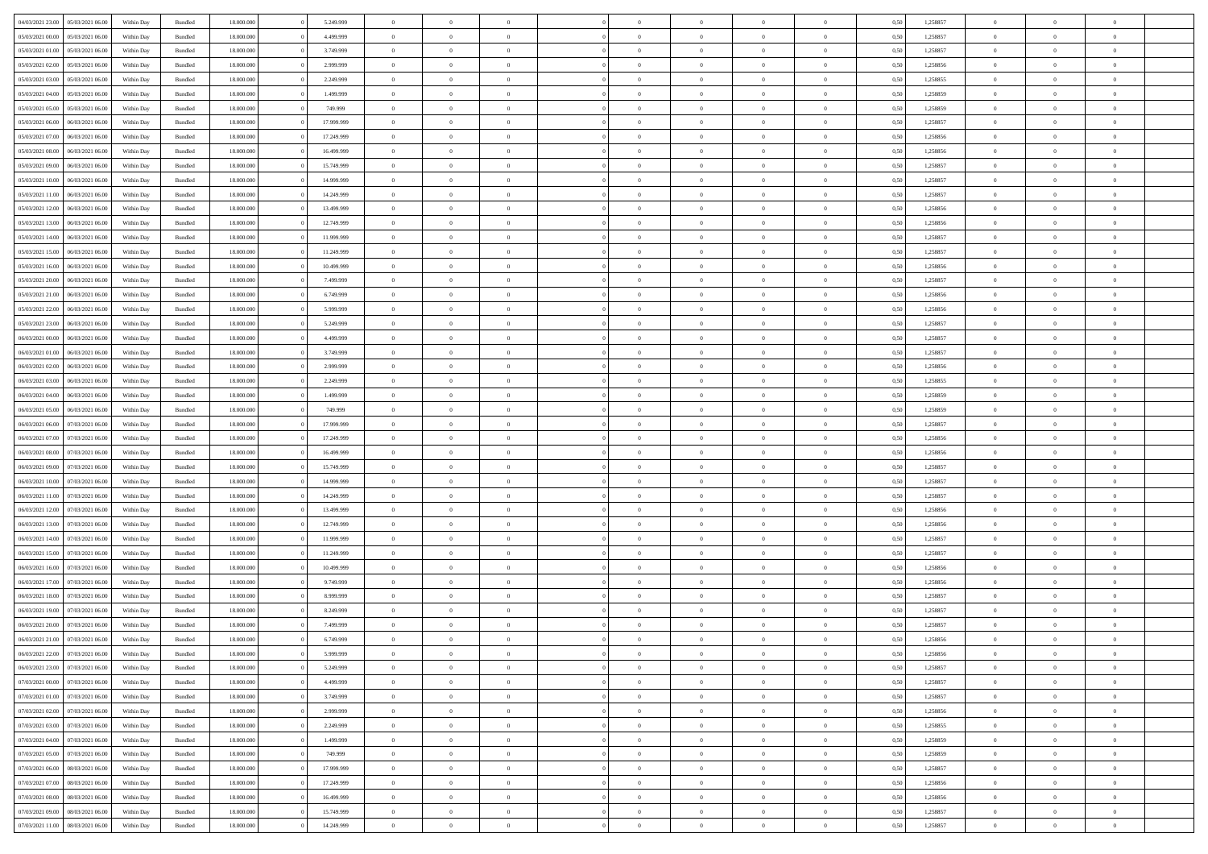| 04/03/2021 23:00                  | 05/03/2021 06:00 | Within Day | Bundled            | 18.000.000 | 5.249.999  | $\overline{0}$ | $\theta$       |                | $\Omega$       | $\Omega$       | $\Omega$       | $\theta$       | 0.50 | 1,258857 | $\theta$       | $\theta$       | $\theta$       |  |
|-----------------------------------|------------------|------------|--------------------|------------|------------|----------------|----------------|----------------|----------------|----------------|----------------|----------------|------|----------|----------------|----------------|----------------|--|
| 05/03/2021 00:00                  | 05/03/2021 06:00 | Within Day | Bundled            | 18.000.000 | 4.499.999  | $\overline{0}$ | $\theta$       | $\overline{0}$ | $\overline{0}$ | $\bf{0}$       | $\overline{0}$ | $\overline{0}$ | 0,50 | 1,258857 | $\theta$       | $\theta$       | $\overline{0}$ |  |
| 05/03/2021 01:00                  | 05/03/2021 06:00 | Within Day | Bundled            | 18.000.000 | 3.749.999  | $\overline{0}$ | $\overline{0}$ | $\overline{0}$ | $\bf{0}$       | $\bf{0}$       | $\bf{0}$       | $\bf{0}$       | 0,50 | 1,258857 | $\bf{0}$       | $\overline{0}$ | $\overline{0}$ |  |
| 05/03/2021 02:00                  | 05/03/2021 06:00 | Within Dav | Bundled            | 18.000.000 | 2.999.999  | $\overline{0}$ | $\overline{0}$ | $\overline{0}$ | $\overline{0}$ | $\bf{0}$       | $\overline{0}$ | $\overline{0}$ | 0.50 | 1.258856 | $\theta$       | $\theta$       | $\overline{0}$ |  |
| 05/03/2021 03:00                  | 05/03/2021 06:00 | Within Day | Bundled            | 18.000.000 | 2.249.999  | $\overline{0}$ | $\theta$       | $\overline{0}$ | $\overline{0}$ | $\bf{0}$       | $\overline{0}$ | $\bf{0}$       | 0,50 | 1,258855 | $\theta$       | $\theta$       | $\overline{0}$ |  |
|                                   |                  |            |                    |            |            |                |                |                |                |                |                |                |      |          |                |                |                |  |
| 05/03/2021 04:00                  | 05/03/2021 06:00 | Within Day | Bundled            | 18.000.000 | 1.499.999  | $\overline{0}$ | $\bf{0}$       | $\overline{0}$ | $\bf{0}$       | $\overline{0}$ | $\overline{0}$ | $\mathbf{0}$   | 0,50 | 1,258859 | $\bf{0}$       | $\overline{0}$ | $\bf{0}$       |  |
| 05/03/2021 05:00                  | 05/03/2021 06:00 | Within Dav | Bundled            | 18.000.000 | 749.999    | $\overline{0}$ | $\overline{0}$ | $\overline{0}$ | $\overline{0}$ | $\overline{0}$ | $\overline{0}$ | $\overline{0}$ | 0.50 | 1,258859 | $\theta$       | $\overline{0}$ | $\overline{0}$ |  |
| 05/03/2021 06:00                  | 06/03/2021 06:00 | Within Day | Bundled            | 18.000.000 | 17.999.999 | $\overline{0}$ | $\theta$       | $\overline{0}$ | $\overline{0}$ | $\bf{0}$       | $\overline{0}$ | $\bf{0}$       | 0,50 | 1,258857 | $\theta$       | $\theta$       | $\overline{0}$ |  |
| 05/03/2021 07:00                  | 06/03/2021 06:00 | Within Day | Bundled            | 18.000.000 | 17.249.999 | $\overline{0}$ | $\overline{0}$ | $\overline{0}$ | $\bf{0}$       | $\bf{0}$       | $\bf{0}$       | $\bf{0}$       | 0,50 | 1,258856 | $\,0\,$        | $\overline{0}$ | $\overline{0}$ |  |
| 05/03/2021 08:00                  | 06/03/2021 06:00 | Within Dav | Bundled            | 18.000.000 | 16.499.999 | $\overline{0}$ | $\overline{0}$ | $\overline{0}$ | $\overline{0}$ | $\overline{0}$ | $\overline{0}$ | $\overline{0}$ | 0.50 | 1,258856 | $\theta$       | $\overline{0}$ | $\overline{0}$ |  |
| 05/03/2021 09:00                  | 06/03/2021 06:00 | Within Day | Bundled            | 18.000.000 | 15.749.999 | $\overline{0}$ | $\theta$       | $\overline{0}$ | $\overline{0}$ | $\bf{0}$       | $\overline{0}$ | $\bf{0}$       | 0,50 | 1,258857 | $\theta$       | $\theta$       | $\overline{0}$ |  |
| 05/03/2021 10:00                  | 06/03/2021 06:00 | Within Day | Bundled            | 18.000.000 | 14.999.999 | $\overline{0}$ | $\overline{0}$ | $\overline{0}$ | $\bf{0}$       | $\bf{0}$       | $\bf{0}$       | $\bf{0}$       | 0,50 | 1,258857 | $\overline{0}$ | $\overline{0}$ | $\overline{0}$ |  |
|                                   |                  |            |                    |            |            |                |                |                |                |                |                |                |      |          |                |                |                |  |
| 05/03/2021 11:00                  | 06/03/2021 06:00 | Within Dav | Bundled            | 18.000.000 | 14.249.999 | $\overline{0}$ | $\overline{0}$ | $\overline{0}$ | $\overline{0}$ | $\bf{0}$       | $\overline{0}$ | $\overline{0}$ | 0.50 | 1.258857 | $\theta$       | $\theta$       | $\overline{0}$ |  |
| 05/03/2021 12:00                  | 06/03/2021 06:00 | Within Day | Bundled            | 18.000.000 | 13.499.999 | $\overline{0}$ | $\theta$       | $\overline{0}$ | $\overline{0}$ | $\bf{0}$       | $\overline{0}$ | $\overline{0}$ | 0,50 | 1,258856 | $\theta$       | $\theta$       | $\overline{0}$ |  |
| 05/03/2021 13:00                  | 06/03/2021 06:00 | Within Day | Bundled            | 18.000.000 | 12.749.999 | $\overline{0}$ | $\overline{0}$ | $\overline{0}$ | $\bf{0}$       | $\overline{0}$ | $\overline{0}$ | $\mathbf{0}$   | 0,50 | 1,258856 | $\overline{0}$ | $\overline{0}$ | $\bf{0}$       |  |
| 05/03/2021 14:00                  | 06/03/2021 06:00 | Within Dav | Bundled            | 18.000.000 | 11.999.999 | $\overline{0}$ | $\overline{0}$ | $\overline{0}$ | $\overline{0}$ | $\overline{0}$ | $\overline{0}$ | $\overline{0}$ | 0.50 | 1,258857 | $\theta$       | $\overline{0}$ | $\overline{0}$ |  |
| 05/03/2021 15:00                  | 06/03/2021 06:00 | Within Day | Bundled            | 18.000.000 | 11.249.999 | $\overline{0}$ | $\theta$       | $\overline{0}$ | $\overline{0}$ | $\bf{0}$       | $\overline{0}$ | $\bf{0}$       | 0,50 | 1,258857 | $\theta$       | $\theta$       | $\overline{0}$ |  |
| 05/03/2021 16:00                  | 06/03/2021 06:00 | Within Day | Bundled            | 18.000.000 | 10.499.999 | $\overline{0}$ | $\overline{0}$ | $\overline{0}$ | $\bf{0}$       | $\bf{0}$       | $\bf{0}$       | $\bf{0}$       | 0,50 | 1,258856 | $\,0\,$        | $\overline{0}$ | $\overline{0}$ |  |
| 05/03/2021 20:00                  | 06/03/2021 06:00 | Within Dav | Bundled            | 18.000.000 | 7.499.999  | $\overline{0}$ | $\overline{0}$ | $\overline{0}$ | $\overline{0}$ | $\overline{0}$ | $\overline{0}$ | $\overline{0}$ | 0.50 | 1,258857 | $\theta$       | $\overline{0}$ | $\overline{0}$ |  |
|                                   |                  |            |                    |            |            | $\overline{0}$ | $\theta$       | $\overline{0}$ |                | $\bf{0}$       | $\overline{0}$ |                |      |          | $\theta$       | $\theta$       | $\overline{0}$ |  |
| 05/03/2021 21:00                  | 06/03/2021 06:00 | Within Day | Bundled            | 18.000.000 | 6.749.999  |                |                |                | $\overline{0}$ |                |                | $\bf{0}$       | 0,50 | 1,258856 |                |                |                |  |
| 05/03/2021 22.00                  | 06/03/2021 06:00 | Within Day | Bundled            | 18.000.000 | 5.999.999  | $\overline{0}$ | $\overline{0}$ | $\overline{0}$ | $\bf{0}$       | $\bf{0}$       | $\bf{0}$       | $\bf{0}$       | 0,50 | 1,258856 | $\,0\,$        | $\overline{0}$ | $\overline{0}$ |  |
| 05/03/2021 23:00                  | 06/03/2021 06:00 | Within Day | Bundled            | 18.000.000 | 5.249.999  | $\overline{0}$ | $\overline{0}$ | $\overline{0}$ | $\overline{0}$ | $\bf{0}$       | $\overline{0}$ | $\overline{0}$ | 0.50 | 1.258857 | $\theta$       | $\theta$       | $\overline{0}$ |  |
| 06/03/2021 00:00                  | 06/03/2021 06:00 | Within Day | Bundled            | 18.000.000 | 4.499.999  | $\overline{0}$ | $\theta$       | $\overline{0}$ | $\overline{0}$ | $\bf{0}$       | $\overline{0}$ | $\bf{0}$       | 0,50 | 1,258857 | $\theta$       | $\overline{0}$ | $\overline{0}$ |  |
| 06/03/2021 01:00                  | 06/03/2021 06:00 | Within Day | Bundled            | 18.000.000 | 3.749.999  | $\overline{0}$ | $\bf{0}$       | $\overline{0}$ | $\bf{0}$       | $\overline{0}$ | $\overline{0}$ | $\mathbf{0}$   | 0,50 | 1,258857 | $\overline{0}$ | $\overline{0}$ | $\bf{0}$       |  |
| 06/03/2021 02:00                  | 06/03/2021 06:00 | Within Dav | Bundled            | 18.000.000 | 2.999.999  | $\overline{0}$ | $\overline{0}$ | $\overline{0}$ | $\overline{0}$ | $\overline{0}$ | $\overline{0}$ | $\overline{0}$ | 0.50 | 1,258856 | $\theta$       | $\theta$       | $\overline{0}$ |  |
| 06/03/2021 03:00                  | 06/03/2021 06:00 | Within Day | Bundled            | 18.000.000 | 2.249.999  | $\overline{0}$ | $\theta$       | $\overline{0}$ | $\overline{0}$ | $\bf{0}$       | $\overline{0}$ | $\bf{0}$       | 0,50 | 1,258855 | $\theta$       | $\theta$       | $\overline{0}$ |  |
| 06/03/2021 04:00                  | 06/03/2021 06:00 | Within Day | Bundled            | 18.000.000 | 1.499.999  | $\overline{0}$ | $\overline{0}$ | $\overline{0}$ | $\bf{0}$       | $\bf{0}$       | $\bf{0}$       | $\bf{0}$       | 0,50 | 1,258859 | $\,0\,$        | $\overline{0}$ | $\overline{0}$ |  |
|                                   |                  |            |                    |            |            |                |                |                |                |                |                |                |      |          |                |                |                |  |
| 06/03/2021 05:00                  | 06/03/2021 06:00 | Within Day | Bundled            | 18.000.000 | 749.999    | $\overline{0}$ | $\overline{0}$ | $\overline{0}$ | $\overline{0}$ | $\overline{0}$ | $\overline{0}$ | $\overline{0}$ | 0.50 | 1,258859 | $\theta$       | $\overline{0}$ | $\overline{0}$ |  |
| 06/03/2021 06:00                  | 07/03/2021 06:00 | Within Day | Bundled            | 18.000.000 | 17.999.999 | $\overline{0}$ | $\theta$       | $\overline{0}$ | $\overline{0}$ | $\bf{0}$       | $\overline{0}$ | $\bf{0}$       | 0,50 | 1,258857 | $\,$ 0 $\,$    | $\theta$       | $\overline{0}$ |  |
| 06/03/2021 07:00                  | 07/03/2021 06:00 | Within Day | Bundled            | 18.000.000 | 17.249.999 | $\overline{0}$ | $\overline{0}$ | $\overline{0}$ | $\bf{0}$       | $\bf{0}$       | $\bf{0}$       | $\bf{0}$       | 0,50 | 1,258856 | $\bf{0}$       | $\overline{0}$ | $\overline{0}$ |  |
| 06/03/2021 08:00                  | 07/03/2021 06:00 | Within Day | Bundled            | 18.000.000 | 16.499.999 | $\overline{0}$ | $\Omega$       | $\Omega$       | $\Omega$       | $\Omega$       | $\Omega$       | $\overline{0}$ | 0.50 | 1,258856 | $\,0\,$        | $\theta$       | $\theta$       |  |
| 06/03/2021 09:00                  | 07/03/2021 06:00 | Within Day | Bundled            | 18.000.000 | 15.749.999 | $\overline{0}$ | $\theta$       | $\overline{0}$ | $\overline{0}$ | $\bf{0}$       | $\overline{0}$ | $\bf{0}$       | 0,50 | 1,258857 | $\theta$       | $\theta$       | $\overline{0}$ |  |
| 06/03/2021 10:00                  | 07/03/2021 06:00 | Within Day | Bundled            | 18.000.000 | 14.999.999 | $\overline{0}$ | $\bf{0}$       | $\overline{0}$ | $\bf{0}$       | $\bf{0}$       | $\overline{0}$ | $\mathbf{0}$   | 0,50 | 1,258857 | $\bf{0}$       | $\overline{0}$ | $\bf{0}$       |  |
| 06/03/2021 11:00                  | 07/03/2021 06:00 | Within Day | Bundled            | 18,000,000 | 14.249.999 | $\overline{0}$ | $\Omega$       | $\Omega$       | $\Omega$       | $\Omega$       | $\Omega$       | $\overline{0}$ | 0.50 | 1,258857 | $\theta$       | $\theta$       | $\theta$       |  |
| 06/03/2021 12:00                  | 07/03/2021 06:00 | Within Day | Bundled            | 18.000.000 | 13.499.999 | $\overline{0}$ | $\theta$       | $\overline{0}$ | $\overline{0}$ | $\bf{0}$       | $\overline{0}$ | $\bf{0}$       | 0,50 | 1,258856 | $\theta$       | $\theta$       | $\overline{0}$ |  |
|                                   |                  |            |                    |            |            |                |                |                |                |                |                |                |      |          |                |                |                |  |
| 06/03/2021 13:00                  | 07/03/2021 06:00 | Within Day | Bundled            | 18.000.000 | 12.749.999 | $\overline{0}$ | $\overline{0}$ | $\overline{0}$ | $\bf{0}$       | $\bf{0}$       | $\bf{0}$       | $\bf{0}$       | 0,50 | 1,258856 | $\,0\,$        | $\overline{0}$ | $\overline{0}$ |  |
| 06/03/2021 14:00                  | 07/03/2021 06:00 | Within Day | Bundled            | 18,000,000 | 11.999.999 | $\overline{0}$ | $\Omega$       | $\Omega$       | $\Omega$       | $\Omega$       | $\theta$       | $\overline{0}$ | 0.50 | 1,258857 | $\theta$       | $\theta$       | $\theta$       |  |
| 06/03/2021 15:00                  | 07/03/2021 06:00 | Within Day | Bundled            | 18.000.000 | 11.249.999 | $\overline{0}$ | $\theta$       | $\overline{0}$ | $\overline{0}$ | $\bf{0}$       | $\overline{0}$ | $\bf{0}$       | 0,50 | 1,258857 | $\,$ 0 $\,$    | $\overline{0}$ | $\overline{0}$ |  |
| 06/03/2021 16:00                  | 07/03/2021 06:00 | Within Day | Bundled            | 18.000.000 | 10.499.999 | $\overline{0}$ | $\overline{0}$ | $\overline{0}$ | $\bf{0}$       | $\bf{0}$       | $\bf{0}$       | $\bf{0}$       | 0,50 | 1,258856 | $\bf{0}$       | $\overline{0}$ | $\overline{0}$ |  |
| 06/03/2021 17:00                  | 07/03/2021 06:00 | Within Day | Bundled            | 18.000.000 | 9.749.999  | $\overline{0}$ | $\Omega$       | $\Omega$       | $\Omega$       | $\Omega$       | $\overline{0}$ | $\overline{0}$ | 0.50 | 1,258856 | $\,0\,$        | $\theta$       | $\theta$       |  |
| 06/03/2021 18:00                  | 07/03/2021 06:00 | Within Day | Bundled            | 18.000.000 | 8.999.999  | $\overline{0}$ | $\theta$       | $\overline{0}$ | $\overline{0}$ | $\bf{0}$       | $\overline{0}$ | $\bf{0}$       | 0,50 | 1,258857 | $\,$ 0 $\,$    | $\theta$       | $\overline{0}$ |  |
| 06/03/2021 19:00                  | 07/03/2021 06:00 | Within Day | Bundled            | 18.000.000 | 8.249.999  | $\overline{0}$ | $\overline{0}$ | $\overline{0}$ | $\bf{0}$       | $\bf{0}$       | $\bf{0}$       | $\mathbf{0}$   | 0,50 | 1,258857 | $\bf{0}$       | $\overline{0}$ | $\bf{0}$       |  |
| 06/03/2021 20:00                  | 07/03/2021 06:00 | Within Day | Bundled            | 18,000,000 | 7.499.999  | $\overline{0}$ | $\Omega$       | $\Omega$       | $\Omega$       | $\Omega$       | $\Omega$       | $\overline{0}$ | 0.50 | 1,258857 | $\theta$       | $\theta$       | $\theta$       |  |
| 06/03/2021 21:00                  | 07/03/2021 06:00 |            |                    | 18.000.000 | 6.749.999  | $\overline{0}$ | $\overline{0}$ | $\overline{0}$ | $\bf{0}$       | $\,$ 0         |                |                |      | 1,258856 | $\,0\,$        | $\,$ 0 $\,$    | $\overline{0}$ |  |
|                                   |                  | Within Day | Bundled            |            |            |                |                |                |                |                | $\bf{0}$       | $\bf{0}$       | 0,50 |          |                |                |                |  |
| 06/03/2021 22:00 07/03/2021 06:00 |                  | Within Day | $\mathbf B$ undled | 18.000.000 | 5.999.999  | $\bf{0}$       | $\bf{0}$       |                |                | $\bf{0}$       |                |                | 0,50 | 1,258856 | $\bf{0}$       | $\overline{0}$ |                |  |
| 06/03/2021 23:00                  | 07/03/2021 06:00 | Within Day | Bundled            | 18,000,000 | 5.249.999  | $\overline{0}$ | $\overline{0}$ | $\overline{0}$ | $\Omega$       | $\overline{0}$ | $\overline{0}$ | $\overline{0}$ | 0.50 | 1,258857 | $\theta$       | $\theta$       | $\theta$       |  |
| 07/03/2021 00:00                  | 07/03/2021 06:00 | Within Day | Bundled            | 18.000.000 | 4.499.999  | $\overline{0}$ | $\,$ 0         | $\overline{0}$ | $\bf{0}$       | $\,$ 0 $\,$    | $\overline{0}$ | $\mathbf{0}$   | 0,50 | 1,258857 | $\,$ 0 $\,$    | $\,$ 0 $\,$    | $\,$ 0         |  |
| 07/03/2021 01:00                  | 07/03/2021 06:00 | Within Day | Bundled            | 18.000.000 | 3.749.999  | $\overline{0}$ | $\overline{0}$ | $\overline{0}$ | $\overline{0}$ | $\overline{0}$ | $\overline{0}$ | $\mathbf{0}$   | 0,50 | 1,258857 | $\overline{0}$ | $\bf{0}$       | $\bf{0}$       |  |
| 07/03/2021 02:00                  | 07/03/2021 06:00 | Within Day | Bundled            | 18,000,000 | 2.999.999  | $\overline{0}$ | $\overline{0}$ | $\overline{0}$ | $\Omega$       | $\overline{0}$ | $\overline{0}$ | $\overline{0}$ | 0,50 | 1,258856 | $\overline{0}$ | $\theta$       | $\overline{0}$ |  |
| 07/03/2021 03:00                  | 07/03/2021 06:00 | Within Day | Bundled            | 18.000.000 | 2.249.999  | $\overline{0}$ | $\,$ 0         | $\overline{0}$ | $\overline{0}$ | $\,$ 0 $\,$    | $\overline{0}$ | $\mathbf{0}$   | 0,50 | 1,258855 | $\,$ 0 $\,$    | $\overline{0}$ | $\overline{0}$ |  |
| 07/03/2021 04:00                  | 07/03/2021 06:00 | Within Day | Bundled            | 18.000.000 | 1.499.999  | $\overline{0}$ | $\overline{0}$ | $\overline{0}$ | $\overline{0}$ | $\overline{0}$ | $\overline{0}$ | $\mathbf{0}$   | 0,50 | 1,258859 | $\overline{0}$ | $\overline{0}$ | $\bf{0}$       |  |
|                                   |                  |            |                    |            |            |                |                |                |                |                |                |                |      |          |                |                |                |  |
| 07/03/2021 05:00                  | 07/03/2021 06:00 | Within Day | Bundled            | 18,000,000 | 749.999    | $\overline{0}$ | $\overline{0}$ | $\overline{0}$ | $\Omega$       | $\overline{0}$ | $\overline{0}$ | $\bf{0}$       | 0.50 | 1,258859 | $\overline{0}$ | $\theta$       | $\overline{0}$ |  |
| 07/03/2021 06:00                  | 08/03/2021 06:00 | Within Day | Bundled            | 18.000.000 | 17.999.999 | $\overline{0}$ | $\,$ 0         | $\overline{0}$ | $\bf{0}$       | $\bf{0}$       | $\bf{0}$       | $\bf{0}$       | 0,50 | 1,258857 | $\,$ 0 $\,$    | $\overline{0}$ | $\overline{0}$ |  |
| 07/03/2021 07:00                  | 08/03/2021 06:00 | Within Day | Bundled            | 18.000.000 | 17.249.999 | $\overline{0}$ | $\bf{0}$       | $\overline{0}$ | $\overline{0}$ | $\overline{0}$ | $\overline{0}$ | $\mathbf{0}$   | 0,50 | 1,258856 | $\overline{0}$ | $\overline{0}$ | $\bf{0}$       |  |
| 07/03/2021 08:00                  | 08/03/2021 06:00 | Within Day | Bundled            | 18,000,000 | 16.499.999 | $\overline{0}$ | $\overline{0}$ | $\overline{0}$ | $\Omega$       | $\overline{0}$ | $\overline{0}$ | $\bf{0}$       | 0.50 | 1,258856 | $\overline{0}$ | $\overline{0}$ | $\overline{0}$ |  |
| 07/03/2021 09:00                  | 08/03/2021 06:00 | Within Day | Bundled            | 18.000.000 | 15.749.999 | $\overline{0}$ | $\,$ 0 $\,$    | $\overline{0}$ | $\overline{0}$ | $\bf{0}$       | $\bf{0}$       | $\bf{0}$       | 0,50 | 1,258857 | $\,$ 0 $\,$    | $\,$ 0 $\,$    | $\bf{0}$       |  |
| 07/03/2021 11:00                  | 08/03/2021 06:00 | Within Day | Bundled            | 18.000.000 | 14.249.999 | $\overline{0}$ | $\bf{0}$       | $\overline{0}$ | $\bf{0}$       | $\bf{0}$       | $\bf{0}$       | $\bf{0}$       | 0,50 | 1,258857 | $\overline{0}$ | $\overline{0}$ | $\bf{0}$       |  |
|                                   |                  |            |                    |            |            |                |                |                |                |                |                |                |      |          |                |                |                |  |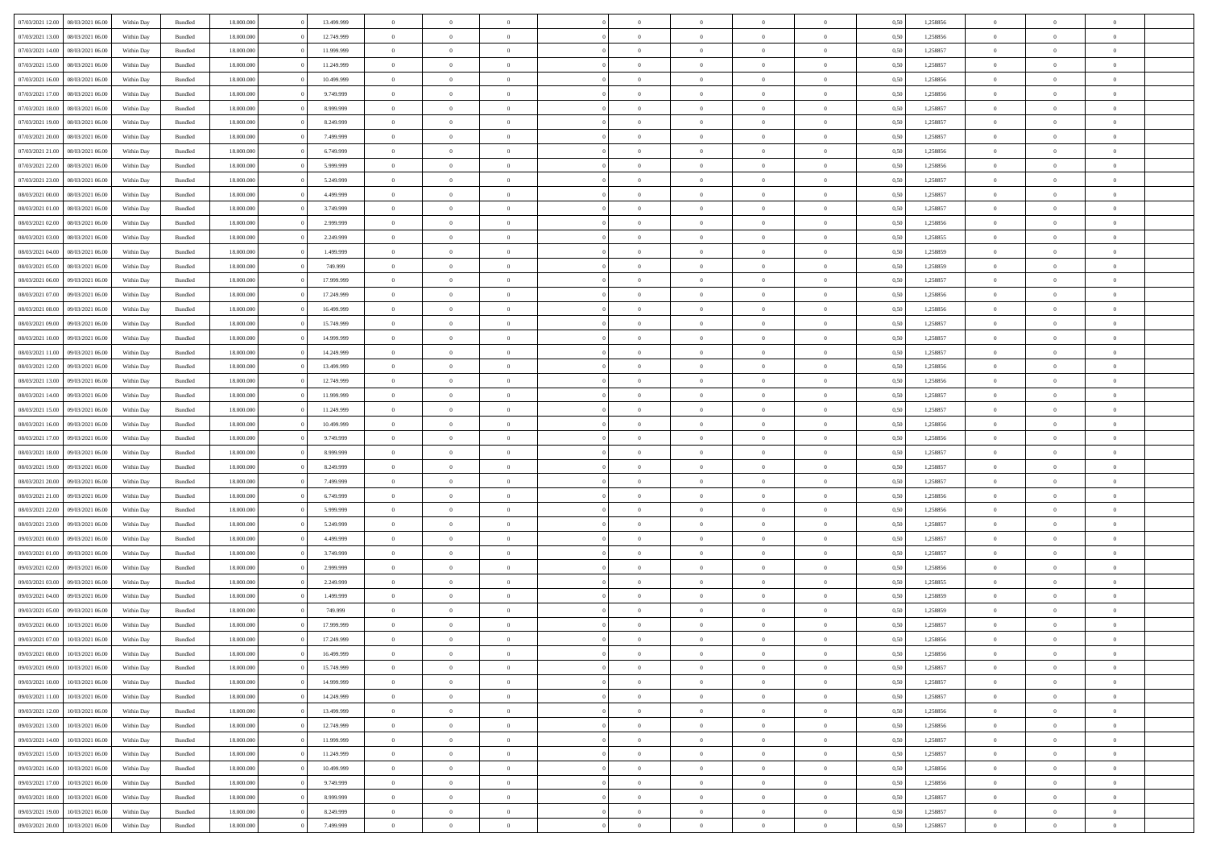| 07/03/2021 12:00                  | 08/03/2021 06:00 | Within Day | Bundled | 18,000,000 | 13.499.999 | $\overline{0}$ | $\Omega$       |                |                | $\Omega$       | $\Omega$       | $\overline{0}$ | 0,50 | 1,258856 | $\theta$       | $\theta$       | $\theta$       |  |
|-----------------------------------|------------------|------------|---------|------------|------------|----------------|----------------|----------------|----------------|----------------|----------------|----------------|------|----------|----------------|----------------|----------------|--|
| 07/03/2021 13:00                  | 08/03/2021 06:00 | Within Dav | Bundled | 18.000.000 | 12.749.999 | $\overline{0}$ | $\Omega$       |                | $\Omega$       | $\Omega$       | $\Omega$       | $\Omega$       | 0.50 | 1,258856 | $\theta$       | $\Omega$       | $\sqrt{ }$     |  |
| 07/03/2021 14:00                  | 08/03/2021 06:00 | Within Day | Bundled | 18.000.000 | 11.999.999 | $\overline{0}$ | $\overline{0}$ | $\overline{0}$ | $\overline{0}$ | $\,$ 0 $\,$    | $\overline{0}$ | $\,$ 0 $\,$    | 0,50 | 1,258857 | $\,$ 0 $\,$    | $\overline{0}$ | $\overline{0}$ |  |
| 07/03/2021 15:00                  | 08/03/2021 06:00 | Within Day | Bundled | 18.000.000 | 11.249.999 | $\overline{0}$ | $\overline{0}$ | $\overline{0}$ | $\overline{0}$ | $\bf{0}$       | $\overline{0}$ | $\bf{0}$       | 0,50 | 1,258857 | $\bf{0}$       | $\theta$       | $\overline{0}$ |  |
|                                   |                  |            |         |            |            |                |                |                |                |                |                |                |      |          |                |                |                |  |
| 07/03/2021 16:00                  | 08/03/2021 06:00 | Within Day | Bundled | 18.000.000 | 10.499.999 | $\overline{0}$ | $\Omega$       | $^{\circ}$     | $\Omega$       | $\overline{0}$ | $\Omega$       | $\bf{0}$       | 0.50 | 1,258856 | $\theta$       | $\theta$       | $\sqrt{ }$     |  |
| 07/03/2021 17:00                  | 08/03/2021 06:00 | Within Day | Bundled | 18.000.000 | 9.749.999  | $\overline{0}$ | $\overline{0}$ | $\overline{0}$ | $\overline{0}$ | $\,$ 0 $\,$    | $\overline{0}$ | $\,$ 0 $\,$    | 0,50 | 1,258856 | $\,$ 0 $\,$    | $\overline{0}$ | $\overline{0}$ |  |
| 07/03/2021 18:00                  | 08/03/2021 06:00 | Within Day | Bundled | 18.000.000 | 8.999.999  | $\overline{0}$ | $\overline{0}$ | $\overline{0}$ | $\Omega$       | $\overline{0}$ | $\overline{0}$ | $\bf{0}$       | 0,50 | 1,258857 | $\bf{0}$       | $\theta$       | $\overline{0}$ |  |
| 07/03/2021 19:00                  | 08/03/2021 06:00 | Within Day | Bundled | 18.000.000 | 8.249.999  | $\overline{0}$ | $\Omega$       | $^{\circ}$     | $\Omega$       | $\overline{0}$ | $\Omega$       | $\bf{0}$       | 0.50 | 1,258857 | $\theta$       | $\theta$       | $\sqrt{ }$     |  |
| 07/03/2021 20:00                  | 08/03/2021 06:00 | Within Day | Bundled | 18.000.000 | 7.499.999  | $\overline{0}$ | $\overline{0}$ | $\overline{0}$ | $\overline{0}$ | $\overline{0}$ | $\overline{0}$ | $\,$ 0 $\,$    | 0,50 | 1,258857 | $\,$ 0 $\,$    | $\overline{0}$ | $\overline{0}$ |  |
| 07/03/2021 21.00                  | 08/03/2021 06:00 | Within Day | Bundled | 18,000,000 | 6.749.999  | $\overline{0}$ | $\overline{0}$ | $\overline{0}$ | $\Omega$       | $\overline{0}$ | $\overline{0}$ | $\bf{0}$       | 0,50 | 1,258856 | $\bf{0}$       | $\theta$       | $\overline{0}$ |  |
|                                   |                  |            |         |            |            |                |                |                |                |                |                |                |      |          |                |                |                |  |
| 07/03/2021 22.00                  | 08/03/2021 06:00 | Within Dav | Bundled | 18.000.000 | 5.999.999  | $\overline{0}$ | $\Omega$       | $^{\circ}$     | $\Omega$       | $\overline{0}$ | $\Omega$       | $\bf{0}$       | 0.50 | 1,258856 | $\theta$       | $\Omega$       | $\sqrt{ }$     |  |
| 07/03/2021 23:00                  | 08/03/2021 06:00 | Within Day | Bundled | 18.000.000 | 5.249.999  | $\overline{0}$ | $\overline{0}$ | $\overline{0}$ | $\overline{0}$ | $\,$ 0 $\,$    | $\overline{0}$ | $\,$ 0 $\,$    | 0,50 | 1,258857 | $\,$ 0 $\,$    | $\overline{0}$ | $\overline{0}$ |  |
| 08/03/2021 00:00                  | 08/03/2021 06:00 | Within Day | Bundled | 18.000.000 | 4.499.999  | $\overline{0}$ | $\overline{0}$ | $\overline{0}$ | $\overline{0}$ | $\bf{0}$       | $\overline{0}$ | $\bf{0}$       | 0,50 | 1,258857 | $\bf{0}$       | $\overline{0}$ | $\overline{0}$ |  |
| 08/03/2021 01:00                  | 08/03/2021 06:00 | Within Day | Bundled | 18.000.000 | 3.749.999  | $\overline{0}$ | $\Omega$       | $^{\circ}$     | $\overline{0}$ | $\overline{0}$ | $\Omega$       | $\bf{0}$       | 0.50 | 1,258857 | $\theta$       | $\theta$       | $\sqrt{ }$     |  |
| 08/03/2021 02:00                  | 08/03/2021 06:00 | Within Day | Bundled | 18.000.000 | 2.999.999  | $\overline{0}$ | $\theta$       | $\overline{0}$ | $\overline{0}$ | $\bf{0}$       | $\overline{0}$ | $\,$ 0 $\,$    | 0,50 | 1,258856 | $\theta$       | $\overline{0}$ | $\overline{0}$ |  |
|                                   |                  |            |         |            |            |                |                |                |                |                |                |                |      |          |                |                |                |  |
| 08/03/2021 03:00                  | 08/03/2021 06:00 | Within Day | Bundled | 18.000.000 | 2.249.999  | $\overline{0}$ | $\overline{0}$ | $\overline{0}$ | $\Omega$       | $\overline{0}$ | $\overline{0}$ | $\overline{0}$ | 0,50 | 1,258855 | $\theta$       | $\overline{0}$ | $\overline{0}$ |  |
| 08/03/2021 04:00                  | 08/03/2021 06:00 | Within Day | Bundled | 18.000.000 | 1.499.999  | $\overline{0}$ | $\Omega$       | $^{\circ}$     | $\Omega$       | $\overline{0}$ | $\Omega$       | $\bf{0}$       | 0.50 | 1,258859 | $\theta$       | $\Omega$       | -0             |  |
| 08/03/2021 05:00                  | 08/03/2021 06:00 | Within Day | Bundled | 18.000.000 | 749.999    | $\overline{0}$ | $\overline{0}$ | $\overline{0}$ | $\overline{0}$ | $\,$ 0 $\,$    | $\overline{0}$ | $\,$ 0 $\,$    | 0,50 | 1,258859 | $\,$ 0 $\,$    | $\overline{0}$ | $\overline{0}$ |  |
| 08/03/2021 06:00                  | 09/03/2021 06:00 | Within Day | Bundled | 18,000,000 | 17.999.999 | $\overline{0}$ | $\overline{0}$ | $\overline{0}$ | $\Omega$       | $\overline{0}$ | $\overline{0}$ | $\bf{0}$       | 0.50 | 1,258857 | $\bf{0}$       | $\theta$       | $\overline{0}$ |  |
| 08/03/2021 07:00                  | 09/03/2021 06:00 | Within Dav | Bundled | 18.000.000 | 17.249.999 | $\overline{0}$ | $\Omega$       | $^{\circ}$     | $\Omega$       | $\bf{0}$       | $\Omega$       | $\bf{0}$       | 0.50 | 1,258856 | $\theta$       | $\theta$       | $\sqrt{ }$     |  |
| 08/03/2021 08:00                  | 09/03/2021 06:00 | Within Day | Bundled | 18.000.000 | 16.499.999 | $\overline{0}$ | $\overline{0}$ | $\overline{0}$ | $\overline{0}$ | $\,$ 0 $\,$    | $\overline{0}$ | $\,$ 0 $\,$    | 0,50 | 1,258856 | $\,$ 0 $\,$    | $\overline{0}$ | $\overline{0}$ |  |
| 08/03/2021 09:00                  | 09/03/2021 06:00 | Within Day | Bundled | 18.000.000 | 15.749.999 | $\overline{0}$ | $\overline{0}$ | $\overline{0}$ | $\overline{0}$ | $\bf{0}$       | $\overline{0}$ | $\bf{0}$       | 0,50 | 1,258857 | $\bf{0}$       | $\overline{0}$ | $\overline{0}$ |  |
|                                   |                  |            |         |            |            |                |                |                |                |                |                |                |      |          |                |                |                |  |
| 08/03/2021 10:00                  | 09/03/2021 06:00 | Within Day | Bundled | 18.000.000 | 14.999.999 | $\overline{0}$ | $\Omega$       | $^{\circ}$     | $\overline{0}$ | $\bf{0}$       | $\Omega$       | $\bf{0}$       | 0.50 | 1,258857 | $\theta$       | $\theta$       | $\sqrt{ }$     |  |
| 08/03/2021 11:00                  | 09/03/2021 06:00 | Within Day | Bundled | 18.000.000 | 14.249.999 | $\overline{0}$ | $\theta$       | $\overline{0}$ | $\overline{0}$ | $\,$ 0 $\,$    | $\overline{0}$ | $\,$ 0 $\,$    | 0,50 | 1,258857 | $\,$ 0 $\,$    | $\overline{0}$ | $\overline{0}$ |  |
| 08/03/2021 12:00                  | 09/03/2021 06:00 | Within Day | Bundled | 18.000.000 | 13.499.999 | $\overline{0}$ | $\overline{0}$ | $\overline{0}$ | $\Omega$       | $\overline{0}$ | $\overline{0}$ | $\bf{0}$       | 0.50 | 1,258856 | $\bf{0}$       | $\overline{0}$ | $\overline{0}$ |  |
| 08/03/2021 13:00                  | 09/03/2021 06:00 | Within Day | Bundled | 18.000.000 | 12.749.999 | $\overline{0}$ | $\Omega$       | $^{\circ}$     | $\Omega$       | $\bf{0}$       | $\Omega$       | $\bf{0}$       | 0.50 | 1,258856 | $\theta$       | $\theta$       | $\sqrt{ }$     |  |
| 08/03/2021 14:00                  | 09/03/2021 06:00 | Within Day | Bundled | 18.000.000 | 11.999.999 | $\overline{0}$ | $\overline{0}$ | $\overline{0}$ | $\overline{0}$ | $\overline{0}$ | $\overline{0}$ | $\,$ 0 $\,$    | 0,50 | 1,258857 | $\,$ 0 $\,$    | $\overline{0}$ | $\overline{0}$ |  |
| 08/03/2021 15:00                  | 09/03/2021 06:00 | Within Day | Bundled | 18,000,000 | 11.249.999 | $\overline{0}$ | $\overline{0}$ | $\overline{0}$ | $\Omega$       | $\overline{0}$ | $\overline{0}$ | $\bf{0}$       | 0.50 | 1,258857 | $\bf{0}$       | $\theta$       | $\overline{0}$ |  |
| 08/03/2021 16:00                  | 09/03/2021 06:00 | Within Dav | Bundled | 18.000.000 | 10.499.999 | $\overline{0}$ | $\Omega$       | $^{\circ}$     | $\Omega$       | $\overline{0}$ | $\Omega$       | $\bf{0}$       | 0.50 | 1,258856 | $\theta$       | $\Omega$       | $\sqrt{ }$     |  |
|                                   |                  |            |         |            |            |                |                |                |                |                |                |                |      |          |                |                |                |  |
| 08/03/2021 17:00                  | 09/03/2021 06:00 | Within Day | Bundled | 18.000.000 | 9.749.999  | $\overline{0}$ | $\overline{0}$ | $\overline{0}$ | $\overline{0}$ | $\,$ 0 $\,$    | $\overline{0}$ | $\,$ 0 $\,$    | 0,50 | 1,258856 | $\,$ 0 $\,$    | $\overline{0}$ | $\overline{0}$ |  |
| 08/03/2021 18:00                  | 09/03/2021 06.00 | Within Day | Bundled | 18.000.000 | 8.999.999  | $\overline{0}$ | $\overline{0}$ | $\overline{0}$ | $\bf{0}$       | $\bf{0}$       | $\bf{0}$       | $\bf{0}$       | 0,50 | 1,258857 | $\,$ 0 $\,$    | $\overline{0}$ | $\overline{0}$ |  |
| 08/03/2021 19:00                  | 09/03/2021 06:00 | Within Day | Bundled | 18.000.000 | 8.249.999  | $\overline{0}$ | $\theta$       | $^{\circ}$     | $\overline{0}$ | $\overline{0}$ | $\Omega$       | $\bf{0}$       | 0.50 | 1,258857 | $\theta$       | $\theta$       | $\sqrt{ }$     |  |
| 08/03/2021 20:00                  | 09/03/2021 06:00 | Within Day | Bundled | 18.000.000 | 7.499.999  | $\overline{0}$ | $\theta$       | $\overline{0}$ | $\overline{0}$ | $\overline{0}$ | $\overline{0}$ | $\,$ 0 $\,$    | 0,50 | 1,258857 | $\theta$       | $\overline{0}$ | $\overline{0}$ |  |
| 08/03/2021 21:00                  | 09/03/2021 06.00 | Within Day | Bundled | 18.000.000 | 6.749.999  | $\overline{0}$ | $\theta$       | $\overline{0}$ | $\overline{0}$ | $\,$ 0         | $\bf{0}$       | $\bf{0}$       | 0,50 | 1,258856 | $\,$ 0 $\,$    | $\overline{0}$ | $\overline{0}$ |  |
| 08/03/2021 22:00                  | 09/03/2021 06:00 | Within Day | Bundled | 18.000.000 | 5.999.999  | $\overline{0}$ | $\Omega$       |                | $\Omega$       | $\overline{0}$ | $\Omega$       | $\bf{0}$       | 0.50 | 1,258856 | $\theta$       | $\Omega$       | -0             |  |
| 08/03/2021 23:00                  | 09/03/2021 06:00 |            |         | 18.000.000 | 5.249.999  | $\overline{0}$ | $\overline{0}$ | $\overline{0}$ | $\overline{0}$ | $\,$ 0 $\,$    | $\overline{0}$ | $\,$ 0 $\,$    |      | 1,258857 | $\,$ 0 $\,$    | $\overline{0}$ | $\overline{0}$ |  |
|                                   |                  | Within Day | Bundled |            |            |                |                |                |                |                |                |                | 0,50 |          |                |                |                |  |
| 09/03/2021 00:00                  | 09/03/2021 06.00 | Within Day | Bundled | 18.000.000 | 4.499.999  | $\overline{0}$ | $\,$ 0 $\,$    | $\overline{0}$ | $\bf{0}$       | $\bf{0}$       | $\bf{0}$       | $\bf{0}$       | 0,50 | 1,258857 | $\,$ 0 $\,$    | $\overline{0}$ | $\overline{0}$ |  |
| 09/03/2021 01:00                  | 09/03/2021 06:00 | Within Dav | Bundled | 18.000.000 | 3.749.999  | $\overline{0}$ | $\Omega$       | $^{\circ}$     | $\Omega$       | $\overline{0}$ | $\Omega$       | $\bf{0}$       | 0.50 | 1,258857 | $\theta$       | $\theta$       | $\sqrt{ }$     |  |
| 09/03/2021 02:00                  | 09/03/2021 06:00 | Within Day | Bundled | 18.000.000 | 2.999.999  | $\overline{0}$ | $\overline{0}$ | $\overline{0}$ | $\overline{0}$ | $\,$ 0 $\,$    | $\overline{0}$ | $\,$ 0 $\,$    | 0,50 | 1,258856 | $\,$ 0 $\,$    | $\overline{0}$ | $\overline{0}$ |  |
| 09/03/2021 03:00                  | 09/03/2021 06.00 | Within Day | Bundled | 18.000.000 | 2.249.999  | $\overline{0}$ | $\,$ 0 $\,$    | $\overline{0}$ | $\bf{0}$       | $\,$ 0         | $\bf{0}$       | $\bf{0}$       | 0,50 | 1,258855 | $\,$ 0 $\,$    | $\overline{0}$ | $\overline{0}$ |  |
| 09/03/2021 04:00                  | 09/03/2021 06:00 | Within Day | Bundled | 18.000.000 | 1.499.999  | $\overline{0}$ | $\theta$       | $^{\circ}$     | $\Omega$       | $\bf{0}$       | $\Omega$       | $\bf{0}$       | 0.50 | 1,258859 | $\theta$       | $\theta$       | -0             |  |
| 09/03/2021 05:00                  | 09/03/2021 06:00 | Within Day | Bundled | 18.000.000 | 749.999    | $\overline{0}$ | $\theta$       | $\overline{0}$ | $\overline{0}$ | $\bf{0}$       | $\overline{0}$ | $\,$ 0 $\,$    | 0,50 | 1,258859 | $\,$ 0 $\,$    | $\overline{0}$ | $\overline{0}$ |  |
| 09/03/2021 06:00                  | 10/03/2021 06.00 | Within Day | Bundled | 18.000.000 | 17.999.999 | $\overline{0}$ | $\theta$       | $\overline{0}$ | $\overline{0}$ | $\overline{0}$ | $\overline{0}$ | $\bf{0}$       | 0,50 | 1,258857 | $\,$ 0 $\,$    | $\overline{0}$ | $\overline{0}$ |  |
| 09/03/2021 07:00                  | 10/03/2021 06:00 | Within Day | Bundled | 18.000.000 | 17.249.999 | $\overline{0}$ | $\overline{0}$ | $\Omega$       | $\overline{0}$ | $\bf{0}$       | $\overline{0}$ | $\overline{0}$ | 0,50 | 1,258856 | $\theta$       | $\theta$       | $\overline{0}$ |  |
|                                   |                  |            |         |            |            |                |                |                |                |                |                |                |      |          |                |                |                |  |
| 09/03/2021 08:00 10/03/2021 06:00 |                  | Within Day | Bundled | 18.000.000 | 16.499.999 | $\overline{0}$ | $\theta$       |                |                |                |                |                | 0,50 | 1,258856 | $\theta$       | $\theta$       |                |  |
| 09/03/2021 09:00                  | 10/03/2021 06:00 | Within Day | Bundled | 18.000.000 | 15.749.999 | $\bf{0}$       | $\overline{0}$ | $\bf{0}$       | $\bf{0}$       | $\bf{0}$       | $\bf{0}$       | $\bf{0}$       | 0,50 | 1,258857 | $\,$ 0 $\,$    | $\overline{0}$ | $\bf{0}$       |  |
| 09/03/2021 10:00                  | 10/03/2021 06:00 | Within Day | Bundled | 18.000.000 | 14.999.999 | $\overline{0}$ | $\theta$       | $\overline{0}$ | $\overline{0}$ | $\bf{0}$       | $\overline{0}$ | $\overline{0}$ | 0,50 | 1,258857 | $\theta$       | $\overline{0}$ | $\overline{0}$ |  |
| 09/03/2021 11:00                  | 10/03/2021 06:00 | Within Day | Bundled | 18.000.000 | 14.249.999 | $\overline{0}$ | $\bf{0}$       | $\overline{0}$ | $\overline{0}$ | $\bf{0}$       | $\overline{0}$ | $\,$ 0 $\,$    | 0,50 | 1,258857 | $\overline{0}$ | $\,$ 0 $\,$    | $\,$ 0 $\,$    |  |
| 09/03/2021 12:00                  | 10/03/2021 06:00 | Within Day | Bundled | 18.000.000 | 13.499.999 | $\overline{0}$ | $\overline{0}$ | $\overline{0}$ | $\bf{0}$       | $\bf{0}$       | $\bf{0}$       | $\bf{0}$       | 0,50 | 1,258856 | $\bf{0}$       | $\overline{0}$ | $\overline{0}$ |  |
| 09/03/2021 13:00                  | 10/03/2021 06:00 | Within Day | Bundled | 18.000.000 | 12.749.999 | $\overline{0}$ | $\overline{0}$ | $\overline{0}$ | $\overline{0}$ | $\overline{0}$ | $\overline{0}$ | $\overline{0}$ | 0,50 | 1,258856 | $\theta$       | $\overline{0}$ | $\overline{0}$ |  |
|                                   |                  |            |         |            |            | $\overline{0}$ | $\bf{0}$       |                | $\overline{0}$ |                | $\overline{0}$ |                |      |          | $\,$ 0 $\,$    | $\,$ 0 $\,$    | $\,$ 0         |  |
| 09/03/2021 14:00                  | 10/03/2021 06:00 | Within Day | Bundled | 18.000.000 | 11.999.999 |                |                | $\overline{0}$ |                | $\bf{0}$       |                | $\,$ 0 $\,$    | 0,50 | 1,258857 |                |                |                |  |
| 09/03/2021 15:00                  | 10/03/2021 06:00 | Within Day | Bundled | 18.000.000 | 11.249.999 | $\bf{0}$       | $\overline{0}$ | $\overline{0}$ | $\bf{0}$       | $\bf{0}$       | $\bf{0}$       | $\bf{0}$       | 0,50 | 1,258857 | $\bf{0}$       | $\overline{0}$ | $\overline{0}$ |  |
| 09/03/2021 16:00                  | 10/03/2021 06:00 | Within Day | Bundled | 18.000.000 | 10.499.999 | $\overline{0}$ | $\overline{0}$ | $\overline{0}$ | $\overline{0}$ | $\overline{0}$ | $\overline{0}$ | $\mathbf{0}$   | 0,50 | 1,258856 | $\theta$       | $\overline{0}$ | $\overline{0}$ |  |
| 09/03/2021 17:00                  | 10/03/2021 06:00 | Within Day | Bundled | 18.000.000 | 9.749.999  | $\overline{0}$ | $\,$ 0         | $\overline{0}$ | $\bf{0}$       | $\,$ 0 $\,$    | $\overline{0}$ | $\,$ 0 $\,$    | 0,50 | 1,258856 | $\overline{0}$ | $\,$ 0 $\,$    | $\,$ 0         |  |
| 09/03/2021 18:00                  | 10/03/2021 06:00 | Within Day | Bundled | 18.000.000 | 8.999.999  | $\overline{0}$ | $\overline{0}$ | $\overline{0}$ | $\bf{0}$       | $\bf{0}$       | $\bf{0}$       | $\bf{0}$       | 0,50 | 1,258857 | $\bf{0}$       | $\overline{0}$ | $\overline{0}$ |  |
| 09/03/2021 19:00                  | 10/03/2021 06:00 | Within Day | Bundled | 18.000.000 | 8.249.999  | $\overline{0}$ | $\theta$       | $\overline{0}$ | $\overline{0}$ | $\bf{0}$       | $\overline{0}$ | $\overline{0}$ | 0.50 | 1,258857 | $\overline{0}$ | $\overline{0}$ | $\overline{0}$ |  |
| 09/03/2021 20:00                  | 10/03/2021 06:00 | Within Day | Bundled | 18.000.000 | 7.499.999  | $\mathbf{0}$   | $\bf{0}$       | $\overline{0}$ | $\overline{0}$ | $\,$ 0 $\,$    | $\overline{0}$ | $\,$ 0 $\,$    | 0,50 | 1,258857 | $\mathbf{0}$   | $\,$ 0 $\,$    | $\,$ 0 $\,$    |  |
|                                   |                  |            |         |            |            |                |                |                |                |                |                |                |      |          |                |                |                |  |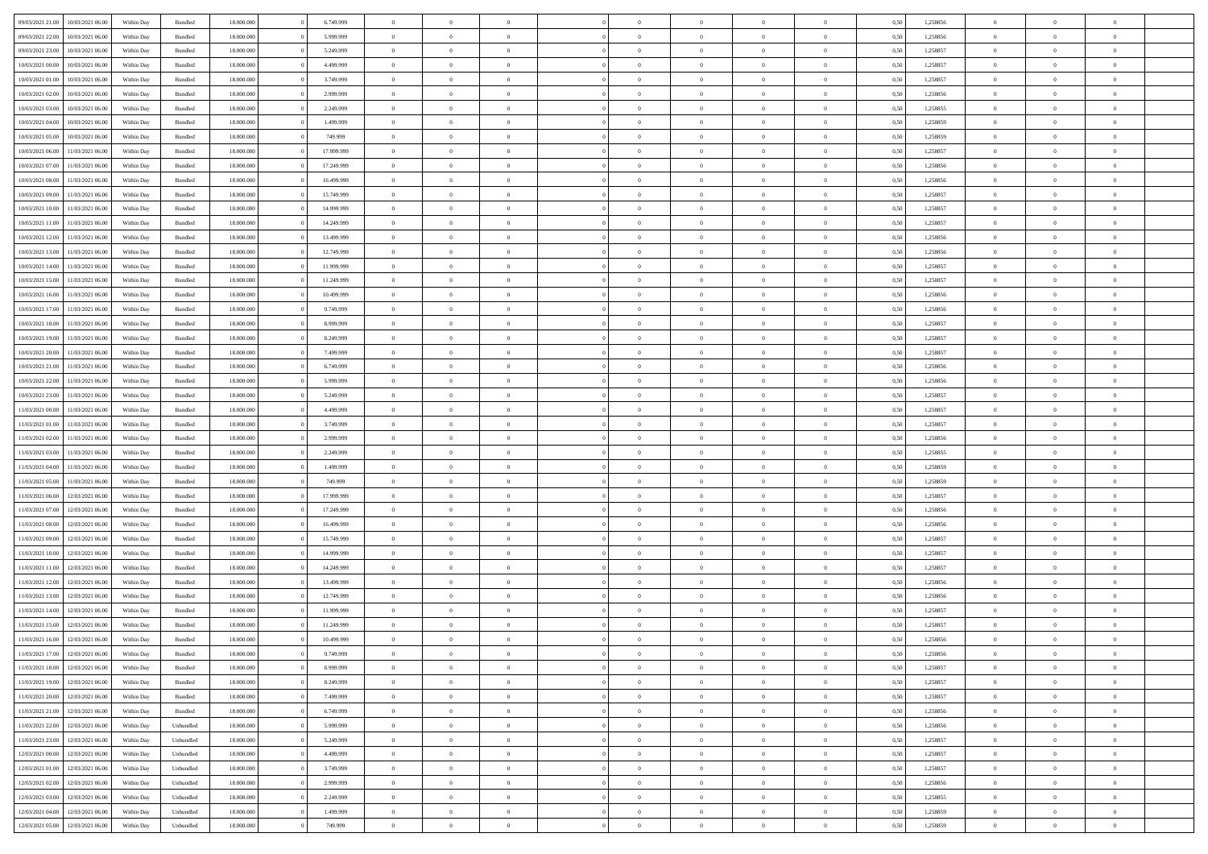| 09/03/2021 21:00 | 10/03/2021 06:00                  | Within Day | Bundled            | 18.000.000 | 6.749.999  | $\overline{0}$ | $\theta$       |                | $\Omega$       | $\Omega$       | $\Omega$       | $\theta$       | 0.50 | 1,258856 | $\theta$       | $\overline{0}$ | $\theta$       |  |
|------------------|-----------------------------------|------------|--------------------|------------|------------|----------------|----------------|----------------|----------------|----------------|----------------|----------------|------|----------|----------------|----------------|----------------|--|
|                  |                                   |            |                    |            |            |                |                |                |                |                |                |                |      |          |                |                |                |  |
| 09/03/2021 22.00 | 10/03/2021 06:00                  | Within Day | Bundled            | 18.000.000 | 5.999.999  | $\overline{0}$ | $\theta$       | $\overline{0}$ | $\overline{0}$ | $\bf{0}$       | $\overline{0}$ | $\overline{0}$ | 0,50 | 1,258856 | $\theta$       | $\theta$       | $\overline{0}$ |  |
| 09/03/2021 23.00 | 10/03/2021 06:00                  | Within Day | Bundled            | 18.000.000 | 5.249.999  | $\overline{0}$ | $\overline{0}$ | $\overline{0}$ | $\bf{0}$       | $\bf{0}$       | $\bf{0}$       | $\bf{0}$       | 0,50 | 1,258857 | $\overline{0}$ | $\overline{0}$ | $\overline{0}$ |  |
| 10/03/2021 00:00 | 10/03/2021 06:00                  | Within Dav | Bundled            | 18.000.000 | 4.499.999  | $\overline{0}$ | $\theta$       | $\overline{0}$ | $\overline{0}$ | $\bf{0}$       | $\overline{0}$ | $\overline{0}$ | 0.50 | 1.258857 | $\theta$       | $\theta$       | $\overline{0}$ |  |
| 10/03/2021 01:00 | 10/03/2021 06:00                  | Within Day | Bundled            | 18.000.000 | 3.749.999  | $\overline{0}$ | $\theta$       | $\overline{0}$ | $\overline{0}$ | $\bf{0}$       | $\overline{0}$ | $\bf{0}$       | 0,50 | 1,258857 | $\theta$       | $\theta$       | $\overline{0}$ |  |
| 10/03/2021 02:00 | 10/03/2021 06:00                  | Within Day | Bundled            | 18.000.000 | 2.999.999  | $\overline{0}$ | $\bf{0}$       | $\overline{0}$ | $\bf{0}$       | $\overline{0}$ | $\overline{0}$ | $\mathbf{0}$   | 0,50 | 1,258856 | $\overline{0}$ | $\overline{0}$ | $\bf{0}$       |  |
|                  |                                   |            |                    |            |            |                |                |                |                | $\bf{0}$       |                |                |      |          | $\theta$       | $\overline{0}$ |                |  |
| 10/03/2021 03:00 | 10/03/2021 06:00                  | Within Dav | Bundled            | 18.000.000 | 2.249.999  | $\overline{0}$ | $\overline{0}$ | $\overline{0}$ | $\overline{0}$ |                | $\overline{0}$ | $\overline{0}$ | 0.50 | 1,258855 |                |                | $\overline{0}$ |  |
| 10/03/2021 04:00 | 10/03/2021 06:00                  | Within Day | Bundled            | 18.000.000 | 1.499.999  | $\overline{0}$ | $\theta$       | $\overline{0}$ | $\overline{0}$ | $\bf{0}$       | $\overline{0}$ | $\bf{0}$       | 0,50 | 1,258859 | $\theta$       | $\theta$       | $\overline{0}$ |  |
| 10/03/2021 05:00 | 10/03/2021 06:00                  | Within Day | Bundled            | 18.000.000 | 749.999    | $\overline{0}$ | $\overline{0}$ | $\overline{0}$ | $\bf{0}$       | $\bf{0}$       | $\bf{0}$       | $\bf{0}$       | 0,50 | 1,258859 | $\,0\,$        | $\overline{0}$ | $\overline{0}$ |  |
| 10/03/2021 06:00 | 11/03/2021 06:00                  | Within Dav | Bundled            | 18.000.000 | 17.999.999 | $\overline{0}$ | $\overline{0}$ | $\overline{0}$ | $\overline{0}$ | $\overline{0}$ | $\overline{0}$ | $\overline{0}$ | 0.50 | 1,258857 | $\theta$       | $\overline{0}$ | $\overline{0}$ |  |
| 10/03/2021 07:00 | 11/03/2021 06:00                  | Within Day | Bundled            | 18.000.000 | 17.249.999 | $\overline{0}$ | $\theta$       | $\overline{0}$ | $\overline{0}$ | $\bf{0}$       | $\overline{0}$ | $\bf{0}$       | 0,50 | 1,258856 | $\theta$       | $\theta$       | $\overline{0}$ |  |
| 10/03/2021 08:00 | 11/03/2021 06:00                  | Within Day | Bundled            | 18.000.000 | 16.499.999 | $\overline{0}$ | $\overline{0}$ | $\overline{0}$ | $\bf{0}$       | $\bf{0}$       | $\bf{0}$       | $\bf{0}$       | 0,50 | 1,258856 | $\bf{0}$       | $\overline{0}$ | $\overline{0}$ |  |
| 10/03/2021 09:00 | 11/03/2021 06:00                  | Within Dav | Bundled            | 18.000.000 | 15.749.999 | $\overline{0}$ | $\overline{0}$ | $\overline{0}$ | $\overline{0}$ | $\bf{0}$       | $\overline{0}$ | $\overline{0}$ | 0.50 | 1.258857 | $\theta$       | $\theta$       | $\overline{0}$ |  |
|                  |                                   |            |                    |            |            | $\overline{0}$ | $\theta$       | $\overline{0}$ | $\overline{0}$ | $\bf{0}$       | $\overline{0}$ | $\overline{0}$ |      |          | $\theta$       | $\theta$       | $\overline{0}$ |  |
| 10/03/2021 10:00 | 11/03/2021 06:00                  | Within Day | Bundled            | 18.000.000 | 14.999.999 |                |                |                |                |                |                |                | 0,50 | 1,258857 |                |                |                |  |
| 10/03/2021 11:00 | 11/03/2021 06:00                  | Within Day | Bundled            | 18.000.000 | 14.249.999 | $\overline{0}$ | $\overline{0}$ | $\overline{0}$ | $\bf{0}$       | $\overline{0}$ | $\overline{0}$ | $\mathbf{0}$   | 0,50 | 1,258857 | $\overline{0}$ | $\overline{0}$ | $\bf{0}$       |  |
| 10/03/2021 12:00 | 11/03/2021 06:00                  | Within Dav | Bundled            | 18.000.000 | 13.499.999 | $\overline{0}$ | $\overline{0}$ | $\overline{0}$ | $\overline{0}$ | $\overline{0}$ | $\overline{0}$ | $\overline{0}$ | 0.50 | 1,258856 | $\theta$       | $\overline{0}$ | $\overline{0}$ |  |
| 10/03/2021 13:00 | 11/03/2021 06:00                  | Within Day | Bundled            | 18.000.000 | 12.749.999 | $\overline{0}$ | $\theta$       | $\overline{0}$ | $\overline{0}$ | $\bf{0}$       | $\overline{0}$ | $\bf{0}$       | 0,50 | 1,258856 | $\theta$       | $\theta$       | $\overline{0}$ |  |
| 10/03/2021 14:00 | 11/03/2021 06:00                  | Within Day | Bundled            | 18.000.000 | 11.999.999 | $\overline{0}$ | $\overline{0}$ | $\overline{0}$ | $\bf{0}$       | $\bf{0}$       | $\bf{0}$       | $\bf{0}$       | 0,50 | 1,258857 | $\,0\,$        | $\overline{0}$ | $\overline{0}$ |  |
| 10/03/2021 15:00 | 11/03/2021 06:00                  | Within Dav | Bundled            | 18.000.000 | 11.249.999 | $\overline{0}$ | $\overline{0}$ | $\overline{0}$ | $\overline{0}$ | $\overline{0}$ | $\overline{0}$ | $\overline{0}$ | 0.50 | 1,258857 | $\theta$       | $\overline{0}$ | $\overline{0}$ |  |
| 10/03/2021 16:00 | 11/03/2021 06:00                  | Within Day | Bundled            | 18.000.000 | 10.499.999 | $\overline{0}$ | $\theta$       | $\overline{0}$ | $\overline{0}$ | $\bf{0}$       | $\overline{0}$ | $\bf{0}$       | 0,50 | 1,258856 | $\theta$       | $\theta$       | $\overline{0}$ |  |
|                  |                                   |            |                    |            |            |                | $\overline{0}$ |                |                | $\bf{0}$       |                |                |      |          | $\,0\,$        | $\overline{0}$ | $\overline{0}$ |  |
| 10/03/2021 17:00 | 11/03/2021 06:00                  | Within Day | Bundled            | 18.000.000 | 9.749.999  | $\overline{0}$ |                | $\overline{0}$ | $\bf{0}$       |                | $\bf{0}$       | $\bf{0}$       | 0,50 | 1,258856 |                |                |                |  |
| 10/03/2021 18:00 | 11/03/2021 06:00                  | Within Day | Bundled            | 18.000.000 | 8.999.999  | $\overline{0}$ | $\overline{0}$ | $\overline{0}$ | $\overline{0}$ | $\bf{0}$       | $\overline{0}$ | $\overline{0}$ | 0.50 | 1.258857 | $\theta$       | $\theta$       | $\overline{0}$ |  |
| 10/03/2021 19:00 | 11/03/2021 06:00                  | Within Day | Bundled            | 18.000.000 | 8.249.999  | $\overline{0}$ | $\theta$       | $\overline{0}$ | $\overline{0}$ | $\bf{0}$       | $\overline{0}$ | $\bf{0}$       | 0,50 | 1,258857 | $\theta$       | $\overline{0}$ | $\overline{0}$ |  |
| 10/03/2021 20:00 | 11/03/2021 06:00                  | Within Day | Bundled            | 18.000.000 | 7.499.999  | $\overline{0}$ | $\bf{0}$       | $\overline{0}$ | $\bf{0}$       | $\overline{0}$ | $\overline{0}$ | $\mathbf{0}$   | 0,50 | 1,258857 | $\overline{0}$ | $\overline{0}$ | $\bf{0}$       |  |
| 10/03/2021 21:00 | 11/03/2021 06:00                  | Within Dav | Bundled            | 18.000.000 | 6.749.999  | $\overline{0}$ | $\overline{0}$ | $\overline{0}$ | $\overline{0}$ | $\overline{0}$ | $\overline{0}$ | $\overline{0}$ | 0.50 | 1.258856 | $\theta$       | $\overline{0}$ | $\overline{0}$ |  |
| 10/03/2021 22:00 | 11/03/2021 06:00                  | Within Day | Bundled            | 18.000.000 | 5.999.999  | $\overline{0}$ | $\theta$       | $\overline{0}$ | $\overline{0}$ | $\bf{0}$       | $\overline{0}$ | $\bf{0}$       | 0,50 | 1,258856 | $\theta$       | $\theta$       | $\overline{0}$ |  |
| 10/03/2021 23:00 | 11/03/2021 06:00                  | Within Day | Bundled            | 18.000.000 | 5.249.999  | $\overline{0}$ | $\overline{0}$ | $\overline{0}$ | $\bf{0}$       | $\bf{0}$       | $\bf{0}$       | $\bf{0}$       | 0,50 | 1,258857 | $\,0\,$        | $\overline{0}$ | $\overline{0}$ |  |
| 11/03/2021 00:00 | 11/03/2021 06:00                  | Within Day | Bundled            | 18,000,000 | 4.499.999  | $\overline{0}$ | $\overline{0}$ | $\overline{0}$ | $\overline{0}$ | $\overline{0}$ | $\overline{0}$ | $\overline{0}$ | 0.50 | 1,258857 | $\theta$       | $\overline{0}$ | $\overline{0}$ |  |
|                  |                                   |            |                    |            |            |                |                |                |                |                |                |                |      |          |                |                |                |  |
| 11/03/2021 01:00 | 11/03/2021 06:00                  | Within Day | Bundled            | 18.000.000 | 3.749.999  | $\overline{0}$ | $\theta$       | $\overline{0}$ | $\overline{0}$ | $\bf{0}$       | $\overline{0}$ | $\bf{0}$       | 0,50 | 1,258857 | $\,$ 0 $\,$    | $\theta$       | $\overline{0}$ |  |
| 11/03/2021 02:00 | 11/03/2021 06:00                  | Within Day | Bundled            | 18.000.000 | 2.999.999  | $\overline{0}$ | $\overline{0}$ | $\overline{0}$ | $\bf{0}$       | $\bf{0}$       | $\bf{0}$       | $\bf{0}$       | 0,50 | 1,258856 | $\bf{0}$       | $\overline{0}$ | $\overline{0}$ |  |
| 11/03/2021 03:00 | 11/03/2021 06.00                  | Within Day | Bundled            | 18.000.000 | 2.249.999  | $\overline{0}$ | $\Omega$       | $\Omega$       | $\Omega$       | $\Omega$       | $\Omega$       | $\overline{0}$ | 0.50 | 1,258855 | $\,0\,$        | $\theta$       | $\theta$       |  |
| 11/03/2021 04:00 | 11/03/2021 06:00                  | Within Day | Bundled            | 18.000.000 | 1.499.999  | $\overline{0}$ | $\theta$       | $\overline{0}$ | $\overline{0}$ | $\bf{0}$       | $\overline{0}$ | $\bf{0}$       | 0,50 | 1,258859 | $\theta$       | $\theta$       | $\overline{0}$ |  |
| 11/03/2021 05:00 | 11/03/2021 06:00                  | Within Day | Bundled            | 18.000.000 | 749.999    | $\overline{0}$ | $\bf{0}$       | $\overline{0}$ | $\bf{0}$       | $\bf{0}$       | $\overline{0}$ | $\mathbf{0}$   | 0,50 | 1,258859 | $\bf{0}$       | $\overline{0}$ | $\bf{0}$       |  |
| 11/03/2021 06:00 | 12/03/2021 06:00                  | Within Day | Bundled            | 18,000,000 | 17.999.999 | $\overline{0}$ | $\Omega$       | $\Omega$       | $\Omega$       | $\Omega$       | $\Omega$       | $\overline{0}$ | 0.50 | 1,258857 | $\theta$       | $\theta$       | $\theta$       |  |
| 11/03/2021 07:00 | 12/03/2021 06:00                  | Within Day | Bundled            | 18.000.000 | 17.249.999 | $\overline{0}$ | $\theta$       | $\overline{0}$ | $\overline{0}$ | $\bf{0}$       | $\overline{0}$ | $\bf{0}$       | 0,50 | 1,258856 | $\theta$       | $\theta$       | $\overline{0}$ |  |
| 11/03/2021 08:00 | 12/03/2021 06:00                  | Within Day | Bundled            | 18.000.000 | 16.499.999 | $\overline{0}$ | $\overline{0}$ | $\overline{0}$ | $\bf{0}$       | $\bf{0}$       | $\bf{0}$       | $\bf{0}$       | 0,50 | 1,258856 | $\,0\,$        | $\overline{0}$ | $\overline{0}$ |  |
|                  |                                   |            |                    |            |            |                |                |                |                |                |                |                |      |          |                |                |                |  |
| 11/03/2021 09:00 | 12/03/2021 06:00                  | Within Day | Bundled            | 18,000,000 | 15.749.999 | $\overline{0}$ | $\Omega$       | $\Omega$       | $\Omega$       | $\Omega$       | $\theta$       | $\overline{0}$ | 0.50 | 1,258857 | $\theta$       | $\theta$       | $\theta$       |  |
| 11/03/2021 10:00 | 12/03/2021 06:00                  | Within Day | Bundled            | 18.000.000 | 14.999.999 | $\overline{0}$ | $\theta$       | $\overline{0}$ | $\overline{0}$ | $\bf{0}$       | $\overline{0}$ | $\bf{0}$       | 0,50 | 1,258857 | $\,$ 0 $\,$    | $\overline{0}$ | $\overline{0}$ |  |
| 11/03/2021 11:00 | 12/03/2021 06:00                  | Within Day | Bundled            | 18.000.000 | 14.249.999 | $\overline{0}$ | $\overline{0}$ | $\overline{0}$ | $\bf{0}$       | $\bf{0}$       | $\bf{0}$       | $\bf{0}$       | 0,50 | 1,258857 | $\bf{0}$       | $\overline{0}$ | $\overline{0}$ |  |
| 11/03/2021 12:00 | 12/03/2021 06:00                  | Within Day | Bundled            | 18.000.000 | 13.499.999 | $\overline{0}$ | $\Omega$       | $\Omega$       | $\Omega$       | $\Omega$       | $\overline{0}$ | $\overline{0}$ | 0.50 | 1,258856 | $\,0\,$        | $\theta$       | $\theta$       |  |
| 11/03/2021 13:00 | 12/03/2021 06:00                  | Within Day | Bundled            | 18.000.000 | 12.749.999 | $\overline{0}$ | $\theta$       | $\overline{0}$ | $\overline{0}$ | $\bf{0}$       | $\overline{0}$ | $\bf{0}$       | 0,50 | 1,258856 | $\,$ 0 $\,$    | $\theta$       | $\overline{0}$ |  |
| 11/03/2021 14:00 | 12/03/2021 06:00                  | Within Day | Bundled            | 18.000.000 | 11.999.999 | $\overline{0}$ | $\overline{0}$ | $\overline{0}$ | $\bf{0}$       | $\bf{0}$       | $\bf{0}$       | $\mathbf{0}$   | 0,50 | 1,258857 | $\bf{0}$       | $\overline{0}$ | $\bf{0}$       |  |
| 11/03/2021 15:00 | 12/03/2021 06:00                  | Within Day | Bundled            | 18,000,000 | 11.249.999 | $\overline{0}$ | $\Omega$       | $\Omega$       | $\Omega$       | $\Omega$       | $\Omega$       | $\overline{0}$ | 0.50 | 1,258857 | $\theta$       | $\theta$       | $\theta$       |  |
| 11/03/2021 16:00 | 12/03/2021 06:00                  | Within Day | Bundled            | 18.000.000 | 10.499.999 | $\overline{0}$ | $\overline{0}$ | $\overline{0}$ | $\bf{0}$       | $\,$ 0         | $\overline{0}$ | $\bf{0}$       | 0,50 | 1,258856 | $\,0\,$        | $\,$ 0 $\,$    | $\overline{0}$ |  |
|                  |                                   |            |                    |            |            |                |                |                |                |                |                |                |      |          |                |                |                |  |
| 11/03/2021 17:00 | 12/03/2021 06:00                  | Within Day | $\mathbf B$ undled | 18.000.000 | 9.749.999  | $\bf{0}$       | $\bf{0}$       |                |                | $\bf{0}$       |                |                | 0,50 | 1,258856 | $\bf{0}$       | $\overline{0}$ |                |  |
| 11/03/2021 18:00 | 12/03/2021 06:00                  | Within Day | Bundled            | 18,000,000 | 8.999.999  | $\overline{0}$ | $\overline{0}$ | $\overline{0}$ | $\Omega$       | $\overline{0}$ | $\overline{0}$ | $\overline{0}$ | 0.50 | 1,258857 | $\theta$       | $\theta$       | $\Omega$       |  |
| 11/03/2021 19:00 | 12/03/2021 06:00                  | Within Day | Bundled            | 18.000.000 | 8.249.999  | $\overline{0}$ | $\,$ 0         | $\overline{0}$ | $\overline{0}$ | $\,$ 0 $\,$    | $\overline{0}$ | $\mathbf{0}$   | 0,50 | 1,258857 | $\,$ 0 $\,$    | $\,$ 0 $\,$    | $\,$ 0         |  |
| 11/03/2021 20:00 | 12/03/2021 06:00                  | Within Day | Bundled            | 18.000.000 | 7.499.999  | $\overline{0}$ | $\overline{0}$ | $\overline{0}$ | $\overline{0}$ | $\overline{0}$ | $\overline{0}$ | $\mathbf{0}$   | 0,50 | 1,258857 | $\overline{0}$ | $\bf{0}$       | $\bf{0}$       |  |
| 11/03/2021 21:00 | 12/03/2021 06:00                  | Within Day | Bundled            | 18,000,000 | 6.749.999  | $\overline{0}$ | $\overline{0}$ | $\overline{0}$ | $\Omega$       | $\overline{0}$ | $\overline{0}$ | $\overline{0}$ | 0,50 | 1,258856 | $\overline{0}$ | $\theta$       | $\overline{0}$ |  |
| 11/03/2021 22.00 | 12/03/2021 06:00                  | Within Day | Unbundled          | 18.000.000 | 5.999.999  | $\overline{0}$ | $\,$ 0         | $\overline{0}$ | $\overline{0}$ | $\,$ 0 $\,$    | $\overline{0}$ | $\mathbf{0}$   | 0,50 | 1,258856 | $\,$ 0 $\,$    | $\overline{0}$ | $\overline{0}$ |  |
| 11/03/2021 23:00 | 12/03/2021 06:00                  | Within Day | Unbundled          | 18.000.000 | 5.249.999  | $\overline{0}$ | $\overline{0}$ | $\overline{0}$ | $\overline{0}$ | $\overline{0}$ | $\overline{0}$ | $\mathbf{0}$   | 0,50 | 1,258857 | $\overline{0}$ | $\overline{0}$ | $\bf{0}$       |  |
| 12/03/2021 00:00 | 12/03/2021 06:00                  | Within Day | Unbundled          | 18.000.000 | 4.499.999  | $\overline{0}$ | $\overline{0}$ | $\overline{0}$ | $\Omega$       | $\overline{0}$ | $\overline{0}$ | $\bf{0}$       | 0.50 | 1,258857 | $\overline{0}$ | $\theta$       | $\overline{0}$ |  |
|                  |                                   |            |                    |            |            |                |                |                |                |                |                |                |      |          |                |                |                |  |
| 12/03/2021 01:00 | 12/03/2021 06:00                  | Within Day | Unbundled          | 18.000.000 | 3.749.999  | $\overline{0}$ | $\,$ 0         | $\overline{0}$ | $\overline{0}$ | $\bf{0}$       | $\bf{0}$       | $\bf{0}$       | 0,50 | 1,258857 | $\,$ 0 $\,$    | $\overline{0}$ | $\overline{0}$ |  |
| 12/03/2021 02:00 | 12/03/2021 06:00                  | Within Day | Unbundled          | 18.000.000 | 2.999.999  | $\overline{0}$ | $\bf{0}$       | $\overline{0}$ | $\overline{0}$ | $\overline{0}$ | $\overline{0}$ | $\mathbf{0}$   | 0,50 | 1,258856 | $\overline{0}$ | $\overline{0}$ | $\bf{0}$       |  |
| 12/03/2021 03:00 | 12/03/2021 06:00                  | Within Day | Unbundled          | 18,000,000 | 2.249.999  | $\overline{0}$ | $\overline{0}$ | $\overline{0}$ | $\Omega$       | $\overline{0}$ | $\overline{0}$ | $\bf{0}$       | 0.50 | 1,258855 | $\overline{0}$ | $\overline{0}$ | $\overline{0}$ |  |
| 12/03/2021 04:00 | 12/03/2021 06:00                  | Within Day | Unbundled          | 18.000.000 | 1.499.999  | $\overline{0}$ | $\bf{0}$       | $\overline{0}$ | $\bf{0}$       | $\bf{0}$       | $\bf{0}$       | $\mathbf{0}$   | 0,50 | 1,258859 | $\,$ 0 $\,$    | $\,$ 0 $\,$    | $\bf{0}$       |  |
|                  | 12/03/2021 05:00 12/03/2021 06:00 | Within Day | Unbundled          | 18.000.000 | 749.999    | $\overline{0}$ | $\overline{0}$ | $\overline{0}$ | $\overline{0}$ | $\overline{0}$ | $\bf{0}$       | $\mathbf{0}$   | 0,50 | 1,258859 | $\overline{0}$ | $\bf{0}$       | $\bf{0}$       |  |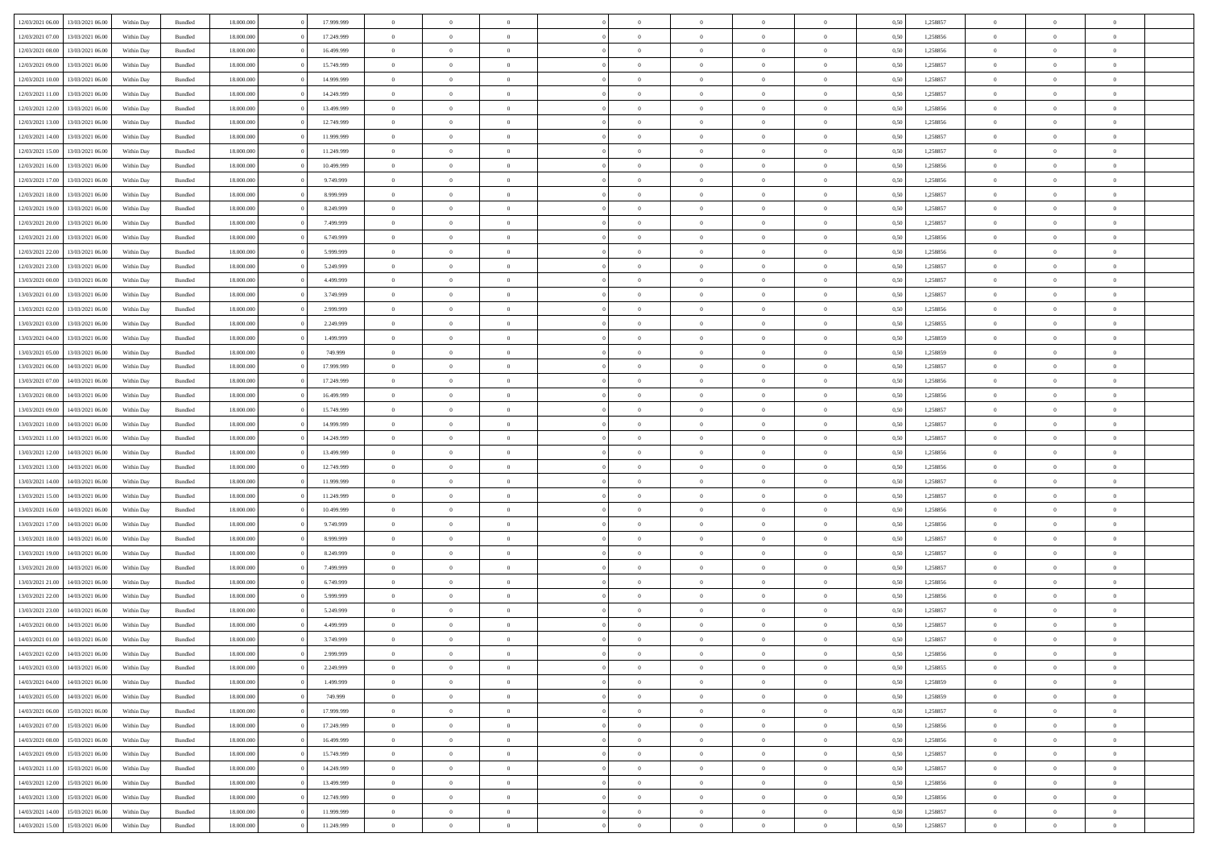| 12/03/2021 06:00 | 13/03/2021 06:00 | Within Dav | Bundled            | 18.000.000 | 17.999.999 | $\overline{0}$ | $\theta$       |                | $\Omega$       | $\Omega$       | $\Omega$       | $\theta$       | 0.50 | 1,258857 | $\theta$       | $\overline{0}$ | $\theta$       |  |
|------------------|------------------|------------|--------------------|------------|------------|----------------|----------------|----------------|----------------|----------------|----------------|----------------|------|----------|----------------|----------------|----------------|--|
|                  |                  |            |                    |            |            |                |                |                |                |                |                |                |      |          |                |                |                |  |
| 12/03/2021 07:00 | 13/03/2021 06:00 | Within Day | Bundled            | 18.000.000 | 17.249.999 | $\overline{0}$ | $\theta$       | $\overline{0}$ | $\overline{0}$ | $\bf{0}$       | $\overline{0}$ | $\overline{0}$ | 0,50 | 1,258856 | $\theta$       | $\overline{0}$ | $\overline{0}$ |  |
| 12/03/2021 08:00 | 13/03/2021 06:00 | Within Day | Bundled            | 18.000.000 | 16.499.999 | $\overline{0}$ | $\overline{0}$ | $\overline{0}$ | $\bf{0}$       | $\bf{0}$       | $\bf{0}$       | $\bf{0}$       | 0,50 | 1,258856 | $\bf{0}$       | $\overline{0}$ | $\overline{0}$ |  |
| 12/03/2021 09:00 | 13/03/2021 06:00 | Within Dav | Bundled            | 18.000.000 | 15.749.999 | $\overline{0}$ | $\overline{0}$ | $\overline{0}$ | $\overline{0}$ | $\bf{0}$       | $\overline{0}$ | $\overline{0}$ | 0.50 | 1.258857 | $\theta$       | $\theta$       | $\overline{0}$ |  |
|                  |                  |            |                    |            |            | $\overline{0}$ | $\theta$       | $\overline{0}$ |                | $\bf{0}$       | $\overline{0}$ |                |      |          | $\theta$       | $\theta$       | $\overline{0}$ |  |
| 12/03/2021 10:00 | 13/03/2021 06:00 | Within Day | Bundled            | 18.000.000 | 14.999.999 |                |                |                | $\overline{0}$ |                |                | $\bf{0}$       | 0,50 | 1,258857 |                |                |                |  |
| 12/03/2021 11:00 | 13/03/2021 06:00 | Within Day | Bundled            | 18.000.000 | 14.249.999 | $\overline{0}$ | $\bf{0}$       | $\overline{0}$ | $\bf{0}$       | $\overline{0}$ | $\overline{0}$ | $\mathbf{0}$   | 0,50 | 1,258857 | $\bf{0}$       | $\overline{0}$ | $\bf{0}$       |  |
| 12/03/2021 12:00 | 13/03/2021 06:00 | Within Dav | Bundled            | 18.000.000 | 13.499.999 | $\overline{0}$ | $\overline{0}$ | $\overline{0}$ | $\overline{0}$ | $\bf{0}$       | $\overline{0}$ | $\overline{0}$ | 0.50 | 1,258856 | $\theta$       | $\overline{0}$ | $\overline{0}$ |  |
| 12/03/2021 13:00 | 13/03/2021 06:00 | Within Day | Bundled            | 18.000.000 | 12.749.999 | $\overline{0}$ | $\theta$       | $\overline{0}$ | $\overline{0}$ | $\bf{0}$       | $\overline{0}$ | $\bf{0}$       | 0,50 | 1,258856 | $\theta$       | $\theta$       | $\overline{0}$ |  |
|                  | 13/03/2021 06:00 | Within Day | Bundled            | 18.000.000 | 11.999.999 | $\overline{0}$ | $\overline{0}$ | $\overline{0}$ | $\bf{0}$       | $\bf{0}$       | $\bf{0}$       | $\bf{0}$       | 0,50 | 1,258857 | $\,0\,$        | $\overline{0}$ | $\overline{0}$ |  |
| 12/03/2021 14:00 |                  |            |                    |            |            |                |                |                |                |                |                |                |      |          |                |                |                |  |
| 12/03/2021 15:00 | 13/03/2021 06:00 | Within Dav | Bundled            | 18.000.000 | 11.249.999 | $\overline{0}$ | $\overline{0}$ | $\overline{0}$ | $\overline{0}$ | $\overline{0}$ | $\overline{0}$ | $\overline{0}$ | 0.50 | 1,258857 | $\theta$       | $\overline{0}$ | $\overline{0}$ |  |
| 12/03/2021 16:00 | 13/03/2021 06:00 | Within Day | Bundled            | 18.000.000 | 10.499.999 | $\overline{0}$ | $\theta$       | $\overline{0}$ | $\overline{0}$ | $\bf{0}$       | $\overline{0}$ | $\bf{0}$       | 0,50 | 1,258856 | $\,$ 0 $\,$    | $\theta$       | $\overline{0}$ |  |
| 12/03/2021 17:00 | 13/03/2021 06:00 | Within Day | Bundled            | 18.000.000 | 9.749.999  | $\overline{0}$ | $\overline{0}$ | $\overline{0}$ | $\bf{0}$       | $\bf{0}$       | $\bf{0}$       | $\bf{0}$       | 0,50 | 1,258856 | $\bf{0}$       | $\overline{0}$ | $\overline{0}$ |  |
| 12/03/2021 18:00 | 13/03/2021 06:00 | Within Dav | Bundled            | 18.000.000 | 8.999.999  | $\overline{0}$ | $\overline{0}$ | $\overline{0}$ | $\overline{0}$ | $\bf{0}$       | $\overline{0}$ | $\overline{0}$ | 0.50 | 1.258857 | $\theta$       | $\theta$       | $\overline{0}$ |  |
|                  |                  |            |                    |            |            |                |                |                |                |                |                |                |      |          |                |                |                |  |
| 12/03/2021 19:00 | 13/03/2021 06:00 | Within Day | Bundled            | 18.000.000 | 8.249.999  | $\overline{0}$ | $\theta$       | $\overline{0}$ | $\overline{0}$ | $\bf{0}$       | $\overline{0}$ | $\overline{0}$ | 0,50 | 1,258857 | $\theta$       | $\theta$       | $\overline{0}$ |  |
| 12/03/2021 20:00 | 13/03/2021 06:00 | Within Day | Bundled            | 18.000.000 | 7.499.999  | $\overline{0}$ | $\bf{0}$       | $\overline{0}$ | $\bf{0}$       | $\overline{0}$ | $\overline{0}$ | $\mathbf{0}$   | 0,50 | 1,258857 | $\bf{0}$       | $\overline{0}$ | $\bf{0}$       |  |
| 12/03/2021 21:00 | 13/03/2021 06:00 | Within Dav | Bundled            | 18.000.000 | 6.749.999  | $\overline{0}$ | $\overline{0}$ | $\overline{0}$ | $\overline{0}$ | $\overline{0}$ | $\overline{0}$ | $\overline{0}$ | 0.50 | 1,258856 | $\theta$       | $\overline{0}$ | $\overline{0}$ |  |
| 12/03/2021 22:00 | 13/03/2021 06:00 | Within Day | Bundled            | 18.000.000 | 5.999.999  | $\overline{0}$ | $\theta$       | $\overline{0}$ | $\overline{0}$ | $\bf{0}$       | $\overline{0}$ | $\bf{0}$       | 0,50 | 1,258856 | $\theta$       | $\theta$       | $\overline{0}$ |  |
| 12/03/2021 23:00 | 13/03/2021 06:00 | Within Day | Bundled            | 18.000.000 | 5.249.999  | $\overline{0}$ | $\overline{0}$ | $\overline{0}$ | $\bf{0}$       | $\bf{0}$       | $\bf{0}$       | $\bf{0}$       | 0,50 | 1,258857 | $\,0\,$        | $\overline{0}$ | $\overline{0}$ |  |
|                  |                  |            |                    |            |            |                |                |                |                |                |                |                |      |          |                |                |                |  |
| 13/03/2021 00:00 | 13/03/2021 06:00 | Within Day | Bundled            | 18.000.000 | 4.499.999  | $\overline{0}$ | $\overline{0}$ | $\overline{0}$ | $\overline{0}$ | $\overline{0}$ | $\overline{0}$ | $\overline{0}$ | 0.50 | 1,258857 | $\theta$       | $\overline{0}$ | $\overline{0}$ |  |
| 13/03/2021 01:00 | 13/03/2021 06:00 | Within Day | Bundled            | 18.000.000 | 3.749.999  | $\overline{0}$ | $\theta$       | $\overline{0}$ | $\overline{0}$ | $\bf{0}$       | $\overline{0}$ | $\bf{0}$       | 0,50 | 1,258857 | $\theta$       | $\theta$       | $\overline{0}$ |  |
| 13/03/2021 02:00 | 13/03/2021 06:00 | Within Day | Bundled            | 18.000.000 | 2.999.999  | $\overline{0}$ | $\overline{0}$ | $\overline{0}$ | $\bf{0}$       | $\bf{0}$       | $\bf{0}$       | $\bf{0}$       | 0,50 | 1,258856 | $\,0\,$        | $\overline{0}$ | $\overline{0}$ |  |
| 13/03/2021 03:00 | 13/03/2021 06:00 | Within Day | Bundled            | 18.000.000 | 2.249.999  | $\overline{0}$ | $\overline{0}$ | $\overline{0}$ | $\overline{0}$ | $\bf{0}$       | $\overline{0}$ | $\overline{0}$ | 0.50 | 1.258855 | $\theta$       | $\theta$       | $\overline{0}$ |  |
|                  |                  |            |                    |            |            |                |                |                |                |                |                |                |      |          |                |                |                |  |
| 13/03/2021 04:00 | 13/03/2021 06:00 | Within Day | Bundled            | 18.000.000 | 1.499.999  | $\overline{0}$ | $\theta$       | $\overline{0}$ | $\overline{0}$ | $\bf{0}$       | $\overline{0}$ | $\bf{0}$       | 0,50 | 1,258859 | $\theta$       | $\overline{0}$ | $\overline{0}$ |  |
| 13/03/2021 05:00 | 13/03/2021 06:00 | Within Day | Bundled            | 18.000.000 | 749.999    | $\overline{0}$ | $\bf{0}$       | $\overline{0}$ | $\bf{0}$       | $\overline{0}$ | $\overline{0}$ | $\mathbf{0}$   | 0,50 | 1,258859 | $\bf{0}$       | $\overline{0}$ | $\bf{0}$       |  |
| 13/03/2021 06:00 | 14/03/2021 06:00 | Within Dav | Bundled            | 18.000.000 | 17.999.999 | $\overline{0}$ | $\overline{0}$ | $\overline{0}$ | $\overline{0}$ | $\overline{0}$ | $\overline{0}$ | $\overline{0}$ | 0.50 | 1,258857 | $\theta$       | $\overline{0}$ | $\overline{0}$ |  |
| 13/03/2021 07:00 | 14/03/2021 06:00 | Within Day | Bundled            | 18.000.000 | 17.249.999 | $\overline{0}$ | $\theta$       | $\overline{0}$ | $\overline{0}$ | $\bf{0}$       | $\overline{0}$ | $\bf{0}$       | 0,50 | 1,258856 | $\theta$       | $\theta$       | $\overline{0}$ |  |
| 13/03/2021 08:00 | 14/03/2021 06:00 | Within Day | Bundled            | 18.000.000 | 16.499.999 | $\overline{0}$ | $\overline{0}$ | $\overline{0}$ | $\bf{0}$       | $\bf{0}$       | $\bf{0}$       | $\bf{0}$       | 0,50 | 1,258856 | $\,0\,$        | $\overline{0}$ | $\overline{0}$ |  |
|                  |                  |            |                    |            |            |                |                |                |                |                |                |                |      |          |                |                |                |  |
| 13/03/2021 09:00 | 14/03/2021 06:00 | Within Day | Bundled            | 18.000.000 | 15.749.999 | $\overline{0}$ | $\overline{0}$ | $\overline{0}$ | $\overline{0}$ | $\overline{0}$ | $\overline{0}$ | $\overline{0}$ | 0.50 | 1,258857 | $\theta$       | $\overline{0}$ | $\overline{0}$ |  |
| 13/03/2021 10:00 | 14/03/2021 06:00 | Within Day | Bundled            | 18.000.000 | 14.999.999 | $\overline{0}$ | $\theta$       | $\overline{0}$ | $\overline{0}$ | $\bf{0}$       | $\overline{0}$ | $\bf{0}$       | 0,50 | 1,258857 | $\,$ 0 $\,$    | $\theta$       | $\overline{0}$ |  |
| 13/03/2021 11:00 | 14/03/2021 06:00 | Within Day | Bundled            | 18.000.000 | 14.249.999 | $\overline{0}$ | $\overline{0}$ | $\overline{0}$ | $\bf{0}$       | $\bf{0}$       | $\bf{0}$       | $\bf{0}$       | 0,50 | 1,258857 | $\bf{0}$       | $\overline{0}$ | $\overline{0}$ |  |
| 13/03/2021 12:00 | 14/03/2021 06:00 | Within Day | Bundled            | 18.000.000 | 13.499.999 | $\overline{0}$ | $\Omega$       | $\Omega$       | $\Omega$       | $\Omega$       | $\Omega$       | $\overline{0}$ | 0.50 | 1,258856 | $\,0\,$        | $\theta$       | $\theta$       |  |
| 13/03/2021 13:00 | 14/03/2021 06:00 |            |                    | 18.000.000 | 12.749.999 | $\overline{0}$ | $\theta$       | $\overline{0}$ | $\overline{0}$ | $\bf{0}$       | $\overline{0}$ |                |      | 1,258856 | $\theta$       | $\theta$       | $\overline{0}$ |  |
|                  |                  | Within Day | Bundled            |            |            |                |                |                |                |                |                | $\bf{0}$       | 0,50 |          |                |                |                |  |
| 13/03/2021 14:00 | 14/03/2021 06:00 | Within Day | Bundled            | 18.000.000 | 11.999.999 | $\overline{0}$ | $\bf{0}$       | $\overline{0}$ | $\bf{0}$       | $\bf{0}$       | $\overline{0}$ | $\mathbf{0}$   | 0,50 | 1,258857 | $\overline{0}$ | $\overline{0}$ | $\bf{0}$       |  |
| 13/03/2021 15:00 | 14/03/2021 06:00 | Within Day | Bundled            | 18,000,000 | 11.249.999 | $\overline{0}$ | $\Omega$       | $\Omega$       | $\Omega$       | $\Omega$       | $\Omega$       | $\overline{0}$ | 0.50 | 1,258857 | $\theta$       | $\theta$       | $\theta$       |  |
| 13/03/2021 16:00 | 14/03/2021 06:00 | Within Day | Bundled            | 18.000.000 | 10.499.999 | $\overline{0}$ | $\theta$       | $\overline{0}$ | $\overline{0}$ | $\bf{0}$       | $\overline{0}$ | $\bf{0}$       | 0,50 | 1,258856 | $\theta$       | $\theta$       | $\overline{0}$ |  |
| 13/03/2021 17:00 | 14/03/2021 06:00 | Within Day | Bundled            | 18.000.000 | 9.749.999  | $\overline{0}$ | $\overline{0}$ | $\overline{0}$ | $\bf{0}$       | $\bf{0}$       | $\bf{0}$       | $\bf{0}$       | 0,50 | 1,258856 | $\,0\,$        | $\overline{0}$ | $\overline{0}$ |  |
|                  |                  |            |                    |            |            |                |                |                |                |                |                |                |      |          |                |                |                |  |
| 13/03/2021 18:00 | 14/03/2021 06:00 | Within Day | Bundled            | 18,000,000 | 8.999.999  | $\overline{0}$ | $\Omega$       | $\Omega$       | $\Omega$       | $\Omega$       | $\theta$       | $\overline{0}$ | 0.50 | 1,258857 | $\theta$       | $\theta$       | $\theta$       |  |
| 13/03/2021 19:00 | 14/03/2021 06:00 | Within Day | Bundled            | 18.000.000 | 8.249.999  | $\overline{0}$ | $\theta$       | $\overline{0}$ | $\overline{0}$ | $\bf{0}$       | $\overline{0}$ | $\bf{0}$       | 0,50 | 1,258857 | $\,$ 0 $\,$    | $\overline{0}$ | $\overline{0}$ |  |
| 13/03/2021 20:00 | 14/03/2021 06:00 | Within Day | Bundled            | 18.000.000 | 7.499.999  | $\overline{0}$ | $\overline{0}$ | $\overline{0}$ | $\bf{0}$       | $\bf{0}$       | $\bf{0}$       | $\bf{0}$       | 0,50 | 1,258857 | $\overline{0}$ | $\overline{0}$ | $\overline{0}$ |  |
| 13/03/2021 21:00 | 14/03/2021 06:00 | Within Day | Bundled            | 18.000.000 | 6.749.999  | $\overline{0}$ | $\Omega$       | $\Omega$       | $\Omega$       | $\Omega$       | $\overline{0}$ | $\overline{0}$ | 0.50 | 1,258856 | $\,0\,$        | $\theta$       | $\theta$       |  |
| 13/03/2021 22:00 | 14/03/2021 06:00 | Within Day | Bundled            | 18.000.000 | 5.999.999  | $\overline{0}$ | $\theta$       | $\overline{0}$ | $\overline{0}$ | $\bf{0}$       | $\overline{0}$ | $\bf{0}$       | 0,50 | 1,258856 | $\,$ 0 $\,$    | $\theta$       | $\overline{0}$ |  |
|                  |                  |            |                    |            |            |                |                |                |                |                |                |                |      |          |                |                |                |  |
| 13/03/2021 23:00 | 14/03/2021 06:00 | Within Day | Bundled            | 18.000.000 | 5.249.999  | $\overline{0}$ | $\overline{0}$ | $\overline{0}$ | $\bf{0}$       | $\bf{0}$       | $\bf{0}$       | $\mathbf{0}$   | 0,50 | 1,258857 | $\overline{0}$ | $\overline{0}$ | $\bf{0}$       |  |
| 14/03/2021 00:00 | 14/03/2021 06:00 | Within Day | Bundled            | 18,000,000 | 4.499.999  | $\overline{0}$ | $\Omega$       | $\Omega$       | $\Omega$       | $\Omega$       | $\Omega$       | $\overline{0}$ | 0.50 | 1,258857 | $\theta$       | $\theta$       | $\theta$       |  |
| 14/03/2021 01:00 | 14/03/2021 06:00 | Within Day | Bundled            | 18.000.000 | 3.749.999  | $\overline{0}$ | $\overline{0}$ | $\overline{0}$ | $\bf{0}$       | $\,$ 0         | $\bf{0}$       | $\bf{0}$       | 0,50 | 1,258857 | $\,0\,$        | $\,$ 0 $\,$    | $\overline{0}$ |  |
| 14/03/2021 02:00 | 14/03/2021 06:00 | Within Day | $\mathbf B$ undled | 18.000.000 | 2.999.999  | $\bf{0}$       | $\bf{0}$       |                |                | $\bf{0}$       |                |                | 0,50 | 1,258856 | $\bf{0}$       | $\overline{0}$ |                |  |
| 14/03/2021 03:00 | 14/03/2021 06:00 |            |                    | 18,000,000 | 2.249.999  | $\overline{0}$ | $\overline{0}$ | $\overline{0}$ | $\Omega$       | $\overline{0}$ | $\overline{0}$ | $\overline{0}$ | 0.50 |          | $\theta$       | $\theta$       | $\theta$       |  |
|                  |                  | Within Day | Bundled            |            |            |                |                |                |                |                |                |                |      | 1,258855 |                |                |                |  |
| 14/03/2021 04:00 | 14/03/2021 06:00 | Within Day | Bundled            | 18.000.000 | 1.499.999  | $\overline{0}$ | $\,$ 0         | $\overline{0}$ | $\bf{0}$       | $\,$ 0 $\,$    | $\overline{0}$ | $\mathbf{0}$   | 0,50 | 1,258859 | $\,$ 0 $\,$    | $\,$ 0 $\,$    | $\,$ 0         |  |
| 14/03/2021 05:00 | 14/03/2021 06:00 | Within Day | Bundled            | 18.000.000 | 749.999    | $\overline{0}$ | $\overline{0}$ | $\overline{0}$ | $\overline{0}$ | $\overline{0}$ | $\overline{0}$ | $\mathbf{0}$   | 0,50 | 1,258859 | $\overline{0}$ | $\bf{0}$       | $\bf{0}$       |  |
| 14/03/2021 06:00 | 15/03/2021 06:00 | Within Day | Bundled            | 18,000,000 | 17.999.999 | $\overline{0}$ | $\theta$       | $\overline{0}$ | $\Omega$       | $\overline{0}$ | $\overline{0}$ | $\bf{0}$       | 0,50 | 1,258857 | $\bf{0}$       | $\theta$       | $\overline{0}$ |  |
| 14/03/2021 07:00 | 15/03/2021 06:00 | Within Day | Bundled            | 18.000.000 | 17.249.999 | $\overline{0}$ | $\,$ 0         | $\overline{0}$ | $\overline{0}$ | $\overline{0}$ | $\overline{0}$ | $\bf{0}$       | 0,50 | 1,258856 | $\,$ 0 $\,$    | $\overline{0}$ | $\overline{0}$ |  |
|                  |                  |            |                    |            |            |                |                |                |                |                |                |                |      |          |                |                |                |  |
| 14/03/2021 08:00 | 15/03/2021 06:00 | Within Day | Bundled            | 18.000.000 | 16.499.999 | $\overline{0}$ | $\overline{0}$ | $\overline{0}$ | $\overline{0}$ | $\overline{0}$ | $\overline{0}$ | $\mathbf{0}$   | 0,50 | 1,258856 | $\overline{0}$ | $\bf{0}$       | $\bf{0}$       |  |
| 14/03/2021 09:00 | 15/03/2021 06:00 | Within Day | Bundled            | 18,000,000 | 15.749.999 | $\overline{0}$ | $\overline{0}$ | $\overline{0}$ | $\Omega$       | $\overline{0}$ | $\overline{0}$ | $\bf{0}$       | 0.50 | 1,258857 | $\overline{0}$ | $\theta$       | $\overline{0}$ |  |
| 14/03/2021 11:00 | 15/03/2021 06:00 | Within Day | Bundled            | 18.000.000 | 14.249.999 | $\overline{0}$ | $\,$ 0         | $\overline{0}$ | $\bf{0}$       | $\bf{0}$       | $\bf{0}$       | $\bf{0}$       | 0,50 | 1,258857 | $\,$ 0 $\,$    | $\overline{0}$ | $\overline{0}$ |  |
| 14/03/2021 12:00 | 15/03/2021 06:00 | Within Day | Bundled            | 18.000.000 | 13.499.999 | $\overline{0}$ | $\bf{0}$       | $\overline{0}$ | $\overline{0}$ | $\overline{0}$ | $\bf{0}$       | $\mathbf{0}$   | 0,50 | 1,258856 | $\overline{0}$ | $\overline{0}$ | $\bf{0}$       |  |
|                  |                  |            |                    | 18,000,000 |            | $\overline{0}$ | $\overline{0}$ | $\overline{0}$ | $\Omega$       | $\overline{0}$ | $\overline{0}$ |                | 0.50 |          | $\overline{0}$ | $\theta$       | $\overline{0}$ |  |
| 14/03/2021 13:00 | 15/03/2021 06:00 | Within Day | Bundled            |            | 12.749.999 |                |                |                |                |                |                | $\bf{0}$       |      | 1,258856 |                |                |                |  |
| 14/03/2021 14:00 | 15/03/2021 06:00 | Within Day | Bundled            | 18.000.000 | 11.999.999 | $\overline{0}$ | $\,$ 0 $\,$    | $\overline{0}$ | $\overline{0}$ | $\bf{0}$       | $\bf{0}$       | $\bf{0}$       | 0,50 | 1,258857 | $\,$ 0 $\,$    | $\overline{0}$ | $\bf{0}$       |  |
| 14/03/2021 15:00 | 15/03/2021 06:00 | Within Day | Bundled            | 18.000.000 | 11.249.999 | $\overline{0}$ | $\bf{0}$       | $\overline{0}$ | $\bf{0}$       | $\bf{0}$       | $\bf{0}$       | $\bf{0}$       | 0,50 | 1,258857 | $\overline{0}$ | $\overline{0}$ | $\bf{0}$       |  |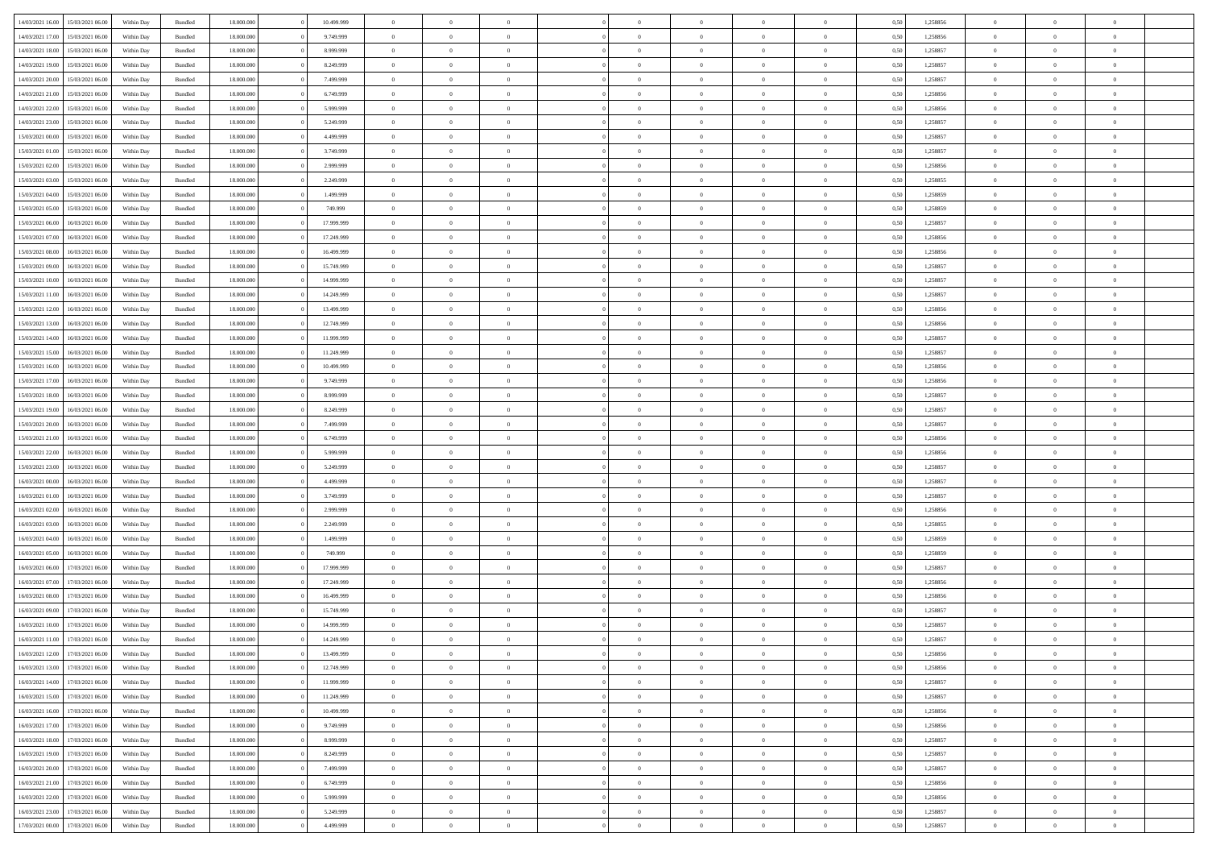| 14/03/2021 16:00 | 15/03/2021 06:00                  | Within Dav | Bundled            | 18.000.000 | 10.499.999 | $\overline{0}$ | $\theta$       |                | $\Omega$       | $\Omega$       | $\Omega$       | $\theta$       | 0.50 | 1,258856 | $\theta$       | $\overline{0}$ | $\theta$       |  |
|------------------|-----------------------------------|------------|--------------------|------------|------------|----------------|----------------|----------------|----------------|----------------|----------------|----------------|------|----------|----------------|----------------|----------------|--|
|                  |                                   |            |                    |            |            |                |                |                |                |                |                |                |      |          |                |                |                |  |
| 14/03/2021 17:00 | 15/03/2021 06:00                  | Within Day | Bundled            | 18.000.000 | 9.749.999  | $\overline{0}$ | $\theta$       | $\overline{0}$ | $\overline{0}$ | $\bf{0}$       | $\overline{0}$ | $\overline{0}$ | 0,50 | 1,258856 | $\theta$       | $\overline{0}$ | $\overline{0}$ |  |
| 14/03/2021 18:00 | 15/03/2021 06:00                  | Within Day | Bundled            | 18.000.000 | 8.999.999  | $\overline{0}$ | $\overline{0}$ | $\overline{0}$ | $\bf{0}$       | $\bf{0}$       | $\bf{0}$       | $\bf{0}$       | 0,50 | 1,258857 | $\bf{0}$       | $\overline{0}$ | $\overline{0}$ |  |
| 14/03/2021 19:00 | 15/03/2021 06:00                  | Within Dav | Bundled            | 18.000.000 | 8.249.999  | $\overline{0}$ | $\overline{0}$ | $\overline{0}$ | $\overline{0}$ | $\bf{0}$       | $\overline{0}$ | $\overline{0}$ | 0.50 | 1.258857 | $\theta$       | $\theta$       | $\overline{0}$ |  |
| 14/03/2021 20:00 | 15/03/2021 06:00                  | Within Day | Bundled            | 18.000.000 | 7.499.999  | $\overline{0}$ | $\theta$       | $\overline{0}$ | $\overline{0}$ | $\bf{0}$       | $\overline{0}$ | $\bf{0}$       | 0,50 | 1,258857 | $\theta$       | $\theta$       | $\overline{0}$ |  |
|                  |                                   |            |                    |            |            |                |                |                |                |                |                |                |      |          |                |                |                |  |
| 14/03/2021 21.00 | 15/03/2021 06:00                  | Within Day | Bundled            | 18.000.000 | 6.749.999  | $\overline{0}$ | $\bf{0}$       | $\overline{0}$ | $\bf{0}$       | $\overline{0}$ | $\overline{0}$ | $\mathbf{0}$   | 0,50 | 1,258856 | $\bf{0}$       | $\overline{0}$ | $\bf{0}$       |  |
| 14/03/2021 22:00 | 15/03/2021 06:00                  | Within Dav | Bundled            | 18.000.000 | 5.999.999  | $\overline{0}$ | $\overline{0}$ | $\overline{0}$ | $\overline{0}$ | $\bf{0}$       | $\overline{0}$ | $\overline{0}$ | 0.50 | 1,258856 | $\theta$       | $\overline{0}$ | $\overline{0}$ |  |
| 14/03/2021 23:00 | 15/03/2021 06:00                  | Within Day | Bundled            | 18.000.000 | 5.249.999  | $\overline{0}$ | $\theta$       | $\overline{0}$ | $\overline{0}$ | $\bf{0}$       | $\overline{0}$ | $\bf{0}$       | 0,50 | 1,258857 | $\theta$       | $\theta$       | $\overline{0}$ |  |
| 15/03/2021 00:00 | 15/03/2021 06:00                  | Within Day | Bundled            | 18.000.000 | 4.499.999  | $\overline{0}$ | $\overline{0}$ | $\overline{0}$ | $\bf{0}$       | $\bf{0}$       | $\bf{0}$       | $\bf{0}$       | 0,50 | 1,258857 | $\,0\,$        | $\overline{0}$ | $\overline{0}$ |  |
| 15/03/2021 01:00 | 15/03/2021 06:00                  | Within Dav | Bundled            | 18.000.000 | 3.749.999  | $\overline{0}$ | $\overline{0}$ | $\overline{0}$ | $\overline{0}$ | $\overline{0}$ | $\overline{0}$ | $\overline{0}$ | 0.50 | 1,258857 | $\theta$       | $\overline{0}$ | $\overline{0}$ |  |
| 15/03/2021 02:00 | 15/03/2021 06:00                  | Within Day | Bundled            | 18.000.000 | 2.999.999  | $\overline{0}$ | $\theta$       | $\overline{0}$ | $\overline{0}$ | $\bf{0}$       | $\overline{0}$ | $\bf{0}$       | 0,50 | 1,258856 | $\theta$       | $\theta$       | $\overline{0}$ |  |
| 15/03/2021 03:00 | 15/03/2021 06:00                  | Within Day | Bundled            | 18.000.000 | 2.249.999  | $\overline{0}$ | $\overline{0}$ | $\overline{0}$ | $\bf{0}$       | $\bf{0}$       | $\bf{0}$       | $\bf{0}$       | 0,50 | 1,258855 | $\bf{0}$       | $\overline{0}$ | $\overline{0}$ |  |
|                  |                                   |            |                    |            |            |                |                |                |                |                |                |                |      |          |                |                |                |  |
| 15/03/2021 04:00 | 15/03/2021 06:00                  | Within Dav | Bundled            | 18.000.000 | 1.499.999  | $\overline{0}$ | $\overline{0}$ | $\overline{0}$ | $\overline{0}$ | $\bf{0}$       | $\overline{0}$ | $\overline{0}$ | 0.50 | 1.258859 | $\theta$       | $\theta$       | $\overline{0}$ |  |
| 15/03/2021 05:00 | 15/03/2021 06:00                  | Within Day | Bundled            | 18.000.000 | 749.999    | $\overline{0}$ | $\theta$       | $\overline{0}$ | $\overline{0}$ | $\bf{0}$       | $\overline{0}$ | $\overline{0}$ | 0,50 | 1,258859 | $\theta$       | $\theta$       | $\overline{0}$ |  |
| 15/03/2021 06:00 | 16/03/2021 06:00                  | Within Day | Bundled            | 18.000.000 | 17.999.999 | $\overline{0}$ | $\bf{0}$       | $\overline{0}$ | $\overline{0}$ | $\overline{0}$ | $\overline{0}$ | $\mathbf{0}$   | 0,50 | 1,258857 | $\bf{0}$       | $\overline{0}$ | $\bf{0}$       |  |
| 15/03/2021 07:00 | 16/03/2021 06:00                  | Within Dav | Bundled            | 18.000.000 | 17.249.999 | $\overline{0}$ | $\overline{0}$ | $\overline{0}$ | $\overline{0}$ | $\overline{0}$ | $\overline{0}$ | $\overline{0}$ | 0.50 | 1,258856 | $\theta$       | $\overline{0}$ | $\overline{0}$ |  |
| 15/03/2021 08:00 | 16/03/2021 06:00                  | Within Day | Bundled            | 18.000.000 | 16.499.999 | $\overline{0}$ | $\theta$       | $\overline{0}$ | $\overline{0}$ | $\bf{0}$       | $\overline{0}$ | $\bf{0}$       | 0,50 | 1,258856 | $\theta$       | $\theta$       | $\overline{0}$ |  |
| 15/03/2021 09:00 | 16/03/2021 06:00                  | Within Day | Bundled            | 18.000.000 | 15.749.999 | $\overline{0}$ | $\overline{0}$ | $\overline{0}$ | $\overline{0}$ | $\bf{0}$       | $\overline{0}$ | $\bf{0}$       | 0,50 | 1,258857 | $\,0\,$        | $\overline{0}$ | $\overline{0}$ |  |
| 15/03/2021 10:00 | 16/03/2021 06:00                  | Within Dav | Bundled            | 18.000.000 | 14.999.999 | $\overline{0}$ | $\overline{0}$ | $\overline{0}$ | $\overline{0}$ | $\overline{0}$ | $\overline{0}$ | $\overline{0}$ | 0.50 | 1,258857 | $\theta$       | $\overline{0}$ | $\overline{0}$ |  |
|                  |                                   |            |                    |            |            |                |                |                |                |                |                |                |      |          |                |                |                |  |
| 15/03/2021 11:00 | 16/03/2021 06:00                  | Within Day | Bundled            | 18.000.000 | 14.249.999 | $\overline{0}$ | $\theta$       | $\overline{0}$ | $\overline{0}$ | $\bf{0}$       | $\overline{0}$ | $\bf{0}$       | 0,50 | 1,258857 | $\theta$       | $\theta$       | $\overline{0}$ |  |
| 15/03/2021 12:00 | 16/03/2021 06:00                  | Within Day | Bundled            | 18.000.000 | 13.499.999 | $\overline{0}$ | $\overline{0}$ | $\overline{0}$ | $\overline{0}$ | $\bf{0}$       | $\overline{0}$ | $\bf{0}$       | 0,50 | 1,258856 | $\,0\,$        | $\overline{0}$ | $\overline{0}$ |  |
| 15/03/2021 13:00 | 16/03/2021 06:00                  | Within Day | Bundled            | 18.000.000 | 12.749.999 | $\overline{0}$ | $\overline{0}$ | $\overline{0}$ | $\overline{0}$ | $\bf{0}$       | $\overline{0}$ | $\overline{0}$ | 0.50 | 1.258856 | $\theta$       | $\theta$       | $\overline{0}$ |  |
| 15/03/2021 14:00 | 16/03/2021 06:00                  | Within Day | Bundled            | 18.000.000 | 11.999.999 | $\overline{0}$ | $\theta$       | $\overline{0}$ | $\overline{0}$ | $\bf{0}$       | $\overline{0}$ | $\bf{0}$       | 0,50 | 1,258857 | $\theta$       | $\overline{0}$ | $\overline{0}$ |  |
| 15/03/2021 15:00 | 16/03/2021 06:00                  | Within Day | Bundled            | 18.000.000 | 11.249.999 | $\overline{0}$ | $\bf{0}$       | $\overline{0}$ | $\overline{0}$ | $\overline{0}$ | $\overline{0}$ | $\mathbf{0}$   | 0,50 | 1,258857 | $\bf{0}$       | $\overline{0}$ | $\bf{0}$       |  |
| 15/03/2021 16:00 | 16/03/2021 06:00                  | Within Dav | Bundled            | 18.000.000 | 10.499.999 | $\overline{0}$ | $\overline{0}$ | $\overline{0}$ | $\overline{0}$ | $\overline{0}$ | $\overline{0}$ | $\overline{0}$ | 0.50 | 1.258856 | $\theta$       | $\theta$       | $\overline{0}$ |  |
| 15/03/2021 17:00 | 16/03/2021 06:00                  |            |                    | 18.000.000 | 9.749.999  | $\overline{0}$ | $\theta$       | $\overline{0}$ | $\overline{0}$ | $\bf{0}$       | $\overline{0}$ |                |      | 1,258856 | $\theta$       | $\theta$       | $\overline{0}$ |  |
|                  |                                   | Within Day | Bundled            |            |            |                |                |                |                |                |                | $\bf{0}$       | 0,50 |          |                |                |                |  |
| 15/03/2021 18:00 | 16/03/2021 06:00                  | Within Day | Bundled            | 18.000.000 | 8.999.999  | $\overline{0}$ | $\overline{0}$ | $\overline{0}$ | $\bf{0}$       | $\bf{0}$       | $\bf{0}$       | $\bf{0}$       | 0,50 | 1,258857 | $\,0\,$        | $\overline{0}$ | $\overline{0}$ |  |
| 15/03/2021 19:00 | 16/03/2021 06:00                  | Within Day | Bundled            | 18,000,000 | 8.249.999  | $\overline{0}$ | $\overline{0}$ | $\overline{0}$ | $\overline{0}$ | $\overline{0}$ | $\overline{0}$ | $\overline{0}$ | 0.50 | 1,258857 | $\theta$       | $\overline{0}$ | $\overline{0}$ |  |
| 15/03/2021 20:00 | 16/03/2021 06:00                  | Within Day | Bundled            | 18.000.000 | 7.499.999  | $\overline{0}$ | $\theta$       | $\overline{0}$ | $\overline{0}$ | $\bf{0}$       | $\overline{0}$ | $\bf{0}$       | 0,50 | 1,258857 | $\,$ 0 $\,$    | $\theta$       | $\overline{0}$ |  |
| 15/03/2021 21.00 | 16/03/2021 06:00                  | Within Day | Bundled            | 18.000.000 | 6.749.999  | $\overline{0}$ | $\overline{0}$ | $\overline{0}$ | $\bf{0}$       | $\bf{0}$       | $\bf{0}$       | $\bf{0}$       | 0,50 | 1,258856 | $\bf{0}$       | $\overline{0}$ | $\overline{0}$ |  |
| 15/03/2021 22.00 | 16/03/2021 06:00                  | Within Day | Bundled            | 18.000.000 | 5.999.999  | $\overline{0}$ | $\Omega$       | $\Omega$       | $\Omega$       | $\Omega$       | $\Omega$       | $\overline{0}$ | 0.50 | 1,258856 | $\,0\,$        | $\theta$       | $\theta$       |  |
| 15/03/2021 23:00 | 16/03/2021 06:00                  | Within Day | Bundled            | 18.000.000 | 5.249.999  | $\overline{0}$ | $\theta$       | $\overline{0}$ | $\overline{0}$ | $\bf{0}$       | $\overline{0}$ | $\bf{0}$       | 0,50 | 1,258857 | $\theta$       | $\theta$       | $\overline{0}$ |  |
|                  |                                   |            |                    |            |            |                |                |                |                |                |                |                |      |          |                |                |                |  |
| 16/03/2021 00:00 | 16/03/2021 06:00                  | Within Day | Bundled            | 18.000.000 | 4.499.999  | $\overline{0}$ | $\overline{0}$ | $\overline{0}$ | $\bf{0}$       | $\bf{0}$       | $\overline{0}$ | $\mathbf{0}$   | 0,50 | 1,258857 | $\bf{0}$       | $\overline{0}$ | $\bf{0}$       |  |
| 16/03/2021 01:00 | 16/03/2021 06:00                  | Within Day | Bundled            | 18,000,000 | 3.749.999  | $\overline{0}$ | $\Omega$       | $\Omega$       | $\Omega$       | $\Omega$       | $\Omega$       | $\overline{0}$ | 0.50 | 1,258857 | $\theta$       | $\theta$       | $\theta$       |  |
| 16/03/2021 02:00 | 16/03/2021 06:00                  | Within Day | Bundled            | 18.000.000 | 2.999.999  | $\overline{0}$ | $\theta$       | $\overline{0}$ | $\overline{0}$ | $\bf{0}$       | $\overline{0}$ | $\bf{0}$       | 0,50 | 1,258856 | $\theta$       | $\theta$       | $\overline{0}$ |  |
| 16/03/2021 03:00 | 16/03/2021 06:00                  | Within Day | Bundled            | 18.000.000 | 2.249.999  | $\overline{0}$ | $\overline{0}$ | $\overline{0}$ | $\overline{0}$ | $\bf{0}$       | $\overline{0}$ | $\bf{0}$       | 0,50 | 1,258855 | $\,0\,$        | $\overline{0}$ | $\overline{0}$ |  |
| 16/03/2021 04:00 | 16/03/2021 06:00                  | Within Day | Bundled            | 18,000,000 | 1.499.999  | $\overline{0}$ | $\Omega$       | $\Omega$       | $\Omega$       | $\Omega$       | $\theta$       | $\overline{0}$ | 0.50 | 1,258859 | $\theta$       | $\theta$       | $\theta$       |  |
| 16/03/2021 05:00 | 16/03/2021 06:00                  | Within Day | Bundled            | 18.000.000 | 749.999    | $\overline{0}$ | $\theta$       | $\overline{0}$ | $\overline{0}$ | $\bf{0}$       | $\overline{0}$ | $\bf{0}$       | 0,50 | 1,258859 | $\,$ 0 $\,$    | $\overline{0}$ | $\overline{0}$ |  |
| 16/03/2021 06:00 | 17/03/2021 06:00                  | Within Day | Bundled            | 18.000.000 | 17.999.999 | $\overline{0}$ | $\overline{0}$ | $\overline{0}$ | $\overline{0}$ | $\bf{0}$       | $\overline{0}$ | $\bf{0}$       | 0,50 | 1,258857 | $\bf{0}$       | $\overline{0}$ | $\overline{0}$ |  |
|                  | 17/03/2021 06:00                  |            |                    | 18.000.000 |            | $\overline{0}$ | $\Omega$       | $\Omega$       | $\Omega$       | $\Omega$       | $\overline{0}$ | $\overline{0}$ | 0.50 | 1,258856 | $\,0\,$        | $\theta$       | $\theta$       |  |
| 16/03/2021 07:00 |                                   | Within Day | Bundled            |            | 17.249.999 |                |                |                |                |                |                |                |      |          |                |                |                |  |
| 16/03/2021 08:00 | 17/03/2021 06:00                  | Within Day | Bundled            | 18.000.000 | 16.499.999 | $\overline{0}$ | $\theta$       | $\overline{0}$ | $\overline{0}$ | $\bf{0}$       | $\overline{0}$ | $\bf{0}$       | 0,50 | 1,258856 | $\,$ 0 $\,$    | $\theta$       | $\overline{0}$ |  |
| 16/03/2021 09:00 | 17/03/2021 06:00                  | Within Day | Bundled            | 18.000.000 | 15.749.999 | $\overline{0}$ | $\overline{0}$ | $\overline{0}$ | $\overline{0}$ | $\bf{0}$       | $\overline{0}$ | $\mathbf{0}$   | 0,50 | 1,258857 | $\bf{0}$       | $\overline{0}$ | $\bf{0}$       |  |
| 16/03/2021 10:00 | 17/03/2021 06:00                  | Within Day | Bundled            | 18,000,000 | 14.999.999 | $\overline{0}$ | $\Omega$       | $\Omega$       | $\Omega$       | $\Omega$       | $\Omega$       | $\overline{0}$ | 0.50 | 1,258857 | $\theta$       | $\theta$       | $\theta$       |  |
| 16/03/2021 11:00 | 17/03/2021 06:00                  | Within Day | Bundled            | 18.000.000 | 14.249.999 | $\overline{0}$ | $\overline{0}$ | $\overline{0}$ | $\bf{0}$       | $\,$ 0         | $\overline{0}$ | $\bf{0}$       | 0,50 | 1,258857 | $\,0\,$        | $\,$ 0 $\,$    | $\overline{0}$ |  |
|                  | 16/03/2021 12:00 17/03/2021 06:00 | Within Day | $\mathbf B$ undled | 18.000.000 | 13.499.999 | $\bf{0}$       | $\bf{0}$       |                |                | $\bf{0}$       |                |                | 0,50 | 1,258856 | $\bf{0}$       | $\overline{0}$ |                |  |
| 16/03/2021 13:00 | 17/03/2021 06:00                  | Within Day | Bundled            | 18,000,000 | 12.749.999 | $\overline{0}$ | $\overline{0}$ | $\overline{0}$ | $\Omega$       | $\overline{0}$ | $\overline{0}$ | $\overline{0}$ | 0.50 | 1,258856 | $\theta$       | $\theta$       | $\theta$       |  |
| 16/03/2021 14:00 | 17/03/2021 06:00                  | Within Day | Bundled            | 18.000.000 | 11.999.999 | $\overline{0}$ | $\,$ 0         | $\overline{0}$ | $\overline{0}$ | $\,$ 0 $\,$    | $\overline{0}$ | $\mathbf{0}$   | 0,50 | 1,258857 | $\,$ 0 $\,$    | $\,$ 0 $\,$    | $\,$ 0         |  |
|                  |                                   |            |                    |            |            |                |                |                |                |                |                |                |      |          |                |                |                |  |
| 16/03/2021 15:00 | 17/03/2021 06:00                  | Within Day | Bundled            | 18.000.000 | 11.249.999 | $\overline{0}$ | $\overline{0}$ | $\overline{0}$ | $\overline{0}$ | $\overline{0}$ | $\overline{0}$ | $\mathbf{0}$   | 0,50 | 1,258857 | $\overline{0}$ | $\bf{0}$       | $\bf{0}$       |  |
| 16/03/2021 16:00 | 17/03/2021 06:00                  | Within Day | Bundled            | 18,000,000 | 10.499.999 | $\overline{0}$ | $\overline{0}$ | $\overline{0}$ | $\Omega$       | $\overline{0}$ | $\overline{0}$ | $\bf{0}$       | 0,50 | 1,258856 | $\overline{0}$ | $\theta$       | $\overline{0}$ |  |
| 16/03/2021 17:00 | 17/03/2021 06:00                  | Within Day | Bundled            | 18.000.000 | 9.749.999  | $\overline{0}$ | $\,$ 0         | $\overline{0}$ | $\overline{0}$ | $\overline{0}$ | $\overline{0}$ | $\bf{0}$       | 0,50 | 1,258856 | $\,$ 0 $\,$    | $\overline{0}$ | $\overline{0}$ |  |
| 16/03/2021 18:00 | 17/03/2021 06:00                  | Within Day | Bundled            | 18.000.000 | 8.999.999  | $\overline{0}$ | $\overline{0}$ | $\overline{0}$ | $\overline{0}$ | $\overline{0}$ | $\overline{0}$ | $\mathbf{0}$   | 0,50 | 1,258857 | $\overline{0}$ | $\overline{0}$ | $\bf{0}$       |  |
| 16/03/2021 19:00 | 17/03/2021 06:00                  | Within Day | Bundled            | 18,000,000 | 8.249.999  | $\overline{0}$ | $\overline{0}$ | $\overline{0}$ | $\Omega$       | $\overline{0}$ | $\overline{0}$ | $\bf{0}$       | 0.50 | 1,258857 | $\overline{0}$ | $\theta$       | $\overline{0}$ |  |
| 16/03/2021 20:00 | 17/03/2021 06:00                  | Within Day | Bundled            | 18.000.000 | 7.499.999  | $\overline{0}$ | $\,$ 0         | $\overline{0}$ | $\overline{0}$ | $\bf{0}$       | $\overline{0}$ | $\bf{0}$       | 0,50 | 1,258857 | $\,$ 0 $\,$    | $\overline{0}$ | $\overline{0}$ |  |
| 16/03/2021 21:00 | 17/03/2021 06:00                  | Within Day | Bundled            | 18.000.000 | 6.749.999  | $\overline{0}$ | $\bf{0}$       | $\overline{0}$ | $\overline{0}$ | $\overline{0}$ | $\overline{0}$ | $\mathbf{0}$   | 0,50 | 1,258856 | $\overline{0}$ | $\overline{0}$ | $\bf{0}$       |  |
|                  |                                   |            |                    |            |            |                |                |                |                |                |                |                |      |          |                |                |                |  |
| 16/03/2021 22:00 | 17/03/2021 06:00                  | Within Day | Bundled            | 18,000,000 | 5.999.999  | $\overline{0}$ | $\overline{0}$ | $\overline{0}$ | $\Omega$       | $\overline{0}$ | $\overline{0}$ | $\bf{0}$       | 0.50 | 1,258856 | $\overline{0}$ | $\overline{0}$ | $\overline{0}$ |  |
| 16/03/2021 23:00 | 17/03/2021 06:00                  | Within Day | Bundled            | 18.000.000 | 5.249.999  | $\overline{0}$ | $\,$ 0 $\,$    | $\overline{0}$ | $\overline{0}$ | $\bf{0}$       | $\bf{0}$       | $\bf{0}$       | 0,50 | 1,258857 | $\,$ 0 $\,$    | $\,$ 0 $\,$    | $\bf{0}$       |  |
| 17/03/2021 00:00 | 17/03/2021 06:00                  | Within Day | Bundled            | 18.000.000 | 4.499.999  | $\overline{0}$ | $\bf{0}$       | $\overline{0}$ | $\bf{0}$       | $\bf{0}$       | $\bf{0}$       | $\bf{0}$       | 0,50 | 1,258857 | $\overline{0}$ | $\overline{0}$ | $\bf{0}$       |  |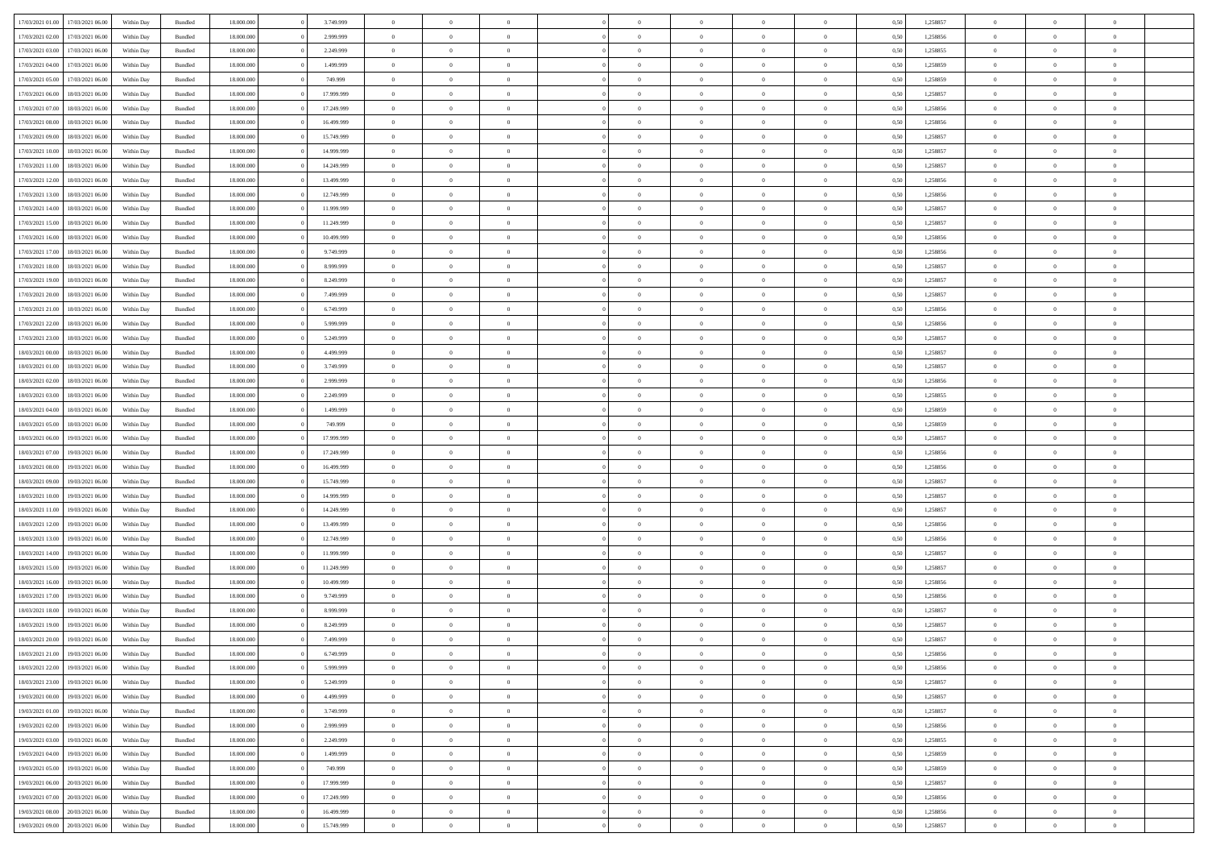| 17/03/2021 01:00 |                  |            |                    |            |            | $\overline{0}$ |                |                |                | $\Omega$       | $\Omega$       | $\theta$       |      |          | $\theta$       | $\overline{0}$ | $\theta$       |  |
|------------------|------------------|------------|--------------------|------------|------------|----------------|----------------|----------------|----------------|----------------|----------------|----------------|------|----------|----------------|----------------|----------------|--|
|                  | 17/03/2021 06:00 | Within Day | Bundled            | 18.000.000 | 3.749.999  |                | $\theta$       |                | $\Omega$       |                |                |                | 0.50 | 1,258857 |                |                |                |  |
| 17/03/2021 02:00 | 17/03/2021 06:00 | Within Day | Bundled            | 18.000.000 | 2.999.999  | $\overline{0}$ | $\theta$       | $\overline{0}$ | $\overline{0}$ | $\bf{0}$       | $\overline{0}$ | $\overline{0}$ | 0,50 | 1,258856 | $\theta$       | $\overline{0}$ | $\overline{0}$ |  |
| 17/03/2021 03:00 | 17/03/2021 06:00 | Within Day | Bundled            | 18.000.000 | 2.249.999  | $\overline{0}$ | $\overline{0}$ | $\overline{0}$ | $\bf{0}$       | $\bf{0}$       | $\bf{0}$       | $\bf{0}$       | 0,50 | 1,258855 | $\overline{0}$ | $\overline{0}$ | $\overline{0}$ |  |
| 17/03/2021 04:00 | 17/03/2021 06:00 | Within Dav | Bundled            | 18.000.000 | 1.499.999  | $\overline{0}$ | $\overline{0}$ | $\overline{0}$ | $\overline{0}$ | $\bf{0}$       | $\overline{0}$ | $\overline{0}$ | 0.50 | 1.258859 | $\theta$       | $\theta$       | $\overline{0}$ |  |
| 17/03/2021 05:00 | 17/03/2021 06:00 | Within Day | Bundled            | 18.000.000 | 749.999    | $\overline{0}$ | $\theta$       | $\overline{0}$ | $\overline{0}$ | $\bf{0}$       | $\overline{0}$ | $\bf{0}$       | 0,50 | 1,258859 | $\theta$       | $\theta$       | $\overline{0}$ |  |
|                  |                  |            |                    |            |            |                |                |                |                |                |                |                |      |          |                |                |                |  |
| 17/03/2021 06:00 | 18/03/2021 06:00 | Within Day | Bundled            | 18.000.000 | 17.999.999 | $\overline{0}$ | $\bf{0}$       | $\overline{0}$ | $\bf{0}$       | $\overline{0}$ | $\overline{0}$ | $\mathbf{0}$   | 0,50 | 1,258857 | $\overline{0}$ | $\overline{0}$ | $\bf{0}$       |  |
| 17/03/2021 07:00 | 18/03/2021 06:00 | Within Dav | Bundled            | 18.000.000 | 17.249.999 | $\overline{0}$ | $\overline{0}$ | $\overline{0}$ | $\overline{0}$ | $\bf{0}$       | $\overline{0}$ | $\overline{0}$ | 0.50 | 1,258856 | $\theta$       | $\overline{0}$ | $\overline{0}$ |  |
| 17/03/2021 08:00 | 18/03/2021 06:00 | Within Day | Bundled            | 18.000.000 | 16.499.999 | $\overline{0}$ | $\theta$       | $\overline{0}$ | $\overline{0}$ | $\bf{0}$       | $\overline{0}$ | $\bf{0}$       | 0,50 | 1,258856 | $\theta$       | $\theta$       | $\overline{0}$ |  |
| 17/03/2021 09:00 | 18/03/2021 06:00 | Within Day | Bundled            | 18.000.000 | 15.749.999 | $\overline{0}$ | $\overline{0}$ | $\overline{0}$ | $\bf{0}$       | $\bf{0}$       | $\bf{0}$       | $\bf{0}$       | 0,50 | 1,258857 | $\,0\,$        | $\overline{0}$ | $\overline{0}$ |  |
| 17/03/2021 10:00 | 18/03/2021 06:00 | Within Dav | Bundled            | 18.000.000 | 14.999.999 | $\overline{0}$ | $\overline{0}$ | $\overline{0}$ | $\overline{0}$ | $\overline{0}$ | $\overline{0}$ | $\overline{0}$ | 0.50 | 1,258857 | $\theta$       | $\overline{0}$ | $\overline{0}$ |  |
| 17/03/2021 11:00 | 18/03/2021 06:00 | Within Day | Bundled            | 18.000.000 | 14.249.999 | $\overline{0}$ | $\theta$       | $\overline{0}$ | $\overline{0}$ | $\bf{0}$       | $\overline{0}$ | $\bf{0}$       | 0,50 | 1,258857 | $\theta$       | $\theta$       | $\overline{0}$ |  |
| 17/03/2021 12:00 | 18/03/2021 06:00 | Within Day | Bundled            | 18.000.000 | 13.499.999 | $\overline{0}$ | $\overline{0}$ | $\overline{0}$ | $\overline{0}$ | $\bf{0}$       | $\overline{0}$ | $\bf{0}$       | 0,50 | 1,258856 | $\bf{0}$       | $\overline{0}$ | $\overline{0}$ |  |
|                  |                  |            |                    |            |            |                |                |                |                |                |                |                |      |          |                |                |                |  |
| 17/03/2021 13:00 | 18/03/2021 06:00 | Within Dav | Bundled            | 18.000.000 | 12.749.999 | $\overline{0}$ | $\overline{0}$ | $\overline{0}$ | $\overline{0}$ | $\bf{0}$       | $\overline{0}$ | $\overline{0}$ | 0.50 | 1.258856 | $\theta$       | $\theta$       | $\overline{0}$ |  |
| 17/03/2021 14:00 | 18/03/2021 06:00 | Within Day | Bundled            | 18.000.000 | 11.999.999 | $\overline{0}$ | $\theta$       | $\overline{0}$ | $\overline{0}$ | $\bf{0}$       | $\overline{0}$ | $\overline{0}$ | 0,50 | 1,258857 | $\theta$       | $\theta$       | $\overline{0}$ |  |
| 17/03/2021 15:00 | 18/03/2021 06:00 | Within Day | Bundled            | 18.000.000 | 11.249.999 | $\overline{0}$ | $\overline{0}$ | $\overline{0}$ | $\overline{0}$ | $\overline{0}$ | $\overline{0}$ | $\mathbf{0}$   | 0,50 | 1,258857 | $\bf{0}$       | $\overline{0}$ | $\bf{0}$       |  |
| 17/03/2021 16:00 | 18/03/2021 06:00 | Within Dav | Bundled            | 18.000.000 | 10.499.999 | $\overline{0}$ | $\overline{0}$ | $\overline{0}$ | $\overline{0}$ | $\overline{0}$ | $\overline{0}$ | $\overline{0}$ | 0.50 | 1,258856 | $\theta$       | $\overline{0}$ | $\overline{0}$ |  |
| 17/03/2021 17:00 | 18/03/2021 06:00 | Within Day | Bundled            | 18.000.000 | 9.749.999  | $\overline{0}$ | $\theta$       | $\overline{0}$ | $\overline{0}$ | $\bf{0}$       | $\overline{0}$ | $\bf{0}$       | 0,50 | 1,258856 | $\theta$       | $\theta$       | $\overline{0}$ |  |
| 17/03/2021 18:00 | 18/03/2021 06:00 | Within Day | Bundled            | 18.000.000 | 8.999.999  | $\overline{0}$ | $\overline{0}$ | $\overline{0}$ | $\overline{0}$ | $\bf{0}$       | $\overline{0}$ | $\bf{0}$       | 0,50 | 1,258857 | $\,0\,$        | $\overline{0}$ | $\overline{0}$ |  |
| 17/03/2021 19:00 | 18/03/2021 06:00 | Within Day | Bundled            | 18.000.000 | 8.249.999  | $\overline{0}$ | $\overline{0}$ | $\overline{0}$ | $\overline{0}$ | $\overline{0}$ | $\overline{0}$ | $\overline{0}$ | 0.50 | 1,258857 | $\theta$       | $\overline{0}$ | $\overline{0}$ |  |
|                  |                  |            |                    |            |            |                |                |                |                |                |                |                |      |          |                |                |                |  |
| 17/03/2021 20:00 | 18/03/2021 06:00 | Within Day | Bundled            | 18.000.000 | 7.499.999  | $\overline{0}$ | $\theta$       | $\overline{0}$ | $\overline{0}$ | $\bf{0}$       | $\overline{0}$ | $\bf{0}$       | 0,50 | 1,258857 | $\theta$       | $\theta$       | $\overline{0}$ |  |
| 17/03/2021 21.00 | 18/03/2021 06:00 | Within Day | Bundled            | 18.000.000 | 6.749.999  | $\overline{0}$ | $\overline{0}$ | $\overline{0}$ | $\overline{0}$ | $\bf{0}$       | $\overline{0}$ | $\bf{0}$       | 0,50 | 1,258856 | $\,0\,$        | $\overline{0}$ | $\overline{0}$ |  |
| 17/03/2021 22:00 | 18/03/2021 06:00 | Within Day | Bundled            | 18.000.000 | 5.999.999  | $\overline{0}$ | $\overline{0}$ | $\overline{0}$ | $\overline{0}$ | $\bf{0}$       | $\overline{0}$ | $\overline{0}$ | 0.50 | 1.258856 | $\theta$       | $\theta$       | $\overline{0}$ |  |
| 17/03/2021 23:00 | 18/03/2021 06:00 | Within Day | Bundled            | 18.000.000 | 5.249.999  | $\overline{0}$ | $\theta$       | $\overline{0}$ | $\overline{0}$ | $\bf{0}$       | $\overline{0}$ | $\bf{0}$       | 0,50 | 1,258857 | $\theta$       | $\overline{0}$ | $\overline{0}$ |  |
| 18/03/2021 00:00 | 18/03/2021 06:00 | Within Day | Bundled            | 18.000.000 | 4.499.999  | $\overline{0}$ | $\bf{0}$       | $\overline{0}$ | $\overline{0}$ | $\overline{0}$ | $\overline{0}$ | $\mathbf{0}$   | 0,50 | 1,258857 | $\bf{0}$       | $\overline{0}$ | $\bf{0}$       |  |
| 18/03/2021 01:00 | 18/03/2021 06:00 | Within Dav | Bundled            | 18.000.000 | 3.749.999  | $\overline{0}$ | $\overline{0}$ | $\overline{0}$ | $\overline{0}$ | $\overline{0}$ | $\overline{0}$ | $\overline{0}$ | 0.50 | 1,258857 | $\theta$       | $\overline{0}$ | $\overline{0}$ |  |
| 18/03/2021 02:00 | 18/03/2021 06:00 |            |                    | 18.000.000 | 2.999.999  | $\overline{0}$ | $\theta$       | $\overline{0}$ | $\overline{0}$ | $\bf{0}$       | $\overline{0}$ |                |      | 1,258856 | $\theta$       | $\theta$       | $\overline{0}$ |  |
|                  |                  | Within Day | Bundled            |            |            |                |                |                |                |                |                | $\bf{0}$       | 0,50 |          |                |                |                |  |
| 18/03/2021 03:00 | 18/03/2021 06:00 | Within Day | Bundled            | 18.000.000 | 2.249.999  | $\overline{0}$ | $\overline{0}$ | $\overline{0}$ | $\overline{0}$ | $\bf{0}$       | $\overline{0}$ | $\bf{0}$       | 0,50 | 1,258855 | $\,0\,$        | $\overline{0}$ | $\overline{0}$ |  |
| 18/03/2021 04:00 | 18/03/2021 06:00 | Within Day | Bundled            | 18.000.000 | 1.499.999  | $\overline{0}$ | $\overline{0}$ | $\overline{0}$ | $\overline{0}$ | $\overline{0}$ | $\overline{0}$ | $\overline{0}$ | 0.50 | 1,258859 | $\theta$       | $\overline{0}$ | $\overline{0}$ |  |
| 18/03/2021 05:00 | 18/03/2021 06:00 | Within Day | Bundled            | 18.000.000 | 749.999    | $\overline{0}$ | $\theta$       | $\overline{0}$ | $\overline{0}$ | $\bf{0}$       | $\overline{0}$ | $\bf{0}$       | 0,50 | 1,258859 | $\,$ 0 $\,$    | $\theta$       | $\overline{0}$ |  |
| 18/03/2021 06:00 | 19/03/2021 06:00 | Within Day | Bundled            | 18.000.000 | 17.999.999 | $\overline{0}$ | $\overline{0}$ | $\overline{0}$ | $\overline{0}$ | $\bf{0}$       | $\overline{0}$ | $\bf{0}$       | 0,50 | 1,258857 | $\bf{0}$       | $\overline{0}$ | $\overline{0}$ |  |
| 18/03/2021 07:00 | 19/03/2021 06:00 | Within Day | Bundled            | 18.000.000 | 17.249.999 | $\overline{0}$ | $\Omega$       | $\Omega$       | $\Omega$       | $\Omega$       | $\Omega$       | $\overline{0}$ | 0.50 | 1,258856 | $\,0\,$        | $\theta$       | $\theta$       |  |
| 18/03/2021 08:00 | 19/03/2021 06:00 | Within Day | Bundled            | 18.000.000 | 16.499.999 | $\overline{0}$ | $\theta$       | $\overline{0}$ | $\overline{0}$ | $\bf{0}$       | $\overline{0}$ | $\bf{0}$       | 0,50 | 1,258856 | $\theta$       | $\theta$       | $\overline{0}$ |  |
|                  |                  |            |                    |            |            |                |                |                |                |                |                |                |      |          |                |                |                |  |
| 18/03/2021 09:00 | 19/03/2021 06:00 | Within Day | Bundled            | 18.000.000 | 15.749.999 | $\overline{0}$ | $\bf{0}$       | $\overline{0}$ | $\overline{0}$ | $\bf{0}$       | $\overline{0}$ | $\mathbf{0}$   | 0,50 | 1,258857 | $\bf{0}$       | $\overline{0}$ | $\bf{0}$       |  |
| 18/03/2021 10:00 | 19/03/2021 06:00 | Within Day | Bundled            | 18,000,000 | 14.999.999 | $\overline{0}$ | $\Omega$       | $\Omega$       | $\Omega$       | $\Omega$       | $\Omega$       | $\overline{0}$ | 0.50 | 1,258857 | $\theta$       | $\theta$       | $\theta$       |  |
| 18/03/2021 11:00 | 19/03/2021 06:00 | Within Day | Bundled            | 18.000.000 | 14.249.999 | $\overline{0}$ | $\theta$       | $\overline{0}$ | $\overline{0}$ | $\bf{0}$       | $\overline{0}$ | $\bf{0}$       | 0,50 | 1,258857 | $\theta$       | $\theta$       | $\overline{0}$ |  |
| 18/03/2021 12:00 | 19/03/2021 06:00 | Within Day | Bundled            | 18.000.000 | 13.499.999 | $\overline{0}$ | $\overline{0}$ | $\overline{0}$ | $\overline{0}$ | $\bf{0}$       | $\overline{0}$ | $\bf{0}$       | 0,50 | 1,258856 | $\,0\,$        | $\overline{0}$ | $\overline{0}$ |  |
| 18/03/2021 13:00 | 19/03/2021 06:00 | Within Day | Bundled            | 18,000,000 | 12.749.999 | $\overline{0}$ | $\Omega$       | $\Omega$       | $\Omega$       | $\Omega$       | $\theta$       | $\overline{0}$ | 0.50 | 1,258856 | $\theta$       | $\theta$       | $\theta$       |  |
| 18/03/2021 14:00 | 19/03/2021 06:00 | Within Day | Bundled            | 18.000.000 | 11.999.999 | $\overline{0}$ | $\theta$       | $\overline{0}$ | $\overline{0}$ | $\bf{0}$       | $\overline{0}$ | $\bf{0}$       | 0,50 | 1,258857 | $\,$ 0 $\,$    | $\overline{0}$ | $\overline{0}$ |  |
| 18/03/2021 15:00 | 19/03/2021 06:00 | Within Day | Bundled            | 18.000.000 | 11.249.999 | $\overline{0}$ | $\overline{0}$ | $\overline{0}$ | $\overline{0}$ | $\bf{0}$       | $\overline{0}$ | $\bf{0}$       | 0,50 | 1,258857 | $\bf{0}$       | $\overline{0}$ | $\overline{0}$ |  |
|                  |                  |            |                    | 18.000.000 | 10.499.999 | $\overline{0}$ | $\Omega$       | $\Omega$       | $\Omega$       | $\Omega$       | $\overline{0}$ | $\overline{0}$ | 0.50 |          | $\,0\,$        | $\theta$       | $\theta$       |  |
| 18/03/2021 16:00 | 19/03/2021 06:00 | Within Day | Bundled            |            |            |                |                |                |                |                |                |                |      | 1,258856 |                |                |                |  |
| 18/03/2021 17:00 | 19/03/2021 06:00 | Within Day | Bundled            | 18.000.000 | 9.749.999  | $\overline{0}$ | $\theta$       | $\overline{0}$ | $\overline{0}$ | $\bf{0}$       | $\overline{0}$ | $\bf{0}$       | 0,50 | 1,258856 | $\,$ 0 $\,$    | $\theta$       | $\overline{0}$ |  |
| 18/03/2021 18:00 | 19/03/2021 06:00 | Within Day | Bundled            | 18.000.000 | 8.999.999  | $\overline{0}$ | $\overline{0}$ | $\overline{0}$ | $\overline{0}$ | $\bf{0}$       | $\overline{0}$ | $\mathbf{0}$   | 0,50 | 1,258857 | $\bf{0}$       | $\overline{0}$ | $\bf{0}$       |  |
| 18/03/2021 19:00 | 19/03/2021 06:00 | Within Day | Bundled            | 18,000,000 | 8.249.999  | $\overline{0}$ | $\Omega$       | $\Omega$       | $\Omega$       | $\Omega$       | $\Omega$       | $\overline{0}$ | 0.50 | 1,258857 | $\theta$       | $\theta$       | $\theta$       |  |
| 18/03/2021 20:00 | 19/03/2021 06:00 | Within Day | Bundled            | 18.000.000 | 7.499.999  | $\overline{0}$ | $\overline{0}$ | $\overline{0}$ | $\bf{0}$       | $\,$ 0         | $\overline{0}$ | $\bf{0}$       | 0,50 | 1,258857 | $\,0\,$        | $\,$ 0 $\,$    | $\overline{0}$ |  |
| 18/03/2021 21:00 | 19/03/2021 06:00 | Within Day | $\mathbf B$ undled | 18.000.000 | 6.749.999  | $\bf{0}$       | $\bf{0}$       |                |                | $\bf{0}$       |                |                | 0,50 | 1,258856 | $\bf{0}$       | $\overline{0}$ |                |  |
| 18/03/2021 22:00 | 19/03/2021 06:00 | Within Day | Bundled            | 18,000,000 | 5.999.999  | $\overline{0}$ | $\overline{0}$ | $\overline{0}$ | $\Omega$       | $\overline{0}$ | $\overline{0}$ | $\overline{0}$ | 0.50 | 1,258856 | $\theta$       | $\theta$       | $\theta$       |  |
| 18/03/2021 23:00 | 19/03/2021 06:00 | Within Day | Bundled            | 18.000.000 | 5.249.999  | $\overline{0}$ | $\,$ 0         | $\overline{0}$ | $\bf{0}$       | $\,$ 0 $\,$    | $\overline{0}$ | $\mathbf{0}$   | 0,50 | 1,258857 | $\,$ 0 $\,$    | $\,$ 0 $\,$    | $\,$ 0         |  |
|                  |                  |            |                    |            |            |                |                |                |                |                |                |                |      |          |                |                |                |  |
| 19/03/2021 00:00 | 19/03/2021 06:00 | Within Day | Bundled            | 18.000.000 | 4.499.999  | $\overline{0}$ | $\overline{0}$ | $\overline{0}$ | $\overline{0}$ | $\overline{0}$ | $\overline{0}$ | $\mathbf{0}$   | 0,50 | 1,258857 | $\overline{0}$ | $\bf{0}$       | $\bf{0}$       |  |
| 19/03/2021 01:00 | 19/03/2021 06:00 | Within Day | Bundled            | 18,000,000 | 3.749.999  | $\overline{0}$ | $\overline{0}$ | $\overline{0}$ | $\Omega$       | $\overline{0}$ | $\overline{0}$ | $\bf{0}$       | 0,50 | 1,258857 | $\overline{0}$ | $\theta$       | $\overline{0}$ |  |
| 19/03/2021 02:00 | 19/03/2021 06:00 | Within Day | Bundled            | 18.000.000 | 2.999.999  | $\overline{0}$ | $\,$ 0         | $\overline{0}$ | $\overline{0}$ | $\,$ 0 $\,$    | $\overline{0}$ | $\bf{0}$       | 0,50 | 1,258856 | $\,$ 0 $\,$    | $\overline{0}$ | $\overline{0}$ |  |
| 19/03/2021 03:00 | 19/03/2021 06:00 | Within Day | Bundled            | 18.000.000 | 2.249.999  | $\overline{0}$ | $\overline{0}$ | $\overline{0}$ | $\overline{0}$ | $\overline{0}$ | $\overline{0}$ | $\mathbf{0}$   | 0,50 | 1,258855 | $\overline{0}$ | $\overline{0}$ | $\bf{0}$       |  |
| 19/03/2021 04:00 | 19/03/2021 06:00 | Within Day | Bundled            | 18,000,000 | 1.499.999  | $\overline{0}$ | $\overline{0}$ | $\overline{0}$ | $\Omega$       | $\overline{0}$ | $\overline{0}$ | $\bf{0}$       | 0.50 | 1,258859 | $\overline{0}$ | $\theta$       | $\overline{0}$ |  |
| 19/03/2021 05:00 | 19/03/2021 06:00 | Within Day | Bundled            | 18.000.000 | 749.999    | $\overline{0}$ | $\,$ 0         | $\overline{0}$ | $\bf{0}$       | $\bf{0}$       | $\bf{0}$       | $\bf{0}$       | 0,50 | 1,258859 | $\,$ 0 $\,$    | $\overline{0}$ | $\overline{0}$ |  |
| 19/03/2021 06:00 | 20/03/2021 06:00 | Within Day | Bundled            | 18.000.000 | 17.999.999 | $\overline{0}$ | $\bf{0}$       | $\overline{0}$ | $\overline{0}$ | $\overline{0}$ | $\overline{0}$ | $\mathbf{0}$   | 0,50 | 1,258857 | $\overline{0}$ | $\overline{0}$ | $\bf{0}$       |  |
|                  |                  |            |                    |            |            |                |                |                |                |                |                |                |      |          |                |                |                |  |
| 19/03/2021 07:00 | 20/03/2021 06:00 | Within Day | Bundled            | 18,000,000 | 17.249.999 | $\overline{0}$ | $\overline{0}$ | $\overline{0}$ | $\Omega$       | $\overline{0}$ | $\overline{0}$ | $\bf{0}$       | 0.50 | 1,258856 | $\overline{0}$ | $\overline{0}$ | $\overline{0}$ |  |
| 19/03/2021 08:00 | 20/03/2021 06:00 | Within Day | Bundled            | 18.000.000 | 16.499.999 | $\overline{0}$ | $\,$ 0 $\,$    | $\overline{0}$ | $\overline{0}$ | $\bf{0}$       | $\overline{0}$ | $\bf{0}$       | 0,50 | 1,258856 | $\,$ 0 $\,$    | $\,$ 0 $\,$    | $\bf{0}$       |  |
| 19/03/2021 09:00 | 20/03/2021 06:00 | Within Day | Bundled            | 18.000.000 | 15.749.999 | $\overline{0}$ | $\bf{0}$       | $\overline{0}$ | $\bf{0}$       | $\bf{0}$       | $\overline{0}$ | $\bf{0}$       | 0,50 | 1,258857 | $\overline{0}$ | $\overline{0}$ | $\bf{0}$       |  |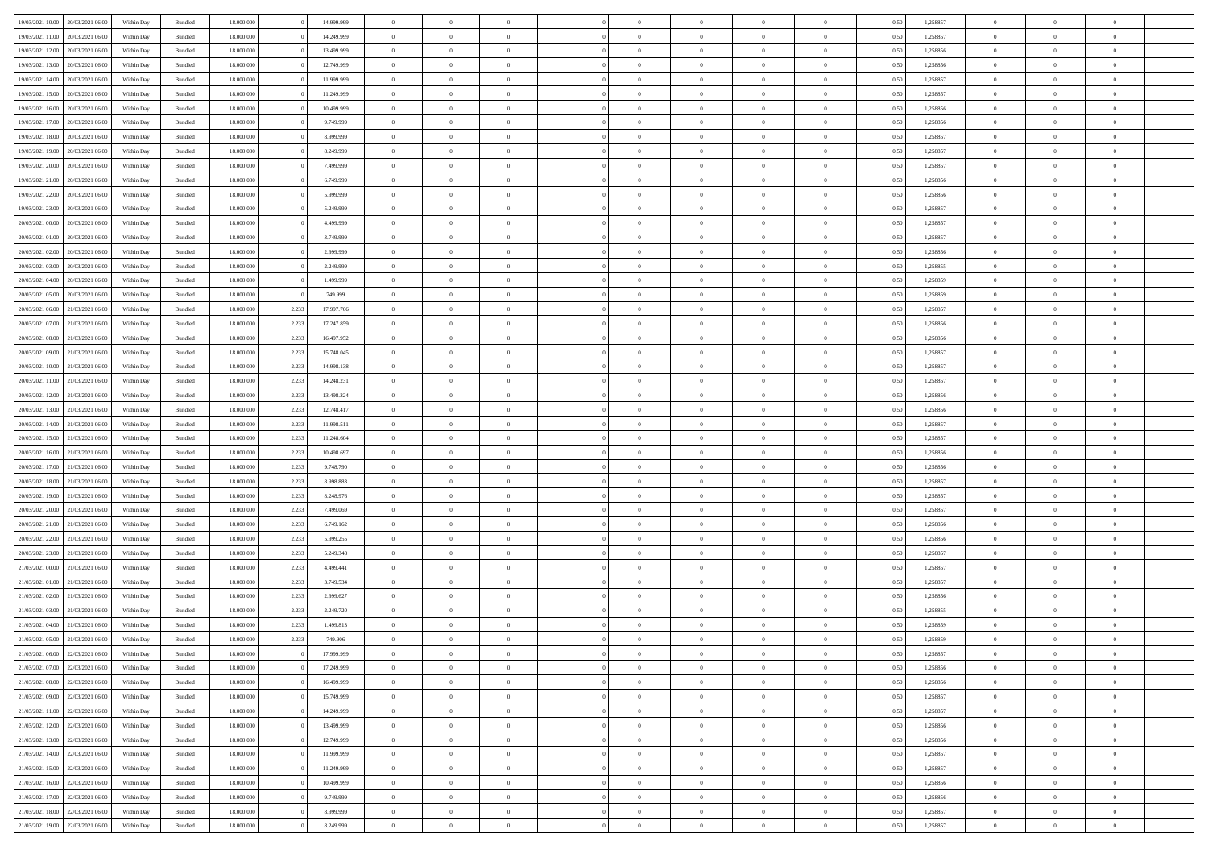| 19/03/2021 10:00                  | 20/03/2021 06:00 | Within Day | Bundled | 18,000,000 |       | 14.999.999 | $\overline{0}$ | $\theta$       |                |                | $\Omega$       | $\Omega$       | $\overline{0}$ | 0,50 | 1,258857 | $\theta$       | $\theta$       | $\theta$       |  |
|-----------------------------------|------------------|------------|---------|------------|-------|------------|----------------|----------------|----------------|----------------|----------------|----------------|----------------|------|----------|----------------|----------------|----------------|--|
| 19/03/2021 11:00                  | 20/03/2021 06:00 | Within Dav | Bundled | 18.000.000 |       | 14.249.999 | $\overline{0}$ | $\Omega$       |                | $\Omega$       | $\Omega$       | $\Omega$       | $\bf{0}$       | 0.50 | 1,258857 | $\theta$       | $\Omega$       | $\sqrt{ }$     |  |
| 19/03/2021 12:00                  | 20/03/2021 06:00 | Within Day | Bundled | 18.000.000 |       | 13.499.999 | $\overline{0}$ | $\overline{0}$ | $\overline{0}$ | $\overline{0}$ | $\,$ 0 $\,$    | $\overline{0}$ | $\,$ 0 $\,$    | 0,50 | 1,258856 | $\,$ 0 $\,$    | $\overline{0}$ | $\overline{0}$ |  |
| 19/03/2021 13:00                  | 20/03/2021 06:00 | Within Day | Bundled | 18.000.000 |       | 12.749.999 | $\overline{0}$ | $\overline{0}$ | $\overline{0}$ | $\overline{0}$ | $\bf{0}$       | $\overline{0}$ | $\bf{0}$       | 0,50 | 1,258856 | $\bf{0}$       | $\overline{0}$ | $\overline{0}$ |  |
|                                   |                  |            |         |            |       |            |                |                |                |                |                |                |                |      |          |                |                |                |  |
| 19/03/2021 14:00                  | 20/03/2021 06:00 | Within Day | Bundled | 18.000.000 |       | 11.999.999 | $\overline{0}$ | $\Omega$       | $^{\circ}$     | $\Omega$       | $\overline{0}$ | $\Omega$       | $\overline{0}$ | 0.50 | 1,258857 | $\theta$       | $\theta$       | $\sqrt{ }$     |  |
| 19/03/2021 15:00                  | 20/03/2021 06:00 | Within Day | Bundled | 18.000.000 |       | 11.249.999 | $\overline{0}$ | $\overline{0}$ | $\overline{0}$ | $\overline{0}$ | $\,$ 0 $\,$    | $\overline{0}$ | $\,$ 0 $\,$    | 0,50 | 1,258857 | $\theta$       | $\overline{0}$ | $\overline{0}$ |  |
| 19/03/2021 16:00                  | 20/03/2021 06:00 | Within Day | Bundled | 18.000.000 |       | 10.499.999 | $\overline{0}$ | $\overline{0}$ | $\overline{0}$ | $\overline{0}$ | $\overline{0}$ | $\overline{0}$ | $\overline{0}$ | 0.50 | 1,258856 | $\,0\,$        | $\theta$       | $\overline{0}$ |  |
| 19/03/2021 17:00                  | 20/03/2021 06:00 | Within Dav | Bundled | 18.000.000 |       | 9.749.999  | $\overline{0}$ | $\Omega$       | $^{\circ}$     | $\Omega$       | $\bf{0}$       | $\Omega$       | $\bf{0}$       | 0.50 | 1,258856 | $\theta$       | $\theta$       | $\sqrt{ }$     |  |
| 19/03/2021 18:00                  | 20/03/2021 06:00 | Within Day | Bundled | 18.000.000 |       | 8.999.999  | $\overline{0}$ | $\overline{0}$ | $\overline{0}$ | $\overline{0}$ | $\overline{0}$ | $\overline{0}$ | $\,$ 0 $\,$    | 0,50 | 1,258857 | $\,$ 0 $\,$    | $\overline{0}$ | $\overline{0}$ |  |
| 19/03/2021 19:00                  | 20/03/2021 06:00 | Within Day | Bundled | 18,000,000 |       | 8.249.999  | $\overline{0}$ | $\overline{0}$ | $\overline{0}$ | $\Omega$       | $\overline{0}$ | $\overline{0}$ | $\bf{0}$       | 0,50 | 1,258857 | $\bf{0}$       | $\theta$       | $\overline{0}$ |  |
|                                   |                  |            |         |            |       |            |                |                |                |                |                |                |                |      |          |                |                |                |  |
| 19/03/2021 20:00                  | 20/03/2021 06:00 | Within Dav | Bundled | 18.000.000 |       | 7.499.999  | $\overline{0}$ | $\Omega$       | $^{\circ}$     | $\Omega$       | $\bf{0}$       | $\Omega$       | $\overline{0}$ | 0.50 | 1,258857 | $\theta$       | $\theta$       | $\sqrt{ }$     |  |
| 19/03/2021 21:00                  | 20/03/2021 06:00 | Within Day | Bundled | 18.000.000 |       | 6.749.999  | $\overline{0}$ | $\overline{0}$ | $\overline{0}$ | $\overline{0}$ | $\,$ 0 $\,$    | $\overline{0}$ | $\,$ 0 $\,$    | 0,50 | 1,258856 | $\,$ 0 $\,$    | $\overline{0}$ | $\overline{0}$ |  |
| 19/03/2021 22:00                  | 20/03/2021 06:00 | Within Day | Bundled | 18.000.000 |       | 5.999.999  | $\overline{0}$ | $\overline{0}$ | $\overline{0}$ | $\overline{0}$ | $\bf{0}$       | $\overline{0}$ | $\bf{0}$       | 0,50 | 1,258856 | $\bf{0}$       | $\overline{0}$ | $\bf{0}$       |  |
| 19/03/2021 23:00                  | 20/03/2021 06:00 | Within Day | Bundled | 18.000.000 |       | 5.249.999  | $\overline{0}$ | $\theta$       | $^{\circ}$     | $\overline{0}$ | $\bf{0}$       | $\Omega$       | $\bf{0}$       | 0.50 | 1,258857 | $\theta$       | $\theta$       | $\sqrt{ }$     |  |
| 20/03/2021 00:00                  | 20/03/2021 06:00 | Within Day | Bundled | 18.000.000 |       | 4.499.999  | $\overline{0}$ | $\overline{0}$ | $\overline{0}$ | $\overline{0}$ | $\,$ 0 $\,$    | $\overline{0}$ | $\,$ 0 $\,$    | 0,50 | 1,258857 | $\theta$       | $\overline{0}$ | $\overline{0}$ |  |
|                                   | 20/03/2021 06:00 |            |         |            |       |            | $\overline{0}$ |                |                | $\Omega$       |                |                |                |      |          |                |                |                |  |
| 20/03/2021 01:00                  |                  | Within Day | Bundled | 18,000,000 |       | 3.749.999  |                | $\overline{0}$ | $\overline{0}$ |                | $\overline{0}$ | $\overline{0}$ | $\overline{0}$ | 0,50 | 1,258857 | $\bf{0}$       | $\overline{0}$ | $\overline{0}$ |  |
| 20/03/2021 02:00                  | 20/03/2021 06:00 | Within Day | Bundled | 18.000.000 |       | 2.999.999  | $\overline{0}$ | $\Omega$       | $^{\circ}$     | $\Omega$       | $\overline{0}$ | $\Omega$       | $\mathbf{0}$   | 0.50 | 1,258856 | $\theta$       | $\theta$       | -0             |  |
| 20/03/2021 03:00                  | 20/03/2021 06:00 | Within Day | Bundled | 18.000.000 |       | 2.249.999  | $\overline{0}$ | $\overline{0}$ | $\overline{0}$ | $\overline{0}$ | $\,$ 0 $\,$    | $\overline{0}$ | $\,$ 0 $\,$    | 0,50 | 1,258855 | $\,$ 0 $\,$    | $\overline{0}$ | $\overline{0}$ |  |
| 20/03/2021 04:00                  | 20/03/2021 06:00 | Within Day | Bundled | 18,000,000 |       | 1.499.999  | $\overline{0}$ | $\overline{0}$ | $\overline{0}$ | $\Omega$       | $\overline{0}$ | $\overline{0}$ | $\bf{0}$       | 0.50 | 1,258859 | $\bf{0}$       | $\theta$       | $\overline{0}$ |  |
| 20/03/2021 05:00                  | 20/03/2021 06:00 | Within Dav | Bundled | 18.000.000 |       | 749.999    | $\overline{0}$ | $\Omega$       | $\Omega$       | $\Omega$       | $\bf{0}$       | $\Omega$       | $\overline{0}$ | 0.50 | 1,258859 | $\theta$       | $\theta$       | $\sqrt{ }$     |  |
| 20/03/2021 06:00                  | 21/03/2021 06:00 | Within Day | Bundled | 18.000.000 | 2.233 | 17.997.766 | $\overline{0}$ | $\overline{0}$ | $\overline{0}$ | $\overline{0}$ | $\,$ 0 $\,$    | $\overline{0}$ | $\,$ 0 $\,$    | 0,50 | 1,258857 | $\,$ 0 $\,$    | $\overline{0}$ | $\overline{0}$ |  |
| 20/03/2021 07:00                  | 21/03/2021 06:00 | Within Day | Bundled | 18.000.000 | 2.233 | 17.247.859 | $\overline{0}$ | $\overline{0}$ | $\overline{0}$ | $\overline{0}$ | $\bf{0}$       | $\overline{0}$ | $\bf{0}$       | 0,50 | 1,258856 | $\bf{0}$       | $\overline{0}$ | $\overline{0}$ |  |
|                                   |                  |            |         |            |       |            |                |                |                |                |                |                |                |      |          |                |                |                |  |
| 20/03/2021 08:00                  | 21/03/2021 06:00 | Within Day | Bundled | 18.000.000 | 2.233 | 16.497.952 | $\overline{0}$ | $\Omega$       | $^{\circ}$     | $\overline{0}$ | $\bf{0}$       | $\Omega$       | $\overline{0}$ | 0.50 | 1,258856 | $\theta$       | $\theta$       | $\sqrt{ }$     |  |
| 20/03/2021 09:00                  | 21/03/2021 06:00 | Within Day | Bundled | 18.000.000 | 2.233 | 15.748.045 | $\overline{0}$ | $\overline{0}$ | $\overline{0}$ | $\overline{0}$ | $\,$ 0 $\,$    | $\overline{0}$ | $\,$ 0 $\,$    | 0,50 | 1,258857 | $\,$ 0 $\,$    | $\overline{0}$ | $\overline{0}$ |  |
| 20/03/2021 10:00                  | 21/03/2021 06:00 | Within Day | Bundled | 18.000.000 | 2.233 | 14.998.138 | $\overline{0}$ | $\overline{0}$ | $\overline{0}$ | $\Omega$       | $\overline{0}$ | $\overline{0}$ | $\overline{0}$ | 0.50 | 1,258857 | $\bf{0}$       | $\overline{0}$ | $\overline{0}$ |  |
| 20/03/2021 11:00                  | 21/03/2021 06:00 | Within Day | Bundled | 18.000.000 | 2.233 | 14.248.231 | $\overline{0}$ | $\Omega$       | $\Omega$       | $\Omega$       | $\bf{0}$       | $\Omega$       | $\bf{0}$       | 0.50 | 1,258857 | $\theta$       | $\theta$       | $\sqrt{ }$     |  |
| 20/03/2021 12:00                  | 21/03/2021 06:00 | Within Day | Bundled | 18.000.000 | 2.233 | 13.498.324 | $\overline{0}$ | $\overline{0}$ | $\overline{0}$ | $\overline{0}$ | $\,$ 0 $\,$    | $\overline{0}$ | $\,$ 0 $\,$    | 0,50 | 1,258856 | $\,$ 0 $\,$    | $\overline{0}$ | $\overline{0}$ |  |
| 20/03/2021 13:00                  | 21/03/2021 06:00 | Within Day | Bundled | 18,000,000 | 2.233 | 12.748.417 | $\overline{0}$ | $\overline{0}$ | $\overline{0}$ | $\Omega$       | $\overline{0}$ | $\overline{0}$ | $\bf{0}$       | 0.50 | 1,258856 | $\bf{0}$       | $\theta$       | $\overline{0}$ |  |
| 20/03/2021 14:00                  | 21/03/2021 06:00 | Within Dav | Bundled | 18.000.000 | 2.233 | 11.998.511 | $\overline{0}$ | $\Omega$       | $^{\circ}$     | $\Omega$       | $\bf{0}$       | $\Omega$       | $\overline{0}$ | 0.50 | 1,258857 | $\theta$       | $\theta$       | $\sqrt{ }$     |  |
|                                   |                  |            |         |            |       |            |                |                |                |                |                |                |                |      |          |                |                |                |  |
| 20/03/2021 15:00                  | 21/03/2021 06:00 | Within Day | Bundled | 18.000.000 | 2.233 | 11.248.604 | $\overline{0}$ | $\overline{0}$ | $\overline{0}$ | $\overline{0}$ | $\,$ 0 $\,$    | $\overline{0}$ | $\,$ 0 $\,$    | 0,50 | 1,258857 | $\,$ 0 $\,$    | $\overline{0}$ | $\,$ 0         |  |
| 20/03/2021 16:00                  | 21/03/2021 06:00 | Within Day | Bundled | 18.000.000 | 2.233 | 10.498.697 | $\overline{0}$ | $\overline{0}$ | $\overline{0}$ | $\bf{0}$       | $\bf{0}$       | $\bf{0}$       | $\bf{0}$       | 0,50 | 1,258856 | $\,$ 0 $\,$    | $\overline{0}$ | $\overline{0}$ |  |
| 20/03/2021 17:00                  | 21/03/2021 06:00 | Within Day | Bundled | 18.000.000 | 2.233 | 9.748.790  | $\overline{0}$ | $\theta$       | $\Omega$       | $\overline{0}$ | $\bf{0}$       | $\Omega$       | $\bf{0}$       | 0.50 | 1,258856 | $\theta$       | $\theta$       | $\sqrt{ }$     |  |
| 20/03/2021 18:00                  | 21/03/2021 06:00 | Within Day | Bundled | 18.000.000 | 2.233 | 8.998.883  | $\overline{0}$ | $\overline{0}$ | $\overline{0}$ | $\overline{0}$ | $\,$ 0 $\,$    | $\overline{0}$ | $\,$ 0 $\,$    | 0,50 | 1,258857 | $\theta$       | $\overline{0}$ | $\overline{0}$ |  |
| 20/03/2021 19:00                  | 21/03/2021 06.00 | Within Day | Bundled | 18.000.000 | 2.233 | 8.248.976  | $\bf{0}$       | $\theta$       | $\overline{0}$ | $\overline{0}$ | $\,$ 0         | $\overline{0}$ | $\bf{0}$       | 0,50 | 1,258857 | $\,$ 0 $\,$    | $\overline{0}$ | $\overline{0}$ |  |
| 20/03/2021 20:00                  | 21/03/2021 06:00 | Within Day | Bundled | 18.000.000 | 2.233 | 7.499.069  | $\overline{0}$ | $\Omega$       | $^{\circ}$     | $\Omega$       | $\bf{0}$       | $\Omega$       | $\overline{0}$ | 0.50 | 1,258857 | $\theta$       | $\theta$       | $\sqrt{ }$     |  |
|                                   |                  |            |         |            |       |            |                |                |                |                |                |                |                |      |          |                |                |                |  |
| 20/03/2021 21:00                  | 21/03/2021 06:00 | Within Day | Bundled | 18.000.000 | 2.233 | 6.749.162  | $\overline{0}$ | $\overline{0}$ | $\overline{0}$ | $\overline{0}$ | $\,$ 0 $\,$    | $\overline{0}$ | $\,$ 0 $\,$    | 0,50 | 1,258856 | $\,$ 0 $\,$    | $\overline{0}$ | $\overline{0}$ |  |
| 20/03/2021 22:00                  | 21/03/2021 06.00 | Within Day | Bundled | 18.000.000 | 2.233 | 5.999.255  | $\bf{0}$       | $\overline{0}$ | $\overline{0}$ | $\bf{0}$       | $\bf{0}$       | $\overline{0}$ | $\bf{0}$       | 0,50 | 1,258856 | $\,$ 0 $\,$    | $\overline{0}$ | $\overline{0}$ |  |
| 20/03/2021 23:00                  | 21/03/2021 06:00 | Within Dav | Bundled | 18.000.000 | 2.233 | 5.249.348  | $\overline{0}$ | $\Omega$       | $^{\circ}$     | $\Omega$       | $\overline{0}$ | $\Omega$       | $\overline{0}$ | 0.50 | 1,258857 | $\theta$       | $\theta$       | $\sqrt{ }$     |  |
| 21/03/2021 00:00                  | 21/03/2021 06:00 | Within Day | Bundled | 18.000.000 | 2.233 | 4.499.441  | $\overline{0}$ | $\overline{0}$ | $\overline{0}$ | $\overline{0}$ | $\,$ 0 $\,$    | $\overline{0}$ | $\,$ 0 $\,$    | 0,50 | 1,258857 | $\,$ 0 $\,$    | $\overline{0}$ | $\overline{0}$ |  |
| 21/03/2021 01:00                  | 21/03/2021 06.00 | Within Day | Bundled | 18.000.000 | 2.233 | 3.749.534  | $\bf{0}$       | $\overline{0}$ | $\overline{0}$ | $\bf{0}$       | $\,$ 0         | $\bf{0}$       | $\bf{0}$       | 0,50 | 1,258857 | $\,$ 0 $\,$    | $\overline{0}$ | $\overline{0}$ |  |
| 21/03/2021 02:00                  | 21/03/2021 06:00 | Within Day | Bundled | 18.000.000 | 2.233 | 2.999.627  | $\overline{0}$ | $\theta$       | $\Omega$       | $\Omega$       | $\bf{0}$       | $\Omega$       | $\overline{0}$ | 0.50 | 1,258856 | $\theta$       | $\theta$       | $\sqrt{ }$     |  |
| 21/03/2021 03:00                  | 21/03/2021 06:00 | Within Day | Bundled | 18.000.000 | 2.233 | 2.249.720  | $\overline{0}$ | $\theta$       | $\overline{0}$ | $\overline{0}$ | $\,$ 0 $\,$    | $\overline{0}$ | $\,$ 0 $\,$    | 0,50 | 1,258855 | $\,$ 0 $\,$    | $\overline{0}$ | $\overline{0}$ |  |
|                                   |                  |            |         |            |       |            |                |                |                |                |                |                |                |      |          |                |                |                |  |
| 21/03/2021 04:00                  | 21/03/2021 06.00 | Within Day | Bundled | 18.000.000 | 2.233 | 1.499.813  | $\overline{0}$ | $\theta$       | $\overline{0}$ | $\overline{0}$ | $\overline{0}$ | $\overline{0}$ | $\bf{0}$       | 0,50 | 1,258859 | $\,$ 0 $\,$    | $\overline{0}$ | $\overline{0}$ |  |
| 21/03/2021 05:00 21/03/2021 06:00 |                  | Within Day | Bundled | 18.000.000 | 2.233 | 749.906    | $\overline{0}$ | $\overline{0}$ | $\Omega$       | $\overline{0}$ | $\bf{0}$       | $\overline{0}$ | $\overline{0}$ | 0,50 | 1,258859 | $\theta$       | $\theta$       | $\overline{0}$ |  |
| 21/03/2021 06:00 22/03/2021 06:00 |                  | Within Day | Bundled | 18.000.000 |       | 17.999.999 | $\overline{0}$ | $\theta$       |                |                |                |                |                | 0,50 | 1,258857 | $\theta$       | $\theta$       |                |  |
| 21/03/2021 07:00                  | 22/03/2021 06:00 | Within Day | Bundled | 18.000.000 |       | 17.249.999 | $\bf{0}$       | $\overline{0}$ | $\bf{0}$       | $\bf{0}$       | $\bf{0}$       | $\bf{0}$       | $\bf{0}$       | 0,50 | 1,258856 | $\,0\,$        | $\overline{0}$ | $\bf{0}$       |  |
| 21/03/2021 08:00                  | 22/03/2021 06:00 | Within Day | Bundled | 18.000.000 |       | 16.499.999 | $\overline{0}$ | $\overline{0}$ | $\overline{0}$ | $\overline{0}$ | $\bf{0}$       | $\overline{0}$ | $\overline{0}$ | 0,50 | 1,258856 | $\theta$       | $\theta$       | $\overline{0}$ |  |
| 21/03/2021 09:00                  | 22/03/2021 06:00 | Within Day | Bundled | 18.000.000 |       | 15.749.999 | $\overline{0}$ | $\bf{0}$       | $\overline{0}$ | $\overline{0}$ | $\bf{0}$       | $\overline{0}$ | $\,$ 0 $\,$    | 0,50 | 1,258857 | $\mathbf{0}$   | $\,$ 0 $\,$    | $\bf{0}$       |  |
| 21/03/2021 11:00                  | 22/03/2021 06:00 | Within Day | Bundled | 18.000.000 |       | 14.249.999 | $\bf{0}$       | $\overline{0}$ | $\overline{0}$ | $\bf{0}$       | $\bf{0}$       | $\overline{0}$ | $\bf{0}$       | 0,50 | 1,258857 | $\bf{0}$       | $\overline{0}$ | $\bf{0}$       |  |
| 21/03/2021 12:00                  | 22/03/2021 06:00 | Within Day | Bundled | 18.000.000 |       | 13.499.999 | $\overline{0}$ | $\overline{0}$ | $\overline{0}$ | $\overline{0}$ | $\overline{0}$ | $\overline{0}$ | $\overline{0}$ | 0,50 | 1,258856 | $\overline{0}$ | $\overline{0}$ | $\overline{0}$ |  |
|                                   |                  |            |         |            |       |            |                |                |                |                |                |                |                |      |          |                |                |                |  |
| 21/03/2021 13:00                  | 22/03/2021 06:00 | Within Day | Bundled | 18.000.000 |       | 12.749.999 | $\overline{0}$ | $\overline{0}$ | $\overline{0}$ | $\overline{0}$ | $\bf{0}$       | $\overline{0}$ | $\,$ 0 $\,$    | 0,50 | 1,258856 | $\,$ 0 $\,$    | $\,$ 0 $\,$    | $\,$ 0         |  |
| 21/03/2021 14:00                  | 22/03/2021 06:00 | Within Day | Bundled | 18.000.000 |       | 11.999.999 | $\bf{0}$       | $\overline{0}$ | $\overline{0}$ | $\bf{0}$       | $\bf{0}$       | $\overline{0}$ | $\bf{0}$       | 0,50 | 1,258857 | $\bf{0}$       | $\overline{0}$ | $\overline{0}$ |  |
| 21/03/2021 15:00                  | 22/03/2021 06:00 | Within Day | Bundled | 18.000.000 |       | 11.249.999 | $\overline{0}$ | $\overline{0}$ | $\overline{0}$ | $\overline{0}$ | $\overline{0}$ | $\overline{0}$ | $\mathbf{0}$   | 0,50 | 1,258857 | $\theta$       | $\overline{0}$ | $\overline{0}$ |  |
| 21/03/2021 16:00                  | 22/03/2021 06:00 | Within Day | Bundled | 18.000.000 |       | 10.499.999 | $\overline{0}$ | $\bf{0}$       | $\overline{0}$ | $\bf{0}$       | $\,$ 0 $\,$    | $\overline{0}$ | $\,$ 0 $\,$    | 0,50 | 1,258856 | $\overline{0}$ | $\,$ 0 $\,$    | $\,$ 0         |  |
| 21/03/2021 17:00                  | 22/03/2021 06:00 | Within Day | Bundled | 18.000.000 |       | 9.749.999  | $\overline{0}$ | $\overline{0}$ | $\overline{0}$ | $\bf{0}$       | $\bf{0}$       | $\bf{0}$       | $\bf{0}$       | 0,50 | 1,258856 | $\bf{0}$       | $\overline{0}$ | $\overline{0}$ |  |
| 21/03/2021 18:00                  | 22/03/2021 06:00 | Within Day | Bundled | 18.000.000 |       | 8.999.999  | $\overline{0}$ | $\overline{0}$ | $\overline{0}$ | $\overline{0}$ | $\bf{0}$       | $\overline{0}$ | $\overline{0}$ | 0.50 | 1,258857 | $\overline{0}$ | $\overline{0}$ | $\overline{0}$ |  |
|                                   |                  |            |         |            |       |            |                |                |                |                |                |                |                |      |          |                |                |                |  |
| 21/03/2021 19:00 22/03/2021 06:00 |                  | Within Day | Bundled | 18.000.000 |       | 8.249.999  | $\mathbf{0}$   | $\bf{0}$       | $\overline{0}$ | $\overline{0}$ | $\,$ 0 $\,$    | $\overline{0}$ | $\,$ 0 $\,$    | 0,50 | 1,258857 | $\mathbf{0}$   | $\,$ 0 $\,$    | $\,$ 0 $\,$    |  |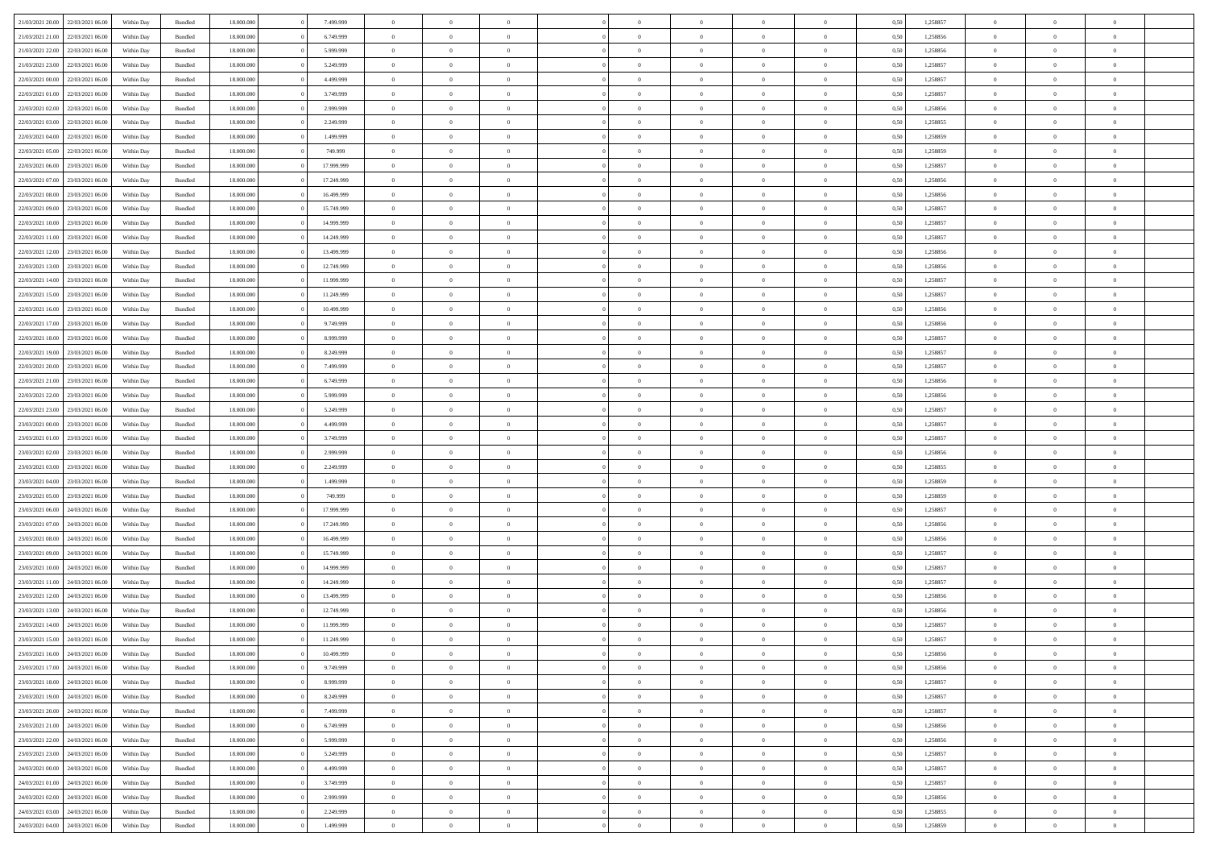|                                   |                  |            |                    |            |            | $\overline{0}$ | $\Omega$       |                |                | $\Omega$       | $\Omega$       | $\theta$       |      |          | $\theta$       |                | $\theta$       |  |
|-----------------------------------|------------------|------------|--------------------|------------|------------|----------------|----------------|----------------|----------------|----------------|----------------|----------------|------|----------|----------------|----------------|----------------|--|
| 21/03/2021 20:00                  | 22/03/2021 06:00 | Within Dav | Bundled            | 18.000.000 | 7.499.999  |                |                |                | $\Omega$       |                |                |                | 0.50 | 1,258857 |                | $\theta$       |                |  |
| 21/03/2021 21:00                  | 22/03/2021 06:00 | Within Day | Bundled            | 18.000.000 | 6.749.999  | $\overline{0}$ | $\theta$       | $\overline{0}$ | $\overline{0}$ | $\bf{0}$       | $\overline{0}$ | $\overline{0}$ | 0,50 | 1,258856 | $\theta$       | $\theta$       | $\overline{0}$ |  |
| 21/03/2021 22:00                  | 22/03/2021 06:00 | Within Day | Bundled            | 18.000.000 | 5.999.999  | $\overline{0}$ | $\overline{0}$ | $\overline{0}$ | $\bf{0}$       | $\bf{0}$       | $\bf{0}$       | $\bf{0}$       | 0,50 | 1,258856 | $\bf{0}$       | $\overline{0}$ | $\overline{0}$ |  |
| 21/03/2021 23:00                  | 22/03/2021 06:00 | Within Dav | Bundled            | 18.000.000 | 5.249.999  | $\overline{0}$ | $\theta$       | $\overline{0}$ | $\overline{0}$ | $\bf{0}$       | $\overline{0}$ | $\overline{0}$ | 0.50 | 1.258857 | $\theta$       | $\theta$       | $\overline{0}$ |  |
|                                   |                  |            |                    |            |            |                |                |                |                |                |                |                |      |          |                |                |                |  |
| 22/03/2021 00:00                  | 22/03/2021 06:00 | Within Day | Bundled            | 18.000.000 | 4.499.999  | $\overline{0}$ | $\theta$       | $\overline{0}$ | $\overline{0}$ | $\bf{0}$       | $\overline{0}$ | $\bf{0}$       | 0,50 | 1,258857 | $\theta$       | $\theta$       | $\overline{0}$ |  |
| 22/03/2021 01:00                  | 22/03/2021 06:00 | Within Day | Bundled            | 18.000.000 | 3.749.999  | $\overline{0}$ | $\bf{0}$       | $\overline{0}$ | $\bf{0}$       | $\overline{0}$ | $\overline{0}$ | $\mathbf{0}$   | 0,50 | 1,258857 | $\bf{0}$       | $\overline{0}$ | $\bf{0}$       |  |
| 22/03/2021 02:00                  | 22/03/2021 06:00 | Within Dav | Bundled            | 18.000.000 | 2.999.999  | $\overline{0}$ | $\overline{0}$ | $\overline{0}$ | $\overline{0}$ | $\bf{0}$       | $\overline{0}$ | $\overline{0}$ | 0.50 | 1,258856 | $\theta$       | $\theta$       | $\overline{0}$ |  |
| 22/03/2021 03:00                  | 22/03/2021 06:00 | Within Day | Bundled            | 18.000.000 | 2.249.999  | $\overline{0}$ | $\theta$       | $\overline{0}$ | $\overline{0}$ | $\bf{0}$       | $\overline{0}$ | $\bf{0}$       | 0,50 | 1,258855 | $\theta$       | $\theta$       | $\overline{0}$ |  |
|                                   |                  |            |                    |            |            |                |                |                |                |                |                |                |      |          |                |                |                |  |
| 22/03/2021 04:00                  | 22/03/2021 06:00 | Within Day | Bundled            | 18.000.000 | 1.499.999  | $\overline{0}$ | $\overline{0}$ | $\overline{0}$ | $\bf{0}$       | $\bf{0}$       | $\bf{0}$       | $\bf{0}$       | 0,50 | 1,258859 | $\,0\,$        | $\overline{0}$ | $\overline{0}$ |  |
| 22/03/2021 05:00                  | 22/03/2021 06:00 | Within Dav | Bundled            | 18.000.000 | 749.999    | $\overline{0}$ | $\overline{0}$ | $\overline{0}$ | $\overline{0}$ | $\overline{0}$ | $\overline{0}$ | $\overline{0}$ | 0.50 | 1,258859 | $\theta$       | $\overline{0}$ | $\overline{0}$ |  |
| 22/03/2021 06:00                  | 23/03/2021 06:00 | Within Day | Bundled            | 18.000.000 | 17.999.999 | $\overline{0}$ | $\theta$       | $\overline{0}$ | $\overline{0}$ | $\bf{0}$       | $\overline{0}$ | $\bf{0}$       | 0,50 | 1,258857 | $\theta$       | $\theta$       | $\overline{0}$ |  |
| 22/03/2021 07:00                  | 23/03/2021 06:00 | Within Day | Bundled            | 18.000.000 | 17.249.999 | $\overline{0}$ | $\overline{0}$ | $\overline{0}$ | $\bf{0}$       | $\bf{0}$       | $\bf{0}$       | $\bf{0}$       | 0,50 | 1,258856 | $\bf{0}$       | $\overline{0}$ | $\overline{0}$ |  |
| 22/03/2021 08:00                  | 23/03/2021 06:00 | Within Day | Bundled            | 18.000.000 | 16.499.999 | $\overline{0}$ | $\theta$       | $\overline{0}$ | $\overline{0}$ | $\bf{0}$       | $\overline{0}$ | $\overline{0}$ | 0.50 | 1.258856 | $\theta$       | $\theta$       | $\overline{0}$ |  |
|                                   |                  |            |                    |            |            |                |                |                |                |                |                |                |      |          |                |                |                |  |
| 22/03/2021 09:00                  | 23/03/2021 06:00 | Within Day | Bundled            | 18.000.000 | 15.749.999 | $\overline{0}$ | $\theta$       | $\overline{0}$ | $\overline{0}$ | $\bf{0}$       | $\overline{0}$ | $\overline{0}$ | 0,50 | 1,258857 | $\theta$       | $\theta$       | $\overline{0}$ |  |
| 22/03/2021 10:00                  | 23/03/2021 06:00 | Within Day | Bundled            | 18.000.000 | 14.999.999 | $\overline{0}$ | $\overline{0}$ | $\overline{0}$ | $\bf{0}$       | $\overline{0}$ | $\overline{0}$ | $\mathbf{0}$   | 0,50 | 1,258857 | $\bf{0}$       | $\overline{0}$ | $\bf{0}$       |  |
| 22/03/2021 11:00                  | 23/03/2021 06:00 | Within Dav | Bundled            | 18.000.000 | 14.249.999 | $\overline{0}$ | $\overline{0}$ | $\overline{0}$ | $\overline{0}$ | $\bf{0}$       | $\overline{0}$ | $\overline{0}$ | 0.50 | 1,258857 | $\theta$       | $\overline{0}$ | $\overline{0}$ |  |
| 22/03/2021 12:00                  | 23/03/2021 06:00 | Within Day | Bundled            | 18.000.000 | 13.499.999 | $\overline{0}$ | $\theta$       | $\overline{0}$ | $\overline{0}$ | $\bf{0}$       | $\overline{0}$ | $\bf{0}$       | 0,50 | 1,258856 | $\theta$       | $\theta$       | $\overline{0}$ |  |
|                                   |                  |            |                    |            |            |                |                |                |                |                |                |                |      |          |                |                |                |  |
| 22/03/2021 13:00                  | 23/03/2021 06:00 | Within Day | Bundled            | 18.000.000 | 12.749.999 | $\overline{0}$ | $\overline{0}$ | $\overline{0}$ | $\bf{0}$       | $\bf{0}$       | $\bf{0}$       | $\bf{0}$       | 0,50 | 1,258856 | $\,0\,$        | $\overline{0}$ | $\overline{0}$ |  |
| 22/03/2021 14:00                  | 23/03/2021 06:00 | Within Day | Bundled            | 18.000.000 | 11.999.999 | $\overline{0}$ | $\overline{0}$ | $\overline{0}$ | $\overline{0}$ | $\overline{0}$ | $\overline{0}$ | $\overline{0}$ | 0.50 | 1,258857 | $\theta$       | $\overline{0}$ | $\overline{0}$ |  |
| 22/03/2021 15:00                  | 23/03/2021 06:00 | Within Day | Bundled            | 18.000.000 | 11.249.999 | $\overline{0}$ | $\theta$       | $\overline{0}$ | $\overline{0}$ | $\bf{0}$       | $\overline{0}$ | $\bf{0}$       | 0,50 | 1,258857 | $\theta$       | $\theta$       | $\overline{0}$ |  |
| 22/03/2021 16:00                  | 23/03/2021 06:00 | Within Day | Bundled            | 18.000.000 | 10.499.999 | $\overline{0}$ | $\overline{0}$ | $\overline{0}$ | $\bf{0}$       | $\bf{0}$       | $\bf{0}$       | $\bf{0}$       | 0,50 | 1,258856 | $\,0\,$        | $\overline{0}$ | $\overline{0}$ |  |
| 22/03/2021 17:00                  | 23/03/2021 06:00 | Within Day | Bundled            | 18.000.000 | 9.749.999  | $\overline{0}$ | $\overline{0}$ | $\overline{0}$ | $\overline{0}$ | $\bf{0}$       | $\overline{0}$ | $\overline{0}$ | 0.50 | 1.258856 | $\theta$       | $\theta$       | $\overline{0}$ |  |
|                                   |                  |            |                    |            |            |                |                |                |                |                |                |                |      |          |                |                |                |  |
| 22/03/2021 18:00                  | 23/03/2021 06:00 | Within Day | Bundled            | 18.000.000 | 8.999.999  | $\overline{0}$ | $\theta$       | $\overline{0}$ | $\overline{0}$ | $\bf{0}$       | $\overline{0}$ | $\bf{0}$       | 0,50 | 1,258857 | $\theta$       | $\overline{0}$ | $\overline{0}$ |  |
| 22/03/2021 19:00                  | 23/03/2021 06:00 | Within Day | Bundled            | 18.000.000 | 8.249.999  | $\overline{0}$ | $\bf{0}$       | $\overline{0}$ | $\bf{0}$       | $\overline{0}$ | $\bf{0}$       | $\mathbf{0}$   | 0,50 | 1,258857 | $\bf{0}$       | $\overline{0}$ | $\bf{0}$       |  |
| 22/03/2021 20:00                  | 23/03/2021 06:00 | Within Dav | Bundled            | 18.000.000 | 7.499.999  | $\overline{0}$ | $\overline{0}$ | $\overline{0}$ | $\overline{0}$ | $\overline{0}$ | $\overline{0}$ | $\overline{0}$ | 0.50 | 1,258857 | $\theta$       | $\theta$       | $\overline{0}$ |  |
| 22/03/2021 21:00                  | 23/03/2021 06:00 | Within Day | Bundled            | 18.000.000 | 6.749.999  | $\overline{0}$ | $\theta$       | $\overline{0}$ | $\overline{0}$ | $\bf{0}$       | $\overline{0}$ | $\bf{0}$       | 0,50 | 1,258856 | $\theta$       | $\theta$       | $\overline{0}$ |  |
| 22/03/2021 22:00                  | 23/03/2021 06:00 | Within Day | Bundled            | 18.000.000 | 5.999.999  | $\overline{0}$ | $\overline{0}$ | $\overline{0}$ | $\bf{0}$       | $\bf{0}$       | $\bf{0}$       | $\bf{0}$       | 0,50 | 1,258856 | $\,0\,$        | $\overline{0}$ | $\overline{0}$ |  |
|                                   |                  |            |                    |            |            |                |                |                |                |                |                |                |      |          |                |                |                |  |
| 22/03/2021 23:00                  | 23/03/2021 06:00 | Within Day | Bundled            | 18.000.000 | 5.249.999  | $\overline{0}$ | $\overline{0}$ | $\overline{0}$ | $\overline{0}$ | $\overline{0}$ | $\overline{0}$ | $\overline{0}$ | 0.50 | 1,258857 | $\theta$       | $\theta$       | $\overline{0}$ |  |
| 23/03/2021 00:00                  | 23/03/2021 06:00 | Within Day | Bundled            | 18.000.000 | 4.499.999  | $\overline{0}$ | $\theta$       | $\overline{0}$ | $\overline{0}$ | $\bf{0}$       | $\overline{0}$ | $\bf{0}$       | 0,50 | 1,258857 | $\,$ 0 $\,$    | $\theta$       | $\overline{0}$ |  |
| 23/03/2021 01:00                  | 23/03/2021 06:00 | Within Day | Bundled            | 18.000.000 | 3.749.999  | $\overline{0}$ | $\overline{0}$ | $\overline{0}$ | $\bf{0}$       | $\bf{0}$       | $\bf{0}$       | $\bf{0}$       | 0,50 | 1,258857 | $\bf{0}$       | $\overline{0}$ | $\overline{0}$ |  |
| 23/03/2021 02:00                  | 23/03/2021 06:00 | Within Day | Bundled            | 18.000.000 | 2.999.999  | $\overline{0}$ | $\Omega$       | $\Omega$       | $\Omega$       | $\Omega$       | $\Omega$       | $\overline{0}$ | 0.50 | 1,258856 | $\,0\,$        | $\theta$       | $\theta$       |  |
| 23/03/2021 03:00                  | 23/03/2021 06:00 |            |                    | 18.000.000 | 2.249.999  | $\overline{0}$ | $\theta$       | $\overline{0}$ | $\overline{0}$ | $\bf{0}$       | $\overline{0}$ |                |      | 1,258855 | $\theta$       | $\theta$       | $\overline{0}$ |  |
|                                   |                  | Within Day | Bundled            |            |            |                |                |                |                |                |                | $\bf{0}$       | 0,50 |          |                |                |                |  |
| 23/03/2021 04:00                  | 23/03/2021 06:00 | Within Day | Bundled            | 18.000.000 | 1.499.999  | $\overline{0}$ | $\overline{0}$ | $\overline{0}$ | $\bf{0}$       | $\bf{0}$       | $\overline{0}$ | $\mathbf{0}$   | 0,50 | 1,258859 | $\overline{0}$ | $\overline{0}$ | $\bf{0}$       |  |
| 23/03/2021 05:00                  | 23/03/2021 06:00 | Within Day | Bundled            | 18,000,000 | 749.999    | $\overline{0}$ | $\Omega$       | $\Omega$       | $\Omega$       | $\Omega$       | $\Omega$       | $\overline{0}$ | 0.50 | 1,258859 | $\theta$       | $\theta$       | $\theta$       |  |
| 23/03/2021 06:00                  | 24/03/2021 06.00 | Within Day | Bundled            | 18.000.000 | 17.999.999 | $\overline{0}$ | $\theta$       | $\overline{0}$ | $\overline{0}$ | $\bf{0}$       | $\overline{0}$ | $\bf{0}$       | 0,50 | 1,258857 | $\theta$       | $\theta$       | $\overline{0}$ |  |
| 23/03/2021 07:00                  | 24/03/2021 06:00 | Within Day | Bundled            | 18.000.000 | 17.249.999 | $\overline{0}$ | $\overline{0}$ | $\overline{0}$ | $\bf{0}$       | $\bf{0}$       | $\bf{0}$       | $\bf{0}$       | 0,50 | 1,258856 | $\,0\,$        | $\overline{0}$ | $\overline{0}$ |  |
|                                   |                  |            |                    |            |            |                |                |                |                |                |                |                |      |          |                |                |                |  |
| 23/03/2021 08:00                  | 24/03/2021 06:00 | Within Day | Bundled            | 18,000,000 | 16.499.999 | $\overline{0}$ | $\Omega$       | $\Omega$       | $\Omega$       | $\Omega$       | $\theta$       | $\overline{0}$ | 0.50 | 1,258856 | $\theta$       | $\theta$       | $\theta$       |  |
| 23/03/2021 09:00                  | 24/03/2021 06.00 | Within Day | Bundled            | 18.000.000 | 15.749.999 | $\overline{0}$ | $\theta$       | $\overline{0}$ | $\overline{0}$ | $\bf{0}$       | $\overline{0}$ | $\bf{0}$       | 0,50 | 1,258857 | $\,$ 0 $\,$    | $\theta$       | $\overline{0}$ |  |
| 23/03/2021 10:00                  | 24/03/2021 06:00 | Within Day | Bundled            | 18.000.000 | 14.999.999 | $\overline{0}$ | $\overline{0}$ | $\overline{0}$ | $\bf{0}$       | $\bf{0}$       | $\bf{0}$       | $\bf{0}$       | 0,50 | 1,258857 | $\overline{0}$ | $\overline{0}$ | $\overline{0}$ |  |
| 23/03/2021 11:00                  | 24/03/2021 06.00 | Within Day | Bundled            | 18.000.000 | 14.249.999 | $\overline{0}$ | $\Omega$       | $\Omega$       | $\Omega$       | $\Omega$       | $\overline{0}$ | $\overline{0}$ | 0.50 | 1,258857 | $\,0\,$        | $\theta$       | $\theta$       |  |
| 23/03/2021 12:00                  | 24/03/2021 06.00 | Within Day | Bundled            | 18.000.000 | 13.499.999 | $\overline{0}$ | $\theta$       | $\overline{0}$ | $\overline{0}$ | $\bf{0}$       | $\overline{0}$ | $\bf{0}$       | 0,50 | 1,258856 | $\,$ 0 $\,$    | $\theta$       | $\overline{0}$ |  |
|                                   |                  |            |                    |            |            |                |                |                |                |                |                |                |      |          |                |                |                |  |
| 23/03/2021 13:00                  | 24/03/2021 06:00 | Within Day | Bundled            | 18.000.000 | 12.749.999 | $\overline{0}$ | $\overline{0}$ | $\overline{0}$ | $\bf{0}$       | $\bf{0}$       | $\bf{0}$       | $\mathbf{0}$   | 0,50 | 1,258856 | $\overline{0}$ | $\overline{0}$ | $\bf{0}$       |  |
| 23/03/2021 14:00                  | 24/03/2021 06:00 | Within Day | Bundled            | 18,000,000 | 11.999.999 | $\overline{0}$ | $\Omega$       | $\Omega$       | $\Omega$       | $\Omega$       | $\Omega$       | $\overline{0}$ | 0.50 | 1,258857 | $\theta$       | $\theta$       | $\theta$       |  |
| 23/03/2021 15:00                  | 24/03/2021 06:00 | Within Day | Bundled            | 18.000.000 | 11.249.999 | $\overline{0}$ | $\overline{0}$ | $\overline{0}$ | $\bf{0}$       | $\,$ 0         | $\bf{0}$       | $\bf{0}$       | 0,50 | 1,258857 | $\,0\,$        | $\overline{0}$ | $\overline{0}$ |  |
| 23/03/2021 16:00 24/03/2021 06:00 |                  | Within Day | $\mathbf B$ undled | 18.000.000 | 10.499.999 | $\bf{0}$       | $\bf{0}$       |                |                | $\bf{0}$       |                |                | 0,50 | 1,258856 | $\bf{0}$       | $\overline{0}$ |                |  |
| 23/03/2021 17:00                  | 24/03/2021 06:00 |            |                    | 18,000,000 | 9.749.999  | $\overline{0}$ | $\overline{0}$ | $\overline{0}$ | $\Omega$       | $\overline{0}$ | $\overline{0}$ | $\overline{0}$ | 0.50 |          | $\theta$       | $\theta$       | $\theta$       |  |
|                                   |                  | Within Day | Bundled            |            |            |                |                |                |                |                |                |                |      | 1,258856 |                |                |                |  |
| 23/03/2021 18:00                  | 24/03/2021 06.00 | Within Day | Bundled            | 18.000.000 | 8.999.999  | $\overline{0}$ | $\,$ 0         | $\overline{0}$ | $\bf{0}$       | $\,$ 0 $\,$    | $\overline{0}$ | $\mathbf{0}$   | 0,50 | 1,258857 | $\,$ 0 $\,$    | $\,$ 0 $\,$    | $\,$ 0         |  |
| 23/03/2021 19:00                  | 24/03/2021 06:00 | Within Day | Bundled            | 18.000.000 | 8.249.999  | $\overline{0}$ | $\overline{0}$ | $\overline{0}$ | $\overline{0}$ | $\overline{0}$ | $\overline{0}$ | $\mathbf{0}$   | 0,50 | 1,258857 | $\overline{0}$ | $\bf{0}$       | $\overline{0}$ |  |
| 23/03/2021 20:00                  | 24/03/2021 06:00 | Within Day | Bundled            | 18,000,000 | 7.499.999  | $\overline{0}$ | $\overline{0}$ | $\overline{0}$ | $\Omega$       | $\overline{0}$ | $\overline{0}$ | $\overline{0}$ | 0,50 | 1,258857 | $\overline{0}$ | $\theta$       | $\overline{0}$ |  |
| 23/03/2021 21:00                  | 24/03/2021 06.00 | Within Day | Bundled            | 18.000.000 | 6.749.999  | $\overline{0}$ | $\,$ 0         | $\overline{0}$ | $\overline{0}$ | $\,$ 0 $\,$    | $\overline{0}$ | $\mathbf{0}$   | 0,50 | 1,258856 | $\,$ 0 $\,$    | $\overline{0}$ | $\overline{0}$ |  |
|                                   |                  |            |                    |            |            |                |                |                |                |                |                |                |      |          |                |                |                |  |
| 23/03/2021 22.00                  | 24/03/2021 06:00 | Within Day | Bundled            | 18.000.000 | 5.999.999  | $\overline{0}$ | $\overline{0}$ | $\overline{0}$ | $\overline{0}$ | $\overline{0}$ | $\overline{0}$ | $\mathbf{0}$   | 0,50 | 1,258856 | $\overline{0}$ | $\overline{0}$ | $\bf{0}$       |  |
| 23/03/2021 23:00                  | 24/03/2021 06:00 | Within Day | Bundled            | 18,000,000 | 5.249.999  | $\overline{0}$ | $\overline{0}$ | $\overline{0}$ | $\overline{0}$ | $\overline{0}$ | $\overline{0}$ | $\bf{0}$       | 0.50 | 1,258857 | $\overline{0}$ | $\theta$       | $\overline{0}$ |  |
| 24/03/2021 00:00                  | 24/03/2021 06:00 | Within Day | Bundled            | 18.000.000 | 4.499.999  | $\overline{0}$ | $\,$ 0         | $\overline{0}$ | $\bf{0}$       | $\bf{0}$       | $\bf{0}$       | $\bf{0}$       | 0,50 | 1,258857 | $\,$ 0 $\,$    | $\overline{0}$ | $\overline{0}$ |  |
| 24/03/2021 01:00                  | 24/03/2021 06:00 | Within Day | Bundled            | 18.000.000 | 3.749.999  | $\overline{0}$ | $\bf{0}$       | $\overline{0}$ | $\overline{0}$ | $\overline{0}$ | $\overline{0}$ | $\mathbf{0}$   | 0,50 | 1,258857 | $\overline{0}$ | $\overline{0}$ | $\bf{0}$       |  |
| 24/03/2021 02:00                  | 24/03/2021 06:00 | Within Day | Bundled            | 18,000,000 | 2.999.999  | $\overline{0}$ | $\overline{0}$ | $\overline{0}$ | $\Omega$       | $\overline{0}$ | $\overline{0}$ | $\overline{0}$ | 0.50 | 1,258856 | $\overline{0}$ | $\overline{0}$ | $\overline{0}$ |  |
|                                   |                  |            |                    |            |            |                |                |                |                |                |                |                |      |          |                |                |                |  |
| 24/03/2021 03:00                  | 24/03/2021 06.00 | Within Day | Bundled            | 18.000.000 | 2.249.999  | $\overline{0}$ | $\bf{0}$       | $\overline{0}$ | $\overline{0}$ | $\bf{0}$       | $\overline{0}$ | $\bf{0}$       | 0,50 | 1,258855 | $\,$ 0 $\,$    | $\,$ 0 $\,$    | $\bf{0}$       |  |
| 24/03/2021 04:00 24/03/2021 06:00 |                  | Within Day | Bundled            | 18.000.000 | 1.499.999  | $\overline{0}$ | $\bf{0}$       | $\overline{0}$ | $\bf{0}$       | $\bf{0}$       | $\overline{0}$ | $\bf{0}$       | 0,50 | 1,258859 | $\overline{0}$ | $\overline{0}$ | $\bf{0}$       |  |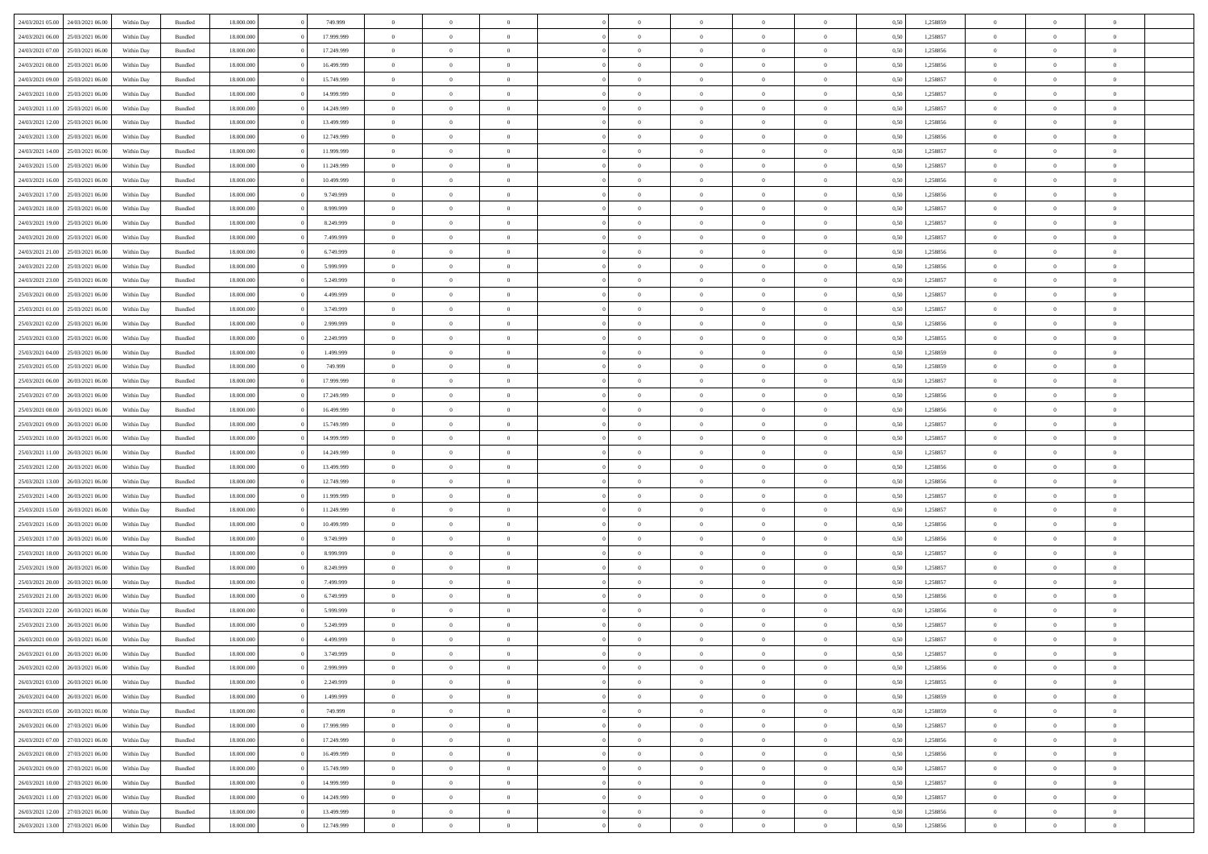| 24/03/2021 05:00                  | 24/03/2021 06:00 | Within Dav | Bundled            | 18.000.000 | 749.999    | $\overline{0}$ | $\Omega$       |                | $\Omega$       | $\Omega$       | $\Omega$       | $\theta$       | 0.50 | 1,258859 | $\theta$       | $\theta$       | $\theta$       |  |
|-----------------------------------|------------------|------------|--------------------|------------|------------|----------------|----------------|----------------|----------------|----------------|----------------|----------------|------|----------|----------------|----------------|----------------|--|
| 24/03/2021 06.00                  | 25/03/2021 06:00 | Within Day | Bundled            | 18.000.000 | 17.999.999 | $\overline{0}$ | $\theta$       | $\overline{0}$ | $\overline{0}$ | $\bf{0}$       | $\overline{0}$ | $\overline{0}$ | 0,50 | 1,258857 | $\theta$       | $\theta$       | $\overline{0}$ |  |
| 24/03/2021 07:00                  | 25/03/2021 06:00 | Within Day | Bundled            | 18.000.000 | 17.249.999 | $\overline{0}$ | $\overline{0}$ | $\overline{0}$ | $\bf{0}$       | $\bf{0}$       | $\overline{0}$ | $\bf{0}$       | 0,50 | 1,258856 | $\bf{0}$       | $\overline{0}$ | $\overline{0}$ |  |
| 24/03/2021 08:00                  | 25/03/2021 06:00 | Within Dav | Bundled            | 18.000.000 | 16.499.999 | $\overline{0}$ | $\theta$       | $\overline{0}$ | $\overline{0}$ | $\bf{0}$       | $\overline{0}$ | $\overline{0}$ | 0.50 | 1.258856 | $\theta$       | $\theta$       | $\overline{0}$ |  |
| 24/03/2021 09:00                  | 25/03/2021 06:00 | Within Day | Bundled            | 18.000.000 | 15.749.999 | $\overline{0}$ | $\theta$       | $\overline{0}$ | $\overline{0}$ | $\bf{0}$       | $\overline{0}$ | $\bf{0}$       | 0,50 | 1,258857 | $\theta$       | $\theta$       | $\overline{0}$ |  |
|                                   |                  |            |                    |            |            |                |                |                |                |                |                |                |      |          |                |                |                |  |
| 24/03/2021 10:00                  | 25/03/2021 06:00 | Within Day | Bundled            | 18.000.000 | 14.999.999 | $\overline{0}$ | $\bf{0}$       | $\overline{0}$ | $\overline{0}$ | $\overline{0}$ | $\overline{0}$ | $\mathbf{0}$   | 0,50 | 1,258857 | $\overline{0}$ | $\overline{0}$ | $\bf{0}$       |  |
| 24/03/2021 11:00                  | 25/03/2021 06:00 | Within Dav | Bundled            | 18.000.000 | 14.249.999 | $\overline{0}$ | $\overline{0}$ | $\overline{0}$ | $\overline{0}$ | $\bf{0}$       | $\overline{0}$ | $\overline{0}$ | 0.50 | 1,258857 | $\theta$       | $\overline{0}$ | $\overline{0}$ |  |
| 24/03/2021 12:00                  | 25/03/2021 06:00 | Within Day | Bundled            | 18.000.000 | 13.499.999 | $\overline{0}$ | $\theta$       | $\overline{0}$ | $\overline{0}$ | $\bf{0}$       | $\overline{0}$ | $\bf{0}$       | 0,50 | 1,258856 | $\theta$       | $\theta$       | $\overline{0}$ |  |
| 24/03/2021 13:00                  | 25/03/2021 06:00 | Within Day | Bundled            | 18.000.000 | 12.749.999 | $\overline{0}$ | $\overline{0}$ | $\overline{0}$ | $\overline{0}$ | $\bf{0}$       | $\overline{0}$ | $\bf{0}$       | 0,50 | 1,258856 | $\,0\,$        | $\overline{0}$ | $\overline{0}$ |  |
| 24/03/2021 14:00                  | 25/03/2021 06:00 | Within Dav | Bundled            | 18.000.000 | 11.999.999 | $\overline{0}$ | $\overline{0}$ | $\overline{0}$ | $\overline{0}$ | $\overline{0}$ | $\overline{0}$ | $\overline{0}$ | 0.50 | 1,258857 | $\theta$       | $\overline{0}$ | $\overline{0}$ |  |
| 24/03/2021 15:00                  | 25/03/2021 06:00 | Within Day | Bundled            | 18.000.000 | 11.249.999 | $\overline{0}$ | $\theta$       | $\overline{0}$ | $\overline{0}$ | $\bf{0}$       | $\overline{0}$ | $\bf{0}$       | 0,50 | 1,258857 | $\theta$       | $\theta$       | $\overline{0}$ |  |
| 24/03/2021 16:00                  | 25/03/2021 06:00 | Within Day | Bundled            | 18.000.000 | 10.499.999 | $\overline{0}$ | $\overline{0}$ | $\overline{0}$ | $\overline{0}$ | $\bf{0}$       | $\overline{0}$ | $\bf{0}$       | 0,50 | 1,258856 | $\bf{0}$       | $\overline{0}$ | $\overline{0}$ |  |
|                                   |                  |            |                    |            |            |                |                |                |                |                |                |                |      |          |                |                |                |  |
| 24/03/2021 17:00                  | 25/03/2021 06:00 | Within Dav | Bundled            | 18.000.000 | 9.749.999  | $\overline{0}$ | $\overline{0}$ | $\overline{0}$ | $\overline{0}$ | $\bf{0}$       | $\overline{0}$ | $\overline{0}$ | 0.50 | 1.258856 | $\theta$       | $\theta$       | $\overline{0}$ |  |
| 24/03/2021 18:00                  | 25/03/2021 06:00 | Within Day | Bundled            | 18.000.000 | 8.999.999  | $\overline{0}$ | $\theta$       | $\overline{0}$ | $\overline{0}$ | $\bf{0}$       | $\overline{0}$ | $\overline{0}$ | 0,50 | 1,258857 | $\theta$       | $\theta$       | $\overline{0}$ |  |
| 24/03/2021 19:00                  | 25/03/2021 06:00 | Within Day | Bundled            | 18.000.000 | 8.249.999  | $\overline{0}$ | $\bf{0}$       | $\overline{0}$ | $\overline{0}$ | $\overline{0}$ | $\overline{0}$ | $\mathbf{0}$   | 0,50 | 1,258857 | $\overline{0}$ | $\overline{0}$ | $\bf{0}$       |  |
| 24/03/2021 20:00                  | 25/03/2021 06:00 | Within Dav | Bundled            | 18.000.000 | 7.499.999  | $\overline{0}$ | $\overline{0}$ | $\overline{0}$ | $\overline{0}$ | $\overline{0}$ | $\overline{0}$ | $\overline{0}$ | 0.50 | 1,258857 | $\theta$       | $\overline{0}$ | $\overline{0}$ |  |
| 24/03/2021 21:00                  | 25/03/2021 06.00 | Within Day | Bundled            | 18.000.000 | 6.749.999  | $\overline{0}$ | $\theta$       | $\overline{0}$ | $\overline{0}$ | $\bf{0}$       | $\overline{0}$ | $\bf{0}$       | 0,50 | 1,258856 | $\theta$       | $\theta$       | $\overline{0}$ |  |
| 24/03/2021 22:00                  | 25/03/2021 06:00 | Within Day | Bundled            | 18.000.000 | 5.999.999  | $\overline{0}$ | $\overline{0}$ | $\overline{0}$ | $\overline{0}$ | $\bf{0}$       | $\overline{0}$ | $\bf{0}$       | 0,50 | 1,258856 | $\,0\,$        | $\overline{0}$ | $\overline{0}$ |  |
| 24/03/2021 23:00                  | 25/03/2021 06:00 | Within Dav | Bundled            | 18.000.000 | 5.249.999  | $\overline{0}$ | $\overline{0}$ | $\overline{0}$ | $\overline{0}$ | $\overline{0}$ | $\overline{0}$ | $\overline{0}$ | 0.50 | 1,258857 | $\theta$       | $\overline{0}$ | $\overline{0}$ |  |
| 25/03/2021 00:00                  | 25/03/2021 06:00 | Within Day | Bundled            | 18.000.000 | 4.499.999  | $\overline{0}$ | $\theta$       | $\overline{0}$ | $\overline{0}$ | $\bf{0}$       | $\overline{0}$ | $\bf{0}$       | 0,50 | 1,258857 | $\theta$       | $\theta$       | $\overline{0}$ |  |
|                                   |                  |            |                    |            |            |                |                |                |                |                |                |                |      |          |                |                |                |  |
| 25/03/2021 01:00                  | 25/03/2021 06:00 | Within Day | Bundled            | 18.000.000 | 3.749.999  | $\overline{0}$ | $\overline{0}$ | $\overline{0}$ | $\overline{0}$ | $\bf{0}$       | $\overline{0}$ | $\bf{0}$       | 0,50 | 1,258857 | $\,0\,$        | $\overline{0}$ | $\overline{0}$ |  |
| 25/03/2021 02:00                  | 25/03/2021 06:00 | Within Day | Bundled            | 18.000.000 | 2.999.999  | $\overline{0}$ | $\overline{0}$ | $\overline{0}$ | $\overline{0}$ | $\bf{0}$       | $\overline{0}$ | $\overline{0}$ | 0.50 | 1.258856 | $\theta$       | $\theta$       | $\overline{0}$ |  |
| 25/03/2021 03:00                  | 25/03/2021 06:00 | Within Day | Bundled            | 18.000.000 | 2.249.999  | $\overline{0}$ | $\theta$       | $\overline{0}$ | $\overline{0}$ | $\bf{0}$       | $\overline{0}$ | $\bf{0}$       | 0,50 | 1,258855 | $\theta$       | $\overline{0}$ | $\overline{0}$ |  |
| 25/03/2021 04:00                  | 25/03/2021 06:00 | Within Day | Bundled            | 18.000.000 | 1.499.999  | $\overline{0}$ | $\bf{0}$       | $\overline{0}$ | $\overline{0}$ | $\overline{0}$ | $\overline{0}$ | $\mathbf{0}$   | 0,50 | 1,258859 | $\bf{0}$       | $\overline{0}$ | $\bf{0}$       |  |
| 25/03/2021 05:00                  | 25/03/2021 06:00 | Within Dav | Bundled            | 18.000.000 | 749.999    | $\overline{0}$ | $\overline{0}$ | $\overline{0}$ | $\overline{0}$ | $\overline{0}$ | $\overline{0}$ | $\overline{0}$ | 0.50 | 1,258859 | $\theta$       | $\theta$       | $\overline{0}$ |  |
| 25/03/2021 06:00                  | 26/03/2021 06:00 | Within Day | Bundled            | 18.000.000 | 17.999.999 | $\overline{0}$ | $\theta$       | $\overline{0}$ | $\overline{0}$ | $\bf{0}$       | $\overline{0}$ | $\bf{0}$       | 0,50 | 1,258857 | $\theta$       | $\theta$       | $\overline{0}$ |  |
| 25/03/2021 07:00                  | 26/03/2021 06:00 | Within Day | Bundled            | 18.000.000 | 17.249.999 | $\overline{0}$ | $\overline{0}$ | $\overline{0}$ | $\overline{0}$ | $\bf{0}$       | $\overline{0}$ | $\bf{0}$       | 0,50 | 1,258856 | $\,0\,$        | $\overline{0}$ | $\overline{0}$ |  |
|                                   |                  |            |                    |            |            |                |                |                |                | $\overline{0}$ |                |                |      |          | $\theta$       |                |                |  |
| 25/03/2021 08:00                  | 26/03/2021 06:00 | Within Day | Bundled            | 18.000.000 | 16.499.999 | $\overline{0}$ | $\overline{0}$ | $\overline{0}$ | $\overline{0}$ |                | $\overline{0}$ | $\overline{0}$ | 0.50 | 1,258856 |                | $\theta$       | $\overline{0}$ |  |
| 25/03/2021 09:00                  | 26/03/2021 06:00 | Within Day | Bundled            | 18.000.000 | 15.749.999 | $\overline{0}$ | $\theta$       | $\overline{0}$ | $\overline{0}$ | $\bf{0}$       | $\overline{0}$ | $\bf{0}$       | 0,50 | 1,258857 | $\,$ 0 $\,$    | $\theta$       | $\overline{0}$ |  |
| 25/03/2021 10:00                  | 26/03/2021 06:00 | Within Day | Bundled            | 18.000.000 | 14.999.999 | $\overline{0}$ | $\overline{0}$ | $\overline{0}$ | $\overline{0}$ | $\bf{0}$       | $\overline{0}$ | $\bf{0}$       | 0,50 | 1,258857 | $\bf{0}$       | $\overline{0}$ | $\overline{0}$ |  |
| 25/03/2021 11:00                  | 26/03/2021 06:00 | Within Day | Bundled            | 18.000.000 | 14.249.999 | $\overline{0}$ | $\Omega$       | $\Omega$       | $\Omega$       | $\Omega$       | $\Omega$       | $\overline{0}$ | 0.50 | 1,258857 | $\,0\,$        | $\theta$       | $\theta$       |  |
| 25/03/2021 12:00                  | 26/03/2021 06:00 | Within Day | Bundled            | 18.000.000 | 13.499.999 | $\overline{0}$ | $\theta$       | $\overline{0}$ | $\overline{0}$ | $\bf{0}$       | $\overline{0}$ | $\bf{0}$       | 0,50 | 1,258856 | $\theta$       | $\theta$       | $\overline{0}$ |  |
| 25/03/2021 13:00                  | 26/03/2021 06:00 | Within Day | Bundled            | 18.000.000 | 12.749.999 | $\overline{0}$ | $\bf{0}$       | $\overline{0}$ | $\overline{0}$ | $\bf{0}$       | $\overline{0}$ | $\mathbf{0}$   | 0,50 | 1,258856 | $\bf{0}$       | $\overline{0}$ | $\bf{0}$       |  |
| 25/03/2021 14:00                  | 26/03/2021 06:00 | Within Day | Bundled            | 18,000,000 | 11.999.999 | $\overline{0}$ | $\Omega$       | $\Omega$       | $\Omega$       | $\Omega$       | $\Omega$       | $\overline{0}$ | 0.50 | 1,258857 | $\theta$       | $\theta$       | $\theta$       |  |
| 25/03/2021 15:00                  | 26/03/2021 06:00 | Within Day | Bundled            | 18.000.000 | 11.249.999 | $\overline{0}$ | $\theta$       | $\overline{0}$ | $\overline{0}$ | $\bf{0}$       | $\overline{0}$ | $\bf{0}$       | 0,50 | 1,258857 | $\theta$       | $\theta$       | $\overline{0}$ |  |
|                                   |                  |            |                    |            |            |                | $\overline{0}$ |                |                | $\bf{0}$       |                |                |      |          | $\,0\,$        | $\overline{0}$ | $\overline{0}$ |  |
| 25/03/2021 16:00                  | 26/03/2021 06:00 | Within Day | Bundled            | 18.000.000 | 10.499.999 | $\overline{0}$ |                | $\overline{0}$ | $\overline{0}$ |                | $\overline{0}$ | $\bf{0}$       | 0,50 | 1,258856 |                |                |                |  |
| 25/03/2021 17:00                  | 26/03/2021 06:00 | Within Day | Bundled            | 18,000,000 | 9.749.999  | $\overline{0}$ | $\Omega$       | $\Omega$       | $\Omega$       | $\Omega$       | $\theta$       | $\overline{0}$ | 0.50 | 1,258856 | $\theta$       | $\theta$       | $\theta$       |  |
| 25/03/2021 18:00                  | 26/03/2021 06:00 | Within Day | Bundled            | 18.000.000 | 8.999.999  | $\overline{0}$ | $\theta$       | $\overline{0}$ | $\overline{0}$ | $\bf{0}$       | $\overline{0}$ | $\bf{0}$       | 0,50 | 1,258857 | $\,$ 0 $\,$    | $\overline{0}$ | $\overline{0}$ |  |
| 25/03/2021 19:00                  | 26/03/2021 06:00 | Within Day | Bundled            | 18.000.000 | 8.249.999  | $\overline{0}$ | $\overline{0}$ | $\overline{0}$ | $\overline{0}$ | $\bf{0}$       | $\bf{0}$       | $\bf{0}$       | 0,50 | 1,258857 | $\bf{0}$       | $\overline{0}$ | $\overline{0}$ |  |
| 25/03/2021 20:00                  | 26/03/2021 06:00 | Within Day | Bundled            | 18.000.000 | 7.499.999  | $\overline{0}$ | $\Omega$       | $\Omega$       | $\Omega$       | $\Omega$       | $\overline{0}$ | $\overline{0}$ | 0.50 | 1,258857 | $\,0\,$        | $\theta$       | $\theta$       |  |
| 25/03/2021 21:00                  | 26/03/2021 06:00 | Within Day | Bundled            | 18.000.000 | 6.749.999  | $\overline{0}$ | $\theta$       | $\overline{0}$ | $\overline{0}$ | $\bf{0}$       | $\overline{0}$ | $\bf{0}$       | 0,50 | 1,258856 | $\,$ 0 $\,$    | $\theta$       | $\overline{0}$ |  |
| 25/03/2021 22.00                  | 26/03/2021 06:00 | Within Day | Bundled            | 18.000.000 | 5.999.999  | $\overline{0}$ | $\overline{0}$ | $\overline{0}$ | $\bf{0}$       | $\bf{0}$       | $\bf{0}$       | $\mathbf{0}$   | 0,50 | 1,258856 | $\bf{0}$       | $\overline{0}$ | $\bf{0}$       |  |
| 25/03/2021 23:00                  | 26/03/2021 06:00 | Within Day | Bundled            | 18,000,000 | 5.249.999  | $\overline{0}$ | $\Omega$       | $\Omega$       | $\Omega$       | $\Omega$       | $\Omega$       | $\overline{0}$ | 0.50 | 1,258857 | $\theta$       | $\theta$       | $\theta$       |  |
| 26/03/2021 00:00                  | 26/03/2021 06:00 | Within Day | Bundled            | 18.000.000 | 4.499.999  | $\overline{0}$ | $\overline{0}$ | $\overline{0}$ | $\bf{0}$       | $\,$ 0         | $\bf{0}$       | $\bf{0}$       | 0,50 | 1,258857 | $\,0\,$        | $\,$ 0 $\,$    | $\overline{0}$ |  |
| 26/03/2021 01:00                  | 26/03/2021 06:00 | Within Day | $\mathbf B$ undled | 18.000.000 |            |                |                |                |                |                |                |                |      |          |                |                |                |  |
|                                   |                  |            |                    |            | 3.749.999  | $\bf{0}$       | $\bf{0}$       |                |                | $\bf{0}$       |                |                | 0,50 | 1,258857 | $\bf{0}$       | $\overline{0}$ |                |  |
| 26/03/2021 02:00                  | 26/03/2021 06:00 | Within Day | Bundled            | 18,000,000 | 2.999.999  | $\overline{0}$ | $\overline{0}$ | $\overline{0}$ | $\Omega$       | $\overline{0}$ | $\overline{0}$ | $\overline{0}$ | 0.50 | 1,258856 | $\theta$       | $\theta$       | $\theta$       |  |
| 26/03/2021 03:00                  | 26/03/2021 06:00 | Within Day | Bundled            | 18.000.000 | 2.249.999  | $\overline{0}$ | $\,$ 0         | $\overline{0}$ | $\bf{0}$       | $\,$ 0 $\,$    | $\overline{0}$ | $\mathbf{0}$   | 0,50 | 1,258855 | $\,$ 0 $\,$    | $\overline{0}$ | $\,$ 0         |  |
| 26/03/2021 04:00                  | 26/03/2021 06:00 | Within Day | Bundled            | 18.000.000 | 1.499.999  | $\overline{0}$ | $\overline{0}$ | $\overline{0}$ | $\overline{0}$ | $\overline{0}$ | $\overline{0}$ | $\mathbf{0}$   | 0,50 | 1,258859 | $\overline{0}$ | $\bf{0}$       | $\bf{0}$       |  |
| 26/03/2021 05:00                  | 26/03/2021 06:00 | Within Day | Bundled            | 18,000,000 | 749.999    | $\overline{0}$ | $\theta$       | $\overline{0}$ | $\Omega$       | $\overline{0}$ | $\overline{0}$ | $\bf{0}$       | 0,50 | 1,258859 | $\bf{0}$       | $\theta$       | $\overline{0}$ |  |
| 26/03/2021 06:00                  | 27/03/2021 06:00 | Within Day | Bundled            | 18.000.000 | 17.999.999 | $\overline{0}$ | $\,$ 0         | $\overline{0}$ | $\overline{0}$ | $\overline{0}$ | $\overline{0}$ | $\bf{0}$       | 0,50 | 1,258857 | $\,$ 0 $\,$    | $\overline{0}$ | $\overline{0}$ |  |
| 26/03/2021 07:00                  | 27/03/2021 06:00 | Within Day | Bundled            | 18.000.000 | 17.249.999 | $\overline{0}$ | $\overline{0}$ | $\overline{0}$ | $\overline{0}$ | $\overline{0}$ | $\overline{0}$ | $\mathbf{0}$   | 0,50 | 1,258856 | $\overline{0}$ | $\bf{0}$       | $\bf{0}$       |  |
| 26/03/2021 08:00                  | 27/03/2021 06:00 | Within Day | Bundled            | 18,000,000 | 16.499.999 | $\overline{0}$ | $\overline{0}$ | $\overline{0}$ | $\Omega$       | $\overline{0}$ | $\overline{0}$ | $\bf{0}$       | 0.50 | 1,258856 | $\overline{0}$ | $\theta$       | $\overline{0}$ |  |
|                                   |                  |            |                    |            |            |                |                |                |                |                |                |                |      |          |                |                |                |  |
| 26/03/2021 09:00                  | 27/03/2021 06:00 | Within Day | Bundled            | 18.000.000 | 15.749.999 | $\overline{0}$ | $\,$ 0         | $\overline{0}$ | $\bf{0}$       | $\bf{0}$       | $\bf{0}$       | $\bf{0}$       | 0,50 | 1,258857 | $\,$ 0 $\,$    | $\overline{0}$ | $\overline{0}$ |  |
| 26/03/2021 10:00                  | 27/03/2021 06:00 | Within Day | Bundled            | 18.000.000 | 14.999.999 | $\overline{0}$ | $\bf{0}$       | $\overline{0}$ | $\overline{0}$ | $\overline{0}$ | $\overline{0}$ | $\mathbf{0}$   | 0,50 | 1,258857 | $\overline{0}$ | $\overline{0}$ | $\bf{0}$       |  |
| 26/03/2021 11:00                  | 27/03/2021 06:00 | Within Day | Bundled            | 18,000,000 | 14.249.999 | $\overline{0}$ | $\overline{0}$ | $\overline{0}$ | $\Omega$       | $\overline{0}$ | $\overline{0}$ | $\bf{0}$       | 0.50 | 1,258857 | $\overline{0}$ | $\overline{0}$ | $\overline{0}$ |  |
| 26/03/2021 12:00                  | 27/03/2021 06:00 | Within Day | Bundled            | 18.000.000 | 13.499.999 | $\overline{0}$ | $\,$ 0 $\,$    | $\overline{0}$ | $\overline{0}$ | $\bf{0}$       | $\bf{0}$       | $\bf{0}$       | 0,50 | 1,258856 | $\,$ 0 $\,$    | $\overline{0}$ | $\bf{0}$       |  |
| 26/03/2021 13:00 27/03/2021 06:00 |                  | Within Day | Bundled            | 18.000.000 | 12.749.999 | $\overline{0}$ | $\bf{0}$       | $\overline{0}$ | $\bf{0}$       | $\bf{0}$       | $\bf{0}$       | $\bf{0}$       | 0,50 | 1,258856 | $\overline{0}$ | $\overline{0}$ | $\bf{0}$       |  |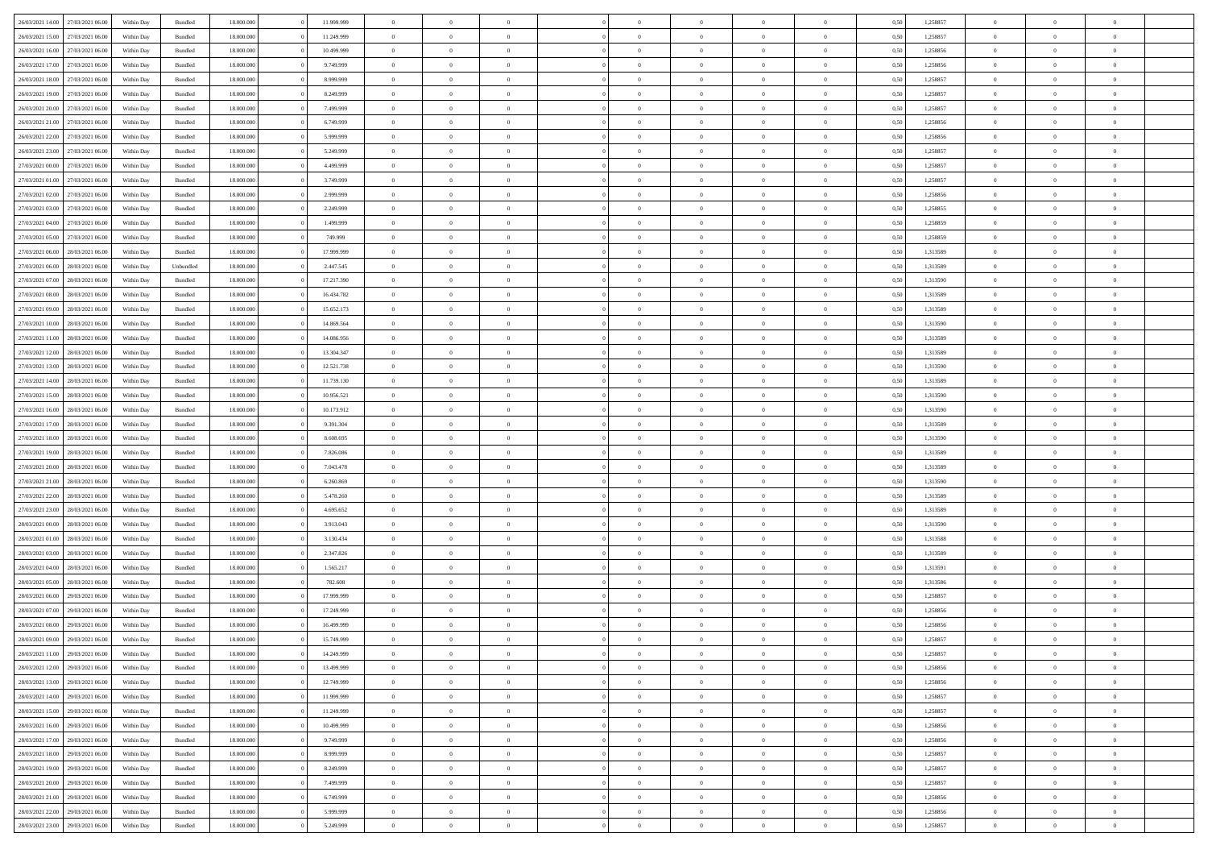| 26/03/2021 14:00 | 27/03/2021 06:00 | Within Day | Bundled            | 18.000.000 | 11.999.999 | $\overline{0}$ | $\theta$       |                | $\Omega$       | $\Omega$       | $\Omega$       | $\theta$       | 0.50 | 1,258857 | $\theta$       | $\overline{0}$ | $\theta$       |  |
|------------------|------------------|------------|--------------------|------------|------------|----------------|----------------|----------------|----------------|----------------|----------------|----------------|------|----------|----------------|----------------|----------------|--|
|                  |                  |            |                    |            |            |                |                |                |                |                |                |                |      |          |                |                |                |  |
| 26/03/2021 15:00 | 27/03/2021 06.00 | Within Day | Bundled            | 18.000.000 | 11.249.999 | $\overline{0}$ | $\theta$       | $\overline{0}$ | $\overline{0}$ | $\bf{0}$       | $\overline{0}$ | $\overline{0}$ | 0,50 | 1,258857 | $\theta$       | $\overline{0}$ | $\overline{0}$ |  |
| 26/03/2021 16:00 | 27/03/2021 06:00 | Within Day | Bundled            | 18.000.000 | 10.499.999 | $\overline{0}$ | $\overline{0}$ | $\overline{0}$ | $\overline{0}$ | $\bf{0}$       | $\overline{0}$ | $\bf{0}$       | 0,50 | 1,258856 | $\bf{0}$       | $\overline{0}$ | $\overline{0}$ |  |
| 26/03/2021 17:00 | 27/03/2021 06:00 | Within Dav | Bundled            | 18.000.000 | 9.749.999  | $\overline{0}$ | $\theta$       | $\overline{0}$ | $\overline{0}$ | $\bf{0}$       | $\overline{0}$ | $\overline{0}$ | 0.50 | 1.258856 | $\theta$       | $\theta$       | $\overline{0}$ |  |
| 26/03/2021 18:00 | 27/03/2021 06.00 | Within Day | Bundled            | 18.000.000 | 8.999.999  | $\overline{0}$ | $\theta$       | $\overline{0}$ | $\overline{0}$ | $\bf{0}$       | $\overline{0}$ | $\bf{0}$       | 0,50 | 1,258857 | $\theta$       | $\theta$       | $\overline{0}$ |  |
| 26/03/2021 19:00 | 27/03/2021 06:00 | Within Day | Bundled            | 18.000.000 | 8.249.999  | $\overline{0}$ | $\bf{0}$       | $\overline{0}$ | $\overline{0}$ | $\overline{0}$ | $\overline{0}$ | $\mathbf{0}$   | 0,50 | 1,258857 | $\bf{0}$       | $\overline{0}$ | $\bf{0}$       |  |
|                  |                  |            |                    |            |            |                |                |                |                |                |                |                |      |          |                |                |                |  |
| 26/03/2021 20:00 | 27/03/2021 06:00 | Within Dav | Bundled            | 18.000.000 | 7.499.999  | $\overline{0}$ | $\overline{0}$ | $\overline{0}$ | $\overline{0}$ | $\bf{0}$       | $\overline{0}$ | $\overline{0}$ | 0.50 | 1,258857 | $\theta$       | $\overline{0}$ | $\overline{0}$ |  |
| 26/03/2021 21:00 | 27/03/2021 06.00 | Within Day | Bundled            | 18.000.000 | 6.749.999  | $\overline{0}$ | $\theta$       | $\overline{0}$ | $\overline{0}$ | $\bf{0}$       | $\overline{0}$ | $\bf{0}$       | 0,50 | 1,258856 | $\theta$       | $\theta$       | $\overline{0}$ |  |
| 26/03/2021 22:00 | 27/03/2021 06:00 | Within Day | Bundled            | 18.000.000 | 5.999.999  | $\overline{0}$ | $\overline{0}$ | $\overline{0}$ | $\overline{0}$ | $\bf{0}$       | $\overline{0}$ | $\bf{0}$       | 0,50 | 1,258856 | $\,0\,$        | $\overline{0}$ | $\overline{0}$ |  |
| 26/03/2021 23:00 | 27/03/2021 06:00 | Within Dav | Bundled            | 18.000.000 | 5.249.999  | $\overline{0}$ | $\overline{0}$ | $\overline{0}$ | $\overline{0}$ | $\overline{0}$ | $\overline{0}$ | $\overline{0}$ | 0.50 | 1,258857 | $\theta$       | $\overline{0}$ | $\overline{0}$ |  |
| 27/03/2021 00:00 | 27/03/2021 06.00 | Within Day | Bundled            | 18.000.000 | 4.499.999  | $\overline{0}$ | $\theta$       | $\overline{0}$ | $\overline{0}$ | $\bf{0}$       | $\overline{0}$ | $\bf{0}$       | 0,50 | 1,258857 | $\theta$       | $\theta$       | $\overline{0}$ |  |
| 27/03/2021 01:00 | 27/03/2021 06:00 | Within Day | Bundled            | 18.000.000 | 3.749.999  | $\overline{0}$ | $\overline{0}$ | $\overline{0}$ | $\overline{0}$ | $\bf{0}$       | $\overline{0}$ | $\bf{0}$       | 0,50 | 1,258857 | $\bf{0}$       | $\overline{0}$ | $\overline{0}$ |  |
| 27/03/2021 02:00 | 27/03/2021 06:00 | Within Day | Bundled            | 18.000.000 | 2.999.999  | $\overline{0}$ | $\overline{0}$ | $\overline{0}$ | $\overline{0}$ | $\bf{0}$       | $\overline{0}$ | $\overline{0}$ | 0.50 | 1.258856 | $\theta$       | $\theta$       | $\overline{0}$ |  |
|                  |                  |            |                    |            |            |                |                |                |                |                |                |                |      |          |                |                |                |  |
| 27/03/2021 03:00 | 27/03/2021 06.00 | Within Day | Bundled            | 18.000.000 | 2.249.999  | $\overline{0}$ | $\theta$       | $\overline{0}$ | $\overline{0}$ | $\bf{0}$       | $\overline{0}$ | $\overline{0}$ | 0,50 | 1,258855 | $\theta$       | $\theta$       | $\overline{0}$ |  |
| 27/03/2021 04:00 | 27/03/2021 06:00 | Within Day | Bundled            | 18.000.000 | 1.499.999  | $\overline{0}$ | $\bf{0}$       | $\overline{0}$ | $\overline{0}$ | $\overline{0}$ | $\overline{0}$ | $\mathbf{0}$   | 0,50 | 1,258859 | $\bf{0}$       | $\overline{0}$ | $\bf{0}$       |  |
| 27/03/2021 05:00 | 27/03/2021 06:00 | Within Dav | Bundled            | 18.000.000 | 749.999    | $\overline{0}$ | $\overline{0}$ | $\overline{0}$ | $\overline{0}$ | $\overline{0}$ | $\overline{0}$ | $\overline{0}$ | 0.50 | 1,258859 | $\theta$       | $\overline{0}$ | $\overline{0}$ |  |
| 27/03/2021 06:00 | 28/03/2021 06:00 | Within Day | Bundled            | 18.000.000 | 17.999.999 | $\overline{0}$ | $\theta$       | $\overline{0}$ | $\overline{0}$ | $\bf{0}$       | $\overline{0}$ | $\bf{0}$       | 0,50 | 1,313589 | $\theta$       | $\theta$       | $\overline{0}$ |  |
| 27/03/2021 06:00 | 28/03/2021 06:00 | Within Day | Unbundled          | 18.000.000 | 2.447.545  | $\overline{0}$ | $\overline{0}$ | $\overline{0}$ | $\overline{0}$ | $\bf{0}$       | $\overline{0}$ | $\bf{0}$       | 0,50 | 1,313589 | $\,0\,$        | $\overline{0}$ | $\overline{0}$ |  |
| 27/03/2021 07:00 | 28/03/2021 06:00 | Within Day | Bundled            | 18.000.000 | 17.217.390 | $\overline{0}$ | $\overline{0}$ | $\overline{0}$ | $\overline{0}$ | $\overline{0}$ | $\overline{0}$ | $\overline{0}$ | 0.50 | 1,313590 | $\theta$       | $\overline{0}$ | $\overline{0}$ |  |
|                  |                  |            |                    |            |            |                |                |                |                |                |                |                |      |          |                |                |                |  |
| 27/03/2021 08:00 | 28/03/2021 06:00 | Within Day | Bundled            | 18.000.000 | 16.434.782 | $\overline{0}$ | $\theta$       | $\overline{0}$ | $\overline{0}$ | $\bf{0}$       | $\overline{0}$ | $\bf{0}$       | 0,50 | 1,313589 | $\theta$       | $\theta$       | $\overline{0}$ |  |
| 27/03/2021 09:00 | 28/03/2021 06:00 | Within Day | Bundled            | 18.000.000 | 15.652.173 | $\overline{0}$ | $\overline{0}$ | $\overline{0}$ | $\overline{0}$ | $\bf{0}$       | $\overline{0}$ | $\bf{0}$       | 0,50 | 1,313589 | $\,0\,$        | $\overline{0}$ | $\overline{0}$ |  |
| 27/03/2021 10:00 | 28/03/2021 06:00 | Within Day | Bundled            | 18.000.000 | 14.869.564 | $\overline{0}$ | $\overline{0}$ | $\overline{0}$ | $\overline{0}$ | $\bf{0}$       | $\overline{0}$ | $\overline{0}$ | 0.50 | 1,313590 | $\theta$       | $\theta$       | $\overline{0}$ |  |
| 27/03/2021 11:00 | 28/03/2021 06:00 | Within Day | Bundled            | 18.000.000 | 14.086.956 | $\overline{0}$ | $\theta$       | $\overline{0}$ | $\overline{0}$ | $\bf{0}$       | $\overline{0}$ | $\bf{0}$       | 0,50 | 1,313589 | $\theta$       | $\overline{0}$ | $\overline{0}$ |  |
| 27/03/2021 12:00 | 28/03/2021 06:00 | Within Day | Bundled            | 18.000.000 | 13.304.347 | $\overline{0}$ | $\bf{0}$       | $\overline{0}$ | $\overline{0}$ | $\overline{0}$ | $\overline{0}$ | $\mathbf{0}$   | 0,50 | 1,313589 | $\overline{0}$ | $\overline{0}$ | $\bf{0}$       |  |
| 27/03/2021 13:00 | 28/03/2021 06:00 | Within Dav | Bundled            | 18.000.000 | 12.521.738 | $\overline{0}$ | $\overline{0}$ | $\overline{0}$ | $\overline{0}$ | $\overline{0}$ | $\overline{0}$ | $\overline{0}$ | 0.50 | 1,313590 | $\theta$       | $\overline{0}$ | $\overline{0}$ |  |
|                  |                  |            |                    |            |            |                |                |                |                |                |                |                |      |          |                |                |                |  |
| 27/03/2021 14:00 | 28/03/2021 06:00 | Within Day | Bundled            | 18.000.000 | 11.739.130 | $\overline{0}$ | $\theta$       | $\overline{0}$ | $\overline{0}$ | $\bf{0}$       | $\overline{0}$ | $\bf{0}$       | 0,50 | 1,313589 | $\theta$       | $\theta$       | $\overline{0}$ |  |
| 27/03/2021 15:00 | 28/03/2021 06:00 | Within Day | Bundled            | 18.000.000 | 10.956.521 | $\overline{0}$ | $\overline{0}$ | $\overline{0}$ | $\overline{0}$ | $\bf{0}$       | $\overline{0}$ | $\bf{0}$       | 0,50 | 1,313590 | $\,0\,$        | $\overline{0}$ | $\overline{0}$ |  |
| 27/03/2021 16:00 | 28/03/2021 06:00 | Within Day | Bundled            | 18.000.000 | 10.173.912 | $\overline{0}$ | $\overline{0}$ | $\overline{0}$ | $\overline{0}$ | $\overline{0}$ | $\overline{0}$ | $\overline{0}$ | 0.50 | 1,313590 | $\theta$       | $\overline{0}$ | $\overline{0}$ |  |
| 27/03/2021 17:00 | 28/03/2021 06:00 | Within Day | Bundled            | 18.000.000 | 9.391.304  | $\overline{0}$ | $\theta$       | $\overline{0}$ | $\overline{0}$ | $\bf{0}$       | $\overline{0}$ | $\bf{0}$       | 0,50 | 1,313589 | $\,$ 0 $\,$    | $\theta$       | $\overline{0}$ |  |
| 27/03/2021 18:00 | 28/03/2021 06:00 | Within Day | Bundled            | 18.000.000 | 8.608.695  | $\overline{0}$ | $\overline{0}$ | $\overline{0}$ | $\overline{0}$ | $\bf{0}$       | $\overline{0}$ | $\bf{0}$       | 0,50 | 1,313590 | $\bf{0}$       | $\overline{0}$ | $\overline{0}$ |  |
| 27/03/2021 19:00 | 28/03/2021 06:00 | Within Day | Bundled            | 18.000.000 | 7.826.086  | $\overline{0}$ | $\Omega$       | $\Omega$       | $\Omega$       | $\Omega$       | $\Omega$       | $\overline{0}$ | 0.50 | 1,313589 | $\,0\,$        | $\theta$       | $\theta$       |  |
| 27/03/2021 20:00 | 28/03/2021 06:00 | Within Day | Bundled            | 18.000.000 | 7.043.478  | $\overline{0}$ | $\theta$       | $\overline{0}$ | $\overline{0}$ | $\bf{0}$       | $\overline{0}$ | $\bf{0}$       | 0,50 | 1,313589 | $\theta$       | $\theta$       | $\overline{0}$ |  |
|                  |                  |            |                    |            |            |                |                |                |                |                |                |                |      |          |                |                |                |  |
| 27/03/2021 21:00 | 28/03/2021 06:00 | Within Day | Bundled            | 18.000.000 | 6.260.869  | $\overline{0}$ | $\overline{0}$ | $\overline{0}$ | $\overline{0}$ | $\bf{0}$       | $\overline{0}$ | $\mathbf{0}$   | 0,50 | 1,313590 | $\overline{0}$ | $\overline{0}$ | $\bf{0}$       |  |
| 27/03/2021 22:00 | 28/03/2021 06:00 | Within Day | Bundled            | 18,000,000 | 5.478.260  | $\overline{0}$ | $\Omega$       | $\Omega$       | $\Omega$       | $\Omega$       | $\Omega$       | $\overline{0}$ | 0.50 | 1,313589 | $\,0\,$        | $\theta$       | $\theta$       |  |
| 27/03/2021 23:00 | 28/03/2021 06:00 | Within Day | Bundled            | 18.000.000 | 4.695.652  | $\overline{0}$ | $\theta$       | $\overline{0}$ | $\overline{0}$ | $\bf{0}$       | $\overline{0}$ | $\bf{0}$       | 0,50 | 1,313589 | $\theta$       | $\theta$       | $\overline{0}$ |  |
| 28/03/2021 00:00 | 28/03/2021 06:00 | Within Day | Bundled            | 18.000.000 | 3.913.043  | $\overline{0}$ | $\overline{0}$ | $\overline{0}$ | $\overline{0}$ | $\bf{0}$       | $\overline{0}$ | $\bf{0}$       | 0,50 | 1,313590 | $\,0\,$        | $\overline{0}$ | $\overline{0}$ |  |
| 28/03/2021 01:00 | 28/03/2021 06:00 | Within Day | Bundled            | 18,000,000 | 3.130.434  | $\overline{0}$ | $\Omega$       | $\Omega$       | $\Omega$       | $\Omega$       | $\theta$       | $\overline{0}$ | 0.50 | 1,313588 | $\theta$       | $\theta$       | $\theta$       |  |
| 28/03/2021 03:00 | 28/03/2021 06:00 | Within Day | Bundled            | 18.000.000 | 2.347.826  | $\overline{0}$ | $\theta$       | $\overline{0}$ | $\overline{0}$ | $\bf{0}$       | $\overline{0}$ | $\bf{0}$       | 0,50 | 1,313589 | $\,$ 0 $\,$    | $\overline{0}$ | $\overline{0}$ |  |
| 28/03/2021 04:00 | 28/03/2021 06:00 | Within Day | Bundled            | 18.000.000 | 1.565.217  | $\overline{0}$ | $\overline{0}$ | $\overline{0}$ | $\overline{0}$ | $\bf{0}$       | $\overline{0}$ | $\bf{0}$       | 0,50 | 1,313591 | $\overline{0}$ | $\overline{0}$ | $\overline{0}$ |  |
|                  |                  |            |                    |            |            |                |                |                |                |                |                |                |      |          |                |                |                |  |
| 28/03/2021 05:00 | 28/03/2021 06:00 | Within Day | Bundled            | 18.000.000 | 782.608    | $\overline{0}$ | $\Omega$       | $\Omega$       | $\Omega$       | $\Omega$       | $\overline{0}$ | $\overline{0}$ | 0.50 | 1,313586 | $\,0\,$        | $\theta$       | $\theta$       |  |
| 28/03/2021 06:00 | 29/03/2021 06:00 | Within Day | Bundled            | 18.000.000 | 17.999.999 | $\overline{0}$ | $\theta$       | $\overline{0}$ | $\overline{0}$ | $\bf{0}$       | $\overline{0}$ | $\bf{0}$       | 0,50 | 1,258857 | $\,$ 0 $\,$    | $\theta$       | $\overline{0}$ |  |
| 28/03/2021 07:00 | 29/03/2021 06:00 | Within Day | Bundled            | 18.000.000 | 17.249.999 | $\overline{0}$ | $\overline{0}$ | $\overline{0}$ | $\overline{0}$ | $\bf{0}$       | $\bf{0}$       | $\mathbf{0}$   | 0,50 | 1,258856 | $\bf{0}$       | $\overline{0}$ | $\bf{0}$       |  |
| 28/03/2021 08:00 | 29/03/2021 06:00 | Within Day | Bundled            | 18,000,000 | 16.499.999 | $\overline{0}$ | $\Omega$       | $\Omega$       | $\Omega$       | $\Omega$       | $\Omega$       | $\overline{0}$ | 0.50 | 1,258856 | $\theta$       | $\theta$       | $\theta$       |  |
| 28/03/2021 09:00 | 29/03/2021 06:00 | Within Day | Bundled            | 18.000.000 | 15.749.999 | $\overline{0}$ | $\overline{0}$ | $\overline{0}$ | $\bf{0}$       | $\,$ 0         | $\bf{0}$       | $\bf{0}$       | 0,50 | 1,258857 | $\,0\,$        | $\overline{0}$ | $\overline{0}$ |  |
| 28/03/2021 11:00 | 29/03/2021 06:00 | Within Day | $\mathbf B$ undled | 18.000.000 | 14.249.999 | $\bf{0}$       | $\bf{0}$       |                |                |                |                |                | 0,50 | 1,258857 | $\bf{0}$       | $\overline{0}$ |                |  |
| 28/03/2021 12:00 | 29/03/2021 06:00 | Within Day | Bundled            | 18,000,000 | 13,499.999 | $\overline{0}$ | $\Omega$       | $\overline{0}$ | $\Omega$       | $\theta$       | $\overline{0}$ | $\overline{0}$ | 0.50 | 1,258856 | $\theta$       | $\theta$       | $\theta$       |  |
|                  |                  |            |                    |            |            |                |                |                |                |                |                |                |      |          |                |                |                |  |
| 28/03/2021 13:00 | 29/03/2021 06:00 | Within Day | Bundled            | 18.000.000 | 12.749.999 | $\overline{0}$ | $\,$ 0         | $\overline{0}$ | $\bf{0}$       | $\,$ 0 $\,$    | $\overline{0}$ | $\mathbf{0}$   | 0,50 | 1,258856 | $\,$ 0 $\,$    | $\,$ 0 $\,$    | $\,$ 0         |  |
| 28/03/2021 14:00 | 29/03/2021 06:00 | Within Day | Bundled            | 18.000.000 | 11.999.999 | $\overline{0}$ | $\overline{0}$ | $\overline{0}$ | $\overline{0}$ | $\overline{0}$ | $\overline{0}$ | $\mathbf{0}$   | 0,50 | 1,258857 | $\overline{0}$ | $\bf{0}$       | $\bf{0}$       |  |
| 28/03/2021 15:00 | 29/03/2021 06:00 | Within Day | Bundled            | 18,000,000 | 11.249.999 | $\overline{0}$ | $\overline{0}$ | $\overline{0}$ | $\Omega$       | $\overline{0}$ | $\overline{0}$ | $\bf{0}$       | 0,50 | 1,258857 | $\bf{0}$       | $\theta$       | $\overline{0}$ |  |
| 28/03/2021 16:00 | 29/03/2021 06:00 | Within Day | Bundled            | 18.000.000 | 10.499.999 | $\overline{0}$ | $\,$ 0         | $\overline{0}$ | $\overline{0}$ | $\overline{0}$ | $\overline{0}$ | $\bf{0}$       | 0,50 | 1,258856 | $\,$ 0 $\,$    | $\overline{0}$ | $\overline{0}$ |  |
| 28/03/2021 17:00 | 29/03/2021 06:00 | Within Day | Bundled            | 18.000.000 | 9.749.999  | $\overline{0}$ | $\overline{0}$ | $\overline{0}$ | $\overline{0}$ | $\overline{0}$ | $\overline{0}$ | $\mathbf{0}$   | 0,50 | 1,258856 | $\overline{0}$ | $\bf{0}$       | $\bf{0}$       |  |
| 28/03/2021 18:00 | 29/03/2021 06:00 | Within Day | Bundled            | 18,000,000 | 8,999,999  | $\overline{0}$ | $\overline{0}$ | $\overline{0}$ | $\Omega$       | $\overline{0}$ | $\overline{0}$ | $\bf{0}$       | 0.50 | 1,258857 | $\overline{0}$ | $\theta$       | $\overline{0}$ |  |
|                  |                  |            |                    |            |            |                | $\,$ 0         | $\overline{0}$ |                |                |                |                |      |          | $\,$ 0 $\,$    |                |                |  |
| 28/03/2021 19:00 | 29/03/2021 06:00 | Within Day | Bundled            | 18.000.000 | 8.249.999  | $\overline{0}$ |                |                | $\bf{0}$       | $\bf{0}$       | $\bf{0}$       | $\bf{0}$       | 0,50 | 1,258857 |                | $\overline{0}$ | $\overline{0}$ |  |
| 28/03/2021 20:00 | 29/03/2021 06:00 | Within Day | Bundled            | 18.000.000 | 7.499.999  | $\overline{0}$ | $\bf{0}$       | $\overline{0}$ | $\overline{0}$ | $\overline{0}$ | $\overline{0}$ | $\mathbf{0}$   | 0,50 | 1,258857 | $\overline{0}$ | $\overline{0}$ | $\bf{0}$       |  |
| 28/03/2021 21:00 | 29/03/2021 06:00 | Within Day | Bundled            | 18,000,000 | 6.749.999  | $\overline{0}$ | $\overline{0}$ | $\overline{0}$ | $\Omega$       | $\overline{0}$ | $\overline{0}$ | $\bf{0}$       | 0.50 | 1,258856 | $\overline{0}$ | $\overline{0}$ | $\overline{0}$ |  |
| 28/03/2021 22:00 | 29/03/2021 06:00 | Within Day | Bundled            | 18.000.000 | 5.999.999  | $\overline{0}$ | $\,$ 0 $\,$    | $\overline{0}$ | $\overline{0}$ | $\bf{0}$       | $\bf{0}$       | $\bf{0}$       | 0,50 | 1,258856 | $\,$ 0 $\,$    | $\,$ 0 $\,$    | $\bf{0}$       |  |
| 28/03/2021 23:00 | 29/03/2021 06:00 | Within Day | Bundled            | 18.000.000 | 5.249.999  | $\overline{0}$ | $\bf{0}$       | $\overline{0}$ | $\bf{0}$       | $\bf{0}$       | $\bf{0}$       | $\bf{0}$       | 0,50 | 1,258857 | $\overline{0}$ | $\overline{0}$ | $\bf{0}$       |  |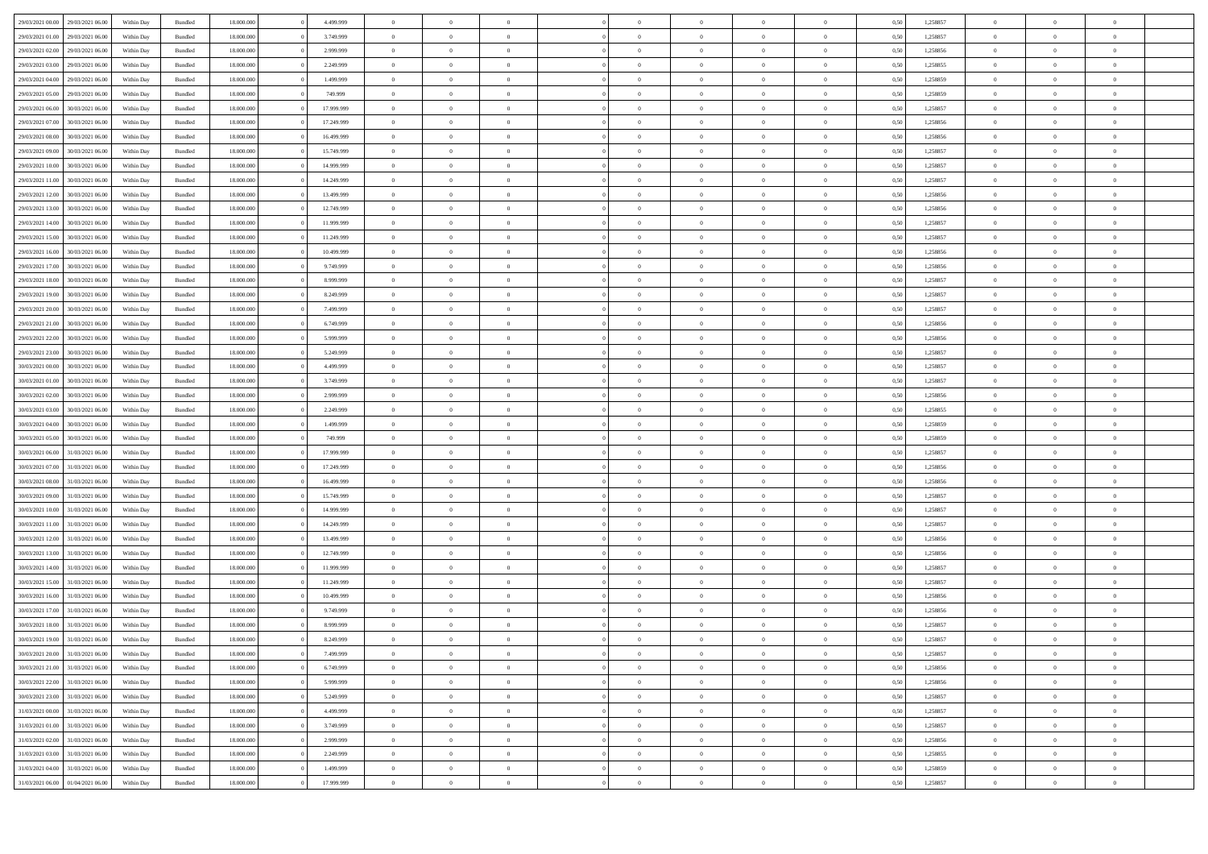| 29/03/2021 00:00                  | 29/03/2021 06:00 | Within Day | Bundled | 18,000,000 | 4.499.999  |                |                |                |                |                |                |                | 0.50 | 1.258857 | $\Omega$       |                |                |  |
|-----------------------------------|------------------|------------|---------|------------|------------|----------------|----------------|----------------|----------------|----------------|----------------|----------------|------|----------|----------------|----------------|----------------|--|
| 29/03/2021 01:00                  | 29/03/2021 06:00 | Within Day | Bundled | 18.000.000 | 3.749.999  | $\overline{0}$ | $\overline{0}$ | $\overline{0}$ | $\overline{0}$ | $\,$ 0         | $\overline{0}$ | $\bf{0}$       | 0,50 | 1,258857 | $\,0\,$        | $\overline{0}$ | $\bf{0}$       |  |
| 29/03/2021 02:00                  | 29/03/2021 06.00 | Within Day | Bundled | 18.000.000 | 2.999.999  | $\overline{0}$ | $\bf{0}$       | $\overline{0}$ | $\Omega$       | $\bf{0}$       | $\overline{0}$ | $\bf{0}$       | 0,50 | 1,258856 | $\bf{0}$       | $\overline{0}$ | $\overline{0}$ |  |
| 29/03/2021 03:00                  | 29/03/2021 06:00 | Within Day | Bundled | 18.000.000 | 2.249.999  | $\overline{0}$ | $\overline{0}$ | $^{\circ}$     | $\Omega$       | $\overline{0}$ | $\overline{0}$ | $\bf{0}$       | 0.50 | 1,258855 | $\overline{0}$ | $\overline{0}$ | $^{\circ}$     |  |
| 29/03/2021 04:00                  | 29/03/2021 06:00 | Within Day | Bundled | 18.000.000 | 1.499.999  | $\overline{0}$ | $\overline{0}$ | $\overline{0}$ | $\overline{0}$ | $\,$ 0         | $\overline{0}$ | $\bf{0}$       | 0,50 | 1,258859 | $\,0\,$        | $\overline{0}$ | $\bf{0}$       |  |
| 29/03/2021 05:00                  | 29/03/2021 06.00 | Within Day | Bundled | 18.000.000 | 749.999    | $\overline{0}$ | $\overline{0}$ | $\overline{0}$ | $\Omega$       | $\bf{0}$       | $\overline{0}$ | $\bf{0}$       | 0,50 | 1,258859 | $\bf{0}$       | $\overline{0}$ | $\overline{0}$ |  |
| 29/03/2021 06:00                  | 30/03/2021 06:00 | Within Day | Bundled | 18.000.000 | 17.999.999 | $\overline{0}$ | $\overline{0}$ | $\Omega$       | $\Omega$       | $\overline{0}$ | $\overline{0}$ | $\bf{0}$       | 0.50 | 1,258857 | $\overline{0}$ | $\overline{0}$ | $^{\circ}$     |  |
| 29/03/2021 07:00                  | 30/03/2021 06:00 | Within Day | Bundled | 18.000.000 | 17.249.999 | $\overline{0}$ | $\overline{0}$ | $\overline{0}$ | $\overline{0}$ | $\,$ 0 $\,$    | $\overline{0}$ | $\bf{0}$       | 0,50 | 1,258856 | $\,0\,$        | $\overline{0}$ | $\,$ 0 $\,$    |  |
| 29/03/2021 08:00                  | 30/03/2021 06.00 | Within Day | Bundled | 18.000.000 | 16.499.999 | $\overline{0}$ | $\overline{0}$ | $\overline{0}$ | $\Omega$       | $\bf{0}$       | $\overline{0}$ | $\bf{0}$       | 0,50 | 1,258856 | $\bf{0}$       | $\overline{0}$ | $\bf{0}$       |  |
| 29/03/2021 09:00                  | 30/03/2021 06:00 | Within Day | Bundled | 18.000.000 | 15.749.999 | $\overline{0}$ | $\Omega$       | $^{\circ}$     | $\Omega$       | $\overline{0}$ | $\overline{0}$ | $\Omega$       | 0,50 | 1,258857 | $\overline{0}$ | $\overline{0}$ | $^{\circ}$     |  |
| 29/03/2021 10:00                  | 30/03/2021 06:00 | Within Day | Bundled | 18.000.000 | 14.999.999 | $\overline{0}$ | $\overline{0}$ | $\overline{0}$ | $\overline{0}$ | $\,$ 0         | $\overline{0}$ | $\bf{0}$       | 0,50 | 1,258857 | $\,0\,$        | $\bf{0}$       | $\bf{0}$       |  |
| 29/03/2021 11:00                  | 30/03/2021 06.00 | Within Day | Bundled | 18.000.000 | 14.249.999 | $\overline{0}$ | $\bf{0}$       | $\overline{0}$ | $\overline{0}$ | $\bf{0}$       | $\overline{0}$ | $\bf{0}$       | 0,50 | 1,258857 | $\bf{0}$       | $\overline{0}$ | $\bf{0}$       |  |
| 29/03/2021 12:00                  | 30/03/2021 06:00 | Within Day | Bundled | 18.000.000 | 13.499.999 | $\overline{0}$ | $\overline{0}$ | $\Omega$       | $\Omega$       | $\overline{0}$ | $\overline{0}$ | $\bf{0}$       | 0,50 | 1,258856 | $\overline{0}$ | $\overline{0}$ | $^{\circ}$     |  |
| 29/03/2021 13:00                  | 30/03/2021 06:00 | Within Day | Bundled | 18.000.000 | 12.749.999 | $\overline{0}$ | $\overline{0}$ | $\overline{0}$ | $\overline{0}$ | $\,$ 0         | $\overline{0}$ | $\bf{0}$       | 0,50 | 1,258856 | $\,0\,$        | $\overline{0}$ | $\bf{0}$       |  |
| 29/03/2021 14:00                  | 30/03/2021 06.00 | Within Day | Bundled | 18.000.000 | 11.999.999 | $\overline{0}$ | $\overline{0}$ | $\overline{0}$ |                | $\bf{0}$       | $\overline{0}$ | $\bf{0}$       | 0,50 | 1,258857 | $\bf{0}$       | $\overline{0}$ | $\overline{0}$ |  |
| 29/03/2021 15:00                  | 30/03/2021 06:00 | Within Day | Bundled | 18.000.000 | 11.249.999 | $\overline{0}$ | $\overline{0}$ | $^{\circ}$     | $\Omega$       | $\overline{0}$ | $\overline{0}$ | $\bf{0}$       | 0.50 | 1,258857 | $\overline{0}$ | $\overline{0}$ | $^{\circ}$     |  |
| 29/03/2021 16:00                  | 30/03/2021 06:00 | Within Day | Bundled | 18.000.000 | 10.499.999 | $\overline{0}$ | $\overline{0}$ | $\overline{0}$ | $\overline{0}$ | $\,$ 0         | $\overline{0}$ | $\bf{0}$       | 0,50 | 1,258856 | $\,0\,$        | $\overline{0}$ | $\bf{0}$       |  |
| 29/03/2021 17:00                  | 30/03/2021 06.00 | Within Day | Bundled | 18.000.000 | 9.749.999  | $\overline{0}$ | $\overline{0}$ | $\overline{0}$ | $\Omega$       | $\bf{0}$       | $\overline{0}$ | $\bf{0}$       | 0,50 | 1,258856 | $\bf{0}$       | $\overline{0}$ | $\bf{0}$       |  |
| 29/03/2021 18:00                  | 30/03/2021 06:00 | Within Day | Bundled | 18.000.000 | 8.999.999  | $\overline{0}$ | $\Omega$       | $\Omega$       |                | $\overline{0}$ | $\Omega$       | $\theta$       | 0,50 | 1,258857 | $\overline{0}$ | $\overline{0}$ | $^{\circ}$     |  |
| 29/03/2021 19:00                  | 30/03/2021 06:00 | Within Day | Bundled | 18.000.000 | 8.249.999  | $\overline{0}$ | $\overline{0}$ | $\overline{0}$ | $\overline{0}$ | $\,$ 0         | $\overline{0}$ | $\bf{0}$       | 0,50 | 1,258857 | $\,0\,$        | $\overline{0}$ | $\bf{0}$       |  |
| 29/03/2021 20:00                  | 30/03/2021 06.00 | Within Day | Bundled | 18.000.000 | 7.499.999  | $\overline{0}$ | $\bf{0}$       | $\overline{0}$ | $\Omega$       | $\bf{0}$       | $\overline{0}$ | $\bf{0}$       | 0,50 | 1,258857 | $\bf{0}$       | $\overline{0}$ | $\bf{0}$       |  |
| 29/03/2021 21:00                  | 30/03/2021 06:00 | Within Day | Bundled | 18.000.000 | 6.749.999  | $\overline{0}$ | $\overline{0}$ | $\Omega$       | $\Omega$       | $\overline{0}$ | $\overline{0}$ | $\Omega$       | 0.50 | 1,258856 | $\overline{0}$ | $\overline{0}$ | $^{\circ}$     |  |
|                                   |                  |            |         |            |            |                | $\overline{0}$ | $\overline{0}$ | $\overline{0}$ | $\,$ 0         |                |                |      |          | $\,0\,$        | $\overline{0}$ |                |  |
| 29/03/2021 22.00                  | 30/03/2021 06:00 | Within Day | Bundled | 18.000.000 | 5.999.999  | $\overline{0}$ |                |                |                |                | $\overline{0}$ | $\bf{0}$       | 0,50 | 1,258856 |                |                | $\bf{0}$       |  |
| 29/03/2021 23:00                  | 30/03/2021 06.00 | Within Day | Bundled | 18.000.000 | 5.249.999  | $\overline{0}$ | $\overline{0}$ | $\overline{0}$ | $\Omega$       | $\bf{0}$       | $\overline{0}$ | $\bf{0}$       | 0,50 | 1,258857 | $\bf{0}$       | $\overline{0}$ | $\overline{0}$ |  |
| 30/03/2021 00:00                  | 30/03/2021 06:00 | Within Day | Bundled | 18.000.000 | 4.499.999  | $\overline{0}$ | $\overline{0}$ | $\Omega$       | $\Omega$       | $\overline{0}$ | $\overline{0}$ | $\bf{0}$       | 0.50 | 1,258857 | $\overline{0}$ | $\overline{0}$ | $^{\circ}$     |  |
| 30/03/2021 01:00                  | 30/03/2021 06:00 | Within Day | Bundled | 18.000.000 | 3.749.999  | $\overline{0}$ | $\overline{0}$ | $\overline{0}$ | $\overline{0}$ | $\,$ 0         | $\overline{0}$ | $\bf{0}$       | 0,50 | 1,258857 | $\,0\,$        | $\overline{0}$ | $\bf{0}$       |  |
| 30/03/2021 02:00                  | 30/03/2021 06.00 | Within Day | Bundled | 18.000.000 | 2.999.999  | $\overline{0}$ | $\overline{0}$ | $\overline{0}$ | $\Omega$       | $\bf{0}$       | $\overline{0}$ | $\bf{0}$       | 0,50 | 1,258856 | $\bf{0}$       | $\overline{0}$ | $\bf{0}$       |  |
| 30/03/2021 03:00                  | 30/03/2021 06:00 | Within Day | Bundled | 18.000.000 | 2.249.999  | $\overline{0}$ | $\Omega$       |                |                | $\Omega$       | $\Omega$       | $\Omega$       | 0,50 | 1,258855 | $\overline{0}$ | $\Omega$       | $^{\circ}$     |  |
| 30/03/2021 04:00                  | 30/03/2021 06:00 | Within Day | Bundled | 18.000.000 | 1.499.999  | $\overline{0}$ | $\overline{0}$ | $\overline{0}$ | $\overline{0}$ | $\,$ 0         | $\overline{0}$ | $\bf{0}$       | 0,50 | 1,258859 | $\bf{0}$       | $\bf{0}$       | $\bf{0}$       |  |
| 30/03/2021 05:00                  | 30/03/2021 06.00 | Within Day | Bundled | 18.000.000 | 749.999    | $\overline{0}$ | $\bf{0}$       | $\overline{0}$ | $\overline{0}$ | $\bf{0}$       | $\overline{0}$ | $\bf{0}$       | 0,50 | 1,258859 | $\bf{0}$       | $\overline{0}$ | $\bf{0}$       |  |
| 30/03/2021 06:00                  | 31/03/2021 06:00 | Within Day | Bundled | 18,000,000 | 17.999.999 | $\overline{0}$ | $\Omega$       | $\Omega$       | $^{\circ}$     | $\Omega$       | $\Omega$       | $\theta$       | 0.50 | 1,258857 | $\overline{0}$ | $\Omega$       | $\Omega$       |  |
| 30/03/2021 07:00                  | 31/03/2021 06:00 | Within Day | Bundled | 18.000.000 | 17.249.999 | $\overline{0}$ | $\overline{0}$ | $\overline{0}$ | $\overline{0}$ | $\,$ 0         | $\overline{0}$ | $\bf{0}$       | 0,50 | 1,258856 | $\,0\,$        | $\overline{0}$ | $\bf{0}$       |  |
| 30/03/2021 08:00                  | 31/03/2021 06.00 | Within Day | Bundled | 18.000.000 | 16.499.999 | $\overline{0}$ | $\overline{0}$ | $\overline{0}$ | $\Omega$       | $\bf{0}$       | $\overline{0}$ | $\bf{0}$       | 0,50 | 1,258856 | $\bf{0}$       | $\overline{0}$ | $\overline{0}$ |  |
| 30/03/2021 09:00                  | 31/03/2021 06:00 | Within Day | Bundled | 18,000,000 | 15.749.999 | $\overline{0}$ | $\Omega$       | $\sqrt{2}$     | $\Omega$       | $\Omega$       | $\Omega$       | $\Omega$       | 0.50 | 1.258857 | $\overline{0}$ | $\Omega$       | $^{\circ}$     |  |
| 30/03/2021 10:00                  | 31/03/2021 06:00 | Within Day | Bundled | 18.000.000 | 14.999.999 | $\overline{0}$ | $\overline{0}$ | $\overline{0}$ | $\overline{0}$ | $\,$ 0         | $\overline{0}$ | $\bf{0}$       | 0,50 | 1,258857 | $\,0\,$        | $\bf{0}$       | $\bf{0}$       |  |
| 30/03/2021 11:00                  | 31/03/2021 06.00 | Within Day | Bundled | 18.000.000 | 14.249.999 | $\overline{0}$ | $\bf{0}$       | $\overline{0}$ | $\Omega$       | $\bf{0}$       | $\overline{0}$ | $\bf{0}$       | 0,50 | 1,258857 | $\bf{0}$       | $\overline{0}$ | $\bf{0}$       |  |
| 30/03/2021 12:00                  | 31/03/2021 06:00 | Within Day | Bundled | 18,000,000 | 13,499,999 | $\overline{0}$ | $\Omega$       | $\Omega$       | $\Omega$       | $\Omega$       | $\Omega$       | $\theta$       | 0.50 | 1.258856 | $\Omega$       | $\Omega$       | $^{\circ}$     |  |
| 30/03/2021 13:00                  | 31/03/2021 06:00 | Within Day | Bundled | 18.000.000 | 12.749.999 | $\overline{0}$ | $\,$ 0 $\,$    | $\overline{0}$ | $\overline{0}$ | $\,$ 0         | $\overline{0}$ | $\bf{0}$       | 0,50 | 1,258856 | $\bf{0}$       | $\bf{0}$       | $\bf{0}$       |  |
| 30/03/2021 14:00                  | 31/03/2021 06.00 | Within Day | Bundled | 18.000.000 | 11.999.999 | $\overline{0}$ | $\bf{0}$       | $\overline{0}$ | $\overline{0}$ | $\bf{0}$       | $\overline{0}$ | $\bf{0}$       | 0,50 | 1,258857 | $\bf{0}$       | $\overline{0}$ | $\bf{0}$       |  |
| 30/03/2021 15:00                  | 31/03/2021 06:00 | Within Day | Bundled | 18,000,000 | 11.249.999 | $\overline{0}$ | $\Omega$       | $\Omega$       | $\Omega$       | $\Omega$       | $\Omega$       | $\theta$       | 0.50 | 1,258857 | $\overline{0}$ | $\Omega$       | $^{\circ}$     |  |
| 30/03/2021 16:00                  | 31/03/2021 06:00 | Within Day | Bundled | 18.000.000 | 10.499.999 | $\overline{0}$ | $\,$ 0 $\,$    | $\overline{0}$ | $\overline{0}$ | $\,$ 0         | $\overline{0}$ | $\bf{0}$       | 0,50 | 1,258856 | $\,0\,$        | $\overline{0}$ | $\bf{0}$       |  |
| 30/03/2021 17:00                  | 31/03/2021 06.00 | Within Day | Bundled | 18.000.000 | 9.749.999  | $\overline{0}$ | $\overline{0}$ | $\overline{0}$ | $\Omega$       | $\bf{0}$       | $\overline{0}$ | $\bf{0}$       | 0,50 | 1,258856 | $\bf{0}$       | $\overline{0}$ | $\overline{0}$ |  |
| 30/03/2021 18:00                  | 31/03/2021 06:00 | Within Day | Bundled | 18,000,000 | 8.999.999  | $\overline{0}$ | $\Omega$       | $\sqrt{2}$     | $\Omega$       | $\Omega$       | $\Omega$       | $\Omega$       | 0.50 | 1,258857 | $\overline{0}$ | $\Omega$       | $\Omega$       |  |
| 30/03/2021 19:00                  | 31/03/2021 06:00 | Within Day | Bundled | 18.000.000 | 8.249.999  | $\overline{0}$ | $\bf{0}$       | $\overline{0}$ | $\overline{0}$ | $\,$ 0 $\,$    | $\overline{0}$ | $\bf{0}$       | 0,50 | 1,258857 | $\,0\,$        | $\bf{0}$       | $\bf{0}$       |  |
| 30/03/2021 20:00                  | 31/03/2021 06:00 | Within Day | Bundled | 18.000.000 | 7.499.999  | $\Omega$       | $\overline{0}$ | $\sqrt{2}$     | $\Omega$       | $\overline{0}$ | $\overline{0}$ | $\theta$       | 0,50 | 1,258857 | $\overline{0}$ | $\overline{0}$ | $\theta$       |  |
| 30/03/2021 21:00 31/03/2021 06:00 |                  | Within Day | Bundled | 18.000.000 | 6.749.999  | $\overline{0}$ | $\overline{0}$ | $\Omega$       | $\Omega$       | $\overline{0}$ | $\overline{0}$ | $\theta$       | 0,50 | 1,258856 | $\bf{0}$       | $\overline{0}$ | $\overline{0}$ |  |
| 30/03/2021 22:00                  | 31/03/2021 06:00 | Within Day | Bundled | 18.000.000 | 5.999.999  | $\overline{0}$ | $\overline{0}$ | $\overline{0}$ | $\overline{0}$ | $\overline{0}$ | $\overline{0}$ | $\overline{0}$ | 0,50 | 1,258856 | $\overline{0}$ | $\overline{0}$ | $\,$ 0 $\,$    |  |
| 30/03/2021 23:00                  | 31/03/2021 06:00 | Within Day | Bundled | 18.000.000 | 5.249.999  | $\overline{0}$ | $\bf{0}$       | $\overline{0}$ | $\overline{0}$ | $\bf{0}$       | $\overline{0}$ | $\bf{0}$       | 0,50 | 1,258857 | $\bf{0}$       | $\bf{0}$       | $\bf{0}$       |  |
| 31/03/2021 00:00 31/03/2021 06:00 |                  | Within Day | Bundled | 18.000.000 | 4.499.999  | $\overline{0}$ | $\overline{0}$ | $\overline{0}$ | $\overline{0}$ | $\overline{0}$ | $\overline{0}$ | $\mathbf{0}$   | 0,50 | 1,258857 | $\overline{0}$ | $\overline{0}$ | $\overline{0}$ |  |
| 31/03/2021 01:00                  | 31/03/2021 06:00 | Within Day | Bundled | 18.000.000 | 3.749.999  | $\overline{0}$ | $\overline{0}$ | $\overline{0}$ | $\overline{0}$ | $\,$ 0 $\,$    | $\overline{0}$ | $\overline{0}$ | 0,50 | 1,258857 | $\overline{0}$ | $\,$ 0 $\,$    | $\bf{0}$       |  |
| 31/03/2021 02.00                  | 31/03/2021 06:00 | Within Day | Bundled | 18.000.000 | 2.999.999  | $\overline{0}$ | $\overline{0}$ | $\overline{0}$ | $\overline{0}$ | $\bf{0}$       | $\overline{0}$ | $\bf{0}$       | 0,50 | 1,258856 | $\bf{0}$       | $\bf{0}$       | $\bf{0}$       |  |
| 31/03/2021 03:00                  | 31/03/2021 06:00 | Within Day | Bundled | 18.000.000 | 2.249.999  | $\overline{0}$ | $\overline{0}$ | $\overline{0}$ | $\Omega$       | $\overline{0}$ | $\overline{0}$ | $\mathbf{0}$   | 0,50 | 1.258855 | $\,0\,$        | $\overline{0}$ | $\overline{0}$ |  |
| 31/03/2021 04:00                  | 31/03/2021 06:00 | Within Day | Bundled | 18.000.000 | 1.499.999  | $\overline{0}$ | $\overline{0}$ | $\overline{0}$ | $\overline{0}$ | $\overline{0}$ | $\overline{0}$ | $\overline{0}$ | 0,50 | 1,258859 | $\overline{0}$ | $\,$ 0 $\,$    | $\bf{0}$       |  |
| 31/03/2021 06:00                  | 01/04/2021 06.00 | Within Day | Bundled | 18.000.000 | 17.999.999 | $\overline{0}$ | $\bf{0}$       | $\overline{0}$ | $\overline{0}$ | $\,$ 0 $\,$    | $\overline{0}$ | $\overline{0}$ | 0,50 | 1,258857 | $\bf{0}$       | $\bf{0}$       | $\bf{0}$       |  |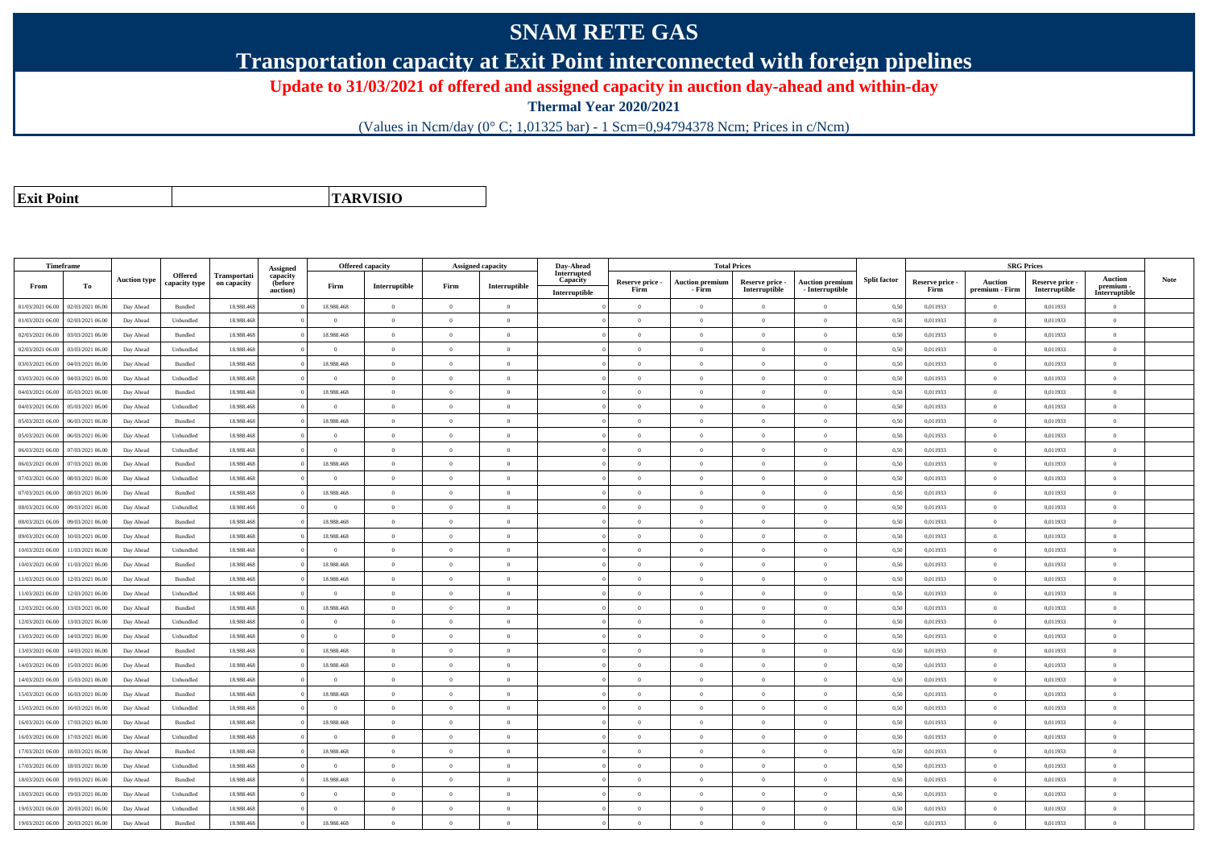## **SNAM RETE GAS**

**Transportation capacity at Exit Point interconnected with foreign pipelines**

**Update to 31/03/2021 of offered and assigned capacity in auction day-ahead and within-day**

**Thermal Year 2020/2021**

(Values in Ncm/day (0° C; 1,01325 bar) - 1 Scm=0,94794378 Ncm; Prices in c/Ncm)

**Exit Point**

**TARVISIO**

|                  | Timeframe        |                     |                    |              |                                 | <b>Offered capacity</b> |                |                | <b>Assigned capacity</b> | Day-Ahead               |                 | <b>Total Prices</b>    |                 |                        |                     |                 | <b>SRG Prices</b> |               |                            |      |
|------------------|------------------|---------------------|--------------------|--------------|---------------------------------|-------------------------|----------------|----------------|--------------------------|-------------------------|-----------------|------------------------|-----------------|------------------------|---------------------|-----------------|-------------------|---------------|----------------------------|------|
|                  |                  | <b>Auction type</b> | Offered            | Transportati | Assigned<br>capacity<br>(before |                         |                |                |                          | Interrupted<br>Capacity | Reserve price - | <b>Auction premium</b> | Reserve price - | <b>Auction premium</b> | <b>Split factor</b> | Reserve price - | <b>Auction</b>    | Reserve price | <b>Auction</b>             | Note |
| From             | To               |                     | capacity type      | on capacity  | auction)                        | Firm                    | Interruptible  | Firm           | Interruptible            | Interruptible           | Firm            | - Firm                 | Interruptible   | $-$ Interruptible      |                     | Firm            | premium - Firm    | Interruptible | premium -<br>Interruptible |      |
| 01/03/2021 06:00 | 02/03/2021 06:00 | Day Ahead           | Bundled            | 18.988.468   |                                 | 18.988.468              | $\overline{0}$ | $\Omega$       | $\theta$                 |                         | $\theta$        | $\theta$               | $\theta$        | $\Omega$               | 0,50                | 0,011933        | $\Omega$          | 0,011933      | $\Omega$                   |      |
| 01/03/2021 06:00 | 02/03/2021 06:00 | Day Ahead           | Unbundled          | 18.988.468   |                                 | $\Omega$                | $\overline{0}$ | $^{\circ}$     | $\Omega$                 |                         | $\Omega$        | $\mathbf{a}$           | $\Omega$        | $\Omega$               | 0,50                | 0,011933        | $\overline{0}$    | 0,011933      | $\Omega$                   |      |
| 02/03/2021 06:00 | 03/03/2021 06.00 | Day Ahead           | Bundled            | 18.988.468   |                                 | 18.988.468              | $\theta$       | $\Omega$       | $\Omega$                 |                         | $\Omega$        | $\theta$               | $\Omega$        | $\theta$               | 0,50                | 0,011933        | $\Omega$          | 0,011933      | $\Omega$                   |      |
| 02/03/2021 06:00 | 03/03/2021 06:00 | Day Ahead           | Unbundled          | 18.988.468   |                                 | $\overline{0}$          | $\overline{0}$ | $\overline{0}$ | $\overline{0}$           |                         | $\theta$        | $\overline{0}$         | $\overline{0}$  | $\overline{0}$         | 0,50                | 0,011933        | $\overline{0}$    | 0,011933      | $\bf{0}$                   |      |
| 03/03/2021 06:00 | 04/03/2021 06:00 | Day Ahead           | Bundled            | 18.988.468   |                                 | 18.988.468              | $\,$ 0 $\,$    | $\Omega$       | $\theta$                 |                         | $\theta$        | $\theta$               | $\bf{0}$        | $\overline{0}$         | 0,50                | 0,011933        | $\overline{0}$    | 0,011933      | $\Omega$                   |      |
| 03/03/2021 06:00 | 04/03/2021 06.00 | Day Ahead           | Unbundled          | 18.988.468   |                                 | $\overline{0}$          | $\overline{0}$ | $\overline{0}$ | $\theta$                 |                         | $\theta$        | $\theta$               | $\overline{0}$  | $\mathbf{0}$           | 0,50                | 0,011933        | $\overline{0}$    | 0,011933      | $\bf{0}$                   |      |
| 04/03/2021 06:00 | 05/03/2021 06:00 | Day Ahead           | Bundled            | 18,988,468   |                                 | 18,988,468              | $\overline{0}$ | $\overline{0}$ | $\Omega$                 |                         | $\theta$        | $\theta$               | $\overline{0}$  | $\theta$               | 0,50                | 0,011933        | $\overline{0}$    | 0.011933      | $\theta$                   |      |
| 04/03/2021 06:00 | 05/03/2021 06:00 | Day Ahead           | Unbundled          | 18.988.468   |                                 | $\Omega$                | $\overline{0}$ | $\Omega$       | $\theta$                 |                         | $\theta$        | $\theta$               | $\overline{0}$  | $\mathbf{0}$           | 0,50                | 0,011933        | $\overline{0}$    | 0,011933      | $\Omega$                   |      |
| 05/03/2021 06:00 | 06/03/2021 06:00 | Day Ahead           | Bundled            | 18,988,468   |                                 | 18,988,468              | $\overline{0}$ | $\Omega$       | $\Omega$                 |                         | $\Omega$        |                        | $\Omega$        | $\theta$               | 0.50                | 0.011933        | $\overline{0}$    | 0.011933      | $\theta$                   |      |
| 05/03/2021 06:00 | 06/03/2021 06.0  | Day Ahead           | Unbundled          | 18.988.468   |                                 | $\Omega$                | $\overline{0}$ | $\overline{0}$ | $\Omega$                 |                         | $\theta$        | $\mathbf{a}$           | $\overline{0}$  | $\overline{0}$         | 0,50                | 0,011933        | $\overline{0}$    | 0,011933      | $\Omega$                   |      |
| 06/03/2021 06:00 | 07/03/2021 06.00 | Day Ahead           | Unbundled          | 18.988.468   |                                 | $\overline{0}$          | $\overline{0}$ | $\overline{0}$ | $\theta$                 |                         | $\theta$        | $\theta$               | $\overline{0}$  | $\mathbf{0}$           | 0,50                | 0,011933        | $\overline{0}$    | 0,011933      | $\bf{0}$                   |      |
| 06/03/2021 06:00 | 07/03/2021 06:00 | Day Ahead           | Bundled            | 18,988,468   |                                 | 18,988,468              | $\overline{0}$ | $\Omega$       | $\theta$                 |                         | $\Omega$        | $\theta$               | $\Omega$        | $\theta$               | 0.50                | 0.011933        | $\overline{0}$    | 0.011933      | $\theta$                   |      |
| 07/03/2021 06:00 | 08/03/2021 06.0  | Day Ahead           | Unbundled          | 18.988.468   |                                 | $\Omega$                | $\overline{0}$ | $\overline{0}$ | $\Omega$                 |                         | $\theta$        | $\theta$               | $\theta$        | $\overline{0}$         | 0,50                | 0,011933        | $\overline{0}$    | 0,011933      | $\Omega$                   |      |
| 07/03/2021 06:00 | 08/03/2021 06:00 | Day Ahead           | Bundled            | 18.988.468   |                                 | 18.988.468              | $\overline{0}$ | $\overline{0}$ | $\theta$                 |                         | $\theta$        | $\overline{0}$         | $\overline{0}$  | $\mathbf{0}$           | 0,50                | 0,011933        | $\overline{0}$    | 0,011933      | $\bf{0}$                   |      |
| 08/03/2021 06:00 | 09/03/2021 06:00 | Day Ahead           | Unbundled          | 18,988,468   |                                 | $\theta$                | $\theta$       | $\theta$       | $\theta$                 |                         | $\theta$        | $\mathbf{a}$           | $\theta$        | $\theta$               | 0,50                | 0,011933        | $\overline{0}$    | 0,011933      | $\Omega$                   |      |
| 08/03/2021 06:00 | 09/03/2021 06.0  | Day Ahead           | Bundled            | 18.988.468   |                                 | 18.988.468              | $\overline{0}$ | $\theta$       | $\theta$                 |                         | $\theta$        | $\theta$               | $\overline{0}$  | $\mathbf{0}$           | 0,50                | 0,011933        | $\overline{0}$    | 0,011933      | $\bf{0}$                   |      |
| 09/03/2021 06:00 | 10/03/2021 06:00 | Day Ahead           | Bundled            | 18.988.468   |                                 | 18.988.468              | $\overline{0}$ | $\Omega$       | $\theta$                 |                         | $\theta$        | $\theta$               | $\overline{0}$  | $\mathbf{0}$           | 0,50                | 0,011933        | $\overline{0}$    | 0,011933      | $\theta$                   |      |
| 10/03/2021 06:00 | 11/03/2021 06:00 | Day Ahead           | Unbundled          | 18,988,468   |                                 | $\theta$                | $\overline{0}$ | $\Omega$       | $\Omega$                 |                         | $\Omega$        | $\theta$               | $\overline{0}$  | $\theta$               | 0.50                | 0.011933        | $\overline{0}$    | 0.011933      | $\theta$                   |      |
| 10/03/2021 06:00 | 1/03/2021 06.0   | Day Ahead           | Bundled            | 18.988.468   |                                 | 18.988.468              | $\overline{0}$ | $\theta$       | $\theta$                 |                         | $\theta$        | $\overline{0}$         | $\theta$        | $\mathbf{0}$           | 0.50                | 0,011933        | $\overline{0}$    | 0,011933      | $\bf{0}$                   |      |
| 11/03/2021 06:00 | 12/03/2021 06:00 | Day Ahead           | Bundled            | 18.988.468   |                                 | 18.988.468              | $\overline{0}$ | $\overline{0}$ | $\theta$                 |                         | $\theta$        | $\theta$               | $\overline{0}$  | $\mathbf{0}$           | 0,50                | 0,011933        | $\overline{0}$    | 0,011933      | $\Omega$                   |      |
| 11/03/2021 06:00 | 12/03/2021 06:00 | Day Ahead           | Unbundled          | 18.988.468   |                                 | $\Omega$                | $\overline{0}$ | $^{\circ}$     | $\theta$                 |                         | $\theta$        | $\mathbf{a}$           | $\Omega$        | $\Omega$               | 0,50                | 0,011933        | $\overline{0}$    | 0,011933      | $\Omega$                   |      |
| 12/03/2021 06:00 | 13/03/2021 06:00 | Day Ahead           | Bundled            | 18.988.468   |                                 | 18.988.468              | $\Omega$       | $\Omega$       | $\Omega$                 |                         | $\Omega$        | $\theta$               | $\Omega$        | $\theta$               | 0,50                | 0,011933        | $\Omega$          | 0,011933      | $\Omega$                   |      |
| 12/03/2021 06:00 | 13/03/2021 06:00 | Day Ahead           | Unbundled          | 18,988,468   |                                 | $\theta$                | $\overline{0}$ | $\overline{0}$ | $\Omega$                 |                         | $\theta$        | $\theta$               | $\overline{0}$  | $\theta$               | 0,50                | 0,011933        | $\overline{0}$    | 0.011933      | $\theta$                   |      |
| 13/03/2021 06:00 | 14/03/2021 06:00 | Day Ahead           | Unbundled          | 18.988.468   |                                 | $\overline{0}$          | $\overline{0}$ | $\overline{0}$ | $\overline{0}$           |                         | $\overline{0}$  | $\overline{0}$         | $\overline{0}$  | $\bf{0}$               | 0,50                | 0,011933        | $\overline{0}$    | 0,011933      | $\bf{0}$                   |      |
| 13/03/2021 06:00 | 14/03/2021 06.00 | Day Ahead           | Bundled            | 18.988.468   |                                 | 18.988.468              | $\overline{0}$ | $\Omega$       | $\Omega$                 |                         | $\Omega$        |                        | $\overline{0}$  | $\mathbf{0}$           | 0,50                | 0,011933        | $\overline{0}$    | 0,011933      | $\Omega$                   |      |
| 14/03/2021 06:00 | 15/03/2021 06:00 | Day Ahead           | Bundled            | 18.988.468   |                                 | 18.988.468              | $\overline{0}$ | $\overline{0}$ | $\theta$                 |                         | $\theta$        | $\theta$               | $\overline{0}$  | $\overline{0}$         | 0,50                | 0,011933        | $\,$ 0 $\,$       | 0,011933      | $\bf{0}$                   |      |
| 14/03/2021 06:00 | 15/03/2021 06:00 | Day Ahead           | Unbundled          | 18.988.468   |                                 | $\Omega$                | $\overline{0}$ | $\Omega$       | $\theta$                 |                         | $\theta$        | $\theta$               | $\overline{0}$  | $\mathbf{0}$           | 0,50                | 0,011933        | $\overline{0}$    | 0,011933      | $\bf{0}$                   |      |
| 15/03/2021 06:00 | 16/03/2021 06:00 | Day Ahead           | Bundled            | 18,988,468   |                                 | 18,988,468              | $\theta$       | $\Omega$       | $\Omega$                 |                         | $\theta$        | $\theta$               | $\Omega$        | $\theta$               | 0.50                | 0.011933        | $\Omega$          | 0.011933      | $\Omega$                   |      |
| 15/03/2021 06:00 | 16/03/2021 06:00 | Day Ahead           | Unbundled          | 18.988.468   |                                 | $\theta$                | $\overline{0}$ | $\overline{0}$ | $\Omega$                 |                         | $\theta$        | $\theta$               | $\overline{0}$  | $\overline{0}$         | 0,50                | 0,011933        | $\overline{0}$    | 0,011933      | $\theta$                   |      |
| 16/03/2021 06:00 | 17/03/2021 06.00 | Day Ahead           | Bundled            | 18.988.468   |                                 | 18.988.468              | $\overline{0}$ | $\overline{0}$ | $\theta$                 |                         | $\theta$        | $\overline{0}$         | $\overline{0}$  | $\mathbf{0}$           | 0,50                | 0,011933        | $\overline{0}$    | 0,011933      | $\bf{0}$                   |      |
| 16/03/2021 06:00 | 17/03/2021 06.00 | Day Ahead           | Unbundled          | 18,988,468   |                                 | $\Omega$                | $\overline{0}$ | $\Omega$       | $\theta$                 |                         | $\theta$        | $\theta$               | $\theta$        | $\theta$               | 0,50                | 0,011933        | $\overline{0}$    | 0.011933      | $\Omega$                   |      |
| 17/03/2021 06:00 | 18/03/2021 06:00 | Day Ahead           | $\mathbf B$ undled | 18.988.468   |                                 | 18.988.468              | $\overline{0}$ | $\Omega$       | $\Omega$                 |                         | $\Omega$        | $\theta$               | $\overline{0}$  | $\overline{0}$         | 0,50                | 0,011933        | $\overline{0}$    | 0,011933      | $\Omega$                   |      |
| 17/03/2021 06:00 | 18/03/2021 06:00 | Day Ahead           | Unbundled          | 18.988.468   |                                 | $\theta$                | $\theta$       | $\Omega$       | $\theta$                 |                         | $\theta$        | $\theta$               | $\Omega$        | $\theta$               | 0,50                | 0,011933        | $\Omega$          | 0,011933      | $\Omega$                   |      |
| 18/03/2021 06:00 | 19/03/2021 06:00 | Day Ahead           | Bundled            | 18,988,468   |                                 | 18,988,468              | $\overline{0}$ | $\Omega$       | $\theta$                 |                         | $\theta$        | $\theta$               | $\overline{0}$  | $\Omega$               | 0.50                | 0.011933        | $\overline{0}$    | 0.011933      | $\Omega$                   |      |
| 18/03/2021 06:00 | 19/03/2021 06.00 | Day Ahead           | Unbundled          | 18.988.468   |                                 | $\Omega$                | $\overline{0}$ | $\Omega$       | $\Omega$                 |                         | $\theta$        | $\mathbf{a}$           | $\Omega$        | $\Omega$               | 0,50                | 0,011933        | $\overline{0}$    | 0,011933      | $\Omega$                   |      |
| 19/03/2021 06:00 | 20/03/2021 06:00 | Day Ahead           | Unbundled          | 18.988.468   |                                 | $\overline{0}$          | $\overline{0}$ | $\Omega$       | $\Omega$                 |                         | $\Omega$        | $\theta$               | $\overline{0}$  | $\mathbf{0}$           | 0,50                | 0,011933        | $\overline{0}$    | 0,011933      | $\bf{0}$                   |      |
| 19/03/2021 06:00 | 20/03/2021 06:00 | Day Ahead           | Bundled            | 18,988,468   |                                 | 18,988,468              | $\Omega$       | $\Omega$       | $\Omega$                 |                         | $\theta$        | $\mathbf{a}$           | $\Omega$        | $\Omega$               | 0,50                | 0.011933        | $\theta$          | 0.011933      | $\Omega$                   |      |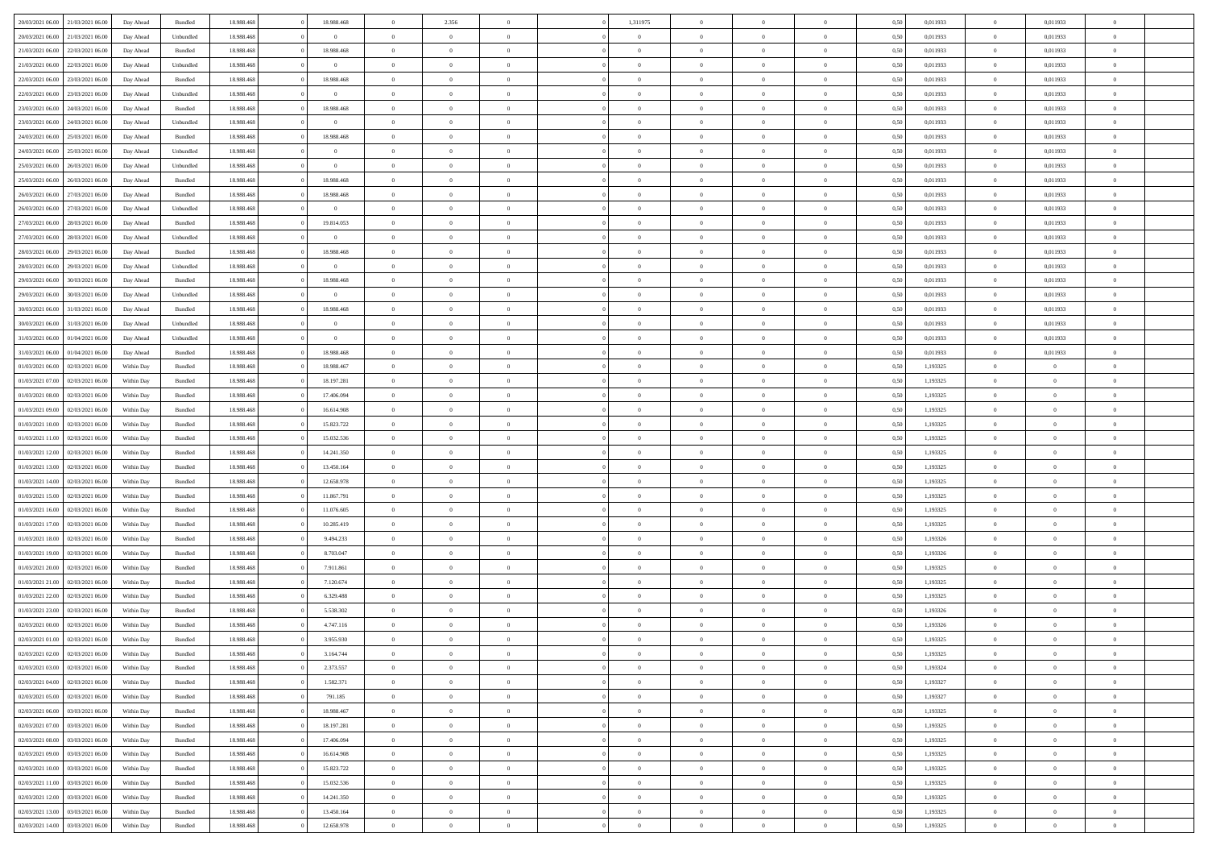|                                              |            |           |            |                | $\overline{0}$ |                |                |                | $\theta$       |                | $\theta$       |      |          | $\theta$       |                | $\overline{0}$ |  |
|----------------------------------------------|------------|-----------|------------|----------------|----------------|----------------|----------------|----------------|----------------|----------------|----------------|------|----------|----------------|----------------|----------------|--|
| 20/03/2021 06:00 21/03/2021 06:00            | Day Ahead  | Bundled   | 18.988.468 | 18.988.468     |                | 2.356          |                | 1,311975       |                |                |                | 0,50 | 0,011933 |                | 0,011933       |                |  |
| 20/03/2021 06:00<br>21/03/2021 06:00         | Day Ahead  | Unbundled | 18.988.46  | $\overline{0}$ | $\bf{0}$       | $\bf{0}$       | $\bf{0}$       | $\overline{0}$ | $\overline{0}$ | $\overline{0}$ | $\bf{0}$       | 0,50 | 0,011933 | $\,$ 0 $\,$    | 0,011933       | $\overline{0}$ |  |
| 21/03/2021 06:00<br>22/03/2021 06:00         | Day Ahead  | Bundled   | 18,988,468 | 18.988.468     | $\overline{0}$ | $\bf{0}$       | $\overline{0}$ | $\bf{0}$       | $\bf{0}$       | $\overline{0}$ | $\bf{0}$       | 0.50 | 0.011933 | $\bf{0}$       | 0.011933       | $\overline{0}$ |  |
| 21/03/2021 06:00<br>22/03/2021 06:00         | Day Ahead  | Unbundled | 18.988.468 | $\bf{0}$       | $\overline{0}$ | $\overline{0}$ | $\overline{0}$ | $\overline{0}$ | $\theta$       | $\overline{0}$ | $\bf{0}$       | 0,50 | 0,011933 | $\,$ 0 $\,$    | 0,011933       | $\overline{0}$ |  |
| 22/03/2021 06:00<br>23/03/2021 06.00         | Day Ahead  | Bundled   | 18.988.46  | 18.988.468     | $\overline{0}$ | $\overline{0}$ | $\bf{0}$       | $\overline{0}$ | $\theta$       | $\overline{0}$ | $\bf{0}$       | 0,50 | 0,011933 | $\,$ 0 $\,$    | 0,011933       | $\overline{0}$ |  |
| 22/03/2021 06:00<br>23/03/2021 06:00         |            | Unbundled | 18,988,468 | $\overline{0}$ | $\overline{0}$ | $\overline{0}$ | $\overline{0}$ | $\bf{0}$       | $\overline{0}$ | $\theta$       | $\bf{0}$       | 0.50 | 0.011933 | $\bf{0}$       | 0.011933       | $\overline{0}$ |  |
|                                              | Day Ahead  |           |            |                |                |                |                |                |                |                |                |      |          |                |                |                |  |
| 23/03/2021 06:00<br>24/03/2021 06:00         | Day Ahead  | Bundled   | 18.988.468 | 18.988.468     | $\overline{0}$ | $\overline{0}$ | $\overline{0}$ | $\overline{0}$ | $\overline{0}$ | $\overline{0}$ | $\bf{0}$       | 0,50 | 0,011933 | $\,$ 0 $\,$    | 0,011933       | $\overline{0}$ |  |
| 23/03/2021 06:00<br>24/03/2021 06.00         | Day Ahead  | Unbundled | 18.988.46  | $\bf{0}$       | $\bf{0}$       | $\overline{0}$ | $\bf{0}$       | $\overline{0}$ | $\overline{0}$ | $\overline{0}$ | $\bf{0}$       | 0,50 | 0,011933 | $\,$ 0 $\,$    | 0,011933       | $\overline{0}$ |  |
| 24/03/2021 06:00<br>25/03/2021 06:00         | Day Ahead  | Bundled   | 18,988,468 | 18.988.468     | $\overline{0}$ | $\bf{0}$       | $\overline{0}$ | $\bf{0}$       | $\overline{0}$ | $\overline{0}$ | $\bf{0}$       | 0.50 | 0.011933 | $\bf{0}$       | 0.011933       | $\overline{0}$ |  |
| 24/03/2021 06:00<br>25/03/2021 06:00         | Day Ahead  | Unbundled | 18.988.468 | $\overline{0}$ | $\bf{0}$       | $\bf{0}$       | $\overline{0}$ | $\overline{0}$ | $\overline{0}$ | $\overline{0}$ | $\bf{0}$       | 0,50 | 0,011933 | $\bf{0}$       | 0,011933       | $\overline{0}$ |  |
| 25/03/2021 06:00<br>26/03/2021 06.00         | Day Ahead  | Unbundled | 18.988.46  | $\overline{0}$ | $\bf{0}$       | $\overline{0}$ | $\bf{0}$       | $\bf{0}$       | $\bf{0}$       | $\overline{0}$ | $\bf{0}$       | 0,50 | 0,011933 | $\,$ 0 $\,$    | 0,011933       | $\overline{0}$ |  |
| 25/03/2021 06:00<br>26/03/2021 06:00         | Day Ahead  | Bundled   | 18,988,468 | 18.988.468     | $\overline{0}$ | $\bf{0}$       | $\overline{0}$ | $\overline{0}$ | $\bf{0}$       | $\overline{0}$ | $\bf{0}$       | 0.50 | 0.011933 | $\overline{0}$ | 0.011933       | $\overline{0}$ |  |
| 26/03/2021 06:00<br>27/03/2021 06:00         | Day Ahead  | Bundled   | 18.988.468 | 18.988.468     | $\overline{0}$ | $\overline{0}$ | $\overline{0}$ | $\overline{0}$ | $\theta$       | $\overline{0}$ | $\bf{0}$       | 0,50 | 0,011933 | $\,$ 0 $\,$    | 0,011933       | $\overline{0}$ |  |
|                                              |            |           |            |                |                |                |                |                |                |                |                |      |          |                |                |                |  |
| 26/03/2021 06:00<br>27/03/2021 06.00         | Day Ahead  | Unbundled | 18.988.46  | $\bf{0}$       | $\bf{0}$       | $\overline{0}$ | $\bf{0}$       | $\bf{0}$       | $\theta$       | $\overline{0}$ | $\bf{0}$       | 0,50 | 0,011933 | $\,$ 0 $\,$    | 0,011933       | $\overline{0}$ |  |
| 27/03/2021 06:00<br>28/03/2021 06:00         | Day Ahead  | Bundled   | 18,988,468 | 19.814.053     | $\overline{0}$ | $\overline{0}$ | $\overline{0}$ | $\bf{0}$       | $\theta$       | $\Omega$       | $\bf{0}$       | 0.50 | 0.011933 | $\bf{0}$       | 0.011933       | $\overline{0}$ |  |
| 27/03/2021 06:00<br>28/03/2021 06:00         | Day Ahead  | Unbundled | 18.988.468 | $\overline{0}$ | $\bf{0}$       | $\overline{0}$ | $\overline{0}$ | $\overline{0}$ | $\overline{0}$ | $\overline{0}$ | $\bf{0}$       | 0,50 | 0,011933 | $\bf{0}$       | 0,011933       | $\overline{0}$ |  |
| 28/03/2021 06:00<br>29/03/2021 06.00         | Day Ahead  | Bundled   | 18.988.46  | 18.988.468     | $\overline{0}$ | $\overline{0}$ | $\overline{0}$ | $\overline{0}$ | $\,$ 0 $\,$    | $\overline{0}$ | $\bf{0}$       | 0,50 | 0,011933 | $\,$ 0 $\,$    | 0,011933       | $\overline{0}$ |  |
| 28/03/2021 06:00<br>29/03/2021 06:00         | Day Ahead  | Unbundled | 18,988,468 | $\overline{0}$ | $\overline{0}$ | $\bf{0}$       | $\overline{0}$ | $\bf{0}$       | $\overline{0}$ | $\overline{0}$ | $\bf{0}$       | 0.50 | 0.011933 | $\bf{0}$       | 0.011933       | $\overline{0}$ |  |
| 29/03/2021 06:00<br>30/03/2021 06:00         | Day Ahead  | Bundled   | 18.988.468 | 18.988.468     | $\overline{0}$ | $\bf{0}$       | $\overline{0}$ | $\overline{0}$ | $\overline{0}$ | $\overline{0}$ | $\bf{0}$       | 0,50 | 0,011933 | $\,$ 0 $\,$    | 0,011933       | $\overline{0}$ |  |
| 29/03/2021 06:00<br>30/03/2021 06:00         | Day Ahead  | Unbundled | 18.988.46  | $\bf{0}$       | $\bf{0}$       | $\bf{0}$       | $\bf{0}$       | $\bf{0}$       | $\overline{0}$ | $\overline{0}$ | $\bf{0}$       | 0,50 | 0,011933 | $\,$ 0 $\,$    | 0,011933       | $\overline{0}$ |  |
| 30/03/2021 06:00<br>31/03/2021 06:00         | Day Ahead  | Bundled   | 18,988,468 | 18.988.468     | $\overline{0}$ | $\bf{0}$       | $\overline{0}$ | $\overline{0}$ | $\bf{0}$       | $\overline{0}$ | $\bf{0}$       | 0.50 | 0.011933 | $\bf{0}$       | 0.011933       | $\overline{0}$ |  |
|                                              |            |           |            |                |                |                |                |                |                |                |                |      |          |                |                |                |  |
| 30/03/2021 06:00<br>31/03/2021 06:00         | Day Ahead  | Unbundled | 18.988.468 | $\overline{0}$ | $\overline{0}$ | $\overline{0}$ | $\overline{0}$ | $\overline{0}$ | $\theta$       | $\overline{0}$ | $\bf{0}$       | 0,50 | 0,011933 | $\,$ 0 $\,$    | 0,011933       | $\overline{0}$ |  |
| 31/03/2021 06:00<br>01/04/2021 06.00         | Day Ahead  | Unbundled | 18.988.46  | $\overline{0}$ | $\bf{0}$       | $\overline{0}$ | $\bf{0}$       | $\bf{0}$       | $\,$ 0 $\,$    | $\overline{0}$ | $\bf{0}$       | 0,50 | 0,011933 | $\,$ 0 $\,$    | 0,011933       | $\overline{0}$ |  |
| 31/03/2021 06:00<br>01/04/2021 06:00         | Day Ahead  | Bundled   | 18,988,468 | 18.988.468     | $\overline{0}$ | $\overline{0}$ | $\overline{0}$ | $\bf{0}$       | $\overline{0}$ | $\theta$       | $\bf{0}$       | 0.50 | 0.011933 | $\bf{0}$       | 0.011933       | $\overline{0}$ |  |
| 01/03/2021 06:00<br>02/03/2021 06:00         | Within Day | Bundled   | 18.988.468 | 18.988.467     | $\overline{0}$ | $\overline{0}$ | $\overline{0}$ | $\overline{0}$ | $\overline{0}$ | $\overline{0}$ | $\bf{0}$       | 0,50 | 1,193325 | $\,$ 0 $\,$    | $\overline{0}$ | $\overline{0}$ |  |
| 01/03/2021 07:00<br>02/03/2021 06.00         | Within Day | Bundled   | 18.988.46  | 18.197.281     | $\bf{0}$       | $\overline{0}$ | $\bf{0}$       | $\overline{0}$ | $\bf{0}$       | $\overline{0}$ | $\bf{0}$       | 0,50 | 1,193325 | $\,$ 0 $\,$    | $\bf{0}$       | $\overline{0}$ |  |
| 01/03/2021 08:00<br>02/03/2021 06:00         | Within Day | Bundled   | 18,988,468 | 17,406,094     | $\overline{0}$ | $\overline{0}$ | $\overline{0}$ | $\bf{0}$       | $\overline{0}$ | $\overline{0}$ | $\bf{0}$       | 0.50 | 1.193325 | $\bf{0}$       | $\overline{0}$ | $\overline{0}$ |  |
| 01/03/2021 09:00<br>02/03/2021 06:00         | Within Day | Bundled   | 18.988.468 | 16.614.908     | $\overline{0}$ | $\overline{0}$ | $\overline{0}$ | $\overline{0}$ | $\overline{0}$ | $\overline{0}$ | $\bf{0}$       | 0,50 | 1,193325 | $\,$ 0 $\,$    | $\theta$       | $\overline{0}$ |  |
|                                              |            |           |            |                |                |                |                |                |                |                |                |      |          |                |                |                |  |
| 01/03/2021 10:00<br>02/03/2021 06.00         | Within Day | Bundled   | 18.988.46  | 15.823.722     | $\bf{0}$       | $\bf{0}$       | $\bf{0}$       | $\bf{0}$       | $\overline{0}$ | $\overline{0}$ | $\bf{0}$       | 0,50 | 1,193325 | $\,$ 0 $\,$    | $\bf{0}$       | $\overline{0}$ |  |
| 01/03/2021 11:00<br>02/03/2021 06:00         | Within Day | Bundled   | 18,988,468 | 15.032.536     | $\overline{0}$ | $\bf{0}$       | $\overline{0}$ | $\overline{0}$ | $\bf{0}$       | $\overline{0}$ | $\bf{0}$       | 0.50 | 1,193325 | $\bf{0}$       | $\overline{0}$ | $\bf{0}$       |  |
| 01/03/2021 12:00<br>02/03/2021 06:00         | Within Day | Bundled   | 18.988.468 | 14.241.350     | $\overline{0}$ | $\overline{0}$ | $\overline{0}$ | $\overline{0}$ | $\overline{0}$ | $\overline{0}$ | $\bf{0}$       | 0.50 | 1,193325 | $\theta$       | $\theta$       | $\overline{0}$ |  |
| 01/03/2021 13:00<br>02/03/2021 06.00         | Within Day | Bundled   | 18.988.46  | 13.450.164     | $\bf{0}$       | $\overline{0}$ | $\bf{0}$       | $\bf{0}$       | $\overline{0}$ | $\overline{0}$ | $\bf{0}$       | 0,50 | 1,193325 | $\,$ 0 $\,$    | $\bf{0}$       | $\overline{0}$ |  |
| 01/03/2021 14:00<br>02/03/2021 06:00         | Within Day | Bundled   | 18,988,468 | 12.658.978     | $\overline{0}$ | $\overline{0}$ | $\overline{0}$ | $\bf{0}$       | $\theta$       | $\Omega$       | $\bf{0}$       | 0.50 | 1,193325 | $\theta$       | $\theta$       | $\overline{0}$ |  |
| 01/03/2021 15:00<br>02/03/2021 06:00         | Within Day | Bundled   | 18.988.468 | 11.867.791     | $\overline{0}$ | $\overline{0}$ | $\overline{0}$ | $\overline{0}$ | $\overline{0}$ | $\overline{0}$ | $\overline{0}$ | 0.50 | 1,193325 | $\theta$       | $\theta$       | $\overline{0}$ |  |
| 01/03/2021 16:00<br>02/03/2021 06.00         | Within Day | Bundled   | 18.988.46  | 11.076.605     | $\bf{0}$       | $\overline{0}$ | $\bf{0}$       | $\bf{0}$       | $\overline{0}$ | $\overline{0}$ | $\bf{0}$       | 0,50 | 1,193325 | $\,$ 0 $\,$    | $\bf{0}$       | $\overline{0}$ |  |
| 01/03/2021 17:00<br>02/03/2021 06:00         | Within Day | Bundled   | 18,988,468 | 10.285.419     | $\overline{0}$ | $\bf{0}$       | $\overline{0}$ | $\bf{0}$       | $\overline{0}$ | $\overline{0}$ | $\bf{0}$       | 0.50 | 1.193325 | $\bf{0}$       | $\overline{0}$ | $\overline{0}$ |  |
| 01/03/2021 18:00<br>02/03/2021 06:00         | Within Day | Bundled   | 18.988.468 | 9.494.233      | $\overline{0}$ | $\overline{0}$ | $\overline{0}$ | $\overline{0}$ | $\overline{0}$ | $\overline{0}$ | $\overline{0}$ | 0.50 | 1,193326 | $\theta$       | $\theta$       | $\overline{0}$ |  |
|                                              |            |           |            |                |                |                |                |                |                |                |                |      |          |                |                |                |  |
| 01/03/2021 19:00<br>02/03/2021 06.00         | Within Day | Bundled   | 18.988.46  | 8.703.047      | $\bf{0}$       | $\bf{0}$       | $\bf{0}$       | $\overline{0}$ | $\overline{0}$ | $\overline{0}$ | $\bf{0}$       | 0,50 | 1,193326 | $\,$ 0 $\,$    | $\bf{0}$       | $\overline{0}$ |  |
| 01/03/2021 20:00<br>02/03/2021 06:00         | Within Day | Bundled   | 18,988,468 | 7.911.861      | $\overline{0}$ | $\bf{0}$       | $\overline{0}$ | $\overline{0}$ | $\bf{0}$       | $\overline{0}$ | $\bf{0}$       | 0.50 | 1,193325 | $\bf{0}$       | $\overline{0}$ | $\overline{0}$ |  |
| 01/03/2021 21:00<br>02/03/2021 06:00         | Within Day | Bundled   | 18.988.468 | 7.120.674      | $\overline{0}$ | $\overline{0}$ | $\overline{0}$ | $\overline{0}$ | $\overline{0}$ | $\overline{0}$ | $\bf{0}$       | 0.50 | 1,193325 | $\theta$       | $\theta$       | $\overline{0}$ |  |
| 01/03/2021 22:00<br>02/03/2021 06.00         | Within Day | Bundled   | 18.988.46  | 6.329.488      | $\bf{0}$       | $\overline{0}$ | $\bf{0}$       | $\overline{0}$ | $\overline{0}$ | $\overline{0}$ | $\bf{0}$       | 0,50 | 1,193325 | $\,$ 0 $\,$    | $\bf{0}$       | $\overline{0}$ |  |
| 01/03/2021 23:00<br>02/03/2021 06:00         | Within Day | Bundled   | 18,988,468 | 5.538.302      | $\overline{0}$ | $\overline{0}$ | $\Omega$       | $\overline{0}$ | $\overline{0}$ | $\Omega$       | $\bf{0}$       | 0.50 | 1,193326 | $\bf{0}$       | $\theta$       | $\overline{0}$ |  |
| 02/03/2021 00:00<br>02/03/2021 06:00         | Within Day | Bundled   | 18.988.468 | 4.747.116      | $\overline{0}$ | $\overline{0}$ | $\Omega$       | $\overline{0}$ | $\theta$       | $\Omega$       | $\overline{0}$ | 0.50 | 1,193326 | $\theta$       | $\theta$       | $\overline{0}$ |  |
| $02/03/2021\ 01.00$<br>02/03/2021 06:00      | Within Day | Bundled   | 18.988.46  | 3.955.930      | $\bf{0}$       | $\bf{0}$       | $\bf{0}$       | $\bf{0}$       | $\bf{0}$       | $\overline{0}$ | $\bf{0}$       | 0,50 | 1,193325 | $\,$ 0 $\,$    | $\bf{0}$       | $\overline{0}$ |  |
| $02/03/2021\ 02.00 \qquad 02/03/2021\ 06.00$ | Within Day | Bundled   | 18.988.468 | 3.164.744      | $\overline{0}$ | $\Omega$       |                | $\overline{0}$ | $\Omega$       |                |                | 0,50 | 1,193325 | $\theta$       | $\bf{0}$       |                |  |
|                                              |            |           |            |                | $\overline{0}$ | $\overline{0}$ | $\overline{0}$ |                | $\overline{0}$ |                |                |      |          | $\theta$       | $\overline{0}$ | $\overline{0}$ |  |
| 02/03/2021 03:00 02/03/2021 06:00            | Within Day | Bundled   | 18.988.468 | 2.373.557      |                |                |                | $\overline{0}$ |                | $\overline{0}$ | $\bf{0}$       | 0,50 | 1,193324 |                |                |                |  |
| 02/03/2021 04:00<br>02/03/2021 06:00         | Within Day | Bundled   | 18.988.468 | 1.582.371      | $\overline{0}$ | $\bf{0}$       | $\overline{0}$ | $\overline{0}$ | $\bf{0}$       | $\overline{0}$ | $\bf{0}$       | 0,50 | 1,193327 | $\bf{0}$       | $\overline{0}$ | $\bf{0}$       |  |
| 02/03/2021 05:00 02/03/2021 06:00            | Within Day | Bundled   | 18.988.468 | 791.185        | $\overline{0}$ | $\overline{0}$ | $\overline{0}$ | $\overline{0}$ | $\overline{0}$ | $\overline{0}$ | $\,$ 0 $\,$    | 0.50 | 1,193327 | $\overline{0}$ | $\bf{0}$       | $\,$ 0 $\,$    |  |
| 02/03/2021 06:00 03/03/2021 06:00            | Within Day | Bundled   | 18.988.468 | 18.988.467     | $\overline{0}$ | $\overline{0}$ | $\overline{0}$ | $\overline{0}$ | $\overline{0}$ | $\overline{0}$ | $\bf{0}$       | 0,50 | 1,193325 | $\overline{0}$ | $\theta$       | $\overline{0}$ |  |
| 02/03/2021 07:00<br>03/03/2021 06:00         | Within Day | Bundled   | 18.988.468 | 18.197.281     | $\overline{0}$ | $\bf{0}$       | $\overline{0}$ | $\overline{0}$ | $\bf{0}$       | $\overline{0}$ | $\bf{0}$       | 0,50 | 1,193325 | $\overline{0}$ | $\bf{0}$       | $\overline{0}$ |  |
| 02/03/2021 08:00<br>03/03/2021 06:00         | Within Day | Bundled   | 18.988.468 | 17.406.094     | $\overline{0}$ | $\bf{0}$       | $\overline{0}$ | $\overline{0}$ | $\bf{0}$       | $\overline{0}$ | $\bf{0}$       | 0.50 | 1,193325 | $\,$ 0 $\,$    | $\theta$       | $\,$ 0         |  |
| 02/03/2021 09:00<br>03/03/2021 06:00         | Within Day | Bundled   | 18.988.468 | 16.614.908     | $\overline{0}$ | $\overline{0}$ | $\overline{0}$ | $\overline{0}$ | $\overline{0}$ | $\overline{0}$ | $\bf{0}$       | 0,50 | 1,193325 | $\overline{0}$ | $\theta$       | $\overline{0}$ |  |
| 03/03/2021 06:00<br>02/03/2021 10:00         | Within Day | Bundled   | 18.988.468 | 15.823.722     | $\overline{0}$ | $\overline{0}$ | $\overline{0}$ | $\overline{0}$ | $\overline{0}$ | $\overline{0}$ | $\bf{0}$       | 0,50 | 1,193325 | $\bf{0}$       | $\,$ 0 $\,$    | $\,$ 0         |  |
|                                              |            |           |            |                |                |                |                |                |                |                |                |      |          |                |                |                |  |
| 02/03/2021 11:00 03/03/2021 06:00            | Within Day | Bundled   | 18,988,468 | 15.032.536     | $\overline{0}$ | $\overline{0}$ | $\overline{0}$ | $\overline{0}$ | $\bf{0}$       | $\overline{0}$ | $\bf{0}$       | 0.50 | 1.193325 | $\overline{0}$ | $\,$ 0 $\,$    | $\,$ 0         |  |
| 02/03/2021 12:00<br>03/03/2021 06:00         | Within Day | Bundled   | 18.988.468 | 14.241.350     | $\overline{0}$ | $\overline{0}$ | $\overline{0}$ | $\overline{0}$ | $\overline{0}$ | $\overline{0}$ | $\bf{0}$       | 0,50 | 1,193325 | $\overline{0}$ | $\theta$       | $\overline{0}$ |  |
| 02/03/2021 13:00<br>03/03/2021 06:00         | Within Day | Bundled   | 18.988.468 | 13.450.164     | $\overline{0}$ | $\bf{0}$       | $\overline{0}$ | $\overline{0}$ | $\overline{0}$ | $\overline{0}$ | $\bf{0}$       | 0,50 | 1,193325 | $\bf{0}$       | $\bf{0}$       | $\overline{0}$ |  |
| 02/03/2021 14:00 03/03/2021 06:00            | Within Day | Bundled   | 18.988.468 | 12.658.978     | $\overline{0}$ | $\bf{0}$       | $\overline{0}$ | $\overline{0}$ | $\,$ 0 $\,$    | $\overline{0}$ | $\bf{0}$       | 0,50 | 1,193325 | $\overline{0}$ | $\,$ 0 $\,$    | $\,$ 0 $\,$    |  |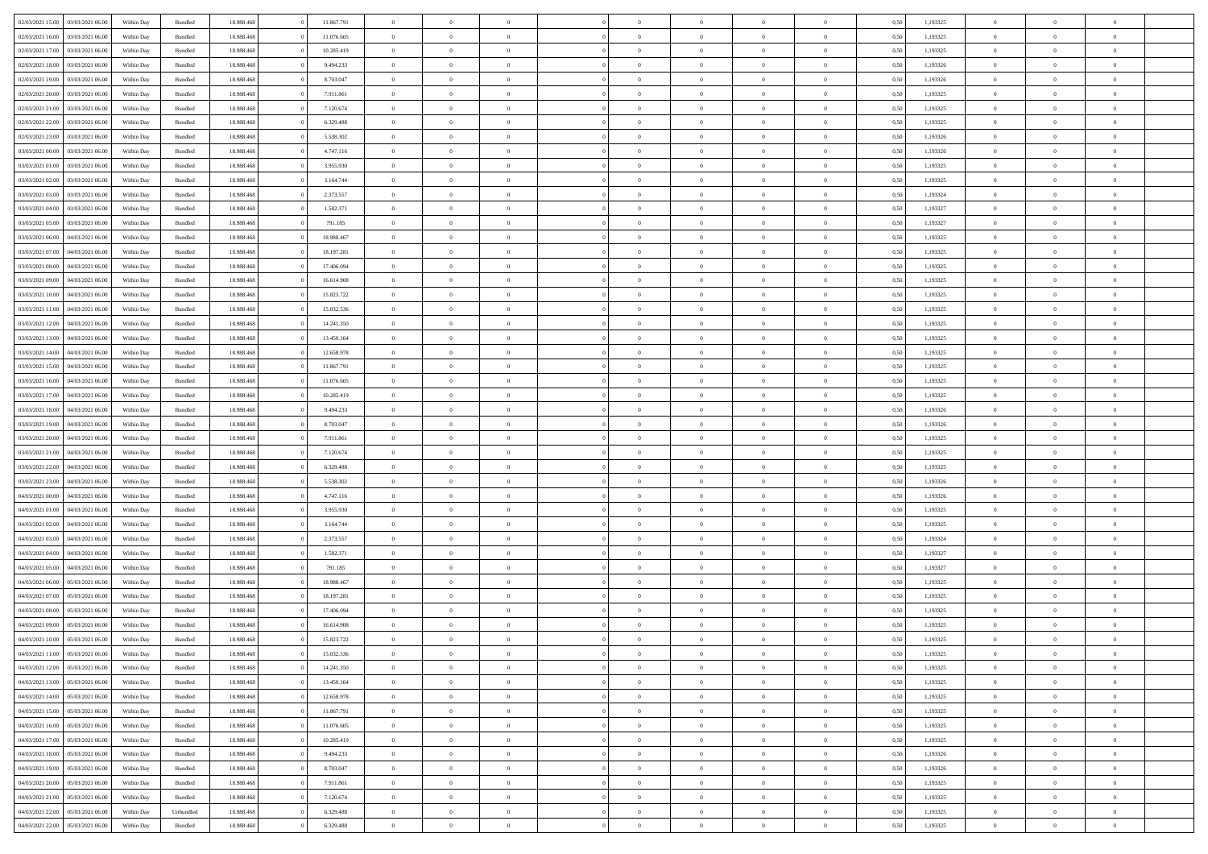|                  |                  |            |                    |            |            | $\overline{0}$ |                |                |                | $\Omega$       | $\Omega$       | $\theta$       |      |          | $\theta$       | $\overline{0}$ | $\theta$       |  |
|------------------|------------------|------------|--------------------|------------|------------|----------------|----------------|----------------|----------------|----------------|----------------|----------------|------|----------|----------------|----------------|----------------|--|
| 02/03/2021 15:00 | 03/03/2021 06:00 | Within Day | Bundled            | 18.988.468 | 11.867.791 |                | $\theta$       |                | $\Omega$       |                |                |                | 0.50 | 1,193325 |                |                |                |  |
| 02/03/2021 16:00 | 03/03/2021 06:00 | Within Day | Bundled            | 18.988.468 | 11.076.605 | $\overline{0}$ | $\theta$       | $\overline{0}$ | $\overline{0}$ | $\bf{0}$       | $\overline{0}$ | $\overline{0}$ | 0,50 | 1,193325 | $\theta$       | $\overline{0}$ | $\overline{0}$ |  |
| 02/03/2021 17:00 | 03/03/2021 06:00 | Within Day | Bundled            | 18.988.468 | 10.285.419 | $\overline{0}$ | $\overline{0}$ | $\overline{0}$ | $\overline{0}$ | $\bf{0}$       | $\overline{0}$ | $\bf{0}$       | 0,50 | 1,193325 | $\bf{0}$       | $\overline{0}$ | $\overline{0}$ |  |
| 02/03/2021 18:00 | 03/03/2021 06:00 | Within Dav | Bundled            | 18.988.468 | 9.494.233  | $\overline{0}$ | $\overline{0}$ | $\overline{0}$ | $\overline{0}$ | $\bf{0}$       | $\overline{0}$ | $\overline{0}$ | 0.50 | 1,193326 | $\theta$       | $\theta$       | $\overline{0}$ |  |
|                  |                  |            |                    |            |            |                |                |                |                |                |                |                |      |          |                |                |                |  |
| 02/03/2021 19:00 | 03/03/2021 06:00 | Within Day | Bundled            | 18.988.468 | 8.703.047  | $\overline{0}$ | $\theta$       | $\overline{0}$ | $\overline{0}$ | $\bf{0}$       | $\overline{0}$ | $\bf{0}$       | 0,50 | 1,193326 | $\theta$       | $\theta$       | $\overline{0}$ |  |
| 02/03/2021 20.00 | 03/03/2021 06:00 | Within Day | Bundled            | 18.988.468 | 7.911.861  | $\overline{0}$ | $\bf{0}$       | $\overline{0}$ | $\overline{0}$ | $\overline{0}$ | $\overline{0}$ | $\mathbf{0}$   | 0,50 | 1,193325 | $\bf{0}$       | $\overline{0}$ | $\bf{0}$       |  |
| 02/03/2021 21:00 | 03/03/2021 06:00 | Within Dav | Bundled            | 18.988.468 | 7.120.674  | $\overline{0}$ | $\overline{0}$ | $\overline{0}$ | $\overline{0}$ | $\bf{0}$       | $\overline{0}$ | $\overline{0}$ | 0.50 | 1,193325 | $\theta$       | $\overline{0}$ | $\overline{0}$ |  |
| 02/03/2021 22.00 | 03/03/2021 06:00 | Within Day | Bundled            | 18.988.468 | 6.329.488  | $\overline{0}$ | $\theta$       | $\overline{0}$ | $\overline{0}$ | $\bf{0}$       | $\overline{0}$ | $\bf{0}$       | 0,50 | 1,193325 | $\theta$       | $\theta$       | $\overline{0}$ |  |
| 02/03/2021 23:00 | 03/03/2021 06:00 | Within Day | Bundled            | 18.988.468 | 5.538.302  | $\overline{0}$ | $\overline{0}$ | $\overline{0}$ | $\overline{0}$ | $\bf{0}$       | $\overline{0}$ | $\bf{0}$       | 0,50 | 1,193326 | $\,0\,$        | $\overline{0}$ | $\overline{0}$ |  |
|                  |                  |            |                    |            |            |                |                |                |                |                |                |                |      |          |                |                |                |  |
| 03/03/2021 00:00 | 03/03/2021 06:00 | Within Dav | Bundled            | 18.988.468 | 4.747.116  | $\overline{0}$ | $\overline{0}$ | $\overline{0}$ | $\overline{0}$ | $\overline{0}$ | $\overline{0}$ | $\overline{0}$ | 0.50 | 1,193326 | $\theta$       | $\overline{0}$ | $\overline{0}$ |  |
| 03/03/2021 01:00 | 03/03/2021 06:00 | Within Day | Bundled            | 18.988.468 | 3.955.930  | $\overline{0}$ | $\theta$       | $\overline{0}$ | $\overline{0}$ | $\bf{0}$       | $\overline{0}$ | $\bf{0}$       | 0,50 | 1,193325 | $\theta$       | $\theta$       | $\overline{0}$ |  |
| 03/03/2021 02:00 | 03/03/2021 06:00 | Within Day | Bundled            | 18.988.468 | 3.164.744  | $\overline{0}$ | $\overline{0}$ | $\overline{0}$ | $\overline{0}$ | $\bf{0}$       | $\overline{0}$ | $\bf{0}$       | 0,50 | 1,193325 | $\bf{0}$       | $\overline{0}$ | $\overline{0}$ |  |
| 03/03/2021 03:00 | 03/03/2021 06:00 | Within Day | Bundled            | 18.988.468 | 2.373.557  | $\overline{0}$ | $\overline{0}$ | $\overline{0}$ | $\overline{0}$ | $\bf{0}$       | $\overline{0}$ | $\overline{0}$ | 0.50 | 1,193324 | $\theta$       | $\theta$       | $\overline{0}$ |  |
|                  |                  |            |                    |            |            | $\overline{0}$ | $\theta$       | $\overline{0}$ | $\overline{0}$ | $\bf{0}$       | $\overline{0}$ | $\overline{0}$ |      |          | $\theta$       | $\theta$       | $\overline{0}$ |  |
| 03/03/2021 04:00 | 03/03/2021 06.00 | Within Day | Bundled            | 18.988.468 | 1.582.371  |                |                |                |                |                |                |                | 0,50 | 1,193327 |                |                |                |  |
| 03/03/2021 05:00 | 03/03/2021 06:00 | Within Day | Bundled            | 18.988.468 | 791.185    | $\overline{0}$ | $\bf{0}$       | $\overline{0}$ | $\overline{0}$ | $\overline{0}$ | $\overline{0}$ | $\mathbf{0}$   | 0,50 | 1,193327 | $\bf{0}$       | $\overline{0}$ | $\bf{0}$       |  |
| 03/03/2021 06:00 | 04/03/2021 06:00 | Within Dav | Bundled            | 18.988.468 | 18.988.467 | $\overline{0}$ | $\overline{0}$ | $\overline{0}$ | $\overline{0}$ | $\overline{0}$ | $\overline{0}$ | $\overline{0}$ | 0.50 | 1,193325 | $\theta$       | $\overline{0}$ | $\overline{0}$ |  |
| 03/03/2021 07:00 | 04/03/2021 06:00 | Within Day | Bundled            | 18.988.468 | 18.197.281 | $\overline{0}$ | $\theta$       | $\overline{0}$ | $\overline{0}$ | $\bf{0}$       | $\overline{0}$ | $\bf{0}$       | 0,50 | 1,193325 | $\theta$       | $\theta$       | $\overline{0}$ |  |
| 03/03/2021 08:00 | 04/03/2021 06:00 | Within Day | Bundled            | 18.988.468 | 17.406.094 | $\overline{0}$ | $\overline{0}$ | $\overline{0}$ | $\bf{0}$       | $\bf{0}$       | $\bf{0}$       | $\bf{0}$       | 0,50 | 1,193325 | $\,0\,$        | $\overline{0}$ | $\overline{0}$ |  |
|                  |                  |            |                    |            |            |                |                |                |                |                |                |                |      |          |                |                |                |  |
| 03/03/2021 09:00 | 04/03/2021 06:00 | Within Day | Bundled            | 18.988.468 | 16.614.908 | $\overline{0}$ | $\overline{0}$ | $\overline{0}$ | $\overline{0}$ | $\overline{0}$ | $\overline{0}$ | $\overline{0}$ | 0.50 | 1,193325 | $\theta$       | $\overline{0}$ | $\overline{0}$ |  |
| 03/03/2021 10:00 | 04/03/2021 06:00 | Within Day | Bundled            | 18.988.468 | 15.823.722 | $\overline{0}$ | $\theta$       | $\overline{0}$ | $\overline{0}$ | $\bf{0}$       | $\overline{0}$ | $\bf{0}$       | 0,50 | 1,193325 | $\theta$       | $\theta$       | $\overline{0}$ |  |
| 03/03/2021 11:00 | 04/03/2021 06:00 | Within Day | Bundled            | 18.988.468 | 15.032.536 | $\overline{0}$ | $\overline{0}$ | $\overline{0}$ | $\bf{0}$       | $\bf{0}$       | $\bf{0}$       | $\bf{0}$       | 0,50 | 1,193325 | $\,0\,$        | $\overline{0}$ | $\overline{0}$ |  |
| 03/03/2021 12:00 | 04/03/2021 06:00 | Within Day | Bundled            | 18.988.468 | 14.241.350 | $\overline{0}$ | $\overline{0}$ | $\overline{0}$ | $\overline{0}$ | $\bf{0}$       | $\overline{0}$ | $\overline{0}$ | 0.50 | 1,193325 | $\theta$       | $\theta$       | $\overline{0}$ |  |
| 03/03/2021 13:00 | 04/03/2021 06:00 |            |                    | 18.988.468 | 13.450.164 | $\overline{0}$ | $\theta$       | $\overline{0}$ | $\overline{0}$ | $\bf{0}$       | $\overline{0}$ |                |      | 1,193325 | $\theta$       | $\overline{0}$ | $\overline{0}$ |  |
|                  |                  | Within Day | Bundled            |            |            |                |                |                |                |                |                | $\bf{0}$       | 0,50 |          |                |                |                |  |
| 03/03/2021 14:00 | 04/03/2021 06:00 | Within Day | Bundled            | 18.988.468 | 12.658.978 | $\overline{0}$ | $\bf{0}$       | $\overline{0}$ | $\bf{0}$       | $\overline{0}$ | $\overline{0}$ | $\mathbf{0}$   | 0,50 | 1,193325 | $\bf{0}$       | $\overline{0}$ | $\bf{0}$       |  |
| 03/03/2021 15:00 | 04/03/2021 06:00 | Within Dav | Bundled            | 18.988.468 | 11.867.791 | $\overline{0}$ | $\overline{0}$ | $\overline{0}$ | $\overline{0}$ | $\overline{0}$ | $\overline{0}$ | $\overline{0}$ | 0.50 | 1,193325 | $\theta$       | $\overline{0}$ | $\overline{0}$ |  |
| 03/03/2021 16:00 | 04/03/2021 06:00 | Within Day | Bundled            | 18.988.468 | 11.076.605 | $\overline{0}$ | $\theta$       | $\overline{0}$ | $\overline{0}$ | $\bf{0}$       | $\overline{0}$ | $\bf{0}$       | 0,50 | 1,193325 | $\theta$       | $\theta$       | $\overline{0}$ |  |
| 03/03/2021 17:00 | 04/03/2021 06:00 | Within Day | Bundled            | 18.988.468 | 10.285.419 | $\overline{0}$ | $\overline{0}$ | $\overline{0}$ | $\bf{0}$       | $\bf{0}$       | $\bf{0}$       | $\bf{0}$       | 0,50 | 1,193325 | $\,0\,$        | $\overline{0}$ | $\overline{0}$ |  |
| 03/03/2021 18:00 | 04/03/2021 06:00 |            | Bundled            | 18.988.468 | 9.494.233  | $\overline{0}$ | $\overline{0}$ | $\overline{0}$ | $\overline{0}$ | $\overline{0}$ | $\overline{0}$ | $\overline{0}$ | 0.50 | 1,193326 | $\theta$       | $\overline{0}$ | $\overline{0}$ |  |
|                  |                  | Within Day |                    |            |            |                |                |                |                |                |                |                |      |          |                |                |                |  |
| 03/03/2021 19:00 | 04/03/2021 06:00 | Within Day | Bundled            | 18.988.468 | 8.703.047  | $\overline{0}$ | $\theta$       | $\overline{0}$ | $\overline{0}$ | $\bf{0}$       | $\overline{0}$ | $\bf{0}$       | 0,50 | 1,193326 | $\,$ 0 $\,$    | $\theta$       | $\overline{0}$ |  |
| 03/03/2021 20.00 | 04/03/2021 06:00 | Within Day | Bundled            | 18.988.468 | 7.911.861  | $\overline{0}$ | $\overline{0}$ | $\overline{0}$ | $\bf{0}$       | $\bf{0}$       | $\bf{0}$       | $\bf{0}$       | 0,50 | 1,193325 | $\bf{0}$       | $\overline{0}$ | $\overline{0}$ |  |
| 03/03/2021 21:00 | 04/03/2021 06:00 | Within Day | Bundled            | 18.988.468 | 7.120.674  | $\overline{0}$ | $\Omega$       | $\Omega$       | $\Omega$       | $\Omega$       | $\overline{0}$ | $\overline{0}$ | 0.50 | 1,193325 | $\,0\,$        | $\theta$       | $\theta$       |  |
| 03/03/2021 22:00 | 04/03/2021 06:00 | Within Day | Bundled            | 18.988.468 | 6.329.488  | $\overline{0}$ | $\theta$       | $\overline{0}$ | $\overline{0}$ | $\bf{0}$       | $\overline{0}$ | $\bf{0}$       | 0,50 | 1,193325 | $\theta$       | $\theta$       | $\overline{0}$ |  |
|                  |                  |            |                    |            |            |                |                |                |                |                |                |                |      |          |                |                |                |  |
| 03/03/2021 23.00 | 04/03/2021 06:00 | Within Day | Bundled            | 18.988.468 | 5.538.302  | $\overline{0}$ | $\overline{0}$ | $\overline{0}$ | $\bf{0}$       | $\bf{0}$       | $\overline{0}$ | $\mathbf{0}$   | 0,50 | 1,193326 | $\overline{0}$ | $\overline{0}$ | $\bf{0}$       |  |
| 04/03/2021 00:00 | 04/03/2021 06:00 | Within Day | Bundled            | 18.988.468 | 4.747.116  | $\overline{0}$ | $\Omega$       | $\Omega$       | $\Omega$       | $\bf{0}$       | $\overline{0}$ | $\overline{0}$ | 0.50 | 1,193326 | $\,0\,$        | $\theta$       | $\theta$       |  |
| 04/03/2021 01:00 | 04/03/2021 06:00 | Within Day | Bundled            | 18.988.468 | 3.955.930  | $\overline{0}$ | $\theta$       | $\overline{0}$ | $\overline{0}$ | $\bf{0}$       | $\overline{0}$ | $\bf{0}$       | 0,50 | 1,193325 | $\theta$       | $\theta$       | $\overline{0}$ |  |
| 04/03/2021 02.00 | 04/03/2021 06:00 | Within Day | Bundled            | 18.988.468 | 3.164.744  | $\overline{0}$ | $\overline{0}$ | $\overline{0}$ | $\bf{0}$       | $\bf{0}$       | $\bf{0}$       | $\bf{0}$       | 0,50 | 1,193325 | $\,0\,$        | $\overline{0}$ | $\overline{0}$ |  |
| 04/03/2021 03:00 | 04/03/2021 06:00 | Within Day | Bundled            | 18.988.468 | 2.373.557  | $\overline{0}$ | $\Omega$       | $\Omega$       | $\Omega$       | $\Omega$       | $\theta$       | $\overline{0}$ | 0.50 | 1,193324 | $\theta$       | $\theta$       | $\theta$       |  |
|                  |                  |            |                    |            |            |                |                |                |                |                |                |                |      |          |                |                |                |  |
| 04/03/2021 04:00 | 04/03/2021 06:00 | Within Day | Bundled            | 18.988.468 | 1.582.371  | $\overline{0}$ | $\theta$       | $\overline{0}$ | $\overline{0}$ | $\bf{0}$       | $\overline{0}$ | $\bf{0}$       | 0,50 | 1,193327 | $\,$ 0 $\,$    | $\theta$       | $\overline{0}$ |  |
| 04/03/2021 05:00 | 04/03/2021 06:00 | Within Day | Bundled            | 18.988.468 | 791.185    | $\overline{0}$ | $\overline{0}$ | $\overline{0}$ | $\bf{0}$       | $\bf{0}$       | $\bf{0}$       | $\bf{0}$       | 0,50 | 1,193327 | $\bf{0}$       | $\overline{0}$ | $\overline{0}$ |  |
| 04/03/2021 06.00 | 05/03/2021 06:00 | Within Day | Bundled            | 18.988.468 | 18.988.467 | $\overline{0}$ | $\Omega$       | $\Omega$       | $\Omega$       | $\Omega$       | $\overline{0}$ | $\overline{0}$ | 0.50 | 1,193325 | $\,0\,$        | $\theta$       | $\theta$       |  |
| 04/03/2021 07:00 | 05/03/2021 06:00 | Within Day | Bundled            | 18.988.468 | 18.197.281 | $\overline{0}$ | $\theta$       | $\overline{0}$ | $\overline{0}$ | $\bf{0}$       | $\overline{0}$ | $\bf{0}$       | 0,50 | 1,193325 | $\,$ 0 $\,$    | $\theta$       | $\overline{0}$ |  |
| 04/03/2021 08:00 | 05/03/2021 06:00 | Within Day | Bundled            | 18.988.468 | 17.406.094 | $\overline{0}$ | $\overline{0}$ | $\overline{0}$ | $\overline{0}$ | $\bf{0}$       | $\overline{0}$ | $\mathbf{0}$   | 0,50 | 1,193325 | $\overline{0}$ | $\overline{0}$ | $\bf{0}$       |  |
|                  |                  |            |                    |            |            |                |                |                |                |                |                |                |      |          |                |                |                |  |
| 04/03/2021 09:00 | 05/03/2021 06:00 | Within Day | Bundled            | 18.988.468 | 16.614.908 | $\overline{0}$ | $\Omega$       | $\Omega$       | $\Omega$       | $\Omega$       | $\Omega$       | $\overline{0}$ | 0.50 | 1,193325 | $\theta$       | $\theta$       | $\theta$       |  |
| 04/03/2021 10:00 | 05/03/2021 06:00 | Within Day | Bundled            | 18.988.468 | 15.823.722 | $\overline{0}$ | $\overline{0}$ | $\overline{0}$ | $\bf{0}$       | $\,$ 0         | $\overline{0}$ | $\bf{0}$       | 0,50 | 1,193325 | $\,0\,$        | $\overline{0}$ | $\overline{0}$ |  |
| 04/03/2021 11:00 | 05/03/2021 06:00 | Within Day | $\mathbf B$ undled | 18.988.468 | 15.032.536 | $\bf{0}$       | $\bf{0}$       |                |                | $\bf{0}$       |                |                | 0,50 | 1,193325 | $\bf{0}$       | $\overline{0}$ |                |  |
| 04/03/2021 12:00 | 05/03/2021 06:00 | Within Day | Bundled            | 18,988,468 | 14.241.350 | $\overline{0}$ | $\Omega$       | $\overline{0}$ | $\Omega$       | $\theta$       | $\overline{0}$ | $\overline{0}$ | 0,50 | 1,193325 | $\theta$       | $\theta$       | $\theta$       |  |
| 04/03/2021 13:00 | 05/03/2021 06:00 | Within Day | Bundled            | 18.988.468 | 13.450.164 | $\overline{0}$ | $\,$ 0         | $\overline{0}$ | $\overline{0}$ | $\,$ 0 $\,$    | $\overline{0}$ | $\mathbf{0}$   | 0,50 | 1,193325 | $\,$ 0 $\,$    | $\,$ 0 $\,$    | $\,$ 0         |  |
|                  |                  |            |                    |            |            |                |                |                |                |                |                |                |      |          |                |                |                |  |
| 04/03/2021 14:00 | 05/03/2021 06:00 | Within Day | Bundled            | 18.988.468 | 12.658.978 | $\overline{0}$ | $\overline{0}$ | $\overline{0}$ | $\overline{0}$ | $\overline{0}$ | $\overline{0}$ | $\mathbf{0}$   | 0,50 | 1,193325 | $\overline{0}$ | $\bf{0}$       | $\bf{0}$       |  |
| 04/03/2021 15:00 | 05/03/2021 06:00 | Within Day | Bundled            | 18.988.468 | 11.867.791 | $\overline{0}$ | $\theta$       | $\overline{0}$ | $\Omega$       | $\overline{0}$ | $\overline{0}$ | $\bf{0}$       | 0,50 | 1,193325 | $\overline{0}$ | $\theta$       | $\overline{0}$ |  |
| 04/03/2021 16:00 | 05/03/2021 06:00 | Within Day | Bundled            | 18.988.468 | 11.076.605 | $\overline{0}$ | $\,$ 0         | $\overline{0}$ | $\overline{0}$ | $\overline{0}$ | $\overline{0}$ | $\bf{0}$       | 0,50 | 1,193325 | $\,$ 0 $\,$    | $\overline{0}$ | $\overline{0}$ |  |
| 04/03/2021 17:00 | 05/03/2021 06:00 | Within Day | Bundled            | 18.988.468 | 10.285.419 | $\overline{0}$ | $\overline{0}$ | $\overline{0}$ | $\overline{0}$ | $\overline{0}$ | $\overline{0}$ | $\mathbf{0}$   | 0,50 | 1,193325 | $\overline{0}$ | $\bf{0}$       | $\bf{0}$       |  |
| 04/03/2021 18:00 | 05/03/2021 06:00 | Within Day | Bundled            | 18.988.468 | 9.494.233  | $\overline{0}$ | $\overline{0}$ | $\overline{0}$ | $\Omega$       | $\overline{0}$ | $\overline{0}$ | $\bf{0}$       | 0.50 | 1,193326 | $\overline{0}$ | $\theta$       | $\overline{0}$ |  |
|                  |                  |            |                    |            |            |                |                |                |                |                |                |                |      |          |                |                |                |  |
| 04/03/2021 19:00 | 05/03/2021 06:00 | Within Day | Bundled            | 18.988.468 | 8.703.047  | $\overline{0}$ | $\,$ 0         | $\overline{0}$ | $\overline{0}$ | $\bf{0}$       | $\overline{0}$ | $\bf{0}$       | 0,50 | 1,193326 | $\,$ 0 $\,$    | $\overline{0}$ | $\overline{0}$ |  |
| 04/03/2021 20:00 | 05/03/2021 06:00 | Within Day | Bundled            | 18.988.468 | 7.911.861  | $\overline{0}$ | $\bf{0}$       | $\overline{0}$ | $\overline{0}$ | $\overline{0}$ | $\overline{0}$ | $\mathbf{0}$   | 0,50 | 1,193325 | $\overline{0}$ | $\overline{0}$ | $\bf{0}$       |  |
| 04/03/2021 21:00 | 05/03/2021 06:00 | Within Day | Bundled            | 18,988,468 | 7.120.674  | $\overline{0}$ | $\overline{0}$ | $\overline{0}$ | $\Omega$       | $\overline{0}$ | $\overline{0}$ | $\bf{0}$       | 0.50 | 1,193325 | $\overline{0}$ | $\overline{0}$ | $\overline{0}$ |  |
| 04/03/2021 22.00 | 05/03/2021 06:00 | Within Day | Unbundled          | 18.988.468 | 6.329.488  | $\overline{0}$ | $\bf{0}$       | $\overline{0}$ | $\overline{0}$ | $\bf{0}$       | $\overline{0}$ | $\mathbf{0}$   | 0,50 | 1,193325 | $\,$ 0 $\,$    | $\,$ 0 $\,$    | $\bf{0}$       |  |
| 04/03/2021 22.00 | 05/03/2021 06:00 | Within Day | Bundled            | 18.988.468 | 6.329.488  | $\overline{0}$ | $\overline{0}$ | $\overline{0}$ | $\overline{0}$ | $\bf{0}$       | $\bf{0}$       | $\mathbf{0}$   | 0,50 | 1,193325 | $\overline{0}$ | $\bf{0}$       | $\bf{0}$       |  |
|                  |                  |            |                    |            |            |                |                |                |                |                |                |                |      |          |                |                |                |  |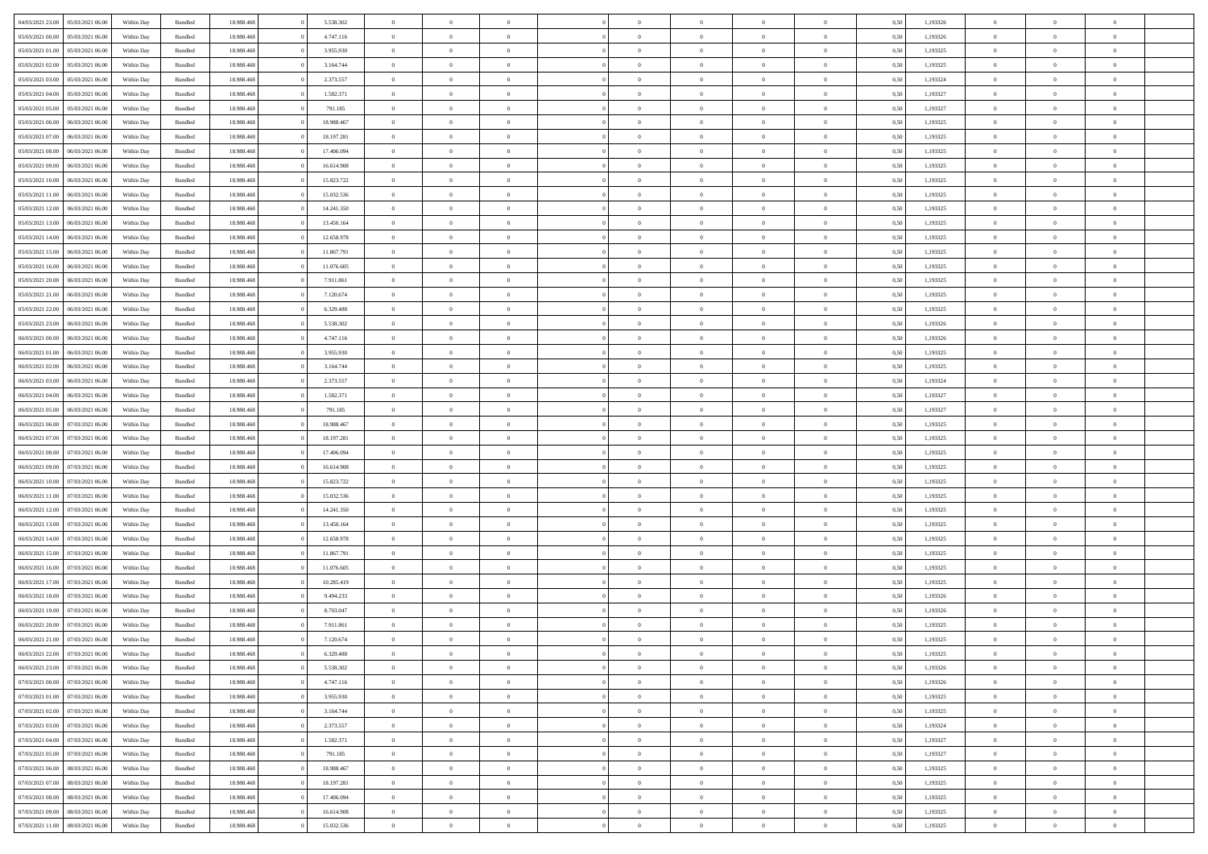|                                   |                  |            |                    |            |            | $\overline{0}$ | $\Omega$       |                |                | $\Omega$       | $\Omega$       | $\theta$       |      |          | $\theta$       | $\theta$       |                |  |
|-----------------------------------|------------------|------------|--------------------|------------|------------|----------------|----------------|----------------|----------------|----------------|----------------|----------------|------|----------|----------------|----------------|----------------|--|
| 04/03/2021 23:00                  | 05/03/2021 06:00 | Within Day | Bundled            | 18.988.468 | 5.538.302  |                |                |                | $\Omega$       |                |                |                | 0.50 | 1,193326 |                |                | $\theta$       |  |
| 05/03/2021 00:00                  | 05/03/2021 06:00 | Within Day | Bundled            | 18.988.468 | 4.747.116  | $\overline{0}$ | $\theta$       | $\overline{0}$ | $\overline{0}$ | $\bf{0}$       | $\overline{0}$ | $\overline{0}$ | 0,50 | 1,193326 | $\theta$       | $\theta$       | $\overline{0}$ |  |
| 05/03/2021 01:00                  | 05/03/2021 06:00 | Within Day | Bundled            | 18.988.468 | 3.955.930  | $\overline{0}$ | $\overline{0}$ | $\overline{0}$ | $\bf{0}$       | $\bf{0}$       | $\bf{0}$       | $\bf{0}$       | 0,50 | 1,193325 | $\bf{0}$       | $\overline{0}$ | $\overline{0}$ |  |
| 05/03/2021 02:00                  | 05/03/2021 06:00 | Within Dav | Bundled            | 18.988.468 | 3.164.744  | $\overline{0}$ | $\theta$       | $\overline{0}$ | $\overline{0}$ | $\bf{0}$       | $\overline{0}$ | $\overline{0}$ | 0.50 | 1,193325 | $\theta$       | $\theta$       | $\overline{0}$ |  |
|                                   |                  |            |                    |            |            |                |                |                |                |                |                |                |      |          |                |                |                |  |
| 05/03/2021 03:00                  | 05/03/2021 06:00 | Within Day | Bundled            | 18.988.468 | 2.373.557  | $\overline{0}$ | $\theta$       | $\overline{0}$ | $\overline{0}$ | $\bf{0}$       | $\overline{0}$ | $\bf{0}$       | 0,50 | 1,193324 | $\theta$       | $\theta$       | $\overline{0}$ |  |
| 05/03/2021 04:00                  | 05/03/2021 06:00 | Within Day | Bundled            | 18.988.468 | 1.582.371  | $\overline{0}$ | $\overline{0}$ | $\overline{0}$ | $\bf{0}$       | $\overline{0}$ | $\overline{0}$ | $\mathbf{0}$   | 0,50 | 1,193327 | $\bf{0}$       | $\overline{0}$ | $\bf{0}$       |  |
| 05/03/2021 05:00                  | 05/03/2021 06:00 | Within Dav | Bundled            | 18.988.468 | 791.185    | $\overline{0}$ | $\overline{0}$ | $\overline{0}$ | $\overline{0}$ | $\bf{0}$       | $\overline{0}$ | $\overline{0}$ | 0.50 | 1,193327 | $\theta$       | $\theta$       | $\overline{0}$ |  |
| 05/03/2021 06:00                  | 06/03/2021 06:00 | Within Day | Bundled            | 18.988.468 | 18.988.467 | $\overline{0}$ | $\theta$       | $\overline{0}$ | $\overline{0}$ | $\bf{0}$       | $\overline{0}$ | $\bf{0}$       | 0,50 | 1,193325 | $\theta$       | $\theta$       | $\overline{0}$ |  |
|                                   |                  |            |                    |            |            |                | $\overline{0}$ |                |                | $\bf{0}$       |                |                |      |          | $\,0\,$        | $\overline{0}$ | $\overline{0}$ |  |
| 05/03/2021 07:00                  | 06/03/2021 06:00 | Within Day | Bundled            | 18.988.468 | 18.197.281 | $\overline{0}$ |                | $\overline{0}$ | $\bf{0}$       |                | $\bf{0}$       | $\bf{0}$       | 0,50 | 1,193325 |                |                |                |  |
| 05/03/2021 08:00                  | 06/03/2021 06:00 | Within Dav | Bundled            | 18.988.468 | 17.406.094 | $\overline{0}$ | $\overline{0}$ | $\overline{0}$ | $\overline{0}$ | $\overline{0}$ | $\overline{0}$ | $\overline{0}$ | 0.50 | 1,193325 | $\theta$       | $\overline{0}$ | $\overline{0}$ |  |
| 05/03/2021 09:00                  | 06/03/2021 06:00 | Within Day | Bundled            | 18.988.468 | 16.614.908 | $\overline{0}$ | $\theta$       | $\overline{0}$ | $\overline{0}$ | $\bf{0}$       | $\overline{0}$ | $\bf{0}$       | 0,50 | 1,193325 | $\theta$       | $\theta$       | $\overline{0}$ |  |
| 05/03/2021 10:00                  | 06/03/2021 06:00 | Within Day | Bundled            | 18.988.468 | 15.823.722 | $\overline{0}$ | $\overline{0}$ | $\overline{0}$ | $\bf{0}$       | $\bf{0}$       | $\bf{0}$       | $\bf{0}$       | 0,50 | 1,193325 | $\,0\,$        | $\overline{0}$ | $\overline{0}$ |  |
| 05/03/2021 11:00                  | 06/03/2021 06:00 | Within Dav | Bundled            | 18.988.468 | 15.032.536 | $\overline{0}$ | $\theta$       | $\overline{0}$ | $\overline{0}$ | $\bf{0}$       | $\overline{0}$ | $\overline{0}$ | 0.50 | 1,193325 | $\theta$       | $\theta$       | $\overline{0}$ |  |
|                                   |                  |            |                    |            |            | $\overline{0}$ |                |                |                |                |                |                |      |          |                |                |                |  |
| 05/03/2021 12:00                  | 06/03/2021 06:00 | Within Day | Bundled            | 18.988.468 | 14.241.350 |                | $\theta$       | $\overline{0}$ | $\overline{0}$ | $\bf{0}$       | $\overline{0}$ | $\overline{0}$ | 0,50 | 1,193325 | $\theta$       | $\theta$       | $\overline{0}$ |  |
| 05/03/2021 13:00                  | 06/03/2021 06:00 | Within Day | Bundled            | 18.988.468 | 13.450.164 | $\overline{0}$ | $\overline{0}$ | $\overline{0}$ | $\bf{0}$       | $\overline{0}$ | $\overline{0}$ | $\mathbf{0}$   | 0,50 | 1,193325 | $\overline{0}$ | $\overline{0}$ | $\bf{0}$       |  |
| 05/03/2021 14:00                  | 06/03/2021 06:00 | Within Dav | Bundled            | 18.988.468 | 12.658.978 | $\overline{0}$ | $\overline{0}$ | $\overline{0}$ | $\overline{0}$ | $\bf{0}$       | $\overline{0}$ | $\overline{0}$ | 0.50 | 1,193325 | $\theta$       | $\overline{0}$ | $\overline{0}$ |  |
| 05/03/2021 15:00                  | 06/03/2021 06:00 | Within Day | Bundled            | 18.988.468 | 11.867.791 | $\overline{0}$ | $\theta$       | $\overline{0}$ | $\overline{0}$ | $\bf{0}$       | $\overline{0}$ | $\bf{0}$       | 0,50 | 1,193325 | $\theta$       | $\theta$       | $\overline{0}$ |  |
| 05/03/2021 16:00                  | 06/03/2021 06:00 | Within Day | Bundled            | 18.988.468 | 11.076.605 | $\overline{0}$ | $\overline{0}$ | $\overline{0}$ | $\bf{0}$       | $\bf{0}$       | $\bf{0}$       | $\bf{0}$       | 0,50 | 1,193325 | $\,0\,$        | $\overline{0}$ | $\overline{0}$ |  |
|                                   |                  |            |                    |            |            |                |                |                |                |                |                |                |      |          |                |                |                |  |
| 05/03/2021 20:00                  | 06/03/2021 06:00 | Within Dav | Bundled            | 18.988.468 | 7.911.861  | $\overline{0}$ | $\overline{0}$ | $\overline{0}$ | $\overline{0}$ | $\overline{0}$ | $\overline{0}$ | $\overline{0}$ | 0.50 | 1,193325 | $\theta$       | $\overline{0}$ | $\overline{0}$ |  |
| 05/03/2021 21:00                  | 06/03/2021 06:00 | Within Day | Bundled            | 18.988.468 | 7.120.674  | $\overline{0}$ | $\theta$       | $\overline{0}$ | $\overline{0}$ | $\bf{0}$       | $\overline{0}$ | $\bf{0}$       | 0,50 | 1,193325 | $\theta$       | $\theta$       | $\overline{0}$ |  |
| 05/03/2021 22.00                  | 06/03/2021 06:00 | Within Day | Bundled            | 18.988.468 | 6.329.488  | $\overline{0}$ | $\overline{0}$ | $\overline{0}$ | $\bf{0}$       | $\bf{0}$       | $\bf{0}$       | $\bf{0}$       | 0,50 | 1,193325 | $\,0\,$        | $\overline{0}$ | $\overline{0}$ |  |
| 05/03/2021 23:00                  | 06/03/2021 06:00 | Within Day | Bundled            | 18.988.468 | 5.538.302  | $\overline{0}$ | $\overline{0}$ | $\overline{0}$ | $\overline{0}$ | $\bf{0}$       | $\overline{0}$ | $\overline{0}$ | 0.50 | 1,193326 | $\theta$       | $\theta$       | $\overline{0}$ |  |
| 06/03/2021 00:00                  | 06/03/2021 06:00 |            |                    | 18.988.468 | 4.747.116  | $\overline{0}$ | $\theta$       | $\overline{0}$ | $\overline{0}$ | $\bf{0}$       | $\overline{0}$ |                |      | 1,193326 | $\theta$       | $\theta$       | $\overline{0}$ |  |
|                                   |                  | Within Day | Bundled            |            |            |                |                |                |                |                |                | $\bf{0}$       | 0,50 |          |                |                |                |  |
| 06/03/2021 01:00                  | 06/03/2021 06:00 | Within Day | Bundled            | 18.988.468 | 3.955.930  | $\overline{0}$ | $\overline{0}$ | $\overline{0}$ | $\bf{0}$       | $\overline{0}$ | $\overline{0}$ | $\mathbf{0}$   | 0,50 | 1,193325 | $\bf{0}$       | $\overline{0}$ | $\bf{0}$       |  |
| 06/03/2021 02:00                  | 06/03/2021 06:00 | Within Dav | Bundled            | 18.988.468 | 3.164.744  | $\overline{0}$ | $\overline{0}$ | $\overline{0}$ | $\overline{0}$ | $\overline{0}$ | $\overline{0}$ | $\overline{0}$ | 0.50 | 1,193325 | $\theta$       | $\theta$       | $\overline{0}$ |  |
| 06/03/2021 03:00                  | 06/03/2021 06:00 | Within Day | Bundled            | 18.988.468 | 2.373.557  | $\overline{0}$ | $\theta$       | $\overline{0}$ | $\overline{0}$ | $\bf{0}$       | $\overline{0}$ | $\bf{0}$       | 0,50 | 1,193324 | $\theta$       | $\theta$       | $\overline{0}$ |  |
| 06/03/2021 04:00                  | 06/03/2021 06:00 | Within Day | Bundled            | 18.988.468 | 1.582.371  | $\overline{0}$ | $\overline{0}$ | $\overline{0}$ | $\bf{0}$       | $\bf{0}$       | $\overline{0}$ | $\bf{0}$       | 0,50 | 1,193327 | $\,0\,$        | $\overline{0}$ | $\overline{0}$ |  |
| 06/03/2021 05:00                  | 06/03/2021 06:00 |            | Bundled            | 18.988.468 | 791.185    | $\overline{0}$ | $\overline{0}$ | $\overline{0}$ |                | $\bf{0}$       | $\overline{0}$ | $\overline{0}$ | 0.50 | 1,193327 | $\theta$       | $\theta$       | $\overline{0}$ |  |
|                                   |                  | Within Day |                    |            |            |                |                |                | $\overline{0}$ |                |                |                |      |          |                |                |                |  |
| 06/03/2021 06:00                  | 07/03/2021 06:00 | Within Day | Bundled            | 18.988.468 | 18.988.467 | $\overline{0}$ | $\theta$       | $\overline{0}$ | $\overline{0}$ | $\bf{0}$       | $\overline{0}$ | $\bf{0}$       | 0,50 | 1,193325 | $\theta$       | $\theta$       | $\overline{0}$ |  |
| 06/03/2021 07:00                  | 07/03/2021 06:00 | Within Day | Bundled            | 18.988.468 | 18.197.281 | $\overline{0}$ | $\overline{0}$ | $\overline{0}$ | $\overline{0}$ | $\bf{0}$       | $\overline{0}$ | $\bf{0}$       | 0,50 | 1,193325 | $\,0\,$        | $\overline{0}$ | $\overline{0}$ |  |
| 06/03/2021 08:00                  | 07/03/2021 06:00 | Within Day | Bundled            | 18.988.468 | 17,406,094 | $\overline{0}$ | $\Omega$       | $\Omega$       | $\Omega$       | $\Omega$       | $\Omega$       | $\overline{0}$ | 0.50 | 1,193325 | $\,0\,$        | $\Omega$       | $\theta$       |  |
| 06/03/2021 09:00                  | 07/03/2021 06:00 | Within Day | Bundled            | 18.988.468 | 16.614.908 | $\overline{0}$ | $\theta$       | $\overline{0}$ | $\overline{0}$ | $\bf{0}$       | $\overline{0}$ | $\bf{0}$       | 0,50 | 1,193325 | $\theta$       | $\theta$       | $\overline{0}$ |  |
|                                   |                  |            |                    |            |            |                |                |                |                |                |                |                |      |          |                |                |                |  |
| 06/03/2021 10:00                  | 07/03/2021 06:00 | Within Day | Bundled            | 18.988.468 | 15.823.722 | $\overline{0}$ | $\overline{0}$ | $\overline{0}$ | $\overline{0}$ | $\bf{0}$       | $\overline{0}$ | $\mathbf{0}$   | 0,50 | 1,193325 | $\bf{0}$       | $\overline{0}$ | $\bf{0}$       |  |
| 06/03/2021 11:00                  | 07/03/2021 06:00 | Within Day | Bundled            | 18.988.468 | 15.032.536 | $\overline{0}$ | $\Omega$       | $\Omega$       | $\Omega$       | $\Omega$       | $\Omega$       | $\overline{0}$ | 0.50 | 1,193325 | $\theta$       | $\Omega$       | $\theta$       |  |
| 06/03/2021 12:00                  | 07/03/2021 06:00 | Within Day | Bundled            | 18.988.468 | 14.241.350 | $\overline{0}$ | $\theta$       | $\overline{0}$ | $\overline{0}$ | $\bf{0}$       | $\overline{0}$ | $\bf{0}$       | 0,50 | 1,193325 | $\theta$       | $\theta$       | $\overline{0}$ |  |
| 06/03/2021 13:00                  | 07/03/2021 06:00 | Within Day | Bundled            | 18.988.468 | 13.450.164 | $\overline{0}$ | $\overline{0}$ | $\overline{0}$ | $\overline{0}$ | $\bf{0}$       | $\overline{0}$ | $\bf{0}$       | 0,50 | 1,193325 | $\,0\,$        | $\overline{0}$ | $\overline{0}$ |  |
| 06/03/2021 14:00                  | 07/03/2021 06:00 | Within Day | Bundled            | 18.988.468 | 12.658.978 | $\overline{0}$ | $\Omega$       | $\Omega$       | $\Omega$       | $\Omega$       | $\theta$       | $\overline{0}$ | 0.50 | 1,193325 | $\theta$       | $\theta$       | $\theta$       |  |
|                                   |                  |            |                    |            |            |                |                |                |                |                |                |                |      |          |                |                |                |  |
| 06/03/2021 15:00                  | 07/03/2021 06:00 | Within Day | Bundled            | 18.988.468 | 11.867.791 | $\overline{0}$ | $\theta$       | $\overline{0}$ | $\overline{0}$ | $\bf{0}$       | $\overline{0}$ | $\bf{0}$       | 0,50 | 1,193325 | $\theta$       | $\theta$       | $\overline{0}$ |  |
| 06/03/2021 16:00                  | 07/03/2021 06:00 | Within Day | Bundled            | 18.988.468 | 11.076.605 | $\overline{0}$ | $\overline{0}$ | $\overline{0}$ | $\overline{0}$ | $\bf{0}$       | $\overline{0}$ | $\bf{0}$       | 0,50 | 1,193325 | $\,0\,$        | $\overline{0}$ | $\overline{0}$ |  |
| 06/03/2021 17:00                  | 07/03/2021 06:00 | Within Day | Bundled            | 18.988.468 | 10.285.419 | $\overline{0}$ | $\Omega$       | $\Omega$       | $\Omega$       | $\Omega$       | $\overline{0}$ | $\overline{0}$ | 0.50 | 1,193325 | $\,0\,$        | $\Omega$       | $\theta$       |  |
| 06/03/2021 18:00                  | 07/03/2021 06:00 | Within Day | Bundled            | 18.988.468 | 9.494.233  | $\overline{0}$ | $\theta$       | $\overline{0}$ | $\overline{0}$ | $\bf{0}$       | $\overline{0}$ | $\bf{0}$       | 0,50 | 1,193326 | $\theta$       | $\theta$       | $\overline{0}$ |  |
| 06/03/2021 19:00                  | 07/03/2021 06:00 | Within Day | Bundled            | 18.988.468 | 8.703.047  | $\overline{0}$ | $\overline{0}$ | $\overline{0}$ | $\overline{0}$ | $\bf{0}$       | $\overline{0}$ | $\mathbf{0}$   | 0,50 | 1,193326 | $\bf{0}$       | $\overline{0}$ | $\bf{0}$       |  |
|                                   |                  |            |                    |            |            |                |                |                |                |                |                |                |      |          |                |                |                |  |
| 06/03/2021 20:00                  | 07/03/2021 06:00 | Within Day | Bundled            | 18.988.468 | 7.911.861  | $\overline{0}$ | $\Omega$       | $\Omega$       | $\Omega$       | $\Omega$       | $\Omega$       | $\overline{0}$ | 0.50 | 1,193325 | $\theta$       | $\Omega$       | $\theta$       |  |
| 06/03/2021 21:00                  | 07/03/2021 06:00 | Within Day | Bundled            | 18.988.468 | 7.120.674  | $\overline{0}$ | $\overline{0}$ | $\overline{0}$ | $\bf{0}$       | $\,$ 0         | $\overline{0}$ | $\bf{0}$       | 0,50 | 1,193325 | $\,0\,$        | $\overline{0}$ | $\overline{0}$ |  |
| 06/03/2021 22:00 07/03/2021 06:00 |                  | Within Day | $\mathbf B$ undled | 18.988.468 | 6.329.488  | $\bf{0}$       | $\bf{0}$       |                |                |                |                |                | 0,50 | 1,193325 | $\bf{0}$       | $\overline{0}$ |                |  |
| 06/03/2021 23:00                  | 07/03/2021 06:00 | Within Day | Bundled            | 18,988,468 | 5.538.302  | $\overline{0}$ | $\overline{0}$ | $\overline{0}$ | $\Omega$       | $\overline{0}$ | $\overline{0}$ | $\overline{0}$ | 0,50 | 1,193326 | $\theta$       | $\theta$       | $\theta$       |  |
| 07/03/2021 00:00                  | 07/03/2021 06:00 | Within Day | Bundled            | 18.988.468 | 4.747.116  | $\overline{0}$ | $\,$ 0         | $\overline{0}$ | $\overline{0}$ | $\,$ 0 $\,$    | $\overline{0}$ | $\mathbf{0}$   | 0,50 | 1,193326 | $\,$ 0 $\,$    | $\,$ 0 $\,$    | $\,$ 0         |  |
|                                   |                  |            |                    |            |            |                |                |                |                |                |                |                |      |          |                |                |                |  |
| 07/03/2021 01:00                  | 07/03/2021 06:00 | Within Day | Bundled            | 18.988.468 | 3.955.930  | $\overline{0}$ | $\overline{0}$ | $\overline{0}$ | $\overline{0}$ | $\overline{0}$ | $\overline{0}$ | $\mathbf{0}$   | 0,50 | 1,193325 | $\overline{0}$ | $\bf{0}$       | $\bf{0}$       |  |
| 07/03/2021 02:00                  | 07/03/2021 06:00 | Within Day | Bundled            | 18.988.468 | 3.164.744  | $\overline{0}$ | $\overline{0}$ | $\overline{0}$ | $\Omega$       | $\overline{0}$ | $\overline{0}$ | $\overline{0}$ | 0,50 | 1,193325 | $\overline{0}$ | $\theta$       | $\overline{0}$ |  |
| 07/03/2021 03:00                  | 07/03/2021 06:00 | Within Day | Bundled            | 18.988.468 | 2.373.557  | $\overline{0}$ | $\,$ 0         | $\overline{0}$ | $\overline{0}$ | $\,$ 0 $\,$    | $\overline{0}$ | $\mathbf{0}$   | 0,50 | 1,193324 | $\,$ 0 $\,$    | $\overline{0}$ | $\overline{0}$ |  |
| 07/03/2021 04:00                  | 07/03/2021 06:00 | Within Day | Bundled            | 18.988.468 | 1.582.371  | $\overline{0}$ | $\overline{0}$ | $\overline{0}$ | $\overline{0}$ | $\overline{0}$ | $\overline{0}$ | $\mathbf{0}$   | 0,50 | 1,193327 | $\overline{0}$ | $\overline{0}$ | $\bf{0}$       |  |
|                                   | 07/03/2021 06:00 |            |                    |            |            | $\overline{0}$ | $\overline{0}$ | $\overline{0}$ | $\Omega$       | $\overline{0}$ | $\overline{0}$ |                | 0.50 |          |                | $\theta$       | $\overline{0}$ |  |
| 07/03/2021 05:00                  |                  | Within Day | Bundled            | 18.988.468 | 791.185    |                |                |                |                |                |                | $\bf{0}$       |      | 1,193327 | $\overline{0}$ |                |                |  |
| 07/03/2021 06:00                  | 08/03/2021 06:00 | Within Day | Bundled            | 18.988.468 | 18.988.467 | $\overline{0}$ | $\,$ 0         | $\overline{0}$ | $\bf{0}$       | $\bf{0}$       | $\bf{0}$       | $\bf{0}$       | 0,50 | 1,193325 | $\,$ 0 $\,$    | $\overline{0}$ | $\overline{0}$ |  |
| 07/03/2021 07:00                  | 08/03/2021 06:00 | Within Day | Bundled            | 18.988.468 | 18.197.281 | $\overline{0}$ | $\bf{0}$       | $\overline{0}$ | $\overline{0}$ | $\overline{0}$ | $\overline{0}$ | $\mathbf{0}$   | 0,50 | 1,193325 | $\overline{0}$ | $\overline{0}$ | $\bf{0}$       |  |
| 07/03/2021 08:00                  | 08/03/2021 06:00 | Within Day | Bundled            | 18,988,468 | 17,406,094 | $\overline{0}$ | $\overline{0}$ | $\overline{0}$ | $\Omega$       | $\overline{0}$ | $\overline{0}$ | $\bf{0}$       | 0.50 | 1,193325 | $\overline{0}$ | $\overline{0}$ | $\overline{0}$ |  |
| 07/03/2021 09:00                  | 08/03/2021 06:00 | Within Day | Bundled            | 18.988.468 | 16.614.908 | $\overline{0}$ | $\bf{0}$       | $\overline{0}$ | $\bf{0}$       | $\bf{0}$       | $\bf{0}$       | $\mathbf{0}$   | 0,50 | 1,193325 | $\,$ 0 $\,$    | $\,$ 0 $\,$    | $\bf{0}$       |  |
|                                   |                  |            |                    |            |            |                |                |                |                |                |                |                |      |          |                |                |                |  |
| 07/03/2021 11:00                  | 08/03/2021 06:00 | Within Day | Bundled            | 18.988.468 | 15.032.536 | $\overline{0}$ | $\overline{0}$ | $\overline{0}$ | $\overline{0}$ | $\bf{0}$       | $\bf{0}$       | $\mathbf{0}$   | 0,50 | 1,193325 | $\overline{0}$ | $\bf{0}$       | $\bf{0}$       |  |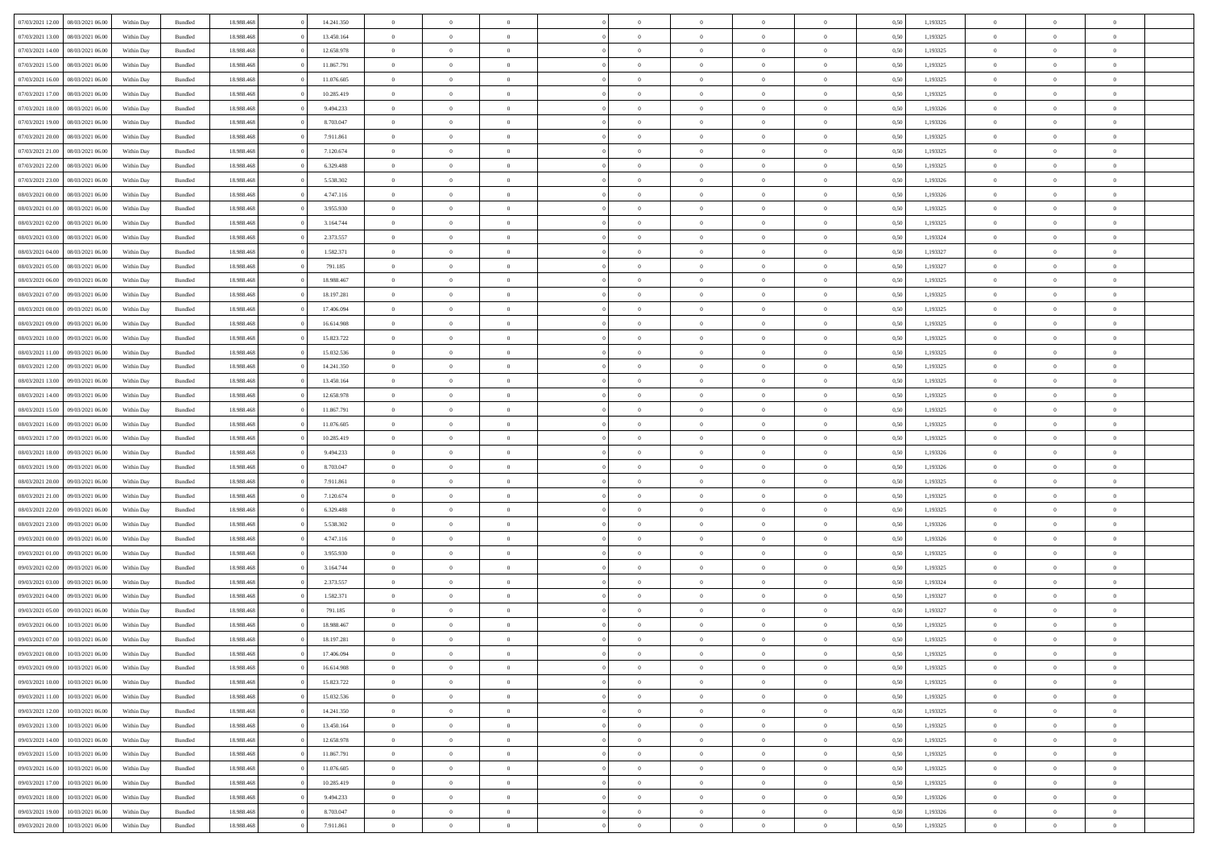| 07/03/2021 12:00 |                  |            |                    |            |            | $\overline{0}$ |                |                |                | $\Omega$       | $\Omega$       | $\theta$       |      |          | $\theta$       | $\overline{0}$ | $\theta$       |  |
|------------------|------------------|------------|--------------------|------------|------------|----------------|----------------|----------------|----------------|----------------|----------------|----------------|------|----------|----------------|----------------|----------------|--|
|                  | 08/03/2021 06:00 | Within Day | Bundled            | 18.988.468 | 14.241.350 |                | $\theta$       |                | $\Omega$       |                |                |                | 0.50 | 1,193325 |                |                |                |  |
| 07/03/2021 13:00 | 08/03/2021 06:00 | Within Day | Bundled            | 18.988.468 | 13.450.164 | $\overline{0}$ | $\theta$       | $\overline{0}$ | $\overline{0}$ | $\bf{0}$       | $\overline{0}$ | $\overline{0}$ | 0,50 | 1,193325 | $\theta$       | $\overline{0}$ | $\overline{0}$ |  |
| 07/03/2021 14:00 | 08/03/2021 06:00 | Within Day | Bundled            | 18.988.468 | 12.658.978 | $\overline{0}$ | $\overline{0}$ | $\overline{0}$ | $\bf{0}$       | $\bf{0}$       | $\bf{0}$       | $\bf{0}$       | 0,50 | 1,193325 | $\bf{0}$       | $\overline{0}$ | $\overline{0}$ |  |
| 07/03/2021 15:00 | 08/03/2021 06:00 | Within Dav | Bundled            | 18.988.468 | 11.867.791 | $\overline{0}$ | $\overline{0}$ | $\overline{0}$ | $\overline{0}$ | $\bf{0}$       | $\overline{0}$ | $\overline{0}$ | 0.50 | 1,193325 | $\theta$       | $\theta$       | $\overline{0}$ |  |
|                  |                  |            |                    |            |            |                |                |                |                |                |                |                |      |          |                |                |                |  |
| 07/03/2021 16:00 | 08/03/2021 06:00 | Within Day | Bundled            | 18.988.468 | 11.076.605 | $\overline{0}$ | $\theta$       | $\overline{0}$ | $\overline{0}$ | $\bf{0}$       | $\overline{0}$ | $\bf{0}$       | 0,50 | 1,193325 | $\theta$       | $\theta$       | $\overline{0}$ |  |
| 07/03/2021 17:00 | 08/03/2021 06:00 | Within Day | Bundled            | 18.988.468 | 10.285.419 | $\overline{0}$ | $\bf{0}$       | $\overline{0}$ | $\bf{0}$       | $\overline{0}$ | $\overline{0}$ | $\mathbf{0}$   | 0,50 | 1,193325 | $\bf{0}$       | $\overline{0}$ | $\bf{0}$       |  |
| 07/03/2021 18:00 | 08/03/2021 06:00 | Within Dav | Bundled            | 18.988.468 | 9.494.233  | $\overline{0}$ | $\overline{0}$ | $\overline{0}$ | $\overline{0}$ | $\bf{0}$       | $\overline{0}$ | $\overline{0}$ | 0.50 | 1,193326 | $\theta$       | $\overline{0}$ | $\overline{0}$ |  |
| 07/03/2021 19:00 | 08/03/2021 06:00 | Within Day | Bundled            | 18.988.468 | 8.703.047  | $\overline{0}$ | $\theta$       | $\overline{0}$ | $\overline{0}$ | $\bf{0}$       | $\overline{0}$ | $\bf{0}$       | 0,50 | 1,193326 | $\theta$       | $\theta$       | $\overline{0}$ |  |
| 07/03/2021 20.00 | 08/03/2021 06:00 | Within Day | Bundled            | 18.988.468 | 7.911.861  | $\overline{0}$ | $\overline{0}$ | $\overline{0}$ | $\bf{0}$       | $\bf{0}$       | $\bf{0}$       | $\bf{0}$       | 0,50 | 1,193325 | $\,0\,$        | $\overline{0}$ | $\overline{0}$ |  |
|                  |                  |            |                    |            |            |                |                |                |                |                |                |                |      |          |                |                |                |  |
| 07/03/2021 21:00 | 08/03/2021 06:00 | Within Dav | Bundled            | 18.988.468 | 7.120.674  | $\overline{0}$ | $\overline{0}$ | $\overline{0}$ | $\overline{0}$ | $\overline{0}$ | $\overline{0}$ | $\overline{0}$ | 0.50 | 1,193325 | $\theta$       | $\overline{0}$ | $\overline{0}$ |  |
| 07/03/2021 22.00 | 08/03/2021 06:00 | Within Day | Bundled            | 18.988.468 | 6.329.488  | $\overline{0}$ | $\theta$       | $\overline{0}$ | $\overline{0}$ | $\bf{0}$       | $\overline{0}$ | $\bf{0}$       | 0,50 | 1,193325 | $\theta$       | $\theta$       | $\overline{0}$ |  |
| 07/03/2021 23.00 | 08/03/2021 06:00 | Within Day | Bundled            | 18.988.468 | 5.538.302  | $\overline{0}$ | $\overline{0}$ | $\overline{0}$ | $\bf{0}$       | $\bf{0}$       | $\bf{0}$       | $\bf{0}$       | 0,50 | 1,193326 | $\bf{0}$       | $\overline{0}$ | $\overline{0}$ |  |
| 08/03/2021 00:00 | 08/03/2021 06:00 | Within Day | Bundled            | 18.988.468 | 4.747.116  | $\overline{0}$ | $\overline{0}$ | $\overline{0}$ | $\overline{0}$ | $\bf{0}$       | $\overline{0}$ | $\overline{0}$ | 0.50 | 1,193326 | $\theta$       | $\theta$       | $\overline{0}$ |  |
| 08/03/2021 01:00 | 08/03/2021 06:00 | Within Day | Bundled            | 18.988.468 | 3.955.930  | $\overline{0}$ | $\theta$       | $\overline{0}$ | $\overline{0}$ | $\bf{0}$       | $\overline{0}$ | $\overline{0}$ | 0,50 | 1,193325 | $\theta$       | $\theta$       | $\overline{0}$ |  |
|                  |                  |            |                    |            |            |                |                |                |                |                |                |                |      |          |                |                |                |  |
| 08/03/2021 02:00 | 08/03/2021 06:00 | Within Day | Bundled            | 18.988.468 | 3.164.744  | $\overline{0}$ | $\overline{0}$ | $\overline{0}$ | $\bf{0}$       | $\overline{0}$ | $\overline{0}$ | $\mathbf{0}$   | 0,50 | 1,193325 | $\overline{0}$ | $\overline{0}$ | $\bf{0}$       |  |
| 08/03/2021 03:00 | 08/03/2021 06:00 | Within Dav | Bundled            | 18.988.468 | 2.373.557  | $\overline{0}$ | $\overline{0}$ | $\overline{0}$ | $\overline{0}$ | $\overline{0}$ | $\overline{0}$ | $\overline{0}$ | 0.50 | 1,193324 | $\theta$       | $\overline{0}$ | $\overline{0}$ |  |
| 08/03/2021 04:00 | 08/03/2021 06:00 | Within Day | Bundled            | 18.988.468 | 1.582.371  | $\overline{0}$ | $\theta$       | $\overline{0}$ | $\overline{0}$ | $\bf{0}$       | $\overline{0}$ | $\bf{0}$       | 0,50 | 1,193327 | $\theta$       | $\theta$       | $\overline{0}$ |  |
| 08/03/2021 05:00 | 08/03/2021 06:00 | Within Day | Bundled            | 18.988.468 | 791.185    | $\overline{0}$ | $\overline{0}$ | $\overline{0}$ | $\bf{0}$       | $\bf{0}$       | $\bf{0}$       | $\bf{0}$       | 0,50 | 1,193327 | $\,0\,$        | $\overline{0}$ | $\overline{0}$ |  |
| 08/03/2021 06:00 | 09/03/2021 06:00 | Within Day | Bundled            | 18.988.468 | 18.988.467 | $\overline{0}$ | $\overline{0}$ | $\overline{0}$ | $\overline{0}$ | $\overline{0}$ | $\overline{0}$ | $\overline{0}$ | 0.50 | 1,193325 | $\theta$       | $\overline{0}$ | $\overline{0}$ |  |
|                  |                  |            |                    |            |            |                |                |                |                |                |                |                |      |          |                |                |                |  |
| 08/03/2021 07:00 | 09/03/2021 06:00 | Within Day | Bundled            | 18.988.468 | 18.197.281 | $\overline{0}$ | $\theta$       | $\overline{0}$ | $\overline{0}$ | $\bf{0}$       | $\overline{0}$ | $\bf{0}$       | 0,50 | 1,193325 | $\theta$       | $\theta$       | $\overline{0}$ |  |
| 08/03/2021 08:00 | 09/03/2021 06:00 | Within Day | Bundled            | 18.988.468 | 17.406.094 | $\overline{0}$ | $\overline{0}$ | $\overline{0}$ | $\bf{0}$       | $\bf{0}$       | $\bf{0}$       | $\bf{0}$       | 0,50 | 1,193325 | $\,0\,$        | $\overline{0}$ | $\overline{0}$ |  |
| 08/03/2021 09:00 | 09/03/2021 06:00 | Within Day | Bundled            | 18.988.468 | 16.614.908 | $\overline{0}$ | $\overline{0}$ | $\overline{0}$ | $\overline{0}$ | $\bf{0}$       | $\overline{0}$ | $\overline{0}$ | 0.50 | 1,193325 | $\theta$       | $\theta$       | $\overline{0}$ |  |
| 08/03/2021 10:00 | 09/03/2021 06:00 | Within Day | Bundled            | 18.988.468 | 15.823.722 | $\overline{0}$ | $\theta$       | $\overline{0}$ | $\overline{0}$ | $\bf{0}$       | $\overline{0}$ | $\bf{0}$       | 0,50 | 1,193325 | $\theta$       | $\overline{0}$ | $\overline{0}$ |  |
|                  |                  |            |                    |            |            |                |                |                |                |                |                |                |      |          |                |                |                |  |
| 08/03/2021 11:00 | 09/03/2021 06:00 | Within Day | Bundled            | 18.988.468 | 15.032.536 | $\overline{0}$ | $\overline{0}$ | $\overline{0}$ | $\bf{0}$       | $\overline{0}$ | $\overline{0}$ | $\mathbf{0}$   | 0,50 | 1,193325 | $\overline{0}$ | $\overline{0}$ | $\bf{0}$       |  |
| 08/03/2021 12:00 | 09/03/2021 06:00 | Within Dav | Bundled            | 18.988.468 | 14.241.350 | $\overline{0}$ | $\overline{0}$ | $\overline{0}$ | $\overline{0}$ | $\overline{0}$ | $\overline{0}$ | $\overline{0}$ | 0.50 | 1,193325 | $\theta$       | $\overline{0}$ | $\overline{0}$ |  |
| 08/03/2021 13:00 | 09/03/2021 06:00 | Within Day | Bundled            | 18.988.468 | 13.450.164 | $\overline{0}$ | $\theta$       | $\overline{0}$ | $\overline{0}$ | $\bf{0}$       | $\overline{0}$ | $\bf{0}$       | 0,50 | 1,193325 | $\theta$       | $\theta$       | $\overline{0}$ |  |
| 08/03/2021 14:00 | 09/03/2021 06:00 | Within Day | Bundled            | 18.988.468 | 12.658.978 | $\overline{0}$ | $\overline{0}$ | $\overline{0}$ | $\bf{0}$       | $\bf{0}$       | $\bf{0}$       | $\bf{0}$       | 0,50 | 1,193325 | $\,0\,$        | $\overline{0}$ | $\overline{0}$ |  |
| 08/03/2021 15:00 | 09/03/2021 06:00 | Within Day | Bundled            | 18.988.468 | 11.867.791 | $\overline{0}$ | $\overline{0}$ | $\overline{0}$ | $\overline{0}$ | $\overline{0}$ | $\overline{0}$ | $\overline{0}$ | 0.50 | 1,193325 | $\theta$       | $\overline{0}$ | $\overline{0}$ |  |
|                  |                  |            |                    |            |            |                |                |                |                |                |                |                |      |          |                |                |                |  |
| 08/03/2021 16:00 | 09/03/2021 06:00 | Within Day | Bundled            | 18.988.468 | 11.076.605 | $\overline{0}$ | $\theta$       | $\overline{0}$ | $\overline{0}$ | $\bf{0}$       | $\overline{0}$ | $\bf{0}$       | 0,50 | 1,193325 | $\,$ 0 $\,$    | $\theta$       | $\overline{0}$ |  |
| 08/03/2021 17:00 | 09/03/2021 06:00 | Within Day | Bundled            | 18.988.468 | 10.285.419 | $\overline{0}$ | $\overline{0}$ | $\overline{0}$ | $\bf{0}$       | $\bf{0}$       | $\bf{0}$       | $\bf{0}$       | 0,50 | 1,193325 | $\bf{0}$       | $\overline{0}$ | $\overline{0}$ |  |
| 08/03/2021 18:00 | 09/03/2021 06:00 | Within Day | Bundled            | 18.988.468 | 9.494.233  | $\overline{0}$ | $\Omega$       | $\Omega$       | $\Omega$       | $\Omega$       | $\overline{0}$ | $\overline{0}$ | 0.50 | 1,193326 | $\,0\,$        | $\theta$       | $\theta$       |  |
| 08/03/2021 19:00 | 09/03/2021 06:00 | Within Day | Bundled            | 18.988.468 | 8.703.047  | $\overline{0}$ | $\theta$       | $\overline{0}$ | $\overline{0}$ | $\bf{0}$       | $\overline{0}$ | $\bf{0}$       | 0,50 | 1,193326 | $\theta$       | $\theta$       | $\overline{0}$ |  |
| 08/03/2021 20:00 | 09/03/2021 06:00 | Within Day | Bundled            | 18.988.468 | 7.911.861  | $\overline{0}$ | $\overline{0}$ | $\overline{0}$ | $\bf{0}$       | $\bf{0}$       | $\overline{0}$ | $\mathbf{0}$   | 0,50 | 1,193325 | $\overline{0}$ | $\overline{0}$ | $\bf{0}$       |  |
|                  |                  |            |                    |            |            |                |                |                |                |                |                |                |      |          |                |                |                |  |
| 08/03/2021 21:00 | 09/03/2021 06:00 | Within Day | Bundled            | 18.988.468 | 7.120.674  | $\overline{0}$ | $\Omega$       | $\Omega$       | $\Omega$       | $\bf{0}$       | $\overline{0}$ | $\overline{0}$ | 0.50 | 1,193325 | $\,0\,$        | $\theta$       | $\theta$       |  |
| 08/03/2021 22:00 | 09/03/2021 06:00 | Within Day | Bundled            | 18.988.468 | 6.329.488  | $\overline{0}$ | $\theta$       | $\overline{0}$ | $\overline{0}$ | $\bf{0}$       | $\overline{0}$ | $\bf{0}$       | 0,50 | 1,193325 | $\theta$       | $\theta$       | $\overline{0}$ |  |
| 08/03/2021 23:00 | 09/03/2021 06:00 | Within Day | Bundled            | 18.988.468 | 5.538.302  | $\overline{0}$ | $\overline{0}$ | $\overline{0}$ | $\bf{0}$       | $\bf{0}$       | $\bf{0}$       | $\bf{0}$       | 0,50 | 1,193326 | $\,0\,$        | $\overline{0}$ | $\overline{0}$ |  |
| 09/03/2021 00:00 | 09/03/2021 06:00 | Within Day | Bundled            | 18.988.468 | 4.747.116  | $\overline{0}$ | $\Omega$       | $\Omega$       | $\Omega$       | $\Omega$       | $\theta$       | $\overline{0}$ | 0.50 | 1,193326 | $\theta$       | $\theta$       | $\theta$       |  |
| 09/03/2021 01:00 | 09/03/2021 06:00 | Within Day | Bundled            | 18.988.468 | 3.955.930  | $\overline{0}$ | $\theta$       | $\overline{0}$ | $\overline{0}$ | $\bf{0}$       | $\overline{0}$ | $\bf{0}$       | 0,50 | 1,193325 | $\,$ 0 $\,$    | $\theta$       | $\overline{0}$ |  |
|                  |                  |            |                    |            |            |                |                |                |                |                |                |                |      |          |                |                |                |  |
| 09/03/2021 02:00 | 09/03/2021 06:00 | Within Day | Bundled            | 18.988.468 | 3.164.744  | $\overline{0}$ | $\overline{0}$ | $\overline{0}$ | $\bf{0}$       | $\bf{0}$       | $\bf{0}$       | $\bf{0}$       | 0,50 | 1,193325 | $\,0\,$        | $\overline{0}$ | $\overline{0}$ |  |
| 09/03/2021 03:00 | 09/03/2021 06:00 | Within Day | Bundled            | 18.988.468 | 2.373.557  | $\overline{0}$ | $\Omega$       | $\Omega$       | $\Omega$       | $\Omega$       | $\overline{0}$ | $\overline{0}$ | 0.50 | 1,193324 | $\,0\,$        | $\theta$       | $\theta$       |  |
| 09/03/2021 04:00 | 09/03/2021 06:00 | Within Day | Bundled            | 18.988.468 | 1.582.371  | $\overline{0}$ | $\theta$       | $\overline{0}$ | $\overline{0}$ | $\bf{0}$       | $\overline{0}$ | $\bf{0}$       | 0,50 | 1,193327 | $\,$ 0 $\,$    | $\theta$       | $\overline{0}$ |  |
| 09/03/2021 05:00 | 09/03/2021 06:00 | Within Day | Bundled            | 18.988.468 | 791.185    | $\overline{0}$ | $\overline{0}$ | $\overline{0}$ | $\bf{0}$       | $\bf{0}$       | $\bf{0}$       | $\mathbf{0}$   | 0,50 | 1,193327 | $\bf{0}$       | $\overline{0}$ | $\bf{0}$       |  |
| 09/03/2021 06:00 | 10/03/2021 06:00 | Within Day | Bundled            | 18.988.468 | 18.988.467 | $\overline{0}$ | $\Omega$       | $\Omega$       | $\Omega$       | $\Omega$       | $\Omega$       | $\overline{0}$ | 0.50 | 1,193325 | $\theta$       | $\theta$       | $\theta$       |  |
| 09/03/2021 07:00 | 10/03/2021 06:00 | Within Day | Bundled            | 18.988.468 | 18.197.281 | $\overline{0}$ | $\overline{0}$ | $\overline{0}$ | $\bf{0}$       | $\,$ 0         | $\bf{0}$       | $\bf{0}$       | 0,50 | 1,193325 | $\,0\,$        | $\overline{0}$ | $\overline{0}$ |  |
|                  |                  |            |                    |            |            |                |                |                |                |                |                |                |      |          |                |                |                |  |
| 09/03/2021 08:00 | 10/03/2021 06:00 | Within Day | $\mathbf B$ undled | 18.988.468 | 17.406.094 | $\bf{0}$       | $\bf{0}$       |                |                |                |                |                | 0,50 | 1,193325 | $\bf{0}$       | $\overline{0}$ |                |  |
| 09/03/2021 09:00 | 10/03/2021 06:00 | Within Day | Bundled            | 18,988,468 | 16.614.908 | $\overline{0}$ | $\Omega$       | $\overline{0}$ | $\Omega$       | $\theta$       | $\overline{0}$ | $\overline{0}$ | 0,50 | 1,193325 | $\theta$       | $\theta$       | $\theta$       |  |
| 09/03/2021 10:00 | 10/03/2021 06:00 | Within Day | Bundled            | 18.988.468 | 15.823.722 | $\overline{0}$ | $\,$ 0         | $\overline{0}$ | $\bf{0}$       | $\,$ 0 $\,$    | $\overline{0}$ | $\mathbf{0}$   | 0,50 | 1,193325 | $\,$ 0 $\,$    | $\overline{0}$ | $\,$ 0         |  |
| 09/03/2021 11:00 | 10/03/2021 06:00 | Within Day | Bundled            | 18.988.468 | 15.032.536 | $\overline{0}$ | $\overline{0}$ | $\overline{0}$ | $\overline{0}$ | $\overline{0}$ | $\overline{0}$ | $\mathbf{0}$   | 0,50 | 1,193325 | $\overline{0}$ | $\bf{0}$       | $\bf{0}$       |  |
|                  |                  |            |                    |            |            | $\overline{0}$ | $\theta$       |                | $\Omega$       | $\overline{0}$ | $\overline{0}$ |                |      |          |                | $\theta$       | $\overline{0}$ |  |
| 09/03/2021 12:00 | 10/03/2021 06:00 | Within Day | Bundled            | 18.988.468 | 14.241.350 |                |                | $\overline{0}$ |                |                |                | $\bf{0}$       | 0,50 | 1,193325 | $\bf{0}$       |                |                |  |
| 09/03/2021 13:00 | 10/03/2021 06:00 | Within Day | Bundled            | 18.988.468 | 13.450.164 | $\overline{0}$ | $\,$ 0         | $\overline{0}$ | $\overline{0}$ | $\overline{0}$ | $\overline{0}$ | $\bf{0}$       | 0,50 | 1,193325 | $\,$ 0 $\,$    | $\overline{0}$ | $\overline{0}$ |  |
| 09/03/2021 14:00 | 10/03/2021 06:00 | Within Day | Bundled            | 18.988.468 | 12.658.978 | $\overline{0}$ | $\overline{0}$ | $\overline{0}$ | $\overline{0}$ | $\overline{0}$ | $\overline{0}$ | $\mathbf{0}$   | 0,50 | 1,193325 | $\overline{0}$ | $\bf{0}$       | $\bf{0}$       |  |
| 09/03/2021 15:00 | 10/03/2021 06:00 | Within Day | Bundled            | 18.988.468 | 11.867.791 | $\overline{0}$ | $\overline{0}$ | $\overline{0}$ | $\Omega$       | $\overline{0}$ | $\overline{0}$ | $\bf{0}$       | 0.50 | 1,193325 | $\overline{0}$ | $\theta$       | $\overline{0}$ |  |
| 09/03/2021 16:00 | 10/03/2021 06:00 | Within Day | Bundled            | 18.988.468 | 11.076.605 | $\overline{0}$ | $\,$ 0         | $\overline{0}$ | $\overline{0}$ | $\bf{0}$       | $\overline{0}$ | $\bf{0}$       | 0,50 | 1,193325 | $\,$ 0 $\,$    | $\overline{0}$ | $\overline{0}$ |  |
|                  |                  |            |                    |            |            |                | $\bf{0}$       |                |                |                |                |                |      |          |                | $\overline{0}$ | $\bf{0}$       |  |
| 09/03/2021 17:00 | 10/03/2021 06:00 | Within Day | Bundled            | 18.988.468 | 10.285.419 | $\overline{0}$ |                | $\overline{0}$ | $\overline{0}$ | $\overline{0}$ | $\bf{0}$       | $\mathbf{0}$   | 0,50 | 1,193325 | $\overline{0}$ |                |                |  |
| 09/03/2021 18:00 | 10/03/2021 06:00 | Within Day | Bundled            | 18,988,468 | 9.494.233  | $\overline{0}$ | $\overline{0}$ | $\overline{0}$ | $\Omega$       | $\overline{0}$ | $\overline{0}$ | $\bf{0}$       | 0.50 | 1,193326 | $\overline{0}$ | $\theta$       | $\overline{0}$ |  |
| 09/03/2021 19:00 | 10/03/2021 06:00 | Within Day | Bundled            | 18.988.468 | 8.703.047  | $\overline{0}$ | $\,$ 0         | $\overline{0}$ | $\overline{0}$ | $\bf{0}$       | $\bf{0}$       | $\bf{0}$       | 0,50 | 1,193326 | $\,$ 0 $\,$    | $\,$ 0 $\,$    | $\bf{0}$       |  |
| 09/03/2021 20:00 | 10/03/2021 06:00 | Within Day | Bundled            | 18.988.468 | 7.911.861  | $\overline{0}$ | $\overline{0}$ | $\overline{0}$ | $\overline{0}$ | $\bf{0}$       | $\bf{0}$       | $\mathbf{0}$   | 0,50 | 1,193325 | $\overline{0}$ | $\bf{0}$       | $\bf{0}$       |  |
|                  |                  |            |                    |            |            |                |                |                |                |                |                |                |      |          |                |                |                |  |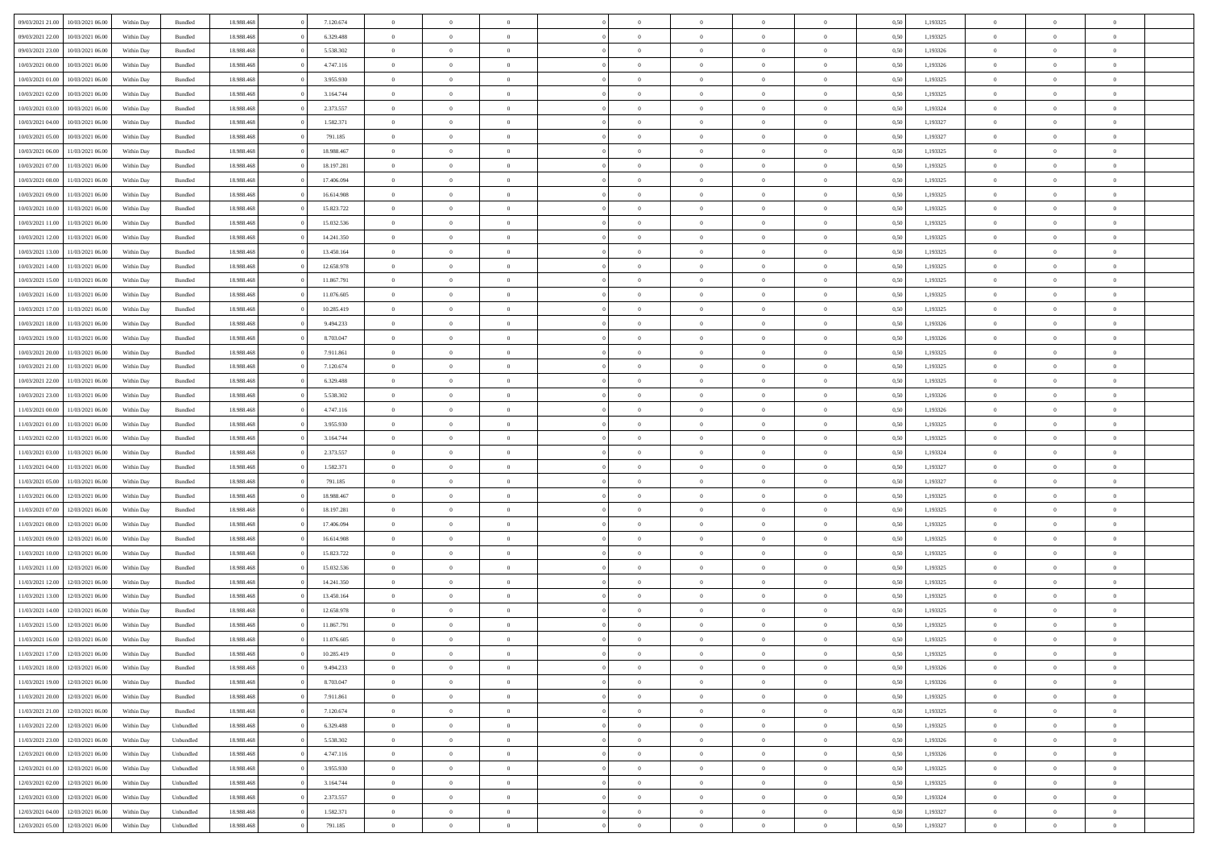|                  |                                   |            |                    |            |            | $\overline{0}$ |                |                |                | $\Omega$       | $\Omega$       | $\theta$       |      |          | $\theta$       | $\overline{0}$ | $\theta$       |  |
|------------------|-----------------------------------|------------|--------------------|------------|------------|----------------|----------------|----------------|----------------|----------------|----------------|----------------|------|----------|----------------|----------------|----------------|--|
| 09/03/2021 21:00 | 10/03/2021 06:00                  | Within Day | Bundled            | 18.988.468 | 7.120.674  |                | $\theta$       |                | $\Omega$       |                |                |                | 0.50 | 1,193325 |                |                |                |  |
| 09/03/2021 22.00 | 10/03/2021 06:00                  | Within Day | Bundled            | 18.988.468 | 6.329.488  | $\overline{0}$ | $\theta$       | $\overline{0}$ | $\overline{0}$ | $\bf{0}$       | $\overline{0}$ | $\overline{0}$ | 0,50 | 1,193325 | $\theta$       | $\overline{0}$ | $\overline{0}$ |  |
| 09/03/2021 23.00 | 10/03/2021 06:00                  | Within Day | Bundled            | 18.988.468 | 5.538.302  | $\overline{0}$ | $\overline{0}$ | $\overline{0}$ | $\bf{0}$       | $\bf{0}$       | $\bf{0}$       | $\bf{0}$       | 0,50 | 1,193326 | $\bf{0}$       | $\overline{0}$ | $\overline{0}$ |  |
| 10/03/2021 00:00 | 10/03/2021 06:00                  | Within Dav | Bundled            | 18.988.468 | 4.747.116  | $\overline{0}$ | $\overline{0}$ | $\overline{0}$ | $\overline{0}$ | $\bf{0}$       | $\overline{0}$ | $\overline{0}$ | 0.50 | 1,193326 | $\theta$       | $\theta$       | $\overline{0}$ |  |
|                  |                                   |            |                    |            |            | $\overline{0}$ | $\theta$       | $\overline{0}$ |                | $\bf{0}$       | $\overline{0}$ |                |      |          | $\theta$       | $\theta$       | $\overline{0}$ |  |
| 10/03/2021 01:00 | 10/03/2021 06:00                  | Within Day | Bundled            | 18.988.468 | 3.955.930  |                |                |                | $\overline{0}$ |                |                | $\bf{0}$       | 0,50 | 1,193325 |                |                |                |  |
| 10/03/2021 02:00 | 10/03/2021 06:00                  | Within Day | Bundled            | 18.988.468 | 3.164.744  | $\overline{0}$ | $\bf{0}$       | $\overline{0}$ | $\bf{0}$       | $\overline{0}$ | $\overline{0}$ | $\mathbf{0}$   | 0,50 | 1,193325 | $\overline{0}$ | $\overline{0}$ | $\bf{0}$       |  |
| 10/03/2021 03:00 | 10/03/2021 06:00                  | Within Dav | Bundled            | 18.988.468 | 2.373.557  | $\overline{0}$ | $\overline{0}$ | $\overline{0}$ | $\overline{0}$ | $\overline{0}$ | $\overline{0}$ | $\overline{0}$ | 0.50 | 1,193324 | $\theta$       | $\overline{0}$ | $\overline{0}$ |  |
| 10/03/2021 04:00 | 10/03/2021 06:00                  | Within Day | Bundled            | 18.988.468 | 1.582.371  | $\overline{0}$ | $\theta$       | $\overline{0}$ | $\overline{0}$ | $\bf{0}$       | $\overline{0}$ | $\bf{0}$       | 0,50 | 1,193327 | $\theta$       | $\theta$       | $\overline{0}$ |  |
| 10/03/2021 05:00 | 10/03/2021 06:00                  | Within Day | Bundled            | 18.988.468 | 791.185    | $\overline{0}$ | $\overline{0}$ | $\overline{0}$ | $\bf{0}$       | $\bf{0}$       | $\bf{0}$       | $\bf{0}$       | 0,50 | 1,193327 | $\,0\,$        | $\overline{0}$ | $\overline{0}$ |  |
|                  |                                   |            |                    |            |            |                | $\overline{0}$ |                |                | $\overline{0}$ |                |                |      |          | $\theta$       | $\overline{0}$ | $\overline{0}$ |  |
| 10/03/2021 06:00 | 11/03/2021 06:00                  | Within Dav | Bundled            | 18.988.468 | 18.988.467 | $\overline{0}$ |                | $\overline{0}$ | $\overline{0}$ |                | $\overline{0}$ | $\overline{0}$ | 0.50 | 1,193325 |                |                |                |  |
| 10/03/2021 07:00 | 11/03/2021 06:00                  | Within Day | Bundled            | 18.988.468 | 18.197.281 | $\overline{0}$ | $\theta$       | $\overline{0}$ | $\overline{0}$ | $\bf{0}$       | $\overline{0}$ | $\bf{0}$       | 0,50 | 1,193325 | $\theta$       | $\theta$       | $\overline{0}$ |  |
| 10/03/2021 08:00 | 11/03/2021 06:00                  | Within Day | Bundled            | 18.988.468 | 17.406.094 | $\overline{0}$ | $\overline{0}$ | $\overline{0}$ | $\bf{0}$       | $\bf{0}$       | $\bf{0}$       | $\bf{0}$       | 0,50 | 1,193325 | $\bf{0}$       | $\overline{0}$ | $\overline{0}$ |  |
| 10/03/2021 09:00 | 11/03/2021 06:00                  | Within Dav | Bundled            | 18.988.468 | 16.614.908 | $\overline{0}$ | $\overline{0}$ | $\overline{0}$ | $\overline{0}$ | $\bf{0}$       | $\overline{0}$ | $\overline{0}$ | 0.50 | 1,193325 | $\theta$       | $\theta$       | $\overline{0}$ |  |
| 10/03/2021 10:00 | 11/03/2021 06:00                  | Within Day | Bundled            | 18.988.468 | 15.823.722 | $\overline{0}$ | $\theta$       | $\overline{0}$ | $\overline{0}$ | $\bf{0}$       | $\overline{0}$ | $\overline{0}$ | 0,50 | 1,193325 | $\theta$       | $\theta$       | $\overline{0}$ |  |
|                  |                                   |            |                    |            |            |                |                |                |                |                |                |                |      |          |                |                |                |  |
| 10/03/2021 11:00 | 11/03/2021 06:00                  | Within Day | Bundled            | 18.988.468 | 15.032.536 | $\overline{0}$ | $\overline{0}$ | $\overline{0}$ | $\bf{0}$       | $\overline{0}$ | $\overline{0}$ | $\mathbf{0}$   | 0,50 | 1,193325 | $\overline{0}$ | $\overline{0}$ | $\bf{0}$       |  |
| 10/03/2021 12:00 | 11/03/2021 06:00                  | Within Dav | Bundled            | 18.988.468 | 14.241.350 | $\overline{0}$ | $\overline{0}$ | $\overline{0}$ | $\overline{0}$ | $\bf{0}$       | $\overline{0}$ | $\overline{0}$ | 0.50 | 1,193325 | $\theta$       | $\overline{0}$ | $\overline{0}$ |  |
| 10/03/2021 13:00 | 11/03/2021 06:00                  | Within Day | Bundled            | 18.988.468 | 13.450.164 | $\overline{0}$ | $\theta$       | $\overline{0}$ | $\overline{0}$ | $\bf{0}$       | $\overline{0}$ | $\bf{0}$       | 0,50 | 1,193325 | $\theta$       | $\theta$       | $\overline{0}$ |  |
| 10/03/2021 14:00 | 11/03/2021 06:00                  | Within Day | Bundled            | 18.988.468 | 12.658.978 | $\overline{0}$ | $\overline{0}$ | $\overline{0}$ | $\bf{0}$       | $\bf{0}$       | $\bf{0}$       | $\bf{0}$       | 0,50 | 1,193325 | $\,0\,$        | $\overline{0}$ | $\overline{0}$ |  |
| 10/03/2021 15:00 | 11/03/2021 06:00                  | Within Dav | Bundled            | 18.988.468 | 11.867.791 | $\overline{0}$ | $\overline{0}$ | $\overline{0}$ | $\overline{0}$ | $\overline{0}$ | $\overline{0}$ | $\overline{0}$ | 0.50 | 1,193325 | $\theta$       | $\overline{0}$ | $\overline{0}$ |  |
| 10/03/2021 16:00 | 11/03/2021 06:00                  | Within Day | Bundled            | 18.988.468 | 11.076.605 | $\overline{0}$ | $\theta$       | $\overline{0}$ | $\overline{0}$ | $\bf{0}$       | $\overline{0}$ | $\bf{0}$       | 0,50 | 1,193325 | $\theta$       | $\theta$       | $\overline{0}$ |  |
|                  |                                   |            |                    |            |            |                |                |                |                |                |                |                |      |          |                |                |                |  |
| 10/03/2021 17:00 | 11/03/2021 06:00                  | Within Day | Bundled            | 18.988.468 | 10.285.419 | $\overline{0}$ | $\overline{0}$ | $\overline{0}$ | $\overline{0}$ | $\bf{0}$       | $\overline{0}$ | $\bf{0}$       | 0,50 | 1,193325 | $\,0\,$        | $\overline{0}$ | $\overline{0}$ |  |
| 10/03/2021 18:00 | 11/03/2021 06:00                  | Within Day | Bundled            | 18.988.468 | 9.494.233  | $\overline{0}$ | $\overline{0}$ | $\overline{0}$ | $\overline{0}$ | $\bf{0}$       | $\overline{0}$ | $\overline{0}$ | 0.50 | 1,193326 | $\theta$       | $\theta$       | $\overline{0}$ |  |
| 10/03/2021 19:00 | 11/03/2021 06:00                  | Within Day | Bundled            | 18.988.468 | 8.703.047  | $\overline{0}$ | $\theta$       | $\overline{0}$ | $\overline{0}$ | $\bf{0}$       | $\overline{0}$ | $\bf{0}$       | 0,50 | 1,193326 | $\theta$       | $\overline{0}$ | $\overline{0}$ |  |
| 10/03/2021 20:00 | 11/03/2021 06:00                  | Within Day | Bundled            | 18.988.468 | 7.911.861  | $\overline{0}$ | $\bf{0}$       | $\overline{0}$ | $\overline{0}$ | $\overline{0}$ | $\overline{0}$ | $\mathbf{0}$   | 0,50 | 1,193325 | $\bf{0}$       | $\overline{0}$ | $\bf{0}$       |  |
| 10/03/2021 21:00 | 11/03/2021 06:00                  | Within Dav | Bundled            | 18.988.468 | 7.120.674  | $\overline{0}$ | $\overline{0}$ | $\overline{0}$ | $\overline{0}$ | $\overline{0}$ | $\overline{0}$ | $\overline{0}$ | 0.50 | 1,193325 | $\theta$       | $\overline{0}$ | $\overline{0}$ |  |
| 10/03/2021 22:00 | 11/03/2021 06:00                  | Within Day | Bundled            | 18.988.468 | 6.329.488  | $\overline{0}$ | $\theta$       | $\overline{0}$ | $\overline{0}$ | $\bf{0}$       | $\overline{0}$ | $\bf{0}$       | 0,50 | 1,193325 | $\theta$       | $\theta$       | $\overline{0}$ |  |
| 10/03/2021 23:00 | 11/03/2021 06:00                  | Within Day | Bundled            | 18.988.468 | 5.538.302  | $\overline{0}$ | $\overline{0}$ | $\overline{0}$ | $\overline{0}$ | $\bf{0}$       | $\overline{0}$ | $\bf{0}$       | 0,50 | 1,193326 | $\,0\,$        | $\overline{0}$ | $\overline{0}$ |  |
|                  |                                   |            |                    |            |            |                | $\overline{0}$ |                |                | $\overline{0}$ |                |                |      |          | $\theta$       | $\overline{0}$ | $\overline{0}$ |  |
| 11/03/2021 00:00 | 11/03/2021 06:00                  | Within Day | Bundled            | 18.988.468 | 4.747.116  | $\overline{0}$ |                | $\overline{0}$ | $\overline{0}$ |                | $\overline{0}$ | $\overline{0}$ | 0.50 | 1,193326 |                |                |                |  |
| 11/03/2021 01:00 | 11/03/2021 06:00                  | Within Day | Bundled            | 18.988.468 | 3.955.930  | $\overline{0}$ | $\theta$       | $\overline{0}$ | $\overline{0}$ | $\bf{0}$       | $\overline{0}$ | $\bf{0}$       | 0,50 | 1,193325 | $\,$ 0 $\,$    | $\theta$       | $\overline{0}$ |  |
| 11/03/2021 02:00 | 11/03/2021 06:00                  | Within Day | Bundled            | 18.988.468 | 3.164.744  | $\overline{0}$ | $\overline{0}$ | $\overline{0}$ | $\overline{0}$ | $\bf{0}$       | $\bf{0}$       | $\bf{0}$       | 0,50 | 1,193325 | $\bf{0}$       | $\overline{0}$ | $\overline{0}$ |  |
| 11/03/2021 03:00 | 11/03/2021 06.00                  | Within Day | Bundled            | 18.988.468 | 2.373.557  | $\overline{0}$ | $\Omega$       | $\Omega$       | $\Omega$       | $\Omega$       | $\overline{0}$ | $\overline{0}$ | 0.50 | 1,193324 | $\,0\,$        | $\theta$       | $\theta$       |  |
| 11/03/2021 04:00 | 11/03/2021 06:00                  | Within Day | Bundled            | 18.988.468 | 1.582.371  | $\overline{0}$ | $\theta$       | $\overline{0}$ | $\overline{0}$ | $\bf{0}$       | $\overline{0}$ | $\bf{0}$       | 0,50 | 1,193327 | $\theta$       | $\theta$       | $\overline{0}$ |  |
| 11/03/2021 05:00 | 11/03/2021 06:00                  | Within Day | Bundled            | 18.988.468 | 791.185    | $\overline{0}$ | $\overline{0}$ | $\overline{0}$ | $\bf{0}$       | $\bf{0}$       | $\overline{0}$ | $\mathbf{0}$   | 0,50 | 1,193327 | $\overline{0}$ | $\overline{0}$ | $\bf{0}$       |  |
| 11/03/2021 06:00 | 12/03/2021 06:00                  |            |                    | 18.988.468 | 18.988.467 | $\overline{0}$ | $\Omega$       | $\Omega$       | $\Omega$       | $\Omega$       | $\Omega$       | $\overline{0}$ | 0.50 |          | $\theta$       | $\theta$       | $\theta$       |  |
|                  |                                   | Within Day | Bundled            |            |            |                |                |                |                |                |                |                |      | 1,193325 |                |                |                |  |
| 11/03/2021 07:00 | 12/03/2021 06:00                  | Within Day | Bundled            | 18.988.468 | 18.197.281 | $\overline{0}$ | $\theta$       | $\overline{0}$ | $\overline{0}$ | $\bf{0}$       | $\overline{0}$ | $\bf{0}$       | 0,50 | 1,193325 | $\theta$       | $\theta$       | $\overline{0}$ |  |
| 11/03/2021 08:00 | 12/03/2021 06:00                  | Within Day | Bundled            | 18.988.468 | 17.406.094 | $\overline{0}$ | $\overline{0}$ | $\overline{0}$ | $\bf{0}$       | $\bf{0}$       | $\bf{0}$       | $\bf{0}$       | 0,50 | 1,193325 | $\,0\,$        | $\overline{0}$ | $\overline{0}$ |  |
| 11/03/2021 09:00 | 12/03/2021 06:00                  | Within Day | Bundled            | 18.988.468 | 16.614.908 | $\overline{0}$ | $\Omega$       | $\Omega$       | $\Omega$       | $\Omega$       | $\theta$       | $\overline{0}$ | 0.50 | 1,193325 | $\theta$       | $\theta$       | $\theta$       |  |
| 11/03/2021 10:00 | 12/03/2021 06:00                  | Within Day | Bundled            | 18.988.468 | 15.823.722 | $\overline{0}$ | $\theta$       | $\overline{0}$ | $\overline{0}$ | $\bf{0}$       | $\overline{0}$ | $\bf{0}$       | 0,50 | 1,193325 | $\theta$       | $\theta$       | $\overline{0}$ |  |
| 11/03/2021 11:00 | 12/03/2021 06:00                  | Within Day | Bundled            | 18.988.468 | 15.032.536 | $\overline{0}$ | $\overline{0}$ | $\overline{0}$ | $\bf{0}$       | $\bf{0}$       | $\bf{0}$       | $\bf{0}$       | 0,50 | 1,193325 | $\,0\,$        | $\overline{0}$ | $\overline{0}$ |  |
|                  |                                   |            |                    |            |            | $\overline{0}$ | $\Omega$       | $\Omega$       | $\Omega$       | $\Omega$       |                |                |      |          |                |                | $\theta$       |  |
| 11/03/2021 12:00 | 12/03/2021 06:00                  | Within Day | Bundled            | 18.988.468 | 14.241.350 |                |                |                |                |                | $\overline{0}$ | $\overline{0}$ | 0.50 | 1,193325 | $\,0\,$        | $\theta$       |                |  |
| 11/03/2021 13:00 | 12/03/2021 06:00                  | Within Day | Bundled            | 18.988.468 | 13.450.164 | $\overline{0}$ | $\theta$       | $\overline{0}$ | $\overline{0}$ | $\bf{0}$       | $\overline{0}$ | $\bf{0}$       | 0,50 | 1,193325 | $\,$ 0 $\,$    | $\theta$       | $\overline{0}$ |  |
| 11/03/2021 14:00 | 12/03/2021 06:00                  | Within Day | Bundled            | 18.988.468 | 12.658.978 | $\overline{0}$ | $\overline{0}$ | $\overline{0}$ | $\bf{0}$       | $\bf{0}$       | $\overline{0}$ | $\mathbf{0}$   | 0,50 | 1,193325 | $\overline{0}$ | $\overline{0}$ | $\bf{0}$       |  |
| 11/03/2021 15:00 | 12/03/2021 06:00                  | Within Day | Bundled            | 18.988.468 | 11.867.791 | $\overline{0}$ | $\Omega$       | $\Omega$       | $\Omega$       | $\Omega$       | $\Omega$       | $\overline{0}$ | 0.50 | 1,193325 | $\theta$       | $\theta$       | $\theta$       |  |
| 11/03/2021 16:00 | 12/03/2021 06:00                  | Within Day | Bundled            | 18.988.468 | 11.076.605 | $\overline{0}$ | $\overline{0}$ | $\overline{0}$ | $\bf{0}$       | $\,$ 0         | $\overline{0}$ | $\bf{0}$       | 0,50 | 1,193325 | $\,0\,$        | $\overline{0}$ | $\overline{0}$ |  |
| 11/03/2021 17:00 | 12/03/2021 06:00                  | Within Day | $\mathbf B$ undled | 18.988.468 | 10.285.419 | $\bf{0}$       | $\bf{0}$       |                |                | $\bf{0}$       |                |                | 0,50 | 1,193325 | $\bf{0}$       | $\overline{0}$ |                |  |
| 11/03/2021 18:00 | 12/03/2021 06:00                  | Within Day | Bundled            | 18.988.468 | 9.494.233  | $\overline{0}$ | $\overline{0}$ | $\overline{0}$ | $\Omega$       | $\theta$       | $\overline{0}$ | $\overline{0}$ | 0,50 | 1,193326 | $\theta$       | $\theta$       | $\theta$       |  |
|                  |                                   |            |                    |            |            |                |                |                |                |                |                |                |      |          |                |                |                |  |
| 11/03/2021 19:00 | 12/03/2021 06:00                  | Within Day | Bundled            | 18.988.468 | 8.703.047  | $\overline{0}$ | $\,$ 0         | $\overline{0}$ | $\overline{0}$ | $\,$ 0 $\,$    | $\overline{0}$ | $\mathbf{0}$   | 0,50 | 1,193326 | $\,$ 0 $\,$    | $\,$ 0 $\,$    | $\,$ 0         |  |
| 11/03/2021 20:00 | 12/03/2021 06:00                  | Within Day | Bundled            | 18.988.468 | 7.911.861  | $\overline{0}$ | $\overline{0}$ | $\overline{0}$ | $\overline{0}$ | $\overline{0}$ | $\overline{0}$ | $\mathbf{0}$   | 0,50 | 1,193325 | $\overline{0}$ | $\bf{0}$       | $\bf{0}$       |  |
| 11/03/2021 21:00 | 12/03/2021 06:00                  | Within Day | Bundled            | 18.988.468 | 7.120.674  | $\overline{0}$ | $\overline{0}$ | $\overline{0}$ | $\Omega$       | $\overline{0}$ | $\overline{0}$ | $\bf{0}$       | 0,50 | 1,193325 | $\overline{0}$ | $\theta$       | $\overline{0}$ |  |
| 11/03/2021 22.00 | 12/03/2021 06:00                  | Within Day | Unbundled          | 18.988.468 | 6.329.488  | $\overline{0}$ | $\,$ 0         | $\overline{0}$ | $\overline{0}$ | $\,$ 0 $\,$    | $\overline{0}$ | $\mathbf{0}$   | 0,50 | 1,193325 | $\,$ 0 $\,$    | $\overline{0}$ | $\overline{0}$ |  |
| 11/03/2021 23:00 | 12/03/2021 06:00                  | Within Day | Unbundled          | 18.988.468 | 5.538.302  | $\overline{0}$ | $\overline{0}$ | $\overline{0}$ | $\overline{0}$ | $\overline{0}$ | $\overline{0}$ | $\mathbf{0}$   | 0,50 | 1,193326 | $\overline{0}$ | $\overline{0}$ | $\bf{0}$       |  |
| 12/03/2021 00:00 | 12/03/2021 06:00                  | Within Day | Unbundled          | 18.988.468 | 4.747.116  | $\overline{0}$ | $\overline{0}$ | $\overline{0}$ | $\Omega$       | $\overline{0}$ | $\overline{0}$ | $\bf{0}$       | 0.50 | 1,193326 | $\overline{0}$ | $\theta$       | $\overline{0}$ |  |
| 12/03/2021 01:00 | 12/03/2021 06:00                  | Within Day | Unbundled          | 18.988.468 | 3.955.930  | $\overline{0}$ | $\,$ 0         | $\overline{0}$ | $\overline{0}$ | $\bf{0}$       | $\overline{0}$ | $\bf{0}$       | 0,50 | 1,193325 | $\,$ 0 $\,$    | $\overline{0}$ | $\overline{0}$ |  |
|                  |                                   |            |                    |            |            |                |                |                |                |                |                |                |      |          |                |                |                |  |
| 12/03/2021 02:00 | 12/03/2021 06:00                  | Within Day | Unbundled          | 18.988.468 | 3.164.744  | $\overline{0}$ | $\bf{0}$       | $\overline{0}$ | $\overline{0}$ | $\overline{0}$ | $\overline{0}$ | $\mathbf{0}$   | 0,50 | 1,193325 | $\overline{0}$ | $\overline{0}$ | $\bf{0}$       |  |
| 12/03/2021 03:00 | 12/03/2021 06:00                  | Within Day | Unbundled          | 18,988,468 | 2.373.557  | $\overline{0}$ | $\overline{0}$ | $\overline{0}$ | $\Omega$       | $\overline{0}$ | $\overline{0}$ | $\bf{0}$       | 0.50 | 1,193324 | $\overline{0}$ | $\theta$       | $\overline{0}$ |  |
| 12/03/2021 04:00 | 12/03/2021 06:00                  | Within Day | Unbundled          | 18.988.468 | 1.582.371  | $\overline{0}$ | $\bf{0}$       | $\overline{0}$ | $\overline{0}$ | $\bf{0}$       | $\overline{0}$ | $\mathbf{0}$   | 0,50 | 1,193327 | $\,$ 0 $\,$    | $\,$ 0 $\,$    | $\bf{0}$       |  |
|                  | 12/03/2021 05:00 12/03/2021 06:00 | Within Day | Unbundled          | 18.988.468 | 791.185    | $\overline{0}$ | $\overline{0}$ | $\overline{0}$ | $\overline{0}$ | $\bf{0}$       | $\overline{0}$ | $\mathbf{0}$   | 0,50 | 1,193327 | $\overline{0}$ | $\bf{0}$       | $\bf{0}$       |  |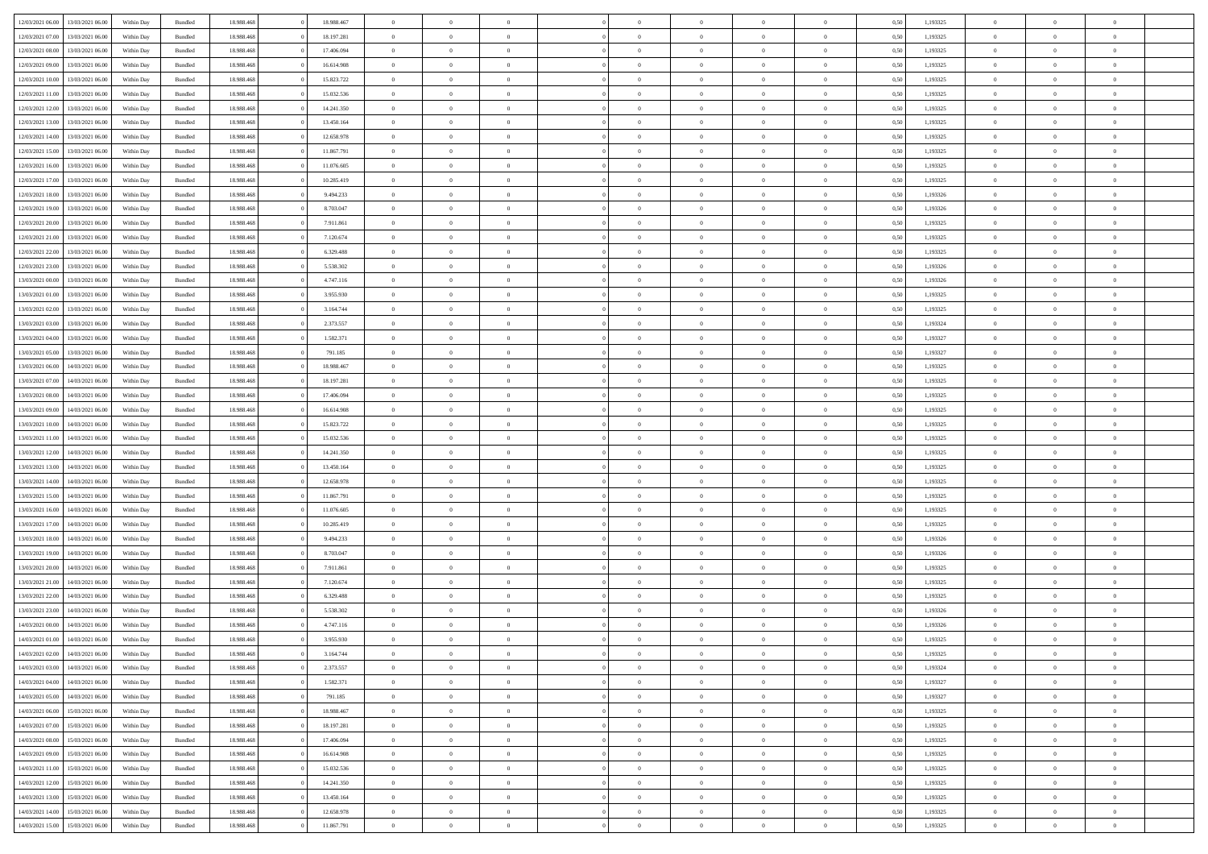|                  |                  |            |                    |            |            | $\overline{0}$ |                |                |                | $\Omega$       | $\Omega$       | $\theta$       |      |          | $\theta$       | $\overline{0}$ | $\theta$       |  |
|------------------|------------------|------------|--------------------|------------|------------|----------------|----------------|----------------|----------------|----------------|----------------|----------------|------|----------|----------------|----------------|----------------|--|
| 12/03/2021 06:00 | 13/03/2021 06:00 | Within Dav | Bundled            | 18.988.468 | 18.988.467 |                | $\theta$       |                | $\Omega$       |                |                |                | 0.50 | 1,193325 |                |                |                |  |
| 12/03/2021 07:00 | 13/03/2021 06:00 | Within Day | Bundled            | 18.988.468 | 18.197.281 | $\overline{0}$ | $\theta$       | $\overline{0}$ | $\overline{0}$ | $\bf{0}$       | $\overline{0}$ | $\overline{0}$ | 0,50 | 1,193325 | $\theta$       | $\overline{0}$ | $\overline{0}$ |  |
| 12/03/2021 08:00 | 13/03/2021 06:00 | Within Day | Bundled            | 18.988.468 | 17.406.094 | $\overline{0}$ | $\overline{0}$ | $\overline{0}$ | $\overline{0}$ | $\bf{0}$       | $\overline{0}$ | $\bf{0}$       | 0,50 | 1,193325 | $\bf{0}$       | $\overline{0}$ | $\overline{0}$ |  |
| 12/03/2021 09:00 | 13/03/2021 06:00 | Within Dav | Bundled            | 18.988.468 | 16.614.908 | $\overline{0}$ | $\overline{0}$ | $\overline{0}$ | $\overline{0}$ | $\bf{0}$       | $\overline{0}$ | $\overline{0}$ | 0.50 | 1,193325 | $\theta$       | $\theta$       | $\overline{0}$ |  |
|                  |                  |            |                    |            |            |                |                |                |                |                |                |                |      |          |                |                |                |  |
| 12/03/2021 10:00 | 13/03/2021 06:00 | Within Day | Bundled            | 18.988.468 | 15.823.722 | $\overline{0}$ | $\theta$       | $\overline{0}$ | $\overline{0}$ | $\bf{0}$       | $\overline{0}$ | $\bf{0}$       | 0,50 | 1,193325 | $\theta$       | $\theta$       | $\overline{0}$ |  |
| 12/03/2021 11:00 | 13/03/2021 06:00 | Within Day | Bundled            | 18.988.468 | 15.032.536 | $\overline{0}$ | $\bf{0}$       | $\overline{0}$ | $\overline{0}$ | $\overline{0}$ | $\overline{0}$ | $\mathbf{0}$   | 0,50 | 1,193325 | $\overline{0}$ | $\overline{0}$ | $\bf{0}$       |  |
| 12/03/2021 12:00 | 13/03/2021 06:00 | Within Dav | Bundled            | 18.988.468 | 14.241.350 | $\overline{0}$ | $\overline{0}$ | $\overline{0}$ | $\overline{0}$ | $\bf{0}$       | $\overline{0}$ | $\overline{0}$ | 0.50 | 1,193325 | $\theta$       | $\overline{0}$ | $\overline{0}$ |  |
| 12/03/2021 13:00 | 13/03/2021 06:00 | Within Day | Bundled            | 18.988.468 | 13.450.164 | $\overline{0}$ | $\theta$       | $\overline{0}$ | $\overline{0}$ | $\bf{0}$       | $\overline{0}$ | $\bf{0}$       | 0,50 | 1,193325 | $\theta$       | $\theta$       | $\overline{0}$ |  |
| 12/03/2021 14:00 | 13/03/2021 06:00 | Within Day | Bundled            | 18.988.468 | 12.658.978 | $\overline{0}$ | $\overline{0}$ | $\overline{0}$ | $\bf{0}$       | $\bf{0}$       | $\bf{0}$       | $\bf{0}$       | 0,50 | 1,193325 | $\,0\,$        | $\overline{0}$ | $\overline{0}$ |  |
|                  |                  |            |                    |            |            |                |                |                |                |                |                |                |      |          |                |                |                |  |
| 12/03/2021 15:00 | 13/03/2021 06:00 | Within Dav | Bundled            | 18.988.468 | 11.867.791 | $\overline{0}$ | $\overline{0}$ | $\overline{0}$ | $\overline{0}$ | $\overline{0}$ | $\overline{0}$ | $\overline{0}$ | 0.50 | 1,193325 | $\theta$       | $\overline{0}$ | $\overline{0}$ |  |
| 12/03/2021 16:00 | 13/03/2021 06:00 | Within Day | Bundled            | 18.988.468 | 11.076.605 | $\overline{0}$ | $\theta$       | $\overline{0}$ | $\overline{0}$ | $\bf{0}$       | $\overline{0}$ | $\bf{0}$       | 0,50 | 1,193325 | $\theta$       | $\theta$       | $\overline{0}$ |  |
| 12/03/2021 17:00 | 13/03/2021 06:00 | Within Day | Bundled            | 18.988.468 | 10.285.419 | $\overline{0}$ | $\overline{0}$ | $\overline{0}$ | $\bf{0}$       | $\bf{0}$       | $\bf{0}$       | $\bf{0}$       | 0,50 | 1,193325 | $\bf{0}$       | $\overline{0}$ | $\overline{0}$ |  |
| 12/03/2021 18:00 | 13/03/2021 06:00 | Within Dav | Bundled            | 18.988.468 | 9.494.233  | $\overline{0}$ | $\overline{0}$ | $\overline{0}$ | $\overline{0}$ | $\bf{0}$       | $\overline{0}$ | $\overline{0}$ | 0.50 | 1,193326 | $\theta$       | $\theta$       | $\overline{0}$ |  |
| 12/03/2021 19:00 | 13/03/2021 06:00 | Within Day | Bundled            | 18.988.468 | 8.703.047  | $\overline{0}$ | $\theta$       | $\overline{0}$ | $\overline{0}$ | $\bf{0}$       | $\overline{0}$ | $\overline{0}$ | 0,50 | 1,193326 | $\theta$       | $\theta$       | $\overline{0}$ |  |
|                  |                  |            |                    |            |            |                |                |                |                |                |                |                |      |          |                |                |                |  |
| 12/03/2021 20:00 | 13/03/2021 06:00 | Within Day | Bundled            | 18.988.468 | 7.911.861  | $\overline{0}$ | $\overline{0}$ | $\overline{0}$ | $\bf{0}$       | $\overline{0}$ | $\overline{0}$ | $\mathbf{0}$   | 0,50 | 1,193325 | $\overline{0}$ | $\overline{0}$ | $\bf{0}$       |  |
| 12/03/2021 21:00 | 13/03/2021 06:00 | Within Dav | Bundled            | 18.988.468 | 7.120.674  | $\overline{0}$ | $\overline{0}$ | $\overline{0}$ | $\overline{0}$ | $\bf{0}$       | $\overline{0}$ | $\overline{0}$ | 0.50 | 1,193325 | $\theta$       | $\overline{0}$ | $\overline{0}$ |  |
| 12/03/2021 22:00 | 13/03/2021 06:00 | Within Day | Bundled            | 18.988.468 | 6.329.488  | $\overline{0}$ | $\theta$       | $\overline{0}$ | $\overline{0}$ | $\bf{0}$       | $\overline{0}$ | $\bf{0}$       | 0,50 | 1,193325 | $\theta$       | $\theta$       | $\overline{0}$ |  |
| 12/03/2021 23:00 | 13/03/2021 06:00 | Within Day | Bundled            | 18.988.468 | 5.538.302  | $\overline{0}$ | $\overline{0}$ | $\overline{0}$ | $\bf{0}$       | $\bf{0}$       | $\bf{0}$       | $\bf{0}$       | 0,50 | 1,193326 | $\,0\,$        | $\overline{0}$ | $\overline{0}$ |  |
| 13/03/2021 00:00 | 13/03/2021 06:00 | Within Day | Bundled            | 18.988.468 | 4.747.116  | $\overline{0}$ | $\overline{0}$ | $\overline{0}$ | $\overline{0}$ | $\overline{0}$ | $\overline{0}$ | $\overline{0}$ | 0.50 | 1,193326 | $\theta$       | $\overline{0}$ | $\overline{0}$ |  |
|                  |                  |            |                    |            |            |                |                |                |                |                |                |                |      |          |                |                |                |  |
| 13/03/2021 01:00 | 13/03/2021 06:00 | Within Day | Bundled            | 18.988.468 | 3.955.930  | $\overline{0}$ | $\theta$       | $\overline{0}$ | $\overline{0}$ | $\bf{0}$       | $\overline{0}$ | $\bf{0}$       | 0,50 | 1,193325 | $\theta$       | $\theta$       | $\overline{0}$ |  |
| 13/03/2021 02:00 | 13/03/2021 06:00 | Within Day | Bundled            | 18.988.468 | 3.164.744  | $\overline{0}$ | $\overline{0}$ | $\overline{0}$ | $\bf{0}$       | $\bf{0}$       | $\bf{0}$       | $\bf{0}$       | 0,50 | 1,193325 | $\,0\,$        | $\overline{0}$ | $\overline{0}$ |  |
| 13/03/2021 03:00 | 13/03/2021 06:00 | Within Day | Bundled            | 18.988.468 | 2.373.557  | $\overline{0}$ | $\overline{0}$ | $\overline{0}$ | $\overline{0}$ | $\bf{0}$       | $\overline{0}$ | $\overline{0}$ | 0.50 | 1,193324 | $\theta$       | $\theta$       | $\overline{0}$ |  |
| 13/03/2021 04:00 | 13/03/2021 06:00 | Within Day | Bundled            | 18.988.468 | 1.582.371  | $\overline{0}$ | $\theta$       | $\overline{0}$ | $\overline{0}$ | $\bf{0}$       | $\overline{0}$ | $\bf{0}$       | 0,50 | 1,193327 | $\theta$       | $\overline{0}$ | $\overline{0}$ |  |
| 13/03/2021 05:00 | 13/03/2021 06:00 | Within Day | Bundled            | 18.988.468 | 791.185    | $\overline{0}$ | $\bf{0}$       | $\overline{0}$ | $\bf{0}$       | $\overline{0}$ | $\overline{0}$ | $\mathbf{0}$   | 0,50 | 1,193327 | $\bf{0}$       | $\overline{0}$ | $\bf{0}$       |  |
|                  |                  |            |                    |            |            |                |                |                |                |                |                |                |      |          |                |                |                |  |
| 13/03/2021 06:00 | 14/03/2021 06:00 | Within Dav | Bundled            | 18.988.468 | 18.988.467 | $\overline{0}$ | $\overline{0}$ | $\overline{0}$ | $\overline{0}$ | $\overline{0}$ | $\overline{0}$ | $\overline{0}$ | 0.50 | 1,193325 | $\theta$       | $\overline{0}$ | $\overline{0}$ |  |
| 13/03/2021 07:00 | 14/03/2021 06:00 | Within Day | Bundled            | 18.988.468 | 18.197.281 | $\overline{0}$ | $\theta$       | $\overline{0}$ | $\overline{0}$ | $\bf{0}$       | $\overline{0}$ | $\bf{0}$       | 0,50 | 1,193325 | $\theta$       | $\theta$       | $\overline{0}$ |  |
| 13/03/2021 08:00 | 14/03/2021 06:00 | Within Day | Bundled            | 18.988.468 | 17.406.094 | $\overline{0}$ | $\overline{0}$ | $\overline{0}$ | $\bf{0}$       | $\bf{0}$       | $\bf{0}$       | $\bf{0}$       | 0,50 | 1,193325 | $\,0\,$        | $\overline{0}$ | $\overline{0}$ |  |
| 13/03/2021 09:00 | 14/03/2021 06:00 | Within Day | Bundled            | 18.988.468 | 16.614.908 | $\overline{0}$ | $\overline{0}$ | $\overline{0}$ | $\overline{0}$ | $\overline{0}$ | $\overline{0}$ | $\overline{0}$ | 0.50 | 1,193325 | $\theta$       | $\overline{0}$ | $\overline{0}$ |  |
| 13/03/2021 10:00 | 14/03/2021 06:00 | Within Day | Bundled            | 18.988.468 | 15.823.722 | $\overline{0}$ | $\theta$       | $\overline{0}$ | $\overline{0}$ | $\bf{0}$       | $\overline{0}$ | $\bf{0}$       | 0,50 | 1,193325 | $\,$ 0 $\,$    | $\theta$       | $\overline{0}$ |  |
| 13/03/2021 11:00 | 14/03/2021 06:00 | Within Day | Bundled            | 18.988.468 | 15.032.536 | $\overline{0}$ | $\overline{0}$ | $\overline{0}$ | $\bf{0}$       | $\bf{0}$       | $\overline{0}$ | $\bf{0}$       | 0,50 | 1,193325 | $\bf{0}$       | $\overline{0}$ | $\overline{0}$ |  |
|                  |                  |            |                    |            |            |                |                |                |                |                |                |                |      |          |                |                | $\theta$       |  |
| 13/03/2021 12:00 | 14/03/2021 06:00 | Within Day | Bundled            | 18.988.468 | 14.241.350 | $\overline{0}$ | $\Omega$       | $\Omega$       | $\Omega$       | $\Omega$       | $\overline{0}$ | $\overline{0}$ | 0.50 | 1,193325 | $\,0\,$        | $\theta$       |                |  |
| 13/03/2021 13:00 | 14/03/2021 06:00 | Within Day | Bundled            | 18.988.468 | 13.450.164 | $\overline{0}$ | $\theta$       | $\overline{0}$ | $\overline{0}$ | $\bf{0}$       | $\overline{0}$ | $\bf{0}$       | 0,50 | 1,193325 | $\theta$       | $\theta$       | $\overline{0}$ |  |
| 13/03/2021 14:00 | 14/03/2021 06:00 | Within Day | Bundled            | 18.988.468 | 12.658.978 | $\overline{0}$ | $\bf{0}$       | $\overline{0}$ | $\overline{0}$ | $\bf{0}$       | $\overline{0}$ | $\mathbf{0}$   | 0,50 | 1,193325 | $\bf{0}$       | $\overline{0}$ | $\bf{0}$       |  |
| 13/03/2021 15:00 | 14/03/2021 06:00 | Within Day | Bundled            | 18.988.468 | 11.867.791 | $\overline{0}$ | $\Omega$       | $\Omega$       | $\Omega$       | $\Omega$       | $\Omega$       | $\overline{0}$ | 0.50 | 1,193325 | $\,0\,$        | $\theta$       | $\theta$       |  |
| 13/03/2021 16:00 | 14/03/2021 06:00 | Within Day | Bundled            | 18.988.468 | 11.076.605 | $\overline{0}$ | $\theta$       | $\overline{0}$ | $\overline{0}$ | $\bf{0}$       | $\overline{0}$ | $\bf{0}$       | 0,50 | 1,193325 | $\theta$       | $\theta$       | $\overline{0}$ |  |
| 13/03/2021 17:00 | 14/03/2021 06:00 | Within Day | Bundled            | 18.988.468 | 10.285.419 | $\overline{0}$ | $\overline{0}$ | $\overline{0}$ | $\overline{0}$ | $\bf{0}$       | $\overline{0}$ | $\bf{0}$       | 0,50 | 1,193325 | $\,0\,$        | $\overline{0}$ | $\overline{0}$ |  |
|                  |                  |            |                    |            |            |                |                |                |                |                |                |                |      |          |                |                |                |  |
| 13/03/2021 18:00 | 14/03/2021 06:00 | Within Day | Bundled            | 18.988.468 | 9.494.233  | $\overline{0}$ | $\Omega$       | $\Omega$       | $\Omega$       | $\Omega$       | $\theta$       | $\overline{0}$ | 0.50 | 1,193326 | $\theta$       | $\theta$       | $\theta$       |  |
| 13/03/2021 19:00 | 14/03/2021 06:00 | Within Day | Bundled            | 18.988.468 | 8.703.047  | $\overline{0}$ | $\theta$       | $\overline{0}$ | $\overline{0}$ | $\bf{0}$       | $\overline{0}$ | $\bf{0}$       | 0,50 | 1,193326 | $\,$ 0 $\,$    | $\theta$       | $\overline{0}$ |  |
| 13/03/2021 20:00 | 14/03/2021 06:00 | Within Day | Bundled            | 18.988.468 | 7.911.861  | $\overline{0}$ | $\overline{0}$ | $\overline{0}$ | $\overline{0}$ | $\bf{0}$       | $\overline{0}$ | $\bf{0}$       | 0,50 | 1,193325 | $\bf{0}$       | $\overline{0}$ | $\overline{0}$ |  |
| 13/03/2021 21:00 | 14/03/2021 06:00 | Within Day | Bundled            | 18.988.468 | 7.120.674  | $\overline{0}$ | $\Omega$       | $\Omega$       | $\Omega$       | $\Omega$       | $\overline{0}$ | $\overline{0}$ | 0.50 | 1,193325 | $\,0\,$        | $\theta$       | $\theta$       |  |
| 13/03/2021 22:00 | 14/03/2021 06:00 | Within Day | Bundled            | 18.988.468 | 6.329.488  | $\overline{0}$ | $\theta$       | $\overline{0}$ | $\overline{0}$ | $\bf{0}$       | $\overline{0}$ | $\bf{0}$       | 0,50 | 1,193325 | $\,$ 0 $\,$    | $\theta$       | $\overline{0}$ |  |
|                  |                  |            |                    |            |            |                |                |                |                |                |                |                |      |          |                |                |                |  |
| 13/03/2021 23:00 | 14/03/2021 06:00 | Within Day | Bundled            | 18.988.468 | 5.538.302  | $\overline{0}$ | $\overline{0}$ | $\overline{0}$ | $\overline{0}$ | $\bf{0}$       | $\overline{0}$ | $\mathbf{0}$   | 0,50 | 1,193326 | $\bf{0}$       | $\overline{0}$ | $\bf{0}$       |  |
| 14/03/2021 00:00 | 14/03/2021 06:00 | Within Day | Bundled            | 18.988.468 | 4.747.116  | $\overline{0}$ | $\Omega$       | $\Omega$       | $\Omega$       | $\Omega$       | $\Omega$       | $\overline{0}$ | 0.50 | 1,193326 | $\theta$       | $\theta$       | $\theta$       |  |
| 14/03/2021 01:00 | 14/03/2021 06:00 | Within Day | Bundled            | 18.988.468 | 3.955.930  | $\overline{0}$ | $\,$ 0 $\,$    | $\overline{0}$ | $\bf{0}$       | $\,$ 0         | $\overline{0}$ | $\bf{0}$       | 0,50 | 1,193325 | $\,0\,$        | $\overline{0}$ | $\overline{0}$ |  |
| 14/03/2021 02:00 | 14/03/2021 06:00 | Within Day | $\mathbf B$ undled | 18.988.468 | 3.164.744  | $\bf{0}$       | $\bf{0}$       |                |                | $\bf{0}$       |                |                | 0,50 | 1,193325 | $\bf{0}$       | $\overline{0}$ |                |  |
| 14/03/2021 03:00 | 14/03/2021 06:00 | Within Day | Bundled            | 18,988,468 | 2.373.557  | $\overline{0}$ | $\overline{0}$ | $\overline{0}$ | $\Omega$       | $\theta$       | $\overline{0}$ | $\overline{0}$ | 0,50 | 1,193324 | $\theta$       | $\theta$       | $\theta$       |  |
| 14/03/2021 04:00 | 14/03/2021 06:00 | Within Day | Bundled            | 18.988.468 | 1.582.371  | $\overline{0}$ | $\,$ 0         | $\overline{0}$ | $\overline{0}$ | $\,$ 0 $\,$    | $\overline{0}$ | $\mathbf{0}$   | 0,50 | 1,193327 | $\,$ 0 $\,$    | $\,$ 0 $\,$    | $\,$ 0         |  |
|                  |                  |            |                    |            |            |                |                |                |                |                |                |                |      |          |                |                |                |  |
| 14/03/2021 05:00 | 14/03/2021 06:00 | Within Day | Bundled            | 18.988.468 | 791.185    | $\overline{0}$ | $\overline{0}$ | $\overline{0}$ | $\overline{0}$ | $\overline{0}$ | $\overline{0}$ | $\mathbf{0}$   | 0,50 | 1,193327 | $\overline{0}$ | $\bf{0}$       | $\bf{0}$       |  |
| 14/03/2021 06:00 | 15/03/2021 06:00 | Within Day | Bundled            | 18.988.468 | 18.988.467 | $\overline{0}$ | $\theta$       | $\overline{0}$ | $\Omega$       | $\overline{0}$ | $\overline{0}$ | $\bf{0}$       | 0,50 | 1,193325 | $\bf{0}$       | $\theta$       | $\overline{0}$ |  |
| 14/03/2021 07:00 | 15/03/2021 06:00 | Within Day | Bundled            | 18.988.468 | 18.197.281 | $\overline{0}$ | $\,$ 0         | $\overline{0}$ | $\overline{0}$ | $\overline{0}$ | $\overline{0}$ | $\bf{0}$       | 0,50 | 1,193325 | $\,$ 0 $\,$    | $\overline{0}$ | $\overline{0}$ |  |
| 14/03/2021 08:00 | 15/03/2021 06:00 | Within Day | Bundled            | 18.988.468 | 17.406.094 | $\overline{0}$ | $\overline{0}$ | $\overline{0}$ | $\overline{0}$ | $\overline{0}$ | $\overline{0}$ | $\mathbf{0}$   | 0,50 | 1,193325 | $\overline{0}$ | $\overline{0}$ | $\bf{0}$       |  |
| 14/03/2021 09:00 | 15/03/2021 06:00 | Within Day | Bundled            | 18.988.468 | 16.614.908 | $\overline{0}$ | $\overline{0}$ | $\overline{0}$ | $\Omega$       | $\overline{0}$ | $\overline{0}$ | $\bf{0}$       | 0.50 | 1,193325 | $\overline{0}$ | $\theta$       | $\overline{0}$ |  |
| 14/03/2021 11:00 | 15/03/2021 06:00 | Within Day | Bundled            | 18.988.468 | 15.032.536 | $\overline{0}$ | $\,$ 0         | $\overline{0}$ | $\overline{0}$ | $\bf{0}$       | $\overline{0}$ | $\bf{0}$       | 0,50 | 1,193325 | $\,$ 0 $\,$    | $\overline{0}$ | $\overline{0}$ |  |
|                  |                  |            |                    |            |            |                |                |                |                |                |                |                |      |          |                |                |                |  |
| 14/03/2021 12:00 | 15/03/2021 06:00 | Within Day | Bundled            | 18.988.468 | 14.241.350 | $\overline{0}$ | $\bf{0}$       | $\overline{0}$ | $\overline{0}$ | $\overline{0}$ | $\overline{0}$ | $\mathbf{0}$   | 0,50 | 1,193325 | $\overline{0}$ | $\overline{0}$ | $\bf{0}$       |  |
| 14/03/2021 13:00 | 15/03/2021 06:00 | Within Day | Bundled            | 18,988,468 | 13.450.164 | $\overline{0}$ | $\overline{0}$ | $\overline{0}$ | $\Omega$       | $\overline{0}$ | $\overline{0}$ | $\overline{0}$ | 0.50 | 1,193325 | $\overline{0}$ | $\overline{0}$ | $\overline{0}$ |  |
| 14/03/2021 14:00 | 15/03/2021 06:00 | Within Day | Bundled            | 18.988.468 | 12.658.978 | $\overline{0}$ | $\,$ 0         | $\overline{0}$ | $\overline{0}$ | $\bf{0}$       | $\overline{0}$ | $\bf{0}$       | 0,50 | 1,193325 | $\,$ 0 $\,$    | $\,$ 0 $\,$    | $\bf{0}$       |  |
| 14/03/2021 15:00 | 15/03/2021 06:00 | Within Day | Bundled            | 18.988.468 | 11.867.791 | $\overline{0}$ | $\overline{0}$ | $\overline{0}$ | $\overline{0}$ | $\bf{0}$       | $\bf{0}$       | $\mathbf{0}$   | 0,50 | 1,193325 | $\overline{0}$ | $\bf{0}$       | $\bf{0}$       |  |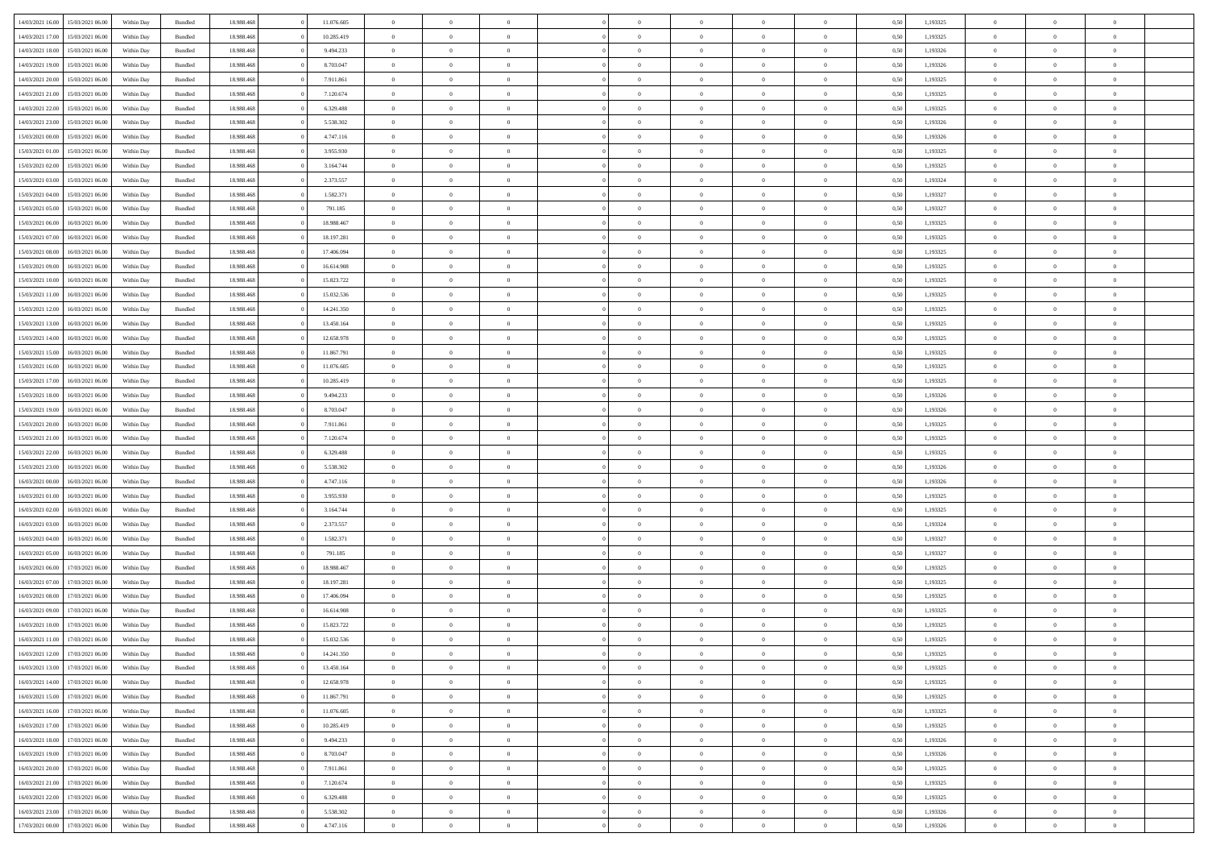| 14/03/2021 16:00 | 15/03/2021 06:00                  | Within Dav | Bundled            | 18.988.468 | 11.076.605 | $\overline{0}$ | $\theta$       |                | $\Omega$       | $\Omega$       | $\Omega$       | $\theta$       | 0.50 | 1,193325 | $\theta$       | $\overline{0}$ | $\theta$       |  |
|------------------|-----------------------------------|------------|--------------------|------------|------------|----------------|----------------|----------------|----------------|----------------|----------------|----------------|------|----------|----------------|----------------|----------------|--|
|                  |                                   |            |                    |            |            |                |                |                |                |                |                |                |      |          |                |                |                |  |
| 14/03/2021 17:00 | 15/03/2021 06:00                  | Within Day | Bundled            | 18.988.468 | 10.285.419 | $\overline{0}$ | $\theta$       | $\overline{0}$ | $\overline{0}$ | $\bf{0}$       | $\overline{0}$ | $\overline{0}$ | 0,50 | 1,193325 | $\theta$       | $\overline{0}$ | $\overline{0}$ |  |
| 14/03/2021 18:00 | 15/03/2021 06:00                  | Within Day | Bundled            | 18.988.468 | 9.494.233  | $\overline{0}$ | $\overline{0}$ | $\overline{0}$ | $\bf{0}$       | $\bf{0}$       | $\bf{0}$       | $\bf{0}$       | 0,50 | 1,193326 | $\bf{0}$       | $\overline{0}$ | $\overline{0}$ |  |
| 14/03/2021 19:00 | 15/03/2021 06:00                  | Within Dav | Bundled            | 18.988.468 | 8.703.047  | $\overline{0}$ | $\overline{0}$ | $\overline{0}$ | $\overline{0}$ | $\bf{0}$       | $\overline{0}$ | $\overline{0}$ | 0.50 | 1,193326 | $\theta$       | $\theta$       | $\overline{0}$ |  |
|                  |                                   |            |                    |            |            |                |                |                |                |                |                |                |      |          |                |                |                |  |
| 14/03/2021 20:00 | 15/03/2021 06:00                  | Within Day | Bundled            | 18.988.468 | 7.911.861  | $\overline{0}$ | $\theta$       | $\overline{0}$ | $\overline{0}$ | $\bf{0}$       | $\overline{0}$ | $\bf{0}$       | 0,50 | 1,193325 | $\theta$       | $\theta$       | $\overline{0}$ |  |
| 14/03/2021 21.00 | 15/03/2021 06:00                  | Within Day | Bundled            | 18.988.468 | 7.120.674  | $\overline{0}$ | $\bf{0}$       | $\overline{0}$ | $\bf{0}$       | $\overline{0}$ | $\overline{0}$ | $\mathbf{0}$   | 0,50 | 1,193325 | $\overline{0}$ | $\overline{0}$ | $\bf{0}$       |  |
| 14/03/2021 22:00 | 15/03/2021 06:00                  | Within Dav | Bundled            | 18.988.468 | 6.329.488  | $\overline{0}$ | $\overline{0}$ | $\overline{0}$ | $\overline{0}$ | $\bf{0}$       | $\overline{0}$ | $\overline{0}$ | 0.50 | 1,193325 | $\theta$       | $\overline{0}$ | $\overline{0}$ |  |
| 14/03/2021 23:00 | 15/03/2021 06:00                  | Within Day | Bundled            | 18.988.468 | 5.538.302  | $\overline{0}$ | $\theta$       | $\overline{0}$ | $\overline{0}$ | $\bf{0}$       | $\overline{0}$ | $\bf{0}$       | 0,50 | 1,193326 | $\theta$       | $\theta$       | $\overline{0}$ |  |
| 15/03/2021 00:00 | 15/03/2021 06:00                  | Within Day | Bundled            | 18.988.468 | 4.747.116  | $\overline{0}$ | $\overline{0}$ | $\overline{0}$ | $\bf{0}$       | $\bf{0}$       | $\bf{0}$       | $\bf{0}$       | 0,50 | 1,193326 | $\,0\,$        | $\overline{0}$ | $\overline{0}$ |  |
|                  |                                   |            |                    |            |            |                | $\overline{0}$ |                |                | $\overline{0}$ |                |                |      |          | $\theta$       | $\overline{0}$ | $\overline{0}$ |  |
| 15/03/2021 01:00 | 15/03/2021 06:00                  | Within Dav | Bundled            | 18.988.468 | 3.955.930  | $\overline{0}$ |                | $\overline{0}$ | $\overline{0}$ |                | $\overline{0}$ | $\overline{0}$ | 0.50 | 1,193325 |                |                |                |  |
| 15/03/2021 02:00 | 15/03/2021 06:00                  | Within Day | Bundled            | 18.988.468 | 3.164.744  | $\overline{0}$ | $\theta$       | $\overline{0}$ | $\overline{0}$ | $\bf{0}$       | $\overline{0}$ | $\bf{0}$       | 0,50 | 1,193325 | $\theta$       | $\theta$       | $\overline{0}$ |  |
| 15/03/2021 03:00 | 15/03/2021 06:00                  | Within Day | Bundled            | 18.988.468 | 2.373.557  | $\overline{0}$ | $\overline{0}$ | $\overline{0}$ | $\bf{0}$       | $\bf{0}$       | $\bf{0}$       | $\bf{0}$       | 0,50 | 1,193324 | $\bf{0}$       | $\overline{0}$ | $\overline{0}$ |  |
| 15/03/2021 04:00 | 15/03/2021 06:00                  | Within Dav | Bundled            | 18.988.468 | 1.582.371  | $\overline{0}$ | $\overline{0}$ | $\overline{0}$ | $\overline{0}$ | $\bf{0}$       | $\overline{0}$ | $\overline{0}$ | 0.50 | 1,193327 | $\theta$       | $\theta$       | $\overline{0}$ |  |
| 15/03/2021 05:00 | 15/03/2021 06:00                  | Within Day | Bundled            | 18.988.468 | 791.185    | $\overline{0}$ | $\theta$       | $\overline{0}$ | $\overline{0}$ | $\bf{0}$       | $\overline{0}$ | $\overline{0}$ | 0,50 | 1,193327 | $\theta$       | $\theta$       | $\overline{0}$ |  |
|                  |                                   |            |                    |            |            |                |                |                |                |                |                |                |      |          |                |                |                |  |
| 15/03/2021 06:00 | 16/03/2021 06:00                  | Within Day | Bundled            | 18.988.468 | 18.988.467 | $\overline{0}$ | $\bf{0}$       | $\overline{0}$ | $\bf{0}$       | $\overline{0}$ | $\overline{0}$ | $\mathbf{0}$   | 0,50 | 1,193325 | $\overline{0}$ | $\overline{0}$ | $\bf{0}$       |  |
| 15/03/2021 07:00 | 16/03/2021 06:00                  | Within Dav | Bundled            | 18.988.468 | 18.197.281 | $\overline{0}$ | $\overline{0}$ | $\overline{0}$ | $\overline{0}$ | $\overline{0}$ | $\overline{0}$ | $\overline{0}$ | 0.50 | 1,193325 | $\theta$       | $\overline{0}$ | $\overline{0}$ |  |
| 15/03/2021 08:00 | 16/03/2021 06:00                  | Within Day | Bundled            | 18.988.468 | 17.406.094 | $\overline{0}$ | $\theta$       | $\overline{0}$ | $\overline{0}$ | $\bf{0}$       | $\overline{0}$ | $\bf{0}$       | 0,50 | 1,193325 | $\theta$       | $\theta$       | $\overline{0}$ |  |
| 15/03/2021 09:00 | 16/03/2021 06:00                  | Within Day | Bundled            | 18.988.468 | 16.614.908 | $\overline{0}$ | $\overline{0}$ | $\overline{0}$ | $\bf{0}$       | $\bf{0}$       | $\bf{0}$       | $\bf{0}$       | 0,50 | 1,193325 | $\,0\,$        | $\overline{0}$ | $\overline{0}$ |  |
| 15/03/2021 10:00 | 16/03/2021 06:00                  | Within Dav | Bundled            | 18.988.468 | 15.823.722 | $\overline{0}$ | $\overline{0}$ | $\overline{0}$ | $\overline{0}$ | $\overline{0}$ | $\overline{0}$ | $\overline{0}$ | 0.50 | 1,193325 | $\theta$       | $\overline{0}$ | $\overline{0}$ |  |
| 15/03/2021 11:00 | 16/03/2021 06:00                  | Within Day | Bundled            | 18.988.468 | 15.032.536 | $\overline{0}$ | $\theta$       | $\overline{0}$ | $\overline{0}$ | $\bf{0}$       | $\overline{0}$ | $\bf{0}$       | 0,50 | 1,193325 | $\theta$       | $\theta$       | $\overline{0}$ |  |
|                  |                                   |            |                    |            |            |                |                |                |                |                |                |                |      |          |                |                |                |  |
| 15/03/2021 12:00 | 16/03/2021 06:00                  | Within Day | Bundled            | 18.988.468 | 14.241.350 | $\overline{0}$ | $\overline{0}$ | $\overline{0}$ | $\bf{0}$       | $\bf{0}$       | $\bf{0}$       | $\bf{0}$       | 0,50 | 1,193325 | $\,0\,$        | $\overline{0}$ | $\overline{0}$ |  |
| 15/03/2021 13:00 | 16/03/2021 06:00                  | Within Day | Bundled            | 18.988.468 | 13.450.164 | $\overline{0}$ | $\overline{0}$ | $\overline{0}$ | $\overline{0}$ | $\bf{0}$       | $\overline{0}$ | $\overline{0}$ | 0.50 | 1,193325 | $\theta$       | $\theta$       | $\overline{0}$ |  |
| 15/03/2021 14:00 | 16/03/2021 06:00                  | Within Day | Bundled            | 18.988.468 | 12.658.978 | $\overline{0}$ | $\theta$       | $\overline{0}$ | $\overline{0}$ | $\bf{0}$       | $\overline{0}$ | $\bf{0}$       | 0,50 | 1,193325 | $\theta$       | $\overline{0}$ | $\overline{0}$ |  |
| 15/03/2021 15:00 | 16/03/2021 06:00                  | Within Day | Bundled            | 18.988.468 | 11.867.791 | $\overline{0}$ | $\overline{0}$ | $\overline{0}$ | $\bf{0}$       | $\overline{0}$ | $\overline{0}$ | $\mathbf{0}$   | 0,50 | 1,193325 | $\overline{0}$ | $\overline{0}$ | $\bf{0}$       |  |
| 15/03/2021 16:00 | 16/03/2021 06:00                  | Within Dav | Bundled            | 18.988.468 | 11.076.605 | $\overline{0}$ | $\overline{0}$ | $\overline{0}$ | $\overline{0}$ | $\overline{0}$ | $\overline{0}$ | $\overline{0}$ | 0.50 | 1,193325 | $\theta$       | $\overline{0}$ | $\overline{0}$ |  |
| 15/03/2021 17:00 | 16/03/2021 06:00                  | Within Day | Bundled            | 18.988.468 | 10.285.419 | $\overline{0}$ | $\theta$       | $\overline{0}$ | $\overline{0}$ | $\bf{0}$       | $\overline{0}$ | $\bf{0}$       | 0,50 | 1,193325 | $\theta$       | $\theta$       | $\overline{0}$ |  |
| 15/03/2021 18:00 | 16/03/2021 06:00                  | Within Day | Bundled            | 18.988.468 | 9.494.233  | $\overline{0}$ | $\overline{0}$ | $\overline{0}$ | $\bf{0}$       | $\bf{0}$       | $\bf{0}$       | $\bf{0}$       | 0,50 | 1,193326 | $\,0\,$        | $\overline{0}$ | $\overline{0}$ |  |
|                  | 16/03/2021 06:00                  |            | Bundled            | 18.988.468 | 8.703.047  | $\overline{0}$ | $\overline{0}$ | $\overline{0}$ | $\overline{0}$ | $\overline{0}$ | $\overline{0}$ | $\overline{0}$ | 0.50 | 1,193326 | $\theta$       | $\overline{0}$ | $\overline{0}$ |  |
| 15/03/2021 19:00 |                                   | Within Day |                    |            |            |                |                |                |                |                |                |                |      |          |                |                |                |  |
| 15/03/2021 20:00 | 16/03/2021 06:00                  | Within Day | Bundled            | 18.988.468 | 7.911.861  | $\overline{0}$ | $\theta$       | $\overline{0}$ | $\overline{0}$ | $\bf{0}$       | $\overline{0}$ | $\bf{0}$       | 0,50 | 1,193325 | $\,$ 0 $\,$    | $\theta$       | $\overline{0}$ |  |
| 15/03/2021 21.00 | 16/03/2021 06:00                  | Within Day | Bundled            | 18.988.468 | 7.120.674  | $\overline{0}$ | $\overline{0}$ | $\overline{0}$ | $\bf{0}$       | $\bf{0}$       | $\bf{0}$       | $\bf{0}$       | 0,50 | 1,193325 | $\bf{0}$       | $\overline{0}$ | $\overline{0}$ |  |
| 15/03/2021 22.00 | 16/03/2021 06:00                  | Within Day | Bundled            | 18.988.468 | 6.329.488  | $\overline{0}$ | $\Omega$       | $\Omega$       | $\Omega$       | $\Omega$       | $\overline{0}$ | $\overline{0}$ | 0.50 | 1,193325 | $\,0\,$        | $\theta$       | $\theta$       |  |
| 15/03/2021 23:00 | 16/03/2021 06:00                  | Within Day | Bundled            | 18.988.468 | 5.538.302  | $\overline{0}$ | $\theta$       | $\overline{0}$ | $\overline{0}$ | $\bf{0}$       | $\overline{0}$ | $\bf{0}$       | 0,50 | 1,193326 | $\theta$       | $\theta$       | $\overline{0}$ |  |
| 16/03/2021 00:00 | 16/03/2021 06:00                  | Within Day | Bundled            | 18.988.468 | 4.747.116  | $\overline{0}$ | $\bf{0}$       | $\overline{0}$ | $\bf{0}$       | $\bf{0}$       | $\overline{0}$ | $\mathbf{0}$   | 0,50 | 1,193326 | $\overline{0}$ | $\overline{0}$ | $\bf{0}$       |  |
| 16/03/2021 01:00 | 16/03/2021 06:00                  |            | Bundled            | 18.988.468 | 3.955.930  | $\overline{0}$ | $\Omega$       | $\Omega$       | $\Omega$       | $\Omega$       | $\Omega$       | $\overline{0}$ | 0.50 | 1,193325 | $\,0\,$        | $\theta$       | $\theta$       |  |
|                  |                                   | Within Day |                    |            |            |                |                |                |                |                |                |                |      |          |                |                |                |  |
| 16/03/2021 02:00 | 16/03/2021 06:00                  | Within Day | Bundled            | 18.988.468 | 3.164.744  | $\overline{0}$ | $\theta$       | $\overline{0}$ | $\overline{0}$ | $\bf{0}$       | $\overline{0}$ | $\bf{0}$       | 0,50 | 1,193325 | $\theta$       | $\theta$       | $\overline{0}$ |  |
| 16/03/2021 03:00 | 16/03/2021 06:00                  | Within Day | Bundled            | 18.988.468 | 2.373.557  | $\overline{0}$ | $\overline{0}$ | $\overline{0}$ | $\bf{0}$       | $\bf{0}$       | $\bf{0}$       | $\bf{0}$       | 0,50 | 1,193324 | $\,0\,$        | $\overline{0}$ | $\overline{0}$ |  |
| 16/03/2021 04:00 | 16/03/2021 06:00                  | Within Day | Bundled            | 18.988.468 | 1.582.371  | $\overline{0}$ | $\Omega$       | $\Omega$       | $\Omega$       | $\Omega$       | $\theta$       | $\overline{0}$ | 0.50 | 1,193327 | $\theta$       | $\theta$       | $\theta$       |  |
| 16/03/2021 05:00 | 16/03/2021 06:00                  | Within Day | Bundled            | 18.988.468 | 791.185    | $\overline{0}$ | $\theta$       | $\overline{0}$ | $\overline{0}$ | $\bf{0}$       | $\overline{0}$ | $\bf{0}$       | 0,50 | 1,193327 | $\theta$       | $\theta$       | $\overline{0}$ |  |
| 16/03/2021 06:00 | 17/03/2021 06:00                  | Within Day | Bundled            | 18.988.468 | 18.988.467 | $\overline{0}$ | $\overline{0}$ | $\overline{0}$ | $\overline{0}$ | $\bf{0}$       | $\overline{0}$ | $\bf{0}$       | 0,50 | 1,193325 | $\overline{0}$ | $\overline{0}$ | $\overline{0}$ |  |
| 16/03/2021 07:00 | 17/03/2021 06:00                  | Within Day | Bundled            | 18.988.468 | 18.197.281 | $\overline{0}$ | $\Omega$       | $\Omega$       | $\Omega$       | $\Omega$       | $\overline{0}$ | $\overline{0}$ | 0.50 | 1,193325 | $\,0\,$        | $\theta$       | $\theta$       |  |
|                  |                                   |            |                    |            |            | $\overline{0}$ | $\theta$       | $\overline{0}$ | $\overline{0}$ | $\bf{0}$       | $\overline{0}$ |                |      |          | $\,$ 0 $\,$    | $\theta$       | $\overline{0}$ |  |
| 16/03/2021 08:00 | 17/03/2021 06:00                  | Within Day | Bundled            | 18.988.468 | 17.406.094 |                |                |                |                |                |                | $\bf{0}$       | 0,50 | 1,193325 |                |                |                |  |
| 16/03/2021 09:00 | 17/03/2021 06:00                  | Within Day | Bundled            | 18.988.468 | 16.614.908 | $\overline{0}$ | $\overline{0}$ | $\overline{0}$ | $\overline{0}$ | $\bf{0}$       | $\overline{0}$ | $\mathbf{0}$   | 0,50 | 1,193325 | $\overline{0}$ | $\overline{0}$ | $\bf{0}$       |  |
| 16/03/2021 10:00 | 17/03/2021 06:00                  | Within Day | Bundled            | 18.988.468 | 15.823.722 | $\overline{0}$ | $\Omega$       | $\Omega$       | $\Omega$       | $\Omega$       | $\Omega$       | $\overline{0}$ | 0.50 | 1,193325 | $\theta$       | $\theta$       | $\theta$       |  |
| 16/03/2021 11:00 | 17/03/2021 06:00                  | Within Day | Bundled            | 18.988.468 | 15.032.536 | $\overline{0}$ | $\,$ 0 $\,$    | $\overline{0}$ | $\bf{0}$       | $\,$ 0         | $\overline{0}$ | $\bf{0}$       | 0,50 | 1,193325 | $\,0\,$        | $\overline{0}$ | $\overline{0}$ |  |
|                  | 16/03/2021 12:00 17/03/2021 06:00 | Within Day | $\mathbf B$ undled | 18.988.468 | 14.241.350 | $\bf{0}$       | $\bf{0}$       |                |                |                |                |                | 0,50 | 1,193325 | $\bf{0}$       | $\overline{0}$ |                |  |
| 16/03/2021 13:00 | 17/03/2021 06:00                  | Within Day | Bundled            | 18.988.468 | 13.450.164 | $\overline{0}$ | $\Omega$       | $\overline{0}$ | $\Omega$       | $\theta$       | $\overline{0}$ | $\overline{0}$ | 0,50 | 1,193325 | $\theta$       | $\theta$       | $\theta$       |  |
| 16/03/2021 14:00 | 17/03/2021 06:00                  | Within Day | Bundled            | 18.988.468 | 12.658.978 | $\overline{0}$ | $\,$ 0         | $\overline{0}$ | $\overline{0}$ | $\,$ 0 $\,$    | $\overline{0}$ | $\mathbf{0}$   | 0,50 | 1,193325 | $\,$ 0 $\,$    | $\,$ 0 $\,$    | $\,$ 0         |  |
|                  |                                   |            |                    |            |            |                |                |                |                |                |                |                |      |          |                |                |                |  |
| 16/03/2021 15:00 | 17/03/2021 06:00                  | Within Day | Bundled            | 18.988.468 | 11.867.791 | $\overline{0}$ | $\overline{0}$ | $\overline{0}$ | $\overline{0}$ | $\overline{0}$ | $\overline{0}$ | $\mathbf{0}$   | 0,50 | 1,193325 | $\overline{0}$ | $\bf{0}$       | $\bf{0}$       |  |
| 16/03/2021 16:00 | 17/03/2021 06:00                  | Within Day | Bundled            | 18.988.468 | 11.076.605 | $\overline{0}$ | $\theta$       | $\overline{0}$ | $\Omega$       | $\overline{0}$ | $\overline{0}$ | $\bf{0}$       | 0,50 | 1,193325 | $\overline{0}$ | $\theta$       | $\overline{0}$ |  |
| 16/03/2021 17:00 | 17/03/2021 06:00                  | Within Day | Bundled            | 18.988.468 | 10.285.419 | $\overline{0}$ | $\,$ 0         | $\overline{0}$ | $\overline{0}$ | $\overline{0}$ | $\overline{0}$ | $\bf{0}$       | 0,50 | 1,193325 | $\,$ 0 $\,$    | $\overline{0}$ | $\overline{0}$ |  |
| 16/03/2021 18:00 | 17/03/2021 06:00                  | Within Day | Bundled            | 18.988.468 | 9.494.233  | $\overline{0}$ | $\overline{0}$ | $\overline{0}$ | $\overline{0}$ | $\overline{0}$ | $\overline{0}$ | $\mathbf{0}$   | 0,50 | 1,193326 | $\overline{0}$ | $\overline{0}$ | $\bf{0}$       |  |
| 16/03/2021 19:00 | 17/03/2021 06:00                  | Within Day | Bundled            | 18.988.468 | 8.703.047  | $\overline{0}$ | $\overline{0}$ | $\overline{0}$ | $\Omega$       | $\overline{0}$ | $\overline{0}$ | $\bf{0}$       | 0.50 | 1,193326 | $\overline{0}$ | $\theta$       | $\overline{0}$ |  |
| 16/03/2021 20:00 | 17/03/2021 06:00                  | Within Day | Bundled            | 18.988.468 | 7.911.861  | $\overline{0}$ | $\,$ 0         | $\overline{0}$ | $\overline{0}$ | $\bf{0}$       | $\overline{0}$ | $\bf{0}$       | 0,50 | 1,193325 | $\,$ 0 $\,$    | $\overline{0}$ | $\overline{0}$ |  |
|                  |                                   |            |                    |            |            |                |                |                |                |                |                |                |      |          |                |                |                |  |
| 16/03/2021 21:00 | 17/03/2021 06:00                  | Within Day | Bundled            | 18.988.468 | 7.120.674  | $\overline{0}$ | $\bf{0}$       | $\overline{0}$ | $\overline{0}$ | $\overline{0}$ | $\bf{0}$       | $\mathbf{0}$   | 0,50 | 1,193325 | $\overline{0}$ | $\overline{0}$ | $\bf{0}$       |  |
| 16/03/2021 22:00 | 17/03/2021 06:00                  | Within Day | Bundled            | 18,988,468 | 6.329.488  | $\overline{0}$ | $\overline{0}$ | $\overline{0}$ | $\Omega$       | $\overline{0}$ | $\overline{0}$ | $\bf{0}$       | 0.50 | 1,193325 | $\overline{0}$ | $\overline{0}$ | $\overline{0}$ |  |
| 16/03/2021 23:00 | 17/03/2021 06:00                  | Within Day | Bundled            | 18.988.468 | 5.538.302  | $\overline{0}$ | $\bf{0}$       | $\overline{0}$ | $\overline{0}$ | $\bf{0}$       | $\bf{0}$       | $\mathbf{0}$   | 0,50 | 1,193326 | $\,$ 0 $\,$    | $\,$ 0 $\,$    | $\bf{0}$       |  |
| 17/03/2021 00:00 | 17/03/2021 06:00                  | Within Day | Bundled            | 18.988.468 | 4.747.116  | $\overline{0}$ | $\overline{0}$ | $\overline{0}$ | $\overline{0}$ | $\bf{0}$       | $\bf{0}$       | $\mathbf{0}$   | 0,50 | 1,193326 | $\overline{0}$ | $\bf{0}$       | $\bf{0}$       |  |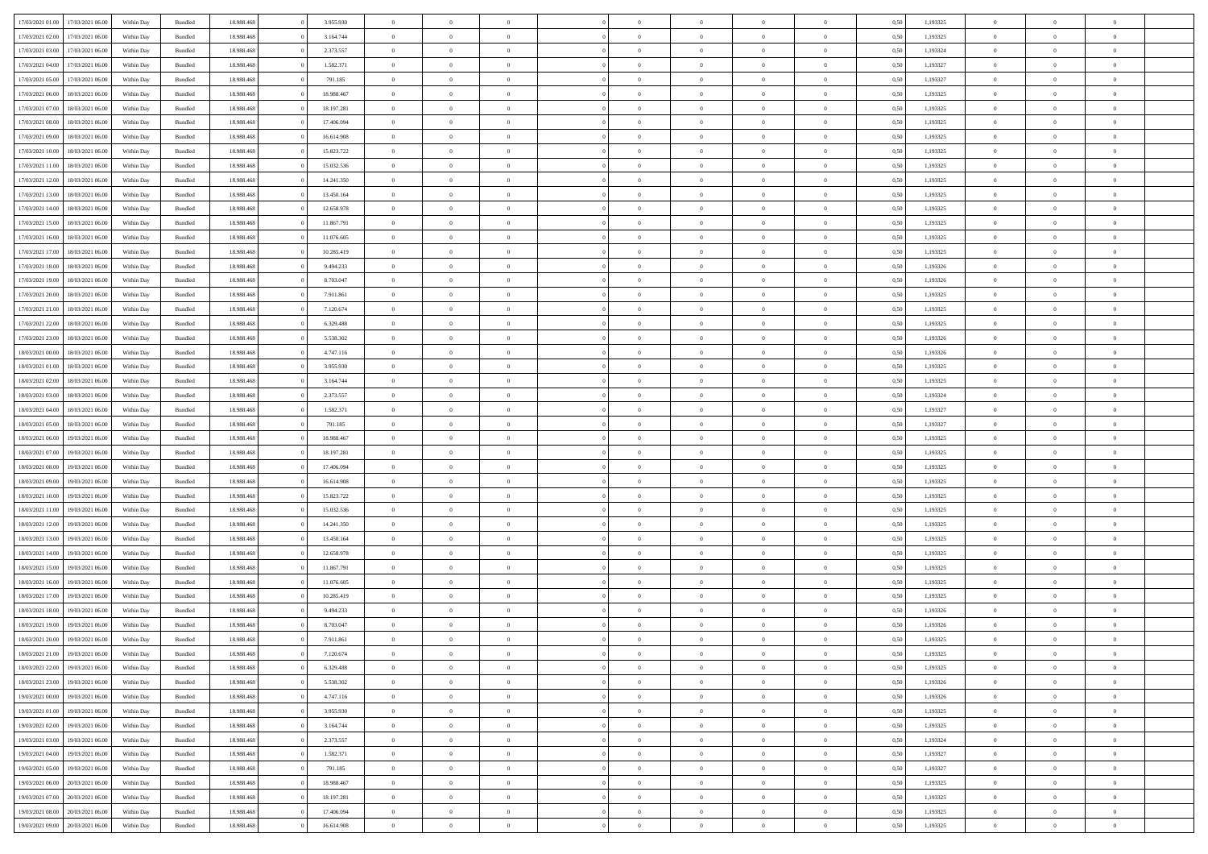| 17/03/2021 01:00 | 17/03/2021 06:00 | Within Day | Bundled            | 18.988.468 | 3.955.930  | $\overline{0}$ | $\theta$       |                | $\Omega$       | $\Omega$       | $\Omega$       | $\theta$       | 0.50 | 1,193325 | $\theta$       | $\overline{0}$ | $\theta$       |  |
|------------------|------------------|------------|--------------------|------------|------------|----------------|----------------|----------------|----------------|----------------|----------------|----------------|------|----------|----------------|----------------|----------------|--|
| 17/03/2021 02:00 | 17/03/2021 06:00 | Within Day | Bundled            | 18.988.468 | 3.164.744  | $\overline{0}$ | $\theta$       | $\overline{0}$ | $\overline{0}$ | $\bf{0}$       | $\overline{0}$ | $\overline{0}$ | 0,50 | 1,193325 | $\theta$       | $\overline{0}$ | $\overline{0}$ |  |
| 17/03/2021 03:00 | 17/03/2021 06:00 | Within Day | Bundled            | 18.988.468 | 2.373.557  | $\overline{0}$ | $\overline{0}$ | $\overline{0}$ | $\bf{0}$       | $\bf{0}$       | $\bf{0}$       | $\bf{0}$       | 0,50 | 1,193324 | $\bf{0}$       | $\overline{0}$ | $\overline{0}$ |  |
| 17/03/2021 04:00 | 17/03/2021 06:00 | Within Dav | Bundled            | 18.988.468 | 1.582.371  | $\overline{0}$ | $\overline{0}$ | $\overline{0}$ | $\overline{0}$ | $\bf{0}$       | $\overline{0}$ | $\overline{0}$ | 0.50 | 1,193327 | $\theta$       | $\theta$       | $\overline{0}$ |  |
| 17/03/2021 05:00 | 17/03/2021 06:00 | Within Day | Bundled            | 18.988.468 | 791.185    | $\overline{0}$ | $\theta$       | $\overline{0}$ | $\overline{0}$ | $\bf{0}$       | $\overline{0}$ | $\bf{0}$       | 0,50 | 1,193327 | $\theta$       | $\theta$       | $\overline{0}$ |  |
|                  |                  |            |                    |            |            |                |                |                |                |                |                |                |      |          |                |                |                |  |
| 17/03/2021 06:00 | 18/03/2021 06:00 | Within Day | Bundled            | 18.988.468 | 18.988.467 | $\overline{0}$ | $\bf{0}$       | $\overline{0}$ | $\bf{0}$       | $\overline{0}$ | $\overline{0}$ | $\mathbf{0}$   | 0,50 | 1,193325 | $\overline{0}$ | $\overline{0}$ | $\bf{0}$       |  |
| 17/03/2021 07:00 | 18/03/2021 06:00 | Within Dav | Bundled            | 18.988.468 | 18.197.281 | $\overline{0}$ | $\overline{0}$ | $\overline{0}$ | $\overline{0}$ | $\bf{0}$       | $\overline{0}$ | $\overline{0}$ | 0.50 | 1,193325 | $\theta$       | $\overline{0}$ | $\overline{0}$ |  |
| 17/03/2021 08:00 | 18/03/2021 06:00 | Within Day | Bundled            | 18.988.468 | 17.406.094 | $\overline{0}$ | $\theta$       | $\overline{0}$ | $\overline{0}$ | $\bf{0}$       | $\overline{0}$ | $\bf{0}$       | 0,50 | 1,193325 | $\theta$       | $\theta$       | $\overline{0}$ |  |
| 17/03/2021 09:00 | 18/03/2021 06:00 | Within Day | Bundled            | 18.988.468 | 16.614.908 | $\overline{0}$ | $\overline{0}$ | $\overline{0}$ | $\bf{0}$       | $\bf{0}$       | $\bf{0}$       | $\bf{0}$       | 0,50 | 1,193325 | $\,0\,$        | $\overline{0}$ | $\overline{0}$ |  |
| 17/03/2021 10:00 | 18/03/2021 06:00 | Within Dav | Bundled            | 18.988.468 | 15.823.722 | $\overline{0}$ | $\overline{0}$ | $\overline{0}$ | $\overline{0}$ | $\overline{0}$ | $\overline{0}$ | $\overline{0}$ | 0.50 | 1,193325 | $\theta$       | $\overline{0}$ | $\overline{0}$ |  |
| 17/03/2021 11:00 | 18/03/2021 06:00 | Within Day | Bundled            | 18.988.468 | 15.032.536 | $\overline{0}$ | $\theta$       | $\overline{0}$ | $\overline{0}$ | $\bf{0}$       | $\overline{0}$ | $\bf{0}$       | 0,50 | 1,193325 | $\theta$       | $\theta$       | $\overline{0}$ |  |
| 17/03/2021 12:00 | 18/03/2021 06:00 | Within Day | Bundled            | 18.988.468 | 14.241.350 | $\overline{0}$ | $\overline{0}$ | $\overline{0}$ | $\bf{0}$       | $\bf{0}$       | $\bf{0}$       | $\bf{0}$       | 0,50 | 1,193325 | $\bf{0}$       | $\overline{0}$ | $\overline{0}$ |  |
| 17/03/2021 13:00 | 18/03/2021 06:00 | Within Dav | Bundled            | 18.988.468 | 13.450.164 | $\overline{0}$ | $\overline{0}$ | $\overline{0}$ | $\overline{0}$ | $\bf{0}$       | $\overline{0}$ | $\overline{0}$ | 0.50 | 1,193325 | $\theta$       | $\theta$       | $\overline{0}$ |  |
|                  |                  |            |                    |            |            |                |                |                |                |                |                |                |      |          |                |                |                |  |
| 17/03/2021 14:00 | 18/03/2021 06:00 | Within Day | Bundled            | 18.988.468 | 12.658.978 | $\overline{0}$ | $\theta$       | $\overline{0}$ | $\overline{0}$ | $\bf{0}$       | $\overline{0}$ | $\overline{0}$ | 0,50 | 1,193325 | $\theta$       | $\theta$       | $\overline{0}$ |  |
| 17/03/2021 15:00 | 18/03/2021 06:00 | Within Day | Bundled            | 18.988.468 | 11.867.791 | $\overline{0}$ | $\overline{0}$ | $\overline{0}$ | $\bf{0}$       | $\overline{0}$ | $\overline{0}$ | $\mathbf{0}$   | 0,50 | 1,193325 | $\overline{0}$ | $\overline{0}$ | $\bf{0}$       |  |
| 17/03/2021 16:00 | 18/03/2021 06:00 | Within Dav | Bundled            | 18.988.468 | 11.076.605 | $\overline{0}$ | $\overline{0}$ | $\overline{0}$ | $\overline{0}$ | $\bf{0}$       | $\overline{0}$ | $\overline{0}$ | 0.50 | 1,193325 | $\theta$       | $\overline{0}$ | $\overline{0}$ |  |
| 17/03/2021 17:00 | 18/03/2021 06:00 | Within Day | Bundled            | 18.988.468 | 10.285.419 | $\overline{0}$ | $\theta$       | $\overline{0}$ | $\overline{0}$ | $\bf{0}$       | $\overline{0}$ | $\bf{0}$       | 0,50 | 1,193325 | $\theta$       | $\theta$       | $\overline{0}$ |  |
| 17/03/2021 18:00 | 18/03/2021 06:00 | Within Day | Bundled            | 18.988.468 | 9.494.233  | $\overline{0}$ | $\overline{0}$ | $\overline{0}$ | $\bf{0}$       | $\bf{0}$       | $\bf{0}$       | $\bf{0}$       | 0,50 | 1,193326 | $\,0\,$        | $\overline{0}$ | $\overline{0}$ |  |
| 17/03/2021 19:00 | 18/03/2021 06:00 | Within Day | Bundled            | 18.988.468 | 8.703.047  | $\overline{0}$ | $\overline{0}$ | $\overline{0}$ | $\overline{0}$ | $\overline{0}$ | $\overline{0}$ | $\overline{0}$ | 0.50 | 1,193326 | $\theta$       | $\overline{0}$ | $\overline{0}$ |  |
| 17/03/2021 20:00 | 18/03/2021 06:00 | Within Day | Bundled            | 18.988.468 | 7.911.861  | $\overline{0}$ | $\theta$       | $\overline{0}$ | $\overline{0}$ | $\bf{0}$       | $\overline{0}$ | $\bf{0}$       | 0,50 | 1,193325 | $\theta$       | $\theta$       | $\overline{0}$ |  |
|                  |                  |            |                    |            |            |                |                |                |                |                |                |                |      |          |                |                |                |  |
| 17/03/2021 21.00 | 18/03/2021 06:00 | Within Day | Bundled            | 18.988.468 | 7.120.674  | $\overline{0}$ | $\overline{0}$ | $\overline{0}$ | $\bf{0}$       | $\bf{0}$       | $\bf{0}$       | $\bf{0}$       | 0,50 | 1,193325 | $\,0\,$        | $\overline{0}$ | $\overline{0}$ |  |
| 17/03/2021 22:00 | 18/03/2021 06:00 | Within Day | Bundled            | 18.988.468 | 6.329.488  | $\overline{0}$ | $\overline{0}$ | $\overline{0}$ | $\overline{0}$ | $\bf{0}$       | $\overline{0}$ | $\overline{0}$ | 0.50 | 1,193325 | $\theta$       | $\theta$       | $\overline{0}$ |  |
| 17/03/2021 23:00 | 18/03/2021 06:00 | Within Day | Bundled            | 18.988.468 | 5.538.302  | $\overline{0}$ | $\theta$       | $\overline{0}$ | $\overline{0}$ | $\bf{0}$       | $\overline{0}$ | $\bf{0}$       | 0,50 | 1,193326 | $\theta$       | $\overline{0}$ | $\overline{0}$ |  |
| 18/03/2021 00:00 | 18/03/2021 06:00 | Within Day | Bundled            | 18.988.468 | 4.747.116  | $\overline{0}$ | $\bf{0}$       | $\overline{0}$ | $\overline{0}$ | $\overline{0}$ | $\overline{0}$ | $\mathbf{0}$   | 0,50 | 1,193326 | $\bf{0}$       | $\overline{0}$ | $\bf{0}$       |  |
| 18/03/2021 01:00 | 18/03/2021 06:00 | Within Dav | Bundled            | 18.988.468 | 3.955.930  | $\overline{0}$ | $\overline{0}$ | $\overline{0}$ | $\overline{0}$ | $\overline{0}$ | $\overline{0}$ | $\overline{0}$ | 0.50 | 1,193325 | $\theta$       | $\overline{0}$ | $\overline{0}$ |  |
| 18/03/2021 02:00 | 18/03/2021 06:00 | Within Day | Bundled            | 18.988.468 | 3.164.744  | $\overline{0}$ | $\theta$       | $\overline{0}$ | $\overline{0}$ | $\bf{0}$       | $\overline{0}$ | $\bf{0}$       | 0,50 | 1,193325 | $\theta$       | $\theta$       | $\overline{0}$ |  |
| 18/03/2021 03:00 | 18/03/2021 06:00 | Within Day | Bundled            | 18.988.468 | 2.373.557  | $\overline{0}$ | $\overline{0}$ | $\overline{0}$ | $\overline{0}$ | $\bf{0}$       | $\overline{0}$ | $\bf{0}$       | 0,50 | 1,193324 | $\,0\,$        | $\overline{0}$ | $\overline{0}$ |  |
| 18/03/2021 04:00 | 18/03/2021 06:00 |            | Bundled            | 18.988.468 | 1.582.371  | $\overline{0}$ | $\overline{0}$ | $\overline{0}$ | $\overline{0}$ | $\overline{0}$ | $\overline{0}$ | $\overline{0}$ | 0.50 | 1,193327 | $\theta$       | $\overline{0}$ | $\overline{0}$ |  |
|                  |                  | Within Day |                    |            |            |                |                |                |                |                |                |                |      |          |                |                |                |  |
| 18/03/2021 05:00 | 18/03/2021 06:00 | Within Day | Bundled            | 18.988.468 | 791.185    | $\overline{0}$ | $\theta$       | $\overline{0}$ | $\overline{0}$ | $\bf{0}$       | $\overline{0}$ | $\bf{0}$       | 0,50 | 1,193327 | $\,$ 0 $\,$    | $\theta$       | $\overline{0}$ |  |
| 18/03/2021 06:00 | 19/03/2021 06:00 | Within Day | Bundled            | 18.988.468 | 18.988.467 | $\overline{0}$ | $\overline{0}$ | $\overline{0}$ | $\overline{0}$ | $\bf{0}$       | $\overline{0}$ | $\bf{0}$       | 0,50 | 1,193325 | $\bf{0}$       | $\overline{0}$ | $\overline{0}$ |  |
| 18/03/2021 07:00 | 19/03/2021 06:00 | Within Day | Bundled            | 18.988.468 | 18.197.281 | $\overline{0}$ | $\Omega$       | $\Omega$       | $\Omega$       | $\Omega$       | $\overline{0}$ | $\overline{0}$ | 0.50 | 1,193325 | $\,0\,$        | $\theta$       | $\theta$       |  |
| 18/03/2021 08:00 | 19/03/2021 06:00 | Within Day | Bundled            | 18.988.468 | 17.406.094 | $\overline{0}$ | $\theta$       | $\overline{0}$ | $\overline{0}$ | $\bf{0}$       | $\overline{0}$ | $\bf{0}$       | 0,50 | 1,193325 | $\theta$       | $\theta$       | $\overline{0}$ |  |
| 18/03/2021 09:00 | 19/03/2021 06:00 | Within Day | Bundled            | 18.988.468 | 16.614.908 | $\overline{0}$ | $\overline{0}$ | $\overline{0}$ | $\overline{0}$ | $\bf{0}$       | $\overline{0}$ | $\mathbf{0}$   | 0,50 | 1,193325 | $\bf{0}$       | $\overline{0}$ | $\bf{0}$       |  |
| 18/03/2021 10:00 | 19/03/2021 06:00 | Within Day | Bundled            | 18.988.468 | 15.823.722 | $\overline{0}$ | $\Omega$       | $\Omega$       | $\Omega$       | $\Omega$       | $\Omega$       | $\overline{0}$ | 0.50 | 1,193325 | $\,0\,$        | $\theta$       | $\theta$       |  |
| 18/03/2021 11:00 | 19/03/2021 06:00 | Within Day | Bundled            | 18.988.468 | 15.032.536 | $\overline{0}$ | $\theta$       | $\overline{0}$ | $\overline{0}$ | $\bf{0}$       | $\overline{0}$ | $\bf{0}$       | 0,50 | 1,193325 | $\theta$       | $\theta$       | $\overline{0}$ |  |
|                  |                  |            |                    |            |            |                | $\overline{0}$ |                |                | $\bf{0}$       |                |                |      |          | $\,0\,$        | $\overline{0}$ | $\overline{0}$ |  |
| 18/03/2021 12:00 | 19/03/2021 06:00 | Within Day | Bundled            | 18.988.468 | 14.241.350 | $\overline{0}$ |                | $\overline{0}$ | $\overline{0}$ |                | $\overline{0}$ | $\bf{0}$       | 0,50 | 1,193325 |                |                |                |  |
| 18/03/2021 13:00 | 19/03/2021 06:00 | Within Day | Bundled            | 18.988.468 | 13.450.164 | $\overline{0}$ | $\Omega$       | $\Omega$       | $\Omega$       | $\Omega$       | $\theta$       | $\overline{0}$ | 0.50 | 1,193325 | $\theta$       | $\theta$       | $\theta$       |  |
| 18/03/2021 14:00 | 19/03/2021 06:00 | Within Day | Bundled            | 18.988.468 | 12.658.978 | $\overline{0}$ | $\theta$       | $\overline{0}$ | $\overline{0}$ | $\bf{0}$       | $\overline{0}$ | $\bf{0}$       | 0,50 | 1,193325 | $\,$ 0 $\,$    | $\theta$       | $\overline{0}$ |  |
| 18/03/2021 15:00 | 19/03/2021 06:00 | Within Day | Bundled            | 18.988.468 | 11.867.791 | $\overline{0}$ | $\overline{0}$ | $\overline{0}$ | $\overline{0}$ | $\bf{0}$       | $\overline{0}$ | $\bf{0}$       | 0,50 | 1,193325 | $\bf{0}$       | $\overline{0}$ | $\overline{0}$ |  |
| 18/03/2021 16:00 | 19/03/2021 06:00 | Within Day | Bundled            | 18.988.468 | 11.076.605 | $\overline{0}$ | $\Omega$       | $\Omega$       | $\Omega$       | $\Omega$       | $\overline{0}$ | $\overline{0}$ | 0.50 | 1,193325 | $\,0\,$        | $\theta$       | $\theta$       |  |
| 18/03/2021 17:00 | 19/03/2021 06:00 | Within Day | Bundled            | 18.988.468 | 10.285.419 | $\overline{0}$ | $\theta$       | $\overline{0}$ | $\overline{0}$ | $\bf{0}$       | $\overline{0}$ | $\bf{0}$       | 0,50 | 1,193325 | $\,$ 0 $\,$    | $\theta$       | $\overline{0}$ |  |
| 18/03/2021 18:00 | 19/03/2021 06:00 | Within Day | Bundled            | 18.988.468 | 9.494.233  | $\overline{0}$ | $\overline{0}$ | $\overline{0}$ | $\overline{0}$ | $\bf{0}$       | $\overline{0}$ | $\mathbf{0}$   | 0,50 | 1,193326 | $\bf{0}$       | $\overline{0}$ | $\bf{0}$       |  |
| 18/03/2021 19:00 | 19/03/2021 06:00 | Within Day | Bundled            | 18.988.468 | 8.703.047  | $\overline{0}$ | $\Omega$       | $\Omega$       | $\Omega$       | $\Omega$       | $\Omega$       | $\overline{0}$ | 0.50 | 1,193326 | $\theta$       | $\theta$       | $\theta$       |  |
| 18/03/2021 20:00 | 19/03/2021 06:00 | Within Day | Bundled            | 18.988.468 | 7.911.861  | $\overline{0}$ | $\overline{0}$ | $\overline{0}$ | $\bf{0}$       | $\,$ 0         | $\overline{0}$ | $\bf{0}$       | 0,50 | 1,193325 | $\,0\,$        | $\overline{0}$ | $\overline{0}$ |  |
|                  |                  |            |                    |            |            |                |                |                |                |                |                |                |      |          |                |                |                |  |
| 18/03/2021 21:00 | 19/03/2021 06:00 | Within Day | $\mathbf B$ undled | 18.988.468 | 7.120.674  | $\bf{0}$       | $\bf{0}$       |                |                |                |                |                | 0,50 | 1,193325 | $\bf{0}$       | $\overline{0}$ |                |  |
| 18/03/2021 22:00 | 19/03/2021 06:00 | Within Day | Bundled            | 18,988,468 | 6.329.488  | $\overline{0}$ | $\Omega$       | $\overline{0}$ | $\Omega$       | $\theta$       | $\overline{0}$ | $\overline{0}$ | 0,50 | 1,193325 | $\theta$       | $\theta$       | $\theta$       |  |
| 18/03/2021 23:00 | 19/03/2021 06:00 | Within Day | Bundled            | 18.988.468 | 5.538.302  | $\overline{0}$ | $\,$ 0         | $\overline{0}$ | $\overline{0}$ | $\,$ 0 $\,$    | $\overline{0}$ | $\mathbf{0}$   | 0,50 | 1,193326 | $\,$ 0 $\,$    | $\,$ 0 $\,$    | $\,$ 0         |  |
| 19/03/2021 00:00 | 19/03/2021 06:00 | Within Day | Bundled            | 18.988.468 | 4.747.116  | $\overline{0}$ | $\overline{0}$ | $\overline{0}$ | $\overline{0}$ | $\overline{0}$ | $\overline{0}$ | $\mathbf{0}$   | 0,50 | 1,193326 | $\overline{0}$ | $\bf{0}$       | $\bf{0}$       |  |
| 19/03/2021 01:00 | 19/03/2021 06:00 | Within Day | Bundled            | 18.988.468 | 3.955.930  | $\overline{0}$ | $\overline{0}$ | $\overline{0}$ | $\Omega$       | $\overline{0}$ | $\overline{0}$ | $\bf{0}$       | 0,50 | 1,193325 | $\overline{0}$ | $\theta$       | $\overline{0}$ |  |
| 19/03/2021 02:00 | 19/03/2021 06:00 | Within Day | Bundled            | 18.988.468 | 3.164.744  | $\overline{0}$ | $\,$ 0         | $\overline{0}$ | $\overline{0}$ | $\,$ 0 $\,$    | $\overline{0}$ | $\mathbf{0}$   | 0,50 | 1,193325 | $\,$ 0 $\,$    | $\overline{0}$ | $\overline{0}$ |  |
| 19/03/2021 03:00 | 19/03/2021 06:00 | Within Day | Bundled            | 18.988.468 | 2.373.557  | $\overline{0}$ | $\overline{0}$ | $\overline{0}$ | $\overline{0}$ | $\overline{0}$ | $\overline{0}$ | $\mathbf{0}$   | 0,50 | 1,193324 | $\overline{0}$ | $\overline{0}$ | $\bf{0}$       |  |
|                  |                  |            |                    |            |            |                |                |                |                |                |                |                |      |          |                |                |                |  |
| 19/03/2021 04:00 | 19/03/2021 06:00 | Within Day | Bundled            | 18.988.468 | 1.582.371  | $\overline{0}$ | $\overline{0}$ | $\overline{0}$ | $\Omega$       | $\overline{0}$ | $\overline{0}$ | $\bf{0}$       | 0.50 | 1,193327 | $\overline{0}$ | $\theta$       | $\overline{0}$ |  |
| 19/03/2021 05:00 | 19/03/2021 06:00 | Within Day | Bundled            | 18.988.468 | 791.185    | $\overline{0}$ | $\,$ 0         | $\overline{0}$ | $\overline{0}$ | $\bf{0}$       | $\overline{0}$ | $\bf{0}$       | 0,50 | 1,193327 | $\,$ 0 $\,$    | $\overline{0}$ | $\overline{0}$ |  |
| 19/03/2021 06:00 | 20/03/2021 06:00 | Within Day | Bundled            | 18.988.468 | 18.988.467 | $\overline{0}$ | $\bf{0}$       | $\overline{0}$ | $\overline{0}$ | $\overline{0}$ | $\overline{0}$ | $\mathbf{0}$   | 0,50 | 1,193325 | $\overline{0}$ | $\overline{0}$ | $\bf{0}$       |  |
| 19/03/2021 07:00 | 20/03/2021 06:00 | Within Day | Bundled            | 18,988,468 | 18.197.281 | $\overline{0}$ | $\overline{0}$ | $\overline{0}$ | $\Omega$       | $\overline{0}$ | $\overline{0}$ | $\bf{0}$       | 0.50 | 1,193325 | $\overline{0}$ | $\overline{0}$ | $\overline{0}$ |  |
| 19/03/2021 08:00 | 20/03/2021 06:00 | Within Day | Bundled            | 18.988.468 | 17.406.094 | $\overline{0}$ | $\bf{0}$       | $\overline{0}$ | $\overline{0}$ | $\bf{0}$       | $\overline{0}$ | $\mathbf{0}$   | 0,50 | 1,193325 | $\,$ 0 $\,$    | $\,$ 0 $\,$    | $\bf{0}$       |  |
| 19/03/2021 09:00 | 20/03/2021 06:00 | Within Day | Bundled            | 18.988.468 | 16.614.908 | $\overline{0}$ | $\overline{0}$ | $\overline{0}$ | $\overline{0}$ | $\bf{0}$       | $\overline{0}$ | $\mathbf{0}$   | 0,50 | 1,193325 | $\overline{0}$ | $\bf{0}$       | $\bf{0}$       |  |
|                  |                  |            |                    |            |            |                |                |                |                |                |                |                |      |          |                |                |                |  |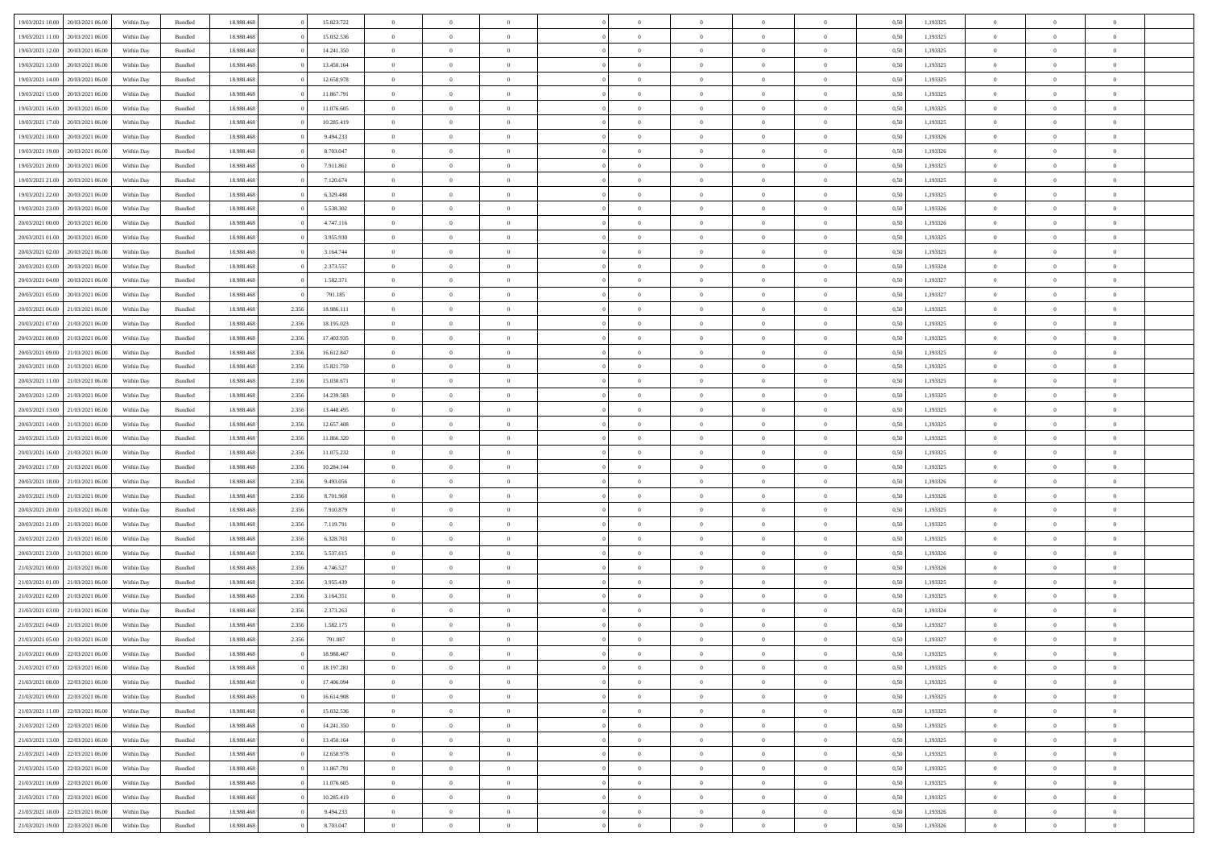| 19/03/2021 10:00                  | 20/03/2021 06:00 | Within Dav | Bundled            | 18.988.468 |       | 15.823.722 | $\overline{0}$ | $\theta$       |                | $\Omega$       | $\Omega$       | $\Omega$       | $\theta$       | 0.50 | 1,193325 | $\theta$       | $\overline{0}$ | $\theta$       |  |
|-----------------------------------|------------------|------------|--------------------|------------|-------|------------|----------------|----------------|----------------|----------------|----------------|----------------|----------------|------|----------|----------------|----------------|----------------|--|
|                                   |                  |            |                    |            |       |            |                |                |                |                |                |                |                |      |          |                |                |                |  |
| 19/03/2021 11:00                  | 20/03/2021 06:00 | Within Day | Bundled            | 18.988.468 |       | 15.032.536 | $\overline{0}$ | $\theta$       | $\overline{0}$ | $\overline{0}$ | $\bf{0}$       | $\overline{0}$ | $\overline{0}$ | 0,50 | 1,193325 | $\theta$       | $\overline{0}$ | $\overline{0}$ |  |
| 19/03/2021 12:00                  | 20/03/2021 06:00 | Within Day | Bundled            | 18.988.468 |       | 14.241.350 | $\overline{0}$ | $\overline{0}$ | $\overline{0}$ | $\bf{0}$       | $\bf{0}$       | $\overline{0}$ | $\bf{0}$       | 0,50 | 1,193325 | $\overline{0}$ | $\overline{0}$ | $\overline{0}$ |  |
| 19/03/2021 13:00                  | 20/03/2021 06:00 | Within Dav | Bundled            | 18.988.468 |       | 13.450.164 | $\overline{0}$ | $\overline{0}$ | $\overline{0}$ | $\overline{0}$ | $\bf{0}$       | $\overline{0}$ | $\overline{0}$ | 0.50 | 1,193325 | $\theta$       | $\theta$       | $\overline{0}$ |  |
|                                   |                  |            |                    |            |       |            |                |                |                |                |                |                |                |      |          |                |                |                |  |
| 19/03/2021 14:00                  | 20/03/2021 06:00 | Within Day | Bundled            | 18.988.468 |       | 12.658.978 | $\overline{0}$ | $\theta$       | $\overline{0}$ | $\overline{0}$ | $\bf{0}$       | $\overline{0}$ | $\bf{0}$       | 0,50 | 1,193325 | $\theta$       | $\theta$       | $\overline{0}$ |  |
| 19/03/2021 15:00                  | 20/03/2021 06:00 | Within Day | Bundled            | 18.988.468 |       | 11.867.791 | $\overline{0}$ | $\bf{0}$       | $\overline{0}$ | $\overline{0}$ | $\overline{0}$ | $\overline{0}$ | $\mathbf{0}$   | 0,50 | 1,193325 | $\overline{0}$ | $\overline{0}$ | $\bf{0}$       |  |
| 19/03/2021 16:00                  | 20/03/2021 06:00 | Within Dav | Bundled            | 18.988.468 |       | 11.076.605 | $\overline{0}$ | $\overline{0}$ | $\overline{0}$ | $\overline{0}$ | $\overline{0}$ | $\overline{0}$ | $\overline{0}$ | 0.50 | 1,193325 | $\theta$       | $\overline{0}$ | $\overline{0}$ |  |
| 19/03/2021 17:00                  | 20/03/2021 06:00 | Within Day | Bundled            | 18.988.468 |       | 10.285.419 | $\overline{0}$ | $\theta$       | $\overline{0}$ | $\overline{0}$ | $\bf{0}$       | $\overline{0}$ | $\bf{0}$       | 0,50 | 1,193325 | $\theta$       | $\theta$       | $\overline{0}$ |  |
| 19/03/2021 18:00                  | 20/03/2021 06:00 | Within Day | Bundled            | 18.988.468 |       | 9.494.233  | $\overline{0}$ | $\overline{0}$ | $\overline{0}$ | $\bf{0}$       | $\bf{0}$       | $\bf{0}$       | $\bf{0}$       | 0,50 | 1,193326 | $\,0\,$        | $\overline{0}$ | $\overline{0}$ |  |
|                                   |                  |            |                    |            |       |            |                |                |                |                |                |                |                |      |          |                |                |                |  |
| 19/03/2021 19:00                  | 20/03/2021 06:00 | Within Dav | Bundled            | 18.988.468 |       | 8.703.047  | $\overline{0}$ | $\overline{0}$ | $\overline{0}$ | $\overline{0}$ | $\overline{0}$ | $\overline{0}$ | $\overline{0}$ | 0.50 | 1,193326 | $\theta$       | $\overline{0}$ | $\overline{0}$ |  |
| 19/03/2021 20:00                  | 20/03/2021 06:00 | Within Day | Bundled            | 18.988.468 |       | 7.911.861  | $\overline{0}$ | $\theta$       | $\overline{0}$ | $\overline{0}$ | $\bf{0}$       | $\overline{0}$ | $\bf{0}$       | 0,50 | 1,193325 | $\theta$       | $\theta$       | $\overline{0}$ |  |
| 19/03/2021 21:00                  | 20/03/2021 06:00 | Within Day | Bundled            | 18.988.468 |       | 7.120.674  | $\overline{0}$ | $\overline{0}$ | $\overline{0}$ | $\bf{0}$       | $\bf{0}$       | $\bf{0}$       | $\bf{0}$       | 0,50 | 1,193325 | $\bf{0}$       | $\overline{0}$ | $\overline{0}$ |  |
| 19/03/2021 22:00                  | 20/03/2021 06:00 | Within Dav | Bundled            | 18.988.468 |       | 6.329.488  | $\overline{0}$ | $\overline{0}$ | $\overline{0}$ | $\overline{0}$ | $\bf{0}$       | $\overline{0}$ | $\overline{0}$ | 0.50 | 1,193325 | $\theta$       | $\theta$       | $\overline{0}$ |  |
| 19/03/2021 23:00                  | 20/03/2021 06:00 | Within Day | Bundled            | 18.988.468 |       | 5.538.302  | $\overline{0}$ | $\theta$       | $\overline{0}$ | $\overline{0}$ | $\bf{0}$       | $\overline{0}$ | $\overline{0}$ | 0,50 | 1,193326 | $\theta$       | $\overline{0}$ | $\overline{0}$ |  |
|                                   |                  |            |                    |            |       |            |                |                |                |                |                |                |                |      |          |                |                |                |  |
| 20/03/2021 00:00                  | 20/03/2021 06:00 | Within Day | Bundled            | 18.988.468 |       | 4.747.116  | $\overline{0}$ | $\bf{0}$       | $\overline{0}$ | $\bf{0}$       | $\overline{0}$ | $\overline{0}$ | $\mathbf{0}$   | 0,50 | 1,193326 | $\overline{0}$ | $\overline{0}$ | $\bf{0}$       |  |
| 20/03/2021 01:00                  | 20/03/2021 06:00 | Within Dav | Bundled            | 18.988.468 |       | 3.955.930  | $\overline{0}$ | $\overline{0}$ | $\overline{0}$ | $\overline{0}$ | $\overline{0}$ | $\overline{0}$ | $\overline{0}$ | 0.50 | 1,193325 | $\theta$       | $\overline{0}$ | $\overline{0}$ |  |
| 20/03/2021 02:00                  | 20/03/2021 06:00 | Within Day | Bundled            | 18.988.468 |       | 3.164.744  | $\overline{0}$ | $\theta$       | $\overline{0}$ | $\overline{0}$ | $\bf{0}$       | $\overline{0}$ | $\bf{0}$       | 0,50 | 1,193325 | $\theta$       | $\theta$       | $\overline{0}$ |  |
| 20/03/2021 03:00                  | 20/03/2021 06:00 | Within Day | Bundled            | 18.988.468 |       | 2.373.557  | $\overline{0}$ | $\overline{0}$ | $\overline{0}$ | $\bf{0}$       | $\bf{0}$       | $\bf{0}$       | $\bf{0}$       | 0,50 | 1,193324 | $\,0\,$        | $\overline{0}$ | $\overline{0}$ |  |
| 20/03/2021 04:00                  | 20/03/2021 06:00 | Within Dav | Bundled            | 18.988.468 |       | 1.582.371  | $\overline{0}$ | $\overline{0}$ | $\overline{0}$ | $\overline{0}$ | $\overline{0}$ | $\overline{0}$ | $\overline{0}$ | 0.50 | 1,193327 | $\theta$       | $\overline{0}$ | $\overline{0}$ |  |
|                                   |                  |            |                    |            |       |            |                |                |                |                |                |                |                |      |          |                |                |                |  |
| 20/03/2021 05:00                  | 20/03/2021 06:00 | Within Day | Bundled            | 18.988.468 |       | 791.185    | $\overline{0}$ | $\theta$       | $\overline{0}$ | $\overline{0}$ | $\bf{0}$       | $\overline{0}$ | $\bf{0}$       | 0,50 | 1,193327 | $\,$ 0 $\,$    | $\theta$       | $\overline{0}$ |  |
| 20/03/2021 06:00                  | 21/03/2021 06:00 | Within Day | Bundled            | 18.988.468 | 2.356 | 18.986.111 | $\overline{0}$ | $\overline{0}$ | $\overline{0}$ | $\bf{0}$       | $\bf{0}$       | $\bf{0}$       | $\bf{0}$       | 0,50 | 1,193325 | $\,0\,$        | $\overline{0}$ | $\overline{0}$ |  |
| 20/03/2021 07:00                  | 21/03/2021 06:00 | Within Day | Bundled            | 18.988.468 | 2.356 | 18.195.023 | $\overline{0}$ | $\overline{0}$ | $\overline{0}$ | $\overline{0}$ | $\bf{0}$       | $\overline{0}$ | $\overline{0}$ | 0.50 | 1,193325 | $\theta$       | $\theta$       | $\overline{0}$ |  |
| 20/03/2021 08:00                  | 21/03/2021 06:00 | Within Day | Bundled            | 18.988.468 | 2.356 | 17.403.935 | $\overline{0}$ | $\theta$       | $\overline{0}$ | $\overline{0}$ | $\bf{0}$       | $\overline{0}$ | $\bf{0}$       | 0,50 | 1,193325 | $\theta$       | $\overline{0}$ | $\overline{0}$ |  |
|                                   |                  |            |                    |            |       |            |                |                |                |                |                |                |                |      |          |                |                |                |  |
| 20/03/2021 09:00                  | 21/03/2021 06:00 | Within Day | Bundled            | 18.988.468 | 2.356 | 16.612.847 | $\overline{0}$ | $\bf{0}$       | $\overline{0}$ | $\bf{0}$       | $\overline{0}$ | $\overline{0}$ | $\mathbf{0}$   | 0,50 | 1,193325 | $\overline{0}$ | $\overline{0}$ | $\bf{0}$       |  |
| 20/03/2021 10:00                  | 21/03/2021 06:00 | Within Dav | Bundled            | 18.988.468 | 2.356 | 15.821.759 | $\overline{0}$ | $\overline{0}$ | $\overline{0}$ | $\overline{0}$ | $\overline{0}$ | $\overline{0}$ | $\overline{0}$ | 0.50 | 1,193325 | $\theta$       | $\overline{0}$ | $\overline{0}$ |  |
| 20/03/2021 11:00                  | 21/03/2021 06:00 | Within Day | Bundled            | 18.988.468 | 2.356 | 15.030.671 | $\overline{0}$ | $\theta$       | $\overline{0}$ | $\overline{0}$ | $\bf{0}$       | $\overline{0}$ | $\bf{0}$       | 0,50 | 1,193325 | $\theta$       | $\theta$       | $\overline{0}$ |  |
| 20/03/2021 12:00                  | 21/03/2021 06:00 | Within Day | Bundled            | 18.988.468 | 2.356 | 14.239.583 | $\overline{0}$ | $\overline{0}$ | $\overline{0}$ | $\bf{0}$       | $\bf{0}$       | $\bf{0}$       | $\bf{0}$       | 0,50 | 1,193325 | $\,0\,$        | $\overline{0}$ | $\overline{0}$ |  |
| 20/03/2021 13:00                  | 21/03/2021 06:00 | Within Day | Bundled            | 18.988.468 | 2.356 | 13.448.495 | $\overline{0}$ | $\overline{0}$ | $\overline{0}$ | $\overline{0}$ | $\overline{0}$ | $\overline{0}$ | $\overline{0}$ | 0.50 | 1,193325 | $\theta$       | $\overline{0}$ | $\overline{0}$ |  |
|                                   |                  |            |                    |            |       |            |                |                |                |                |                |                |                |      |          |                |                |                |  |
| 20/03/2021 14:00                  | 21/03/2021 06:00 | Within Day | Bundled            | 18.988.468 | 2.356 | 12.657.408 | $\overline{0}$ | $\theta$       | $\overline{0}$ | $\overline{0}$ | $\bf{0}$       | $\overline{0}$ | $\bf{0}$       | 0,50 | 1,193325 | $\,$ 0 $\,$    | $\theta$       | $\overline{0}$ |  |
| 20/03/2021 15:00                  | 21/03/2021 06:00 | Within Day | Bundled            | 18.988.468 | 2.356 | 11.866.320 | $\overline{0}$ | $\overline{0}$ | $\overline{0}$ | $\bf{0}$       | $\bf{0}$       | $\bf{0}$       | $\bf{0}$       | 0,50 | 1,193325 | $\bf{0}$       | $\overline{0}$ | $\overline{0}$ |  |
| 20/03/2021 16:00                  | 21/03/2021 06:00 | Within Day | Bundled            | 18.988.468 | 2.356 | 11.075.232 | $\overline{0}$ | $\Omega$       | $\Omega$       | $\Omega$       | $\Omega$       | $\overline{0}$ | $\overline{0}$ | 0.50 | 1,193325 | $\,0\,$        | $\theta$       | $\theta$       |  |
| 20/03/2021 17:00                  | 21/03/2021 06:00 | Within Day | Bundled            | 18.988.468 | 2.356 | 10.284.144 | $\overline{0}$ | $\theta$       | $\overline{0}$ | $\overline{0}$ | $\bf{0}$       | $\overline{0}$ | $\bf{0}$       | 0,50 | 1,193325 | $\theta$       | $\overline{0}$ | $\overline{0}$ |  |
| 20/03/2021 18:00                  | 21/03/2021 06:00 | Within Day | Bundled            | 18.988.468 | 2.356 | 9.493.056  | $\overline{0}$ | $\overline{0}$ | $\overline{0}$ | $\bf{0}$       | $\bf{0}$       | $\overline{0}$ | $\mathbf{0}$   | 0,50 | 1,193326 | $\overline{0}$ | $\overline{0}$ | $\bf{0}$       |  |
|                                   |                  |            |                    |            |       |            |                |                |                |                |                |                |                |      |          |                |                |                |  |
| 20/03/2021 19:00                  | 21/03/2021 06:00 | Within Day | Bundled            | 18.988.468 | 2.356 | 8.701.968  | $\overline{0}$ | $\Omega$       | $\Omega$       | $\Omega$       | $\bf{0}$       | $\overline{0}$ | $\overline{0}$ | 0.50 | 1,193326 | $\,0\,$        | $\theta$       | $\theta$       |  |
| 20/03/2021 20:00                  | 21/03/2021 06:00 | Within Day | Bundled            | 18.988.468 | 2.356 | 7.910.879  | $\overline{0}$ | $\theta$       | $\overline{0}$ | $\overline{0}$ | $\bf{0}$       | $\overline{0}$ | $\bf{0}$       | 0,50 | 1,193325 | $\theta$       | $\theta$       | $\overline{0}$ |  |
| 20/03/2021 21:00                  | 21/03/2021 06:00 | Within Day | Bundled            | 18.988.468 | 2.356 | 7.119.791  | $\overline{0}$ | $\overline{0}$ | $\overline{0}$ | $\overline{0}$ | $\bf{0}$       | $\overline{0}$ | $\bf{0}$       | 0,50 | 1,193325 | $\,0\,$        | $\overline{0}$ | $\overline{0}$ |  |
| 20/03/2021 22:00                  | 21/03/2021 06:00 | Within Day | Bundled            | 18.988.468 | 2.356 | 6.328.703  | $\overline{0}$ | $\Omega$       | $\Omega$       | $\Omega$       | $\Omega$       | $\theta$       | $\overline{0}$ | 0.50 | 1,193325 | $\theta$       | $\theta$       | $\theta$       |  |
| 20/03/2021 23:00                  | 21/03/2021 06:00 | Within Day | Bundled            | 18.988.468 | 2.356 | 5.537.615  | $\overline{0}$ | $\theta$       | $\overline{0}$ | $\overline{0}$ | $\bf{0}$       | $\overline{0}$ | $\bf{0}$       | 0,50 | 1,193326 | $\,$ 0 $\,$    | $\overline{0}$ | $\overline{0}$ |  |
|                                   |                  |            |                    |            |       |            |                |                |                |                |                |                |                |      |          |                |                |                |  |
| 21/03/2021 00:00                  | 21/03/2021 06:00 | Within Day | Bundled            | 18.988.468 | 2.356 | 4.746.527  | $\overline{0}$ | $\overline{0}$ | $\overline{0}$ | $\overline{0}$ | $\bf{0}$       | $\overline{0}$ | $\bf{0}$       | 0,50 | 1,193326 | $\overline{0}$ | $\overline{0}$ | $\overline{0}$ |  |
| 21/03/2021 01:00                  | 21/03/2021 06:00 | Within Day | Bundled            | 18.988.468 | 2.356 | 3.955.439  | $\overline{0}$ | $\Omega$       | $\Omega$       | $\Omega$       | $\overline{0}$ | $\overline{0}$ | $\overline{0}$ | 0.50 | 1,193325 | $\,0\,$        | $\theta$       | $\theta$       |  |
| 21/03/2021 02:00                  | 21/03/2021 06:00 | Within Day | Bundled            | 18.988.468 | 2.356 | 3.164.351  | $\overline{0}$ | $\theta$       | $\overline{0}$ | $\overline{0}$ | $\bf{0}$       | $\overline{0}$ | $\bf{0}$       | 0,50 | 1,193325 | $\,$ 0 $\,$    | $\overline{0}$ | $\overline{0}$ |  |
| 21/03/2021 03:00                  | 21/03/2021 06:00 | Within Day | Bundled            | 18.988.468 | 2.356 | 2.373.263  | $\overline{0}$ | $\overline{0}$ | $\overline{0}$ | $\overline{0}$ | $\bf{0}$       | $\overline{0}$ | $\mathbf{0}$   | 0,50 | 1,193324 | $\overline{0}$ | $\overline{0}$ | $\bf{0}$       |  |
| 21/03/2021 04:00                  | 21/03/2021 06:00 | Within Day | Bundled            | 18.988.468 | 2.356 | 1.582.175  | $\overline{0}$ | $\Omega$       | $\Omega$       | $\Omega$       | $\Omega$       | $\Omega$       | $\overline{0}$ | 0.50 | 1,193327 | $\theta$       | $\theta$       | $\theta$       |  |
| 21/03/2021 05:00                  | 21/03/2021 06:00 |            |                    | 18.988.468 | 2.356 |            | $\overline{0}$ | $\overline{0}$ | $\overline{0}$ | $\bf{0}$       | $\,$ 0         |                |                |      | 1,193327 | $\,0\,$        | $\overline{0}$ | $\overline{0}$ |  |
|                                   |                  | Within Day | Bundled            |            |       | 791.087    |                |                |                |                |                | $\overline{0}$ | $\bf{0}$       | 0,50 |          |                |                |                |  |
| 21/03/2021 06:00 22/03/2021 06:00 |                  | Within Day | $\mathbf B$ undled | 18.988.468 |       | 18.988.467 | $\bf{0}$       | $\bf{0}$       |                |                |                |                |                | 0,50 | 1,193325 | $\bf{0}$       | $\overline{0}$ |                |  |
| 21/03/2021 07:00                  | 22/03/2021 06:00 | Within Day | Bundled            | 18,988,468 |       | 18.197.281 | $\overline{0}$ | $\Omega$       | $\overline{0}$ | $\Omega$       | $\theta$       | $\overline{0}$ | $\overline{0}$ | 0.50 | 1,193325 | $\theta$       | $\theta$       | $\theta$       |  |
| 21/03/2021 08:00                  | 22/03/2021 06:00 | Within Day | Bundled            | 18.988.468 |       | 17.406.094 | $\overline{0}$ | $\,$ 0         | $\overline{0}$ | $\overline{0}$ | $\,$ 0 $\,$    | $\overline{0}$ | $\mathbf{0}$   | 0,50 | 1,193325 | $\,$ 0 $\,$    | $\overline{0}$ | $\,$ 0         |  |
| 21/03/2021 09:00                  | 22/03/2021 06:00 | Within Day | Bundled            | 18.988.468 |       | 16.614.908 | $\overline{0}$ | $\overline{0}$ | $\overline{0}$ | $\overline{0}$ | $\overline{0}$ | $\overline{0}$ | $\mathbf{0}$   | 0,50 | 1,193325 | $\overline{0}$ | $\bf{0}$       | $\bf{0}$       |  |
|                                   |                  |            |                    |            |       |            |                |                |                |                |                |                |                |      |          |                |                |                |  |
| 21/03/2021 11:00                  | 22/03/2021 06:00 | Within Day | Bundled            | 18.988.468 |       | 15.032.536 | $\overline{0}$ | $\theta$       | $\overline{0}$ | $\Omega$       | $\overline{0}$ | $\overline{0}$ | $\bf{0}$       | 0,50 | 1,193325 | $\overline{0}$ | $\theta$       | $\overline{0}$ |  |
| 21/03/2021 12:00                  | 22/03/2021 06:00 | Within Day | Bundled            | 18.988.468 |       | 14.241.350 | $\overline{0}$ | $\,$ 0         | $\overline{0}$ | $\overline{0}$ | $\overline{0}$ | $\overline{0}$ | $\bf{0}$       | 0,50 | 1,193325 | $\,$ 0 $\,$    | $\overline{0}$ | $\overline{0}$ |  |
| 21/03/2021 13:00                  | 22/03/2021 06:00 | Within Day | Bundled            | 18.988.468 |       | 13.450.164 | $\overline{0}$ | $\overline{0}$ | $\overline{0}$ | $\overline{0}$ | $\overline{0}$ | $\overline{0}$ | $\mathbf{0}$   | 0,50 | 1,193325 | $\overline{0}$ | $\overline{0}$ | $\bf{0}$       |  |
| 21/03/2021 14:00                  | 22/03/2021 06:00 | Within Day | Bundled            | 18.988.468 |       | 12.658.978 | $\overline{0}$ | $\overline{0}$ | $\overline{0}$ | $\Omega$       | $\overline{0}$ | $\overline{0}$ | $\bf{0}$       | 0.50 | 1,193325 | $\overline{0}$ | $\theta$       | $\overline{0}$ |  |
| 21/03/2021 15:00                  | 22/03/2021 06:00 | Within Day | Bundled            | 18.988.468 |       | 11.867.791 | $\overline{0}$ | $\,$ 0         | $\overline{0}$ | $\overline{0}$ | $\bf{0}$       | $\bf{0}$       | $\bf{0}$       | 0,50 | 1,193325 | $\,$ 0 $\,$    | $\overline{0}$ | $\overline{0}$ |  |
|                                   |                  |            |                    |            |       |            |                |                |                |                |                |                |                |      |          |                |                |                |  |
| 21/03/2021 16:00                  | 22/03/2021 06:00 | Within Day | Bundled            | 18.988.468 |       | 11.076.605 | $\overline{0}$ | $\bf{0}$       | $\overline{0}$ | $\overline{0}$ | $\overline{0}$ | $\bf{0}$       | $\mathbf{0}$   | 0,50 | 1,193325 | $\overline{0}$ | $\overline{0}$ | $\bf{0}$       |  |
| 21/03/2021 17:00                  | 22/03/2021 06:00 | Within Day | Bundled            | 18,988,468 |       | 10.285.419 | $\overline{0}$ | $\overline{0}$ | $\overline{0}$ | $\Omega$       | $\overline{0}$ | $\overline{0}$ | $\overline{0}$ | 0.50 | 1,193325 | $\overline{0}$ | $\theta$       | $\overline{0}$ |  |
| 21/03/2021 18:00                  | 22/03/2021 06:00 | Within Day | Bundled            | 18.988.468 |       | 9.494.233  | $\overline{0}$ | $\,$ 0 $\,$    | $\overline{0}$ | $\overline{0}$ | $\bf{0}$       | $\bf{0}$       | $\bf{0}$       | 0,50 | 1,193326 | $\,$ 0 $\,$    | $\,$ 0 $\,$    | $\overline{0}$ |  |
| 21/03/2021 19:00 22/03/2021 06:00 |                  | Within Day | Bundled            | 18.988.468 |       | 8.703.047  | $\overline{0}$ | $\overline{0}$ | $\overline{0}$ | $\overline{0}$ | $\bf{0}$       | $\bf{0}$       | $\mathbf{0}$   | 0,50 | 1,193326 | $\overline{0}$ | $\bf{0}$       | $\bf{0}$       |  |
|                                   |                  |            |                    |            |       |            |                |                |                |                |                |                |                |      |          |                |                |                |  |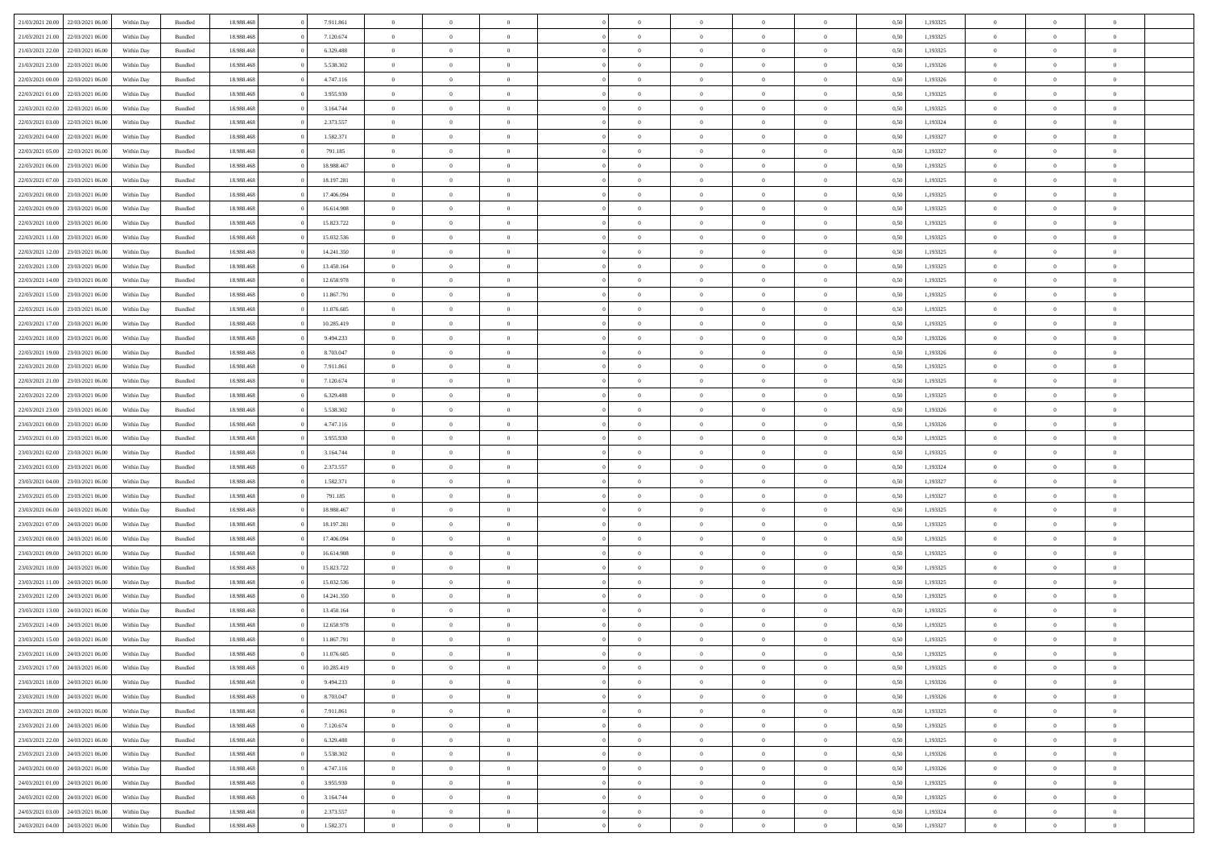|                                   |                  |            |                    |            |            | $\overline{0}$ |                |                |                | $\Omega$       | $\Omega$       | $\theta$       |      |          | $\theta$       | $\overline{0}$ | $\theta$       |  |
|-----------------------------------|------------------|------------|--------------------|------------|------------|----------------|----------------|----------------|----------------|----------------|----------------|----------------|------|----------|----------------|----------------|----------------|--|
| 21/03/2021 20:00                  | 22/03/2021 06:00 | Within Dav | Bundled            | 18.988.468 | 7.911.861  |                | $\theta$       |                | $\Omega$       |                |                |                | 0.50 | 1,193325 |                |                |                |  |
| 21/03/2021 21:00                  | 22/03/2021 06:00 | Within Day | Bundled            | 18.988.468 | 7.120.674  | $\overline{0}$ | $\theta$       | $\overline{0}$ | $\overline{0}$ | $\bf{0}$       | $\overline{0}$ | $\overline{0}$ | 0,50 | 1,193325 | $\theta$       | $\overline{0}$ | $\overline{0}$ |  |
| 21/03/2021 22:00                  | 22/03/2021 06:00 | Within Day | Bundled            | 18.988.468 | 6.329.488  | $\overline{0}$ | $\overline{0}$ | $\overline{0}$ | $\bf{0}$       | $\bf{0}$       | $\bf{0}$       | $\bf{0}$       | 0,50 | 1,193325 | $\bf{0}$       | $\overline{0}$ | $\overline{0}$ |  |
| 21/03/2021 23:00                  | 22/03/2021 06:00 | Within Dav | Bundled            | 18.988.468 | 5.538.302  | $\overline{0}$ | $\theta$       | $\overline{0}$ | $\overline{0}$ | $\bf{0}$       | $\overline{0}$ | $\overline{0}$ | 0.50 | 1,193326 | $\theta$       | $\theta$       | $\overline{0}$ |  |
|                                   |                  |            |                    |            |            |                |                |                |                |                |                |                |      |          |                |                |                |  |
| 22/03/2021 00:00                  | 22/03/2021 06:00 | Within Day | Bundled            | 18.988.468 | 4.747.116  | $\overline{0}$ | $\theta$       | $\overline{0}$ | $\overline{0}$ | $\bf{0}$       | $\overline{0}$ | $\bf{0}$       | 0,50 | 1,193326 | $\theta$       | $\theta$       | $\overline{0}$ |  |
| 22/03/2021 01:00                  | 22/03/2021 06:00 | Within Day | Bundled            | 18.988.468 | 3.955.930  | $\overline{0}$ | $\bf{0}$       | $\overline{0}$ | $\bf{0}$       | $\overline{0}$ | $\overline{0}$ | $\mathbf{0}$   | 0,50 | 1,193325 | $\overline{0}$ | $\overline{0}$ | $\bf{0}$       |  |
| 22/03/2021 02:00                  | 22/03/2021 06:00 | Within Dav | Bundled            | 18.988.468 | 3.164.744  | $\overline{0}$ | $\overline{0}$ | $\overline{0}$ | $\overline{0}$ | $\bf{0}$       | $\overline{0}$ | $\overline{0}$ | 0.50 | 1,193325 | $\theta$       | $\overline{0}$ | $\overline{0}$ |  |
| 22/03/2021 03:00                  | 22/03/2021 06:00 | Within Day | Bundled            | 18.988.468 | 2.373.557  | $\overline{0}$ | $\theta$       | $\overline{0}$ | $\overline{0}$ | $\bf{0}$       | $\overline{0}$ | $\bf{0}$       | 0,50 | 1,193324 | $\theta$       | $\theta$       | $\overline{0}$ |  |
| 22/03/2021 04:00                  | 22/03/2021 06:00 | Within Day | Bundled            | 18.988.468 | 1.582.371  | $\overline{0}$ | $\overline{0}$ | $\overline{0}$ | $\bf{0}$       | $\bf{0}$       | $\bf{0}$       | $\bf{0}$       | 0,50 | 1,193327 | $\,0\,$        | $\overline{0}$ | $\overline{0}$ |  |
|                                   |                  |            |                    |            |            |                |                |                |                |                |                |                |      |          |                |                |                |  |
| 22/03/2021 05:00                  | 22/03/2021 06:00 | Within Dav | Bundled            | 18.988.468 | 791.185    | $\overline{0}$ | $\overline{0}$ | $\overline{0}$ | $\overline{0}$ | $\overline{0}$ | $\overline{0}$ | $\overline{0}$ | 0.50 | 1,193327 | $\theta$       | $\overline{0}$ | $\overline{0}$ |  |
| 22/03/2021 06:00                  | 23/03/2021 06:00 | Within Day | Bundled            | 18.988.468 | 18.988.467 | $\overline{0}$ | $\theta$       | $\overline{0}$ | $\overline{0}$ | $\bf{0}$       | $\overline{0}$ | $\bf{0}$       | 0,50 | 1,193325 | $\theta$       | $\theta$       | $\overline{0}$ |  |
| 22/03/2021 07:00                  | 23/03/2021 06:00 | Within Day | Bundled            | 18.988.468 | 18.197.281 | $\overline{0}$ | $\overline{0}$ | $\overline{0}$ | $\bf{0}$       | $\bf{0}$       | $\bf{0}$       | $\bf{0}$       | 0,50 | 1,193325 | $\bf{0}$       | $\overline{0}$ | $\overline{0}$ |  |
| 22/03/2021 08:00                  | 23/03/2021 06:00 | Within Day | Bundled            | 18.988.468 | 17.406.094 | $\overline{0}$ | $\theta$       | $\overline{0}$ | $\overline{0}$ | $\bf{0}$       | $\overline{0}$ | $\overline{0}$ | 0.50 | 1,193325 | $\theta$       | $\theta$       | $\overline{0}$ |  |
| 22/03/2021 09:00                  | 23/03/2021 06:00 | Within Day | Bundled            | 18.988.468 | 16.614.908 | $\overline{0}$ | $\theta$       | $\overline{0}$ | $\overline{0}$ | $\bf{0}$       | $\overline{0}$ | $\overline{0}$ | 0,50 | 1,193325 | $\theta$       | $\theta$       | $\overline{0}$ |  |
|                                   |                  |            |                    |            |            |                |                |                |                |                |                |                |      |          |                |                |                |  |
| 22/03/2021 10:00                  | 23/03/2021 06:00 | Within Day | Bundled            | 18.988.468 | 15.823.722 | $\overline{0}$ | $\overline{0}$ | $\overline{0}$ | $\bf{0}$       | $\overline{0}$ | $\overline{0}$ | $\mathbf{0}$   | 0,50 | 1,193325 | $\bf{0}$       | $\overline{0}$ | $\bf{0}$       |  |
| 22/03/2021 11:00                  | 23/03/2021 06:00 | Within Dav | Bundled            | 18.988.468 | 15.032.536 | $\overline{0}$ | $\overline{0}$ | $\overline{0}$ | $\overline{0}$ | $\bf{0}$       | $\overline{0}$ | $\overline{0}$ | 0.50 | 1,193325 | $\theta$       | $\overline{0}$ | $\overline{0}$ |  |
| 22/03/2021 12:00                  | 23/03/2021 06:00 | Within Day | Bundled            | 18.988.468 | 14.241.350 | $\overline{0}$ | $\theta$       | $\overline{0}$ | $\overline{0}$ | $\bf{0}$       | $\overline{0}$ | $\bf{0}$       | 0,50 | 1,193325 | $\theta$       | $\theta$       | $\overline{0}$ |  |
| 22/03/2021 13:00                  | 23/03/2021 06:00 | Within Day | Bundled            | 18.988.468 | 13.450.164 | $\overline{0}$ | $\overline{0}$ | $\overline{0}$ | $\overline{0}$ | $\bf{0}$       | $\overline{0}$ | $\bf{0}$       | 0,50 | 1,193325 | $\,0\,$        | $\overline{0}$ | $\overline{0}$ |  |
| 22/03/2021 14:00                  | 23/03/2021 06:00 | Within Day | Bundled            | 18.988.468 | 12.658.978 | $\overline{0}$ | $\overline{0}$ | $\overline{0}$ | $\overline{0}$ | $\overline{0}$ | $\overline{0}$ | $\overline{0}$ | 0.50 | 1,193325 | $\theta$       | $\overline{0}$ | $\overline{0}$ |  |
|                                   |                  |            |                    |            |            |                |                |                |                |                |                |                |      |          |                |                |                |  |
| 22/03/2021 15:00                  | 23/03/2021 06:00 | Within Day | Bundled            | 18.988.468 | 11.867.791 | $\overline{0}$ | $\theta$       | $\overline{0}$ | $\overline{0}$ | $\bf{0}$       | $\overline{0}$ | $\bf{0}$       | 0,50 | 1,193325 | $\theta$       | $\theta$       | $\overline{0}$ |  |
| 22/03/2021 16:00                  | 23/03/2021 06:00 | Within Day | Bundled            | 18.988.468 | 11.076.605 | $\overline{0}$ | $\overline{0}$ | $\overline{0}$ | $\overline{0}$ | $\bf{0}$       | $\overline{0}$ | $\bf{0}$       | 0,50 | 1,193325 | $\,0\,$        | $\overline{0}$ | $\overline{0}$ |  |
| 22/03/2021 17:00                  | 23/03/2021 06:00 | Within Day | Bundled            | 18.988.468 | 10.285.419 | $\overline{0}$ | $\overline{0}$ | $\overline{0}$ | $\overline{0}$ | $\bf{0}$       | $\overline{0}$ | $\overline{0}$ | 0.50 | 1,193325 | $\theta$       | $\theta$       | $\overline{0}$ |  |
| 22/03/2021 18:00                  | 23/03/2021 06:00 | Within Day | Bundled            | 18.988.468 | 9.494.233  | $\overline{0}$ | $\theta$       | $\overline{0}$ | $\overline{0}$ | $\bf{0}$       | $\overline{0}$ | $\bf{0}$       | 0,50 | 1,193326 | $\theta$       | $\overline{0}$ | $\overline{0}$ |  |
| 22/03/2021 19:00                  | 23/03/2021 06:00 | Within Day | Bundled            | 18.988.468 | 8.703.047  | $\overline{0}$ | $\overline{0}$ | $\overline{0}$ | $\overline{0}$ | $\overline{0}$ | $\overline{0}$ | $\mathbf{0}$   | 0,50 | 1,193326 | $\bf{0}$       | $\overline{0}$ | $\bf{0}$       |  |
|                                   |                  |            |                    |            |            |                |                |                |                |                |                |                |      |          |                |                |                |  |
| 22/03/2021 20:00                  | 23/03/2021 06:00 | Within Dav | Bundled            | 18.988.468 | 7.911.861  | $\overline{0}$ | $\overline{0}$ | $\overline{0}$ | $\overline{0}$ | $\overline{0}$ | $\overline{0}$ | $\overline{0}$ | 0.50 | 1,193325 | $\theta$       | $\overline{0}$ | $\overline{0}$ |  |
| 22/03/2021 21:00                  | 23/03/2021 06:00 | Within Day | Bundled            | 18.988.468 | 7.120.674  | $\overline{0}$ | $\theta$       | $\overline{0}$ | $\overline{0}$ | $\bf{0}$       | $\overline{0}$ | $\bf{0}$       | 0,50 | 1,193325 | $\theta$       | $\theta$       | $\overline{0}$ |  |
| 22/03/2021 22:00                  | 23/03/2021 06:00 | Within Day | Bundled            | 18.988.468 | 6.329.488  | $\overline{0}$ | $\overline{0}$ | $\overline{0}$ | $\overline{0}$ | $\bf{0}$       | $\overline{0}$ | $\bf{0}$       | 0,50 | 1,193325 | $\,0\,$        | $\overline{0}$ | $\overline{0}$ |  |
| 22/03/2021 23:00                  | 23/03/2021 06:00 | Within Day | Bundled            | 18.988.468 | 5.538.302  | $\overline{0}$ | $\overline{0}$ | $\overline{0}$ | $\overline{0}$ | $\bf{0}$       | $\overline{0}$ | $\overline{0}$ | 0.50 | 1,193326 | $\theta$       | $\overline{0}$ | $\overline{0}$ |  |
| 23/03/2021 00:00                  | 23/03/2021 06:00 | Within Day | Bundled            | 18.988.468 | 4.747.116  | $\overline{0}$ | $\theta$       | $\overline{0}$ | $\overline{0}$ | $\bf{0}$       | $\overline{0}$ | $\bf{0}$       | 0,50 | 1,193326 | $\,$ 0 $\,$    | $\theta$       | $\overline{0}$ |  |
| 23/03/2021 01:00                  | 23/03/2021 06:00 | Within Day | Bundled            | 18.988.468 | 3.955.930  | $\overline{0}$ | $\overline{0}$ | $\overline{0}$ | $\overline{0}$ | $\bf{0}$       | $\overline{0}$ | $\bf{0}$       | 0,50 | 1,193325 | $\bf{0}$       | $\overline{0}$ | $\overline{0}$ |  |
|                                   |                  |            |                    |            |            |                |                |                |                |                |                |                |      |          |                |                |                |  |
| 23/03/2021 02:00                  | 23/03/2021 06:00 | Within Day | Bundled            | 18.988.468 | 3.164.744  | $\overline{0}$ | $\Omega$       | $\Omega$       | $\Omega$       | $\Omega$       | $\overline{0}$ | $\overline{0}$ | 0.50 | 1,193325 | $\,0\,$        | $\Omega$       | $\theta$       |  |
| 23/03/2021 03:00                  | 23/03/2021 06:00 | Within Day | Bundled            | 18.988.468 | 2.373.557  | $\overline{0}$ | $\theta$       | $\overline{0}$ | $\overline{0}$ | $\bf{0}$       | $\overline{0}$ | $\bf{0}$       | 0,50 | 1,193324 | $\theta$       | $\theta$       | $\overline{0}$ |  |
| 23/03/2021 04:00                  | 23/03/2021 06:00 | Within Day | Bundled            | 18.988.468 | 1.582.371  | $\overline{0}$ | $\bf{0}$       | $\overline{0}$ | $\overline{0}$ | $\bf{0}$       | $\overline{0}$ | $\mathbf{0}$   | 0,50 | 1,193327 | $\bf{0}$       | $\overline{0}$ | $\bf{0}$       |  |
| 23/03/2021 05:00                  | 23/03/2021 06:00 | Within Day | Bundled            | 18.988.468 | 791.185    | $\overline{0}$ | $\Omega$       | $\Omega$       | $\Omega$       | $\Omega$       | $\Omega$       | $\overline{0}$ | 0.50 | 1,193327 | $\theta$       | $\theta$       | $\theta$       |  |
| 23/03/2021 06:00                  | 24/03/2021 06.00 | Within Day | Bundled            | 18.988.468 | 18.988.467 | $\overline{0}$ | $\theta$       | $\overline{0}$ | $\overline{0}$ | $\bf{0}$       | $\overline{0}$ | $\bf{0}$       | 0,50 | 1,193325 | $\theta$       | $\theta$       | $\overline{0}$ |  |
| 23/03/2021 07:00                  | 24/03/2021 06:00 | Within Day | Bundled            | 18.988.468 | 18.197.281 | $\overline{0}$ | $\overline{0}$ | $\overline{0}$ | $\overline{0}$ | $\bf{0}$       | $\overline{0}$ | $\bf{0}$       | 0,50 | 1,193325 | $\,0\,$        | $\overline{0}$ | $\overline{0}$ |  |
|                                   |                  |            |                    |            |            |                |                |                |                |                |                |                |      |          |                |                |                |  |
| 23/03/2021 08:00                  | 24/03/2021 06:00 | Within Day | Bundled            | 18.988.468 | 17,406,094 | $\overline{0}$ | $\Omega$       | $\Omega$       | $\Omega$       | $\Omega$       | $\theta$       | $\overline{0}$ | 0.50 | 1,193325 | $\theta$       | $\theta$       | $\theta$       |  |
| 23/03/2021 09:00                  | 24/03/2021 06.00 | Within Day | Bundled            | 18.988.468 | 16.614.908 | $\overline{0}$ | $\theta$       | $\overline{0}$ | $\overline{0}$ | $\bf{0}$       | $\overline{0}$ | $\bf{0}$       | 0,50 | 1,193325 | $\theta$       | $\theta$       | $\overline{0}$ |  |
| 23/03/2021 10:00                  | 24/03/2021 06:00 | Within Day | Bundled            | 18.988.468 | 15.823.722 | $\overline{0}$ | $\overline{0}$ | $\overline{0}$ | $\overline{0}$ | $\bf{0}$       | $\overline{0}$ | $\bf{0}$       | 0,50 | 1,193325 | $\,0\,$        | $\overline{0}$ | $\overline{0}$ |  |
| 23/03/2021 11:00                  | 24/03/2021 06.00 | Within Day | Bundled            | 18.988.468 | 15.032.536 | $\overline{0}$ | $\Omega$       | $\Omega$       | $\Omega$       | $\Omega$       | $\overline{0}$ | $\overline{0}$ | 0.50 | 1,193325 | $\,0\,$        | $\theta$       | $\theta$       |  |
| 23/03/2021 12:00                  | 24/03/2021 06.00 | Within Day | Bundled            | 18.988.468 | 14.241.350 | $\overline{0}$ | $\theta$       | $\overline{0}$ | $\overline{0}$ | $\bf{0}$       | $\overline{0}$ | $\bf{0}$       | 0,50 | 1,193325 | $\,$ 0 $\,$    | $\theta$       | $\overline{0}$ |  |
| 23/03/2021 13:00                  | 24/03/2021 06:00 | Within Day | Bundled            | 18.988.468 | 13.450.164 | $\overline{0}$ | $\overline{0}$ | $\overline{0}$ | $\overline{0}$ | $\bf{0}$       | $\overline{0}$ | $\mathbf{0}$   | 0,50 | 1,193325 | $\overline{0}$ | $\overline{0}$ | $\bf{0}$       |  |
|                                   |                  |            |                    |            |            |                |                |                |                |                |                |                |      |          |                |                |                |  |
| 23/03/2021 14:00                  | 24/03/2021 06:00 | Within Day | Bundled            | 18.988.468 | 12.658.978 | $\overline{0}$ | $\Omega$       | $\Omega$       | $\Omega$       | $\Omega$       | $\Omega$       | $\overline{0}$ | 0.50 | 1,193325 | $\theta$       | $\theta$       | $\theta$       |  |
| 23/03/2021 15:00                  | 24/03/2021 06:00 | Within Day | Bundled            | 18.988.468 | 11.867.791 | $\overline{0}$ | $\,$ 0 $\,$    | $\overline{0}$ | $\bf{0}$       | $\,$ 0         | $\overline{0}$ | $\bf{0}$       | 0,50 | 1,193325 | $\,0\,$        | $\overline{0}$ | $\overline{0}$ |  |
| 23/03/2021 16:00 24/03/2021 06:00 |                  | Within Day | $\mathbf B$ undled | 18.988.468 | 11.076.605 | $\bf{0}$       | $\bf{0}$       |                |                |                |                |                | 0,50 | 1,193325 | $\bf{0}$       | $\overline{0}$ |                |  |
| 23/03/2021 17:00                  | 24/03/2021 06:00 | Within Day | Bundled            | 18.988.468 | 10.285.419 | $\overline{0}$ | $\Omega$       | $\overline{0}$ | $\Omega$       | $\theta$       | $\overline{0}$ | $\overline{0}$ | 0,50 | 1,193325 | $\theta$       | $\theta$       | $\theta$       |  |
| 23/03/2021 18:00                  | 24/03/2021 06.00 | Within Day | Bundled            | 18.988.468 | 9.494.233  | $\overline{0}$ | $\,$ 0         | $\overline{0}$ | $\overline{0}$ | $\,$ 0 $\,$    | $\overline{0}$ | $\mathbf{0}$   | 0,50 | 1,193326 | $\,$ 0 $\,$    | $\,$ 0 $\,$    | $\,$ 0         |  |
|                                   |                  |            |                    |            |            |                |                |                |                |                |                |                |      |          |                |                |                |  |
| 23/03/2021 19:00                  | 24/03/2021 06:00 | Within Day | Bundled            | 18.988.468 | 8.703.047  | $\overline{0}$ | $\overline{0}$ | $\overline{0}$ | $\overline{0}$ | $\overline{0}$ | $\overline{0}$ | $\mathbf{0}$   | 0,50 | 1,193326 | $\overline{0}$ | $\bf{0}$       | $\bf{0}$       |  |
| 23/03/2021 20:00                  | 24/03/2021 06:00 | Within Day | Bundled            | 18.988.468 | 7.911.861  | $\overline{0}$ | $\overline{0}$ | $\overline{0}$ | $\Omega$       | $\overline{0}$ | $\overline{0}$ | $\overline{0}$ | 0,50 | 1,193325 | $\overline{0}$ | $\theta$       | $\overline{0}$ |  |
| 23/03/2021 21:00                  | 24/03/2021 06.00 | Within Day | Bundled            | 18.988.468 | 7.120.674  | $\overline{0}$ | $\,$ 0         | $\overline{0}$ | $\overline{0}$ | $\,$ 0 $\,$    | $\overline{0}$ | $\mathbf{0}$   | 0,50 | 1,193325 | $\,$ 0 $\,$    | $\overline{0}$ | $\overline{0}$ |  |
| 23/03/2021 22.00                  | 24/03/2021 06:00 | Within Day | Bundled            | 18.988.468 | 6.329.488  | $\overline{0}$ | $\overline{0}$ | $\overline{0}$ | $\overline{0}$ | $\overline{0}$ | $\overline{0}$ | $\mathbf{0}$   | 0,50 | 1,193325 | $\overline{0}$ | $\overline{0}$ | $\bf{0}$       |  |
| 23/03/2021 23:00                  | 24/03/2021 06:00 | Within Day | Bundled            | 18.988.468 | 5.538.302  | $\overline{0}$ | $\overline{0}$ | $\overline{0}$ | $\Omega$       | $\overline{0}$ | $\overline{0}$ | $\bf{0}$       | 0.50 | 1,193326 | $\overline{0}$ | $\theta$       | $\overline{0}$ |  |
| 24/03/2021 00:00                  | 24/03/2021 06.00 | Within Day | Bundled            | 18.988.468 | 4.747.116  | $\overline{0}$ | $\,$ 0         | $\overline{0}$ | $\overline{0}$ | $\bf{0}$       | $\overline{0}$ | $\bf{0}$       | 0,50 | 1,193326 | $\,$ 0 $\,$    | $\overline{0}$ | $\overline{0}$ |  |
|                                   |                  |            |                    |            |            |                |                |                |                |                |                |                |      |          |                |                |                |  |
| 24/03/2021 01:00                  | 24/03/2021 06:00 | Within Day | Bundled            | 18.988.468 | 3.955.930  | $\overline{0}$ | $\bf{0}$       | $\overline{0}$ | $\overline{0}$ | $\overline{0}$ | $\overline{0}$ | $\mathbf{0}$   | 0,50 | 1,193325 | $\overline{0}$ | $\overline{0}$ | $\bf{0}$       |  |
| 24/03/2021 02:00                  | 24/03/2021 06:00 | Within Day | Bundled            | 18,988,468 | 3.164.744  | $\overline{0}$ | $\overline{0}$ | $\overline{0}$ | $\Omega$       | $\overline{0}$ | $\overline{0}$ | $\bf{0}$       | 0.50 | 1,193325 | $\overline{0}$ | $\theta$       | $\overline{0}$ |  |
| 24/03/2021 03:00                  | 24/03/2021 06.00 | Within Day | Bundled            | 18.988.468 | 2.373.557  | $\overline{0}$ | $\bf{0}$       | $\overline{0}$ | $\overline{0}$ | $\bf{0}$       | $\overline{0}$ | $\mathbf{0}$   | 0,50 | 1,193324 | $\,$ 0 $\,$    | $\,$ 0 $\,$    | $\bf{0}$       |  |
| 24/03/2021 04:00 24/03/2021 06:00 |                  | Within Day | Bundled            | 18.988.468 | 1.582.371  | $\overline{0}$ | $\overline{0}$ | $\overline{0}$ | $\overline{0}$ | $\bf{0}$       | $\overline{0}$ | $\mathbf{0}$   | 0,50 | 1,193327 | $\overline{0}$ | $\bf{0}$       | $\bf{0}$       |  |
|                                   |                  |            |                    |            |            |                |                |                |                |                |                |                |      |          |                |                |                |  |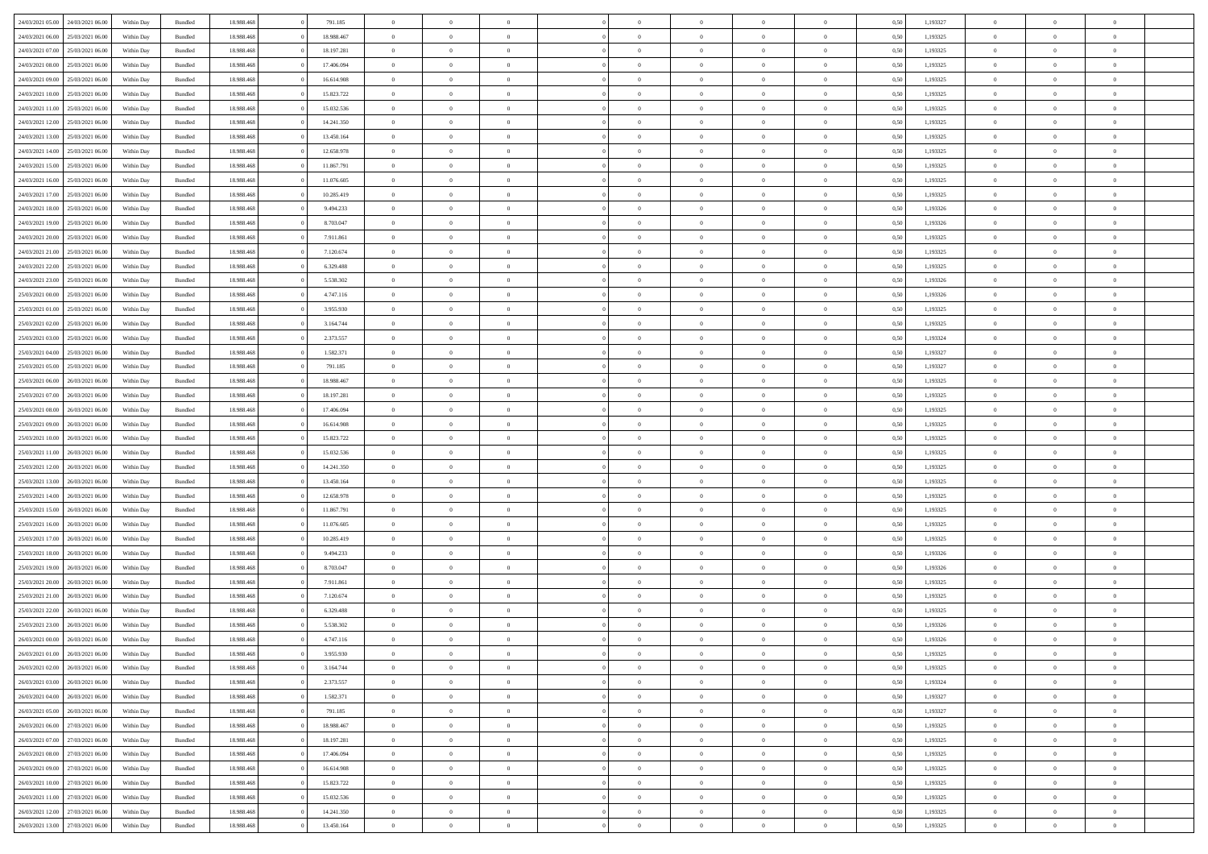| 24/03/2021 05:00                  | 24/03/2021 06:00 | Within Dav | Bundled            | 18.988.468 | 791.185    | $\overline{0}$ | $\theta$       |                | $\Omega$       | $\Omega$       | $\Omega$       | $\theta$       | 0.50 | 1,193327 | $\theta$       | $\overline{0}$ | $\theta$       |  |
|-----------------------------------|------------------|------------|--------------------|------------|------------|----------------|----------------|----------------|----------------|----------------|----------------|----------------|------|----------|----------------|----------------|----------------|--|
| 24/03/2021 06.00                  | 25/03/2021 06:00 | Within Day | Bundled            | 18.988.468 | 18.988.467 | $\overline{0}$ | $\theta$       | $\overline{0}$ | $\overline{0}$ | $\bf{0}$       | $\overline{0}$ | $\overline{0}$ | 0,50 | 1,193325 | $\theta$       | $\overline{0}$ | $\overline{0}$ |  |
| 24/03/2021 07:00                  | 25/03/2021 06:00 | Within Day | Bundled            | 18.988.468 | 18.197.281 | $\overline{0}$ | $\overline{0}$ | $\overline{0}$ | $\bf{0}$       | $\bf{0}$       | $\bf{0}$       | $\bf{0}$       | 0,50 | 1,193325 | $\bf{0}$       | $\overline{0}$ | $\overline{0}$ |  |
|                                   |                  |            |                    |            |            |                |                |                |                |                |                |                |      |          | $\theta$       |                |                |  |
| 24/03/2021 08:00                  | 25/03/2021 06:00 | Within Dav | Bundled            | 18.988.468 | 17.406.094 | $\overline{0}$ | $\theta$       | $\overline{0}$ | $\overline{0}$ | $\bf{0}$       | $\overline{0}$ | $\overline{0}$ | 0.50 | 1,193325 |                | $\theta$       | $\overline{0}$ |  |
| 24/03/2021 09:00                  | 25/03/2021 06:00 | Within Day | Bundled            | 18.988.468 | 16.614.908 | $\overline{0}$ | $\theta$       | $\overline{0}$ | $\overline{0}$ | $\bf{0}$       | $\overline{0}$ | $\bf{0}$       | 0,50 | 1,193325 | $\theta$       | $\theta$       | $\overline{0}$ |  |
| 24/03/2021 10:00                  | 25/03/2021 06:00 | Within Day | Bundled            | 18.988.468 | 15.823.722 | $\overline{0}$ | $\bf{0}$       | $\overline{0}$ | $\bf{0}$       | $\overline{0}$ | $\overline{0}$ | $\mathbf{0}$   | 0,50 | 1,193325 | $\overline{0}$ | $\overline{0}$ | $\bf{0}$       |  |
| 24/03/2021 11:00                  | 25/03/2021 06:00 | Within Dav | Bundled            | 18.988.468 | 15.032.536 | $\overline{0}$ | $\overline{0}$ | $\overline{0}$ | $\overline{0}$ | $\bf{0}$       | $\overline{0}$ | $\overline{0}$ | 0.50 | 1,193325 | $\theta$       | $\overline{0}$ | $\overline{0}$ |  |
|                                   |                  |            |                    |            |            |                |                |                |                |                |                |                |      |          |                |                |                |  |
| 24/03/2021 12:00                  | 25/03/2021 06:00 | Within Day | Bundled            | 18.988.468 | 14.241.350 | $\overline{0}$ | $\theta$       | $\overline{0}$ | $\overline{0}$ | $\bf{0}$       | $\overline{0}$ | $\bf{0}$       | 0,50 | 1,193325 | $\theta$       | $\theta$       | $\overline{0}$ |  |
| 24/03/2021 13:00                  | 25/03/2021 06:00 | Within Day | Bundled            | 18.988.468 | 13.450.164 | $\overline{0}$ | $\overline{0}$ | $\overline{0}$ | $\bf{0}$       | $\bf{0}$       | $\bf{0}$       | $\bf{0}$       | 0,50 | 1,193325 | $\,0\,$        | $\overline{0}$ | $\overline{0}$ |  |
| 24/03/2021 14:00                  | 25/03/2021 06:00 | Within Dav | Bundled            | 18.988.468 | 12.658.978 | $\overline{0}$ | $\overline{0}$ | $\overline{0}$ | $\overline{0}$ | $\overline{0}$ | $\overline{0}$ | $\overline{0}$ | 0.50 | 1,193325 | $\theta$       | $\overline{0}$ | $\overline{0}$ |  |
| 24/03/2021 15:00                  | 25/03/2021 06:00 |            | Bundled            | 18.988.468 | 11.867.791 | $\overline{0}$ | $\theta$       | $\overline{0}$ | $\overline{0}$ | $\bf{0}$       | $\overline{0}$ |                |      | 1,193325 | $\theta$       | $\theta$       | $\overline{0}$ |  |
|                                   |                  | Within Day |                    |            |            |                |                |                |                |                |                | $\bf{0}$       | 0,50 |          |                |                |                |  |
| 24/03/2021 16:00                  | 25/03/2021 06:00 | Within Day | Bundled            | 18.988.468 | 11.076.605 | $\overline{0}$ | $\overline{0}$ | $\overline{0}$ | $\bf{0}$       | $\bf{0}$       | $\bf{0}$       | $\bf{0}$       | 0,50 | 1,193325 | $\bf{0}$       | $\overline{0}$ | $\overline{0}$ |  |
| 24/03/2021 17:00                  | 25/03/2021 06:00 | Within Dav | Bundled            | 18.988.468 | 10.285.419 | $\overline{0}$ | $\theta$       | $\overline{0}$ | $\overline{0}$ | $\bf{0}$       | $\overline{0}$ | $\overline{0}$ | 0.50 | 1,193325 | $\theta$       | $\theta$       | $\overline{0}$ |  |
| 24/03/2021 18:00                  | 25/03/2021 06:00 | Within Day | Bundled            | 18.988.468 | 9.494.233  | $\overline{0}$ | $\theta$       | $\overline{0}$ | $\overline{0}$ | $\bf{0}$       | $\overline{0}$ | $\overline{0}$ | 0,50 | 1,193326 | $\theta$       | $\theta$       | $\overline{0}$ |  |
|                                   |                  |            |                    |            |            |                |                |                |                |                |                |                |      |          |                |                |                |  |
| 24/03/2021 19:00                  | 25/03/2021 06:00 | Within Day | Bundled            | 18.988.468 | 8.703.047  | $\overline{0}$ | $\overline{0}$ | $\overline{0}$ | $\bf{0}$       | $\overline{0}$ | $\overline{0}$ | $\mathbf{0}$   | 0,50 | 1,193326 | $\overline{0}$ | $\overline{0}$ | $\bf{0}$       |  |
| 24/03/2021 20:00                  | 25/03/2021 06:00 | Within Dav | Bundled            | 18.988.468 | 7.911.861  | $\overline{0}$ | $\overline{0}$ | $\overline{0}$ | $\overline{0}$ | $\bf{0}$       | $\overline{0}$ | $\overline{0}$ | 0.50 | 1,193325 | $\theta$       | $\overline{0}$ | $\overline{0}$ |  |
| 24/03/2021 21:00                  | 25/03/2021 06.00 | Within Day | Bundled            | 18.988.468 | 7.120.674  | $\overline{0}$ | $\theta$       | $\overline{0}$ | $\overline{0}$ | $\bf{0}$       | $\overline{0}$ | $\bf{0}$       | 0,50 | 1,193325 | $\theta$       | $\theta$       | $\overline{0}$ |  |
| 24/03/2021 22.00                  | 25/03/2021 06:00 | Within Day | Bundled            | 18.988.468 | 6.329.488  | $\overline{0}$ | $\overline{0}$ | $\overline{0}$ | $\bf{0}$       | $\bf{0}$       | $\bf{0}$       | $\bf{0}$       | 0,50 | 1,193325 | $\,0\,$        | $\overline{0}$ | $\overline{0}$ |  |
|                                   | 25/03/2021 06:00 | Within Dav | Bundled            | 18.988.468 | 5.538.302  | $\overline{0}$ | $\overline{0}$ | $\overline{0}$ | $\overline{0}$ | $\overline{0}$ | $\overline{0}$ | $\overline{0}$ | 0.50 | 1,193326 | $\theta$       | $\overline{0}$ | $\overline{0}$ |  |
| 24/03/2021 23:00                  |                  |            |                    |            |            |                |                |                |                |                |                |                |      |          |                |                |                |  |
| 25/03/2021 00:00                  | 25/03/2021 06:00 | Within Day | Bundled            | 18.988.468 | 4.747.116  | $\overline{0}$ | $\theta$       | $\overline{0}$ | $\overline{0}$ | $\bf{0}$       | $\overline{0}$ | $\bf{0}$       | 0,50 | 1,193326 | $\theta$       | $\theta$       | $\overline{0}$ |  |
| 25/03/2021 01:00                  | 25/03/2021 06:00 | Within Day | Bundled            | 18.988.468 | 3.955.930  | $\overline{0}$ | $\overline{0}$ | $\overline{0}$ | $\bf{0}$       | $\bf{0}$       | $\bf{0}$       | $\bf{0}$       | 0,50 | 1,193325 | $\,0\,$        | $\overline{0}$ | $\overline{0}$ |  |
| 25/03/2021 02:00                  | 25/03/2021 06:00 | Within Day | Bundled            | 18.988.468 | 3.164.744  | $\overline{0}$ | $\overline{0}$ | $\overline{0}$ | $\overline{0}$ | $\bf{0}$       | $\overline{0}$ | $\overline{0}$ | 0.50 | 1,193325 | $\theta$       | $\theta$       | $\overline{0}$ |  |
|                                   |                  |            |                    |            |            | $\overline{0}$ | $\theta$       | $\overline{0}$ | $\overline{0}$ | $\bf{0}$       | $\overline{0}$ |                |      |          | $\theta$       | $\overline{0}$ | $\overline{0}$ |  |
| 25/03/2021 03:00                  | 25/03/2021 06:00 | Within Day | Bundled            | 18.988.468 | 2.373.557  |                |                |                |                |                |                | $\bf{0}$       | 0,50 | 1,193324 |                |                |                |  |
| 25/03/2021 04:00                  | 25/03/2021 06:00 | Within Day | Bundled            | 18.988.468 | 1.582.371  | $\overline{0}$ | $\bf{0}$       | $\overline{0}$ | $\bf{0}$       | $\overline{0}$ | $\overline{0}$ | $\mathbf{0}$   | 0,50 | 1,193327 | $\overline{0}$ | $\overline{0}$ | $\bf{0}$       |  |
| 25/03/2021 05:00                  | 25/03/2021 06:00 | Within Dav | Bundled            | 18.988.468 | 791.185    | $\overline{0}$ | $\overline{0}$ | $\overline{0}$ | $\overline{0}$ | $\overline{0}$ | $\overline{0}$ | $\overline{0}$ | 0.50 | 1,193327 | $\theta$       | $\overline{0}$ | $\overline{0}$ |  |
| 25/03/2021 06:00                  | 26/03/2021 06:00 | Within Day | Bundled            | 18.988.468 | 18.988.467 | $\overline{0}$ | $\theta$       | $\overline{0}$ | $\overline{0}$ | $\bf{0}$       | $\overline{0}$ | $\bf{0}$       | 0,50 | 1,193325 | $\theta$       | $\theta$       | $\overline{0}$ |  |
|                                   |                  |            |                    |            |            |                |                |                |                |                |                |                |      |          |                |                |                |  |
| 25/03/2021 07:00                  | 26/03/2021 06:00 | Within Day | Bundled            | 18.988.468 | 18.197.281 | $\overline{0}$ | $\overline{0}$ | $\overline{0}$ | $\bf{0}$       | $\bf{0}$       | $\overline{0}$ | $\bf{0}$       | 0,50 | 1,193325 | $\,0\,$        | $\overline{0}$ | $\overline{0}$ |  |
| 25/03/2021 08:00                  | 26/03/2021 06:00 | Within Day | Bundled            | 18.988.468 | 17.406.094 | $\overline{0}$ | $\overline{0}$ | $\overline{0}$ | $\overline{0}$ | $\bf{0}$       | $\overline{0}$ | $\overline{0}$ | 0.50 | 1,193325 | $\theta$       | $\overline{0}$ | $\overline{0}$ |  |
| 25/03/2021 09:00                  | 26/03/2021 06:00 | Within Day | Bundled            | 18.988.468 | 16.614.908 | $\overline{0}$ | $\theta$       | $\overline{0}$ | $\overline{0}$ | $\bf{0}$       | $\overline{0}$ | $\bf{0}$       | 0,50 | 1,193325 | $\,$ 0 $\,$    | $\theta$       | $\overline{0}$ |  |
| 25/03/2021 10:00                  | 26/03/2021 06:00 | Within Day | Bundled            | 18.988.468 | 15.823.722 | $\overline{0}$ | $\overline{0}$ | $\overline{0}$ | $\overline{0}$ | $\bf{0}$       | $\overline{0}$ | $\bf{0}$       | 0,50 | 1,193325 | $\overline{0}$ | $\overline{0}$ | $\overline{0}$ |  |
|                                   |                  |            |                    |            |            | $\overline{0}$ | $\Omega$       | $\Omega$       | $\Omega$       | $\Omega$       | $\Omega$       |                |      |          |                | $\Omega$       | $\theta$       |  |
| 25/03/2021 11:00                  | 26/03/2021 06:00 | Within Day | Bundled            | 18.988.468 | 15.032.536 |                |                |                |                |                |                | $\overline{0}$ | 0.50 | 1,193325 | $\,0\,$        |                |                |  |
| 25/03/2021 12:00                  | 26/03/2021 06:00 | Within Day | Bundled            | 18.988.468 | 14.241.350 | $\overline{0}$ | $\theta$       | $\overline{0}$ | $\overline{0}$ | $\bf{0}$       | $\overline{0}$ | $\bf{0}$       | 0,50 | 1,193325 | $\theta$       | $\theta$       | $\overline{0}$ |  |
| 25/03/2021 13:00                  | 26/03/2021 06:00 | Within Day | Bundled            | 18.988.468 | 13.450.164 | $\overline{0}$ | $\bf{0}$       | $\overline{0}$ | $\overline{0}$ | $\bf{0}$       | $\overline{0}$ | $\mathbf{0}$   | 0,50 | 1,193325 | $\overline{0}$ | $\overline{0}$ | $\bf{0}$       |  |
| 25/03/2021 14:00                  | 26/03/2021 06:00 | Within Day | Bundled            | 18.988.468 | 12.658.978 | $\overline{0}$ | $\Omega$       | $\Omega$       | $\Omega$       | $\Omega$       | $\Omega$       | $\overline{0}$ | 0.50 | 1,193325 | $\theta$       | $\theta$       | $\theta$       |  |
| 25/03/2021 15:00                  | 26/03/2021 06:00 |            |                    | 18.988.468 | 11.867.791 | $\overline{0}$ | $\theta$       | $\overline{0}$ | $\overline{0}$ | $\bf{0}$       | $\overline{0}$ |                |      | 1,193325 | $\theta$       | $\theta$       | $\overline{0}$ |  |
|                                   |                  | Within Day | Bundled            |            |            |                |                |                |                |                |                | $\bf{0}$       | 0,50 |          |                |                |                |  |
| 25/03/2021 16:00                  | 26/03/2021 06:00 | Within Day | Bundled            | 18.988.468 | 11.076.605 | $\overline{0}$ | $\overline{0}$ | $\overline{0}$ | $\overline{0}$ | $\bf{0}$       | $\overline{0}$ | $\bf{0}$       | 0,50 | 1,193325 | $\,0\,$        | $\overline{0}$ | $\overline{0}$ |  |
| 25/03/2021 17:00                  | 26/03/2021 06:00 | Within Day | Bundled            | 18.988.468 | 10.285.419 | $\overline{0}$ | $\Omega$       | $\Omega$       | $\Omega$       | $\Omega$       | $\theta$       | $\overline{0}$ | 0.50 | 1,193325 | $\theta$       | $\theta$       | $\theta$       |  |
| 25/03/2021 18:00                  | 26/03/2021 06:00 | Within Day | Bundled            | 18.988.468 | 9.494.233  | $\overline{0}$ | $\theta$       | $\overline{0}$ | $\overline{0}$ | $\bf{0}$       | $\overline{0}$ | $\bf{0}$       | 0,50 | 1,193326 | $\theta$       | $\theta$       | $\overline{0}$ |  |
|                                   |                  |            |                    |            |            |                |                |                |                |                |                |                |      |          |                |                |                |  |
| 25/03/2021 19:00                  | 26/03/2021 06:00 | Within Day | Bundled            | 18.988.468 | 8.703.047  | $\overline{0}$ | $\overline{0}$ | $\overline{0}$ | $\overline{0}$ | $\bf{0}$       | $\overline{0}$ | $\bf{0}$       | 0,50 | 1,193326 | $\bf{0}$       | $\overline{0}$ | $\overline{0}$ |  |
| 25/03/2021 20:00                  | 26/03/2021 06:00 | Within Day | Bundled            | 18.988.468 | 7.911.861  | $\overline{0}$ | $\Omega$       | $\Omega$       | $\Omega$       | $\Omega$       | $\overline{0}$ | $\overline{0}$ | 0.50 | 1,193325 | $\,0\,$        | $\theta$       | $\theta$       |  |
| 25/03/2021 21:00                  | 26/03/2021 06:00 | Within Day | Bundled            | 18.988.468 | 7.120.674  | $\overline{0}$ | $\theta$       | $\overline{0}$ | $\overline{0}$ | $\bf{0}$       | $\overline{0}$ | $\bf{0}$       | 0,50 | 1,193325 | $\,$ 0 $\,$    | $\theta$       | $\overline{0}$ |  |
| 25/03/2021 22.00                  | 26/03/2021 06:00 | Within Day | Bundled            | 18.988.468 | 6.329.488  | $\overline{0}$ | $\overline{0}$ | $\overline{0}$ | $\overline{0}$ | $\bf{0}$       | $\overline{0}$ | $\mathbf{0}$   | 0,50 | 1,193325 | $\overline{0}$ | $\overline{0}$ | $\bf{0}$       |  |
| 25/03/2021 23:00                  | 26/03/2021 06:00 |            |                    | 18.988.468 |            | $\overline{0}$ | $\Omega$       | $\Omega$       | $\Omega$       | $\Omega$       | $\Omega$       | $\overline{0}$ | 0.50 |          | $\theta$       | $\theta$       | $\theta$       |  |
|                                   |                  | Within Day | Bundled            |            | 5.538.302  |                |                |                |                |                |                |                |      | 1,193326 |                |                |                |  |
| 26/03/2021 00:00                  | 26/03/2021 06:00 | Within Day | Bundled            | 18.988.468 | 4.747.116  | $\overline{0}$ | $\,$ 0 $\,$    | $\overline{0}$ | $\bf{0}$       | $\,$ 0         | $\overline{0}$ | $\bf{0}$       | 0,50 | 1,193326 | $\,0\,$        | $\overline{0}$ | $\overline{0}$ |  |
| 26/03/2021 01:00                  | 26/03/2021 06:00 | Within Day | $\mathbf B$ undled | 18.988.468 | 3.955.930  | $\bf{0}$       | $\bf{0}$       |                |                |                |                |                | 0,50 | 1,193325 | $\bf{0}$       | $\overline{0}$ |                |  |
| 26/03/2021 02:00                  | 26/03/2021 06:00 | Within Day | Bundled            | 18,988,468 | 3.164.744  | $\overline{0}$ | $\Omega$       | $\overline{0}$ | $\Omega$       | $\theta$       | $\overline{0}$ | $\overline{0}$ | 0,50 | 1,193325 | $\theta$       | $\theta$       | $\theta$       |  |
| 26/03/2021 03:00                  | 26/03/2021 06:00 | Within Day | Bundled            | 18.988.468 | 2.373.557  | $\overline{0}$ | $\,$ 0         | $\overline{0}$ | $\overline{0}$ | $\,$ 0 $\,$    | $\overline{0}$ | $\mathbf{0}$   | 0,50 | 1,193324 | $\,$ 0 $\,$    | $\,$ 0 $\,$    | $\,$ 0         |  |
|                                   |                  |            |                    |            |            |                |                |                |                |                |                |                |      |          |                |                |                |  |
| 26/03/2021 04:00                  | 26/03/2021 06:00 | Within Day | Bundled            | 18.988.468 | 1.582.371  | $\overline{0}$ | $\overline{0}$ | $\overline{0}$ | $\overline{0}$ | $\overline{0}$ | $\overline{0}$ | $\mathbf{0}$   | 0,50 | 1,193327 | $\overline{0}$ | $\bf{0}$       | $\bf{0}$       |  |
| 26/03/2021 05:00                  | 26/03/2021 06:00 | Within Day | Bundled            | 18.988.468 | 791.185    | $\overline{0}$ | $\theta$       | $\overline{0}$ | $\Omega$       | $\overline{0}$ | $\overline{0}$ | $\bf{0}$       | 0,50 | 1,193327 | $\bf{0}$       | $\theta$       | $\overline{0}$ |  |
| 26/03/2021 06:00                  | 27/03/2021 06:00 | Within Day | Bundled            | 18.988.468 | 18.988.467 | $\overline{0}$ | $\,$ 0         | $\overline{0}$ | $\overline{0}$ | $\overline{0}$ | $\overline{0}$ | $\bf{0}$       | 0,50 | 1,193325 | $\,$ 0 $\,$    | $\overline{0}$ | $\overline{0}$ |  |
| 26/03/2021 07:00                  | 27/03/2021 06:00 | Within Day | Bundled            | 18.988.468 | 18.197.281 | $\overline{0}$ | $\overline{0}$ | $\overline{0}$ | $\overline{0}$ | $\overline{0}$ | $\overline{0}$ | $\mathbf{0}$   | 0,50 | 1,193325 | $\overline{0}$ | $\bf{0}$       | $\bf{0}$       |  |
|                                   |                  |            |                    |            |            |                |                |                |                |                |                |                |      |          |                |                |                |  |
| 26/03/2021 08:00                  | 27/03/2021 06:00 | Within Day | Bundled            | 18.988.468 | 17,406,094 | $\overline{0}$ | $\overline{0}$ | $\overline{0}$ | $\Omega$       | $\overline{0}$ | $\overline{0}$ | $\bf{0}$       | 0.50 | 1,193325 | $\overline{0}$ | $\theta$       | $\overline{0}$ |  |
| 26/03/2021 09:00                  | 27/03/2021 06:00 | Within Day | Bundled            | 18.988.468 | 16.614.908 | $\overline{0}$ | $\,$ 0         | $\overline{0}$ | $\overline{0}$ | $\bf{0}$       | $\bf{0}$       | $\bf{0}$       | 0,50 | 1,193325 | $\,$ 0 $\,$    | $\overline{0}$ | $\overline{0}$ |  |
| 26/03/2021 10:00                  | 27/03/2021 06:00 | Within Day | Bundled            | 18.988.468 | 15.823.722 | $\overline{0}$ | $\bf{0}$       | $\overline{0}$ | $\overline{0}$ | $\overline{0}$ | $\bf{0}$       | $\mathbf{0}$   | 0,50 | 1,193325 | $\overline{0}$ | $\overline{0}$ | $\bf{0}$       |  |
| 26/03/2021 11:00                  | 27/03/2021 06:00 | Within Day | Bundled            | 18,988,468 | 15.032.536 | $\overline{0}$ | $\overline{0}$ | $\overline{0}$ | $\Omega$       | $\overline{0}$ | $\overline{0}$ | $\bf{0}$       | 0.50 | 1,193325 | $\overline{0}$ | $\overline{0}$ | $\overline{0}$ |  |
|                                   |                  |            |                    |            |            |                |                |                |                |                |                |                |      |          |                |                |                |  |
| 26/03/2021 12:00                  | 27/03/2021 06:00 | Within Day | Bundled            | 18.988.468 | 14.241.350 | $\overline{0}$ | $\bf{0}$       | $\overline{0}$ | $\overline{0}$ | $\bf{0}$       | $\bf{0}$       | $\mathbf{0}$   | 0,50 | 1,193325 | $\,$ 0 $\,$    | $\,$ 0 $\,$    | $\bf{0}$       |  |
| 26/03/2021 13:00 27/03/2021 06:00 |                  | Within Day | Bundled            | 18.988.468 | 13.450.164 | $\overline{0}$ | $\overline{0}$ | $\overline{0}$ | $\overline{0}$ | $\bf{0}$       | $\bf{0}$       | $\mathbf{0}$   | 0,50 | 1,193325 | $\overline{0}$ | $\bf{0}$       | $\bf{0}$       |  |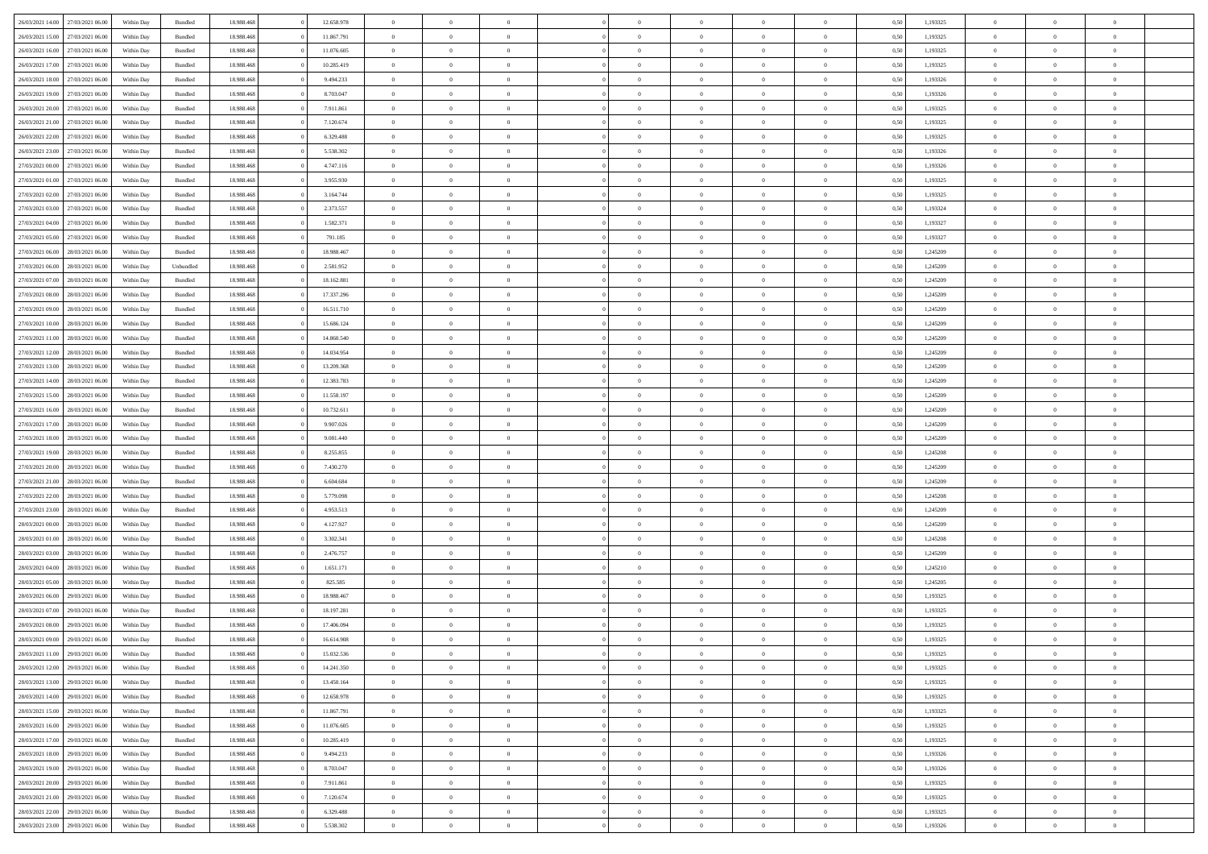| 26/03/2021 14:00 | 27/03/2021 06:00 | Within Day | Bundled            | 18.988.468 | 12.658.978 | $\overline{0}$ | $\Omega$       |                | $\Omega$       | $\Omega$       | $\Omega$       | $\theta$       | 0.50 | 1,193325 | $\theta$       | $\overline{0}$ | $\theta$       |  |
|------------------|------------------|------------|--------------------|------------|------------|----------------|----------------|----------------|----------------|----------------|----------------|----------------|------|----------|----------------|----------------|----------------|--|
|                  |                  |            |                    |            |            |                |                |                |                |                |                |                |      |          |                |                |                |  |
| 26/03/2021 15:00 | 27/03/2021 06.00 | Within Day | Bundled            | 18.988.468 | 11.867.791 | $\overline{0}$ | $\theta$       | $\overline{0}$ | $\overline{0}$ | $\bf{0}$       | $\overline{0}$ | $\overline{0}$ | 0,50 | 1,193325 | $\theta$       | $\overline{0}$ | $\overline{0}$ |  |
| 26/03/2021 16:00 | 27/03/2021 06:00 | Within Day | Bundled            | 18.988.468 | 11.076.605 | $\overline{0}$ | $\overline{0}$ | $\overline{0}$ | $\bf{0}$       | $\bf{0}$       | $\bf{0}$       | $\bf{0}$       | 0,50 | 1,193325 | $\bf{0}$       | $\overline{0}$ | $\overline{0}$ |  |
| 26/03/2021 17:00 | 27/03/2021 06:00 | Within Dav | Bundled            | 18.988.468 | 10.285.419 | $\overline{0}$ | $\theta$       | $\overline{0}$ | $\overline{0}$ | $\bf{0}$       | $\overline{0}$ | $\overline{0}$ | 0.50 | 1,193325 | $\theta$       | $\theta$       | $\overline{0}$ |  |
|                  |                  |            |                    |            |            |                |                |                |                |                |                |                |      |          |                |                |                |  |
| 26/03/2021 18:00 | 27/03/2021 06.00 | Within Day | Bundled            | 18.988.468 | 9.494.233  | $\overline{0}$ | $\theta$       | $\overline{0}$ | $\overline{0}$ | $\bf{0}$       | $\overline{0}$ | $\bf{0}$       | 0,50 | 1,193326 | $\theta$       | $\theta$       | $\overline{0}$ |  |
| 26/03/2021 19:00 | 27/03/2021 06:00 | Within Day | Bundled            | 18.988.468 | 8.703.047  | $\overline{0}$ | $\bf{0}$       | $\overline{0}$ | $\bf{0}$       | $\overline{0}$ | $\overline{0}$ | $\mathbf{0}$   | 0,50 | 1,193326 | $\overline{0}$ | $\overline{0}$ | $\bf{0}$       |  |
| 26/03/2021 20:00 | 27/03/2021 06:00 | Within Dav | Bundled            | 18.988.468 | 7.911.861  | $\overline{0}$ | $\overline{0}$ | $\overline{0}$ | $\overline{0}$ | $\bf{0}$       | $\overline{0}$ | $\overline{0}$ | 0.50 | 1,193325 | $\theta$       | $\overline{0}$ | $\overline{0}$ |  |
| 26/03/2021 21:00 | 27/03/2021 06.00 | Within Day | Bundled            | 18.988.468 | 7.120.674  | $\overline{0}$ | $\theta$       | $\overline{0}$ | $\overline{0}$ | $\bf{0}$       | $\overline{0}$ | $\bf{0}$       | 0,50 | 1,193325 | $\theta$       | $\theta$       | $\overline{0}$ |  |
| 26/03/2021 22:00 | 27/03/2021 06:00 | Within Day | Bundled            | 18.988.468 | 6.329.488  | $\overline{0}$ | $\overline{0}$ | $\overline{0}$ | $\bf{0}$       | $\bf{0}$       | $\bf{0}$       | $\bf{0}$       | 0,50 | 1,193325 | $\,0\,$        | $\overline{0}$ | $\overline{0}$ |  |
|                  |                  |            |                    |            |            |                |                |                |                |                |                |                |      |          |                |                |                |  |
| 26/03/2021 23:00 | 27/03/2021 06:00 | Within Dav | Bundled            | 18.988.468 | 5.538.302  | $\overline{0}$ | $\overline{0}$ | $\overline{0}$ | $\overline{0}$ | $\overline{0}$ | $\overline{0}$ | $\overline{0}$ | 0.50 | 1,193326 | $\theta$       | $\overline{0}$ | $\overline{0}$ |  |
| 27/03/2021 00:00 | 27/03/2021 06.00 | Within Day | Bundled            | 18.988.468 | 4.747.116  | $\overline{0}$ | $\theta$       | $\overline{0}$ | $\overline{0}$ | $\bf{0}$       | $\overline{0}$ | $\bf{0}$       | 0,50 | 1,193326 | $\theta$       | $\theta$       | $\overline{0}$ |  |
| 27/03/2021 01:00 | 27/03/2021 06:00 | Within Day | Bundled            | 18.988.468 | 3.955.930  | $\overline{0}$ | $\overline{0}$ | $\overline{0}$ | $\bf{0}$       | $\bf{0}$       | $\bf{0}$       | $\bf{0}$       | 0,50 | 1,193325 | $\bf{0}$       | $\overline{0}$ | $\overline{0}$ |  |
| 27/03/2021 02:00 | 27/03/2021 06:00 | Within Day | Bundled            | 18.988.468 | 3.164.744  | $\overline{0}$ | $\theta$       | $\overline{0}$ | $\overline{0}$ | $\bf{0}$       | $\overline{0}$ | $\overline{0}$ | 0.50 | 1,193325 | $\theta$       | $\theta$       | $\overline{0}$ |  |
| 27/03/2021 03:00 | 27/03/2021 06.00 | Within Day | Bundled            | 18.988.468 | 2.373.557  | $\overline{0}$ | $\theta$       | $\overline{0}$ | $\overline{0}$ | $\bf{0}$       | $\overline{0}$ | $\overline{0}$ | 0,50 | 1,193324 | $\theta$       | $\theta$       | $\overline{0}$ |  |
|                  |                  |            |                    |            |            |                |                |                |                |                |                |                |      |          |                |                |                |  |
| 27/03/2021 04:00 | 27/03/2021 06:00 | Within Day | Bundled            | 18.988.468 | 1.582.371  | $\overline{0}$ | $\bf{0}$       | $\overline{0}$ | $\bf{0}$       | $\overline{0}$ | $\overline{0}$ | $\mathbf{0}$   | 0,50 | 1,193327 | $\overline{0}$ | $\overline{0}$ | $\bf{0}$       |  |
| 27/03/2021 05:00 | 27/03/2021 06:00 | Within Dav | Bundled            | 18.988.468 | 791.185    | $\overline{0}$ | $\overline{0}$ | $\overline{0}$ | $\overline{0}$ | $\bf{0}$       | $\overline{0}$ | $\overline{0}$ | 0.50 | 1,193327 | $\theta$       | $\overline{0}$ | $\overline{0}$ |  |
| 27/03/2021 06:00 | 28/03/2021 06:00 | Within Day | Bundled            | 18.988.468 | 18.988.467 | $\overline{0}$ | $\theta$       | $\overline{0}$ | $\overline{0}$ | $\bf{0}$       | $\overline{0}$ | $\bf{0}$       | 0,50 | 1,245209 | $\theta$       | $\theta$       | $\overline{0}$ |  |
| 27/03/2021 06:00 | 28/03/2021 06:00 | Within Day | Unbundled          | 18.988.468 | 2.581.952  | $\overline{0}$ | $\overline{0}$ | $\overline{0}$ | $\bf{0}$       | $\bf{0}$       | $\bf{0}$       | $\bf{0}$       | 0,50 | 1,245209 | $\,0\,$        | $\overline{0}$ | $\overline{0}$ |  |
| 27/03/2021 07:00 | 28/03/2021 06:00 | Within Day | Bundled            | 18.988.468 | 18.162.881 | $\overline{0}$ | $\overline{0}$ | $\overline{0}$ | $\overline{0}$ | $\overline{0}$ | $\overline{0}$ | $\overline{0}$ | 0.50 | 1,245209 | $\theta$       | $\overline{0}$ | $\overline{0}$ |  |
|                  |                  |            |                    |            |            |                |                |                |                |                |                |                |      |          |                |                |                |  |
| 27/03/2021 08:00 | 28/03/2021 06:00 | Within Day | Bundled            | 18.988.468 | 17.337.296 | $\overline{0}$ | $\theta$       | $\overline{0}$ | $\overline{0}$ | $\bf{0}$       | $\overline{0}$ | $\bf{0}$       | 0,50 | 1,245209 | $\theta$       | $\theta$       | $\overline{0}$ |  |
| 27/03/2021 09:00 | 28/03/2021 06:00 | Within Day | Bundled            | 18.988.468 | 16.511.710 | $\overline{0}$ | $\overline{0}$ | $\overline{0}$ | $\bf{0}$       | $\bf{0}$       | $\bf{0}$       | $\bf{0}$       | 0,50 | 1,245209 | $\,0\,$        | $\overline{0}$ | $\overline{0}$ |  |
| 27/03/2021 10:00 | 28/03/2021 06:00 | Within Day | Bundled            | 18.988.468 | 15.686.124 | $\overline{0}$ | $\overline{0}$ | $\overline{0}$ | $\overline{0}$ | $\bf{0}$       | $\overline{0}$ | $\overline{0}$ | 0.50 | 1,245209 | $\theta$       | $\theta$       | $\overline{0}$ |  |
| 27/03/2021 11:00 | 28/03/2021 06:00 | Within Day | Bundled            | 18.988.468 | 14.860.540 | $\overline{0}$ | $\theta$       | $\overline{0}$ | $\overline{0}$ | $\bf{0}$       | $\overline{0}$ | $\bf{0}$       | 0,50 | 1,245209 | $\theta$       | $\overline{0}$ | $\overline{0}$ |  |
|                  |                  |            |                    |            |            |                |                |                |                |                |                |                |      |          |                |                |                |  |
| 27/03/2021 12:00 | 28/03/2021 06:00 | Within Day | Bundled            | 18.988.468 | 14.034.954 | $\overline{0}$ | $\overline{0}$ | $\overline{0}$ | $\bf{0}$       | $\overline{0}$ | $\overline{0}$ | $\mathbf{0}$   | 0,50 | 1,245209 | $\overline{0}$ | $\overline{0}$ | $\bf{0}$       |  |
| 27/03/2021 13:00 | 28/03/2021 06:00 | Within Dav | Bundled            | 18.988.468 | 13.209.368 | $\overline{0}$ | $\overline{0}$ | $\overline{0}$ | $\overline{0}$ | $\overline{0}$ | $\overline{0}$ | $\overline{0}$ | 0.50 | 1,245209 | $\theta$       | $\theta$       | $\overline{0}$ |  |
| 27/03/2021 14:00 | 28/03/2021 06:00 | Within Day | Bundled            | 18.988.468 | 12.383.783 | $\overline{0}$ | $\theta$       | $\overline{0}$ | $\overline{0}$ | $\bf{0}$       | $\overline{0}$ | $\bf{0}$       | 0,50 | 1,245209 | $\theta$       | $\theta$       | $\overline{0}$ |  |
| 27/03/2021 15:00 | 28/03/2021 06:00 | Within Day | Bundled            | 18.988.468 | 11.558.197 | $\overline{0}$ | $\overline{0}$ | $\overline{0}$ | $\bf{0}$       | $\bf{0}$       | $\bf{0}$       | $\bf{0}$       | 0,50 | 1,245209 | $\,0\,$        | $\overline{0}$ | $\overline{0}$ |  |
| 27/03/2021 16:00 | 28/03/2021 06:00 | Within Day | Bundled            | 18.988.468 | 10.732.611 | $\overline{0}$ | $\overline{0}$ | $\overline{0}$ | $\overline{0}$ | $\overline{0}$ | $\overline{0}$ | $\overline{0}$ | 0.50 | 1,245209 | $\theta$       | $\overline{0}$ | $\overline{0}$ |  |
|                  |                  |            |                    |            |            |                |                |                |                |                |                |                |      |          |                |                |                |  |
| 27/03/2021 17:00 | 28/03/2021 06:00 | Within Day | Bundled            | 18.988.468 | 9.907.026  | $\overline{0}$ | $\theta$       | $\overline{0}$ | $\overline{0}$ | $\bf{0}$       | $\overline{0}$ | $\bf{0}$       | 0,50 | 1,245209 | $\,$ 0 $\,$    | $\theta$       | $\overline{0}$ |  |
| 27/03/2021 18:00 | 28/03/2021 06:00 | Within Day | Bundled            | 18.988.468 | 9.081.440  | $\overline{0}$ | $\overline{0}$ | $\overline{0}$ | $\bf{0}$       | $\bf{0}$       | $\bf{0}$       | $\bf{0}$       | 0,50 | 1,245209 | $\bf{0}$       | $\overline{0}$ | $\overline{0}$ |  |
| 27/03/2021 19:00 | 28/03/2021 06:00 | Within Day | Bundled            | 18.988.468 | 8.255.855  | $\overline{0}$ | $\Omega$       | $\Omega$       | $\Omega$       | $\Omega$       | $\overline{0}$ | $\overline{0}$ | 0.50 | 1,245208 | $\,0\,$        | $\Omega$       | $\theta$       |  |
| 27/03/2021 20:00 | 28/03/2021 06:00 | Within Day | Bundled            | 18.988.468 | 7.430.270  | $\overline{0}$ | $\theta$       | $\overline{0}$ | $\overline{0}$ | $\bf{0}$       | $\overline{0}$ | $\bf{0}$       | 0,50 | 1,245209 | $\theta$       | $\theta$       | $\overline{0}$ |  |
| 27/03/2021 21:00 | 28/03/2021 06:00 | Within Day | Bundled            | 18.988.468 | 6.604.684  | $\overline{0}$ | $\bf{0}$       | $\overline{0}$ | $\bf{0}$       | $\bf{0}$       | $\overline{0}$ | $\mathbf{0}$   | 0,50 | 1,245209 | $\bf{0}$       | $\overline{0}$ | $\bf{0}$       |  |
|                  |                  |            |                    |            |            |                |                |                |                |                |                |                |      |          |                |                |                |  |
| 27/03/2021 22:00 | 28/03/2021 06:00 | Within Day | Bundled            | 18.988.468 | 5.779.098  | $\overline{0}$ | $\Omega$       | $\Omega$       | $\Omega$       | $\Omega$       | $\Omega$       | $\overline{0}$ | 0.50 | 1,245208 | $\theta$       | $\theta$       | $\theta$       |  |
| 27/03/2021 23:00 | 28/03/2021 06:00 | Within Day | Bundled            | 18.988.468 | 4.953.513  | $\overline{0}$ | $\theta$       | $\overline{0}$ | $\overline{0}$ | $\bf{0}$       | $\overline{0}$ | $\bf{0}$       | 0,50 | 1,245209 | $\theta$       | $\theta$       | $\overline{0}$ |  |
| 28/03/2021 00:00 | 28/03/2021 06:00 | Within Day | Bundled            | 18.988.468 | 4.127.927  | $\overline{0}$ | $\overline{0}$ | $\overline{0}$ | $\bf{0}$       | $\bf{0}$       | $\bf{0}$       | $\bf{0}$       | 0,50 | 1,245209 | $\,0\,$        | $\overline{0}$ | $\overline{0}$ |  |
| 28/03/2021 01:00 | 28/03/2021 06:00 | Within Day | Bundled            | 18.988.468 | 3.302.341  | $\overline{0}$ | $\Omega$       | $\Omega$       | $\Omega$       | $\Omega$       | $\theta$       | $\overline{0}$ | 0.50 | 1,245208 | $\theta$       | $\theta$       | $\theta$       |  |
| 28/03/2021 03:00 | 28/03/2021 06:00 | Within Day | Bundled            | 18.988.468 | 2.476.757  | $\overline{0}$ | $\theta$       | $\overline{0}$ | $\overline{0}$ | $\bf{0}$       | $\overline{0}$ | $\bf{0}$       | 0,50 | 1,245209 | $\,$ 0 $\,$    | $\theta$       | $\overline{0}$ |  |
|                  |                  |            |                    |            |            |                |                |                |                |                |                |                |      |          |                |                |                |  |
| 28/03/2021 04:00 | 28/03/2021 06:00 | Within Day | Bundled            | 18.988.468 | 1.651.171  | $\overline{0}$ | $\overline{0}$ | $\overline{0}$ | $\bf{0}$       | $\bf{0}$       | $\bf{0}$       | $\bf{0}$       | 0,50 | 1,245210 | $\bf{0}$       | $\overline{0}$ | $\overline{0}$ |  |
| 28/03/2021 05:00 | 28/03/2021 06:00 | Within Day | Bundled            | 18.988.468 | 825.585    | $\overline{0}$ | $\Omega$       | $\Omega$       | $\Omega$       | $\Omega$       | $\overline{0}$ | $\overline{0}$ | 0.50 | 1,245205 | $\,0\,$        | $\theta$       | $\theta$       |  |
| 28/03/2021 06:00 | 29/03/2021 06:00 | Within Day | Bundled            | 18.988.468 | 18.988.467 | $\overline{0}$ | $\theta$       | $\overline{0}$ | $\overline{0}$ | $\bf{0}$       | $\overline{0}$ | $\bf{0}$       | 0,50 | 1,193325 | $\,$ 0 $\,$    | $\theta$       | $\overline{0}$ |  |
| 28/03/2021 07:00 | 29/03/2021 06:00 | Within Day | Bundled            | 18.988.468 | 18.197.281 | $\overline{0}$ | $\overline{0}$ | $\overline{0}$ | $\bf{0}$       | $\bf{0}$       | $\bf{0}$       | $\mathbf{0}$   | 0,50 | 1,193325 | $\bf{0}$       | $\overline{0}$ | $\bf{0}$       |  |
| 28/03/2021 08:00 | 29/03/2021 06:00 | Within Day | Bundled            | 18.988.468 | 17,406,094 | $\overline{0}$ | $\Omega$       | $\Omega$       | $\Omega$       | $\Omega$       | $\Omega$       | $\overline{0}$ | 0.50 | 1,193325 | $\theta$       | $\theta$       | $\theta$       |  |
|                  |                  |            |                    |            |            |                |                |                |                |                |                |                |      |          |                |                |                |  |
| 28/03/2021 09:00 | 29/03/2021 06:00 | Within Day | Bundled            | 18.988.468 | 16.614.908 | $\overline{0}$ | $\,$ 0 $\,$    | $\overline{0}$ | $\bf{0}$       | $\,$ 0         | $\bf{0}$       | $\bf{0}$       | 0,50 | 1,193325 | $\,0\,$        | $\overline{0}$ | $\overline{0}$ |  |
| 28/03/2021 11:00 | 29/03/2021 06:00 | Within Day | $\mathbf B$ undled | 18.988.468 | 15.032.536 | $\bf{0}$       | $\bf{0}$       |                |                |                |                |                | 0,50 | 1,193325 | $\bf{0}$       | $\overline{0}$ |                |  |
| 28/03/2021 12:00 | 29/03/2021 06:00 | Within Day | Bundled            | 18.988.468 | 14.241.350 | $\overline{0}$ | $\Omega$       | $\overline{0}$ | $\Omega$       | $\theta$       | $\overline{0}$ | $\overline{0}$ | 0,50 | 1,193325 | $\theta$       | $\theta$       | $\theta$       |  |
| 28/03/2021 13:00 | 29/03/2021 06:00 | Within Day | Bundled            | 18.988.468 | 13.450.164 | $\overline{0}$ | $\,$ 0         | $\overline{0}$ | $\bf{0}$       | $\,$ 0 $\,$    | $\overline{0}$ | $\mathbf{0}$   | 0,50 | 1,193325 | $\,$ 0 $\,$    | $\,$ 0 $\,$    | $\,$ 0         |  |
| 28/03/2021 14:00 | 29/03/2021 06:00 | Within Day | Bundled            | 18.988.468 | 12.658.978 | $\overline{0}$ | $\overline{0}$ | $\overline{0}$ | $\overline{0}$ | $\overline{0}$ | $\overline{0}$ | $\mathbf{0}$   | 0,50 | 1,193325 | $\overline{0}$ | $\bf{0}$       | $\bf{0}$       |  |
|                  |                  |            |                    |            |            |                |                |                |                |                |                |                |      |          |                |                |                |  |
| 28/03/2021 15:00 | 29/03/2021 06:00 | Within Day | Bundled            | 18.988.468 | 11.867.791 | $\overline{0}$ | $\theta$       | $\overline{0}$ | $\Omega$       | $\overline{0}$ | $\overline{0}$ | $\bf{0}$       | 0,50 | 1,193325 | $\bf{0}$       | $\theta$       | $\overline{0}$ |  |
| 28/03/2021 16:00 | 29/03/2021 06:00 | Within Day | Bundled            | 18.988.468 | 11.076.605 | $\overline{0}$ | $\,$ 0         | $\overline{0}$ | $\overline{0}$ | $\overline{0}$ | $\overline{0}$ | $\bf{0}$       | 0,50 | 1,193325 | $\,$ 0 $\,$    | $\overline{0}$ | $\overline{0}$ |  |
| 28/03/2021 17:00 | 29/03/2021 06:00 | Within Day | Bundled            | 18.988.468 | 10.285.419 | $\overline{0}$ | $\overline{0}$ | $\overline{0}$ | $\overline{0}$ | $\overline{0}$ | $\overline{0}$ | $\mathbf{0}$   | 0,50 | 1,193325 | $\overline{0}$ | $\bf{0}$       | $\bf{0}$       |  |
| 28/03/2021 18:00 | 29/03/2021 06:00 | Within Day | Bundled            | 18.988.468 | 9.494.233  | $\overline{0}$ | $\overline{0}$ | $\overline{0}$ | $\Omega$       | $\overline{0}$ | $\overline{0}$ | $\bf{0}$       | 0.50 | 1,193326 | $\overline{0}$ | $\theta$       | $\overline{0}$ |  |
| 28/03/2021 19:00 | 29/03/2021 06:00 | Within Day | Bundled            | 18.988.468 | 8.703.047  | $\overline{0}$ | $\,$ 0         | $\overline{0}$ | $\bf{0}$       | $\bf{0}$       | $\bf{0}$       | $\bf{0}$       | 0,50 | 1,193326 | $\,$ 0 $\,$    | $\overline{0}$ | $\overline{0}$ |  |
|                  |                  |            |                    |            |            |                |                |                |                |                |                |                |      |          |                |                |                |  |
| 28/03/2021 20:00 | 29/03/2021 06:00 | Within Day | Bundled            | 18.988.468 | 7.911.861  | $\overline{0}$ | $\bf{0}$       | $\overline{0}$ | $\overline{0}$ | $\overline{0}$ | $\bf{0}$       | $\mathbf{0}$   | 0,50 | 1,193325 | $\overline{0}$ | $\overline{0}$ | $\bf{0}$       |  |
| 28/03/2021 21:00 | 29/03/2021 06:00 | Within Day | Bundled            | 18,988,468 | 7.120.674  | $\overline{0}$ | $\overline{0}$ | $\overline{0}$ | $\Omega$       | $\overline{0}$ | $\overline{0}$ | $\bf{0}$       | 0.50 | 1,193325 | $\overline{0}$ | $\overline{0}$ | $\overline{0}$ |  |
| 28/03/2021 22:00 | 29/03/2021 06:00 | Within Day | Bundled            | 18.988.468 | 6.329.488  | $\overline{0}$ | $\bf{0}$       | $\overline{0}$ | $\overline{0}$ | $\bf{0}$       | $\bf{0}$       | $\bf{0}$       | 0,50 | 1,193325 | $\,$ 0 $\,$    | $\,$ 0 $\,$    | $\bf{0}$       |  |
| 28/03/2021 23:00 | 29/03/2021 06:00 | Within Day | Bundled            | 18.988.468 | 5.538.302  | $\overline{0}$ | $\overline{0}$ | $\overline{0}$ | $\overline{0}$ | $\bf{0}$       | $\bf{0}$       | $\mathbf{0}$   | 0,50 | 1,193326 | $\overline{0}$ | $\bf{0}$       | $\bf{0}$       |  |
|                  |                  |            |                    |            |            |                |                |                |                |                |                |                |      |          |                |                |                |  |